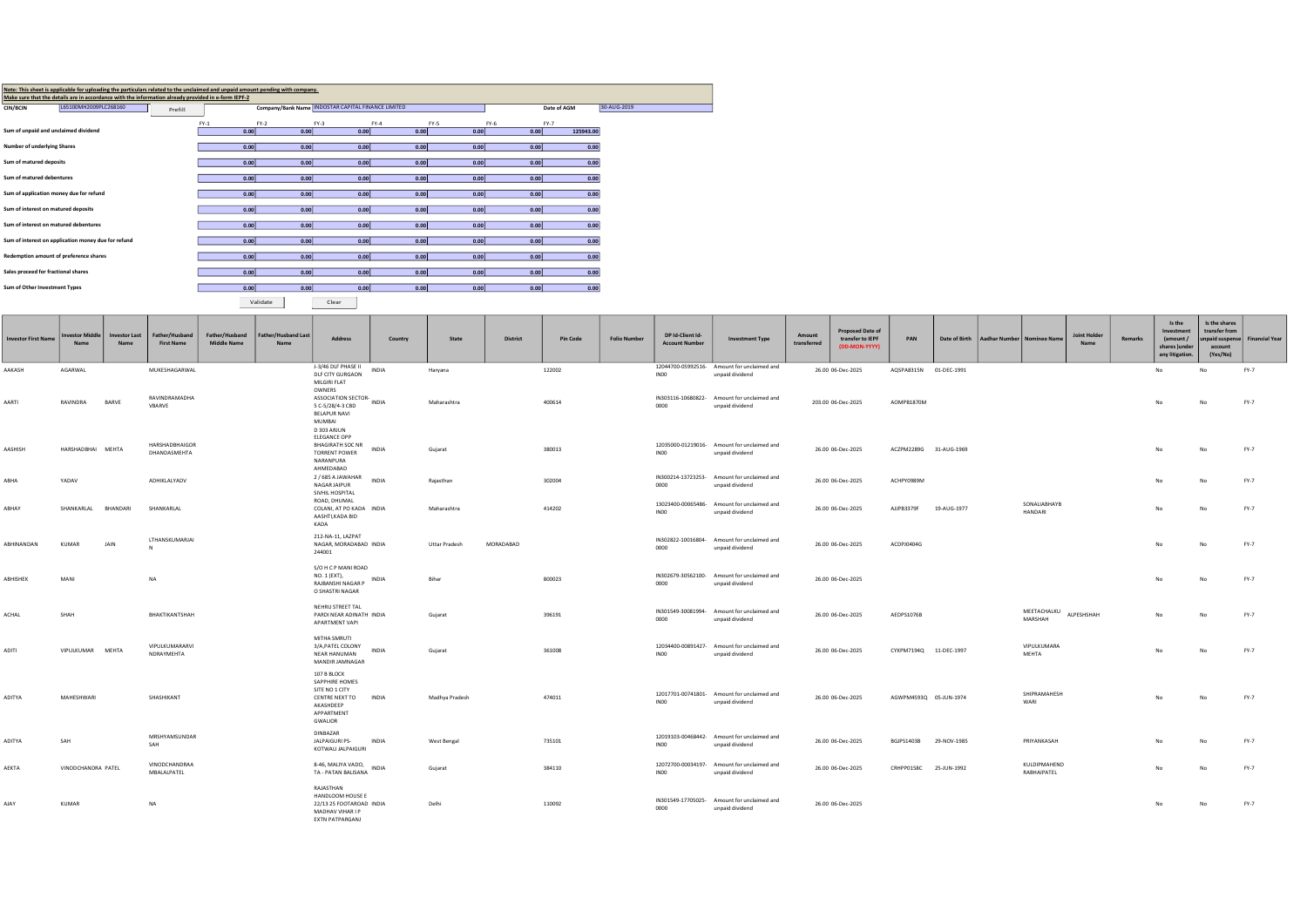| Note: This sheet is applicable for uploading the particulars related to the unclaimed and unpaid amount pending with company.<br>Make sure that the details are in accordance with the information already provided in e-form IEPF-2 |        |                                                      |        |        |      |             |             |  |
|--------------------------------------------------------------------------------------------------------------------------------------------------------------------------------------------------------------------------------------|--------|------------------------------------------------------|--------|--------|------|-------------|-------------|--|
| L65100MH2009PLC268160<br><b>CIN/BCIN</b><br>Prefill                                                                                                                                                                                  |        | Company/Bank Name   INDOSTAR CAPITAL FINANCE LIMITED |        |        |      | Date of AGM | 30-AUG-2019 |  |
|                                                                                                                                                                                                                                      |        |                                                      |        |        |      |             |             |  |
|                                                                                                                                                                                                                                      | $FY-1$ | $FY-2$                                               | $FY-3$ | $FY-4$ | FY-5 | $FY-6$      | $FY-7$      |  |
| Sum of unpaid and unclaimed dividend                                                                                                                                                                                                 | 0.00   | 0.00                                                 | 0.00   | 0.00   | 0.00 | 0.00        | 125943.00   |  |
|                                                                                                                                                                                                                                      |        |                                                      |        |        |      |             |             |  |
| Number of underlying Shares                                                                                                                                                                                                          | 0.00   | 0.00                                                 | 0.00   | 0.00   | 0.00 | 0.00        | 0.00        |  |
|                                                                                                                                                                                                                                      |        |                                                      |        |        |      |             |             |  |
| Sum of matured deposits                                                                                                                                                                                                              | 0.00   | 0.00                                                 | 0.00   | 0.00   | 0.00 | 0.00        | 0.00        |  |
| Sum of matured debentures                                                                                                                                                                                                            | 0.00   | 0.00                                                 | 0.00   | 0.00   | 0.00 | 0.00        | 0.00        |  |
|                                                                                                                                                                                                                                      |        |                                                      |        |        |      |             |             |  |
| Sum of application money due for refund                                                                                                                                                                                              | 0.00   | 0.00                                                 | 0.00   | 0.00   | 0.00 | 0.00        | 0.00        |  |
|                                                                                                                                                                                                                                      |        |                                                      |        |        |      |             |             |  |
| Sum of interest on matured deposits                                                                                                                                                                                                  | 0.00   | 0.00                                                 | 0.00   | 0.00   | 0.00 | 0.00        | 0.00        |  |
|                                                                                                                                                                                                                                      |        |                                                      |        |        |      |             |             |  |
| Sum of interest on matured debentures                                                                                                                                                                                                | 0.00   | 0.00                                                 | 0.00   | 0.00   | 0.00 | 0.00        | 0.00        |  |
|                                                                                                                                                                                                                                      |        |                                                      |        |        |      |             |             |  |
| Sum of interest on application money due for refund                                                                                                                                                                                  | 0.00   | 0.00                                                 | 0.00   | 0.00   | 0.00 | 0.00        | 0.00        |  |
| Redemption amount of preference shares                                                                                                                                                                                               | 0.00   | 0.00                                                 | 0.00   | 0.00   | 0.00 | 0.00        | 0.00        |  |
|                                                                                                                                                                                                                                      |        |                                                      |        |        |      |             |             |  |
| Sales proceed for fractional shares                                                                                                                                                                                                  | 0.00   | 0.00                                                 | 0.00   | 0.00   | 0.00 | 0.00        | 0.00        |  |
|                                                                                                                                                                                                                                      |        |                                                      |        |        |      |             |             |  |
| Sum of Other Investment Types                                                                                                                                                                                                        | 0.00   | 0.00                                                 | 0.00   | 0.00   | 0.00 | 0.00        | 0.00        |  |
|                                                                                                                                                                                                                                      |        |                                                      |        |        |      |             |             |  |

Validate in Clear in the Clear of the Clear in the contract of the clear of the clear in the clear of the clear

| <b>Investor First Name</b> | <b>westor Middl</b><br>Name | <b>Investor Last</b><br>Name | Father/Husband<br><b>First Name</b> | Father/Husband<br><b>Middle Name</b> | <b>Father/Husband Last</b><br>Name | <b>Address</b>                                                                                                   | Country      | State          | <b>District</b> | <b>Pin Code</b> | <b>Folio Number</b> | DP Id-Client Id-<br><b>Account Number</b> | <b>Investment Type</b>                                         | Amount<br>transferred | <b>Proposed Date of</b><br>transfer to IEPF<br>(DD-MON-YYYY) | PAN                    | Date of Birth | Aadhar Number   Nominee Name |                                | <b>Joint Holder</b><br>Name | Remarks | Is the<br>Investment<br>(amount/<br>shares ) unde<br>any litigation. | Is the shares<br>transfer from<br>account<br>(Yes/No) | npaid suspense Financial Year |
|----------------------------|-----------------------------|------------------------------|-------------------------------------|--------------------------------------|------------------------------------|------------------------------------------------------------------------------------------------------------------|--------------|----------------|-----------------|-----------------|---------------------|-------------------------------------------|----------------------------------------------------------------|-----------------------|--------------------------------------------------------------|------------------------|---------------|------------------------------|--------------------------------|-----------------------------|---------|----------------------------------------------------------------------|-------------------------------------------------------|-------------------------------|
| AAKASH                     | AGARWAL                     |                              | MUKESHAGARWAL                       |                                      |                                    | J-3/46 DLF PHASE II<br>DLF CITY GURGAON<br>MILGIRI FLAT                                                          | INDIA        | Haryana        |                 | 122002          |                     | INO0                                      | 12044700-05992516- Amount for unclaimed and<br>unpaid dividend |                       | 26.00 06-Dec-2025                                            | AQSPA8315N             | 01-DEC-1991   |                              |                                |                             |         | No                                                                   | No                                                    | FY-7                          |
| AARTI                      | RAVINDRA                    | BARVE                        | RAVINDRAMADHA<br>VBARVE             |                                      |                                    | OWNERS<br>ASSOCIATION SECTOR- INDIA<br>5 C-5/28/4-3 CBD<br>BELAPUR NAVI<br>MUMBAI<br>D 303 ARJUN<br>ELEGANCE OPP |              | Maharashtra    |                 | 400614          |                     | 0000                                      | IN303116-10680822- Amount for unclaimed and<br>unpaid dividend |                       | 203.00 06-Dec-2025                                           | AOMPB1870M             |               |                              |                                |                             |         | No                                                                   | No                                                    | FY-7                          |
| AASHISH                    | HARSHADBHAI MEHTA           |                              | HARSHADBHAIGOR<br>DHANDASMEHTA      |                                      |                                    | <b>BHAGIRATH SOC NR</b><br><b>TORRENT POWER</b><br>NARANPURA<br>AHMEDABAD                                        | INDIA        | Gujarat        |                 | 380013          |                     | INO <sub>0</sub>                          | 12035000-01219016- Amount for unclaimed and<br>unpaid dividend |                       | 26.00 06-Dec-2025                                            | ACZPM2289G 31-AUG-1969 |               |                              |                                |                             |         | No                                                                   | No                                                    | FY-7                          |
| ABHA                       | YADAV                       |                              | ADHIKLALYADV                        |                                      |                                    | 2 / 685 A JAWAHAR<br>NAGAR JAIPUR<br>SIVHIL HOSPITAL                                                             | <b>INDIA</b> | Rajasthan      |                 | 302004          |                     | 0000                                      | IN300214-13723253- Amount for unclaimed and<br>unpaid dividend |                       | 26.00 06-Dec-2025                                            | ACHPY0989M             |               |                              |                                |                             |         | No                                                                   | No                                                    | FY-7                          |
| ABHAY                      | SHANKARLAL BHANDARI         |                              | SHANKARLAL                          |                                      |                                    | ROAD, DHUMAL<br>COLANI, AT PO KADA INDIA<br>AASHTI, KADA BID<br>KADA                                             |              | Maharashtra    |                 | 414202          |                     | INO <sub>0</sub>                          | 13023400-00065486- Amount for unclaimed and<br>unpaid dividend |                       | 26.00 06-Dec-2025                                            | AJJPB3379F             | 19-AUG-1977   |                              | SONALIABHAYB<br><b>HANDARI</b> |                             |         | No                                                                   | No                                                    | FY-7                          |
| ABHINANDAN                 | <b>KUMAR</b>                | JAIN                         | LTHANSKUMARJAI                      |                                      |                                    | 212-NA-11, LAZPAT<br>NAGAR, MORADABAD INDIA<br>244001                                                            |              | Uttar Pradesh  | MORADABAD       |                 |                     | 0000                                      | IN302822-10016804- Amount for unclaimed and<br>unpaid dividend |                       | 26.00 06-Dec-2025                                            | ACDPJ0404G             |               |                              |                                |                             |         | No                                                                   | No                                                    | FY-7                          |
| ABHISHEK                   | MANI                        |                              | NA                                  |                                      |                                    | S/O H C P MANI ROAD<br>NO. 1 (EXT),<br>RAJBANSHI NAGAR P<br>O SHASTRI NAGAR                                      | INDIA        | Bihar          |                 | 800023          |                     | 0000                                      | IN302679-30562100- Amount for unclaimed and<br>unpaid dividend |                       | 26.00 06-Dec-2025                                            |                        |               |                              |                                |                             |         | No                                                                   | No                                                    | FY-7                          |
| ACHAL                      | SHAH                        |                              | BHAKTIKANTSHAH                      |                                      |                                    | NEHRU STREET TAL<br>PARDI NEAR ADINATH INDIA<br>APARTMENT VAPI                                                   |              | Gujarat        |                 | 396191          |                     | 0000                                      | IN301549-30081994- Amount for unclaimed and<br>unpaid dividend |                       | 26.00 06-Dec-2025                                            | AEDPS1076B             |               |                              | MEETACHALKU<br>MARSHAH         | ALPESHSHAH                  |         | No                                                                   | <b>No</b>                                             | FY-7                          |
| ADITI                      | VIPULKUMAR MEHTA            |                              | VIPULKUMARARVI<br>NDRAYMEHTA        |                                      |                                    | MITHA SMRUTI<br>3/A, PATEL COLONY<br>NEAR HANUMAN<br>MANDIR JAMNAGAR                                             | INDIA        | Gujarat        |                 | 361008          |                     | INO <sub>0</sub>                          | 12034400-00891427- Amount for unclaimed and<br>unpaid dividend |                       | 26.00 06-Dec-2025                                            | CYXPM7194Q 11-DEC-1997 |               |                              | VIPULKUMARA<br>MEHTA           |                             |         | No                                                                   | No                                                    | FY-7                          |
| ADITYA                     | MAHESHWARI                  |                              | SHASHIKANT                          |                                      |                                    | 107 B BLOCK<br>SAPPHIRE HOMES<br>SITE NO 1 CITY<br>CENTRE NEXT TO<br>AKASHDEEP<br>APPARTMENT<br>GWALIOR          | INDIA        | Madhya Pradesh |                 | 474011          |                     | INO <sub>0</sub>                          | 12017701-00741801- Amount for unclaimed and<br>unpaid dividend |                       | 26.00 06-Dec-2025                                            | AGWPM4593Q 05-JUN-1974 |               |                              | SHIPRAMAHESH<br>WARI           |                             |         | No                                                                   | No                                                    | FY-7                          |
| ADITYA                     | SAH                         |                              | MRSHYAMSUNDAR<br>SAH                |                                      |                                    | DINBAZAR<br>JALPAIGURI PS-<br>KOTWALI JALPAIGURI                                                                 | INDIA        | West Bengal    |                 | 735101          |                     | INO <sub>0</sub>                          | 12019103-00468442- Amount for unclaimed and<br>unpaid dividend |                       | 26.00 06-Dec-2025                                            | BGJPS1403B 29-NOV-1985 |               |                              | PRIYANKASAH                    |                             |         | No                                                                   | No                                                    | FY-7                          |
| AEKTA                      | VINODCHANDRA PATEL          |                              | VINODCHANDRAA<br>MBALALPATEL        |                                      |                                    | 8-46, MALIYA VADO,<br>TA - PATAN BALISANA                                                                        | INDIA        | Gujarat        |                 | 384110          |                     | INO0                                      | 12072700-00034197- Amount for unclaimed and<br>unpaid dividend |                       | 26.00 06-Dec-2025                                            | CRHPP0158C 25-JUN-1992 |               |                              | KULDIPMAHEND<br>RABHAIPATEL    |                             |         | No                                                                   | No                                                    | FY-7                          |
| AJAY                       | KUMAR                       |                              | <b>NA</b>                           |                                      |                                    | RAJASTHAN<br>HANDLOOM HOUSE E<br>22/13 25 FOOTAROAD INDIA<br>MADHAV VIHAR I P<br>EXTN PATPARGANJ                 |              | Delhi          |                 | 110092          |                     | 0000                                      | IN301549-17705025- Amount for unclaimed and<br>unpaid dividend |                       | 26.00 06-Dec-2025                                            |                        |               |                              |                                |                             |         |                                                                      |                                                       | $FY-7$                        |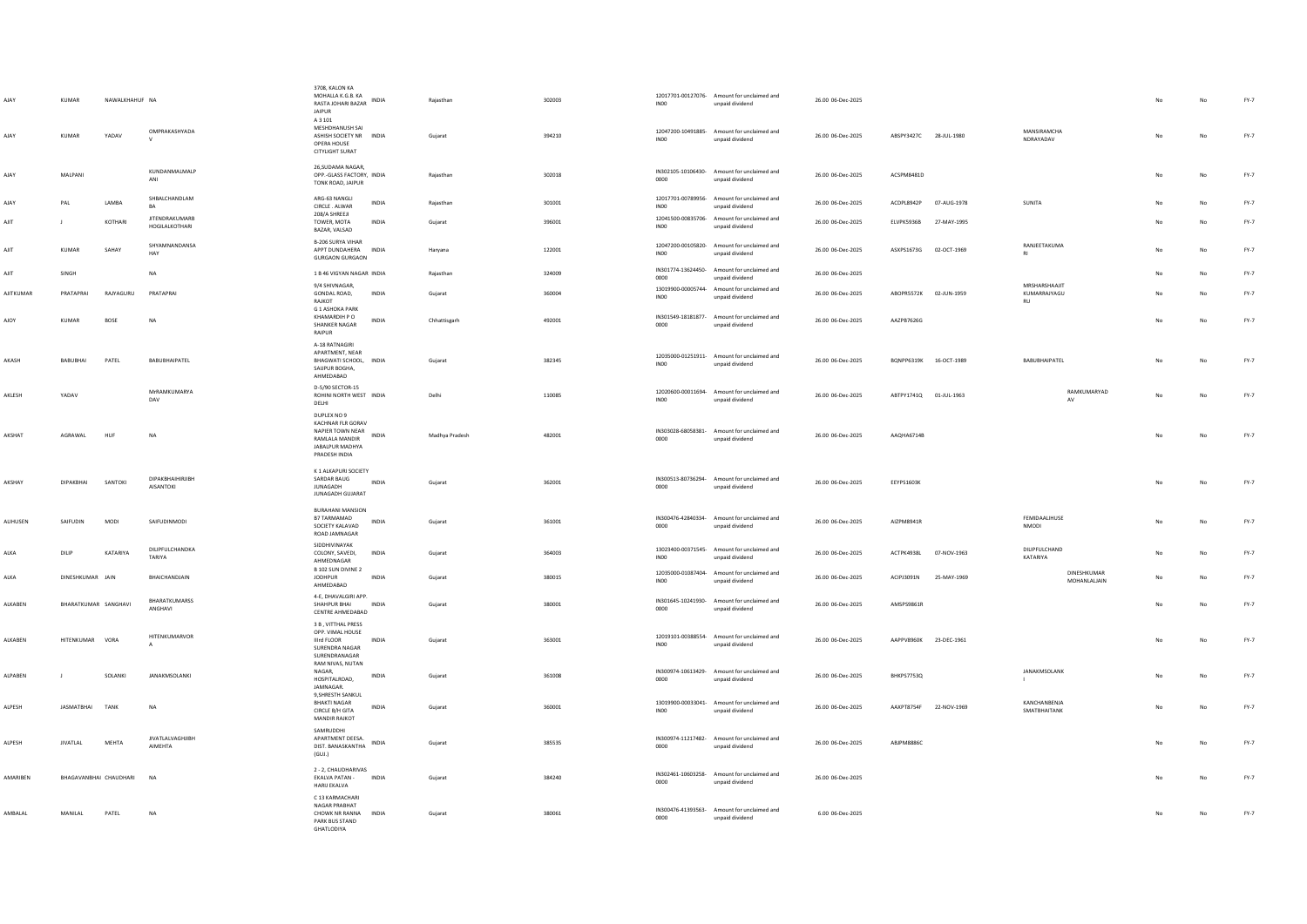| AJAY           | KUMAR<br>KUMAR              | NAWALKHAHUF NA<br>YADAV | OMPRAKASHYADA                             | 3708, KALON KA<br>MOHALLA K.G.B. KA<br>RASTA JOHARI BAZAR INDIA<br><b>IAIPUR</b><br>A 3 101<br>MESHDHANUSH SAI<br>ASHISH SOCIETY NR INDIA<br>OPERA HOUSE |              | Rajasthan<br>Gujarat | 302003<br>394210 | INO <sub>0</sub><br><b>IN00</b> | 12017701-00127076- Amount for unclaimed and<br>unpaid dividend<br>12047200-10491885- Amount for unclaimed and<br>unpaid dividend | 26.00 06-Dec-2025<br>26.00 06-Dec-2025 | ABSPY3427C 28-JUL-1980 |             | MANSIRAMCHA<br>NDRAYADAV                   |     | No          | $FY-7$<br>$FY-7$ |
|----------------|-----------------------------|-------------------------|-------------------------------------------|----------------------------------------------------------------------------------------------------------------------------------------------------------|--------------|----------------------|------------------|---------------------------------|----------------------------------------------------------------------------------------------------------------------------------|----------------------------------------|------------------------|-------------|--------------------------------------------|-----|-------------|------------------|
| AJAY           | MALPANI                     |                         | KUNDANMALMALP<br>ANI                      | <b>CITYLIGHT SURAT</b><br>26.SUDAMA NAGAR.<br>OPP.-GLASS FACTORY, INDIA<br>TONK ROAD, JAIPUR                                                             |              | Rajasthan            | 302018           | 0000                            | IN302105-10106430- Amount for unclaimed and<br>unpaid dividend                                                                   | 26.00 06-Dec-2025                      | ACSPM8481D             |             |                                            | No  | No          | $FY-7$           |
| AJAY           | PAL                         | LAMBA                   | SHBALCHANDLAM<br><b>BA</b>                | ARG-63 NANGLI<br>CIRCLE . ALWAR                                                                                                                          | INDIA        | Rajasthan            | 301001           | IN00                            | 12017701-00789956- Amount for unclaimed and<br>unpaid dividend                                                                   | 26.00 06-Dec-2025                      | ACDPL8942P             | 07-AUG-1978 | SUNITA                                     |     | No          | $FY-7$           |
| AJIT           |                             | KOTHARI                 | <b>JITENDRAKUMARB</b><br>HOGILALKOTHARI   | 208/A SHREEJI<br>TOWER, MOTA<br>BAZAR, VALSAD                                                                                                            | INDIA        | Gujarat              | 396001           | INO <sub>0</sub>                | 12041500-00835706- Amount for unclaimed and<br>unpaid dividend                                                                   | 26.00 06-Dec-2025                      | ELVPK5936B             | 27-MAY-1995 |                                            | No  | $_{\sf No}$ | FY-7             |
| AIIT           | KUMAR                       | SAHAY                   | SHYAMNANDANSA<br>HAY                      | <b>B-206 SURYA VIHAR</b><br>APPT DUNDAHERA INDIA<br><b>GURGAON GURGAON</b>                                                                               |              | Haryana              | 122001           | INO <sub>0</sub>                | 12047200-00105820- Amount for unclaimed and<br>unpaid dividend                                                                   | 26.00 06-Dec-2025                      | ASXPS1673G 02-OCT-1969 |             | RANJEETAKUMA                               | No  | No          | FY-7             |
| AJIT           | SINGH                       |                         | NA                                        | 1 B 46 VIGYAN NAGAR INDIA                                                                                                                                |              | Rajasthan            | 324009           | 0000                            | IN301774-13624450- Amount for unclaimed and<br>unpaid dividend                                                                   | 26.00 06-Dec-2025                      |                        |             |                                            |     | No          | FY-7             |
| AJITKUMAR      | PRATAPRAI                   | RAJYAGURU               | PRATAPRAI                                 | 9/4 SHIVNAGAR,<br>GONDAL ROAD,<br>RAJKOT                                                                                                                 | INDIA        | Gujarat              | 360004           | IN00                            | 13019900-00005744- Amount for unclaimed and<br>unpaid dividend                                                                   | 26.00 06-Dec-2025                      | ABOPR5572K             | 02-JUN-1959 | MRSHARSHAAJIT<br>KUMARRAJYAGU<br><b>RU</b> |     | No          | $FY-7$           |
| AJOY           | KUMAR                       | <b>BOSE</b>             | <b>NA</b>                                 | <b>G 1 ASHOKA PARK</b><br>KHAMARDIH P O<br>SHANKER NAGAR<br>RAIPUR                                                                                       | INDIA        | Chhattisgarh         | 492001           | 0000                            | IN301549-18181877- Amount for unclaimed and<br>unpaid dividend                                                                   | 26.00 06-Dec-2025                      | AAZPB7626G             |             |                                            | No  | No          | FY-7             |
| AKASH          | BABUBHAI                    | PATEL                   | BABUBHAIPATEL                             | A-18 RATNAGIRI<br>APARTMENT, NEAR<br>BHAGWATI SCHOOL, INDIA<br>SAIJPUR BOGHA,<br>AHMEDABAD                                                               |              | Gujarat              | 382345           | INO <sub>0</sub>                | 12035000-01251911- Amount for unclaimed and<br>unnaid dividend                                                                   | 26.00 06-Dec-2025                      | BQNPP6319K 16-OCT-1989 |             | BABUBHAIPATEL                              | No  | No          | FY-7             |
| AKLESH         | YADAV                       |                         | MrRAMKUMARYA<br>DAV                       | D-5/90 SECTOR-15<br>ROHINI NORTH WEST INDIA<br>DELHI                                                                                                     |              | Delhi                | 110085           | <b>IN00</b>                     | 12020600-00011694- Amount for unclaimed and<br>unpaid dividend                                                                   | 26.00 06-Dec-2025                      | ABTPY1741Q 01-JUL-1963 |             | RAMKUMARYAD<br>AV                          | No  | No          | $FY-7$           |
| AKSHAT         | AGRAWAL                     | HUF                     | <b>NA</b>                                 | DUPLEX NO 9<br>KACHNAR FLR GORAV<br>NAPIER TOWN NEAR<br>RAMI ALA MANDIR<br><b>JARAI PUR MADHYA</b><br>PRADESH INDIA                                      | <b>INDIA</b> | Madhya Pradesh       | 482001           | 0000                            | IN303028-68058381- Amount for unclaimed and<br>unpaid dividend                                                                   | 26.00 06-Dec-2025                      | AAQHA6714B             |             |                                            | No  | No          | $FY-7$           |
| AKSHAY         | DIPAKBHAI                   | SANTOKI                 | DIPAKBHAIHIRJIBH<br><b>AISANTOKI</b>      | K 1 ALKAPURI SOCIETY<br>SARDAR BAUG<br><b>JUNAGADH</b><br>JUNAGADH GUJARAT                                                                               | INDIA        | Gujarat              | 362001           | 0000                            | IN300513-80736294- Amount for unclaimed and<br>unpaid dividend                                                                   | 26.00 06-Dec-2025                      | <b>EEYPS1603K</b>      |             |                                            | No  | No          | $FY-7$           |
| ALIHUSEN       | SAIFUDIN                    | <b>MODI</b>             | SAIFUDINMODI                              | <b>BURAHANI MANSION</b><br>B7 TARMAMAD<br>SOCIETY KALAVAD<br>ROAD JAMNAGAR                                                                               | <b>INDIA</b> | Guiarat              | 361001           | 0000                            | IN300476-42840334- Amount for unclaimed and<br>unpaid dividend                                                                   | 26.00.06-Dec-2025                      | AIZPM8941R             |             | FEMIDAALIHUSE<br>NMODI                     | No  | No          | $FY-7$           |
| ALKA           | DILIP                       | KATARIYA                | DILIPFULCHANDKA<br>TARIYA                 | SIDDHIVINAYAK<br>COLONY, SAVEDI,<br>AHMEDNAGAR                                                                                                           | INDIA        | Gujarat              | 364003           | INO0                            | 13023400-00371545- Amount for unclaimed and<br>unpaid dividend                                                                   | 26.00 06-Dec-2025                      | ACTPK4938L             | 07-NOV-1963 | DILIPFULCHAND<br>KATARIYA                  |     | No          | $FY-7$           |
| ALKA           | DINESHKUMAR IAIN            |                         | RHAICHANDIAIN                             | B 102 SUN DIVINE 2<br><b>JODHPUR</b><br>AHMEDABAD                                                                                                        | <b>INDIA</b> | Gujarat              | 380015           | IN00                            | 12035000-01087404- Amount for unclaimed and<br>unpaid dividend                                                                   | 26.00 06-Dec-2025                      | ACIP 13091N            | 25-MAY-1969 | DINESHKUMAR<br>MOHANLALIAIN                | No. | No          | $FY-7$           |
| <b>ALKAREN</b> | <b>RHARATKUMAR SANGHAVI</b> |                         | BHARATKUMARSS<br>ANGHAVI                  | 4-E. DHAVALGIRI APP.<br><b>SHAHPUR RHAI</b><br>CENTRE AHMEDABAD                                                                                          | <b>INDIA</b> | Guiarat              | 380001           | 0000                            | IN301645-10241930- Amount for unclaimed and<br>unpaid dividend                                                                   | 26.00.06-Dec-2025                      | AMSPS9861R             |             |                                            | No. | No          | FY-7             |
| ALKABEN        | HITENKUMAR VORA             |                         | HITENKUMARVOR<br>$\mathbf{A}$             | 3 B. VITTHAL PRESS<br>OPP. VIMAL HOUSE<br>Illrd FLOOR<br>SURENDRA NAGAR<br>SURENDRANAGAR                                                                 | INDIA        | Gujarat              | 363001           | INO <sub>0</sub>                | 12019101-00388554- Amount for unclaimed and<br>unpaid dividend                                                                   | 26.00 06-Dec-2025                      | AAPPV8960K 23-DEC-1961 |             |                                            | No  | No          | FY-7             |
| ALPABEN        |                             | SOLANKI                 | JANAKMSOLANKI                             | RAM NIVAS, NUTAN<br>NAGAR.<br>HOSPITAL ROAD<br><b>IAMNAGAR</b>                                                                                           | INDIA        | Gujarat              | 361008           | 0000                            | IN300974-10613429- Amount for unclaimed and<br>unnaid dividend                                                                   | 26.00 06-Dec-2025                      | BHKPS7753Q             |             | JANAKMSOLANK<br>$\mathbf{L}$               | No  | No          | $FY-7$           |
| ALPESH         | JASMATBHAI TANK             |                         | <b>NA</b>                                 | 9.SHRESTH SANKUL<br><b>BHAKTI NAGAR</b><br>CIRCLE B/H GITA<br><b>MANDIR RAJKOT</b>                                                                       | <b>INDIA</b> | Gujarat              | 360001           | <b>IN00</b>                     | 13019900-00033041- Amount for unclaimed and<br>unpaid dividend                                                                   | 26.00 06-Dec-2025                      | AAXPT8754F             | 22-NOV-1969 | KANCHANBENJA<br>SMATBHAITANK               | No  | No          | FY-7             |
| ALPESH         | <b>JIVATLAL</b>             | MEHTA                   | <b>JIVATLALVAGHJIBH</b><br><b>AIMEHTA</b> | SAMRUDDHI<br>APARTMENT DEESA.<br>DIST, BANASKANTHA<br>(GUI.)                                                                                             | <b>INDIA</b> | Gujarat              | 385535           | 0000                            | IN300974-11217482- Amount for unclaimed and<br>unpaid dividend                                                                   | 26.00 06-Dec-2025                      | <b>ARIPM8886C</b>      |             |                                            |     | No          | FY-7             |
| AMARIBEN       | BHAGAVANBHAI CHAUDHARI      |                         | NA                                        | 2 - 2, CHAUDHARIVAS<br>EKALVA PATAN -<br>HARIJ EKALVA                                                                                                    | <b>INDIA</b> | Gujarat              | 384240           | 0000                            | IN302461-10603258- Amount for unclaimed and<br>unpaid dividend                                                                   | 26.00 06-Dec-2025                      |                        |             |                                            |     | No          | FY-7             |
| AMBALAL        | MANILAL                     | PATEL                   | <b>NA</b>                                 | C 13 KARMACHARI<br>NAGAR PRABHAT<br>CHOWK NR RANNA<br>PARK BUS STAND<br>GHATLODIYA                                                                       | INDIA        | Gujarat              | 380061           | 0000                            | IN300476-41393563- Amount for unclaimed and<br>unpaid dividend                                                                   | 6.00 06-Dec-2025                       |                        |             |                                            |     | No          | FY-7             |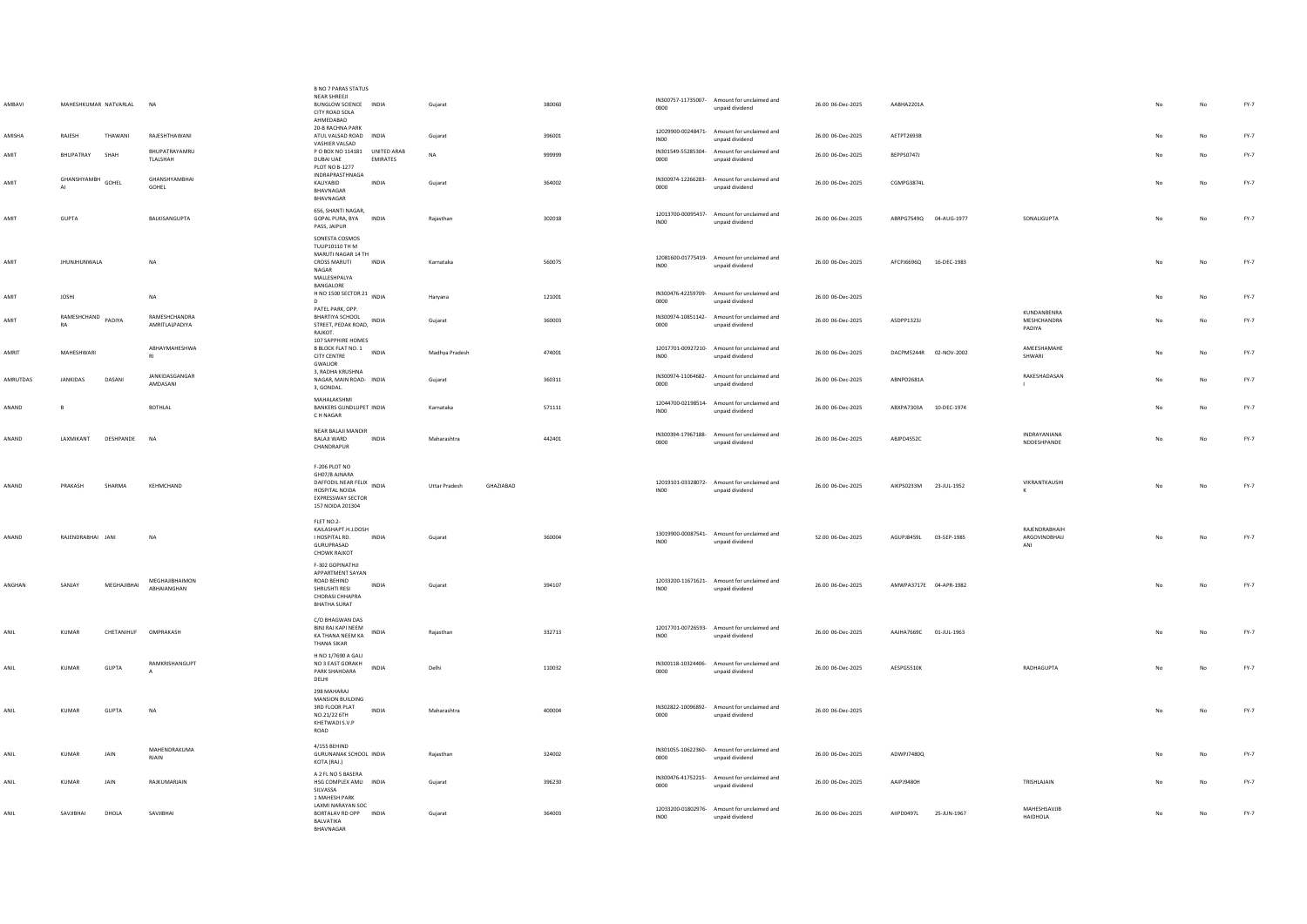| AMBAVI          | MAHESHKUMAR NATVARLAL    |             | <b>NA</b>                         | <b>B NO 7 PARAS STATUS</b><br>NEAR SHREEJI<br>BUNGLOW SCIENCE INDIA<br>CITY ROAD SOLA<br>AHMEDABAD<br>20-B RACHNA PARK        |                 | Gujarat        |           | 380060 | 0000             | IN300757-11735007- Amount for unclaimed and<br>unpaid dividend | 26.00 06-Dec-2025 | AABHA2201A              |             |                                      |                | $_{\sf No}$ | $FY-7$ |
|-----------------|--------------------------|-------------|-----------------------------------|-------------------------------------------------------------------------------------------------------------------------------|-----------------|----------------|-----------|--------|------------------|----------------------------------------------------------------|-------------------|-------------------------|-------------|--------------------------------------|----------------|-------------|--------|
| AMISHA          | RAJESH                   | THAWANI     | RAIFSHTHAWANI                     | ATUL VALSAD ROAD INDIA<br>VASHIER VALSAD                                                                                      |                 | Gujarat        |           | 396001 | INO <sub>0</sub> | 12029900-00248471- Amount for unclaimed and<br>unpaid dividend | 26.00 06-Dec-2025 | AFTPT2693B              |             |                                      |                | No          | FY-7   |
| AMIT            | RHUPATRAY                | <b>SHAH</b> | BHUPATRAYAMRU<br>TLALSHAH         | P O BOX NO 114181 UNITED ARAB<br><b>DUBAI UAE</b><br>PLOT NO B-1277                                                           | <b>EMIRATES</b> | <b>NA</b>      |           | 999999 | 0000             | IN301549-55285304- Amount for unclaimed and<br>unpaid dividend | 26.00 06-Dec-2025 | REPPS07471              |             |                                      |                | No          | FY-7   |
| AMIT            | GHANSHYAMBH GOHEL        |             | GHANSHYAMBHAI<br>GOHEL            | <b>INDRAPRASTHNAGA</b><br><b>KALIYARID</b><br>RHAVNAGAR<br>BHAVNAGAR                                                          | <b>INDIA</b>    | Guiarat        |           | 364002 | 0000             | IN300974-12266283- Amount for unclaimed and<br>unpaid dividend | 26.00 06-Dec-2025 | CGMPG3874L              |             |                                      | No             | No          | FY-7   |
| AMIT            | <b>GUPTA</b>             |             | BALKISANGUPTA                     | 656, SHANTI NAGAR.<br>GOPAL PURA, BYA INDIA<br>PASS, JAIPUR                                                                   |                 | Rajasthan      |           | 302018 | INO <sub>0</sub> | 12013700-00095437- Amount for unclaimed and<br>unpaid dividend | 26.00 06-Dec-2025 | ABRPG7549Q  04-AUG-1977 |             | SONALIGUPTA                          | No             | No          | FY-7   |
| AMIT            | <b>JHUNJHUNWALA</b>      |             | NA                                | SONESTA COSMOS<br>TULIP10110 TH M<br>MARUTI NAGAR 14 TH<br><b>CROSS MARUTI</b><br>NAGAR<br>MAILESHPALYA<br><b>BANGALORE</b>   | <b>INDIA</b>    | Karnataka      |           | 560075 | INO <sub>0</sub> | 12081600-01775419- Amount for unclaimed and<br>unpaid dividend | 26.00 06-Dec-2025 | AFCPJ6696Q 16-DEC-1983  |             |                                      | No             | No          | FY-7   |
| AMIT            | <b>JOSHI</b>             |             | <b>NA</b>                         | H NO 1500 SECTOR 21 INDIA                                                                                                     |                 | Harvana        |           | 121001 | 0000             | IN300476-42259709- Amount for unclaimed and<br>unpaid dividend | 26.00 06-Dec-2025 |                         |             |                                      |                | No          | $FY-7$ |
| AMIT            | RAMESHCHAND PADIYA<br>RA |             | RAMESHCHANDRA<br>AMRITLALPADIYA   | PATEL PARK, OPP.<br><b>BHARTIYA SCHOOL</b><br>STREET, PEDAK ROAD, INDIA<br>RAJKOT.                                            |                 | Gujarat        |           | 360003 | 0000             | IN300974-10851142- Amount for unclaimed and<br>unpaid dividend | 26.00 06-Dec-2025 | ASDPP1323J              |             | KUNDANRENRA<br>MESHCHANDRA<br>PADIYA |                | No          | $FY-7$ |
| AMRIT           | MAHESHWARI               |             | ABHAYMAHESHWA<br><b>RI</b>        | 107 SAPPHIRE HOMES<br>B BLOCK FLAT NO. 1 INDIA<br>CITY CENTRE<br>GWALIOR                                                      |                 | Madhya Pradesh |           | 474001 | INO0             | 12017701-00927210- Amount for unclaimed and<br>unpaid dividend | 26.00 06-Dec-2025 | DACPM5244R 02-NOV-2002  |             | AMEESHAMAHE<br>SHWARI                | No             | No          | FY-7   |
| <b>AMRUTDAS</b> | <b>IANKIDAS</b>          | DASANI      | <b>IANKIDASGANGAR</b><br>AMDASANI | 3, RADHA KRUSHNA<br>NAGAR MAIN ROAD- INDIA<br>3. GONDAL.                                                                      |                 | Guiarat        |           | 360311 | 0000             | IN300974-11064682- Amount for unclaimed and<br>unpaid dividend | 26.00.06-Dec-2025 | ARNPD2681A              |             | RAKESHADASAN<br>$\mathbf{I}$         | No             | No          | $FY-7$ |
| ANAND           | B                        |             | <b>BOTHLAL</b>                    | MAHALAKSHMI<br>BANKERS GUNDLUPET INDIA<br>C H NAGAR                                                                           |                 | Karnataka      |           | 571111 | INO <sub>0</sub> | 12044700-02198514- Amount for unclaimed and<br>unpaid dividend | 26.00 06-Dec-2025 | ABXPA7303A 10-DEC-1974  |             |                                      |                | No          | $FY-7$ |
| ANAND           | LAXMIKANT                | DESHPANDE   | NA                                | NEAR BALAJI MANDIR<br>BALAJI WARD<br>CHANDRAPUR                                                                               | INDIA           | Maharashtra    |           | 442401 | 0000             | IN300394-17967188- Amount for unclaimed and<br>unpaid dividend | 26.00 06-Dec-2025 | ABJPD4552C              |             | INDRAYANIANA<br>NDDESHPANDE          |                | No          | FY-7   |
| ANAND           | PRAKASH                  | SHARMA      | KEHMCHAND                         | F-206 PLOT NO<br>GH07/B AJNARA<br>DAFFODIL NEAR FELIX INDIA<br>HOSPITAL NOIDA<br><b>EXPRESSWAY SECTOR</b><br>157 NOIDA 201304 |                 | Uttar Pradesh  | GHAZIABAD |        | INO <sub>0</sub> | 12019101-03328072- Amount for unclaimed and<br>unpaid dividend | 26.00 06-Dec-2025 | AIKPS0233M 23-JUL-1952  |             | VIKRANTKAUSHI<br>$\kappa$            |                | No          | $FY-7$ |
| ANAND           | RAIFNDRARHAI IANI        |             | <b>NA</b>                         | FLET NO.2-<br>KAILASHAPT H. LDOSH<br><b>I HOSPITAL RD.</b><br>GURUPRASAD<br><b>CHOWK RAJKOT</b>                               | <b>INDIA</b>    | Gujarat        |           | 360004 | INO0             | 13019900-00087541- Amount for unclaimed and<br>unpaid dividend | 52.00 06-Dec-2025 | AGUPJ8459L 03-SEP-1985  |             | RAIFNDRARHAIH<br>ARGOVINDBHAU<br>ANI | N <sub>0</sub> | No          | $FY-7$ |
| ANGHAN          | SANJAY                   | MEGHAJIBHAI | MEGHAJIBHAIMON<br>ABHAIANGHAN     | F-302 GOPINATHJI<br>APPARTMENT SAYAN<br>ROAD BEHIND<br>SHRUSHTI RESI<br>CHORASI CHHAPRA<br><b>BHATHA SURAT</b>                | <b>INDIA</b>    | Gujarat        |           | 394107 | INO <sub>0</sub> | 12033200-11671621- Amount for unclaimed and<br>unpaid dividend | 26.00 06-Dec-2025 | AMWPA3717E 04-APR-1982  |             |                                      | No             | No          | FY-7   |
| ANII            | KUMAR                    | CHETANIHUE  | OMPRAKASH                         | C/O BHAGWAN DAS<br>BINJ RAJ KAPI NEEM<br>KA THANA NEEM KA<br>THANA SIKAR                                                      | <b>INDIA</b>    | Raiasthan      |           | 332713 | <b>IN00</b>      | 12017701-00726593- Amount for unclaimed and<br>unpaid dividend | 26.00 06-Dec-2025 | AAJHA7669C 01-JUL-1963  |             |                                      | No             | No          | $FY-7$ |
| ANII            | KUMAR                    | GUPTA       | RAMKRISHANGUPT                    | H NO 1/7690 A GALI<br>NO 3 EAST GORAKH<br>PARK SHAHDARA<br>DELHI                                                              | <b>INDIA</b>    | Delhi          |           | 110032 | 0000             | IN300118-10324406- Amount for unclaimed and<br>unpaid dividend | 26.00 06-Dec-2025 | AFSPG5510K              |             | RADHAGUPTA                           |                | <b>No</b>   | FY-7   |
| ANIL            | KUMAR                    | GUPTA       | <b>NA</b>                         | 298 MAHARAJ<br>MANSION BUILDING<br>3RD FLOOR PLAT<br>NO.21/22 6TH<br>KHETWADI S.V.P<br>ROAD                                   | INDIA           | Maharashtra    |           | 400004 | 0000             | IN302822-10096892- Amount for unclaimed and<br>unpaid dividend | 26.00 06-Dec-2025 |                         |             |                                      |                | No          | $FY-7$ |
| ANIL            | <b>KUMAR</b>             | JAIN        | MAHENDRAKUMA<br>RJAIN             | 4/155 BEHIND<br>GURUNANAK SCHOOL INDIA<br>KOTA (RAJ.)                                                                         |                 | Raiasthan      |           | 324002 | 0000             | IN301055-10622360- Amount for unclaimed and<br>unpaid dividend | 26.00 06-Dec-2025 | ADWPJ7480Q              |             |                                      |                | No          | $FY-7$ |
| ANIL            | <b>KUMAR</b>             | JAIN        | RAJKUMARJAIN                      | A 2 FL NO 5 BASERA<br>HSG COMPLEX AMLI INDIA<br>SILVASSA<br>1 MAHESH PARK                                                     |                 | Gujarat        |           | 396230 | 0000             | IN300476-41752215- Amount for unclaimed and<br>unpaid dividend | 26.00 06-Dec-2025 | AAIPJ9480H              |             | TRISHLAJAIN                          |                | No          | $FY-7$ |
|                 | SAVJIBHAI                | DHOLA       | SAVJIBHAI                         | LAXMI NARAYAN SOC<br>BORTALAV RD OPP INDIA<br>BALVATIKA<br>BHAVNAGAR                                                          |                 | Gujarat        |           | 364003 | INO <sub>0</sub> | 12033200-01802976- Amount for unclaimed and<br>unpaid dividend | 26.00 06-Dec-2025 | AIIPD0497L              | 25-JUN-1967 | MAHESHSAVJIB<br><b>HAIDHOLA</b>      |                | $_{\sf No}$ | FY-7   |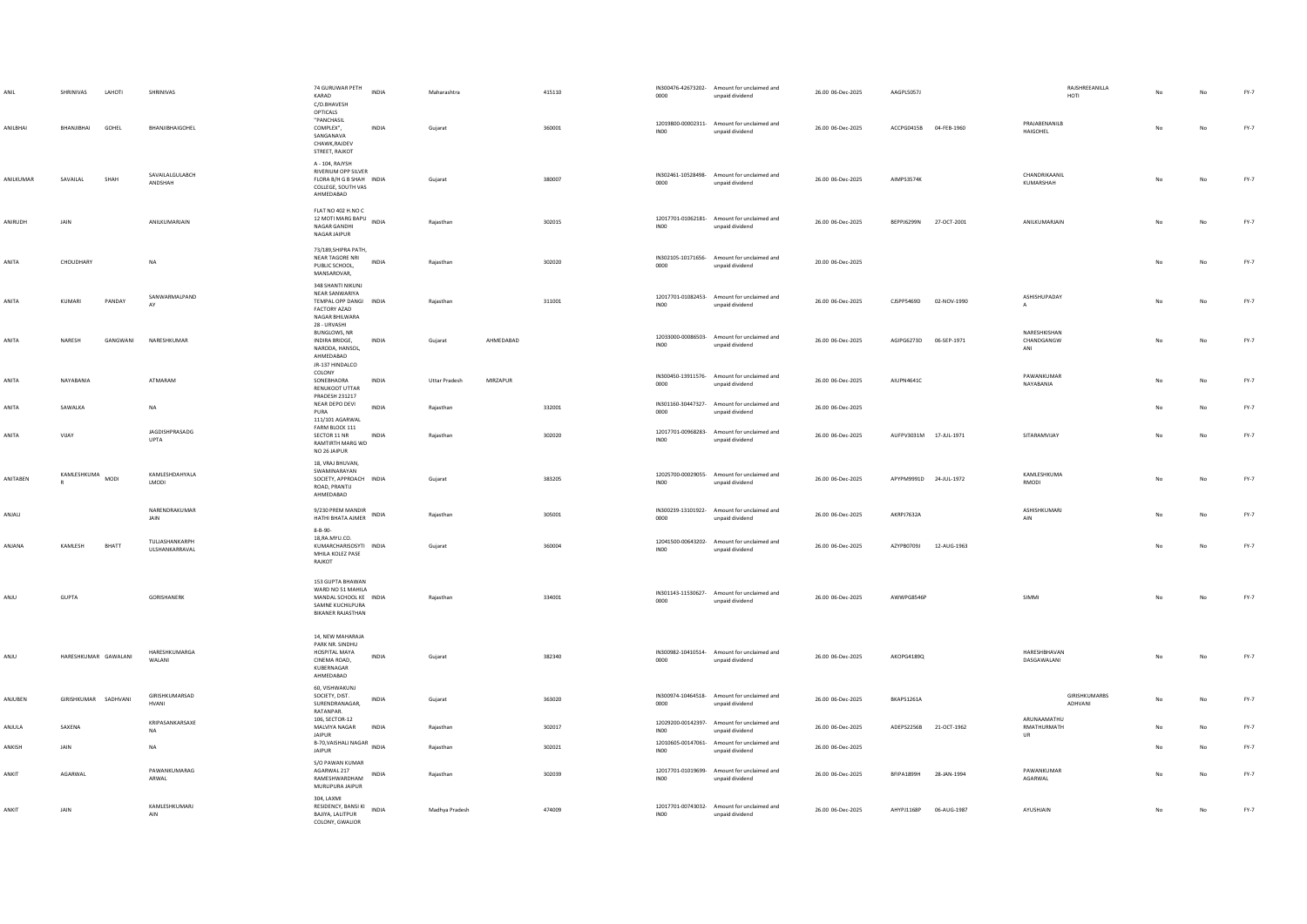|           | SHRINIVAS<br>LAHOTI  | SHRINIVAS                        | 74 GURUWAR PETH<br><b>INDIA</b><br>KARAD<br>C/O.BHAVESH                                                         | Maharashtra                              | 415110 | 0000             | IN300476-42673202- Amount for unclaimed and<br>unpaid dividend | 26.00 06-Dec-2025 | AAGPL5057J                | RAJSHREEANILLA<br>HOTI                  | No | No          | $FY-7$ |
|-----------|----------------------|----------------------------------|-----------------------------------------------------------------------------------------------------------------|------------------------------------------|--------|------------------|----------------------------------------------------------------|-------------------|---------------------------|-----------------------------------------|----|-------------|--------|
| ANILBHAI  | BHANJIBHAI<br>GOHEL  | BHANJIBHAIGOHEL                  | OPTICALS<br>"PANCHASIL<br>COMPLEX",<br>INDIA<br>SANGANAVA<br>CHAWK, RAJDEV<br>STREET, RAJKOT                    | Gujarat                                  | 360001 | INO <sub>0</sub> | 12019800-00002311- Amount for unclaimed and<br>unpaid dividend | 26.00 06-Dec-2025 | ACCPG0415B 04-FEB-1960    | PRAJABENANILB<br>HAIGOHEL               | No | No          | $FY-7$ |
| ANILKUMAR | SAVAILAL<br>SHAH     | SAVAILALGULABCH<br>ANDSHAH       | A - 104, RAJYSH<br><b>RIVERIUM OPP SILVER</b><br>FLORA B/H G B SHAH INDIA<br>COLLEGE, SOUTH VAS<br>AHMEDABAD    | Gujarat                                  | 380007 | 0000             | IN302461-10528498- Amount for unclaimed and<br>unpaid dividend | 26.00 06-Dec-2025 | AIMPS3574K                | CHANDRIKAANIL<br>KUMARSHAH              |    | No          | $FY-7$ |
| ANIRUDH   | JAIN                 | ANILKUMARJAIN                    | FLAT NO 402 H.NO C<br>12 MOTI MARG BAPU<br><b>INDIA</b><br>NAGAR GANDHI<br>NAGAR JAIPUR                         | Rajasthan                                | 302015 | INO <sub>0</sub> | 12017701-01062181- Amount for unclaimed and<br>unpaid dividend | 26.00 06-Dec-2025 | BEPPJ6299N 27-OCT-2001    | ANILKUMARJAIN                           |    | No          | FY-7   |
| ANITA     | CHOUDHARY            | NA                               | 73/189, SHIPRA PATH,<br>NEAR TAGORE NRI<br><b>INDIA</b><br>PUBLIC SCHOOL.<br>MANSAROVAR,                        | Rajasthan                                | 302020 | 0000             | IN302105-10171656- Amount for unclaimed and<br>unpaid dividend | 20.00 06-Dec-2025 |                           |                                         |    | $_{\sf No}$ | FY-7   |
| ANITA     | KUMARI<br>PANDAY     | SANWARMALPAND<br>AY              | 348 SHANTI NIKUNI<br>NEAR SANWARIYA<br>TEMPAL OPP DANGI INDIA<br>FACTORY AZAD<br>NAGAR BHILWARA                 | Rajasthan                                | 311001 | INO <sub>0</sub> | 12017701-01082453- Amount for unclaimed and<br>unpaid dividend | 26.00 06-Dec-2025 | CJSPP5469D 02-NOV-1990    | ASHISHUPADAY<br>$\mathbf{A}$            |    | No          | FY-7   |
| ANITA     | NARESH<br>GANGWANI   | NARESHKUMAR                      | 28 - URVASHI<br>BUNGLOWS, NR<br>INDIRA BRIDGE,<br>INDIA<br>NARODA, HANSOL,<br>AHMEDABAD                         | AHMEDABAD<br>Gujarat                     |        | INO0             | 12033000-00086503- Amount for unclaimed and<br>unpaid dividend | 26.00 06-Dec-2025 | AGIPG6273D 06-SEP-1971    | NARESHKISHAN<br>CHANDGANGW<br>ANI       |    | No          | FY-7   |
| ANITA     | NAYARANIA            | ATMARAM                          | JR-137 HINDALCO<br>COLONY<br>SONEBHADRA<br><b>INDIA</b><br>RENUKOOT UTTAR<br>PRADESH 231217                     | <b>MIRZAPLIR</b><br><b>Uttar Pradesh</b> |        | 0000             | IN300450-13911576- Amount for unclaimed and<br>unpaid dividend | 26.00.06-Dec-2025 | AILIPN4641C               | PAWANKUMAR<br>NAYABANIA                 |    | No          | FY-7   |
| ANITA     | SAWALKA              | NA                               | NEAR DEPO DEVI<br><b>INDIA</b><br>PURA<br>111/101 AGARWAL                                                       | Rajasthan                                | 332001 | 0000             | IN301160-30447327- Amount for unclaimed and<br>unpaid dividend | 26.00 06-Dec-2025 |                           |                                         |    | $_{\sf No}$ | FY-7   |
| ANITA     | VIJAY                | JAGDISHPRASADG<br>UPTA           | FARM BLOCK 111<br>SECTOR 11 NR<br>INDIA<br>RAMTIRTH MARG WD<br>NO 26 JAIPUR                                     | Rajasthan                                | 302020 | INO <sub>0</sub> | 12017701-00968283- Amount for unclaimed and<br>unpaid dividend | 26.00 06-Dec-2025 | AUFPV3031M 17-JUL-1971    | SITARAMVIJAY                            |    | $_{\sf No}$ | $FY-7$ |
| ANITABEN  | KAMLESHKUMA MODI     | KAMLESHDAHYALA<br>LMODI          | 18, VRAJ BHUVAN,<br>SWAMINARAYAN<br>SOCIETY, APPROACH INDIA<br>ROAD, PRANTIJ<br>AHMEDABAD                       | Guiarat                                  | 383205 | <b>IN00</b>      | 12025700-00029055- Amount for unclaimed and<br>unpaid dividend | 26.00 06-Dec-2025 | APYPM9991D 24-JUL-1972    | KAMLESHKUMA<br>RMODI                    | No | No          | $FY-7$ |
| ANJALI    |                      | NARENDRAKUMAR<br>JAIN            | 9/230 PREM MANDIR<br>INDIA<br>HATHI BHATA AJMER                                                                 | Rajasthan                                | 305001 | 0000             | IN300239-13101922- Amount for unclaimed and<br>unpaid dividend | 26.00 06-Dec-2025 | AKRPJ7632A                | ASHISHKUMARJ<br>AIN                     |    | No          | FY-7   |
| ANJANA    | KAMLESH<br>BHATT     | TULJASHANKARPH<br>ULSHANKARRAVAL | $8 - B - 90 -$<br>18, RA. MY U.CO.<br>KUMARCHARISOSYTI INDIA<br>MHILA KOLEZ PASE<br>RAJKOT                      | Guiarat                                  | 360004 | IN <sub>00</sub> | 12041500-00643202- Amount for unclaimed and<br>unpaid dividend | 26.00 06-Dec-2025 | AZYPB0709J<br>12-AUG-1963 |                                         | No | No          | $FY-7$ |
| ANJU      | <b>GUPTA</b>         | GORISHANERK                      | 153 GUPTA BHAWAN<br>WARD NO 51 MAHILA<br>MANDAL SCHOOL KE INDIA<br>SAMNE KUCHILPURA<br><b>BIKANER RAJASTHAN</b> | Rajasthan                                | 334001 | 0000             | IN301143-11530627- Amount for unclaimed and<br>unpaid dividend | 26.00 06-Dec-2025 | AWWPG8546P                | SIMMI                                   |    | No          | $FY-7$ |
| ULIA      | HARESHKUMAR GAWALANI | HARESHKUMARGA<br><b>WALANL</b>   | 14, NEW MAHARAJA<br>PARK NR. SINDHU<br>HOSPITAL MAYA<br>INDIA<br>CINEMA ROAD.<br>KUBERNAGAR<br>AHMEDABAD        | Gujarat                                  | 382340 | 0000             | IN300982-10410514- Amount for unclaimed and<br>unpaid dividend | 26.00 06-Dec-2025 | AKOPG4189Q                | HARESHBHAVAN<br>DASGAWALANI             |    | $_{\sf No}$ | $FY-7$ |
| ANJUBEN   | GIRISHKUMAR SADHVANI | GIRISHKUMARSAD<br>HVANI          | 60, VISHWAKUNJ<br>SOCIETY, DIST.<br><b>INDIA</b><br>SURENDRANAGAR,<br>RATANPAR.                                 | Guiarat                                  | 363020 | 0000             | IN300974-10464518- Amount for unclaimed and<br>unpaid dividend | 26.00 06-Dec-2025 | BKAPS1261A                | GIRISHKUMARBS<br>ADHVANI                | No | No          | FY-7   |
| ANJULA    | SAXENA               | KRIPASANKARSAXE<br>NA            | 106, SECTOR-12<br>MALVIYA NAGAR<br><b>INDIA</b><br><b>JAIPUR</b>                                                | Raiasthan                                | 302017 | IN00             | 12029200-00142397- Amount for unclaimed and<br>unpaid dividend | 26.00.06-Dec-2025 | ADEPS2256B 21-OCT-1962    | ARUNAAMATHU<br>RMATHURMATH<br><b>UR</b> | No | No          | FY-7   |
| ANKISH    | <b>IAIN</b>          | NA                               | B-70, VAISHALI NAGAR<br>INDIA<br><b>JAIPUR</b>                                                                  | Raiasthan                                | 302021 | <b>IN00</b>      | 12010605-00147061- Amount for unclaimed and<br>unpaid dividend | 26.00.06-Dec-2025 |                           |                                         | No | No          | FY-7   |
| ANKIT     | AGARWAL              | PAWANKUMARAG<br>ARWAL            | S/O PAWAN KUMAR<br>AGARWAL 217<br>INDIA<br>RAMESHWARDHAM<br>MURLIPURA JAIPUR                                    | Raiasthan                                | 302039 | IN <sub>00</sub> | 12017701-01019699- Amount for unclaimed and<br>unpaid dividend | 26.00 06-Dec-2025 | RFIPA1899H<br>28-JAN-1994 | PAWANKUMAR<br>AGARWAL                   | No | No          | FY-7   |
| ANKIT     | JAIN                 | KAMLESHKUMARJ<br>AIN             | 304, LAXMI<br>RESIDENCY, BANSI KI INDIA<br>BAJIYA, LALITPUR<br>COLONY, GWALIOR                                  | Madhya Pradesh                           | 474009 | INO <sub>0</sub> | 12017701-00743032- Amount for unclaimed and<br>unpaid dividend | 26.00 06-Dec-2025 | AHYPJ1168P 06-AUG-1987    | AYUSHJAIN                               | No | No          | $FY-7$ |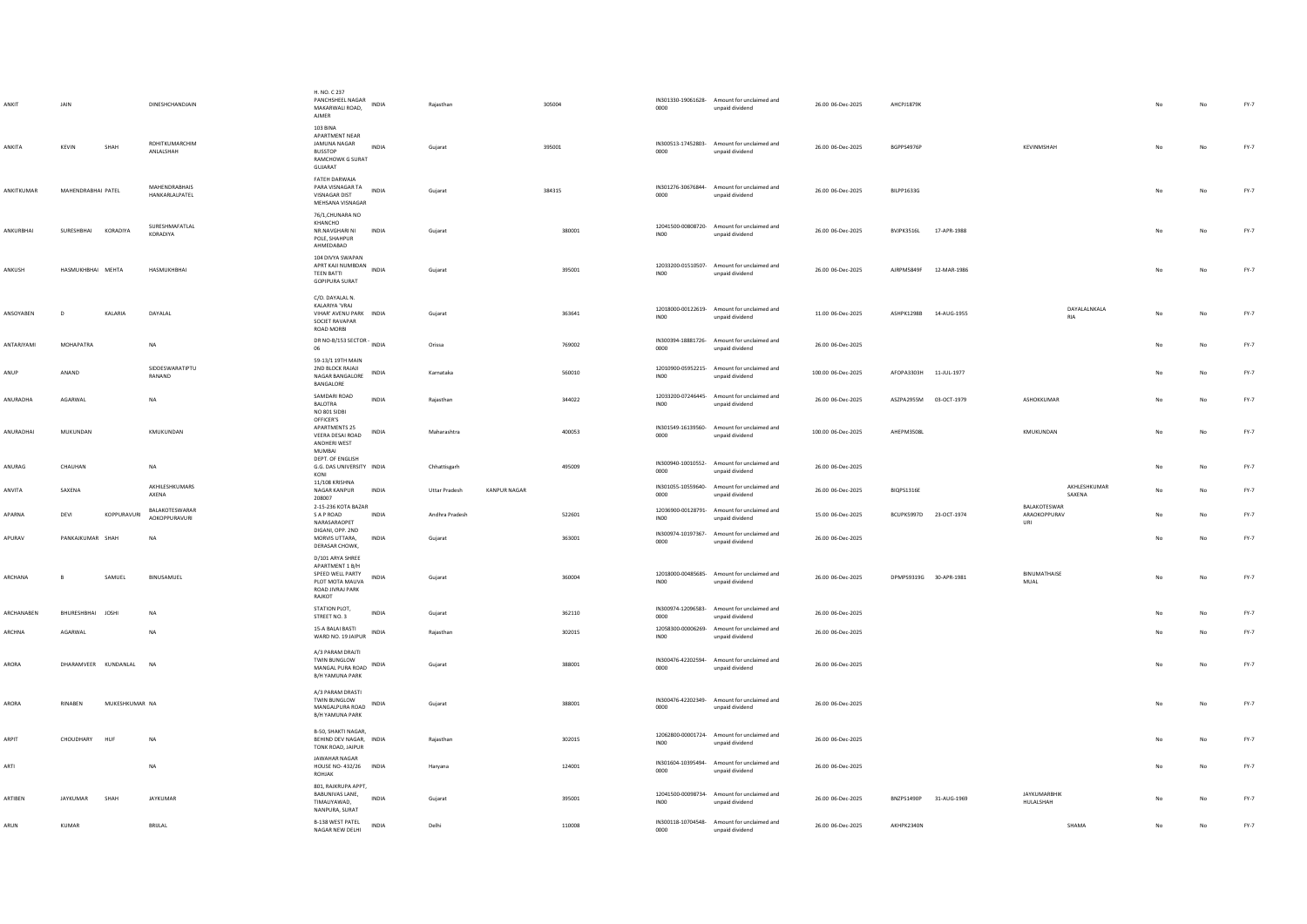| ANKIT        | <b>JAIN</b>          |                | DINESHCHANDJAIN                        | H. NO. C 237<br>PANCHSHEEL NAGAR<br>MAKARWALI ROAD,<br>AJMER                                             | <b>INDIA</b> | Raiasthan            |                     | 305004 | 0000             | IN301330-19061628- Amount for unclaimed and<br>unpaid dividend | 26.00 06-Dec-2025  | AHCPJ1879K             |             |                                     |    | No          | $FY-7$ |
|--------------|----------------------|----------------|----------------------------------------|----------------------------------------------------------------------------------------------------------|--------------|----------------------|---------------------|--------|------------------|----------------------------------------------------------------|--------------------|------------------------|-------------|-------------------------------------|----|-------------|--------|
| ANKITA       | KEVIN                | SHAH           | ROHITKUMARCHIM<br>ANLALSHAH            | 103 BINA<br>APARTMENT NEAR<br>JAMUNA NAGAR<br><b>BUSSTOP</b><br>RAMCHOWK G SURAT<br>GUJARAT              | <b>INDIA</b> | Guiarat              |                     | 395001 | 0000             | IN300513-17452803- Amount for unclaimed and<br>unpaid dividend | 26.00.06-Dec-2025  | RGPPS4976P             |             | KEVINMSHAH                          | No | No          | FY-7   |
| ANKITKUMAR   | MAHENDRABHAI PATEL   |                | <b>MAHENDRABHAIS</b><br>HANKARLALPATEL | FATEH DARWAJA<br>PARA VISNAGAR TA<br>VISNAGAR DIST<br>MEHSANA VISNAGAR                                   | INDIA        | Gujarat              |                     | 384315 | 0000             | IN301276-30676844- Amount for unclaimed and<br>unpaid dividend | 26.00 06-Dec-2025  | BILPP1633G             |             |                                     | No | $_{\sf No}$ | $FY-7$ |
| ANKURBHAI    | SURESHBHAI KORADIYA  |                | SURESHMAFATLAL<br>KORADIYA             | 76/1, CHUNARA NO<br>KHANCHO<br>NR.NAVGHARI NI<br>POLE, SHAHPUR<br>AHMEDABAD                              | INDIA        | Gujarat              |                     | 380001 | INO <sub>0</sub> | 12041500-00808720- Amount for unclaimed and<br>unpaid dividend | 26.00 06-Dec-2025  | BVJPK3516L             | 17-APR-1988 |                                     | No | No          | $FY-7$ |
| ANKUSH       | HASMUKHBHAI MEHTA    |                | HASMUKHBHAI                            | 104 DIVYA SWAPAN<br>APRT KAJI NUMBDAN<br><b>TEEN BATTI</b><br><b>GOPIPURA SURAT</b>                      | <b>INDIA</b> | Gujarat              |                     | 395001 | IN00             | 12033200-01510507- Amount for unclaimed and<br>unpaid dividend | 26.00 06-Dec-2025  | AJRPM5849F 12-MAR-1986 |             |                                     | No | No          | $FY-7$ |
| ANSOYABEN    | $\mathsf{D}$         | KALARIA        | DAYALAL                                | C/O. DAYALAL N.<br>KALARIYA 'VRAJ<br>VIHAR' AVENU PARK INDIA<br>SOCIET RAVAPAR<br>ROAD MORBI             |              | Gujarat              |                     | 363641 | INO <sub>0</sub> | 12018000-00122619- Amount for unclaimed and<br>unpaid dividend | 11.00 06-Dec-2025  | ASHPK1298B 14-AUG-1955 |             | DAYALALNKALA<br><b>RIA</b>          | No | No          | FY-7   |
| ANTARIYAMI   | <b>MOHAPATRA</b>     |                | <b>NA</b>                              | DR NO-B/153 SECTOR - INDIA<br>06                                                                         |              | Orissa               |                     | 769002 | 0000             | IN300394-18881726- Amount for unclaimed and<br>unpaid dividend | 26.00 06-Dec-2025  |                        |             |                                     |    | No          | FY-7   |
| ANUP         | ANAND                |                | SIDDESWARATIPTU<br>RANAND              | 59-13/1 19TH MAIN<br>2ND BLOCK RAJAJI<br>NAGAR BANGALORE<br>BANGALORE                                    | <b>INDIA</b> | Karnataka            |                     | 560010 | INO0             | 12010900-05952215- Amount for unclaimed and<br>unpaid dividend | 100.00 06-Dec-2025 | AFOPA3303H 11-JUL-1977 |             |                                     | No | No          | $FY-7$ |
| ANURADHA     | AGARWAL              |                | NA                                     | SAMDARI ROAD<br>BALOTRA<br>NO 801 SIDBI                                                                  | INDIA        | Rajasthan            |                     | 344022 | IN00             | 12033200-07246445- Amount for unclaimed and<br>unpaid dividend | 26.00 06-Dec-2025  | ASZPA2955M 03-OCT-1979 |             | ASHOKKUMAR                          |    | No          | FY-7   |
| ANURADHAI    | MUKUNDAN             |                | KMUKUNDAN                              | OFFICER'S<br><b>APARTMENTS 25</b><br>VEERA DESAI ROAD<br>ANDHERI WEST<br>MUMBAI                          | INDIA        | Maharashtra          |                     | 400053 | 0000             | IN301549-16139560- Amount for unclaimed and<br>unpaid dividend | 100.00 06-Dec-2025 | AHEPM3508L             |             | KMUKUNDAN                           | No | No          | FY-7   |
| ANURAG       | CHAUHAN              |                | <b>NA</b>                              | DEPT. OF ENGLISH<br>G.G. DAS UNIVERSITY INDIA<br>KONI                                                    |              | Chhattisgarh         |                     | 495009 | 0000             | IN300940-10010552- Amount for unclaimed and<br>unpaid dividend | 26.00 06-Dec-2025  |                        |             |                                     | No | $_{\sf No}$ | FY-7   |
| ANVITA       | SAXENA               |                | AKHILESHKUMARS<br>AXENA                | 11/108 KRISHNA<br>NAGAR KANPUR<br>208007                                                                 | <b>INDIA</b> | <b>Uttar Pradesh</b> | <b>KANPUR NAGAR</b> |        | 0000             | IN301055-10559640- Amount for unclaimed and<br>unpaid dividend | 26.00 06-Dec-2025  | BIOPS1316E             |             | AKHLESHKUMAR<br>SAXENA              | No | No          | $FY-7$ |
| APARNA       | DEVI                 | KOPPURAVURI    | BALAKOTESWARAR<br><b>AOKOPPURAVURI</b> | 2-15-236 KOTA BAZAR<br>S A P ROAD<br>NARASARAOPET                                                        | INDIA        | Andhra Pradesh       |                     | 522601 | INO <sub>0</sub> | 12036900-00128791- Amount for unclaimed and<br>unpaid dividend | 15.00 06-Dec-2025  | BCUPK5997D 23-OCT-1974 |             | BALAKOTESWAR<br>ARAOKOPPURAV<br>URI |    | No          | $FY-7$ |
| APURAV       | PANKAJKUMAR SHAH     |                | <b>NA</b>                              | DIGANI, OPP. 2ND<br>MORVIS UTTARA.<br>DERASAR CHOWK,                                                     | <b>INDIA</b> | Guiarat              |                     | 363001 | 0000             | IN300974-10197367- Amount for unclaimed and<br>unpaid dividend | 26.00 06-Dec-2025  |                        |             |                                     | No | No          | FY-7   |
| ARCHANA      | B                    | SAMUEL         | BINUSAMUEL                             | D/101 ARYA SHREE<br>APARTMENT 1 B/H<br>SPEED WELL PARTY<br>PLOT MOTA MAUVA<br>ROAD JIVRAJ PARK<br>RAJKOT | INDIA        | Gujarat              |                     | 360004 | INO <sub>0</sub> | 12018000-00485685- Amount for unclaimed and<br>unpaid dividend | 26.00 06-Dec-2025  | DPMPS9319G 30-APR-1981 |             | <b>BINUMATHAISE</b><br>MUAL         | No | No          | $FY-7$ |
| ARCHANABEN   | BHURESHBHAI JOSHI    |                | <b>NA</b>                              | STATION PLOT,<br>STREET NO. 3                                                                            | INDIA        | Gujarat              |                     | 362110 | 0000             | IN300974-12096583- Amount for unclaimed and<br>unpaid dividend | 26.00 06-Dec-2025  |                        |             |                                     |    | $_{\sf No}$ | $FY-7$ |
| ARCHNA       | AGARWAL              |                | <b>NA</b>                              | 15-A BALAI BASTI<br>WARD NO. 19 JAIPUR                                                                   | INDIA        | Rajasthan            |                     | 302015 | IN00             | 12058300-00006269- Amount for unclaimed and<br>unpaid dividend | 26.00 06-Dec-2025  |                        |             |                                     |    | No          | $FY-7$ |
| ARORA        | DHARAMVEER KUNDANLAL |                | <b>NA</b>                              | A/3 PARAM DRAJTI<br>TWIN BUNGLOW<br>MANGAL PURA ROAD INDIA<br><b>B/H YAMUNA PARK</b>                     |              | Gujarat              |                     | 388001 | 0000             | IN300476-42202594- Amount for unclaimed and<br>unpaid dividend | 26.00 06-Dec-2025  |                        |             |                                     |    | No          | FY-7   |
| ARORA        | <b>RINABEN</b>       | MUKESHKUMAR NA |                                        | A/3 PARAM DRASTI<br>TWIN BUNGLOW<br>MANGALPURA ROAD<br>B/H YAMUNA PARK                                   | <b>INDIA</b> | Guiarat              |                     | 388001 | 0000             | IN300476-42202349- Amount for unclaimed and<br>unpaid dividend | 26.00 06-Dec-2025  |                        |             |                                     | No | No          | $FY-7$ |
| <b>ARPIT</b> | CHOUDHARY HUF        |                | <b>NA</b>                              | B-50, SHAKTI NAGAR.<br>BEHIND DEV NAGAR, INDIA<br>TONK ROAD, JAIPUR                                      |              | Raiasthan            |                     | 302015 | INO0             | 12062800-00001724- Amount for unclaimed and<br>unpaid dividend | 26.00.06-Dec-2025  |                        |             |                                     |    | No          | FY-7   |
| ARTI         |                      |                | <b>NA</b>                              | <b>JAWAHAR NAGAR</b><br>HOUSE NO-432/26 INDIA<br>ROHJAK                                                  |              | Haryana              |                     | 124001 | 0000             | IN301604-10395494- Amount for unclaimed and<br>unpaid dividend | 26.00 06-Dec-2025  |                        |             |                                     |    | No          | FY-7   |
| ARTIBEN      | JAYKUMAR             | SHAH           | JAYKUMAR                               | 801, RAJKRUPA APPT,<br>BABUNIVAS LANE,<br>TIMALIYAWAD,<br>NANPURA, SURAT                                 | <b>INDIA</b> | Gujarat              |                     | 395001 | IN00             | 12041500-00098734- Amount for unclaimed and<br>unpaid dividend | 26.00 06-Dec-2025  | BNZPS1490P             | 31-AUG-1969 | <b>IAYKUMARRHIK</b><br>HULALSHAH    |    | No          | FY-7   |
| ARUN         | KUMAR                |                | BRIJLAL                                | B-138 WEST PATEL<br>NAGAR NEW DELHI                                                                      | <b>INDIA</b> | Delhi                |                     | 110008 | 0000             | IN300118-10704548- Amount for unclaimed and<br>unpaid dividend | 26.00 06-Dec-2025  | AKHPK2340N             |             | SHAMA                               |    | No          | $FY-7$ |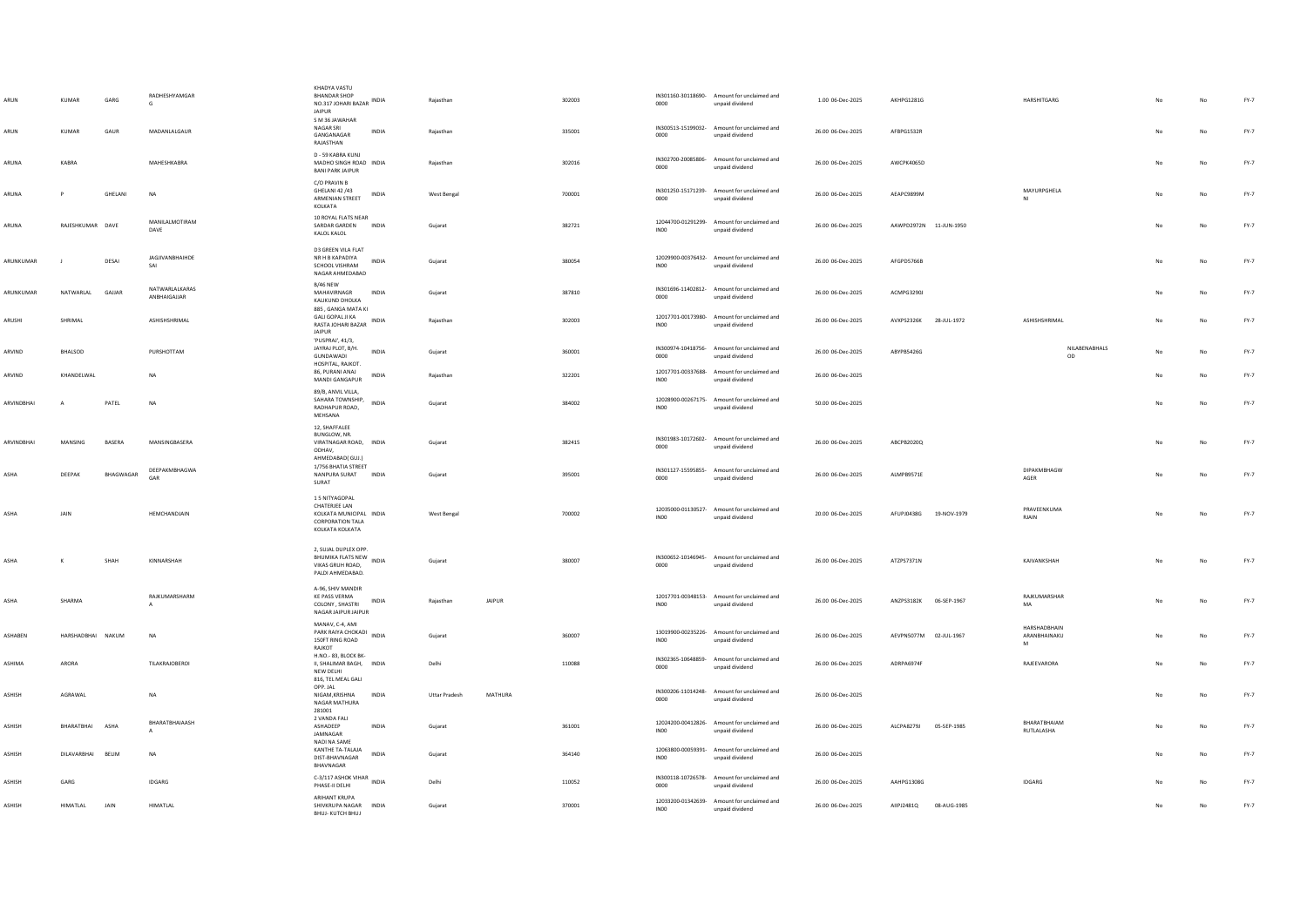| ARUN<br>ARUN | KUMAR<br><b>KUMAR</b> | GARG<br>GAUR | RADHESHYAMGAR<br>G<br>MADANLALGAUR | KHADYA VASTU<br><b>BHANDAR SHOP</b><br>NO.317 JOHARI BAZAR INDIA<br><b>JAIPUR</b><br>S M 36 JAWAHAR<br>NAGAR SRI<br>INDIA<br>GANGANAGAR | Rajasthan<br>Rajasthan |         | 302003<br>335001 | 0000<br>0000     | IN301160-30118690- Amount for unclaimed and<br>unpaid dividend<br>IN300513-15199032- Amount for unclaimed and | 1.00 06-Dec-2025<br>26.00 06-Dec-2025 | AKHPG1281G<br>AFBPG1532R  | HARSHITGARG                       | No | No<br>No | $FY-7$<br>$FY-7$ |
|--------------|-----------------------|--------------|------------------------------------|-----------------------------------------------------------------------------------------------------------------------------------------|------------------------|---------|------------------|------------------|---------------------------------------------------------------------------------------------------------------|---------------------------------------|---------------------------|-----------------------------------|----|----------|------------------|
|              |                       |              |                                    | RAJASTHAN                                                                                                                               |                        |         |                  |                  | unpaid dividend                                                                                               |                                       |                           |                                   |    |          |                  |
| ARUNA        | KARRA                 |              | MAHESHKARRA                        | D - 59 KABRA KUNJ<br>MADHO SINGH ROAD INDIA<br><b>BANI PARK JAIPUR</b>                                                                  | Raiasthan              |         | 302016           | 0000             | IN302700-20085806- Amount for unclaimed and<br>unpaid dividend                                                | 26.00.06-Dec-2025                     | AWCPK4065D                |                                   | No | No       | FY-7             |
| ARUNA        | P                     | GHELANI      | <b>NA</b>                          | C/O PRAVIN B<br>GHELANI 42 /43<br>INDIA<br>ARMENIAN STREET<br>KOLKATA                                                                   | West Bengal            |         | 700001           | 0000             | IN301250-15171239- Amount for unclaimed and<br>unpaid dividend                                                | 26.00 06-Dec-2025                     | AEAPC9899M                | MAYURPGHELA                       | No | No       | $FY-7$           |
| ARUNA        | RAJESHKUMAR DAVE      |              | MANILALMOTIRAM<br>DAVE             | 10 ROYAL FLATS NEAR<br>SARDAR GARDEN INDIA<br>KALOL KALOL                                                                               | Gujarat                |         | 382721           | INO0             | 12044700-01291299- Amount for unclaimed and<br>unpaid dividend                                                | 26.00 06-Dec-2025                     | AAWPD2972N 11-JUN-1950    |                                   | No | No       | FY-7             |
| ARUNKUMAR    | - 11                  | DESA         | JAGJIVANBHAIHDE<br>SAI             | D3 GREEN VILA FLAT<br>NR H B KAPADIYA<br><b>INDIA</b><br>SCHOOL VISHRAM<br>NAGAR AHMEDABAD                                              | Gujarat                |         | 380054           | INO <sub>0</sub> | 12029900-00376432- Amount for unclaimed and<br>unpaid dividend                                                | 26.00 06-Dec-2025                     | AFGPD5766B                |                                   | No | No       | FY-7             |
| ARUNKUMAR    | NATWARLAL             | GAJJAR       | NATWARLALKARAS<br>ANBHAIGAJJAR     | R/46 NFW<br>MAHAVIRNAGR<br><b>INDIA</b><br>KALIKUND DHOLKA<br>885 . GANGA MATA KI                                                       | Gujarat                |         | 387810           | 0000             | IN301696-11402812- Amount for unclaimed and<br>unpaid dividend                                                | 26.00 06-Dec-2025                     | ACMPG3290J                |                                   | No | No       | FY-7             |
| ARUSHI       | SHRIMAL               |              | ASHISHSHRIMAL                      | <b>GALI GOPAL JI KA</b><br>RASTA JOHARI BAZAR INDIA<br><b>JAIPUR</b>                                                                    | Rajasthan              |         | 302003           | INO <sub>0</sub> | 12017701-00173980- Amount for unclaimed and<br>unpaid dividend                                                | 26.00 06-Dec-2025                     | AVXPS2326K<br>28-JUL-1972 | ASHISHSHRIMAL                     |    | No       | $FY-7$           |
| ARVIND       | BHALSOD               |              | PURSHOTTAM                         | 'PUSPRAJ', 41/3,<br>JAYRAJ PLOT, B/H.<br>INDIA<br>GUNDAWADI<br>HOSPITAL, RAJKOT.                                                        | Gujarat                |         | 360001           | 0000             | IN300974-10418756- Amount for unclaimed and<br>unpaid dividend                                                | 26.00 06-Dec-2025                     | ABYPB5426G                | NILABENABHALS<br>OD               | No | No       | FY-7             |
| ARVIND       | KHANDELWAL            |              | <b>NA</b>                          | 86, PURANI ANAJ<br><b>INDIA</b><br>MANDI GANGAPUR                                                                                       | Raiasthan              |         | 322201           | <b>IN00</b>      | 12017701-00337688- Amount for unclaimed and<br>unpaid dividend                                                | 26.00 06-Dec-2025                     |                           |                                   | No | No       | $FY-7$           |
| ARVINDBHAI   | $\mathbf{A}$          | PATEL        | <b>NA</b>                          | 89/B, ANVIL VILLA,<br>SAHARA TOWNSHIP,<br>INDIA<br>RADHAPUR ROAD,<br>MEHSANA                                                            | Gujarat                |         | 384002           | INO <sub>0</sub> | 12028900-00267175- Amount for unclaimed and<br>unpaid dividend                                                | 50.00 06-Dec-2025                     |                           |                                   | No | No       | FY-7             |
| ARVINDBHAI   | MANSING               | BASERA       | MANSINGBASERA                      | 12, SHAFFALEE<br>BUNGLOW, NR.<br>VIRATNAGAR ROAD, INDIA<br>ODHAV,<br>AHMEDABADI GUJ.)                                                   | Gujarat                |         | 382415           | 0000             | IN301983-10172602- Amount for unclaimed and<br>unpaid dividend                                                | 26.00 06-Dec-2025                     | ABCPB2020Q                |                                   | No | No       | $FY-7$           |
| ASHA         | DEEPAK                | BHAGWAGAR    | DEEPAKMBHAGWA<br>GAR               | 1/756 BHATIA STREET<br>NANPURA SURAT INDIA<br>SURAT                                                                                     | Gujarat                |         | 395001           | 0000             | IN301127-15595855- Amount for unclaimed and<br>unpaid dividend                                                | 26.00 06-Dec-2025                     | ALMPB9571E                | DIPAKMBHAGW<br>AGER               | No | No       | FY-7             |
| ASHA         | JAIN                  |              | HEMCHANDJAIN                       | 15 NITYAGOPAL<br>CHATERJEE LAN<br>KOLKATA MUNICIPAL INDIA<br><b>CORPORATION TALA</b><br>KOLKATA KOLKATA                                 | West Bengal            |         | 700002           | IN00             | 12035000-01130527- Amount for unclaimed and<br>unpaid dividend                                                | 20.00 06-Dec-2025                     | AFUPJ0438G<br>19-NOV-1979 | PRAVEENKUMA<br><b>RJAIN</b>       |    | No       | FY-7             |
| ASHA         | $\kappa$              | SHAH         | KINNARSHAH                         | 2. SUJAL DUPLEX OPP.<br>BHUMIKA FLATS NEW INDIA<br>VIKAS GRUH ROAD,<br>PALDI AHMEDABAD.                                                 | Guiarat                |         | 380007           | 0000             | IN300652-10146945- Amount for unclaimed and<br>unpaid dividend                                                | 26.00 06-Dec-2025                     | ATZPS7371N                | KAIVANKSHAH                       | No | No       | $FY-7$           |
| <b>ASHA</b>  | SHARMA                |              | RAJKUMARSHARM                      | A-96, SHIV MANDIR<br><b>KE PASS VERMA</b><br>INDIA<br>COLONY, SHASTRI<br>NAGAR JAIPUR JAIPUR                                            | Rajasthan              | JAIPUR  |                  | <b>IN00</b>      | 12017701-00348153- Amount for unclaimed and<br>unpaid dividend                                                | 26.00 06-Dec-2025                     | ANZPS3182K 06-SEP-1967    | RAJKUMARSHAR<br>MA                | No | No       | FY-7             |
| ASHABEN      | HARSHADBHAI NAKUM     |              | <b>NA</b>                          | MANAV, C-4, AMI<br>PARK RAIYA CHOKADI INDIA<br>150FT RING ROAD<br>RAJKOT                                                                | Gujarat                |         | 360007           | INO <sub>0</sub> | 13019900-00235226- Amount for unclaimed and<br>unpaid dividend                                                | 26.00 06-Dec-2025                     | AEVPN5077M 02-JUL-1967    | HARSHADBHAIN<br>ARANBHAINAKU<br>M | No | No       | FY-7             |
| ASHIMA       | ARORA                 |              | TILAKRAJOBEROI                     | H.NO.-83, BLOCK BK-<br>II, SHALIMAR BAGH, INDIA<br>NEW DELHI<br>816, TEL MEAL GALI                                                      | Delhi                  |         | 110088           | 0000             | IN302365-10648859- Amount for unclaimed and<br>unpaid dividend                                                | 26.00 06-Dec-2025                     | ADRPA6974F                | RAJEEVARORA                       |    | No       | $FY-7$           |
| ASHISH       | AGRAWAL               |              | NA                                 | OPP. JAL<br>NIGAM, KRISHNA<br>INDIA<br>NAGAR MATHURA                                                                                    | <b>Uttar Pradesh</b>   | MATHURA |                  | 0000             | IN300206-11014248- Amount for unclaimed and<br>unpaid dividend                                                | 26.00 06-Dec-2025                     |                           |                                   | No | No       | $FY-7$           |
| ASHISH       | BHARATBHAI            | ASH/         | BHARATBHAIAASH<br>$\Delta$         | 281001<br>2 VANDA FALI<br>ASHADEEP<br>INDIA<br>JAMNAGAR                                                                                 | Gujarat                |         | 361001           | IN00             | 12024200-00412826- Amount for unclaimed and<br>unpaid dividend                                                | 26.00 06-Dec-2025                     | ALCPA8279J<br>05-SEP-1985 | BHARATBHAIAM<br>RUTLALASHA        |    | No       | FY-7             |
| ASHISH       | DILAVARBHAI BELIM     |              | <b>NA</b>                          | NADI NA SAME<br>KANTHE TA-TALAJA<br>INDIA<br>DIST-BHAVNAGAR<br>BHAVNAGAR                                                                | Guiarat                |         | 364140           | INO0             | 12063800-00059391- Amount for unclaimed and<br>unpaid dividend                                                | 26.00 06-Dec-2025                     |                           |                                   | No | No       | FY-7             |
| ASHISH       | GARG                  |              | <b>IDGARG</b>                      | C-3/117 ASHOK VIHAR<br>INDIA<br>PHASE-II DELHI                                                                                          | Delhi                  |         | 110052           | 0000             | IN300118-10726578- Amount for unclaimed and<br>unpaid dividend                                                | 26.00 06-Dec-2025                     | AAHPG1308G                | <b>IDGARG</b>                     | No | No       | $FY-7$           |
| ASHISH       | HIMATLAL              | JAIN         | HIMATLAL                           | ARIHANT KRUPA<br>SHIVKRUPA NAGAR INDIA<br>BHUJ- KUTCH BHUJ                                                                              | Gujarat                |         | 370001           | <b>IN00</b>      | 12033200-01342639- Amount for unclaimed and<br>unpaid dividend                                                | 26.00 06-Dec-2025                     | AIIPJ2481Q 08-AUG-1985    |                                   |    | No       | FY-7             |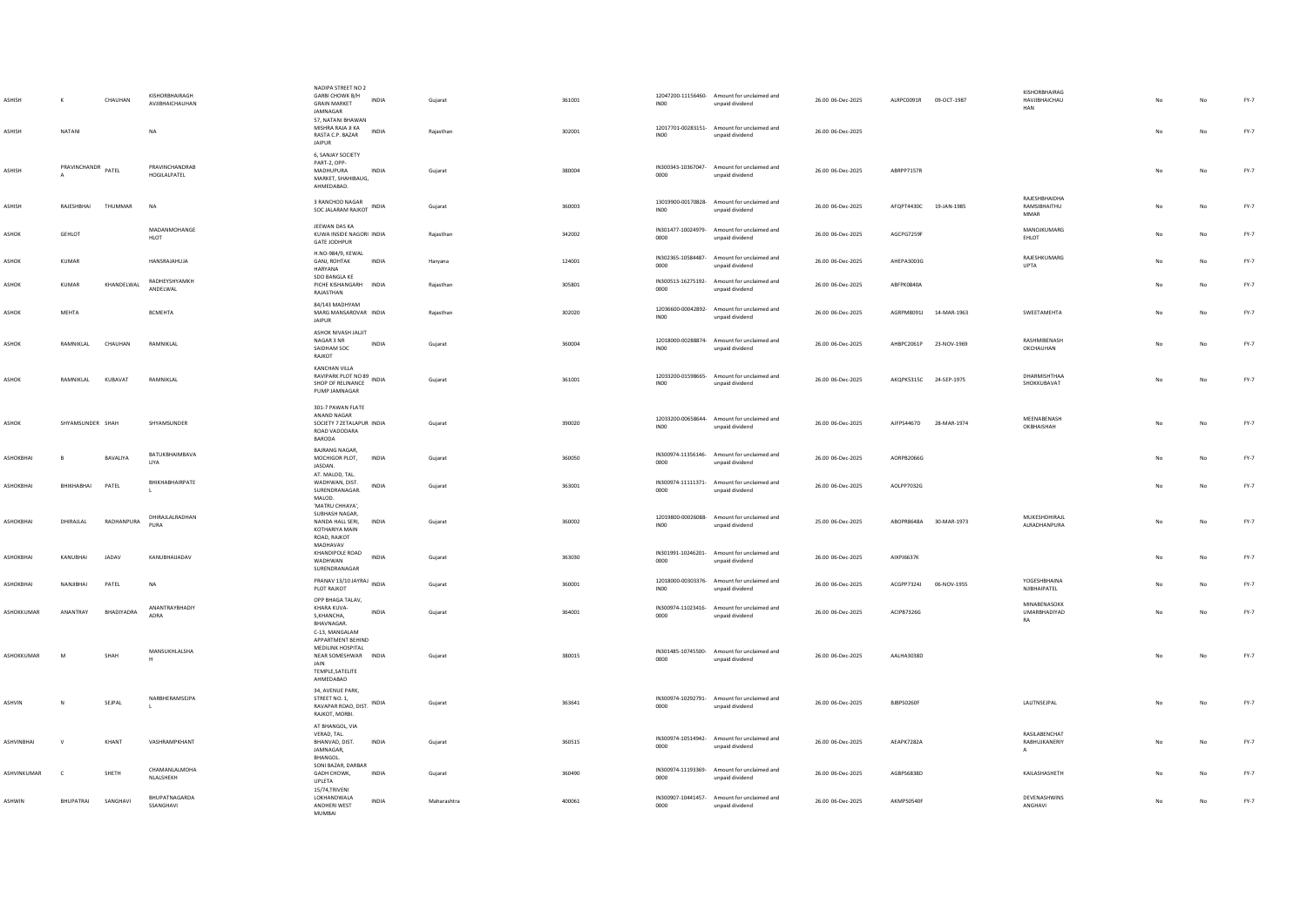| ASHISH<br>ASHISH   | NATANI             | CHAUHAN         | KISHORBHAIRAGH<br>AVJIBHAICHAUHAN<br>NA | NADIPA STREET NO 2<br><b>GARBI CHOWK B/H</b><br><b>GRAIN MARKET</b><br>JAMNAGAR<br>57, NATANI BHAWAN<br>MISHRA RAJA JI KA<br>RASTA C.P. BAZAR | INDIA<br>INDIA | Gujarat<br>Rajasthan | 361001<br>302001 | INO <sub>0</sub><br>IN <sub>00</sub> | 12047200-11156460- Amount for unclaimed and<br>unpaid dividend<br>12017701-00283151- Amount for unclaimed and<br>unpaid dividend | 26.00 06-Dec-2025<br>26.00 06-Dec-2025 | ALRPC0091R 09-OCT-1987 |             | KISHORRHAIRAG<br>HAVJIBHAICHAU<br>HAN        | No | No          | FY-7<br>$FY-7$ |
|--------------------|--------------------|-----------------|-----------------------------------------|-----------------------------------------------------------------------------------------------------------------------------------------------|----------------|----------------------|------------------|--------------------------------------|----------------------------------------------------------------------------------------------------------------------------------|----------------------------------------|------------------------|-------------|----------------------------------------------|----|-------------|----------------|
| ASHISH             | PRAVINCHANDR PATEL |                 | PRAVINCHANDRAB<br>HOGILALPATEL          | <b>JAIPUR</b><br>6, SANJAY SOCIETY<br>PART-2, OPP-<br>MADHUPURA<br>MARKET, SHAHIBAUG,<br>AHMEDABAD.                                           | INDIA          | Gujarat              | 380004           | 0000                                 | IN300343-10367047- Amount for unclaimed and<br>unpaid dividend                                                                   | 26.00 06-Dec-2025                      | ABRPP7157R             |             |                                              | No | $_{\sf No}$ | $FY-7$         |
| <b>ASHISH</b>      | RAJESHBHAI         | THUMMAR         | <b>NA</b>                               | 3 RANCHOD NAGAR<br>SOC JALARAM RAJKOT INDIA                                                                                                   |                | Gujarat              | 360003           | IN00                                 | 13019900-00170828- Amount for unclaimed and<br>unpaid dividend                                                                   | 26.00 06-Dec-2025                      | AFOPT4430C 19-JAN-1985 |             | RAJESHBHAIDHA<br>RAMSIBHAITHU<br><b>MMAR</b> | No | No          | $FY-7$         |
| ASHOK              | <b>GEHLOT</b>      |                 | MADANMOHANGE<br><b>HLOT</b>             | JEEWAN DAS KA<br>KUWA INSIDE NAGORI INDIA<br><b>GATE JODHPUR</b>                                                                              |                | Rajasthan            | 342002           | 0000                                 | IN301477-10024979- Amount for unclaimed and<br>unpaid dividend                                                                   | 26.00 06-Dec-2025                      | AGCPG7259F             |             | MANOJKUMARG<br>EHLOT                         |    | No          | $FY-7$         |
| ASHOK              | <b>KUMAR</b>       |                 | HANSRAJAHUJA                            | H.NO-984/9, KEWAL<br>GANJ, ROHTAK<br>HARYANA                                                                                                  | <b>INDIA</b>   | Haryana              | 124001           | 0000                                 | IN302365-10584487- Amount for unclaimed and<br>unpaid dividend                                                                   | 26.00 06-Dec-2025                      | AHEPA3003G             |             | RAJESHKUMARG<br><b>UPTA</b>                  |    | No          | $FY-7$         |
| <b>ASHOK</b>       | KUMAR              | KHANDELWAL      | RADHEYSHYAMKH<br>ANDELWAL               | SDO BANGLA KE<br>PICHE KISHANGARH INDIA<br>RAJASTHAN                                                                                          |                | Raiasthan            | 305801           | 0000                                 | IN300513-16275192- Amount for unclaimed and<br>unpaid dividend                                                                   | 26.00 06-Dec-2025                      | ARFPKOR40A             |             |                                              | No | No          | FY-7           |
| ASHOK              | <b>MEHTA</b>       |                 | <b>BCMEHTA</b>                          | 84/143 MADHYAM<br>MARG MANSAROVAR INDIA<br><b>JAIPUR</b>                                                                                      |                | Rajasthan            | 302020           | INO <sub>0</sub>                     | 12036600-00042892- Amount for unclaimed and<br>unpaid dividend                                                                   | 26.00 06-Dec-2025                      | AGRPM8091J             | 14-MAR-1963 | SWEETAMEHTA                                  | No | No          | $FY-7$         |
| ASHOK              | RAMNIKLAL          | CHAUHAN         | RAMNIKLAL                               | ASHOK NIVASH JALJIT<br>NAGAR 3 NR<br>SAIDHAM SOC<br>RAJKOT                                                                                    | <b>INDIA</b>   | Gujarat              | 360004           | INO <sub>0</sub>                     | 12018000-00288874- Amount for unclaimed and<br>unpaid dividend                                                                   | 26.00 06-Dec-2025                      | AHBPC2061P 23-NOV-1969 |             | RASHMIBENASH<br>OKCHAUHAN                    | No | No          | FY-7           |
| ASHOK              | RAMNIKLAL          | KUBAVAT         | RAMNIKLAL                               | KANCHAN VILLA<br>RAVIPARK PLOT NO 89<br>SHOP OF RELINANCE<br>PUMP JAMNAGAR                                                                    | INDIA          | Gujarat              | 361001           | INO <sub>0</sub>                     | 12033200-01598665- Amount for unclaimed and<br>unpaid dividend                                                                   | 26.00 06-Dec-2025                      | AKOPK5315C 24-SEP-1975 |             | DHARMISHTHAA<br>SHOKKUBAVAT                  | No | No          | $FY-7$         |
| ASHOK              | SHYAMSUNDER SHAH   |                 | SHYAMSUNDER                             | 301-7 PAWAN FLATE<br>ANAND NAGAR<br>SOCIETY 7 ZETALAPUR INDIA<br>ROAD VADODARA<br>BARODA                                                      |                | Gujarat              | 390020           | INO <sub>0</sub>                     | 12033200-00658644- Amount for unclaimed and<br>unpaid dividend                                                                   | 26.00 06-Dec-2025                      | AJFPS4467D             | 28-MAR-1974 | MEENABENASH<br>OKBHAISHAH                    |    | No          | $FY-7$         |
| ASHOKRHAI          | $\overline{R}$     | <b>BAVALIYA</b> | BATUKBHAIMBAVA<br><b>LIYA</b>           | <b>BAJRANG NAGAR,</b><br>MOCHIGOR PLOT,<br><b>INDIA</b><br>JASDAN.<br>AT. MALOD, TAL.                                                         |                | Guiarat              | 360050           | 0000                                 | IN300974-11356146- Amount for unclaimed and<br>unpaid dividend                                                                   | 26.00 06-Dec-2025                      | AORPR2066G             |             |                                              |    | No          | FY-7           |
| ASHOKBHAI          | BHIKHABHAI         | PATEL           | BHIKHABHAIRPATE                         | WADHWAN, DIST.<br>SURENDRANAGAR.<br>MALOD.<br>'MATRU CHHAYA',                                                                                 | INDIA          | Gujarat              | 363001           | 0000                                 | IN300974-11111371- Amount for unclaimed and<br>unpaid dividend                                                                   | 26.00 06-Dec-2025                      | AOLPP7032G             |             |                                              |    | No          | $FY-7$         |
| ASHOKBHAI          | DHIRAJLAL          | RADHANPURA      | DHIRAJLALRADHAN<br>PURA                 | SUBHASH NAGAR,<br>NANDA HALL SERI,<br><b>KOTHARIYA MAIN</b><br>ROAD, RAJKOT<br>MADHAVAV                                                       | INDIA          | Gujarat              | 360002           | INO0                                 | 12019800-00026088- Amount for unclaimed and<br>unpaid dividend                                                                   | 25.00 06-Dec-2025                      | ABOPR8648A             | 30-MAR-1973 | MUKESHDHIRAJL<br>ALRADHANPURA                | No | No          | $FY-7$         |
| ASHOKBHAI          | KANUBHAI           | <b>IADAV</b>    | KANURHAUADAV                            | KHANDIPOLE ROAD<br>WADHWAN<br>SURENDRANAGAR                                                                                                   | <b>INDIA</b>   | Gujarat              | 363030           | 0000                                 | IN301991-10246201- Amount for unclaimed and<br>unpaid dividend                                                                   | 26.00 06-Dec-2025                      | AIXPJ6637K             |             |                                              |    | No          | $FY-7$         |
| ASHOKBHAI          | NANJIBHAI          | PATEL           | <b>NA</b>                               | PRANAV 13/10 JAYRAJ INDIA<br>PLOT RAJKOT                                                                                                      |                | Gujarat              | 360001           | INO <sub>0</sub>                     | 12018000-00303376- Amount for unclaimed and<br>unpaid dividend                                                                   | 26.00 06-Dec-2025                      | ACGPP7324J             | 06-NOV-1955 | YOGESHRHAINA<br>NJIBHAIPATEL                 |    | No          | $FY-7$         |
| <b>ASHOKKUMAR</b>  | ANANTRAY           | BHADIYADRA      | ANANTRAYBHADIY<br>ADRA                  | OPP BHAGA TALAV,<br>KHARA KUVA-<br>S, KHANCHA,<br><b>BHAVNAGAR.</b><br>C-13, MANGALAM                                                         | <b>INDIA</b>   | Guiarat              | 364001           | 0000                                 | IN300974-11023416- Amount for unclaimed and<br>unpaid dividend                                                                   | 26.00 06-Dec-2025                      | ACIPB7326G             |             | MINABENASOKK<br><b>UMARBHADIYAD</b><br>RA    | No | No          | $FY-7$         |
| ASHOKKUMAR         | M                  | SHAH            | MANSUKHLALSHA                           | APPARTMENT BEHIND<br>MEDILINK HOSPITAL<br>NEAR SOMESHWAR INDIA<br>JAIN<br>TEMPLE, SATELITE<br>AHMEDABAD                                       |                | Gujarat              | 380015           | 0000                                 | IN301485-10745500- Amount for unclaimed and<br>unpaid dividend                                                                   | 26.00 06-Dec-2025                      | AALHA3038D             |             |                                              | No | No          | $FY-7$         |
| <b>ASHVIN</b>      |                    | SEJPAL          | NARBHERAMSEJPA                          | 34, AVENUE PARK,<br>STREET NO. 1,<br>RAVAPAR ROAD, DIST. INDIA<br>RAJKOT, MORBI.                                                              |                | Gujarat              | 363641           | 0000                                 | IN300974-10292791- Amount for unclaimed and<br>unpaid dividend                                                                   | 26.00 06-Dec-2025                      | BIRPS0260F             |             | LALITNSEJPAL                                 |    | No          | $FY-7$         |
| ASHVINBHAI         | $\mathsf{v}$       | KHANT           | VASHRAMPKHANT                           | AT BHANGOL, VIA<br>VERAD, TAL.<br>BHANVAD, DIST.<br>JAMNAGAR,<br>BHANGOL.                                                                     | INDIA          | Gujarat              | 360515           | 0000                                 | IN300974-10514942- Amount for unclaimed and<br>unpaid dividend                                                                   | 26.00 06-Dec-2025                      | AEAPK7282A             |             | RASILABENCHAT<br>RABHUJKANERIY<br>A          |    | No          | $FY-7$         |
| <b>ASHVINKUMAR</b> | c                  | SHETH           | CHAMANLALMOHA<br>NLALSHEKH              | SONI BAZAR, DARBAR<br>GADH CHOWK,<br>UPLETA                                                                                                   | <b>INDIA</b>   | Gujarat              | 360490           | 0000                                 | IN300974-11193369- Amount for unclaimed and<br>unpaid dividend                                                                   | 26.00 06-Dec-2025                      | AGRPS6838D             |             | KAILASHASHETH                                |    | No          | FY-7           |
| <b>ASHWIN</b>      | BHUPATRAI          | SANGHAVI        | BHUPATNAGARDA<br>SSANGHAVI              | 15/74, TRIVENI<br>LOKHANDWALA<br>ANDHERI WEST<br>MUMRAL                                                                                       | <b>INDIA</b>   | Maharashtra          | 400061           | 0000                                 | IN300907-10441457- Amount for unclaimed and<br>unpaid dividend                                                                   | 26.00 06-Dec-2025                      | AKMPS0540F             |             | DEVENASHWINS<br>ANGHAVI                      |    | No          | $FY-7$         |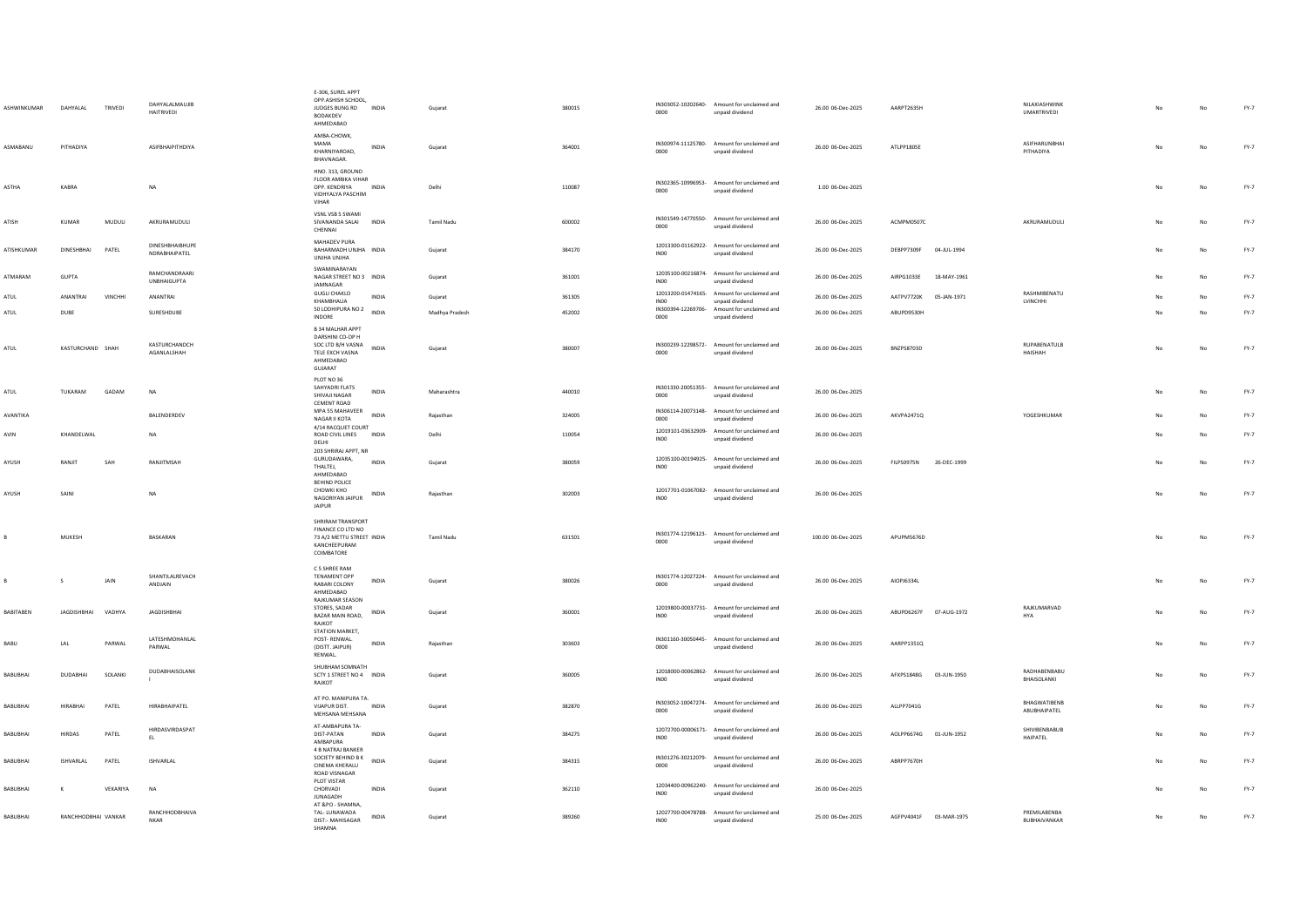| <b>ASHWINKUMAR</b> | DAHYALAL            | TRIVEDI  | DAHYALALMAUJIB<br>HAITRIVEDI               | E-306, SUREL APPT<br>OPP.ASHISH SCHOOL,<br>JUDGES BUNG RD INDIA<br>BODAKDEV<br>AHMEDABAD                    |              | Gujarat           | 380015 | 0000             | IN303052-10202640- Amount for unclaimed and<br>unpaid dividend | 26.00 06-Dec-2025  | AARPT2635H                | NILAXIASHWINK<br><b>UMARTRIVEDI</b> |     | No          | $FY-7$ |
|--------------------|---------------------|----------|--------------------------------------------|-------------------------------------------------------------------------------------------------------------|--------------|-------------------|--------|------------------|----------------------------------------------------------------|--------------------|---------------------------|-------------------------------------|-----|-------------|--------|
| ASMABANU           | PITHADIYA           |          | <b>ASIFRHAIPITHDIYA</b>                    | AMBA-CHOWK,<br>MAMA<br>KHARNIYAROAD,<br>BHAVNAGAR.                                                          | INDIA        | Gujarat           | 364001 | 0000             | IN300974-11125780- Amount for unclaimed and<br>unpaid dividend | 26.00 06-Dec-2025  | ATIPP1805F                | ASIFHARUNBHAI<br>PITHADIYA          | No  | No          | $FY-7$ |
| <b>ASTHA</b>       | KARRA               |          | NA                                         | HNO. 313, GROUND<br>FLOOR AMBIKA VIHAR<br>OPP, KENDRIYA<br>VIDHYALYA PASCHIM<br>VIHAR                       | <b>INDIA</b> | Delhi             | 110087 | 0000             | IN302365-10996953- Amount for unclaimed and<br>unpaid dividend | 1.00 06-Dec-2025   |                           |                                     | No  | No          | $FY-7$ |
| ATISH              | KUMAR               | MUDULI   | AKRURAMUDULI                               | VSNL VSB 5 SWAMI<br>SIVANANDA SALAI<br>CHENNAI                                                              | INDIA        | Tamil Nadu        | 600002 | 0000             | IN301549-14770550- Amount for unclaimed and<br>unpaid dividend | 26.00 06-Dec-2025  | ACMPM0507C                | AKRURAMUDULI                        | No  | $_{\sf No}$ | $FY-7$ |
| ATISHKUMAR         | DINESHBHAI          | PATEL    | DINESHBHAIBHUPE<br>NDRABHAIPATEL           | MAHADEV PURA<br>BAHARMADH UNJHA INDIA<br>UNJHA UNJHA                                                        |              | Gujarat           | 384170 | <b>INOO</b>      | 12013300-01162922- Amount for unclaimed and<br>unpaid dividend | 26.00 06-Dec-2025  | DEBPP7309F<br>04-JUL-1994 |                                     | No  | No          | $FY-7$ |
| ATMARAM            | GUPTA               |          | <b>RAMCHANDRAARI</b><br><b>UNBHAIGUPTA</b> | SWAMINARAYAN<br>NAGAR STREET NO 3 INDIA<br>JAMNAGAR                                                         |              | Gujarat           | 361001 | INO <sub>0</sub> | 12035100-00216874- Amount for unclaimed and<br>unpaid dividend | 26.00 06-Dec-2025  | AIRPG1033E<br>18-MAY-1961 |                                     |     | No          | FY-7   |
| ATUL               | ANANTRAI            | VINCHHI  | ANANTRAI                                   | GUGLI CHAKLO<br>KHAMRHALIA                                                                                  | INDIA        | Gujarat           | 361305 | INO <sub>0</sub> | 12013200-01474165- Amount for unclaimed and<br>unpaid dividend | 26.00 06-Dec-2025  | AATPV7720K<br>05-JAN-1971 | RASHMIRENATU<br>LVINCHHI            |     | No          | $FY-7$ |
| ATUL               | DUBE                |          | SURESHDUBE                                 | 50 LODHIPURA NO 2<br>INDORE                                                                                 | INDIA        | Madhya Pradesh    | 452002 | 0000             | IN300394-12269706- Amount for unclaimed and<br>unpaid dividend | 26.00 06-Dec-2025  | ABUPD9530H                |                                     | No  | No          | FY-7   |
| ATUL               | KASTURCHAND SHAH    |          | KASTURCHANDCH<br>AGANLALSHAH               | <b>B 34 MALHAR APPT</b><br>DARSHINI CO-OP H<br>SOC LTD B/H VASNA<br>TELE EXCH VASNA<br>AHMEDABAD<br>GUJARAT | INDIA        | Gujarat           | 380007 | 0000             | IN300239-12298572- Amount for unclaimed and<br>unpaid dividend | 26.00 06-Dec-2025  | <b>BNZPS8703D</b>         | RUPABENATULB<br><b>HAISHAH</b>      | No. | No          | $FY-7$ |
| ATUL               | TUKARAM             | GADAM    | <b>NA</b>                                  | PLOT NO 36<br>SAHYADRI FLATS<br>SHIVAJI NAGAR<br>CEMENT ROAD                                                | INDIA        | Maharashtra       | 440010 | 0000             | IN301330-20051355- Amount for unclaimed and<br>unpaid dividend | 26.00 06-Dec-2025  |                           |                                     | No  | $_{\sf No}$ | $FY-7$ |
| AVANTIKA           |                     |          | BALENDERDEV                                | MPA 55 MAHAVEER<br>NAGAR II KOTA                                                                            | INDIA        | Rajasthan         | 324005 | 0000             | IN306114-20073148- Amount for unclaimed and<br>unpaid dividend | 26.00 06-Dec-2025  | AKVPA2471Q                | YOGESHKUMAR                         |     | $_{\sf No}$ | FY-7   |
| AVIN               | KHANDELWAL          |          | NA                                         | 4/14 RACQUET COURT<br>ROAD CIVIL LINES<br>DELHI                                                             | INDIA        | Delhi             | 110054 | <b>IN00</b>      | 12019101-03632909- Amount for unclaimed and<br>unpaid dividend | 26.00 06-Dec-2025  |                           |                                     |     | $_{\sf No}$ | FY-7   |
| AYUSH              | RANJIT              | SAH      | RANJITMSAH                                 | 203 SHRIRAJ APPT, NR<br>GURUDAWARA,<br>THALTEJ.<br>AHMEDABAD                                                | <b>INDIA</b> | Gujarat           | 380059 | INO <sub>0</sub> | 12035100-00194925- Amount for unclaimed and<br>unpaid dividend | 26.00 06-Dec-2025  | FILPS0975N<br>26-DEC-1999 |                                     | No  | No          | FY-7   |
| AYUSH              | SAINI               |          | <b>NA</b>                                  | <b>BEHIND POLICE</b><br>CHOWKI KHO<br>NAGORIYAN JAIPUR<br><b>JAIPUR</b>                                     | INDIA        | Raiasthan         | 302003 | IN00             | 12017701-01067082- Amount for unclaimed and<br>unpaid dividend | 26.00 06-Dec-2025  |                           |                                     | No  | No          | $FY-7$ |
|                    | MUKESH              |          | BASKARAN                                   | SHRIRAM TRANSPORT<br>FINANCE CO LTD NO<br>73 A/2 METTU STREET INDIA<br>KANCHEEPURAM<br>COIMBATORE           |              | <b>Tamil Nadu</b> | 631501 | 0000             | IN301774-12196123- Amount for unclaimed and<br>unpaid dividend | 100.00 06-Dec-2025 | APUPM5676D                |                                     | No  | No          | $FY-7$ |
|                    | -S.                 | JAIN     | SHANTILALREVACH<br>ANDJAIN                 | C 5 SHREE RAM<br><b>TENAMENT OPP</b><br>RABARI COLONY<br>AHMEDABAD                                          | <b>INDIA</b> | Guiarat           | 380026 | 0000             | IN301774-12027224- Amount for unclaimed and<br>unpaid dividend | 26.00 06-Dec-2025  | AIOPJ6334L                |                                     | No  | No          | $FY-7$ |
| <b>BABITABEN</b>   | JAGDISHBHAI         | VADHYA   | <b>JAGDISHBHAI</b>                         | RAJKUMAR SEASON<br>STORES, SADAR<br>BAZAR MAIN ROAD,<br>RAJKOT                                              | INDIA        | Gujarat           | 360001 | <b>IN00</b>      | 12019800-00037731- Amount for unclaimed and<br>unpaid dividend | 26.00 06-Dec-2025  | ABUPD6267F<br>07-AUG-1972 | RAJKUMARVAD<br><b>HYA</b>           | No  | No          | $FY-7$ |
| BABU               | LAL                 | PARWAL   | LATESHMOHANLAL<br>PARWAL                   | STATION MARKET,<br>POST-RENWAL.<br>(DISTT. JAIPUR)<br>RENWAL.                                               | INDIA        | Rajasthan         | 303603 | 0000             | IN301160-30050445- Amount for unclaimed and<br>unpaid dividend | 26.00 06-Dec-2025  | AARPP1351Q                |                                     | No  | No          | $FY-7$ |
| BABUBHAI           | <b>DUDABHAI</b>     | SOLANKI  | DUDABHAISOLANK                             | SHUBHAM SOMNATH<br>SCTY 1 STREET NO 4 INDIA<br>RAJKOT                                                       |              | Guiarat           | 360005 | <b>IN00</b>      | 12018000-00062862- Amount for unclaimed and<br>unpaid dividend | 26.00 06-Dec-2025  | AFXPS1848G 03-JUN-1950    | RADHABENBABU<br>BHAISOLANKI         | No  | No          | $FY-7$ |
| BABUBHAI           | <b>HIRABHAI</b>     | PATEL    | HIRABHAIPATEL                              | AT PO. MANIPURA TA.<br>VIJAPUR DIST.<br>MEHSANA MEHSANA                                                     | INDIA        | Gujarat           | 382870 | 0000             | IN303052-10047274- Amount for unclaimed and<br>unpaid dividend | 26.00 06-Dec-2025  | ALLPP7041G                | RHAGWATIRENR<br>ABUBHAIPATEL        |     | No          | $FY-7$ |
| <b>BABUBHAI</b>    | <b>HIRDAS</b>       | PATEL    | HIRDASVIRDASPAT<br>EL                      | AT-AMBAPURA TA-<br>DIST-PATAN<br>AMBAPURA                                                                   | <b>INDIA</b> | Guiarat           | 384275 | <b>IN00</b>      | 12072700-00006171- Amount for unclaimed and<br>unpaid dividend | 26.00 06-Dec-2025  | AOLPP6674G 01-JUN-1952    | SHIVIBENBABUB<br>HAIPATEL           | No  | No          | FY-7   |
| <b>BABUBHAI</b>    | ISHVARLAL           | PATEL    | <b>ISHVARLAL</b>                           | 4 B NATRAJ BANKER<br>SOCIETY BEHIND B K<br>CINEMA KHERALU<br>ROAD VISNAGAR                                  | <b>INDIA</b> | Guiarat           | 384315 | 0000             | IN301276-30212079- Amount for unclaimed and<br>unpaid dividend | 26.00 06-Dec-2025  | ABRPP7670H                |                                     |     | No          | $FY-7$ |
| <b>BABUBHAI</b>    | к                   | VEKARIYA | <b>NA</b>                                  | PLOT VISTAR<br>CHORVADI<br><b>JUNAGADH</b>                                                                  | <b>INDIA</b> | Guiarat           | 362110 | <b>IN00</b>      | 12034400-00962240- Amount for unclaimed and<br>unpaid dividend | 26.00 06-Dec-2025  |                           |                                     |     | No          | FY-7   |
| BABUBHAI           | RANCHHODBHAI VANKAR |          | RANCHHODBHAIVA<br>NKAR                     | AT &PO - SHAMNA<br>TAL-LUNAWADA<br>DIST:- MAHISAGAR<br>SHAMNA                                               | <b>INDIA</b> | Gujarat           | 389260 | INO0             | 12027700-00478788- Amount for unclaimed and<br>unpaid dividend | 25.00 06-Dec-2025  | AGFPV4041F 03-MAR-1975    | PREMILABENBA<br>BUBHAIVANKAR        | No  | No          | $FY-7$ |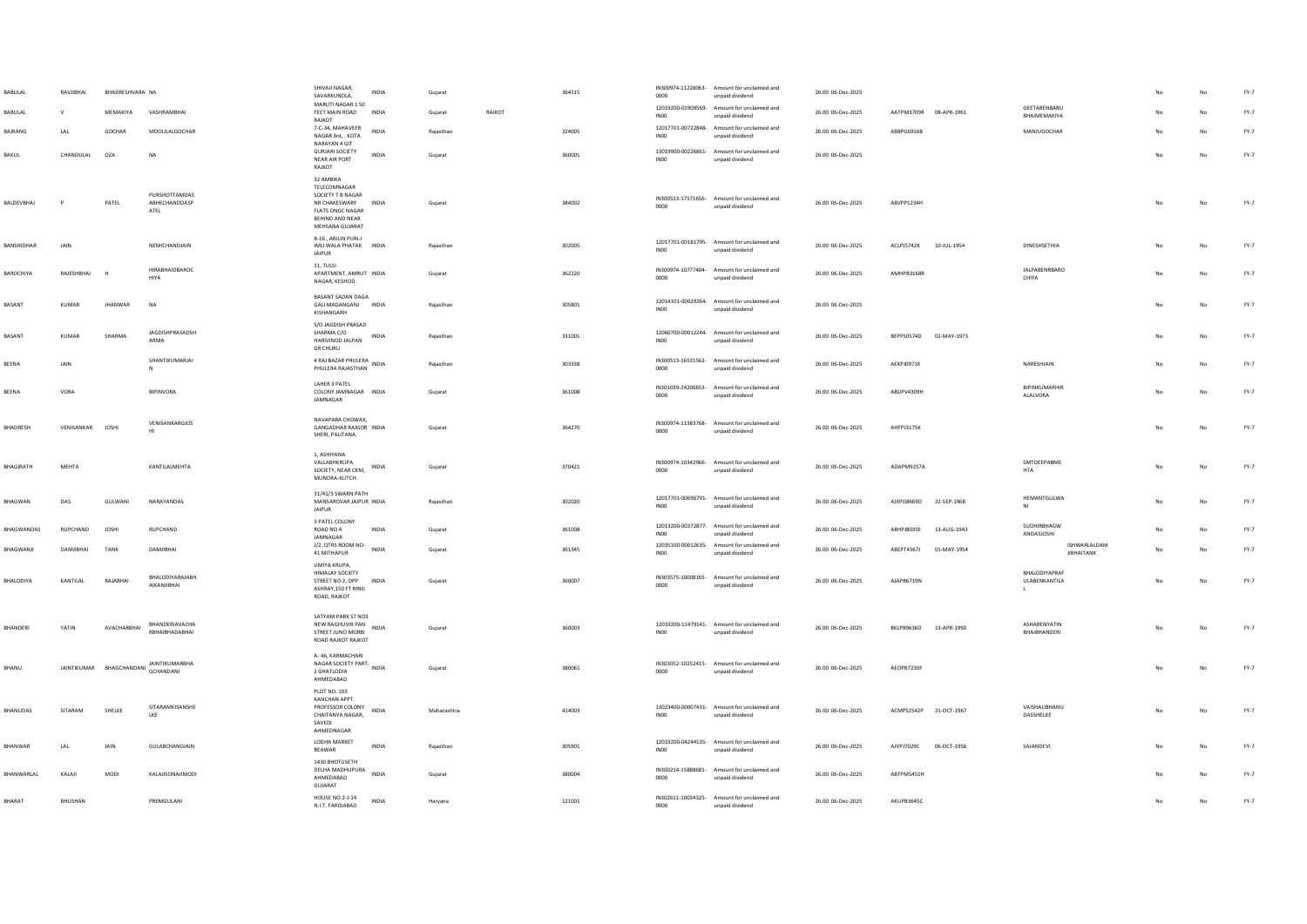| BABULAL           | RAVJIBHAI       | BHADRESHVARA NA |                                                     | SHIVAJI NAGAR.<br>SAVARKUNDLA.                                                                                                         | INDIA        | Gujarat     |        | 364515 | 0000                       | IN300974-11228063- Amount for unclaimed and<br>unpaid dividend | 26.00 06-Dec-2025 |                        |             |                                      |    | No          | FY-7   |
|-------------------|-----------------|-----------------|-----------------------------------------------------|----------------------------------------------------------------------------------------------------------------------------------------|--------------|-------------|--------|--------|----------------------------|----------------------------------------------------------------|-------------------|------------------------|-------------|--------------------------------------|----|-------------|--------|
| BABULAL           |                 | MEMAKIYA        | VASHRAMBHAI                                         | MARUTI NAGAR 150<br>FEET MAIN ROAD<br>RAJKOT                                                                                           | <b>INDIA</b> | Gujarat     | RAJKOT |        | INO0                       | 12033200-01909569- Amount for unclaimed and<br>unpaid dividend | 26.00 06-Dec-2025 | AATPM3709R 08-APR-1961 |             | GEETABENBABU<br>RHAIMFMAKIYA         |    | No          | FY-7   |
| BAJRANG           | LAL             | GOCHAR          | MOOLILALGOCHAR                                      | 7-C-34, MAHAVEER<br>NAGAR 3rd, . KOTA                                                                                                  | INDIA        | Rajasthan   |        | 324005 | IN00                       | 12017701-00722848- Amount for unclaimed and<br>unpaid dividend | 26.00 06-Dec-2025 | ABBPG6916B             |             | MANJUGOCHAR                          |    | No          | FY-7   |
| BAKUL             | CHANDULAL       | OZA             | NA                                                  | NARAYAN 4 GIT<br><b>GURJARI SOCIETY</b><br>NEAR AIR PORT<br>RAJKOT                                                                     | INDIA        | Gujarat     |        | 360001 | INO <sub>0</sub>           | 13019900-00226861- Amount for unclaimed and<br>unpaid dividend | 26.00 06-Dec-2025 |                        |             |                                      | No | No          | FY-7   |
| BALDEVBHAI        | P               | PATEL           | PURSHOTTAMDAS<br>ABHECHANDDASP<br>ATEL              | 32 AMBIKA<br>TELECOMNAGAR<br>SOCIETY T B NAGAR<br>NR CHAKESWARY INDIA<br><b>FLATS ONGC NAGAR</b><br>BEHIND AND NEAR<br>MEHSANA GUJARAT |              | Guiarat     |        | 384002 | 0000                       | IN300513-17571656- Amount for unclaimed and<br>unpaid dividend | 26.00 06-Dec-2025 | ABVPP1234H             |             |                                      | No | No          | FY-7   |
| BANSHIDHAR        | JAIN            |                 | NEMICHANDJAIN                                       | B-16, ARJUN PURI-I<br>IMLI WALA PHATAK INDIA<br><b>JAIPUR</b>                                                                          |              | Rajasthan   |        | 302005 | INO <sub>0</sub>           | 12017701-00181795- Amount for unclaimed and<br>unpaid dividend | 26.00 06-Dec-2025 | ACLPJ5742K             | 10-JUL-1954 | DINESHSETHIA                         | No | <b>No</b>   | $FY-7$ |
| BAROCHIYA         | RAJESHBHAI      |                 | HIRABHAIDBAROC<br>HIYA                              | 11, TULSI<br>APARTMENT, AMRUT INDIA<br>NAGAR, KESHOD.                                                                                  |              | Guiarat     |        | 362220 | 0000                       | IN300974-10777404- Amount for unclaimed and<br>unpaid dividend | 26.00 06-Dec-2025 | AMHPB3168R             |             | JALPABENRBARO<br>CHIYA               |    | No          | FY-7   |
| BASANT            | KUMAR           | <b>JHANWAR</b>  | N <sub>A</sub>                                      | BASANT SADAN DAGA<br>GALI MADANGANJ INDIA<br>KISHANGARH                                                                                |              | Rajasthan   |        | 305801 | INO0                       | 12014101-00029264- Amount for unclaimed and<br>unpaid dividend | 26.00 06-Dec-2025 |                        |             |                                      | No | No          | FY-7   |
| BASANT            | KUMAR           | SHARMA          | JAGDISHPRASADSH<br>ARMA                             | S/O JAGDISH PRASAD<br>SHARMA C/O<br>HARIVINOD JALPAN<br><b>GR CHURU</b>                                                                | INDIA        | Rajasthan   |        | 331001 | INO <sub>0</sub>           | 12060700-00012244- Amount for unclaimed and<br>unpaid dividend | 26.00 06-Dec-2025 | BEPPS0574D 02-MAY-1973 |             |                                      |    | No          | FY-7   |
| BEENA             | <b>JAIN</b>     |                 | SHANTIKUMARJAI<br>${\sf N}$                         | 4 RAJ BAZAR PHULERA<br>Ali INDIA<br>PHULERA RAJASTHAN                                                                                  |              | Raiasthan   |        | 303338 | 0000                       | IN300513-16531562- Amount for unclaimed and<br>unpaid dividend | 26.00.06-Dec-2025 | AFKPI0971K             |             | NARESHIAIN                           | No | No          | FY-7   |
| BEENA             | VORA            |                 | <b>RIPINVORA</b>                                    | LAHER 3 PATEL<br>COLONY JAMNAGAR INDIA<br>JAMNAGAR                                                                                     |              | Gujarat     |        | 361008 | 0000                       | IN301039-24200653- Amount for unclaimed and<br>unpaid dividend | 26.00 06-Dec-2025 | ARDPV4309H             |             | BIPINKUMARHIR<br>ALALVORA            | No | No          | FY-7   |
| BHADRESH          | VENISANKAR      | <b>JOSHI</b>    | VENISANKARGJOS                                      | NAVAPARA CHOWAK,<br>GANGADHAR RAJGOR INDIA<br>SHERI, PALITANA.                                                                         |              | Guiarat     |        | 364270 | 0000                       | IN300974-11383768- Amount for unclaimed and<br>unpaid dividend | 26.00 06-Dec-2025 | AHFPJ3175K             |             |                                      | No | No          | FY-7   |
| RHAGIRATH         | MFHTA           |                 | KANTILAI MEHTA                                      | 1, ASHIYANA<br>VALLABHKRUPA<br>SOCIETY, NEAR CKM,<br>MUNDRA-KUTCH.                                                                     | <b>INDIA</b> | Guiarat     |        | 370421 | 0000                       | IN300974-10342966- Amount for unclaimed and<br>unpaid dividend | 26.00.06-Dec-2025 | ADAPM9257A             |             | SMTDEEPABME<br>HTA                   | No | No          | FY-7   |
| <b>BHAGWAN</b>    | DAS             | GULWANI         | NARAYANDAS                                          | 31/41/3 SWARN PATH<br>MANSAROVAR JAIPUR INDIA<br>JAIPUR                                                                                |              | Rajasthan   |        | 302020 | IN00                       | 12017701-00696791- Amount for unclaimed and<br>unpaid dividend | 26.00 06-Dec-2025 | AJXPG8669D 22-SEP-1968 |             | HEMANTGULWA<br>NI                    |    | No          | FY-7   |
| <b>BHAGWANDAS</b> | <b>RUPCHAND</b> | <b>JOSHI</b>    | <b>RUPCHAND</b>                                     | 3 PATEL COLONY<br>ROAD NO 4<br><b>IAMNAGAR</b>                                                                                         | INDIA        | Guiarat     |        | 361008 | IN <sub>00</sub>           | 12013200-00372877- Amount for unclaimed and<br>unpaid dividend | 26.00 06-Dec-2025 | ABHPJ8035E             | 13-AUG-1943 | SUDHIRRHAGW<br>ANDASJOSHI            | No | No          | FY-7   |
| BHAGWANJI         | DAMJIBHAI       | TANK            | DAMJIBHAI                                           | J/2, QTRS ROOM NO-<br>41 MITHAPUR                                                                                                      | INDIA        | Guiarat     |        | 361345 | IN00                       | 12035100-00012635- Amount for unclaimed and<br>unpaid dividend | 26.00 06-Dec-2025 | ABEPT4367J             | 01-MAY-1954 | ISHWARLALDAM<br><b>JIBHAITANK</b>    | No | No          | $FY-7$ |
| BHALODIYA         | KANTILAL        | RAJARHAL        | BHALODIYARAJABH<br>AIKANJIBHAI                      | UMIYA KRUPA,<br><b>HIMALAY SOCIETY</b><br>STREET NO 2, OPP INDIA<br>ASHRAY, 150 FT RING<br>ROAD, RAJKOT                                |              | Gujarat     |        | 360007 | IN303575-10008165-<br>0000 | Amount for unclaimed and<br>unpaid dividend                    | 26.00 06-Dec-2025 | AIAPR6719N             |             | BHALODIYAPRAF<br>ULABENKANTILA<br>L. | No | No          | $FY-7$ |
| BHANDERI          | YATIN           | AVACHARBHAI     | BHANDERIAVACHA<br>RRHAIRHADARHAI                    | SATYAM PARK ST NO3<br>NEW RAGHUVIR PAN<br>STREET IUNO MORRI<br>ROAD RAJKOT RAJKOT                                                      | INDIA        | Gujarat     |        | 360003 | INO <sub>0</sub>           | 12033200-11479141- Amount for unclaimed and<br>unpaid dividend | 26.00 06-Dec-2025 | BKLPB9636D 13-APR-1990 |             | ASHABENYATIN<br>RHAIRHANDERI         |    | No          | FY-7   |
| BHANU             |                 |                 | JAINTIKUMAR BHAGCHANDANI ANNTIKUMARBHA<br>GCHANDANI | A-46, KARMACHARI<br>NAGAR SOCIETY PART- INDIA<br>2 GHATLODIA<br>AHMEDABAD                                                              |              | Gujarat     |        | 380061 | 0000                       | IN303052-10252415- Amount for unclaimed and<br>unpaid dividend | 26.00 06-Dec-2025 | AEOPB7230F             |             |                                      | No | No          | FY-7   |
| BHANUDAS          | SITARAM         | SHELKE          | SITARAMKISANSHE<br>LKE                              | PLOT NO. 103<br>KANCHAN APPT.<br>PROFESSOR COLONY<br>CHAITANYA NAGAR.<br>SAVEDI<br>AHMEDNAGAR                                          | INDIA        | Maharashtra |        | 414003 | INO <sub>0</sub>           | 13023400-00007431- Amount for unclaimed and<br>unpaid dividend | 26.00 06-Dec-2025 | ACMPS2542P 21-OCT-1967 |             | VAISHALIBHANU<br>DASSHELKE           | No | No          | $FY-7$ |
| BHANWAR           | LAL             | JAIN            | GULABCHANDJAIN                                      | LODHA MARKET<br>BEAWAR                                                                                                                 | INDIA        | Rajasthan   |        | 305901 | INO0                       | 12033200-04244135- Amount for unclaimed and<br>unpaid dividend | 26.00 06-Dec-2025 | AJVPJ7029C             | 06-OCT-1956 | SAJANDEVI                            |    | No          | FY-7   |
| BHANWARLAL        | KALAJI          | MODI            | KALAJISONAJIMODI                                    | 1430 BHOTUSETH<br>DELHA MADHUPURA<br>AHMEDABAD<br>GUJARAT                                                                              | INDIA        | Guiarat     |        | 380004 | 0000                       | IN300214-15888681- Amount for unclaimed and<br>unpaid dividend | 26.00 06-Dec-2025 | ABTPM5451H             |             |                                      |    | No          | FY-7   |
| BHARAT            | BHUSHAN         |                 | PREMGULANI                                          | HOUSE NO.2-J-14<br>N.I.T. FARIDARAD                                                                                                    | INDIA        | Haryana     |        | 121001 | 0000                       | IN302611-10034325- Amount for unclaimed and<br>unnaid dividend | 26.00 06-Dec-2025 | AKUPB3645C             |             |                                      | No | $_{\sf No}$ | FY-7   |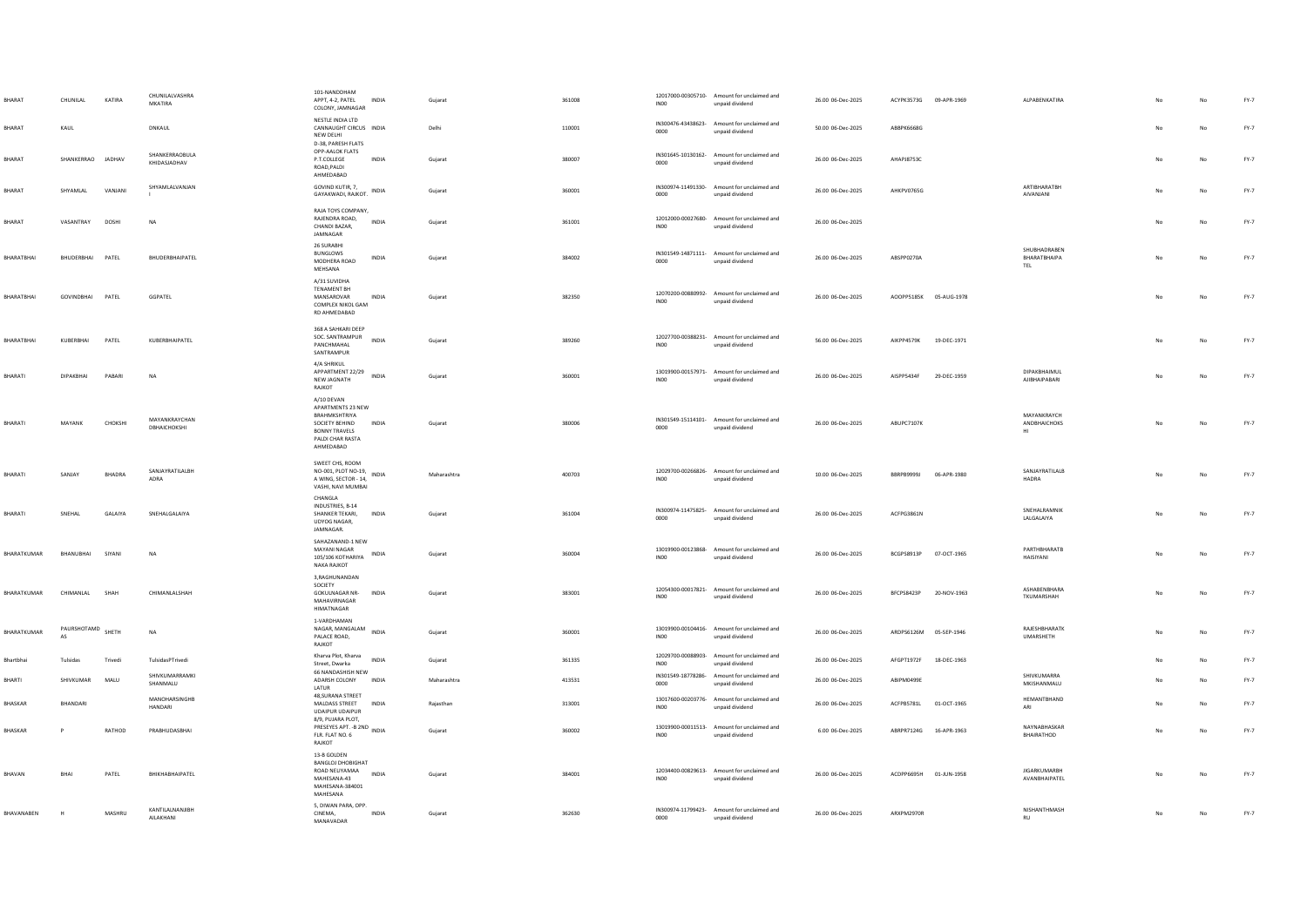| <b>BHARA</b>   | CHUNILAL                | KATIRA        | CHUNILALVASHRA<br>MKATIRA      | 101-NANDDHAM<br>APPT, 4-2, PATEL<br>INDIA<br>COLONY, JAMNAGAR                                                                               | Gujarat     | 361008 | <b>IN00</b>      | 12017000-00305710- Amount for unclaimed and<br>unpaid dividend | 26.00 06-Dec-2025 | ACYPK3573G 09-APR-1969 |             | ALPABENKATIRA                        |    |             | $FY-7$ |
|----------------|-------------------------|---------------|--------------------------------|---------------------------------------------------------------------------------------------------------------------------------------------|-------------|--------|------------------|----------------------------------------------------------------|-------------------|------------------------|-------------|--------------------------------------|----|-------------|--------|
| BHARAT         | KAUL                    |               | DNKAUL                         | NESTLE INDIA LTD<br>CANNAUGHT CIRCUS INDIA<br>NEW DELHI<br>D-38, PARESH FLATS                                                               | Delhi       | 110001 | 0000             | IN300476-43438623- Amount for unclaimed and<br>unpaid dividend | 50.00 06-Dec-2025 | ABBPK6668G             |             |                                      |    | No          | $FY-7$ |
| BHARAT         | SHANKERRAO JADHAV       |               | SHANKERRAOBULA<br>KHIDASJADHAV | OPP-AALOK FLATS<br>P.T.COLLEGE<br><b>INDIA</b><br>ROAD PALDL<br>AHMEDABAD                                                                   | Gujarat     | 380007 | 0000             | IN301645-10130162- Amount for unclaimed and<br>unpaid dividend | 26.00 06-Dec-2025 | AHAPJ8753C             |             |                                      | No | No          | $FY-7$ |
| BHARAT         | SHYAMLAL                | VANJANI       | SHYAMLALVANJAN                 | GOVIND KUTIR, 7.<br>$\begin{array}{cc} & \cdots \leadsto \cdots, \ \prime, \\ \text{GAYAKWADI, RAIKOT.} & \text{INDIA} \end{array}$         | Gujarat     | 360001 | 0000             | IN300974-11491330- Amount for unclaimed and<br>unpaid dividend | 26.00 06-Dec-2025 | AHKPV0765G             |             | ARTIBHARATBH<br>AIVANJANI            | No | No          | $FY-7$ |
| BHARAT         | VASANTRAY               | DOSHI         | <b>NA</b>                      | RAJA TOYS COMPANY,<br>RAJENDRA ROAD,<br>INDIA<br>CHANDI BAZAR,<br>JAMNAGAR                                                                  | Gujarat     | 361001 | <b>IN00</b>      | 12012000-00027680- Amount for unclaimed and<br>unpaid dividend | 26.00 06-Dec-2025 |                        |             |                                      |    | No          | $FY-7$ |
| BHARATBHAI     | BHUDERBHAI PATEL        |               | BHUDERBHAIPATEL                | 26 SURABHI<br>BUNGLOWS<br><b>INDIA</b><br>MODHERA ROAD<br>MEHSANA                                                                           | Guiarat     | 384002 | 0000             | IN301549-14871111- Amount for unclaimed and<br>unpaid dividend | 26.00 06-Dec-2025 | ABSPP0270A             |             | SHUBHADRABEN<br>BHARATBHAIPA<br>TEL. | No | No          | $FY-7$ |
| BHARATBHAI     | GOVINDBHAI PATEL        |               | GGPATEL                        | A/31 SUVIDHA<br>TENAMENT BH<br>MANSAROVAR<br>INDIA<br>COMPLEX NIKOL GAM<br>RD AHMEDABAD                                                     | Gujarat     | 382350 | <b>IN00</b>      | 12070200-00880992- Amount for unclaimed and<br>unpaid dividend | 26.00 06-Dec-2025 | AOOPP5185K 05-AUG-1978 |             |                                      | No | No          | $FY-7$ |
| BHARATBHAI     | KUBERBHAI               | PATEL         | KUBERBHAIPATEL                 | 368 A SAHKARI DEEP<br>SOC. SANTRAMPUR<br>INDIA<br>PANCHMAHAI<br>SANTRAMPUR                                                                  | Gujarat     | 389260 | INO <sub>0</sub> | 12027700-00388231- Amount for unclaimed and<br>unpaid dividend | 56.00 06-Dec-2025 | AIKPP4579K             | 19-DEC-1971 |                                      |    | No          | FY-7   |
| BHARATI        | DIPAKBHAI               | PABARI        | <b>NA</b>                      | 4/A SHRIKUL<br>APPARTMENT 22/29<br><b>INDIA</b><br>NEW JAGNATH<br>RAJKOT                                                                    | Guiarat     | 360001 | <b>IN00</b>      | 13019900-00157971- Amount for unclaimed and<br>unpaid dividend | 26.00 06-Dec-2025 | AISPP5434F             | 29-DEC-1959 | DIPAKRHAIMUL<br>AJIBHAIPABARI        | No | No          | $FY-7$ |
| <b>BHARATI</b> | MAYANK                  | CHOKSHI       | MAYANKRAYCHAN<br>DBHAICHOKSHI  | A/10 DEVAN<br>APARTMENTS 23 NEW<br>BRAHMKSHTRIYA<br>SOCIETY BEHIND<br><b>INDIA</b><br><b>BONNY TRAVELS</b><br>PALDI CHAR RASTA<br>AHMEDABAD | Guiarat     | 380006 | 0000             | IN301549-15114101- Amount for unclaimed and<br>unpaid dividend | 26.00 06-Dec-2025 | ABUPC7107K             |             | MAYANKRAYCH<br>ANDBHAICHOKS<br>HI    | No | No          | $FY-7$ |
| BHARATI        | SANJAY                  | <b>BHADRA</b> | SANJAYRATILALBH<br>ADRA        | SWEET CHS, ROOM<br>NO-001, PLOT NO-19, INDIA<br>A WING, SECTOR - 14, INDIA<br>VASHI, NAVI MUMBAI                                            | Maharashtra | 400703 | <b>IN00</b>      | 12029700-00266826- Amount for unclaimed and<br>unpaid dividend | 10.00 06-Dec-2025 | BBRPB9999J 06-APR-1980 |             | SANJAYRATILALB<br><b>HADRA</b>       | No | No          | $FY-7$ |
| BHARATI        | SNEHAL                  | GALAIYA       | SNEHALGALAIYA                  | CHANGLA<br>INDUSTRIES, B-14<br>SHANKER TEKARI,<br><b>INDIA</b><br>UDYOG NAGAR,<br>JAMNAGAR.                                                 | Gujarat     | 361004 | 0000             | IN300974-11475825- Amount for unclaimed and<br>unpaid dividend | 26.00 06-Dec-2025 | ACFPG3861N             |             | SNEHALRAMNIK<br>LALGALAIYA           | No | No          | $FY-7$ |
| BHARATKUMAR    | BHANUBHAI               | SIYANI        | NA                             | SAHAZANAND-1 NEW<br>MAYANI NAGAR<br>$105/106$ KOTHARIYA INDIA<br><b>NAKA RAJKOT</b>                                                         | Gujarat     | 360004 | INO0             | 13019900-00123868- Amount for unclaimed and<br>unpaid dividend | 26.00 06-Dec-2025 | BCGPS8913P 07-OCT-1965 |             | PARTHBHARATB<br>HAISIYANI            |    | No          | $FY-7$ |
| BHARATKUMAR    | CHIMANLAL               | SHAH          | CHIMANLALSHAH                  | 3, RAGHUNANDAN<br>SOCIETY<br>GOKULNAGAR NR- INDIA<br>MAHAVIRNAGAR<br>HIMATNAGAR                                                             | Guiarat     | 383001 | <b>IN00</b>      | 12054300-00017821- Amount for unclaimed and<br>unpaid dividend | 26.00 06-Dec-2025 | BFCPS8423P             | 20-NOV-1963 | ASHABENBHARA<br>TKUMARSHAH           | No | No          | FY-7   |
| BHARATKUMAR    | PAURSHOTAMD SHETH<br>AS |               | <b>NA</b>                      | 1-VARDHAMAN<br>NAGAR, MANGALAM INDIA<br>PALACE ROAD,<br>RAJKOT                                                                              | Gujarat     | 360001 | INO0             | 13019900-00104416- Amount for unclaimed and<br>unpaid dividend | 26.00 06-Dec-2025 | ARDPS6126M 05-SEP-1946 |             | RAJESHBHARATK<br>UMARSHETH           | No | No          | $FY-7$ |
| Bhartbha       | Tulsidas                | Trivedi       | TulsidasPTrivedi               | Kharva Plot, Kharva<br><b>INDIA</b><br>Street, Dwarka<br><b>66 NANDASHISH NEW</b>                                                           | Gujarat     | 361335 | IN00             | 12029700-00088903- Amount for unclaimed and<br>unpaid dividend | 26.00 06-Dec-2025 | AFGPT1972F             | 18-DEC-1963 |                                      |    | $_{\sf No}$ | $FY-7$ |
| <b>BHARTI</b>  | SHIVKUMAR               | MALU          | SHIVKUMARRAMKI<br>SHANMALU     | ADARSH COLONY<br><b>INDIA</b><br>LATUR<br>48, SURANA STREET                                                                                 | Maharashtra | 413531 | 0000             | IN301549-18778286- Amount for unclaimed and<br>unpaid dividend | 26.00 06-Dec-2025 | ABIPM0499E             |             | SHIVKUMARRA<br>MKISHANMALU           |    | No          | $FY-7$ |
| <b>BHASKAR</b> | BHANDARI                |               | MANOHARSINGHR<br>HANDARI       | MALDASS STREET INDIA<br><b>UDAIPUR UDAIPUR</b><br>8/9, PUJARA PLOT.                                                                         | Rajasthan   | 313001 | <b>IN00</b>      | 13017600-00203776- Amount for unclaimed and<br>unpaid dividend | 26.00 06-Dec-2025 | ACFPB5781L 01-OCT-1965 |             | HEMANTBHAND<br>ARI                   | No | No          | FY-7   |
| <b>BHASKAR</b> | P                       | RATHOD        | PRABHUDASBHAI                  | PRESEYES APT. - B 2ND INDIA<br>FLR. FLAT NO. 6<br>RAJKOT                                                                                    | Gujarat     | 360002 | <b>IN00</b>      | 13019900-00011513- Amount for unclaimed and<br>unpaid dividend | 6.00 06-Dec-2025  | ABRPR7124G 16-APR-1963 |             | NAYNABHASKAR<br>BHAIRATHOD           | No | No          | $FY-7$ |
| BHAVAN         | BHA                     | PATEL         | BHIKHABHAIPATEL                | 13-B GOLDEN<br>BANGLOJ DHOBIGHAT<br>ROAD NELIYAMAA<br>INDIA<br>MAHESANA-43<br>MAHESANA-384001<br>MAHESANA                                   | Gujarat     | 384001 | <b>IN00</b>      | 12034400-00829613- Amount for unclaimed and<br>unpaid dividend | 26.00 06-Dec-2025 | ACDPP6695H             | 01-JUN-1958 | <b>JIGARKUMARBH</b><br>AVANBHAIPATEL |    | No          | $FY-7$ |
| BHAVANABEN     |                         | MASHRU        | KANTILALNANJIBH<br>AILAKHANI   | 5, DIWAN PARA, OPP.<br>CINEMA,<br>INDIA<br>MANAVADAR                                                                                        | Gujarat     | 362630 | 0000             | IN300974-11799423- Amount for unclaimed and<br>unpaid dividend | 26.00 06-Dec-2025 | ARXPM2970R             |             | NISHANTHMASH<br>RU                   |    | No          | $FY-7$ |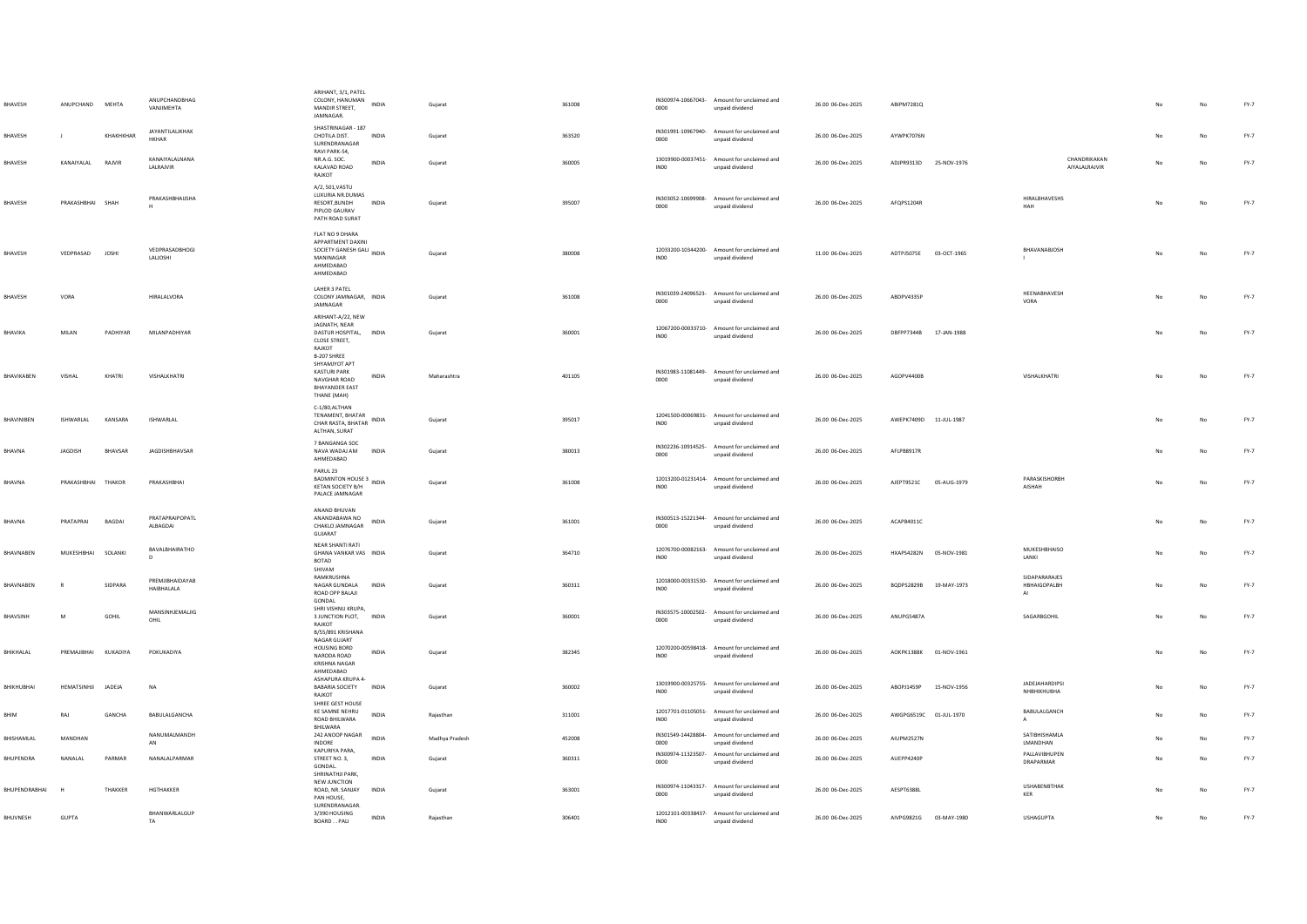| <b>BHAVESH</b>   | ANUPCHAND MEHTA      |               | ANUPCHANDRHAG<br>VANIIMEHTA     | ARIHANT, 3/1, PATEL<br>COLONY, HANUMAN<br>MANDIR STREET,<br>JAMNAGAR.                                                          | INDIA        | Gujarat        | 361008 | 0000                       | IN300974-10667043- Amount for unclaimed and<br>unpaid dividend | 26.00 06-Dec-2025 | ABIPM7281Q             |             |                                             |                               |                | No          | $FY-7$ |
|------------------|----------------------|---------------|---------------------------------|--------------------------------------------------------------------------------------------------------------------------------|--------------|----------------|--------|----------------------------|----------------------------------------------------------------|-------------------|------------------------|-------------|---------------------------------------------|-------------------------------|----------------|-------------|--------|
| BHAVESH          |                      | KHAKHKHAR     | JAYANTILALIKHAK<br><b>HKHAR</b> | SHASTRINAGAR - 187<br>CHOTILA DIST.<br>SURENDRANAGAR                                                                           | INDIA        | Gujarat        | 363520 | 0000                       | IN301991-10967940- Amount for unclaimed and<br>unpaid dividend | 26.00 06-Dec-2025 | AYWPK7076N             |             |                                             |                               |                | No          | $FY-7$ |
| BHAVESH          | KANAIYALAL           | RAJVIR        | KANAIYALALNANA<br>LALRAJVIR     | RAVI PARK-54.<br>NR.A.G. SOC.<br>KALAVAD ROAD<br>RAJKOT                                                                        | INDIA        | Gujarat        | 360005 | IN00                       | 13019900-00037451- Amount for unclaimed and<br>unpaid dividend | 26.00 06-Dec-2025 | ADJPR9313D             | 25-NOV-1976 |                                             | CHANDRIKAKAN<br>AIYALALRAJVIR |                | No          | $FY-7$ |
| BHAVESH          | PRAKASHBHAI SHAH     |               | PRAKASHBHAUSHA                  | A/2, 501, VASTU<br>LUXURIA NR.DUMAS<br>RESORT, BUNDH<br>PIPLOD GAURAV<br>PATH ROAD SURAT                                       | <b>INDIA</b> | Gujarat        | 395007 | 0000                       | IN303052-10699908- Amount for unclaimed and<br>unpaid dividend | 26.00 06-Dec-2025 | AFQPS1204R             |             | HIRALBHAVESHS<br>HAH                        |                               |                | No          | $FY-7$ |
| BHAVESH          | VEDPRASAD            | <b>JOSHI</b>  | VEDPRASADBHOGI<br>LALIOSHI      | FLAT NO 9 DHARA<br>APPARTMENT DAXINI<br>APPANTMELLESH GALI<br>SOCIETY GANESH GALI INDIA<br>MANINAGAR<br>AHMEDARAD<br>AHMEDABAD |              | Gujarat        | 380008 | IN00                       | 12033200-10344200- Amount for unclaimed and<br>unpaid dividend | 11.00 06-Dec-2025 | ADTPJ5075E             | 03-OCT-1965 | BHAVANABJOSH                                |                               | No             | $_{\sf No}$ | FY-7   |
| BHAVESH          | VORA                 |               | HIRALALVORA                     | LAHER 3 PATEL<br>COLONY JAMNAGAR. INDIA<br>JAMNAGAR                                                                            |              | Guiarat        | 361008 | IN301039-24096523-<br>0000 | Amount for unclaimed and<br>unpaid dividend                    | 26.00 06-Dec-2025 | ABDPV4335P             |             | HEENABHAVESH<br>VORA                        |                               | N <sub>0</sub> | No          | $FY-7$ |
| BHAVIKA          | MILAN                | PADHIYAR      | MILANPADHIYAR                   | ARIHANT-A/22, NEW<br>JAGNATH, NEAR<br>DASTUR HOSPITAL,<br>CLOSE STREET,<br>RAJKOT<br>B-207 SHREE                               | <b>INDIA</b> | Gujarat        | 360001 | INO <sub>0</sub>           | 12067200-00033710- Amount for unclaimed and<br>unpaid dividend | 26.00 06-Dec-2025 | DBFPP7344B             | 17-JAN-1988 |                                             |                               | No             | No          | $FY-7$ |
| BHAVIKABEN       | VISHAL               | KHATRI        | VISHALKHATRI                    | SHYAMJYOT APT<br><b>KASTURI PARK</b><br>NAVGHAR ROAD<br><b>BHAYANDER EAST</b><br>THANE (MAH)                                   | <b>INDIA</b> | Maharashtra    | 401105 | 0000                       | IN301983-11081449- Amount for unclaimed and<br>unpaid dividend | 26.00 06-Dec-2025 | AGOPV4400B             |             | VISHALKHATRI                                |                               | No             | No          | $FY-7$ |
| BHAVINIBEN       | ISHWARLAL            | KANSARA       | ISHWARLAL                       | C-1/80.ALTHAN<br>TENAMENT, BHATAR<br>CHAR RASTA, BHATAR INDIA<br>ALTHAN, SURAT                                                 |              | Gujarat        | 395017 | <b>IN00</b>                | 12041500-00069831- Amount for unclaimed and<br>unpaid dividend | 26.00 06-Dec-2025 | AWEPK7409D 11-JUL-1987 |             |                                             |                               |                | No          | $FY-7$ |
| BHAVNA           | <b>JAGDISH</b>       | BHAVSAR       | JAGDISHBHAVSAR                  | 7 BANGANGA SOC<br>NAVA WADAJ AM<br>AHMEDABAD                                                                                   | INDIA        | Gujarat        | 380013 | 0000                       | IN302236-10914525- Amount for unclaimed and<br>unpaid dividend | 26.00 06-Dec-2025 | AFLPB8917R             |             |                                             |                               |                | No          | $FY-7$ |
| BHAVNA           | PRAKASHBHAI THAKOR   |               | PRAKASHBHAI                     | PARUL 23<br>BADMINTON HOUSE 3<br>INDIA<br>KETAN SOCIETY B/H<br>PALACE JAMNAGAR                                                 |              | Guiarat        | 361008 | IN00                       | 12013200-01231414- Amount for unclaimed and<br>unpaid dividend | 26.00 06-Dec-2025 | AJEPT9521C 05-AUG-1979 |             | PARASKISHORBH<br>AISHAH                     |                               | No             | No          | $FY-7$ |
| BHAVNA           | PRATAPRAI            | <b>BAGDAI</b> | PRATAPRAIPOPATL<br>ALBAGDAI     | ANAND BHUVAN<br>ANANDABAWA NO<br>CHAKLO JAMNAGAR<br>GUJARAT                                                                    | <b>INDIA</b> | Gujarat        | 361001 | 0000                       | IN300513-15221344- Amount for unclaimed and<br>unpaid dividend | 26.00 06-Dec-2025 | ACAPB4011C             |             |                                             |                               | No             | No          | $FY-7$ |
| BHAVNABEN        | MUKESHBHAI SOLANKI   |               | BAVALBHAIRATHO<br>$\mathbf{r}$  | NEAR SHANTI RATI<br>GHANA VANKAR VAS INDIA<br><b>BOTAD</b><br>SHIVAM                                                           |              | Gujarat        | 364710 | IN00                       | 12076700-00082163- Amount for unclaimed and<br>unpaid dividend | 26.00 06-Dec-2025 | HXAPS4282N 05-NOV-1981 |             | MUKESHBHAISO<br>LANKI                       |                               |                | No          | $FY-7$ |
| BHAVNABEN        |                      | SIDPARA       | PREMIIRHAIDAYAR<br>HAIBHALALA   | RAMKRUSHNA<br>NAGAR GUNDALA<br>ROAD OPP BALAJI<br>GONDAL                                                                       | INDIA        | Gujarat        | 360311 | INO <sub>0</sub>           | 12018000-00331530- Amount for unclaimed and<br>unpaid dividend | 26.00 06-Dec-2025 | BQDPS2829B 19-MAY-1973 |             | SIDAPARARAJES<br>HBHAIGOPALBH<br>AI         |                               | No             | No          | $FY-7$ |
| BHAVSINH         | M                    | GOHIL         | MANSINHJEMALIIG<br>OHIL         | SHRI VISHNU KRUPA,<br>3 JUNCTION PLOT, INDIA<br>RAJKOT<br>B/55/891 KRISHANA                                                    |              | Gujarat        | 360001 | 0000                       | IN303575-10002502- Amount for unclaimed and<br>unpaid dividend | 26.00 06-Dec-2025 | ANUPG5487A             |             | SAGARBGOHIL                                 |                               |                | No          | $FY-7$ |
| BHIKHALAL        | PREMAJIBHAI KUKADIYA |               | POKUKADIYA                      | NAGAR GUIART<br><b>HOUSING BORD</b><br>NARODA ROAD<br><b>KRISHNA NAGAR</b><br>AHMEDABAD                                        | INDIA        | Gujarat        | 382345 | INO <sub>0</sub>           | 12070200-00598418- Amount for unclaimed and<br>unpaid dividend | 26.00 06-Dec-2025 | AOKPK1388K 01-NOV-1961 |             |                                             |                               | No             | No          | $FY-7$ |
| BHIKHUBHAI       | <b>HEMATSINHII</b>   | JADEJA        | <b>NA</b>                       | ASHAPURA KRUPA 4-<br>BABARIA SOCIETY INDIA<br>RAJKOT                                                                           |              | Gujarat        | 360002 | IN <sub>00</sub>           | 13019900-00325755- Amount for unclaimed and<br>unpaid dividend | 26.00 06-Dec-2025 | AROPI1459P             | 15-NOV-1956 | JADEJAHARDIPSI<br><b><i>NHBHIKHUBHA</i></b> |                               | No             | No          | $FY-7$ |
| BHIM             | RAJ                  | GANCHA        | BABULALGANCHA                   | SHREE GEST HOUSE<br>KE SAMNE NEHRU<br>ROAD BHILWARA<br>BHILWARA                                                                | INDIA        | Rajasthan      | 311001 | INO <sub>0</sub>           | 12017701-01105051- Amount for unclaimed and<br>unpaid dividend | 26.00 06-Dec-2025 | AWGPG6519C 01-JUL-1970 |             | BABULALGANCH<br>A                           |                               | No             | No          | $FY-7$ |
| BHISHAMLAL       | MANDHAN              |               | NANUMALMANDH<br>AN              | 242 ANOOP NAGAR<br>INDORE<br>KAPURIYA PARA,                                                                                    | INDIA        | Madhya Pradesh | 452008 | 0000                       | IN301549-14428804- Amount for unclaimed and<br>unpaid dividend | 26.00 06-Dec-2025 | AIUPM2527N             |             | SATIBHISHAMLA<br>LMANDHAN<br>PALLAVIBHUPEN  |                               |                | No          | FY-7   |
| <b>BHUPENDRA</b> | NANALAL              | PARMAR        | NANALALPARMAR                   | STREET NO. 3,<br>GONDAL.<br>SHRINATHJI PARK,                                                                                   | <b>INDIA</b> | Guiarat        | 360311 | 0000                       | IN300974-11323507- Amount for unclaimed and<br>unpaid dividend | 26.00 06-Dec-2025 | AUEPP4240P             |             | DRAPARMAR                                   |                               |                | No          | $FY-7$ |
| BHUPENDRABHAI    |                      | THAKKER       | HGTHAKKER                       | NEW JUNCTION<br>ROAD, NR. SANJAY<br>PAN HOUSE,                                                                                 | <b>INDIA</b> | Gujarat        | 363001 | 0000                       | IN300974-11043317- Amount for unclaimed and<br>unpaid dividend | 26.00 06-Dec-2025 | AESPT6388L             |             | <b>USHABENBTHAK</b><br>KER                  |                               |                | No          | $FY-7$ |
| BHUVNESH         | GUPTA                |               | BHANWARLALGUP<br>TA             | SURENDRANAGAR<br>3/390 HOUSING<br>BOARD.PALI                                                                                   | INDIA        | Rajasthan      | 306401 | IN00                       | 12012101-00338437- Amount for unclaimed and<br>unpaid dividend | 26.00 06-Dec-2025 | AIVPG9821G 03-MAY-1980 |             | <b>USHAGUPTA</b>                            |                               |                | $_{\sf No}$ | $FY-7$ |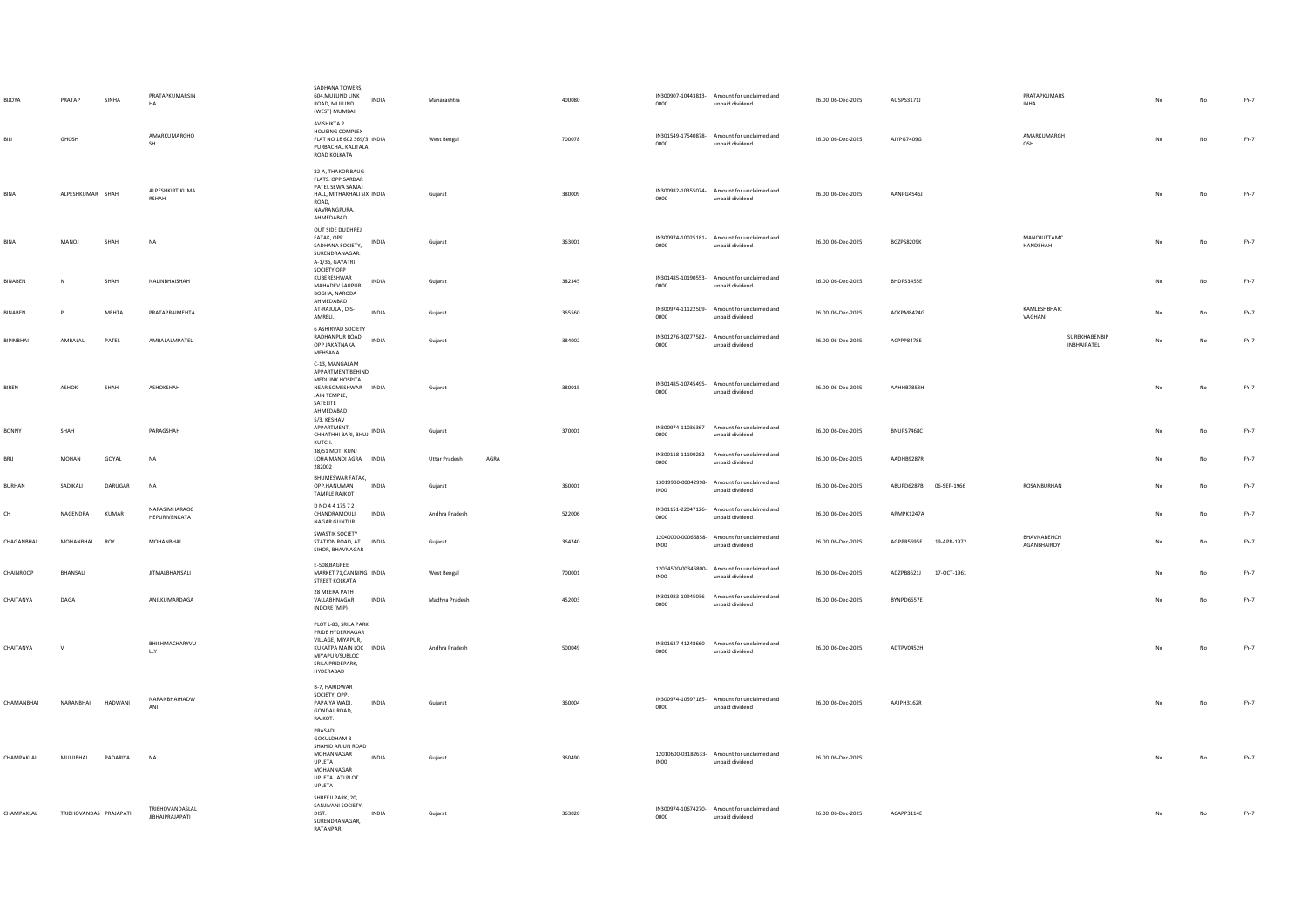| BIJOYA         | PRATAP                 | SINHA          | PRATAPKUMARSIN<br>HA                      | SADHANA TOWERS,<br>604, MULUND LINK<br><b>INDIA</b><br>ROAD, MULUND<br>(WEST) MUMBAI                                                       | Maharashtra                  | 400080 | 0000             | IN300907-10443813- Amount for unclaimed and<br>unpaid dividend | 26.00 06-Dec-2025 | AUSPS3171J             |             | PRATAPKUMARS<br><b>INHA</b>     |     | No | $FY-7$ |
|----------------|------------------------|----------------|-------------------------------------------|--------------------------------------------------------------------------------------------------------------------------------------------|------------------------------|--------|------------------|----------------------------------------------------------------|-------------------|------------------------|-------------|---------------------------------|-----|----|--------|
| BILI           | GHOSH                  |                | AMARKUMARGHO<br>SH                        | AVISHIKTA 2<br>HOUSING COMPLEX<br>FLAT NO 1B 602 369/3 INDIA<br>PURBACHAL KALITALA<br>ROAD KOLKATA                                         | West Bengal                  | 700078 | 0000             | IN301549-17540878- Amount for unclaimed and<br>unpaid dividend | 26.00 06-Dec-2025 | AJYPG7409G             |             | <b>AMARKUMARGH</b><br>OSH       |     | No | $FY-7$ |
| BINA           | ALPESHKUMAR SHAH       |                | ALPESHKIRTIKUMA<br><b>RSHAH</b>           | 82-A THAKOR BALIG<br>FLATS. OPP.SARDAR<br>PATEL SEWA SAMAJ<br>HALL, MITHAKHALI SIX INDIA<br>ROAD,<br>NAVRANGPURA,<br>AHMEDARAD             | Gujarat                      | 380009 | 0000             | IN300982-10355074- Amount for unclaimed and<br>unpaid dividend | 26.00 06-Dec-2025 | AANPG4546J             |             |                                 | No  | No | $FY-7$ |
| <b>BINA</b>    | MANOJ                  | SHAH           | NA                                        | OUT SIDE DUDHREJ<br>FATAK OPP<br>INDIA<br>SADHANA SOCIETY<br>SURENDRANAGAR.<br>A-1/36, GAYATRI                                             | Gujarat                      | 363001 | 0000             | IN300974-10025181- Amount for unclaimed and<br>unnaid dividend | 26.00 06-Dec-2025 | BGZPS8209K             |             | <b>MANOILITTAMC</b><br>HANDSHAH |     | No | $FY-7$ |
| BINABEN        |                        | SHAH           | NALINBHAISHAH                             | SOCIETY OPP<br>KUBERESHWAR<br>INDIA<br>MAHADEV SAUPUR<br>ROGHA NARODA<br>AHMEDARAD                                                         | Gujarat                      | 382345 | 0000             | IN301485-10190553- Amount for unclaimed and<br>unpaid dividend | 26.00 06-Dec-2025 | BHDPS3455E             |             |                                 |     | No | $FY-7$ |
| <b>RINARFN</b> | $\mathbf{D}$           | <b>MFHTA</b>   | PRATAPRAIMEHTA                            | AT-RAJULA, DIS-<br><b>INDIA</b><br>AMRELI.                                                                                                 | Guiarat                      | 365560 | 0000             | IN300974-11122509- Amount for unclaimed and<br>unpaid dividend | 26.00.06-Dec-2025 | ACKPM8424G             |             | KAMLESHBHAIC<br>VAGHANI         | No  | No | $FY-7$ |
| BIPINBHAI      | AMBALAL                | PATEL          | AMBALALMPATEL                             | <b>6 ASHIRVAD SOCIETY</b><br>RADHANPUR ROAD<br><b>INDIA</b><br>OPP JAKATNAKA,<br>MEHSANA                                                   | Gujarat                      | 384002 | 0000             | IN301276-30277582- Amount for unclaimed and<br>unpaid dividend | 26.00 06-Dec-2025 | ACPPP8478E             |             | SUREKHABENBIP<br>INBHAIPATEL    | No  | No | $FY-7$ |
| <b>RIREN</b>   | ASHOK                  | SHAH           | ASHOKSHAH                                 | C-13, MANGALAM<br>APPARTMENT BEHIND<br>MEDILINK HOSPITAL<br>NEAR SOMESHWAR INDIA<br>JAIN TEMPLE,<br>SATELITE<br>AHMEDABAD                  | Gujarat                      | 380015 | 0000             | IN301485-10745495- Amount for unclaimed and<br>unpaid dividend | 26.00.06-Dec-2025 | AAHHR7853H             |             |                                 | No  | No | $FY-7$ |
| BONNY          | SHAH                   |                | PARAGSHAH                                 | 5/3, KESHAV<br>APPARTMENT,<br>CHHATHHI BARI, BHUJ- INDIA<br>KUTCH.                                                                         | Gujarat                      | 370001 | 0000             | IN300974-11036367- Amount for unclaimed and<br>unpaid dividend | 26.00 06-Dec-2025 | <b>BNUPS7468C</b>      |             |                                 | No  | No | FY-7   |
| RRII           | MOHAN                  | GOYAL          | <b>NA</b>                                 | 38/51 MOTI KUNJ<br>LOHA MANDI AGRA INDIA<br>282002                                                                                         | AGRA<br><b>Uttar Pradesh</b> |        | 0000             | IN300118-11190282- Amount for unclaimed and<br>unpaid dividend | 26.00 06-Dec-2025 | AADHR9287R             |             |                                 | No  | No | FY-7   |
| <b>RURHAN</b>  | SADIKALI               | DARUGAR        | <b>NA</b>                                 | BHUMESWAR FATAK,<br><b>OPP HANUMAN</b><br><b>INDIA</b><br><b>TAMPLE RAJKOT</b>                                                             | Gujarat                      | 360001 | INO <sub>0</sub> | 13019900-00042998- Amount for unclaimed and<br>unpaid dividend | 26.00 06-Dec-2025 | ABUPD6287B 06-SEP-1966 |             | ROSANBURHAN                     | No  | No | FY-7   |
| CH             | NAGENDRA               | KUMAR          | NARASIMHARAOC<br>HEPURIVENKATA            | D NO 4 4 175 7 2<br>CHANDRAMOULI<br><b>INDIA</b><br>NAGAR GUNTUR                                                                           | Andhra Pradesh               | 522006 | 0000             | IN301151-22047126- Amount for unclaimed and<br>unpaid dividend | 26.00 06-Dec-2025 | APMPK1247A             |             |                                 | No. | No | FY-7   |
| CHAGANBHAI     | MOHANRHAI              | ROY            | MOHANRHAI                                 | <b>SWASTIK SOCIETY</b><br>STATION ROAD, AT INDIA<br>SIHOR, BHAVNAGAR                                                                       | Gujarat                      | 364240 | INO <sub>0</sub> | 12040000-00066858- Amount for unclaimed and<br>unpaid dividend | 26.00 06-Dec-2025 | <b>AGPPR5695F</b>      | 19-APR-1972 | BHAVNABENCH<br>AGANBHAIROY      | No  | No | $FY-7$ |
| CHAINROOP      | BHANSALI               |                | <b>JITMALBHANSALI</b>                     | E-508, BAGREE<br>MARKET 71, CANNING INDIA<br>STREET KOLKATA                                                                                | West Bengal                  | 700001 | IN00             | 12034500-00346800- Amount for unclaimed and<br>unpaid dividend | 26.00 06-Dec-2025 | ADZPB8621J             | 17-OCT-1961 |                                 | No  | No | $FY-7$ |
| CHAITANYA      | DAGA                   |                | ANILKUMARDAGA                             | 28 MEERA PATH<br>VALLABHNAGAR.<br><b>INDIA</b><br>INDORE (MP)                                                                              | Madhya Pradesh               | 452003 | 0000             | IN301983-10945036- Amount for unclaimed and<br>unpaid dividend | 26.00 06-Dec-2025 | BYNPD6657E             |             |                                 | No  | No | $FY-7$ |
| CHAITANYA      | $\mathsf V$            |                | BHISHMACHARYVU<br>LLY                     | PLOT L-83, SRILA PARK<br>PRIDE HYDERNAGAR<br>VILLAGE, MIYAPUR,<br>KUKATPA MAIN LOC INDIA<br>MIYAPUR/SUBLOC<br>SRILA PRIDEPARK<br>HYDERARAD | Andhra Pradesh               | 500049 | 0000             | IN301637-41248660- Amount for unclaimed and<br>unpaid dividend | 26.00 06-Dec-2025 | ADTPV0452H             |             |                                 | No  | No | $FY-7$ |
| CHAMANBHAI     | NARANBHAI              | <b>HADWANI</b> | NARANBHAIHADW<br>ANI                      | B-7, HARIDWAR<br>SOCIETY, OPP.<br>PAPAIYA WADI.<br><b>INDIA</b><br>GONDAL ROAD,<br>RAJKOT.                                                 | Guiarat                      | 360004 | 0000             | IN300974-10597185- Amount for unclaimed and<br>unpaid dividend | 26.00 06-Dec-2025 | AAJPH3162R             |             |                                 | No  | No | FY-7   |
| CHAMPAKLAL     | MULIBHAI               | PADARIYA       | <b>NA</b>                                 | PRASADI<br>GOKULDHAM 3<br>SHAHID ARJUN ROAD<br>MOHANNAGAR<br>INDIA<br>UPLETA<br>MOHANNAGAR<br>UPLETA LATI PLOT<br>UPLETA                   | Guiarat                      | 360490 | <b>IN00</b>      | 12010600-03182633- Amount for unclaimed and<br>unpaid dividend | 26.00 06-Dec-2025 |                        |             |                                 | No  | No | $FY-7$ |
| CHAMPAKI AI    | TRIRHOVANDAS PRAIAPATI |                | TRIBHOVANDASLAL<br><b>JIBHAIPRAJAPATI</b> | SHREEJI PARK, 20,<br>SANJIVANI SOCIETY,<br><b>INDIA</b><br>DIST.<br>SURENDRANAGAR<br>RATANPAR.                                             | Guiarat                      | 363020 | 0000             | IN300974-10674270- Amount for unclaimed and<br>unpaid dividend | 26.00.06-Dec-2025 | ACAPP3114F             |             |                                 |     | No | FY-7   |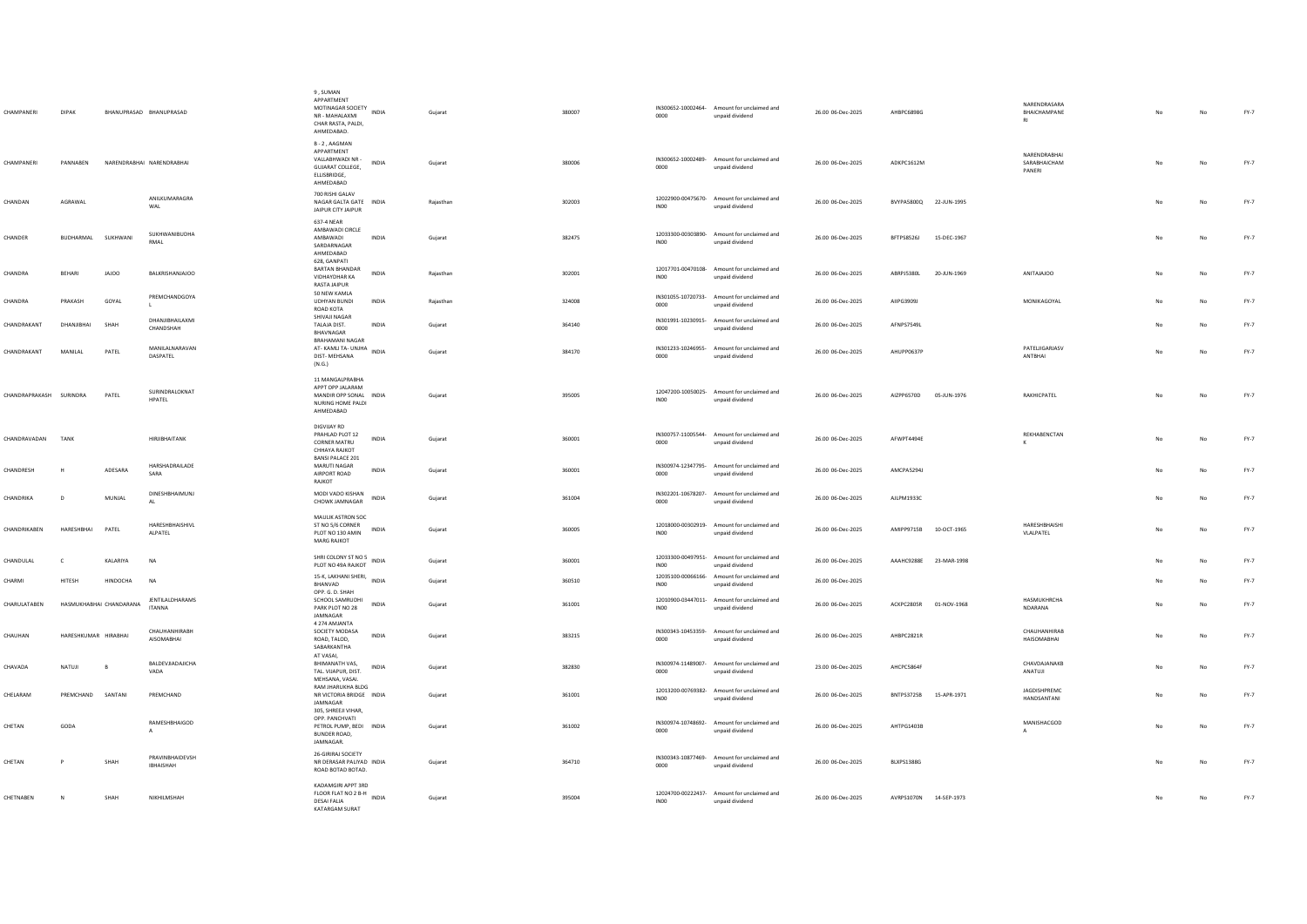| CHAMPANERI              | DIPAK                   |          | BHANUPRASAD BHANUPRASAD       | 9. SUMAN<br>APPARTMENT<br>MOTINAGAR SOCIETY<br>NR - MAHALAXMI<br>CHAR RASTA, PALDI,<br>AHMEDABAD.    | INDIA        | Gujarat   | 380007 | 0000             | IN300652-10002464- Amount for unclaimed and<br>unpaid dividend                                                | 26.00 06-Dec-2025 | AHBPC6898G                | NARENDRASARA<br>BHAICHAMPANE<br>R1     | No             | No          | $FY-7$ |
|-------------------------|-------------------------|----------|-------------------------------|------------------------------------------------------------------------------------------------------|--------------|-----------|--------|------------------|---------------------------------------------------------------------------------------------------------------|-------------------|---------------------------|----------------------------------------|----------------|-------------|--------|
| CHAMPANERI              | PANNABEN                |          | NARENDRABHAI NARENDRABHAI     | B-2. AAGMAN<br>APPARTMENT<br>VALLABHWADI NR -<br>GUJARAT COLLEGE,<br>ELLISBRIDGE,<br>AHMEDABAD       | INDIA        | Gujarat   | 380006 | 0000             | IN300652-10002489- Amount for unclaimed and<br>unpaid dividend                                                | 26.00 06-Dec-2025 | ADKPC1612M                | NARENDRABHAI<br>SARABHAICHAM<br>PANERI |                | No          | $FY-7$ |
| CHANDAN                 | AGRAWAL                 |          | ANILKUMARAGRA<br>WAL          | 700 RISHI GALAV<br>NAGAR GALTA GATE INDIA<br>JAIPUR CITY JAIPUR                                      |              | Rajasthan | 302003 | INO <sub>0</sub> | 12022900-00475670- Amount for unclaimed and<br>unpaid dividend                                                | 26.00 06-Dec-2025 | BVYPA5800Q 22-JUN-1995    |                                        | No             | No          | $FY-7$ |
| CHANDER                 | BUDHARMAL               | SUKHWANI | SUKHWANIBUDHA<br>RMAI         | 637-4 NEAR<br>AMBAWADI CIRCLE<br>AMBAWADI<br>SARDARNAGAR<br>AHMEDABAD<br>628, GANPATI                | INDIA        | Gujarat   | 382475 | INO <sub>0</sub> | 12033300-00303890- Amount for unclaimed and<br>unpaid dividend                                                | 26.00 06-Dec-2025 | BFTPS8526J<br>15-DEC-1967 |                                        | No             | $_{\sf No}$ | $FY-7$ |
| CHANDRA                 | <b>REHARL</b>           | JAJOO    | <b>BALKRISHANJAJOO</b>        | BARTAN BHANDAR<br>VIDHAYDHAR KA<br>RASTA JAIPUR                                                      | <b>INDIA</b> | Rajasthan | 302001 | INO <sub>0</sub> | 12017701-00470108- Amount for unclaimed and<br>unpaid dividend                                                | 26.00 06-Dec-2025 | ABRPJ5380L<br>20-JUN-1969 | ANITAJAJOO                             | No.            | No          | FY-7   |
| CHANDRA                 | PRAKASH                 | GOYAL    | PREMCHANDGOYA                 | 50 NEW KAMLA<br><b>UDHYAN BUNDI</b><br>ROAD KOTA<br>SHIVAJI NAGAR                                    | INDIA        | Rajasthan | 324008 | 0000             | IN301055-10720733- Amount for unclaimed and<br>unpaid dividend                                                | 26.00 06-Dec-2025 | AIIPG3909J                | MONIKAGOYAL                            | No             | No          | FY-7   |
| CHANDRAKANT             | DHANIIRHAI              | SHAH     | DHANJIBHAILAXMI<br>CHANDSHAH  | TALAJA DIST.<br>BHAVNAGAR<br>BRAHAMANI NAGAR                                                         | INDIA        | Gujarat   | 364140 | 0000             | IN301991-10230915- Amount for unclaimed and<br>unpaid dividend                                                | 26.00 06-Dec-2025 | AFNPS7549L                |                                        | No             | No          | FY-7   |
| CHANDRAKANT             | MANILAL                 | PATEL    | MANILALNARAVAN<br>DASPATEL    | <b>AT-KAMLITA-UNJHA</b> INDIA<br>DIST- MEHSANA<br>(N.G.)                                             |              | Gujarat   | 384170 | 0000             | IN301233-10246955- Amount for unclaimed and<br>unpaid dividend                                                | 26.00 06-Dec-2025 | AHUPP0637P                | PATELJIGARJASV<br>ANTRHAI              | No             | No          | FY-7   |
| CHANDRAPRAKASH SURINDRA |                         | PATEL    | SURINDRALOKNAT<br>HPATEL      | 11 MANGALPRABHA<br>APPT OPP JALARAM<br>MANDIR OPP SONAL INDIA<br>NURING HOME PALDI<br>AHMEDABAD      |              | Gujarat   | 395005 | IN00             | 12047200-10050025- Amount for unclaimed and<br>unpaid dividend                                                | 26.00 06-Dec-2025 | AIZPP6570D 05-JUN-1976    | RAKHICPATEL                            | No             | No          | FY-7   |
| CHANDRAVADAN TANK       |                         |          | <b>HIRIIRHAITANK</b>          | DIGVIJAY RD<br>PRAHLAD PLOT 12<br>CORNER MATRU<br>CHHAYA RAJKOT<br><b>BANSI PALACE 201</b>           | <b>INDIA</b> | Gujarat   | 360001 | 0000             | IN300757-11005544- Amount for unclaimed and<br>unpaid dividend                                                | 26.00 06-Dec-2025 | AFWPT4494F                | REKHABENCTAN                           | No             | No          | FY-7   |
| CHANDRESH               |                         | ADESARA  | HARSHADRAILADE<br>SARA        | MARUTI NAGAR<br>AIRPORT ROAD<br>RAJKOT                                                               | <b>INDIA</b> | Gujarat   | 360001 | 0000             | IN300974-12347795- Amount for unclaimed and<br>unpaid dividend                                                | 26.00 06-Dec-2025 | AMCPA5294J                |                                        | No             | No          | $FY-7$ |
| CHANDRIKA               | $\sqrt{2}$              | MUNJAL   | DINESHBHAIMUNJ<br>AL          | MODI VADO KISHAN<br>CHOWK JAMNAGAR                                                                   | INDIA        | Gujarat   | 361004 | 0000             | IN302201-10678207- Amount for unclaimed and<br>unpaid dividend                                                | 26.00 06-Dec-2025 | AJLPM1933C                |                                        | No             | No          | FY-7   |
| CHANDRIKABEN            | <b>HARFSHRHAI</b>       | PATEL    | HARESHBHAISHIVL<br>ALPATEL    | MAULIK ASTRON SOC<br>ST NO 5/6 CORNER<br>PLOT NO 130 AMIN<br><b>MARG RAJKOT</b>                      | INDIA        | Gujarat   | 360005 | INO <sub>0</sub> | 12018000-00302919- Amount for unclaimed and<br>unpaid dividend                                                | 26.00 06-Dec-2025 | AMIPP9715B<br>10-OCT-1965 | HARESHBHAISHI<br>VLALPATEL             | No             | No          | FY-7   |
| CHANDULAL               | $\mathsf{C}$            | KALARIYA | NA                            | SHRI COLONY ST NO 5<br>PLOT NO 49A RAJKOT                                                            | INDIA        | Gujarat   | 360001 | INO <sub>0</sub> | 12033300-00497951- Amount for unclaimed and<br>unpaid dividend                                                | 26.00 06-Dec-2025 | AAAHC9288E 23-MAR-1998    |                                        | No             | $_{\sf No}$ | $FY-7$ |
| CHARMI                  | HITESH                  | HINDOCHA | <b>NA</b><br>JENTILALDHARAMS  | 15-K, LAKHANI SHERI, INDIA<br>RHANVAD<br>OPP. G. D. SHAH<br>SCHOOL SAMRUDHI                          |              | Gujarat   | 360510 | <b>INOO</b>      | 12035100-00066166- Amount for unclaimed and<br>unpaid dividend<br>12010900-03447011- Amount for unclaimed and | 26.00 06-Dec-2025 |                           | HASMUKHRCHA                            | N <sub>0</sub> | No          | FY-7   |
| CHARULATABEN            | HASMUKHABHAI CHANDARANA |          | <b>ITANNA</b>                 | PARK PLOT NO 28<br>JAMNAGAR<br>4.274 AMIANTA                                                         | <b>INDIA</b> | Gujarat   | 361001 | INO <sub>0</sub> | unpaid dividend                                                                                               | 26.00 06-Dec-2025 | ACKPC2805R 01-NOV-1968    | NDARANA                                | No             | No          | FY-7   |
| CHAUHAN                 | HARFSHKUMAR HIRARHAI    |          | CHAUHANHIRABH<br>AISOMABHAI   | SOCIETY MODASA<br>ROAD, TALOD,<br>SABARKANTHA                                                        | <b>INDIA</b> | Gujarat   | 383215 | 0000             | IN300343-10453359- Amount for unclaimed and<br>unpaid dividend                                                | 26.00 06-Dec-2025 | AHRPC2821R                | CHAUHANHIRAB<br><b>HAISOMABHAI</b>     | No.            | No          | FY-7   |
| CHAVADA                 | NATUJI                  | B        | BALDEVJIADAJICHA<br>VADA      | AT VASAI,<br>BHIMANATH VAS,<br>TAL. VIJAPUR, DIST.<br>MEHSANA, VASAI.                                | <b>INDIA</b> | Guiarat   | 382830 | 0000             | IN300974-11489007- Amount for unclaimed and<br>unpaid dividend                                                | 23.00 06-Dec-2025 | AHCPC5864F                | CHAVDAJANAKB<br>ANATUJI                | No             | No          | FY-7   |
| CHELARAM                | PREMCHAND SANTANI       |          | PREMCHAND                     | RAM JHARUKHA BLDG<br>NR VICTORIA BRIDGE INDIA<br>JAMNAGAR                                            |              | Gujarat   | 361001 | INO <sub>0</sub> | 12013200-00769382- Amount for unclaimed and<br>unpaid dividend                                                | 26.00 06-Dec-2025 | BNTPS3725B<br>15-APR-1971 | JAGDISHPREMC<br>HANDSANTANI            | No             | No          | $FY-7$ |
| CHETAN                  | GODA                    |          | RAMESHBHAIGOD<br>$\mathsf{A}$ | 305. SHREEJI VIHAR.<br>OPP. PANCHVATI<br>PETROL PUMP, BEDI INDIA<br><b>BUNDER ROAD,</b><br>JAMNAGAR. |              | Gujarat   | 361002 | 0000             | IN300974-10748692- Amount for unclaimed and<br>unpaid dividend                                                | 26.00 06-Dec-2025 | AHTPG1403B                | MANISHACGOD<br>$\mathbf{A}$            | No             | No          | FY-7   |
| CHETAN                  |                         | SHAH     | PRAVINBHAIDEVSH<br>IBHAISHAH  | 26-GIRIRAJ SOCIETY<br>NR DERASAR PALIYAD INDIA<br>ROAD BOTAD BOTAD.                                  |              | Gujarat   | 364710 | 0000             | IN300343-10877469- Amount for unclaimed and<br>unpaid dividend                                                | 26.00 06-Dec-2025 | BLXPS1388G                |                                        |                | No          | $FY-7$ |
| CHETNABEN               | N                       | SHAH     | NIKHILMSHAH                   | KADAMGIRI APPT 3RD<br>FLOOR FLAT NO 2 B-H INDIA<br><b>DESAI FALIA</b><br>KATARGAM SURAT              |              | Gujarat   | 395004 | INO <sub>0</sub> | 12024700-00222437- Amount for unclaimed and<br>unpaid dividend                                                | 26.00 06-Dec-2025 | AVRPS1070N 14-SEP-1973    |                                        | No             | No          | $FY-7$ |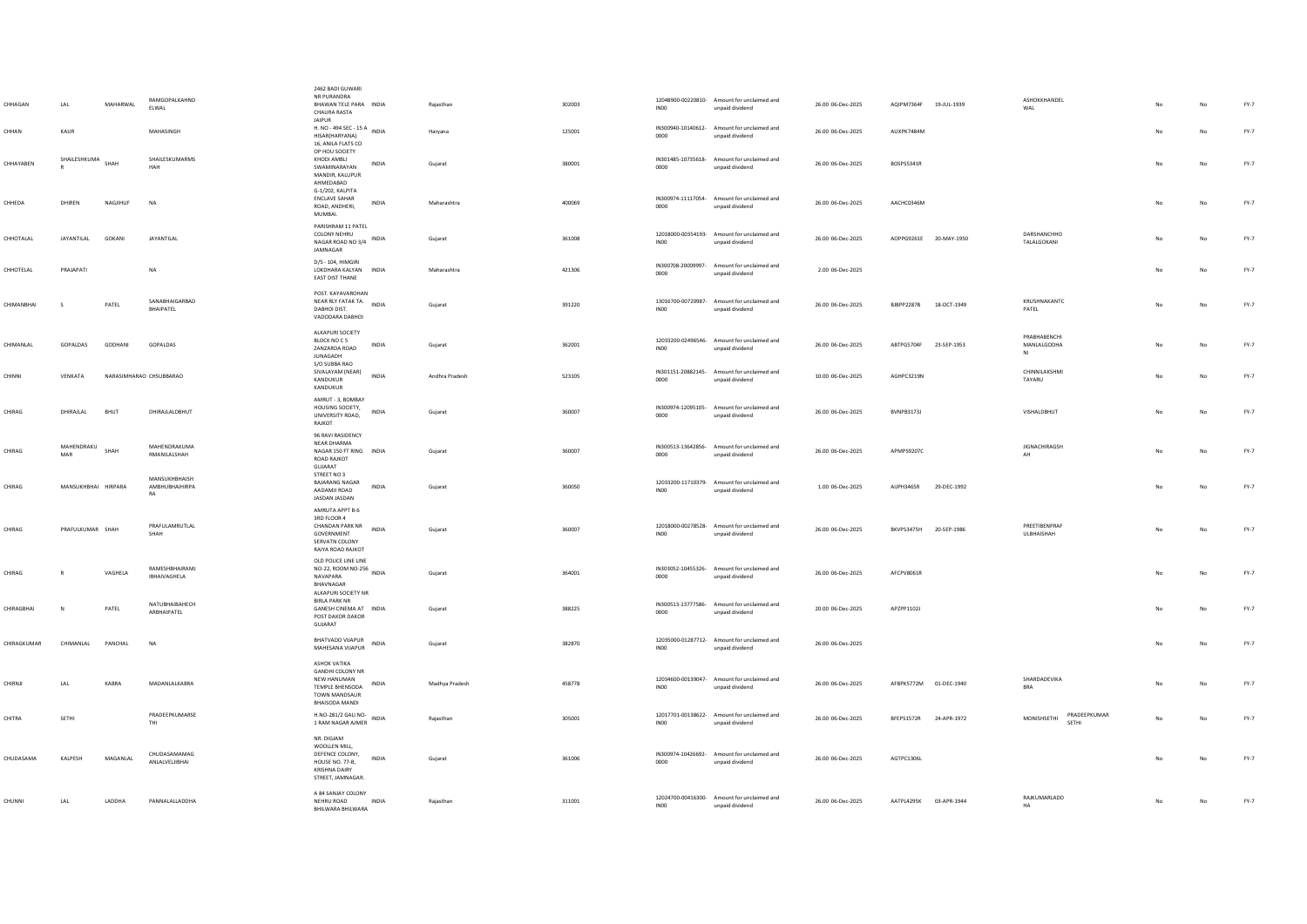|             |                     |                         | RAMGOPALKAHND                         | 2462 BADI GUWARI<br>NR PURANDRA                                                                                     |              |                |        |                  | 12048900-00220810- Amount for unclaimed and                    |                   |                        |             | ASHOKKHANDEL                         |     |             |        |
|-------------|---------------------|-------------------------|---------------------------------------|---------------------------------------------------------------------------------------------------------------------|--------------|----------------|--------|------------------|----------------------------------------------------------------|-------------------|------------------------|-------------|--------------------------------------|-----|-------------|--------|
| CHHAGAN     | LAL                 | MAHARWAL                | ELWAL                                 | BHAWAN TELE PARA INDIA<br>CHAURA RASTA<br>JAIPUR                                                                    |              | Rajasthan      | 302003 | <b>IN00</b>      | unpaid dividend                                                | 26.00 06-Dec-2025 | AQIPM7364F 19-JUL-1939 |             | WAL                                  |     | No          | FY-7   |
| CHHAN       | KAUR                |                         | MAHASINGH                             | JAIPUR<br>H. NO - 494 SEC - 15 A INDIA<br>HISAR(HARYANA)<br>16, ANILA FLATS CO                                      |              | Haryana        | 125001 | 0000             | IN300940-10140612- Amount for unclaimed and<br>unpaid dividend | 26.00 06-Dec-2025 | AUXPK7484M             |             |                                      |     | No          | FY-7   |
| CHHAYABEN   | SHAILESHKUMA        | SHAH                    | SHAILESKUMARMS<br>HAH                 | OP HOU SOCIETY<br>KHODI AMBLI<br>SWAMINARAYAN<br>MANDIR, KALUPUR<br>AHMEDABAD                                       | INDIA        | Gujarat        | 380001 | 0000             | IN301485-10735618- Amount for unclaimed and<br>unpaid dividend | 26.00 06-Dec-2025 | BOSPS5341R             |             |                                      |     | No          | FY-7   |
| CHHEDA      | DHIREN              | NAGJIHUF                | <b>NA</b>                             | G-1/202, KALPITA<br>ENCLAVE SAHAR<br>ROAD, ANDHERI,<br>MUMBAI.                                                      | INDIA        | Maharashtra    | 400069 | 0000             | IN300974-11117054- Amount for unclaimed and<br>unpaid dividend | 26.00 06-Dec-2025 | AACHC0346M             |             |                                      |     | No          | $FY-7$ |
| CHHOTALAL   | JAYANTILAL          | <b>GOKANI</b>           | JAYANTILAL                            | PARISHRAM 11 PATEL<br><b>COLONY NEHRU</b><br>NAGAR ROAD NO 3/4 INDIA<br>JAMNAGAR                                    |              | Gujarat        | 361008 | INO <sub>0</sub> | 12018000-00354193- Amount for unclaimed and<br>unpaid dividend | 26.00 06-Dec-2025 | AOPPG9261E 20-MAY-1950 |             | DARSHANCHHO<br>TALALGOKANI           |     | No          | FY-7   |
| CHHOTELAL   | PRAJAPATI           |                         | NA                                    | D/S - 104. HIMGIRI<br>LOKDHARA KALYAN INDIA<br>EAST DIST THANE                                                      |              | Maharashtra    | 421306 | 0000             | IN300708-20009997- Amount for unclaimed and<br>unpaid dividend | 2.00 06-Dec-2025  |                        |             |                                      |     | $_{\sf No}$ | $FY-7$ |
| CHIMANBHAI  | - S                 | PATEL                   | SANABHAIGARBAD<br>BHAIPATEL           | POST, KAYAVAROHAN<br>NEAR RLY FATAK TA.<br>DABHOI DIST.<br>VADODARA DABHOI                                          | INDIA        | Gujarat        | 391220 | INO <sub>0</sub> | 13016700-00720987- Amount for unclaimed and<br>unpaid dividend | 26.00 06-Dec-2025 | <b>BJBPP2287B</b>      | 18-OCT-1949 | KRUSHNAKANTC<br>PATEL                | No  | No          | $FY-7$ |
| CHIMANLAL   | GOPALDAS            | GODHANI                 | GOPALDAS                              | ALKAPURI SOCIETY<br>BLOCK NO C 5<br>ZANZARDA ROAD<br><b>JUNAGADH</b>                                                | INDIA        | Gujarat        | 362001 | INO <sub>0</sub> | 12033200-02496546- Amount for unclaimed and<br>unpaid dividend | 26.00 06-Dec-2025 | ABTPG5704F 23-SEP-1953 |             | PRARHARENCHI<br>MANLALGODHA<br>NI    | No  | No          | FY-7   |
| CHINNI      | VENKATA             | NARASIMHARAO CHSUBBARAO |                                       | S/O SUBBA RAO<br>SIVALAYAM (NEAR)<br>KANDUKUR<br>KANDUKUR                                                           | <b>INDIA</b> | Andhra Pradesh | 523105 | 0000             | IN301151-20882145- Amount for unclaimed and<br>unpaid dividend | 10.00 06-Dec-2025 | AGHPC3219N             |             | CHINNILAKSHMI<br>TAYARU              |     | No          | $FY-7$ |
| CHIRAG      | DHIRAJLAL           | BHUT                    | DHIRAJLALDBHUT                        | AMRUT - 3, BOMBAY<br>HOUSING SOCIETY,<br>UNIVERSITY ROAD,<br>RAJKOT                                                 | INDIA        | Guiarat        | 360007 | 0000             | IN300974-12095105- Amount for unclaimed and<br>unpaid dividend | 26.00 06-Dec-2025 | BVNPB3173J             |             | VISHALDBHUT                          | No  | No          | FY-7   |
| CHIRAG      | MAHENDRAKU<br>MAR   | SHAH                    | MAHENDRAKUMA<br>RMANILALSHAH          | 96 RAVI RASIDENCY<br>NEAR DHARMA<br>NAGAR 150 FT RING INDIA<br>ROAD RAJKOT<br>GUJARAT                               |              | Gujarat        | 360007 | 0000             | IN300513-13642856- Amount for unclaimed and<br>unpaid dividend | 26.00 06-Dec-2025 | APMPS9207C             |             | <b>JIGNACHIRAGSH</b><br>AH           | No  | No          | $FY-7$ |
| CHIRAG      | MANSUKHBHAI HIRPARA |                         | MANSUKHBHAISH<br>AMBHUBHAIHIRPA<br>RA | STREET NO 3<br><b>BAJARANG NAGAR</b><br>AADAMJI ROAD<br>JASDAN JASDAN                                               | <b>INDIA</b> | Gujarat        | 360050 | IN00             | 12033200-11710379- Amount for unclaimed and<br>unpaid dividend | 1.00 06-Dec-2025  | AIJPH3465R             | 29-DEC-1992 |                                      |     | No          | FY-7   |
| CHIRAG      | PRAFULKUMAR SHAH    |                         | PRAFULAMRUTI AL<br>SHAH               | AMRUTA APPT B-6<br>3RD FLOOR 4<br>CHANDAN PARK NR<br>GOVERNMENT<br>SERVATN COLONY<br>RAIYA ROAD RAJKOT              | INDIA        | Gujarat        | 360007 | <b>IN00</b>      | 12018000-00278528- Amount for unclaimed and<br>unpaid dividend | 26.00 06-Dec-2025 | BKVPS3475H             | 20-SEP-1986 | PREETIRENPRAE<br><b>ULRHAISHAH</b>   | No  | No          | $FY-7$ |
| CHIRAG      |                     | VAGHELA                 | RAMESHBHAIRAMJ<br>IRHAIVAGHELA        | OLD POLICE LINE LINE<br>NO-22, ROOM NO-256 INDIA<br>NAVAPARA<br>BHAVNAGAR<br>ALKAPURI SOCIETY NR                    |              | Gujarat        | 364001 | 0000             | IN303052-10455326- Amount for unclaimed and<br>unpaid dividend | 26.00 06-Dec-2025 | AFCPV8061R             |             |                                      |     | No          | FY-7   |
| CHIRAGRHAI  |                     | PATEL                   | NATUBHAIBAHECH<br>ARBHAIPATEL         | <b>BIRLA PARK NR</b><br>GANESH CINEMA AT INDIA<br>POST DAKOR DAKOR<br>GUJARAT                                       |              | Gujarat        | 388225 | 0000             | IN300513-13777586- Amount for unclaimed and<br>unpaid dividend | 20.00 06-Dec-2025 | APZPP1102J             |             |                                      |     | No          | FY-7   |
| CHIRAGKUMAR | CHIMANLAL           | PANCHAL                 | <b>NA</b>                             | <b>BHATVADO VIJAPUR</b><br>MAHESANA VIJAPUR                                                                         | INDIA        | Gujarat        | 382870 | INO <sub>0</sub> | 12035000-01287712- Amount for unclaimed and<br>unpaid dividend | 26.00 06-Dec-2025 |                        |             |                                      | No. | $_{\sf No}$ | $FY-7$ |
| CHIRNJI     | LAL                 | KABRA                   | MADANLALKABRA                         | ASHOK VATIKA<br><b>GANDHI COLONY NR</b><br>NEW HANUMAN<br>TEMPLE BHENSODA<br>TOWN MANDSAUR<br><b>BHAISODA MANDI</b> | INDIA        | Madhya Pradesh | 458778 | INO0             | 12034600-00139047- Amount for unclaimed and<br>unpaid dividend | 26.00 06-Dec-2025 | AFBPK5772M 01-DEC-1940 |             | SHARDADEVIKA<br><b>BRA</b>           | No  | No          | $FY-7$ |
| CHITRA      | SETHI               |                         | PRADEEPKUMARSE<br>THI                 | H.NO-281/2 GALI NO-<br>$1 \text{ RAM NAGAR AMER} \quad \text{INDIA}$                                                |              | Rajasthan      | 305001 | INO <sub>0</sub> | 12017701-00138622- Amount for unclaimed and<br>unpaid dividend | 26.00 06-Dec-2025 | BFEPS1572R             | 24-APR-1972 | PRADEEPKUMAR<br>MONISHSETHI<br>SFTHI |     | No          | FY-7   |
| CHUDASAMA   | KALPESH             | MAGANLAL                | CHUDASAMAMAG<br>ANLALVELJIBHAI        | NR. DIGJAM<br>WOOLLEN MILL.<br>DEFENCE COLONY,<br>HOUSE NO. 77-B,<br><b>KRISHNA DAIRY</b><br>STREET, JAMNAGAR.      | INDIA        | Gujarat        | 361006 | 0000             | IN300974-10426692- Amount for unclaimed and<br>unpaid dividend | 26.00 06-Dec-2025 | AGTPC1306L             |             |                                      |     | No          | FY-7   |
| CHUNNI      | LAL                 | LADDHA                  | PANNALALLADDHA                        | A 84 SANJAY COLONY<br>NEHRU ROAD<br>BHILWARA BHILWARA                                                               | <b>INDIA</b> | Rajasthan      | 311001 | INO <sub>0</sub> | 12024700-00416300- Amount for unclaimed and<br>unpaid dividend | 26.00 06-Dec-2025 | AATPL4295K 03-APR-1944 |             | RAJKUMARLADD<br>HA                   |     | No          | $FY-7$ |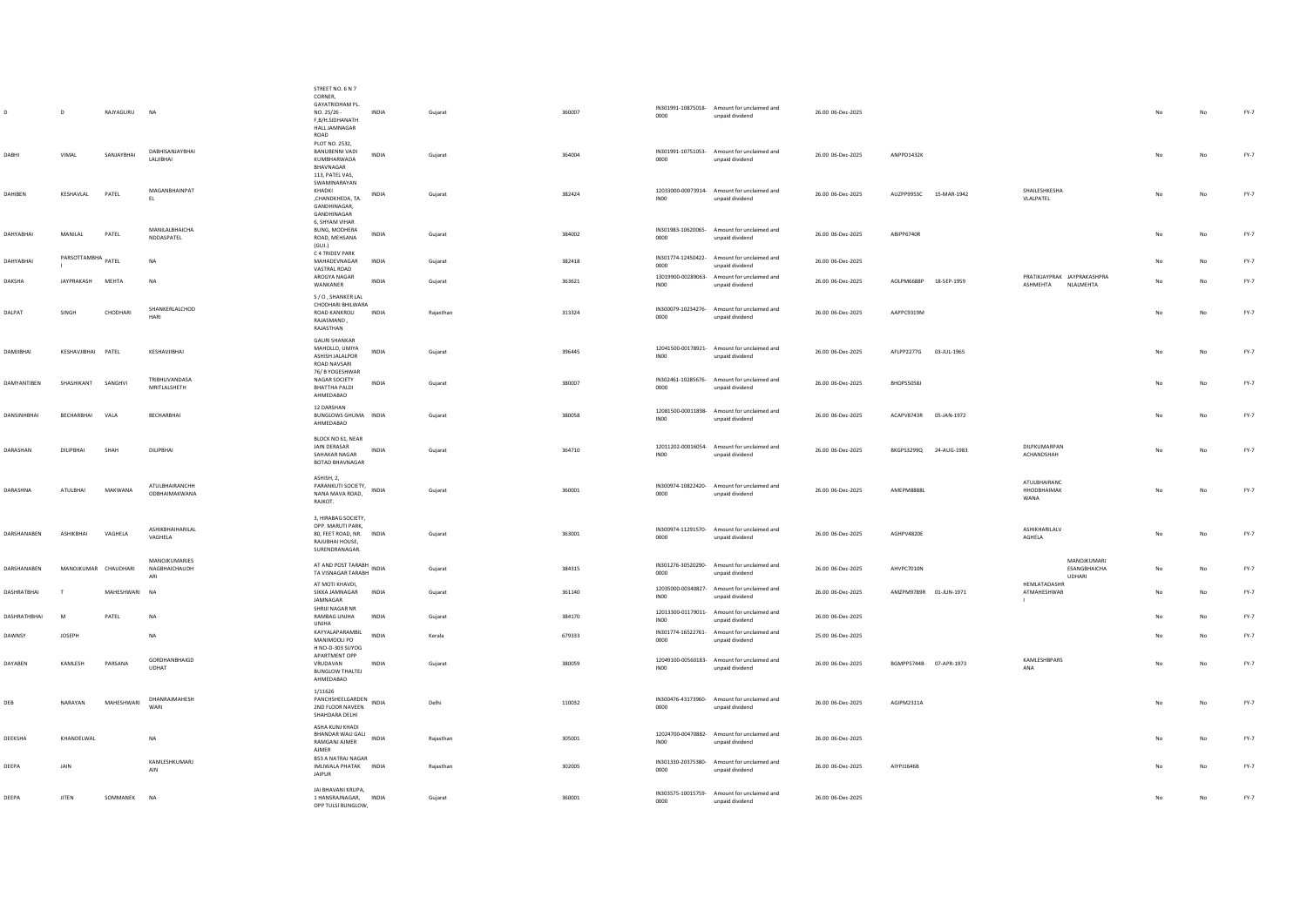|                   | D                    | RAJYAGURU     | <b>NA</b>                             | STREET NO. 6 N 7<br>CORNER,<br>GAYATRIDHAM PL<br>NO. 25/26 -<br>F.B/H.SIDHANATH<br>HALL JAMNAGAR                | <b>INDIA</b> | Guiarat   | 360007 | 0000             | IN301991-10875018- Amount for unclaimed and<br>unpaid dividend | 26.00 06-Dec-2025 |                        |                                                              | No  | No          | $FY-7$ |
|-------------------|----------------------|---------------|---------------------------------------|-----------------------------------------------------------------------------------------------------------------|--------------|-----------|--------|------------------|----------------------------------------------------------------|-------------------|------------------------|--------------------------------------------------------------|-----|-------------|--------|
| DABHI             | VIMAL                | SANJAYBHAI    | DABHISANJAYBHAI<br>LALIBHAI           | ROAD<br>PLOT NO. 2532,<br>BANUBENNI VADI<br>KUMBHARWADA<br>BHAVNAGAR                                            | <b>INDIA</b> | Gujarat   | 364004 | 0000             | IN301991-10751053- Amount for unclaimed and<br>unpaid dividend | 26.00 06-Dec-2025 | ANPPD1432K             |                                                              | No  | No          | $FY-7$ |
| DAHIBEN           | KESHAVLAL            | PATEL         | MAGANBHAINPAT<br>EL.                  | 113, PATEL VAS,<br>SWAMINARAYAN<br>KHADKI<br>,CHANDKHEDA, TA.<br><b>GANDHINAGAR</b><br>GANDHINAGAR              | INDIA        | Gujarat   | 382424 | INO <sub>0</sub> | 12033000-00073914- Amount for unclaimed and<br>unpaid dividend | 26.00 06-Dec-2025 | AUZPP9953C 15-MAR-1942 | SHAILESHKESHA<br>VLALPATEL                                   | No  | No          | $FY-7$ |
| DAHYABHAI         | MANILAL              | PATEL         | MANILALBHAICHA<br>NDDASPATEL          | 6, SHYAM VIHAR<br>BUNG, MODHERA<br>ROAD, MEHSANA<br>(GUI.)<br>C 4 TRIDEV PARK                                   | INDIA        | Gujarat   | 384002 | 0000             | IN301983-10620065- Amount for unclaimed and<br>unpaid dividend | 26.00 06-Dec-2025 | ABIPP6740R             |                                                              | No  | $_{\sf No}$ | FY-7   |
| DAHYABHAI         | PARSOTTAMBHA PATEL   |               | NA                                    | MAHADEVNAGAR<br>VASTRAL ROAD                                                                                    | INDIA        | Gujarat   | 382418 | 0000             | IN301774-12450422- Amount for unclaimed and<br>unpaid dividend | 26.00 06-Dec-2025 |                        |                                                              | No  | No          | $FY-7$ |
| DAKSHA            | JAYPRAKASH           | MEHTA         | <b>NA</b>                             | AROGYA NAGAR<br>WANKANER                                                                                        | <b>INDIA</b> | Guiarat   | 363621 | INO <sub>0</sub> | 13019900-00289063- Amount for unclaimed and<br>unpaid dividend | 26.00 06-Dec-2025 | AOLPM6688P 18-SEP-1959 | PRATIKJAYPRAK JAYPRAKASHPRA<br>ASHMEHTA NLALMEHTA            | No  | No          | $FY-7$ |
| DALPAT            | SINGH                | CHODHARI      | SHANKERLALCHOD<br>HARI                | S / O , SHANKER LAL<br>CHODHARI BHILWARA<br>ROAD KANKROLI<br>RAJASMAND,<br>RAJASTHAN                            | <b>INDIA</b> | Rajasthan | 313324 | 0000             | IN300079-10234276- Amount for unclaimed and<br>unpaid dividend | 26.00 06-Dec-2025 | AAPPC9319M             |                                                              | No  | No          | FY-7   |
| <b>DAMJIBHAI</b>  | KESHAVJIBHAI PATEL   |               | KESHAVJIBHAI                          | <b>GAURI SHANKAR</b><br>MAHOLLO, UMIYA<br>ASHISH IAI ALPOR<br>ROAD NAVSARI                                      | INDIA        | Gujarat   | 396445 | <b>INOO</b>      | 12041500-00178921- Amount for unclaimed and<br>unpaid dividend | 26.00 06-Dec-2025 | AFLPP2277G 03-JUL-1965 |                                                              | No  | No          | FY-7   |
| DAMYANTIBEN       | SHASHIKANT           | SANGHVI       | TRIBHUVANDASA<br>MRITI AI SHETH       | 76/ B YOGESHWAR<br>NAGAR SOCIETY<br><b>BHATTHA PALDI</b><br>AHMEDABAD                                           | INDIA        | Gujarat   | 380007 | 0000             | IN302461-10285676- Amount for unclaimed and<br>unpaid dividend | 26.00 06-Dec-2025 | BHOPS5058J             |                                                              | No  | No          | FY-7   |
| <b>DANSINHBHA</b> | BECHARBHAI           | VALA          | BECHARBHAI                            | 12 DARSHAN<br><b>BUNGLOWS GHUMA INDIA</b><br>AHMEDABAD                                                          |              | Gujarat   | 380058 | <b>INOO</b>      | 12081500-00011898- Amount for unclaimed and<br>unpaid dividend | 26.00 06-Dec-2025 | ACAPV8743R 05-JAN-1972 |                                                              | No  | No          | FY-7   |
| DARASHAN          | DILIPRHAL            | SHAH          | DILIPRHAL                             | BLOCK NO 61, NEAR<br>JAIN DERASAR<br>SAHAKAR NAGAR<br><b>BOTAD BHAVNAGAR</b>                                    | INDIA        | Gujarat   | 364710 | IN <sub>00</sub> | 12011202-00016054- Amount for unclaimed and<br>unpaid dividend | 26.00 06-Dec-2025 | BKGPS3299Q 24-AUG-1983 | DILPKUMARPAN<br>ACHANDSHAH                                   | No. | No          | FY-7   |
| DARASHNA          | ATULBHAI             | MAKWANA       | ATULBHAIRANCHH<br>ODBHAIMAKWANA       | ASHISH, 2,<br>PARANKUTI SOCIETY, INDIA<br>NANA MAVA ROAD,<br>RAJKOT.                                            |              | Gujarat   | 360001 | 0000             | IN300974-10822420- Amount for unclaimed and<br>unpaid dividend | 26.00 06-Dec-2025 | <b>AMEPM8888</b>       | ATULBHAIRANC<br>HHODBHAIMAK<br>WANA                          | No  | $_{\sf No}$ | $FY-7$ |
| DARSHANABEN       | ASHIKBHAI            | VAGHELA       | ASHIKBHAIHARILAL<br>VAGHELA           | 3, HIRABAG SOCIETY,<br>OPP. MARUTI PARK.<br>80, FEET ROAD, NR. INDIA<br>RAJUBHAI HOUSE,<br><b>SURENDRANAGAR</b> |              | Gujarat   | 363001 | 0000             | IN300974-11291570- Amount for unclaimed and<br>unpaid dividend | 26.00 06-Dec-2025 | AGHPV4820E             | ASHIKHARILALV<br>AGHELA                                      | No  | No          | $FY-7$ |
| DARSHANABEN       | MANOJKUMAR CHAUDHARI |               | MANOJKUMARJES<br>NAGBHAICHAUDH<br>ARI | AT AND POST TARABH<br>TA VISNAGAR TARABH INDIA<br>AT MOTI KHAVDI,                                               |              | Gujarat   | 384315 | 0000             | IN301276-30520290- Amount for unclaimed and<br>unpaid dividend | 26.00 06-Dec-2025 | AHVPC7010N             | MANOJKUMARI<br>ESANGBHAICHA<br><b>UDHARI</b><br>HEMLATADASHR | No  | No          | FY-7   |
| DASHRATBHAI       | T                    | MAHESHWARI NA |                                       | SIKKA JAMNAGAR<br>JAMNAGAR                                                                                      | INDIA        | Guiarat   | 361140 | INO <sub>0</sub> | 12035000-00340827- Amount for unclaimed and<br>unpaid dividend | 26.00 06-Dec-2025 | AMZPM9789R 01-JUN-1971 | ATMAHESHWAR<br>$\mathbf{1}$                                  | No  | No          | FY-7   |
| DASHRATHBHAI      | M                    | PATEL         | NA                                    | SHRIJI NAGAR NR<br>RAMBAG UNJHA<br>UNJHA                                                                        | INDIA        | Gujarat   | 384170 | IN00             | 12013300-01179011- Amount for unclaimed and<br>unpaid dividend | 26.00 06-Dec-2025 |                        |                                                              | No  | $_{\sf No}$ | $FY-7$ |
| DAWNSY            | <b>JOSEPH</b>        |               | <b>NA</b>                             | KAYYALAPARAMBIL<br>MANIMOOLI PO<br>H NO-D-303 SUYOG                                                             | <b>INDIA</b> | Kerala    | 679333 | 0000             | IN301774-16522761- Amount for unclaimed and<br>unpaid dividend | 25.00 06-Dec-2025 |                        |                                                              | No  | No          | FY-7   |
| DAYABEN           | KAMLESH              | PARSANA       | GORDHANBHAIGD<br><b>UDHAT</b>         | APARTMENT OPP<br>VRUDAVAN<br><b>BUNGLOW THALTEJ</b><br>AHMEDABAD                                                | INDIA        | Gujarat   | 380059 | INO <sub>0</sub> | 12049100-00560183- Amount for unclaimed and<br>unpaid dividend | 26.00 06-Dec-2025 | BGMPP5744B 07-APR-1973 | KAMLESHBPARS<br>ANA                                          | No  | $_{\sf No}$ | $FY-7$ |
| DEB               | NARAYAN              | MAHESHWARI    | DHANRAJMAHESH<br>WARI                 | 1/11626<br>PANCHSHEELGARDEN<br>2ND FLOOR NAVEEN<br>SHAHDARA DELHI                                               | INDIA        | Delhi     | 110032 | 0000             | IN300476-43173960- Amount for unclaimed and<br>unpaid dividend | 26.00 06-Dec-2025 | AGIPM2311A             |                                                              | No  | No          | FY-7   |
| DEEKSHA           | KHANDELWAL           |               | NA                                    | ASHA KUNJ KHADI<br>BHANDAR WALI GALI INDIA<br>RAMGANJ AJMER<br>AJMER                                            |              | Rajasthan | 305001 | <b>INOO</b>      | 12024700-00470882- Amount for unclaimed and<br>unpaid dividend | 26.00 06-Dec-2025 |                        |                                                              |     | No          | FY-7   |
| DEEPA             | JAIN                 |               | KAMLESHKUMARJ<br>AIN                  | <b>B53 A NATRAJ NAGAR</b><br>IMLIWALA PHATAK INDIA<br><b>JAIPUR</b>                                             |              | Raiasthan | 302005 | 0000             | IN301330-20375380- Amount for unclaimed and<br>unpaid dividend | 26.00 06-Dec-2025 | AIYPJ1646B             |                                                              | No  | No          | FY-7   |
| DEEPA             | <b>JITEN</b>         | SOMMANEK NA   |                                       | JAI BHAVANI KRUPA,<br>1 HANSRAJNAGAR. INDIA<br>OPP TULSI BUNGLOW.                                               |              | Gujarat   | 360001 | 0000             | IN303575-10015759- Amount for unclaimed and<br>unpaid dividend | 26.00 06-Dec-2025 |                        |                                                              | No  | No          | $FY-7$ |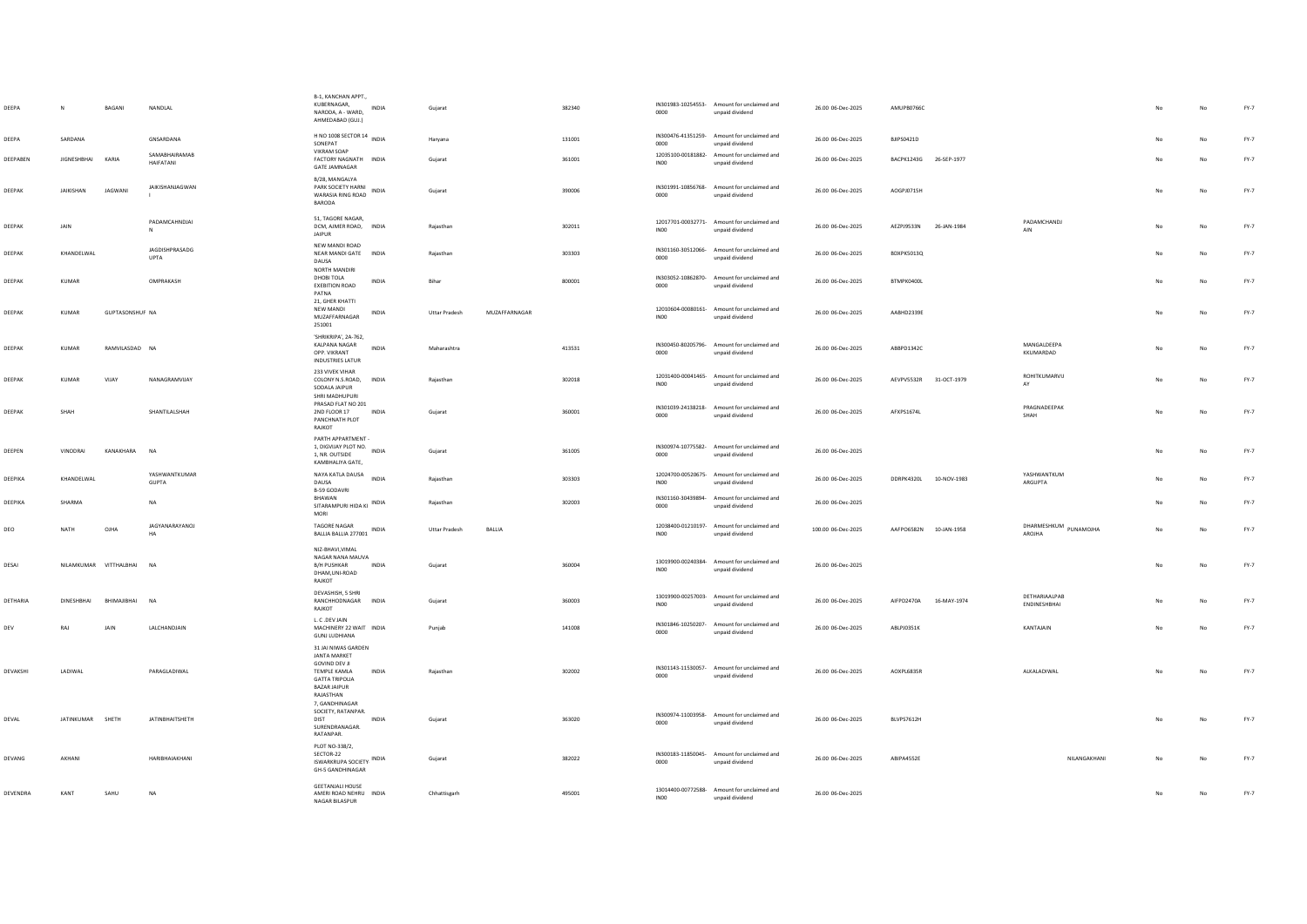| DEEPA    | N                  | BAGANI                 | NANDLAL                       | B-1, KANCHAN APPT.,<br>KUBERNAGAR.<br>INDIA<br>NARODA, A - WARD,<br>AHMEDABAD (GUJ.)                                                                            | Gujarat              |               | 382340 | 0000             | IN301983-10254553- Amount for unclaimed and<br>unpaid dividend | 26.00 06-Dec-2025  | AMUPB0766C             |             |                               |    | No | $FY-7$ |
|----------|--------------------|------------------------|-------------------------------|-----------------------------------------------------------------------------------------------------------------------------------------------------------------|----------------------|---------------|--------|------------------|----------------------------------------------------------------|--------------------|------------------------|-------------|-------------------------------|----|----|--------|
| DEEPA    | SARDANA            |                        | GNSARDANA                     | H NO 1008 SECTOR 14 INDIA<br>SONEPAT                                                                                                                            | Haryana              |               | 131001 | 0000             | IN300476-41351259- Amount for unclaimed and<br>unpaid dividend | 26.00 06-Dec-2025  | <b>BJIPS0421D</b>      |             |                               |    | No | FY-7   |
| DEEPABEN | <b>JIGNESHBHAI</b> | KARIA                  | SAMABHAIRAMAB<br>HAIFATANI    | <b>VIKRAM SOAP</b><br>FACTORY NAGNATH INDIA<br><b>GATE JAMNAGAR</b>                                                                                             | Gujarat              |               | 361001 | INO <sub>0</sub> | 12035100-00181882- Amount for unclaimed and<br>unpaid dividend | 26.00 06-Dec-2025  | BACPK1243G 26-SEP-1977 |             |                               |    | No | FY-7   |
| DEEPAK   | <b>JAIKISHAN</b>   | <b>JAGWANI</b>         | JAIKISHANJAGWAN               | B/28, MANGALYA<br>PARK SOCIETY HARNI<br>INDIA<br>WARASIA RING ROAD<br>BARODA                                                                                    | Gujarat              |               | 390006 | 0000             | IN301991-10856768- Amount for unclaimed and<br>unpaid dividend | 26.00 06-Dec-2025  | AOGPJ0715H             |             |                               | No | No | FY-7   |
| DEEPAK   | JAIN               |                        | PADAMCAHNDJAI<br>$\mathbb{N}$ | 51, TAGORE NAGAR,<br>DCM, AJMER ROAD, INDIA<br><b>JAIPUR</b>                                                                                                    | Rajasthan            |               | 302011 | INO <sub>0</sub> | 12017701-00032771- Amount for unclaimed and<br>unpaid dividend | 26.00 06-Dec-2025  | AEZPJ9533N             | 26-JAN-1984 | PADAMCHANDJ<br>AIN            | No | No | FY-7   |
| DEEPAK   | KHANDELWAL         |                        | JAGDISHPRASADG<br><b>UPTA</b> | NEW MANDI ROAD<br>NEAR MANDI GATE INDIA<br>DAUSA<br>NORTH MANDIRI                                                                                               | Rajasthan            |               | 303303 | 0000             | IN301160-30512066- Amount for unclaimed and<br>unpaid dividend | 26.00 06-Dec-2025  | BDXPK5013Q             |             |                               |    | No | FY-7   |
| DEEPAK   | KUMAR              |                        | OMPRAKASH                     | DHOBI TOLA<br><b>INDIA</b><br><b>EXEBITION ROAD</b><br>PATNA<br>21. GHER KHATTI                                                                                 | Bihar                |               | 800001 | 0000             | IN303052-10862870- Amount for unclaimed and<br>unpaid dividend | 26.00 06-Dec-2025  | BTMPK0400L             |             |                               | No | No | $FY-7$ |
| DEEPAK   | KUMAR              | <b>GUPTASONSHUF NA</b> |                               | NEW MANDI<br><b>INDIA</b><br>MUZAFFARNAGAR<br>251001                                                                                                            | <b>Uttar Pradesh</b> | MUZAFFARNAGAR |        | INO <sub>0</sub> | 12010604-00080161- Amount for unclaimed and<br>unpaid dividend | 26.00 06-Dec-2025  | AARHD2339F             |             |                               | No | No | FY-7   |
| DEEPAK   | KUMAR              | RAMVILASDAD NA         |                               | 'SHRIKRIPA', 2A-762,<br>KALPANA NAGAR<br><b>INDIA</b><br>OPP. VIKRANT<br><b>INDUSTRIES LATUR</b>                                                                | Maharashtra          |               | 413531 | 0000             | IN300450-80205796- Amount for unclaimed and<br>unpaid dividend | 26.00 06-Dec-2025  | ABBPD1342C             |             | MANGALDEEPA<br>KKUMARDAD      | No | No | FY-7   |
| DEEPAK   | KUMAR              | VIJAY                  | NANAGRAMVUAY                  | 233 VIVEK VIHAR<br>COLONY N.S.ROAD,<br><b>INDIA</b><br>SODALA JAIPUR<br>SHRI MADHUPURI                                                                          | Rajasthan            |               | 302018 | INO <sub>0</sub> | 12031400-00041465- Amount for unclaimed and<br>unpaid dividend | 26.00 06-Dec-2025  | AEVPV5532R 31-OCT-1979 |             | ROHITKUMARVIJ<br>AY           | No | No | FY-7   |
| DEEPAK   | SHAH               |                        | SHANTILALSHAH                 | PRASAD FLAT NO 201<br>2ND FLOOR 17<br><b>INDIA</b><br>PANCHNATH PLOT<br>RAJKOT                                                                                  | Gujarat              |               | 360001 | 0000             | IN301039-24138218- Amount for unclaimed and<br>unpaid dividend | 26.00 06-Dec-2025  | AFXPS1674L             |             | PRAGNADEEPAK<br>SHAH          | No | No | $FY-7$ |
| DEEPEN   | VINODRAL           | KANAKHARA              | <b>NA</b>                     | PARTH APPARTMENT -<br>1, DIGVIJAY PLOT NO. INDIA<br>1, NR. OUTSIDE<br>KAMBHALIYA GATE,                                                                          | Gujarat              |               | 361005 | 0000             | IN300974-10775582- Amount for unclaimed and<br>unpaid dividend | 26.00 06-Dec-2025  |                        |             |                               | No | No | FY-7   |
| DEEPIKA  | KHANDELWAL         |                        | YASHWANTKUMAR<br><b>GUPTA</b> | NAYA KATLA DAUSA INDIA<br>DAUSA<br>B-59 GODAVRI                                                                                                                 | Rajasthan            |               | 303303 | IN <sub>00</sub> | 12024700-00520675- Amount for unclaimed and<br>unpaid dividend | 26.00 06-Dec-2025  | DDRPK4320L 10-NOV-1983 |             | YASHWANTKUM<br>ARGUPTA        | No | No | FY-7   |
| DEEPIKA  | SHARMA             |                        | NA                            | BHAWAN<br>SITARAMPURI HIDA KI INDIA<br>MORI                                                                                                                     | Rajasthan            |               | 302003 | 0000             | IN301160-30439894- Amount for unclaimed and<br>unpaid dividend | 26.00 06-Dec-2025  |                        |             |                               | No | No | $FY-7$ |
| DEO      | NATH               | OJHA                   | JAGYANARAYANOJ                | TAGORE NAGAR<br>BALLIA BALLIA 277001 INDIA                                                                                                                      | <b>Uttar Pradesh</b> | BALLIA        |        | INO <sub>0</sub> | 12038400-01210197- Amount for unclaimed and<br>unpaid dividend | 100.00 06-Dec-2025 | AAFPO6582N 10-JAN-1958 |             | DHARMESHKUM PUNAMOJHA         | No | No | FY-7   |
| DESAI    |                    | NILAMKUMAR VITTHALBHAI | <b>NA</b>                     | NIZ-BHAVI, VIMAL<br>NAGAR NANA MAUVA<br><b>B/H PUSHKAR</b><br>INDIA<br>DHAM, UNI-ROAD<br>RAJKOT                                                                 | Gujarat              |               | 360004 | INO <sub>0</sub> | 13019900-00240384- Amount for unclaimed and<br>unpaid dividend | 26.00 06-Dec-2025  |                        |             |                               | No | No | FY-7   |
| DETHARIA | <b>DINESHRHAI</b>  | <b>RHIMA IIRHAI</b>    | <b>NA</b>                     | DEVASHISH, 5 SHRI<br>RANCHHODNAGAR INDIA<br>RAJKOT                                                                                                              | Guiarat              |               | 360003 | IN <sub>00</sub> | 13019900-00257003- Amount for unclaimed and<br>unpaid dividend | 26.00.06-Dec-2025  | AIFPD2470A             | 16-MAY-1974 | DETHARIAALPAB<br>ENDINESHBHAI | No | No | $FY-7$ |
| DEV      | RAJ                | JAIN                   | LALCHANDJAIN                  | L.C.DEV JAIN<br>MACHINERY 22 WAIT INDIA<br><b>GUNJ LUDHIANA</b>                                                                                                 | Puniab               |               | 141008 | 0000             | IN301846-10250207- Amount for unclaimed and<br>unpaid dividend | 26.00 06-Dec-2025  | ABLPJ0351K             |             | KANTAJAIN                     | No | No | $FY-7$ |
| DEVAKSHI | LADIWAL            |                        | PARAGLADIWAL                  | 31 JAI NIWAS GARDEN<br><b>JANTA MARKET</b><br><b>GOVIND DEV JI</b><br><b>INDIA</b><br>TEMPLE KAMLA<br><b>GATTA TRIPOLIA</b><br><b>BAZAR JAIPUR</b><br>RAJASTHAN | Rajasthan            |               | 302002 | 0000             | IN301143-11530057- Amount for unclaimed and<br>unpaid dividend | 26.00 06-Dec-2025  | AOXPL6835R             |             | ALKALADIWAL                   | No | No | $FY-7$ |
| DEVAL    | JATINKUMAR SHETH   |                        | <b>JATINBHAITSHETH</b>        | 7, GANDHINAGAR<br>SOCIETY, RATANPAR.<br>DIST<br>INDIA<br>SURENDRANAGAR.<br>RATANPAR.                                                                            | Gujarat              |               | 363020 | 0000             | IN300974-11003958- Amount for unclaimed and<br>unpaid dividend | 26.00 06-Dec-2025  | BLVPS7612H             |             |                               | No | No | $FY-7$ |
| DEVANG   | AKHANI             |                        | HARIBHAIAKHANI                | PLOT NO-338/2,<br>SECTOR-22<br>ISWARKRUPA SOCIETY: INDIA<br>GH-5 GANDHINAGAR                                                                                    | Gujarat              |               | 382022 | 0000             | IN300183-11850045- Amount for unclaimed and<br>unpaid dividend | 26.00 06-Dec-2025  | ABIPA4552E             |             | NILANGAKHANI                  | No | No | $FY-7$ |
| DEVENDRA | KANT               | SAHU                   | <b>NA</b>                     | <b>GEETANJALI HOUSE</b><br>AMERI ROAD NEHRU INDIA<br>NAGAR BILASPUR                                                                                             | Chhattisgarh         |               | 495001 | <b>INOO</b>      | 13014400-00772588- Amount for unclaimed and<br>unpaid dividend | 26.00 06-Dec-2025  |                        |             |                               | No | No | $FY-7$ |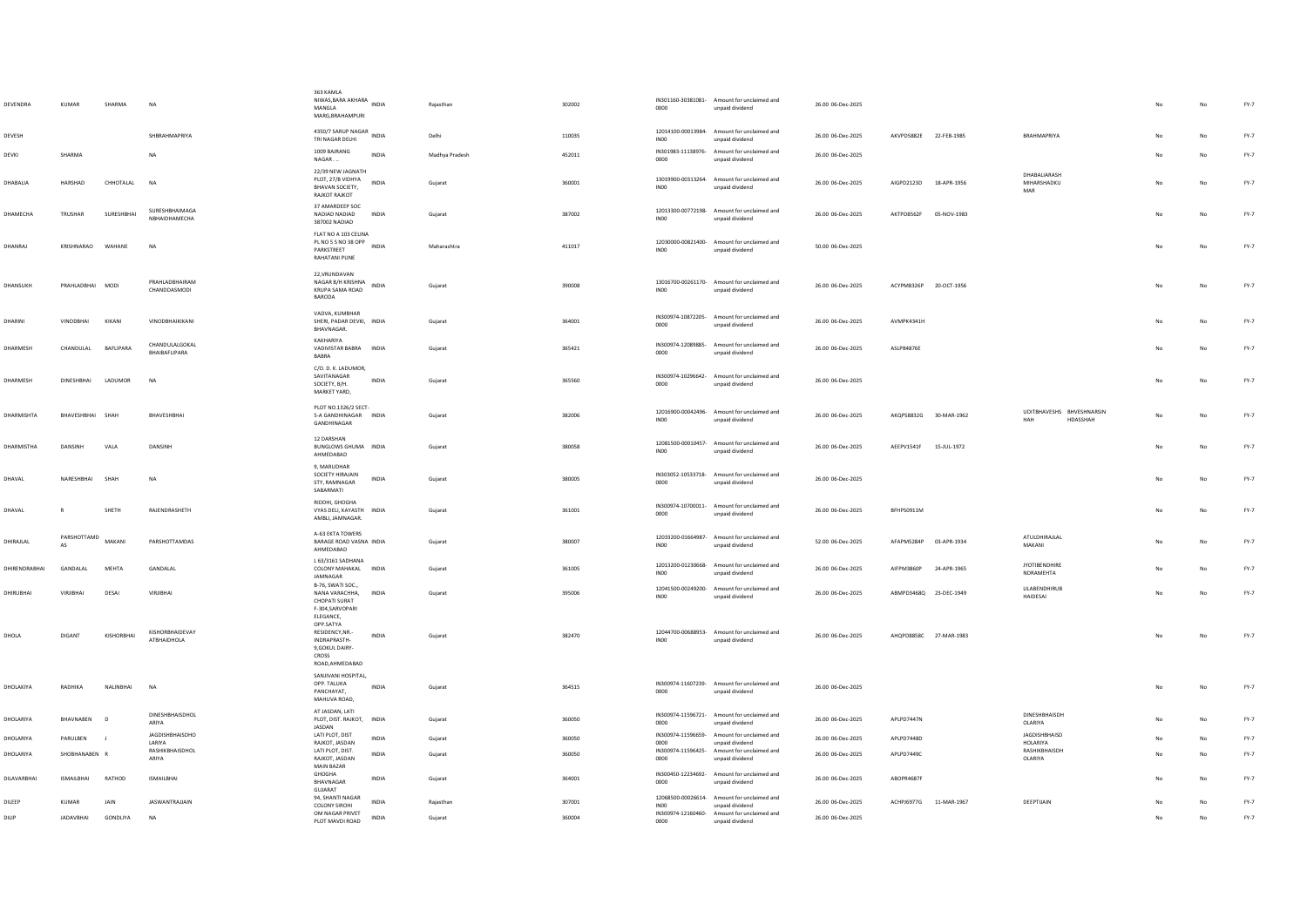| DEVENDRA            | <b>KUMAR</b>      | SHARMA     | NA                               | 363 KAMLA<br>303 NOVIG .<br>NIWAS,BARA AKHARA INDIA<br>MANGLA<br>MARG, BRAHAMPURI                 |              | Rajasthan      | 302002 | 0000             | IN301160-30381081- Amount for unclaimed and<br>unpaid dividend | 26.00 06-Dec-2025 |                        |             |                                       |     | No          | FY-7   |
|---------------------|-------------------|------------|----------------------------------|---------------------------------------------------------------------------------------------------|--------------|----------------|--------|------------------|----------------------------------------------------------------|-------------------|------------------------|-------------|---------------------------------------|-----|-------------|--------|
| DEVESH              |                   |            | SHRRAHMAPRIYA                    | 4350/7 SARUP NAGAR INDIA<br>TRI NAGAR DELHI                                                       |              | Delhi          | 110035 | IN <sub>00</sub> | 12014100-00013984- Amount for unclaimed and<br>unpaid dividend | 26.00 06-Dec-2025 | AKVPD5882E 22-FEB-1985 |             | RRAHMAPRIYA                           |     | $_{\sf No}$ | FY-7   |
| DEVKI               | SHARMA            |            | <b>NA</b>                        | 1009 BAJRANG<br>NAGAR                                                                             | <b>INDIA</b> | Madhya Pradesh | 452011 | 0000             | IN301983-11138976- Amount for unclaimed and<br>unpaid dividend | 26.00 06-Dec-2025 |                        |             |                                       |     | No          | FY-7   |
| DHABALIA            | HARSHAD           | CHHOTALAL  | <b>NA</b>                        | 22/39 NEW JAGNATH<br>PLOT, 27/B VIDHYA<br>BHAVAN SOCIETY.<br><b>RAJKOT RAJKOT</b>                 | INDIA        | Gujarat        | 360001 | INO <sub>0</sub> | 13019900-00313264- Amount for unclaimed and<br>unpaid dividend | 26.00 06-Dec-2025 | AIGPD2123D 18-APR-1956 |             | DHABALIARASH<br>MIHARSHADKU<br>MAR    | No  | No          | $FY-7$ |
| DHAMECHA            | TRUSHAR           | SURESHBHAI | SURESHBHAIMAGA<br>NBHAIDHAMECHA  | 37 AMARDEEP SOC<br>NADIAD NADIAD<br>387002 NADIAD                                                 | INDIA        | Gujarat        | 387002 | INO <sub>0</sub> | 12013300-00772198- Amount for unclaimed and<br>unpaid dividend | 26.00 06-Dec-2025 | AKTPD8562F             | 05-NOV-1983 |                                       | No  | $_{\sf No}$ | FY-7   |
| DHANRAI             | KRISHNARAO WAHANE |            | <b>NA</b>                        | FLAT NO A 103 CELINA<br>PL NO 5 S NO 38 OPP<br>PARKSTREET<br>RAHATANI PUNE                        | <b>INDIA</b> | Maharashtra    | 411017 | INO <sub>0</sub> | 12030000-00821400- Amount for unclaimed and<br>unpaid dividend | 50.00 06-Dec-2025 |                        |             |                                       | No. | No          | $FY-7$ |
| DHANSUKH            | PRAHLADBHAI MODI  |            | PRAHLADBHAIRAM<br>CHANDDASMODI   | 22, VRUNDAVAN<br>NAGAR B/H KRISHNA<br>KRUPA SAMA ROAD<br>BARODA                                   | <b>INDIA</b> | Gujarat        | 390008 | INO <sub>0</sub> | 13016700-00261170- Amount for unclaimed and<br>unpaid dividend | 26.00 06-Dec-2025 | ACYPM8326P 20-OCT-1956 |             |                                       | No  | No          | $FY-7$ |
| DHARINI             | VINODBHAI         | KIKANI     | VINODBHAIKIKANI                  | VADVA, KUMBHAR<br>SHERI, PADAR DEVKI, INDIA<br>BHAVNAGAR.                                         |              | Gujarat        | 364001 | 0000             | IN300974-10872205- Amount for unclaimed and<br>unpaid dividend | 26.00 06-Dec-2025 | AVMPK4341H             |             |                                       |     | No          | $FY-7$ |
| DHARMESH            | CHANDULAL         | BAFLIPARA  | CHANDULALGOKAL<br>BHAIBAFLIPARA  | KAKHARIYA<br>VADIVISTAR BABRA INDIA<br>BABRA                                                      |              | Gujarat        | 365421 | 0000             | IN300974-12089885- Amount for unclaimed and<br>unpaid dividend | 26.00 06-Dec-2025 | ASLPB4876E             |             |                                       | No  | $_{\sf No}$ | FY-7   |
| DHARMESH            | <b>DINESHBHAI</b> | LADUMOR    | <b>NA</b>                        | C/O.D.K. LADUMOR,<br>SAVITANAGAR<br>SOCIETY, B/H.<br>MARKET YARD,                                 | INDIA        | Gujarat        | 365560 | 0000             | IN300974-10296642- Amount for unclaimed and<br>unnaid dividend | 26.00 06-Dec-2025 |                        |             |                                       | No  | No          | FY-7   |
| DHARMISHTA          | BHAVESHBHAI SHAH  |            | BHAVESHBHAI                      | PLOT NO.1326/2 SECT-<br>5-A GANDHINAGAR INDIA<br>GANDHINAGAR                                      |              | Guiarat        | 382006 | INO <sub>0</sub> | 12016900-00042496- Amount for unclaimed and<br>unpaid dividend | 26.00 06-Dec-2025 | AKOPS8832G 30-MAR-1962 |             | UDITBHAVESHS BHVESHNARSIN<br>HDASSHAH | No  | No          | $FY-7$ |
| <b>DHARMISTHA</b>   | DANSINH           | VALA       | DANSINH                          | 12 DARSHAN<br>BUNGLOWS GHUMA INDIA<br>AHMEDABAD                                                   |              | Gujarat        | 380058 | IN00             | 12081500-00010457- Amount for unclaimed and<br>unpaid dividend | 26.00 06-Dec-2025 | AEEPV1541F             | 15-JUL-1972 |                                       | No  | No          | $FY-7$ |
| DHAVAL              | NARESHBHAI        | SHAH       | <b>NA</b>                        | 9, MARUDHAR<br>SOCIETY HIRAJAIN<br>STY, RAMNAGAR<br>SABARMATI                                     | INDIA        | Gujarat        | 380005 | 0000             | IN303052-10533718- Amount for unclaimed and<br>unpaid dividend | 26.00 06-Dec-2025 |                        |             |                                       | No  | No          | FY-7   |
| DHAVAL              | R                 | SHETH      | RAIFNDRASHFTH                    | RIDDHI, GHOGHA<br>VYAS DELI, KAYASTH INDIA<br>AMBLI, JAMNAGAR.                                    |              | Gujarat        | 361001 | 0000             | IN300974-10700011- Amount for unclaimed and<br>unpaid dividend | 26.00 06-Dec-2025 | BFHPS0911M             |             |                                       | No  | $_{\sf No}$ | FY-7   |
| DHIRAILAL           | PARSHOTTAMD<br>AS | MAKANI     | PARSHOTTAMDAS                    | A-63 EKTA TOWERS<br>BARAGE ROAD VASNA INDIA<br>AHMEDABAD                                          |              | Guiarat        | 380007 | INO0             | 12033200-01664987- Amount for unclaimed and<br>unpaid dividend | 52.00 06-Dec-2025 | AFAPM5284P 03-APR-1934 |             | ATULDHIRAJLAL<br>MAKANI               | No  | No          | FY-7   |
| DHIRENDRABHAI       | <b>GANDALAI</b>   | MFHTA      | <b>GANDALAI</b>                  | L 63/3161 SADHANA<br>COLONY MAHAKAL INDIA<br>JAMNAGAR                                             |              | Gujarat        | 361005 | INO <sub>0</sub> | 12013200-01230668- Amount for unclaimed and<br>unpaid dividend | 26.00 06-Dec-2025 | AIFPM3860P             | 24-APR-1965 | JYOTIBENDHIRE<br>NDRAMEHTA            |     | No          | $FY-7$ |
| DHIRUBHAI           | <b>VIRJIBHAI</b>  | DESAI      | VIRJIBHAI                        | B-76, SWATI SOC.,<br>NANA VARACHHA,<br>CHOPATI SURAT<br>F-304, SARVOPARI<br>ELEGANCE,             | <b>INDIA</b> | Guiarat        | 395006 | INO <sub>0</sub> | 12041500-00249200- Amount for unclaimed and<br>unpaid dividend | 26.00 06-Dec-2025 | ABMPD3468Q 23-DEC-1949 |             | <b>LILABENDHIRUB</b><br>HAIDESAI      |     | No          | FY-7   |
| DHOLA               | DIGANT            | KISHORBHAI | KISHORBHAIDEVAY<br>ATBHAIDHOLA   | OPP.SATYA<br>RESIDENCY.NR.-<br><b>INDRAPRASTH-</b><br>9, GOKUL DAIRY-<br>CROSS<br>ROAD, AHMEDABAD | <b>INDIA</b> | Gujarat        | 382470 | INO <sub>0</sub> | 12044700-00688953- Amount for unclaimed and<br>unpaid dividend | 26.00 06-Dec-2025 | AHOPD8858C 27-MAR-1983 |             |                                       | No  | No          | $FY-7$ |
| DHOLAKIYA           | RADHIKA           | NALINBHAI  | <b>NA</b>                        | SANJIVANI HOSPITAL,<br>OPP. TALUKA<br>PANCHAYAT,<br>MAHUVA ROAD.                                  | <b>INDIA</b> | Gujarat        | 364515 | 0000             | IN300974-11607239- Amount for unclaimed and<br>unpaid dividend | 26.00 06-Dec-2025 |                        |             |                                       | No  | $_{\sf No}$ | FY-7   |
| DHOLARIYA           | RHAVNAREN         | $\Box$     | DINESHBHAISDHOL<br>ARIYA         | AT JASDAN, LATI<br>PLOT, DIST, RAJKOT, INDIA<br>JASDAN                                            |              | Guiarat        | 360050 | 0000             | IN300974-11596721- Amount for unclaimed and<br>unpaid dividend | 26.00.06-Dec-2025 | API PD7447N            |             | DINESHBHAISDH<br>OLARIYA              | No. | No          | FY-7   |
| DHOLARIYA           | PARULBEN          | - 1        | <b>JAGDISHBHAISDHO</b><br>LARIYA | LATI PLOT, DIST<br>RAJKOT, JASDAN                                                                 | <b>INDIA</b> | Gujarat        | 360050 | 0000             | IN300974-11596659- Amount for unclaimed and<br>unpaid dividend | 26.00 06-Dec-2025 | API PD7448D            |             | JAGDISHBHAISD<br><b>HOLARIYA</b>      | No  | No          | FY-7   |
| DHOLARIYA           | SHOBHANABEN R     |            | RASHIKBHAISDHOL<br>ARIYA         | LATI PLOT, DIST.<br>RAIKOT, IASDAN<br>MAIN BAZAR                                                  | INDIA        | Gujarat        | 360050 | 0000             | IN300974-11596425- Amount for unclaimed and<br>unpaid dividend | 26.00 06-Dec-2025 | APLPD7449C             |             | RASHIKBHAISDH<br><b>OLARIYA</b>       | No  | No          | $FY-7$ |
| <b>DII AVARRHAI</b> | ISMAILRHAL        | RATHOD     | ISMAILRHAL                       | GHOGHA<br>BHAVNAGAR<br>GUJARAT                                                                    | <b>INDIA</b> | Gujarat        | 364001 | 0000             | IN300450-12234692- Amount for unclaimed and<br>unpaid dividend | 26.00 06-Dec-2025 | AROPR4687F             |             |                                       | No  | No          | FY-7   |
| DILEEP              | KUMAR             | JAIN       | <b>JASWANTRAJJAIN</b>            | 94. SHANTI NAGAR<br><b>COLONY SIROHI</b>                                                          | <b>INDIA</b> | Rajasthan      | 307001 | INO <sub>0</sub> | 12068500-00026614- Amount for unclaimed and<br>unpaid dividend | 26.00 06-Dec-2025 | ACHPJ6977G 11-MAR-1967 |             | DEEPTIJAIN                            |     | No          | FY-7   |
| DILIP               | JADAVBHAI         | GONDLIYA   | <b>NA</b>                        | OM NAGAR PRIVET<br>PLOT MAVDI ROAD                                                                | <b>INDIA</b> | Guiarat        | 360004 | 0000             | IN300974-12160460- Amount for unclaimed and<br>unpaid dividend | 26.00 06-Dec-2025 |                        |             |                                       | No. | No          | $FY-7$ |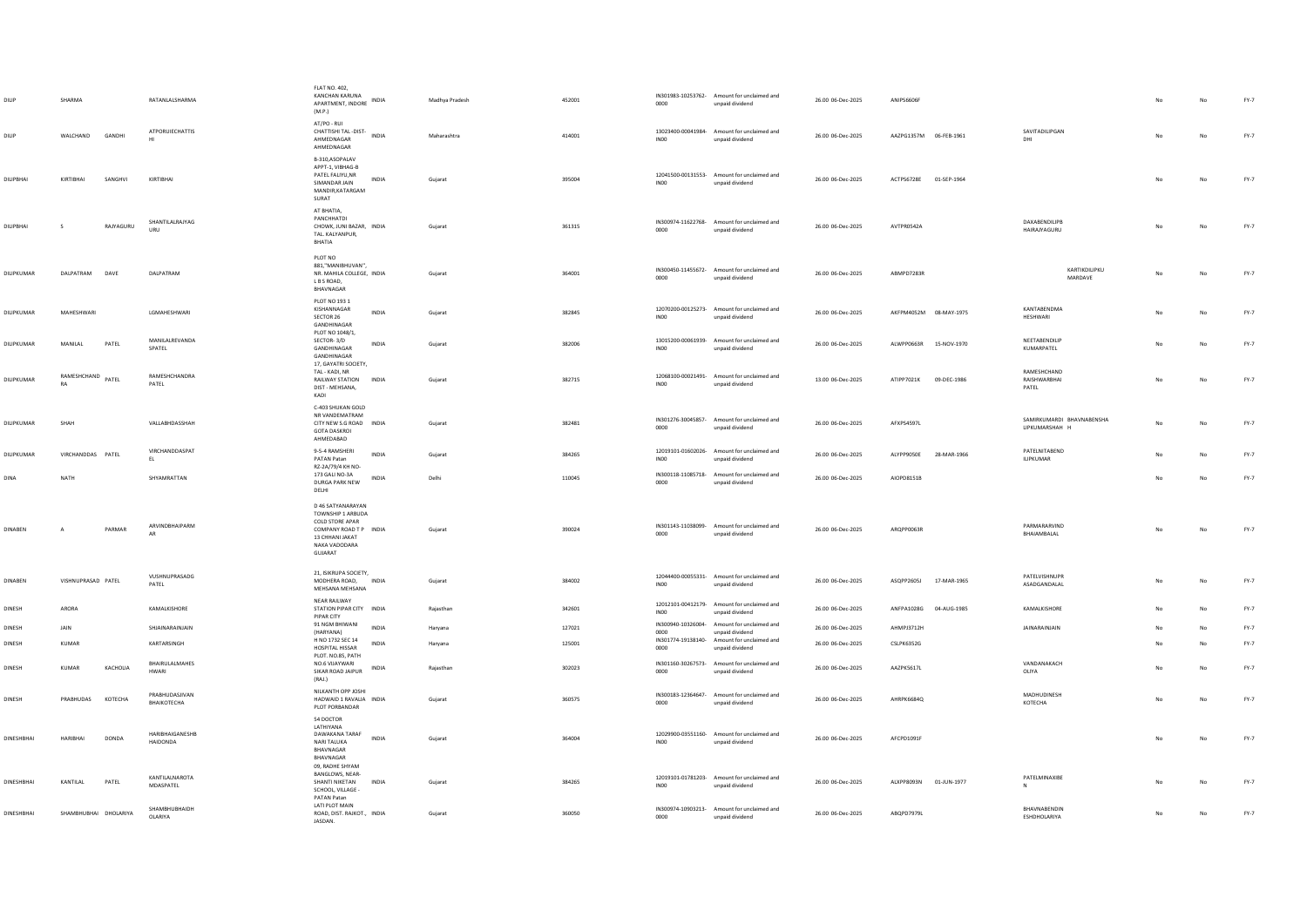| DILIP             | SHARMA                |           | RATANLALSHARMA                     | <b>FLAT NO. 402.</b><br><b>KANCHAN KARUNA</b><br>APARTMENT, INDORE INDIA<br>(M.P.)                                                 | Madhya Pradesh | 452001 | 0000             | IN301983-10253762- Amount for unclaimed and<br>unpaid dividend | 26.00 06-Dec-2025 | ANIPS6606F             |             |                                             |    | No | FY-7   |
|-------------------|-----------------------|-----------|------------------------------------|------------------------------------------------------------------------------------------------------------------------------------|----------------|--------|------------------|----------------------------------------------------------------|-------------------|------------------------|-------------|---------------------------------------------|----|----|--------|
| DILIP             | WALCHAND              | GANDHI    | ATPORUIECHATTIS                    | AT/PO - RUI<br>CHATTISHI TAL-DIST-<br><b>INDIA</b><br>AHMEDNAGAR<br>AHMEDNAGAR                                                     | Maharashtra    | 414001 | IN <sub>00</sub> | 13023400-00041984- Amount for unclaimed and<br>unpaid dividend | 26.00 06-Dec-2025 | AAZPG1357M 06-FEB-1961 |             | SAVITADILIPGAN<br>DHI                       |    | No | $FY-7$ |
| DILIPBHAI         | KIRTIBHAI             | SANGHVI   | KIRTIBHAI                          | B-310, ASOPALAV<br>APPT-1, VIBHAG-B<br>PATEL FALIYU, NR<br>INDIA<br>SIMANDAR JAIN<br>MANDIR, KATARGAM<br>SURAT                     | Gujarat        | 395004 | INO <sub>0</sub> | 12041500-00131553- Amount for unclaimed and<br>unpaid dividend | 26.00 06-Dec-2025 | ACTPS6728E 01-SEP-1964 |             |                                             |    | No | $FY-7$ |
| DILIPBHAI         | s                     | RAJYAGURU | SHANTILALRAJYAG<br>LIRU            | AT BHATIA,<br>PANCHHATDI<br>CHOWK, JUNI BAZAR, INDIA<br>TAL. KALYANPUR,<br>BHATIA                                                  | Gujarat        | 361315 | 0000             | IN300974-11622768- Amount for unclaimed and<br>unpaid dividend | 26.00 06-Dec-2025 | AVTPR0542A             |             | DAXABENDILIPB<br>HAIRAJYAGURU               | No | No | $FY-7$ |
| DILIPKUMAR        | DALPATRAM             | DAVE      | DALPATRAM                          | PLOT NO<br>881,"MANIBHUVAN",<br>NR. MAHILA COLLEGE, INDIA<br>L B S ROAD,<br>BHAVNAGAR                                              | Gujarat        | 364001 | 0000             | IN300450-11455672- Amount for unclaimed and<br>unpaid dividend | 26.00 06-Dec-2025 | ABMPD7283R             |             | KARTIKDILIPKU<br>MARDAVE                    | No | No | $FY-7$ |
| DILIPKUMAR        | MAHESHWARI            |           | LGMAHESHWARI                       | PLOT NO 193 1<br>KISHANNAGAR<br>INDIA<br>SECTOR 26<br>GANDHINAGAR                                                                  | Gujarat        | 382845 | INO <sub>0</sub> | 12070200-00125273- Amount for unclaimed and<br>unpaid dividend | 26.00 06-Dec-2025 | AKFPM4052M 08-MAY-1975 |             | KANTARENDMA<br>HESHWARI                     |    | No | $FY-7$ |
| DILIPKUMAR        | MANILAL               | PATEL     | MANILALREVANDA<br>SPATEL           | PLOT NO 1048/1,<br>SECTOR-3/D<br>INDIA<br>GANDHINAGAR<br>GANDHINAGAR                                                               | Gujarat        | 382006 | IN <sub>00</sub> | 13015200-00061939- Amount for unclaimed and<br>unpaid dividend | 26.00 06-Dec-2025 | ALWPP0663R 15-NOV-1970 |             | NEETABENDILIP<br>KUMARPATEL                 |    | No | $FY-7$ |
| DILIPKUMAR        | RAMESHCHAND           | PATEL     | RAMESHCHANDRA<br>PATEL             | 17, GAYATRI SOCIETY,<br>TAL - KADI, NR<br>RAILWAY STATION<br><b>INDIA</b><br>DIST - MEHSANA,<br>KADI                               | Gujarat        | 382715 | IN00             | 12068100-00021491- Amount for unclaimed and<br>unpaid dividend | 13.00 06-Dec-2025 | ATIPP7021K             | 09-DEC-1986 | RAMESHCHAND<br>RAISHWARBHAI<br>PATEL        |    | No | $FY-7$ |
| DILIPKUMAR        | SHAH                  |           | VALLABHDASSHAH                     | C-403 SHUKAN GOLD<br>NR VANDEMATRAM<br>CITY NEW S.G ROAD INDIA<br><b>GOTA DASKROI</b><br>AHMEDABAD                                 | Gujarat        | 382481 | 0000             | IN301276-30045857- Amount for unclaimed and<br>unpaid dividend | 26.00 06-Dec-2025 | AFXPS45971             |             | SAMIRKUMARDI BHAVNABENSHA<br>LIPKUMARSHAH H | No | No | $FY-7$ |
| DILIPKUMAR        | VIRCHANDDAS PATEL     |           | VIRCHANDDASPAT<br>EL.              | 9-5-4 RAMSHERI<br><b>INDIA</b><br>PATAN Patan                                                                                      | Guiarat        | 384265 | IN <sub>00</sub> | 12019101-01602026- Amount for unclaimed and<br>unpaid dividend | 26.00 06-Dec-2025 | ALYPP9050E 28-MAR-1966 |             | PATELNITABEND<br><b>ILIPKUMAR</b>           | No | No | $FY-7$ |
| <b>DINA</b>       | <b>NATH</b>           |           | SHYAMRATTAN                        | RZ-2A/79/4 KH NO-<br>173 GALI NO-3A<br>INDIA<br>DURGA PARK NEW<br>DELHI                                                            | Delhi          | 110045 | 0000             | IN300118-11085718- Amount for unclaimed and<br>unpaid dividend | 26.00 06-Dec-2025 | AIOPD8151B             |             |                                             | No | No | FY-7   |
| <b>DINABEN</b>    | $\mathbf{A}$          | PARMAR    | ARVINDBHAIPARM<br>AR               | D 46 SATYANARAYAN<br>TOWNSHIP 1 ARBUDA<br>COLD STORE APAR<br>COMPANY ROAD T P INDIA<br>13 CHHANI JAKAT<br>NAKA VADODARA<br>GUJARAT | Gujarat        | 390024 | 0000             | IN301143-11038099- Amount for unclaimed and<br>unpaid dividend | 26.00 06-Dec-2025 | ARQPP0063R             |             | PARMARARVIND<br>BHAIAMBALAL                 | No | No | $FY-7$ |
| DINABEN           | VISHNUPRASAD PATEL    |           | VUSHNUPRASADG<br>PATEL             | 21, ISIKRUPA SOCIETY,<br>MODHERA ROAD, INDIA<br>MEHSANA MEHSANA                                                                    | Gujarat        | 384002 | INO <sub>0</sub> | 12044400-00055331- Amount for unclaimed and<br>unpaid dividend | 26.00 06-Dec-2025 | ASQPP2605J             | 17-MAR-1965 | PATELVISHNUPR<br>ASADGANDALAL               | No | No | $FY-7$ |
| <b>DINESH</b>     | ARORA                 |           | KAMALKISHORE                       | NEAR RAILWAY<br>STATION PIPAR CITY INDIA<br>PIPAR CITY                                                                             | Raiasthan      | 342601 | IN00             | 12012101-00412179- Amount for unclaimed and<br>unpaid dividend | 26.00 06-Dec-2025 | ANFPA1028G             | 04-AUG-1985 | KAMALKISHORE                                | No | No | $FY-7$ |
| <b>DINESH</b>     | JAIN                  |           | SHJAINARAINJAIN                    | 91 NGM BHIWANI<br><b>INDIA</b><br>(HARYANA)                                                                                        | Harvana        | 127021 | 0000             | IN300940-10326004- Amount for unclaimed and<br>unpaid dividend | 26.00 06-Dec-2025 | AHMPJ3712H             |             | <b>JAINARAINJAIN</b>                        | No | No | $FY-7$ |
| DINESH            | <b>KUMAR</b>          |           | KARTARSINGH                        | H NO 1732 SEC 14<br>INDIA<br>HOSPITAL HISSAR<br>PLOT. NO.85, PATH                                                                  | Haryana        | 125001 | 0000             | IN301774-19138140- Amount for unclaimed and<br>unpaid dividend | 26.00 06-Dec-2025 | <b>CSLPK6352G</b>      |             |                                             | No | No | FY-7   |
| DINESH            | KUMAR                 | KACHOLIA  | BHAIRULALMAHES<br><b>HWARI</b>     | NO.6 VIJAYWARI<br>INDIA<br>SIKAR ROAD JAIPUR<br>(RAJ.)                                                                             | Rajasthan      | 302023 | 0000             | IN301160-30267573- Amount for unclaimed and<br>unpaid dividend | 26.00 06-Dec-2025 | AAZPK5617L             |             | VANDANAKACH<br>OLIYA                        | No | No | $FY-7$ |
| DINESH            | PRABHUDAS             | KOTECHA   | PRABHUDASJIVAN<br>ВНАІКОТЕСНА      | NILKANTH OPP JOSHI<br>HADWAID 1 RAVALIA INDIA<br>PLOT PORBANDAR                                                                    | Gujarat        | 360575 | 0000             | IN300183-12364647- Amount for unclaimed and<br>unpaid dividend | 26.00 06-Dec-2025 | AHRPK6684Q             |             | MADHUDINESH<br>KOTECHA                      | No | No | $FY-7$ |
| <b>DINESHBHAI</b> | <b>HARIBHAI</b>       | DONDA     | HARIBHAIGANESHB<br><b>HAIDONDA</b> | 54 DOCTOR<br>LATHIYANA<br>DAWAKANA TARAF<br><b>INDIA</b><br>NARI TALUKA<br>BHAVNAGAR<br>BHAVNAGAR<br>09, RADHE SHYAM               | Gujarat        | 364004 | INO <sub>0</sub> | 12029900-03551160- Amount for unclaimed and<br>unpaid dividend | 26.00 06-Dec-2025 | AFCPD1091F             |             |                                             | No | No | $FY-7$ |
| <b>DINESHBHAI</b> | KANTILAL              | PATEL     | KANTILALNAROTA<br>MDASPATEL        | BANGLOWS, NEAR-<br>SHANTI NIKETAN<br><b>INDIA</b><br>SCHOOL, VILLAGE<br>PATAN Patan                                                | Guiarat        | 384265 | INO <sub>0</sub> | 12019101-01781203- Amount for unclaimed and<br>unpaid dividend | 26.00 06-Dec-2025 | ALXPP8093N 01-JUN-1977 |             | PATELMINAXIBE                               |    | No | $FY-7$ |
| DINESHBHAI        | SHAMBHUBHAI DHOLARIYA |           | SHAMBHUBHAIDH<br>OLARIYA           | LATI PLOT MAIN<br>ROAD, DIST. RAJKOT., INDIA<br>JASDAN.                                                                            | Gujarat        | 360050 | 0000             | IN300974-10903213- Amount for unclaimed and<br>unpaid dividend | 26.00 06-Dec-2025 | ABQPD7979L             |             | BHAVNABENDIN<br>ESHDHOLARIYA                |    | No | $FY-7$ |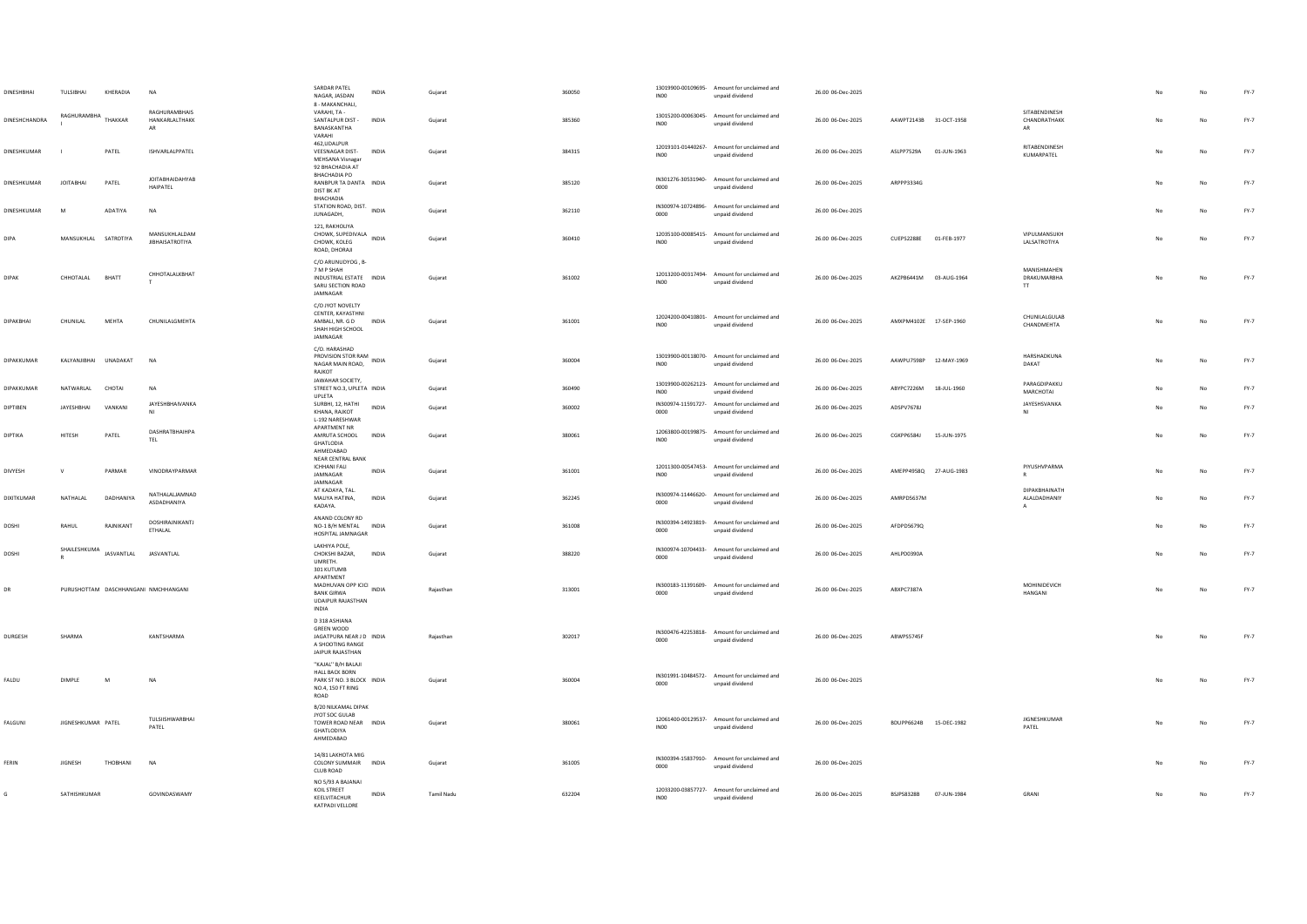| DINESHBHAI    | TULSIBHAI                          | KHERADIA  | NA                                           | SARDAR PATEL<br>NAGAR, JASDAN<br>8 - MAKANCHALI,                                                              | INDIA        | Gujarat    | 360050 | INO <sub>0</sub> | 13019900-00109695- Amount for unclaimed and<br>unpaid dividend | 26.00 06-Dec-2025 |                        |             |                                              |    |    | $FY-7$ |
|---------------|------------------------------------|-----------|----------------------------------------------|---------------------------------------------------------------------------------------------------------------|--------------|------------|--------|------------------|----------------------------------------------------------------|-------------------|------------------------|-------------|----------------------------------------------|----|----|--------|
| DINESHCHANDRA | RAGHURAMRHA                        | THAKKAR   | RAGHURAMBHAIS<br>HANKARLALTHAKK<br><b>AR</b> | VARAHI, TA -<br>SANTALPUR DIST -<br>BANASKANTHA<br>VARAHI                                                     | <b>INDIA</b> | Guiarat    | 385360 | INO0             | 13015200-00063045- Amount for unclaimed and<br>unpaid dividend | 26.00 06-Dec-2025 | AAWPT2143B 31-OCT-1958 |             | SITABENDINESH<br>CHANDRATHAKK<br>AR          |    | No | $FY-7$ |
| DINESHKUMAR   |                                    | PATEL     | ISHVARLALPPATEL                              | 462, UDALPUR<br>VEESNAGAR DIST- INDIA<br>MEHSANA Visnagar<br>92 BHACHADIA AT                                  |              | Gujarat    | 384315 | IN00             | 12019101-01440267- Amount for unclaimed and<br>unpaid dividend | 26.00 06-Dec-2025 | ASLPP7529A             | 01-JUN-1963 | RITARENDINESH<br>KUMARPATEL                  | No | No | $FY-7$ |
| DINESHKUMAR   | <b>JOITABHAI</b>                   | PATEL     | <b>JOITABHAIDAHYAB</b><br>HAIPATEL           | BHACHADIA PO<br>RANBPUR TA DANTA INDIA<br><b>DIST BK AT</b><br>BHACHADIA                                      |              | Gujarat    | 385120 | 0000             | IN301276-30531940- Amount for unclaimed and<br>unpaid dividend | 26.00 06-Dec-2025 | ARPPP3334G             |             |                                              |    | No | $FY-7$ |
| DINESHKUMAR   | M                                  | ADATIYA   | <b>NA</b>                                    | STATION ROAD, DIST.<br>JUNAGADH,                                                                              | INDIA        | Gujarat    | 362110 | 0000             | IN300974-10724896- Amount for unclaimed and<br>unpaid dividend | 26.00 06-Dec-2025 |                        |             |                                              |    | No | $FY-7$ |
| <b>DIPA</b>   | MANSUKHLAL SATROTIYA               |           | MANSUKHLALDAM<br><b>JIBHAISATROTIYA</b>      | 121, RAKHOLIYA<br>CHOWK, SUPEDIVALA<br>CHOWK, KOLEG<br>ROAD, DHORAJI                                          | INDIA        | Gujarat    | 360410 | INO <sub>0</sub> | 12035100-00085415- Amount for unclaimed and<br>unpaid dividend | 26.00 06-Dec-2025 | CUEPS2288E 01-FEB-1977 |             | VIPULMANSUKH<br>LALSATROTIYA                 |    | No | $FY-7$ |
| DIPAK         | CHHOTALAL                          | BHATT     | CHHOTALALKBHAT                               | C/O ARUNUDYOG, B-<br>7 M P SHAH<br>INDUSTRIAL ESTATE INDIA<br>SARU SECTION ROAD<br>JAMNAGAR                   |              | Gujarat    | 361002 | IN00             | 12013200-00317494- Amount for unclaimed and<br>unpaid dividend | 26.00 06-Dec-2025 | AKZPB6441M 03-AUG-1964 |             | MANISHMAHEN<br>DRAKUMARBHA<br>$^{\text{TT}}$ |    | No | $FY-7$ |
| DIPAKBHAI     | CHUNILAL                           | MEHTA     | CHUNILALGMEHTA                               | C/O JYOT NOVELTY<br>CENTER, KAYASTHNI<br>AMBALI, NR. G D INDIA<br>SHAH HIGH SCHOOL<br>JAMNAGAR                |              | Gujarat    | 361001 | INO <sub>0</sub> | 12024200-00410801- Amount for unclaimed and<br>unpaid dividend | 26.00 06-Dec-2025 | AMXPM4102E 17-SEP-1960 |             | CHUNILALGULAB<br>CHANDMEHTA                  | No | No | $FY-7$ |
| DIPAKKUMAR    | KALYANJIBHAI UNADAKAT              |           | <b>NA</b>                                    | C/O. HARASHAD<br>PROVISION STOR RAM<br>NAGAR MAIN ROAD,<br>RAJKOT                                             |              | Gujarat    | 360004 | IN00             | 13019900-00118070- Amount for unclaimed and<br>unpaid dividend | 26.00 06-Dec-2025 | AAWPU7598P 12-MAY-1969 |             | HARSHADKUNA<br>DAKAT                         | No | No | $FY-7$ |
| DIPAKKUMAR    | NATWARLAL                          | CHOTAI    | <b>NA</b>                                    | JAWAHAR SOCIETY.<br>STREET NO.3, UPLETA INDIA<br>UPLETA                                                       |              | Gujarat    | 360490 | INO <sub>0</sub> | 13019900-00262123- Amount for unclaimed and<br>unpaid dividend | 26.00 06-Dec-2025 | ABYPC7226M 18-JUL-1960 |             | PARAGDIPAKKU<br>MARCHOTAL                    | No | No | $FY-7$ |
| DIPTIBEN      | JAYESHBHAI                         | VANKANI   | JAYESHBHAIVANKA<br><b>NI</b>                 | SURBHI, 12, HATHI<br>KHANA, RAJKOT<br>L-192 NARESHWAR                                                         | INDIA        | Gujarat    | 360002 | 0000             | IN300974-11591727- Amount for unclaimed and<br>unpaid dividend | 26.00 06-Dec-2025 | ADSPV7678J             |             | JAYESHSVANKA<br>NI                           | No | No | $FY-7$ |
| DIPTIKA       | HITESH                             | PATEL     | DASHRATBHAIHPA<br><b>TEL</b>                 | APARTMENT NR<br>AMRUTA SCHOOL<br>GHATLODIA<br>AHMEDARAD                                                       | <b>INDIA</b> | Guiarat    | 380061 | IN00             | 12063800-00199875- Amount for unclaimed and<br>unpaid dividend | 26.00 06-Dec-2025 | CGKPP6584J 15-JUN-1975 |             |                                              | No | No | $FY-7$ |
| DIVYESH       | $\mathbf{v}$                       | PARMAR    | VINODRAYPARMAR                               | NEAR CENTRAL BANK<br><b>ICHHANI FALI</b><br>JAMNAGAR<br>JAMNAGAR<br>AT KADAYA, TAL.                           | <b>INDIA</b> | Gujarat    | 361001 | IN00             | 12011300-00547453- Amount for unclaimed and<br>unpaid dividend | 26.00 06-Dec-2025 | AMEPP4958Q 27-AUG-1983 |             | PIYUSHVPARMA<br>R<br>DIPAKBHAINATH           | No | No | $FY-7$ |
| DIXITKUMAR    | NATHALAL                           | DADHANIYA | NATHALALIAMNAD<br>ASDADHANIYA                | MALIYA HATINA,<br>KADAYA.                                                                                     | INDIA        | Gujarat    | 362245 | 0000             | IN300974-11446620- Amount for unclaimed and<br>unpaid dividend | 26.00 06-Dec-2025 | AMRPD5637M             |             | ALALDADHANIY<br>$\mathbf{A}$                 | No | No | $FY-7$ |
| <b>DOSHI</b>  | RAHUL                              | RAINIKANT | DOSHIRAJNIKANTJ<br>ETHALAL                   | ANAND COLONY RD<br>NO-1 B/H MENTAL INDIA<br>HOSPITAL JAMNAGAR                                                 |              | Gujarat    | 361008 | 0000             | IN300394-14923819- Amount for unclaimed and<br>unpaid dividend | 26.00 06-Dec-2025 | AFDPD56790             |             |                                              |    | No | $FY-7$ |
| DOSHI         | SHAILESHKUMA JASVANTLAL JASVANTLAL |           |                                              | LAKHIYA POLE.<br>CHOKSHI BAZAR,<br>UMRETH.<br>301 KUTUMB                                                      | INDIA        | Gujarat    | 388220 | 0000             | IN300974-10704433- Amount for unclaimed and<br>unpaid dividend | 26.00 06-Dec-2025 | AHLPD0390A             |             |                                              |    | No | $FY-7$ |
| DR            |                                    |           | PURUSHOTTAM DASCHHANGANI NMCHHANGANI         | APARTMENT<br>MADHUVAN OPP ICICI INDIA<br><b>BANK GIRWA</b><br><b>UDAIPUR RAJASTHAN</b><br><b>INDIA</b>        |              | Rajasthan  | 313001 | 0000             | IN300183-11391609- Amount for unclaimed and<br>unpaid dividend | 26.00 06-Dec-2025 | ABXPC7387A             |             | MOHINIDEVICH<br>HANGANI                      | No | No | $FY-7$ |
| DURGESH       | SHARMA                             |           | KANTSHARMA                                   | D 318 ASHIANA<br><b>GREEN WOOD</b><br>JAGATPURA NEAR J D INDIA<br>A SHOOTING RANGE<br><b>JAIPUR RAJASTHAN</b> |              | Rajasthan  | 302017 | 0000             | IN300476-42253818- Amount for unclaimed and<br>unpaid dividend | 26.00 06-Dec-2025 | ABWPS5745F             |             |                                              |    | No | $FY-7$ |
| FALDU         | DIMPLE                             | M         | N <sub>A</sub>                               | "KAJAL" B/H BALAJI<br><b>HALL BACK BORN</b><br>PARK ST NO. 3 BLOCK INDIA<br>NO.4, 150 FT RING<br>ROAD         |              | Gujarat    | 360004 | 0000             | IN301991-10484572- Amount for unclaimed and<br>unpaid dividend | 26.00 06-Dec-2025 |                        |             |                                              |    | No | $FY-7$ |
| FALGUNI       | JIGNESHKUMAR PATEL                 |           | TULSIISHWARBHA<br>PATEL                      | B/20 NILKAMAL DIPAK<br>JYOT SOC GULAB<br>TOWER ROAD NEAR INDIA<br>GHATLODIYA<br>AHMEDABAD                     |              | Gujarat    | 380061 | INO <sub>0</sub> | 12061400-00129537- Amount for unclaimed and<br>unpaid dividend | 26.00 06-Dec-2025 | BDUPP6624B 15-DEC-1982 |             | <b>JIGNESHKUMAR</b><br>PATEL                 |    | No | $FY-7$ |
| FERIN         | <b>JIGNESH</b>                     | THOBHAN   |                                              | 14/81 LAKHOTA MIG<br>COLONY SUMMAIR INDIA<br><b>CLUB ROAD</b>                                                 |              | Gujarat    | 361005 | 0000             | IN300394-15837910- Amount for unclaimed and<br>unpaid dividend | 26.00 06-Dec-2025 |                        |             |                                              |    |    | $FY-7$ |
|               | SATHISHKUMAR                       |           | GOVINDASWAMY                                 | NO 5/93 A BAJANAI<br>KOIL STREET<br>KEELVITACHUR<br>KATPADI VELLORE                                           | INDIA        | Tamil Nadu | 632204 | INO <sub>0</sub> | 12033200-03857727- Amount for unclaimed and<br>unpaid dividend | 26.00 06-Dec-2025 | <b>BSJPS8328B</b>      | 07-JUN-1984 | GRANI                                        | No | No | $FY-7$ |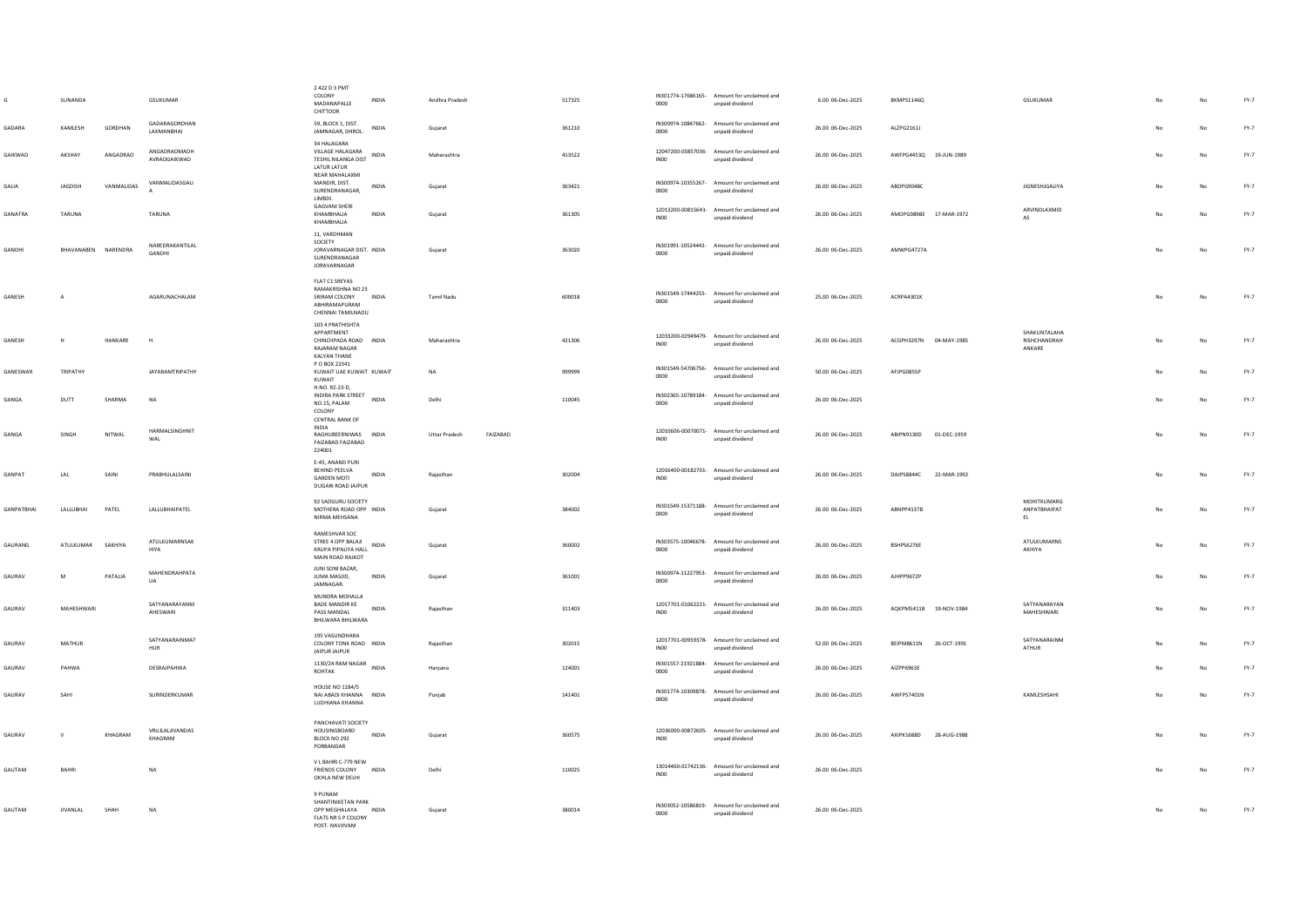|                   | SUNANDA             |                | <b>GSUKUMAR</b>                     | 2 422 D 3 PMT<br>COLONY<br>INDIA<br>MADANAPALLE<br>CHITTOOR                                                    | Andhra Pradesh       |          | 517325 | 0000             | IN301774-17686165- Amount for unclaimed and<br>unpaid dividend | 6.00 06-Dec-2025  | BKMPS1146Q                | GSUKUMAR                                      |                | No          | $FY-7$ |
|-------------------|---------------------|----------------|-------------------------------------|----------------------------------------------------------------------------------------------------------------|----------------------|----------|--------|------------------|----------------------------------------------------------------|-------------------|---------------------------|-----------------------------------------------|----------------|-------------|--------|
| GADARA            | KAMLESH             | GORDHAN        | GADARAGORDHAN<br><b>I AXMANRHAI</b> | 59. BLOCK 1, DIST.<br>INDIA<br>JAMNAGAR, DHROL.                                                                | Gujarat              |          | 361210 | 0000             | IN300974-10847662- Amount for unclaimed and<br>unpaid dividend | 26.00 06-Dec-2025 | ALZPG2161J                |                                               |                | No          | $FY-7$ |
| GAIKWAD           | AKSHAY              | ANGADRAO       | ANGADRAOMADH<br>AVRAOGAIKWAD        | 34 HALAGARA<br>VILLAGE HALAGARA<br>INDIA<br><b>TESHIL NILANGA DIST</b><br><b>LATUR LATUR</b><br>NEAR MAHALAXMI | Maharashtra          |          | 413522 | INO <sub>0</sub> | 12047200-03857036- Amount for unclaimed and<br>unpaid dividend | 26.00 06-Dec-2025 | AWFPG4453Q 19-JUN-1989    |                                               |                | No          | $FY-7$ |
| GALIA             | JAGDISH             | VANMALIDAS     | VANMALIDASGALI                      | MANDIR, DIST.<br>INDIA<br>SURENDRANAGAR,<br><b>IIMBDL</b>                                                      | Gujarat              |          | 363421 | 0000             | IN300974-10355267- Amount for unclaimed and<br>unpaid dividend | 26.00 06-Dec-2025 | ABDPG9048C                | JIGNESHJGALIYA                                | No             | No          | FY-7   |
| GANATRA           | <b>TARUNA</b>       |                | TARUNA                              | <b>GAGVANI SHERI</b><br>KHAMBHALIA<br><b>INDIA</b><br>KHAMBHALIA                                               | Gujarat              |          | 361305 | INO <sub>0</sub> | 12013200-00815643- Amount for unclaimed and<br>unpaid dividend | 26.00 06-Dec-2025 | AMOPG9898E 17-MAR-1972    | ARVINDLAXMID<br><b>AS</b>                     | N <sub>0</sub> | No          | FY-7   |
| GANDHI            | BHAVANABEN NARENDRA |                | NAREDRAKANTILAL<br>GANDHI           | 11. VARDHMAN<br>SOCIETY<br>JORAVARNAGAR DIST. INDIA<br>SURENDRANAGAR<br>JORAVARNAGAR                           | Gujarat              |          | 363020 | 0000             | IN301991-10524442- Amount for unclaimed and<br>unpaid dividend | 26.00 06-Dec-2025 | AMWPG4727A                |                                               | No             | No          | $FY-7$ |
| GANESH            | $\overline{A}$      |                | AGARUNACHALAM                       | FLAT C1 SREYAS<br>RAMAKRISHNA NO 23<br>SRIRAM COLONY INDIA<br>ABHIRAMAPURAM<br>CHENNAI TAMILNADU               | Tamil Nadu           |          | 600018 | 0000             | IN301549-17444255- Amount for unclaimed and<br>unpaid dividend | 25.00 06-Dec-2025 | ACRPA4301K                |                                               | No             | No          | $FY-7$ |
| <b>GANESH</b>     | H                   | <b>HANKARE</b> | H                                   | 103 4 PRATHISHTA<br>APPARTMENT<br>CHINCHPADA ROAD INDIA<br><b>RAIARAM NAGAR</b><br>KALYAN THANE                | Maharashtra          |          | 421306 | <b>IN00</b>      | 12033200-02949479- Amount for unclaimed and<br>unpaid dividend | 26.00 06-Dec-2025 | ACGPH3297N 04-MAY-1985    | <b>SHAKUNTALAHA</b><br>RISHCHANDRAH<br>ANKARE | No             | No          | $FY-7$ |
| GANESWAR          | TRIPATHY            |                | <b>JAYARAMTRIPATHY</b>              | P O BOX 22341<br>KUWAIT UAE KUWAIT KUWAIT<br>KUWAIT                                                            | NA                   |          | 999999 | 0000             | IN301549-54706756- Amount for unclaimed and<br>unpaid dividend | 50.00 06-Dec-2025 | AFJPG0855P                |                                               |                | No          | $FY-7$ |
| GANGA             | DUTT                | SHARMA         | <b>NA</b>                           | H.NO. RZ-23-D.<br>INDIRA PARK STREET INDIA<br>NO.15, PALAM<br>COLONY<br><b>CENTRAL BANK OF</b>                 | Delhi                |          | 110045 | 0000             | IN302365-10789184- Amount for unclaimed and<br>unpaid dividend | 26.00 06-Dec-2025 |                           |                                               |                | No          | FY-7   |
| GANGA             | SINGH               | NITWAI         | HARMALSINGHNIT<br>WAL               | <b>INDIA</b><br>RAGHUBEERNIWAS INDIA<br>FAIZABAD FAIZABAD<br>224001                                            | <b>Uttar Pradesh</b> | FAIZABAD |        | INO <sub>0</sub> | 12010606-00070071- Amount for unclaimed and<br>unpaid dividend | 26.00 06-Dec-2025 | ABIPN9130D 01-DEC-1959    |                                               | N <sub>0</sub> | No          | $FY-7$ |
| GANPAT            | LAL                 | SAINI          | PRABHULALSAINI                      | E-45, ANAND PURI<br>BEHIND PEELVA<br><b>INDIA</b><br><b>GARDEN MOTI</b><br>DUGARI ROAD JAIPUR                  | Raiasthan            |          | 302004 | IN00             | 12016400-00182701- Amount for unclaimed and<br>unpaid dividend | 26.00 06-Dec-2025 | DAJPS8844C<br>22-MAR-1992 |                                               | No             | No          | $FY-7$ |
| <b>GANPATBHAI</b> | LALLUBHAI           | PATEL          | <b>LALLUBHAIPATEL</b>               | 92 SADGURU SOCIETY<br>MOTHERA ROAD OPP INDIA<br>NIRMA MEHSANA                                                  | Gujarat              |          | 384002 | 0000             | IN301549-15371188- Amount for unclaimed and<br>unpaid dividend | 26.00 06-Dec-2025 | ABNPP4137B                | MOHITKUMARG<br>ANPATBHAIPAT<br>EL             | No.            | $_{\sf No}$ | FY-7   |
| GAURANG           | ATULKUMAR           | SAKHIYA        | <b>ATULKUMARNSAK</b><br><b>HIYA</b> | RAMESHVAR SOC<br>STREE 4 OPP BALAIL<br>INDIA<br>KRUPA PIPALIYA HALL<br>MAIN ROAD RAJKOT                        | Gujarat              |          | 360002 | 0000             | IN303575-10046678- Amount for unclaimed and<br>unpaid dividend | 26.00 06-Dec-2025 | BSHPS6276E                | <b>ATULKUMARNS</b><br>AKHIYA                  | No             | No          | FY-7   |
| GAURAV            | M                   | PATALIA        | MAHENDRAHPATA<br>LIA                | JUNI SONI BAZAR,<br>JUMA MASJID,<br><b>INDIA</b><br>JAMNAGAR.                                                  | Gujarat              |          | 361001 | 0000             | IN300974-11227953- Amount for unclaimed and<br>unpaid dividend | 26.00 06-Dec-2025 | AJHPP9672P                |                                               | No             | No          | FY-7   |
| GAURAV            | MAHESHWARI          |                | SATYANARAYANM<br>AHESWARI           | MUNDRA MOHALLA<br><b>BADE MANDIR KE</b><br><b>INDIA</b><br>PASS MANDAL<br>BHILWARA BHILWARA                    | Rajasthan            |          | 311403 | <b>IN00</b>      | 12017701-01062221- Amount for unclaimed and<br>unpaid dividend | 26.00 06-Dec-2025 | AOKPM5411B 19-NOV-1984    | SATYANARAYAN<br>MAHESHWARI                    | No             | No          | $FY-7$ |
| GAURAV            | MATHUR              |                | SATYANARAINMAT<br>HUR               | 195 VASUNDHARA<br>COLONY TONK ROAD INDIA<br>JAIPUR JAIPUR                                                      | Rajasthan            |          | 302015 | <b>IN00</b>      | 12017701-00959378- Amount for unclaimed and<br>unpaid dividend | 52.00 06-Dec-2025 | BEIPM8611N<br>26-OCT-1991 | SATYANARAINM<br>ATHUR                         | No             | No          | FY-7   |
| GAURAV            | PAHWA               |                | DESRAJPAHWA                         | 1130/24 RAM NAGAR INDIA<br>ROHTAK                                                                              | Haryana              |          | 124001 | 0000             | IN301557-21921884- Amount for unclaimed and<br>unpaid dividend | 26.00 06-Dec-2025 | AIZPP6963E                |                                               |                | $_{\sf No}$ | $FY-7$ |
| GAURAV            | SAHI                |                | SURINDERKUMAR                       | <b>HOUSE NO 1184/5</b><br>NAI ABADI KHANNA INDIA<br>LUDHIANA KHANNA                                            | Puniab               |          | 141401 | 0000             | IN301774-10309878- Amount for unclaimed and<br>unpaid dividend | 26.00 06-Dec-2025 | AWFPS7401N                | KAMLESHSAHI                                   | No             | No          | FY-7   |
| GAURAV            | $\vee$              | KHAGRAM        | VRUJLALIIVANDAS<br>KHAGRAM          | PANCHAVATI SOCIETY<br>HOUSINGBOARD<br>INDIA<br>BLOCK NO 292<br>PORBANDAR                                       | Guiarat              |          | 360575 | INO0             | 12036000-00872605- Amount for unclaimed and<br>unpaid dividend | 26.00 06-Dec-2025 | AXIPK1688D<br>28-AUG-1988 |                                               |                | No          | FY-7   |
| <b>GAUTAM</b>     | RAHRI               |                | <b>NA</b>                           | V L BAHRI C-779 NEW<br><b>ERIENDS COLONY INDIA</b><br>OKHLA NEW DELHI                                          | Delhi                |          | 110025 | INO0             | 13014400-01742136- Amount for unclaimed and<br>unpaid dividend | 26.00.06-Dec-2025 |                           |                                               | N <sub>0</sub> | No          | FY-7   |
| GAUTAM            | <b>JIVANLAL</b>     | SHAH           | <b>NA</b>                           | 9 PUNAM<br>SHANTINIKETAN PARK<br>OPP MEGHALAYA INDIA<br>FLATS NR S P COLONY<br>POST-NAVJIVAM                   | Guiarat              |          | 380014 | 0000             | IN303052-10586819- Amount for unclaimed and<br>unpaid dividend | 26.00 06-Dec-2025 |                           |                                               | No             | <b>No</b>   | $FY-7$ |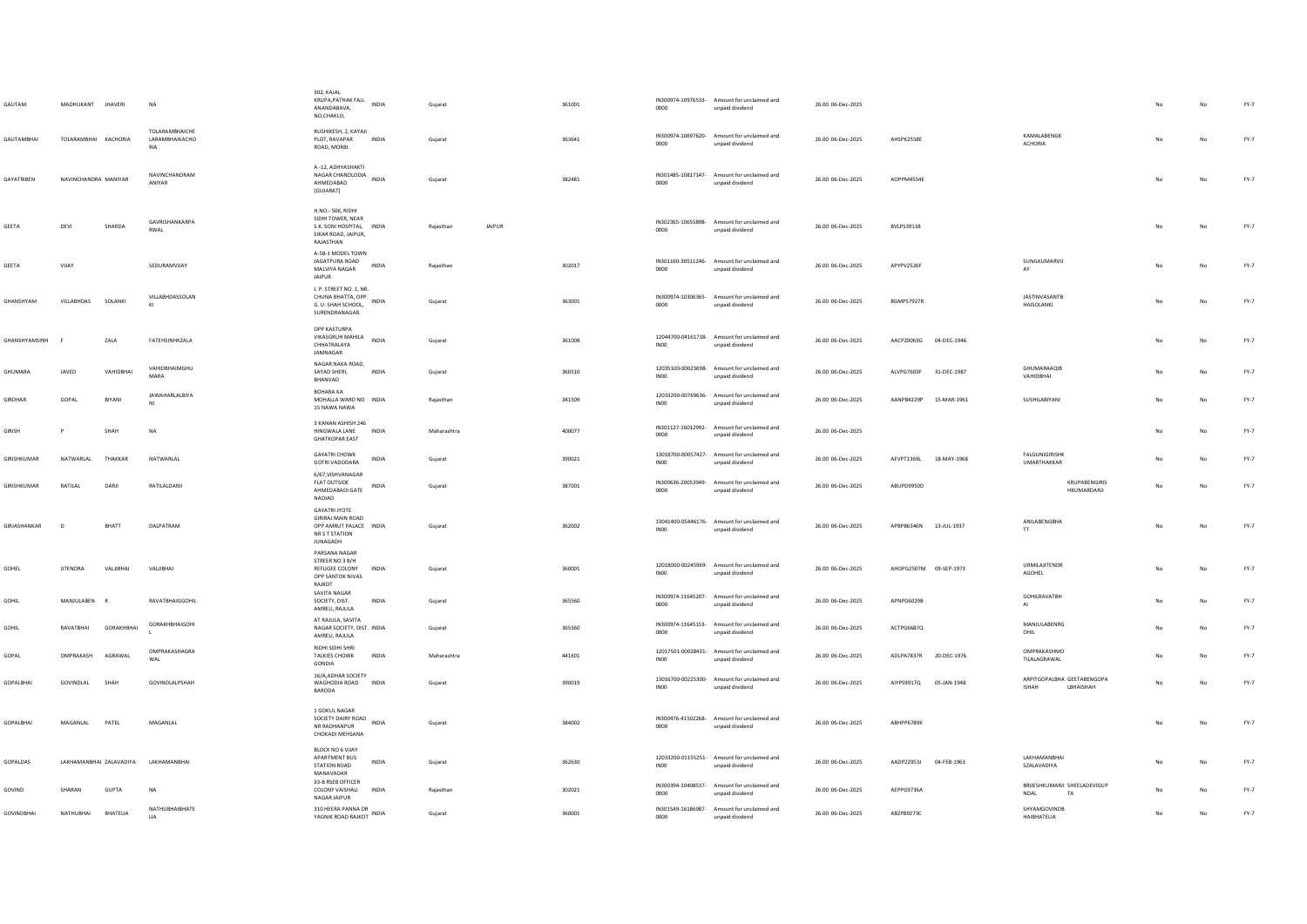| GAUTAM         | MADHUKANT JHAVERI       |                   | <b>NA</b>                                              | 302, KAJAL<br>KRUPA, PATHAK FALI. INDIA<br>ANANDABAVA,<br>NO,CHAKLO,                                     | Guiarat             | 361001 | 0000             | IN300974-10976533- Amount for unclaimed and<br>unpaid dividend | 26.00 06-Dec-2025 |                           |                                                         |                | No          | $FY-7$ |
|----------------|-------------------------|-------------------|--------------------------------------------------------|----------------------------------------------------------------------------------------------------------|---------------------|--------|------------------|----------------------------------------------------------------|-------------------|---------------------------|---------------------------------------------------------|----------------|-------------|--------|
| GAUTAMBHAI     | TOLARAMBHAI KACHORIA    |                   | <b>TOI ARAMRHAICHE</b><br>LARAMBHAIKACHO<br><b>RIA</b> | RUSHIKESH, 2, KAYAJI<br>PLOT, RAVAPAR<br>INDIA<br>ROAD, MORBI.                                           | Gujarat             | 363641 | 0000             | IN300974-10697620- Amount for unclaimed and<br>unpaid dividend | 26.00 06-Dec-2025 | AHSPK2558E                | KAMALABENGK<br><b>ACHORIA</b>                           | N <sub>0</sub> | No          | FY-7   |
| GAYATRIBEN     | NAVINCHANDRA MANIYAR    |                   | NAVINCHANDRAM<br>ANIYAR                                | A-12, ADHYASHAKTI<br>NAGAR CHANDLODIA<br><b>INDIA</b><br>AHMEDABAD<br>(GUJARAT)                          | Gujarat             | 382481 | 0000             | IN301485-10817147- Amount for unclaimed and<br>unpaid dividend | 26.00 06-Dec-2025 | AOPPM4554F                |                                                         | N <sub>0</sub> | No          | FY-7   |
| GEETA          | DEVI                    | SHARDA            | GAVRISHANKARPA<br>RWAI                                 | H.NO.- 506, RIDHI<br>SIDHI TOWER, NEAR<br>S.K. SONI HOSPITAL, INDIA<br>SIKAR ROAD, JAIPUR.<br>RAJASTHAN  | JAIPUR<br>Rajasthan |        | 0000             | IN302365-10655898- Amount for unclaimed and<br>unpaid dividend | 26.00 06-Dec-2025 | <b>BVLPS3911B</b>         |                                                         | No             | No          | FY-7   |
| GEETA          | VIJAY                   |                   | SEDURAMVIJAY                                           | A-58-1 MODEL TOWN<br>JAGATPURA ROAD<br>INDIA<br>MALVIYA NAGAR<br>JAIPUR                                  | Rajasthan           | 302017 | 0000             | IN301160-30511246- Amount for unclaimed and<br>unpaid dividend | 26.00 06-Dec-2025 | APYPV2526F                | SUNILKUMARVIJ<br>AY                                     |                | No          | FY-7   |
| GHANSHYAM      | VILLABHDAS SOLANKI      |                   | VILLABHDASSOLAN<br>K1                                  | J. P. STREET NO. 1, NR.<br>CHUNA BHATTA, OPP. INDIA<br>G. U. SHAH SCHOOL.<br>SURENDRANAGAR.              | Gujarat             | 363001 | 0000             | IN300974-10306365- Amount for unclaimed and<br>unpaid dividend | 26.00 06-Dec-2025 | RGMPS7927R                | JASTINVASANTB<br>HAISOLANKI                             | No.            | No          | $FY-7$ |
| GHANSHYAMSINH  |                         | ZALA              | FATEHSINHKZALA                                         | OPP KASTURPA<br>VIKASGRUH MAHILA INDIA<br>CHHATRALAYA<br>JAMNAGAR                                        | Gujarat             | 361008 | INO <sub>0</sub> | 12044700-04161738- Amount for unclaimed and<br>unpaid dividend | 26.00 06-Dec-2025 | AACPZ0063G 04-DEC-1946    |                                                         | No             | No          | $FY-7$ |
| GHUMARA        | <b>IAVED</b>            | VAHIDBHAI         | VAHIDBHAIMGHU<br>MARA                                  | NAGAR NAKA ROAD,<br>SAYAD SHERI,<br><b>INDIA</b><br>BHANVAD                                              | Gujarat             | 360510 | IN <sub>00</sub> | 12035100-00023698- Amount for unclaimed and<br>unpaid dividend | 26.00 06-Dec-2025 | ALVPG7603F<br>31-DEC-1987 | GHUMARAAQIB<br>VAHIDBHAI                                | No             | No          | $FY-7$ |
| <b>GIRDHAR</b> | GOPAL                   | BIYANI            | <b>JAWAHARLALBIYA</b><br>NI                            | <b>BOHARA KA</b><br>MOHALLA WARD NO INDIA<br>15 NAWA NAWA                                                | Rajasthan           | 341509 | INO <sub>0</sub> | 12033200-00769636- Amount for unclaimed and<br>unpaid dividend | 26.00 06-Dec-2025 | AANPB4229P<br>15-MAR-1961 | SUSHILABIYANI                                           |                | No          | $FY-7$ |
| GIRISH         |                         | SHAH              | N <sub>A</sub>                                         | 3 KANAN ASHISH 246<br>HINGWALA LANE<br><b>INDIA</b><br><b>GHATKOPAR EAST</b>                             | Maharashtra         | 400077 | 0000             | IN301127-16012992- Amount for unclaimed and<br>unpaid dividend | 26.00 06-Dec-2025 |                           |                                                         | No             | No          | FY-7   |
| GIRISHKUMAR    | NATWARLAL               | THAKKAR           | NATWARLAL                                              | <b>GAYATRI CHOWK</b><br>INDIA<br>GOTRI VADODARA                                                          | Gujarat             | 390021 | <b>IN00</b>      | 13018700-00057427- Amount for unclaimed and<br>unpaid dividend | 26.00 06-Dec-2025 | AEVPT1369L<br>18-MAY-1968 | <b>FALGUNIGIRISHK</b><br><b>UMARTHAKKAR</b>             |                | No          | $FY-7$ |
| GIRISHKUMAR    | RATILAL                 | DARI              | RATILALDARJI                                           | 6/67.VISHVANAGAR<br><b>FLAT OUTSIDE</b><br><b>INDIA</b><br>AHMEDABADI GATE<br>NADIAD                     | Guiarat             | 387001 | 0000             | IN300636-20053949- Amount for unclaimed and<br>unpaid dividend | 26.00 06-Dec-2025 | ABUPD9950D                | KRUPABENGIRIS<br>HKUMARDARJI                            | No             | No          | $FY-7$ |
| GIRJASHANKAR   | $\mathbb{D}$            | BHATT             | DALPATRAM                                              | <b>GAYATRI JYOTE</b><br><b>GIRIRAJ MAIN ROAD</b><br>OPP AMRUT PALACE INDIA<br>NR S T STATION<br>JUNAGADH | Guiarat             | 362002 | INO0             | 13041400-05446176- Amount for unclaimed and<br>unpaid dividend | 26.00 06-Dec-2025 | APBPB6346N 13-JUL-1937    | ANILABENGBHA<br>TT                                      | No             | No          | FY-7   |
| GOHEL          | <b>JITENDRA</b>         | VALIBHAI          | VALJIBHAI                                              | PARSANA NAGAR<br>STREER NO 3 B/H<br>REFUGEE COLONY<br>INDIA<br>OPP SANTOK NIVAS<br>RAIKOT                | Gujarat             | 360001 | INO0             | 12018000-00245969- Amount for unclaimed and<br>unpaid dividend | 26.00 06-Dec-2025 | AHOPG2507M 09-SEP-1973    | URMILAJITENDR<br>AGOHEL                                 | No             | $_{\sf No}$ | $FY-7$ |
| GOHIL          | MANJULABEN              |                   | RAVATBHAIGGOHIL                                        | SAVITA NAGAR<br>INDIA<br>SOCIETY, DIST.<br>AMRELI, RAJULA                                                | Gujarat             | 365560 | 0000             | IN300974-11645207- Amount for unclaimed and<br>unpaid dividend | 26.00 06-Dec-2025 | APNPG6029B                | <b>GOHILRAVATBH</b><br>AI                               |                | No          | $FY-7$ |
| GOHIL          | RAVATBHAI               | <b>GORAKHBHAI</b> | <b>GORAKHBHAIGOHI</b>                                  | AT RAJULA, SAVITA<br>NAGAR SOCIETY, DIST. INDIA<br>AMRELI, RAJULA                                        | Guiarat             | 365560 | 0000             | IN300974-11645153- Amount for unclaimed and<br>unpaid dividend | 26.00 06-Dec-2025 | ACTPG6687Q                | MANJULABENRG<br>OHIL                                    | No             | No          | $FY-7$ |
| GOPAL          | OMPRAKASH               | AGRAWAL           | OMPRAKASHAGRA<br>WAL                                   | RIDHI SIDHI SHRI<br>TALKIES CHOWK<br><b>INDIA</b><br>GONDIA                                              | Maharashtra         | 441601 | INO <sub>0</sub> | 12017501-00028431- Amount for unclaimed and<br>unpaid dividend | 26.00 06-Dec-2025 | ADLPA7837R 20-DEC-1976    | OMPRAKASHMO<br>TILALAGRAWAL                             | No             | No          | $FY-7$ |
| GOPALBHAI      | GOVINDLAL               | SHAH              | GOVINDLALPSHAH                                         | 16/A, ADHAR SOCIETY<br>WAGHODIA ROAD INDIA<br>BARODA                                                     | Gujarat             | 390019 | INO <sub>0</sub> | 13016700-00225300- Amount for unclaimed and<br>unpaid dividend | 26.00 06-Dec-2025 | AIYPS9917Q<br>05-JAN-1948 | ARPITGOPALBHA GEETABENGOPA<br>LBHAISHAH<br><b>ISHAH</b> | No             | No          | $FY-7$ |
| GOPALBHAI      | MAGANLAL                | PATEL             | MAGANLAL                                               | 1 GOKUL NAGAR<br>SOCIETY DAIRY ROAD<br><b>INDIA</b><br>NR RADHANPUR<br>CHOKADI MEHSANA                   | Gujarat             | 384002 | 0000             | IN300476-41502268- Amount for unclaimed and<br>unpaid dividend | 26.00 06-Dec-2025 | ABHPP6789K                |                                                         | No             | No          | FY-7   |
| GOPALDAS       | LAKHAMANBHAI ZALAVADIYA |                   | LAKHAMANBHA                                            | BLOCK NO 6 VIJAY<br>APARTMENT BUS<br><b>INDIA</b><br>STATION ROAD<br>MANAVADAR                           | Gujarat             | 362630 | INO <sub>0</sub> | 12033200-01155251- Amount for unclaimed and<br>unpaid dividend | 26.00 06-Dec-2025 | AADPZ2953J<br>04-FEB-1963 | LAKHAMANBHAI<br>SZALAVADIYA                             | No             | No          | $FY-7$ |
| GOVIND         | SHARAN                  | GUPTA             | <b>NA</b>                                              | 33-B RSEB OFFICER<br><b>COLONY VAISHALI</b><br>INDIA<br>NAGAR JAIPUR                                     | Rajasthan           | 302021 | 0000             | IN300394-10408537- Amount for unclaimed and<br>unpaid dividend | 26.00 06-Dec-2025 | AEPPG9736A                | BRIJESHKUMARJI SHEELADEVIGUP<br>NDAL<br>TA              | No             | No          | $FY-7$ |
| GOVINDBHAI     | NATHUBHAI               | BHATELIA          | NATHUBHAIBHATE<br><b>LIA</b>                           | 310 HEERA PANNA DR<br>YAGNIK ROAD RAJKOT INDIA                                                           | Gujarat             | 360001 | 0000             | IN301549-16186987- Amount for unclaimed and<br>unpaid dividend | 26.00 06-Dec-2025 | ABZPB9273C                | SHYAMGOVINDB<br>HAIBHATELIA                             |                | No          | $FY-7$ |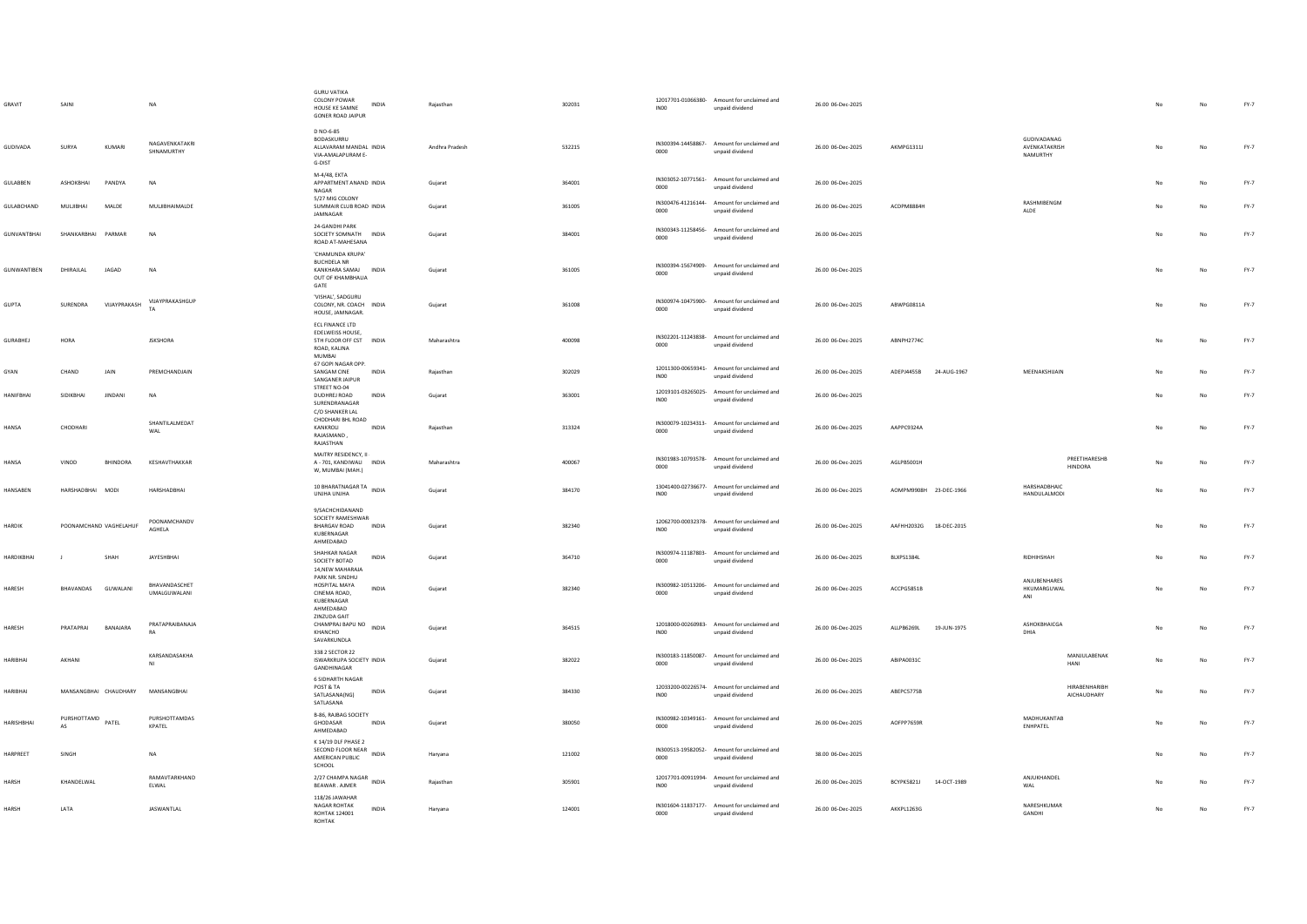| GRAVIT             | SAIN                        |                 | <b>NA</b>                     | <b>GURU VATIKA</b><br>COLONY POWAR<br>INDIA<br>HOUSE KE SAMNE<br><b>GONER ROAD JAIPUR</b>              | Rajasthan      | 302031 | INO <sub>0</sub> | 12017701-01066380- Amount for unclaimed and<br>unpaid dividend | 26.00 06-Dec-2025 |                           |                                                 |                                 |     | No | $FY-7$ |
|--------------------|-----------------------------|-----------------|-------------------------------|--------------------------------------------------------------------------------------------------------|----------------|--------|------------------|----------------------------------------------------------------|-------------------|---------------------------|-------------------------------------------------|---------------------------------|-----|----|--------|
| GUDIVADA           | <b>SURYA</b><br>KUMARI      |                 | NAGAVENKATAKRI<br>SHNAMURTHY  | D NO-6-85<br>BODASKURRU<br>ALLAVARAM MANDAL INDIA<br>VIA-AMALAPURAM E-<br>G-DIST                       | Andhra Pradesh | 532215 | 0000             | IN300394-14458867- Amount for unclaimed and<br>unpaid dividend | 26.00 06-Dec-2025 | AKMPG1311L                | GUDIVADANAG<br><b>AVENKATAKRISH</b><br>NAMURTHY |                                 | No  | No | FY-7   |
| GULABBEN           | ASHOKBHAI<br>PANDYA         |                 | <b>NA</b>                     | M-4/48, EKTA<br>APPARTMENT ANAND INDIA<br>NAGAR                                                        | Gujarat        | 364001 | 0000             | IN303052-10771561- Amount for unclaimed and<br>unpaid dividend | 26.00 06-Dec-2025 |                           |                                                 |                                 |     | No | $FY-7$ |
| GULABCHAND         | MULIBHAI<br>MALDE           |                 | MULJIBHAIMALDE                | 5/27 MIG COLONY<br>SUMMAIR CLUB ROAD INDIA<br>JAMNAGAR                                                 | Gujarat        | 361005 | 0000             | IN300476-41216144- Amount for unclaimed and<br>unpaid dividend | 26.00 06-Dec-2025 | ACDPM8884H                | RASHMIBENGM<br>ALDE                             |                                 |     | No | $FY-7$ |
| <b>GUNVANTBHAI</b> | SHANKARRHAI PARMAR          |                 | <b>NA</b>                     | 24-GANDHI PARK<br>SOCIETY SOMNATH INDIA<br>ROAD AT-MAHESANA                                            | Gujarat        | 384001 | 0000             | IN300343-11258456- Amount for unclaimed and<br>unpaid dividend | 26.00 06-Dec-2025 |                           |                                                 |                                 | No  | No | FY-7   |
| GUNWANTIBEN        | DHIRAJLAL<br>JAGAD          |                 | <b>NA</b>                     | 'CHAMUNDA KRUPA'<br><b>BUCHDELA NR</b><br>KANKHARA SAMAJ<br>INDIA<br>OUT OF KHAMBHALIA<br>GATE         | Gujarat        | 361005 | 0000             | IN300394-15674909- Amount for unclaimed and<br>unpaid dividend | 26.00 06-Dec-2025 |                           |                                                 |                                 | No  | No | FY-7   |
| <b>GUPTA</b>       | SURENDRA                    | VIJAYPRAKASH    | VIJAYPRAKASHGUP<br>TA         | 'VISHAL', SADGURU<br>COLONY, NR. COACH INDIA<br>HOUSE, JAMNAGAR                                        | Gujarat        | 361008 | 0000             | IN300974-10475900- Amount for unclaimed and<br>unpaid dividend | 26.00 06-Dec-2025 | ABWPG0811A                |                                                 |                                 | No  | No | $FY-7$ |
| GURABHEJ           | HORA                        |                 | <b>JSKSHORA</b>               | ECL FINANCE LTD<br>EDELWEISS HOUSE,<br>5TH FLOOR OFF CST INDIA<br>ROAD, KALINA<br>MUMRAI               | Maharashtra    | 400098 | 0000             | IN302201-11243838- Amount for unclaimed and<br>unpaid dividend | 26.00 06-Dec-2025 | ABNPH2774C                |                                                 |                                 |     | No | $FY-7$ |
| GYAN               | CHAND<br>JAIN               |                 | PREMCHANDJAIN                 | 67 GOPI NAGAR OPP.<br>SANGAM CINE<br>INDIA<br>SANGANER JAIPUR<br>STREET NO-04                          | Rajasthan      | 302029 | INO <sub>0</sub> | 12011300-00659341- Amount for unclaimed and<br>unpaid dividend | 26.00 06-Dec-2025 | ADEPJ4455B<br>24-AUG-1967 | MEENAKSHIJAIN                                   |                                 |     | No | FY-7   |
| <b>HANIFBHAI</b>   | SIDIKRHAL<br><b>IINDANI</b> |                 | <b>NA</b>                     | <b>DUDHREJ ROAD</b><br><b>INDIA</b><br>SURENDRANAGAR<br>C/O SHANKER LAL                                | Gujarat        | 363001 | INO <sub>0</sub> | 12019101-03265025- Amount for unclaimed and<br>unpaid dividend | 26.00 06-Dec-2025 |                           |                                                 |                                 |     | No | FY-7   |
| HANSA              | CHODHARI                    |                 | SHANTILALMEDAT<br>WAL         | CHODHARI BHL ROAD<br>KANKROLI<br><b>INDIA</b><br>RAJASMAND<br>RAJASTHAN                                | Raiasthan      | 313324 | 0000             | IN300079-10234313- Amount for unclaimed and<br>unpaid dividend | 26.00 06-Dec-2025 | AAPPC9324A                |                                                 |                                 | No  | No | FY-7   |
| HANSA              | VINOD                       | <b>BHINDORA</b> | KESHAVTHAKKAR                 | MAITRY RESIDENCY, II-<br>A - 701, KANDIWALI INDIA<br>W, MUMBAI (MAH.)                                  | Maharashtra    | 400067 | 0000             | IN301983-10793578- Amount for unclaimed and<br>unpaid dividend | 26.00 06-Dec-2025 | AGLPB5001H                |                                                 | PREETIHARESHB<br><b>HINDORA</b> | No  | No | FY-7   |
| HANSABEN           | HARSHADBHAI MODI            |                 | <b>HARSHADBHAI</b>            | 10 BHARATNAGAR TANN INDIA<br>UNJHA UNJHA                                                               | Gujarat        | 384170 | INO <sub>0</sub> | 13041400-02736677- Amount for unclaimed and<br>unpaid dividend | 26.00 06-Dec-2025 | AOMPM9908H 23-DEC-1966    | HARSHADBHAIC<br>HANDULALMODI                    |                                 | No  | No | $FY-7$ |
| <b>HARDIK</b>      | POONAMCHAND VAGHELAHUF      |                 | POONAMCHANDV<br>AGHELA        | 9/SACHCHIDANAND<br>SOCIETY RAMESHWAR<br><b>BHARGAV ROAD</b><br><b>INDIA</b><br>KUBERNAGAR<br>AHMEDABAD | Gujarat        | 382340 | IN00             | 12062700-00032378- Amount for unclaimed and<br>unpaid dividend | 26.00 06-Dec-2025 | AAFHH2032G 18-DEC-2015    |                                                 |                                 | No. | No | FY-7   |
| <b>HARDIKBHAI</b>  | SHAH                        |                 | JAYESHBHAI                    | SHAHKAR NAGAR<br><b>INDIA</b><br>SOCIETY BOTAD<br>14.NEW MAHARAJA                                      | Gujarat        | 364710 | 0000             | IN300974-11187803- Amount for unclaimed and<br>unpaid dividend | 26.00 06-Dec-2025 | BLXPS1384L                | RIDHIHSHAH                                      |                                 | No  | No | FY-7   |
| HARESH             | BHAVANDAS GUWALANI          |                 | BHAVANDASCHET<br>UMALGUWALANI | PARK NR, SINDHU<br>HOSPITAL MAYA<br>INDIA<br>CINEMA ROAD,<br>KUBERNAGAR<br>AHMEDABAD                   | Gujarat        | 382340 | 0000             | IN300982-10513206- Amount for unclaimed and<br>unpaid dividend | 26.00 06-Dec-2025 | ACCPG5851B                | ANJUBENHARES<br>HKUMARGUWAL<br>ANI              |                                 | No  | No | $FY-7$ |
| HARESH             | PRATAPRAI                   | BANAJARA        | PRATAPRAIRANAIA<br>RA         | <b>ZINZUDA GAIT</b><br>CHAMPRAJ BAPU NO<br>INDIA<br>KHANCHO<br>SAVARKUNDLA                             | Gujarat        | 364515 | IN00             | 12018000-00260983- Amount for unclaimed and<br>unpaid dividend | 26.00 06-Dec-2025 | ALLPB6269L<br>19-JUN-1975 | ASHOKRHAICGA<br>DHIA                            |                                 | No  | No | $FY-7$ |
| HARIBHAI           | AKHANI                      |                 | KARSANDASAKHA<br>NI           | 338 2 SECTOR 22<br>ISWARKRUPA SOCIETY INDIA<br>GANDHINAGAR                                             | Gujarat        | 382022 | 0000             | IN300183-11850087- Amount for unclaimed and<br>unpaid dividend | 26.00 06-Dec-2025 | ABIPA0031C                |                                                 | MANJULABENAK<br>HANI            |     |    | $FY-7$ |
| <b>HARIBHAI</b>    | MANSANGBHAI CHAUDHARY       |                 | MANSANGBHAI                   | <b>6 SIDHARTH NAGAR</b><br>POST & TA<br>INDIA<br>SATLASANA(NG)<br>SATLASANA                            | Gujarat        | 384330 | INO <sub>0</sub> | 12033200-00226574- Amount for unclaimed and<br>unpaid dividend | 26.00 06-Dec-2025 | ABEPC5775B                |                                                 | HIRABENHARIBH<br>AICHAUDHARY    | No  | No | $FY-7$ |
| <b>HARISHRHAI</b>  | PURSHOTTAMD<br>PATEL<br>AS  |                 | PURSHOTTAMDAS<br>KPATEL       | B-86, RAJBAG SOCIETY<br>GHODASAR<br><b>INDIA</b><br>AHMEDABAD                                          | Guiarat        | 380050 | 0000             | IN300982-10349161- Amount for unclaimed and<br>unpaid dividend | 26.00 06-Dec-2025 | AOFPP7659R                | MADHUKANTAB<br>ENHPATEL                         |                                 | No  | No | FY-7   |
| HARPREET           | SINGH                       |                 | <b>NA</b>                     | K 14/19 DLF PHASE 2<br>SECOND FLOOR NEAR<br>INDIA<br>AMERICAN PUBLIC<br>SCHOOL                         | Harvana        | 121002 | 0000             | IN300513-19582052- Amount for unclaimed and<br>unpaid dividend | 38.00 06-Dec-2025 |                           |                                                 |                                 | No  | No | $FY-7$ |
| <b>HARSH</b>       | KHANDELWAL                  |                 | RAMAVTARKHAND<br>ELWAL        | 2/27 CHAMPA NAGAR<br>SALLAR INDIA<br>BEAWAR.AJMER                                                      | Rajasthan      | 305901 | INO <sub>0</sub> | 12017701-00911994- Amount for unclaimed and<br>unpaid dividend | 26.00 06-Dec-2025 | BCYPK5821J<br>14-OCT-1989 | ANJUKHANDEL<br>WAL                              |                                 | No  | No | FY-7   |
| <b>HARSH</b>       | LATA                        |                 | JASWANTLAL                    | 118/26 JAWAHAR<br>NAGAR ROHTAK<br>INDIA<br><b>ROHTAK 124001</b><br>ROHTAK                              | Haryana        | 124001 | 0000             | IN301604-11837177- Amount for unclaimed and<br>unpaid dividend | 26.00 06-Dec-2025 | AKKPL1263G                | NARESHKUMAR<br>GANDHI                           |                                 | No  | No | $FY-7$ |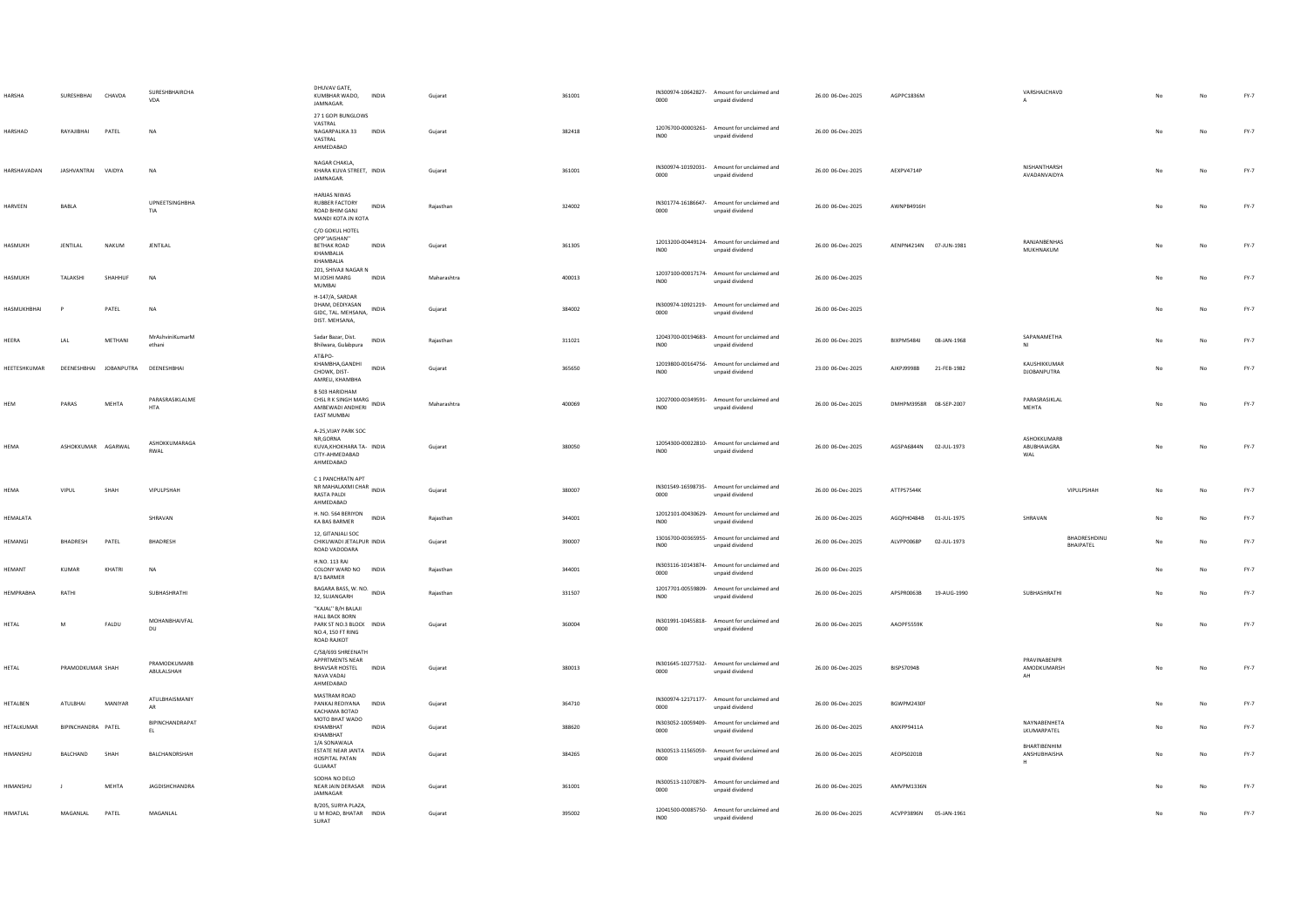| HARSH/              | SURESHBHAI         | CHAVDA                             | SURESHBHAIRCHA<br>VDA         | DHUVAV GATE.<br>KUMBHAR WADO,<br>JAMNAGAR                                                                                         | <b>INDIA</b> | Guiarat     | 361001 | 0000             | IN300974-10642827- Amount for unclaimed and<br>unpaid dividend | 26.00 06-Dec-2025 | AGPPC1836M             |             | VARSHAJCHAVD                      |                           |    |    | FY-7   |
|---------------------|--------------------|------------------------------------|-------------------------------|-----------------------------------------------------------------------------------------------------------------------------------|--------------|-------------|--------|------------------|----------------------------------------------------------------|-------------------|------------------------|-------------|-----------------------------------|---------------------------|----|----|--------|
| <b>HARSHAD</b>      | <b>RAYA IIRHAI</b> | PATEL                              | <b>NA</b>                     | 27 1 GOPI BUNGLOWS<br>VASTRAL<br>NAGARPALIKA 33<br>VASTRAL<br>AHMEDABAD                                                           | INDIA        | Gujarat     | 382418 | INO <sub>0</sub> | 12076700-00003261- Amount for unclaimed and<br>unpaid dividend | 26.00 06-Dec-2025 |                        |             |                                   |                           | No | No | $FY-7$ |
| <b>HARSHAVADAN</b>  | JASHVANTRAI VAIDYA |                                    | <b>NA</b>                     | NAGAR CHAKLA.<br>KHARA KUVA STREET, INDIA<br>JAMNAGAR.                                                                            |              | Gujarat     | 361001 | 0000             | IN300974-10192031- Amount for unclaimed and<br>unpaid dividend | 26.00 06-Dec-2025 | AEXPV4714P             |             | NISHANTHARSH<br>AVADANVAIDYA      |                           | No | No | $FY-7$ |
| HARVEEN             | BABLA              |                                    | <b>UPNEETSINGHBHA</b><br>TIA  | <b>HARJAS NIWAS</b><br><b>RUBBER FACTORY</b><br>ROAD BHIM GANJ<br>MANDI KOTA JN KOTA                                              | INDIA        | Rajasthan   | 324002 | 0000             | IN301774-16186647- Amount for unclaimed and<br>unpaid dividend | 26.00 06-Dec-2025 | AWNPB4916H             |             |                                   |                           |    | No | $FY-7$ |
| HASMUKH             | JENTILAL           | NAKUM                              | JENTILAL                      | C/O GOKUL HOTEL<br>OPP"JAISHAN"<br>BETHAK ROAD<br>KHAMBALIA<br>KHAMBALIA<br>201, SHIVAJI NAGAR N                                  | INDIA        | Gujarat     | 361305 | INO <sub>0</sub> | 12013200-00449124- Amount for unclaimed and<br>unpaid dividend | 26.00 06-Dec-2025 | AENPN4214N 07-JUN-1981 |             | RANJANBENHAS<br>MUKHNAKUM         |                           |    | No | $FY-7$ |
| HASMUKH             | TALAKSHI           | SHAHHUF                            | <b>NA</b>                     | M JOSHI MARG<br>MUMBAI                                                                                                            | INDIA        | Maharashtra | 400013 | IN00             | 12037100-00017174- Amount for unclaimed and<br>unpaid dividend | 26.00 06-Dec-2025 |                        |             |                                   |                           |    | No | $FY-7$ |
| <b>HASMUKHBHAI</b>  | P                  | PATEL                              | <b>NA</b>                     | H-147/A, SARDAR<br>DHAM, DEDIYASAN<br>GIDC, TAL. MEHSANA,<br>DIST. MEHSANA,                                                       | INDIA        | Gujarat     | 384002 | 0000             | IN300974-10921219- Amount for unclaimed and<br>unpaid dividend | 26.00 06-Dec-2025 |                        |             |                                   |                           | No | No | $FY-7$ |
| HEERA               | LAL                | METHAN                             | MrAshviniKumarM<br>ethan      | Sadar Bazar, Dist.<br>Bhilwara, Gulabpura                                                                                         | INDIA        | Rajasthan   | 311021 | IN00             | 12043700-00194683- Amount for unclaimed and<br>unpaid dividend | 26.00 06-Dec-2025 | BIXPM5484J             | 08-JAN-1968 | SAPANAMETHA<br>N1                 |                           |    | No | $FY-7$ |
| <b>HEETESHKUMAR</b> |                    | DEENESHBHAI JOBANPUTRA DEENESHBHAI |                               | AT&PO-<br>KHAMBHA, GANDHI<br>CHOWK, DIST-<br>AMRELI, KHAMBHA                                                                      | <b>INDIA</b> | Guiarat     | 365650 | IN00             | 12019800-00164756- Amount for unclaimed and<br>unpaid dividend | 23.00 06-Dec-2025 | <b>AJKPJ9998B</b>      | 21-FEB-1982 | KAUSHIKKUMAR<br>DJOBANPUTRA       |                           |    | No | $FY-7$ |
| HEM                 | PARAS              | MEHTA                              | PARASRASIKLALME<br><b>HTA</b> | B 503 HARIDHAM<br><b>B SUS RANGO WILL BRANG</b><br>CHSL R K SINGH MARG<br>CHSL R CONTROL INDIA<br>AMBEWADI ANDHERI<br>EAST MUMBAI |              | Maharashtra | 400069 | INO <sub>0</sub> | 12027000-00349591- Amount for unclaimed and<br>unpaid dividend | 26.00 06-Dec-2025 | DMHPM3958R 08-SEP-2007 |             | PARASRASIKLAL<br>MEHTA            |                           | No | No | $FY-7$ |
| HEMA                | ASHOKKUMAR AGARWAL |                                    | ASHOKKUMARAGA<br>RWAI         | A-25, VIJAY PARK SOC<br>NR, GORNA<br>KUVA, KHOKHARA TA- INDIA<br>CITY-AHMEDABAD<br>AHMEDABAD                                      |              | Gujarat     | 380050 | IN00             | 12054300-00022810- Amount for unclaimed and<br>unpaid dividend | 26.00 06-Dec-2025 | AGSPA6844N 02-JUL-1973 |             | ASHOKKUMARB<br>ABUBHAIAGRA<br>WAL |                           |    | No | $FY-7$ |
| HEMA                | VIPUL              | SHAH                               | VIPULPSHAH                    | C 1 PANCHRATN APT<br>NR MAHALAXMI CHAR<br><b>RASTA PALDI</b><br>AHMEDABAD                                                         | <b>INDIA</b> | Gujarat     | 380007 | 0000             | IN301549-16598735- Amount for unclaimed and<br>unpaid dividend | 26.00 06-Dec-2025 | ATTPS7544K             |             |                                   | VIPULPSHAH                | No | No | FY-7   |
| HEMALATA            |                    |                                    | SHRAVAN                       | H. NO. 564 BERIYON<br>KA BAS BARMER                                                                                               | INDIA        | Rajasthan   | 344001 | IN00             | 12012101-00430629- Amount for unclaimed and<br>unpaid dividend | 26.00 06-Dec-2025 | AGOPH0484B             | 01-JUL-1975 | SHRAVAN                           |                           |    | No | FY-7   |
| <b>HEMANGI</b>      | BHADRESH           | PATEL                              | BHADRESH                      | 12. GITANJALI SOC<br>CHIKUWADI JETALPUR INDIA<br>ROAD VADODARA                                                                    |              | Gujarat     | 390007 | IN00             | 13016700-00365955- Amount for unclaimed and<br>unpaid dividend | 26.00 06-Dec-2025 | ALVPP0068P             | 02-JUL-1973 |                                   | BHADRESHDINU<br>BHAIPATEL |    | No | $FY-7$ |
| <b>HFMANT</b>       | KUMAR              | KHATRI                             | <b>NA</b>                     | H.NO. 113 RAI<br>COLONY WARD NO INDIA<br>8/1 BARMER                                                                               |              | Rajasthan   | 344001 | 0000             | IN303116-10143874- Amount for unclaimed and<br>unpaid dividend | 26.00.06-Dec-2025 |                        |             |                                   |                           | No | No | FY-7   |
| <b>HEMPRABHA</b>    | RATHI              |                                    | SUBHASHRATHI                  | BAGARA BASS, W. NO. INDIA<br>32, SUJANGARH                                                                                        |              | Rajasthan   | 331507 | INOO             | 12017701-00559809- Amount for unclaimed and<br>unpaid dividend | 26.00 06-Dec-2025 | APSPR0063B             | 19-AUG-1990 | SUBHASHRATHI                      |                           |    | No | FY-7   |
| HETAL               | M                  | FALDU                              | MOHANBHAIVFAL<br>DU           | "KAJAL" B/H BALAJI<br><b>HALL BACK BORN</b><br>PARK ST NO.3 BLOCK INDIA<br>NO.4, 150 FT RING<br>ROAD RAJKOT                       |              | Gujarat     | 360004 | 0000             | IN301991-10455818- Amount for unclaimed and<br>unpaid dividend | 26.00 06-Dec-2025 | AAOPF5559K             |             |                                   |                           | No | No | FY-7   |
| <b>HETAL</b>        | PRAMODKUMAR SHAH   |                                    | PRAMODKUMARB<br>ABULALSHAH    | C/58/693 SHREENATH<br><b>APPRTMENTS NEAR</b><br>BHAVSAR HOSTEL INDIA<br>NAVA VADAL<br>AHMEDABAD                                   |              | Guiarat     | 380013 | 0000             | IN301645-10277532- Amount for unclaimed and<br>unpaid dividend | 26.00 06-Dec-2025 | BISPS7094B             |             | PRAVINABENPR<br>AMODKUMARSH<br>AH |                           | No | No | FY-7   |
| HETALBEN            | ATULBHAI           | MANIYAR                            | ATULBHAISMANIY<br><b>AR</b>   | MASTRAM ROAD<br>PANKAJ REDIYANA<br>KACHAMA BOTAD                                                                                  | INDIA        | Gujarat     | 364710 | 0000             | IN300974-12171177- Amount for unclaimed and<br>unpaid dividend | 26.00 06-Dec-2025 | BGWPM2430F             |             |                                   |                           |    | No | FY-7   |
| HETALKUMAR          | BIPINCHANDRA PATEL |                                    | BIPINCHANDRAPAT<br>EL.        | MOTO BHAT WADO<br>KHAMBHAT<br>KHAMRHAT                                                                                            | INDIA        | Gujarat     | 388620 | 0000             | IN303052-10059409- Amount for unclaimed and<br>unpaid dividend | 26.00 06-Dec-2025 | ANXPP9411A             |             | NAYNARENHETA<br>LKUMARPATEL       |                           |    | No | FY-7   |
| <b>HIMANSHIJ</b>    | <b>BALCHAND</b>    | SHAH                               | <b>RAICHANDRSHAH</b>          | 1/A SONAWALA<br>ESTATE NEAR JANTA<br>HOSPITAL PATAN<br>GUJARAT                                                                    | <b>INDIA</b> | Gujarat     | 384265 | 0000             | IN300513-11565059- Amount for unclaimed and<br>unpaid dividend | 26.00.06-Dec-2025 | AFOPS0201B             |             | BHARTIBENHIM<br>ANSHUBHAISHA<br>H |                           |    | No | FY-7   |
| HIMANSHU            | $\overline{1}$     | MEHTA                              | JAGDISHCHANDRA                | SODHA NO DELO<br>NEAR JAIN DERASAR INDIA<br>JAMNAGAR                                                                              |              | Gujarat     | 361001 | 0000             | IN300513-11070879- Amount for unclaimed and<br>unpaid dividend | 26.00 06-Dec-2025 | AMVPM1336N             |             |                                   |                           |    | No | FY-7   |
| HIMATLAL            | MAGANLAL           | PATEL                              | MAGANLAL                      | B/205, SURYA PLAZA,<br>U M ROAD, BHATAR INDIA<br>SURAT                                                                            |              | Gujarat     | 395002 | IN00             | 12041500-00085750- Amount for unclaimed and<br>unpaid dividend | 26.00 06-Dec-2025 | ACVPP3896N 05-JAN-1961 |             |                                   |                           |    | No | FY-7   |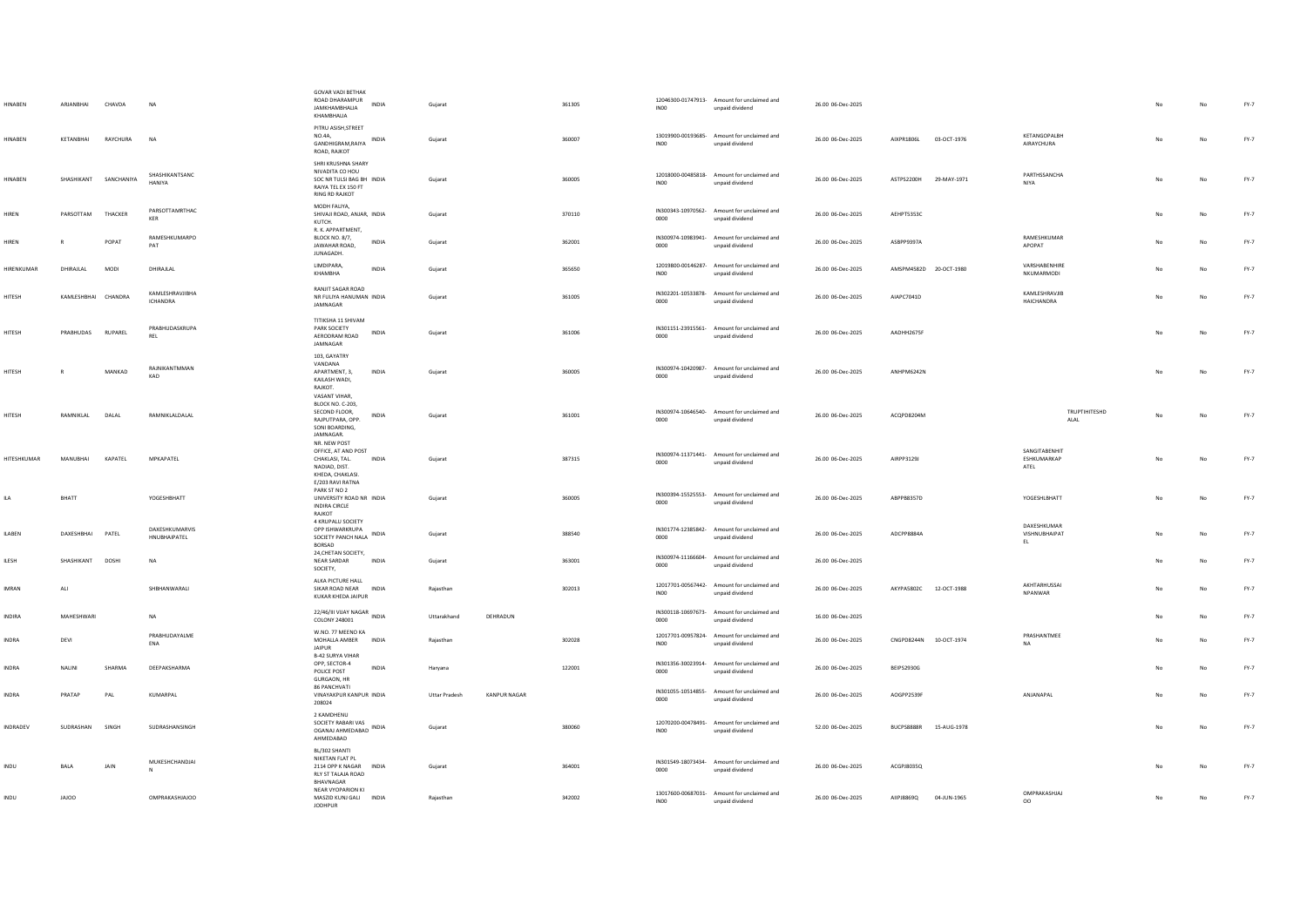| <b>HINABEN</b> | ARIANRHAI           | CHAVDA                | <b>NA</b>                          | <b>GOVAR VADI BETHAK</b><br>ROAD DHARAMPUR<br><b>INDIA</b><br>JAMKHAMBHALIA<br>KHAMBHALIA                           | Guiarat              |                     | 361305 | INO0             | 12046300-01747913- Amount for unclaimed and<br>unpaid dividend | 26.00 06-Dec-2025 |                        |             |                                      |    | No          | $FY-7$ |
|----------------|---------------------|-----------------------|------------------------------------|---------------------------------------------------------------------------------------------------------------------|----------------------|---------------------|--------|------------------|----------------------------------------------------------------|-------------------|------------------------|-------------|--------------------------------------|----|-------------|--------|
| HINABEN        | KETANBHAI           | RAYCHURA              | <b>NA</b>                          | PITRU ASISH, STREET<br>NO.4A,<br>GANDHIGRAM, RAIYA INDIA<br>ROAD, RAJKOT                                            | Guiarat              |                     | 360007 | INO <sub>0</sub> | 13019900-00193685- Amount for unclaimed and<br>unpaid dividend | 26.00 06-Dec-2025 | AIXPR1806L             | 03-OCT-1976 | KETANGOPALBH<br>AIRAYCHURA           | No | No          | $FY-7$ |
| <b>HINABEN</b> |                     | SHASHIKANT SANCHANIYA | SHASHIKANTSANC<br><b>HANIYA</b>    | SHRI KRUSHNA SHARY<br>NIVADITA CO HOU<br>SOC NR TULSI BAG BH INDIA<br>RAIYA TEL EX 150 FT<br><b>RING RD RAJKOT</b>  | Gujarat              |                     | 360005 | IN <sub>00</sub> | 12018000-00485818- Amount for unclaimed and<br>unpaid dividend | 26.00 06-Dec-2025 | ASTPS2200H 29-MAY-1971 |             | PARTHSSANCHA<br>NIYA                 | No | No          | FY-7   |
| HIREN          | PARSOTTAM           | THACKER               | PARSOTTAMRTHAC<br>KER              | MODH FALIYA,<br>SHIVAJI ROAD, ANJAR, INDIA<br>KUTCH.                                                                | Guiarat              |                     | 370110 | 0000             | IN300343-10970562- Amount for unclaimed and<br>unpaid dividend | 26.00 06-Dec-2025 | AEHPT5353C             |             |                                      | No | No          | FY-7   |
| HIREN          |                     | POPAT                 | RAMESHKUMARPO<br>PAT               | R. K. APPARTMENT,<br>BLOCK NO. 8/7,<br>INDIA<br>JAWAHAR ROAD.<br>JUNAGADH.                                          | Gujarat              |                     | 362001 | 0000             | IN300974-10983941- Amount for unclaimed and<br>unpaid dividend | 26.00 06-Dec-2025 | ASBPP9397A             |             | RAMESHKUMAR<br>APOPAT                | No | No          | FY-7   |
| HIRENKUMAR     | DHIRAJLAL           | <b>MODI</b>           | DHIRAJLAL                          | LIMDIPARA,<br><b>INDIA</b><br>KHAMBHA                                                                               | Guiarat              |                     | 365650 | IN <sub>00</sub> | 12019800-00146287- Amount for unclaimed and<br>unpaid dividend | 26.00 06-Dec-2025 | AMSPM4582D 20-OCT-1980 |             | VARSHARENHIRE<br>NKUMARMODI          | No | <b>No</b>   | $FY-7$ |
| HITESH         | KAMLESHBHAI CHANDRA |                       | KAMLESHRAVJIBHA<br><b>ICHANDRA</b> | RANJIT SAGAR ROAD<br>NR FULIYA HANUMAN INDIA<br>JAMNAGAR                                                            | Gujarat              |                     | 361005 | 0000             | IN302201-10533878- Amount for unclaimed and<br>unpaid dividend | 26.00 06-Dec-2025 | AIAPC7041D             |             | KAMLESHRAVJIB<br><b>HAICHANDRA</b>   | No | No          | FY-7   |
| HITESH         | PRABHUDAS RUPAREL   |                       | PRABHUDASKRUPA<br>REL              | TITIKSHA 11 SHIVAM<br>PARK SOCIETY<br>INDIA<br>AERODRAM ROAD<br>JAMNAGAR                                            | Gujarat              |                     | 361006 | 0000             | IN301151-23915561- Amount for unclaimed and<br>unpaid dividend | 26.00 06-Dec-2025 | AADHH2675F             |             |                                      | No | No          | $FY-7$ |
| HITESH         |                     | MANKAD                | <b>RAINIKANTMMAN</b><br>KAD        | 103, GAYATRY<br>VANDANA<br>APARTMENT, 3,<br>INDIA<br>KAILASH WADI,<br>RAIKOT<br>VASANT VIHAR,                       | Gujarat              |                     | 360005 | 0000             | IN300974-10420987- Amount for unclaimed and<br>unpaid dividend | 26.00 06-Dec-2025 | ANHPM6242N             |             |                                      | No | No          | $FY-7$ |
| HITESH         | RAMNIKLAL           | DALAL                 | RAMNIKLALDALAL                     | BLOCK NO. C-203<br>SECOND FLOOR,<br>INDIA<br>RAJPUTPARA, OPP.<br>SONI BOARDING,<br>JAMNAGAR.                        | Gujarat              |                     | 361001 | 0000             | IN300974-10646540- Amount for unclaimed and<br>unpaid dividend | 26.00 06-Dec-2025 | ACQPD8204M             |             | TRUPTIHITESHD<br>ALAL                |    | No          | FY-7   |
| HITESHKUMAR    | MANUBHAI            | KAPATEL               | MPKAPATEL                          | NR. NEW POST<br>OFFICE, AT AND POST<br>CHAKLASI, TAL.<br><b>INDIA</b><br>NADIAD, DIST.<br>KHEDA, CHAKLASI.          | Guiarat              |                     | 387315 | 0000             | IN300974-11371441- Amount for unclaimed and<br>unpaid dividend | 26.00 06-Dec-2025 | AIRPP3129J             |             | SANGITABENHIT<br>ESHKUMARKAP<br>ATEL | No | No          | FY-7   |
| ILA            | RHATT               |                       | YOGESHRHATT                        | E/203 RAVI RATNA<br>PARK ST NO 2<br>UNIVERSITY ROAD NR INDIA<br><b>INDIRA CIRCLE</b><br>RAJKOT<br>4 KRUPALU SOCIETY | Guiarat              |                     | 360005 | 0000             | IN300394-15525553- Amount for unclaimed and<br>unpaid dividend | 26.00 06-Dec-2025 | ARPPR8357D             |             | YOGESHI RHATT                        | No | <b>No</b>   | FY-7   |
| <b>ILABEN</b>  | DAXESHBHAI PATEL    |                       | DAXESHKUMARVIS<br>HNUBHAIPATEL     | OPP ISHWARKRUPA<br>SOCIETY PANCH NALA INDIA<br>BORSAD                                                               | Gujarat              |                     | 388540 | 0000             | IN301774-12385842- Amount for unclaimed and<br>unpaid dividend | 26.00 06-Dec-2025 | ADCPP8884A             |             | DAXESHKUMAR<br>VISHNUBHAIPAT<br>EL.  | No | No          | $FY-7$ |
| ILESH          | SHASHIKANT          | DOSHI                 | <b>NA</b>                          | 24, CHETAN SOCIETY,<br>NEAR SARDAR<br>INDIA<br>SOCIETY,                                                             | Gujarat              |                     | 363001 | 0000             | IN300974-11166604- Amount for unclaimed and<br>unpaid dividend | 26.00 06-Dec-2025 |                        |             |                                      |    | $_{\sf No}$ | FY-7   |
| <b>IMRAN</b>   | ALI                 |                       | SHBHANWARALI                       | ALKA PICTURE HALL<br>SIKAR ROAD NEAR INDIA<br>KUKAR KHEDA JAIPUR                                                    | Raiasthan            |                     | 302013 | INO <sub>0</sub> | 12017701-00567442- Amount for unclaimed and<br>unpaid dividend | 26.00 06-Dec-2025 | AKYPA5802C 12-OCT-1988 |             | AKHTARHUSSAI<br>NPANWAR              | No | No          | FY-7   |
| INDIRA         | MAHESHWARI          |                       | $_{\sf NA}$                        | 22/46/III VIJAY NAGAR INDIA<br>COLONY 248001                                                                        | Uttarakhand          | DEHRADUN            |        | 0000             | IN300118-10697673- Amount for unclaimed and<br>unpaid dividend | 16.00 06-Dec-2025 |                        |             |                                      |    | $_{\sf No}$ | $FY-7$ |
| <b>INDRA</b>   | DEVI                |                       | PRABHUDAYALME<br>ENA               | W.NO. 77 MEENO KA<br>MOHALLA AMBER INDIA<br><b>JAIPUR</b><br><b>B-42 SURYA VIHAR</b>                                | Rajasthan            |                     | 302028 | INO <sub>0</sub> | 12017701-00957824- Amount for unclaimed and<br>unpaid dividend | 26.00 06-Dec-2025 | CNGPD8244N 10-OCT-1974 |             | PRASHANTMEE<br><b>NA</b>             | No | No          | FY-7   |
| <b>INDRA</b>   | NALINI              | SHARMA                | DEEPAKSHARMA                       | OPP, SECTOR-4<br>INDIA<br>POLICE POST<br>GURGAON, HR<br>86 PANCHVATI                                                | Haryana              |                     | 122001 | 0000             | IN301356-30023914- Amount for unclaimed and<br>unpaid dividend | 26.00 06-Dec-2025 | <b>BEIPS2930G</b>      |             |                                      |    | No          | $FY-7$ |
| <b>INDRA</b>   | PRATAP              | PAL                   | KUMARPAL                           | VINAYAKPUR KANPUR INDIA<br>208024                                                                                   | <b>Uttar Pradesh</b> | <b>KANPUR NAGAR</b> |        | 0000             | IN301055-10514855- Amount for unclaimed and<br>unpaid dividend | 26.00 06-Dec-2025 | AOGPP2539F             |             | ANJANAPAL                            | No | No          | FY-7   |
| INDRADEV       | SUDRASHAN SINGH     |                       | SUDRASHANSINGH                     | 2 KAMDHENU<br>SOCIETY RABARI VAS<br>OGANAJ AHMEDABAD INDIA<br>AHMEDABAD                                             | Gujarat              |                     | 380060 | INO <sub>0</sub> | 12070200-00478491- Amount for unclaimed and<br>unpaid dividend | 52.00 06-Dec-2025 | BUCPS8888R 15-AUG-1978 |             |                                      | No | No          | FY-7   |
| <b>INDU</b>    | BALA                | JAIN                  | MUKESHCHANDJAI                     | BL/302 SHANTI<br>NIKETAN FLAT PL<br>2114 OPP K NAGAR INDIA<br>RLY ST TALAJA ROAD<br>BHAVNAGAR                       | Guiarat              |                     | 364001 | 0000             | IN301549-18073434- Amount for unclaimed and<br>unpaid dividend | 26.00 06-Dec-2025 | ACGPJ8035Q             |             |                                      | No | No          | FY-7   |
| <b>INDU</b>    | JAJOO               |                       | <b>OMPRAKASHJAJOO</b>              | NEAR VYOPARION KI<br>MASZID KUNJ GALI INDIA<br><b>JODHPUR</b>                                                       | Rajasthan            |                     | 342002 | IN <sub>00</sub> | 13017600-00687031- Amount for unclaimed and<br>unpaid dividend | 26.00 06-Dec-2025 | AIIPJ8869Q             | 04-JUN-1965 | OMPRAKASHJAJ<br>$^{00}$              | No | No          | $FY-7$ |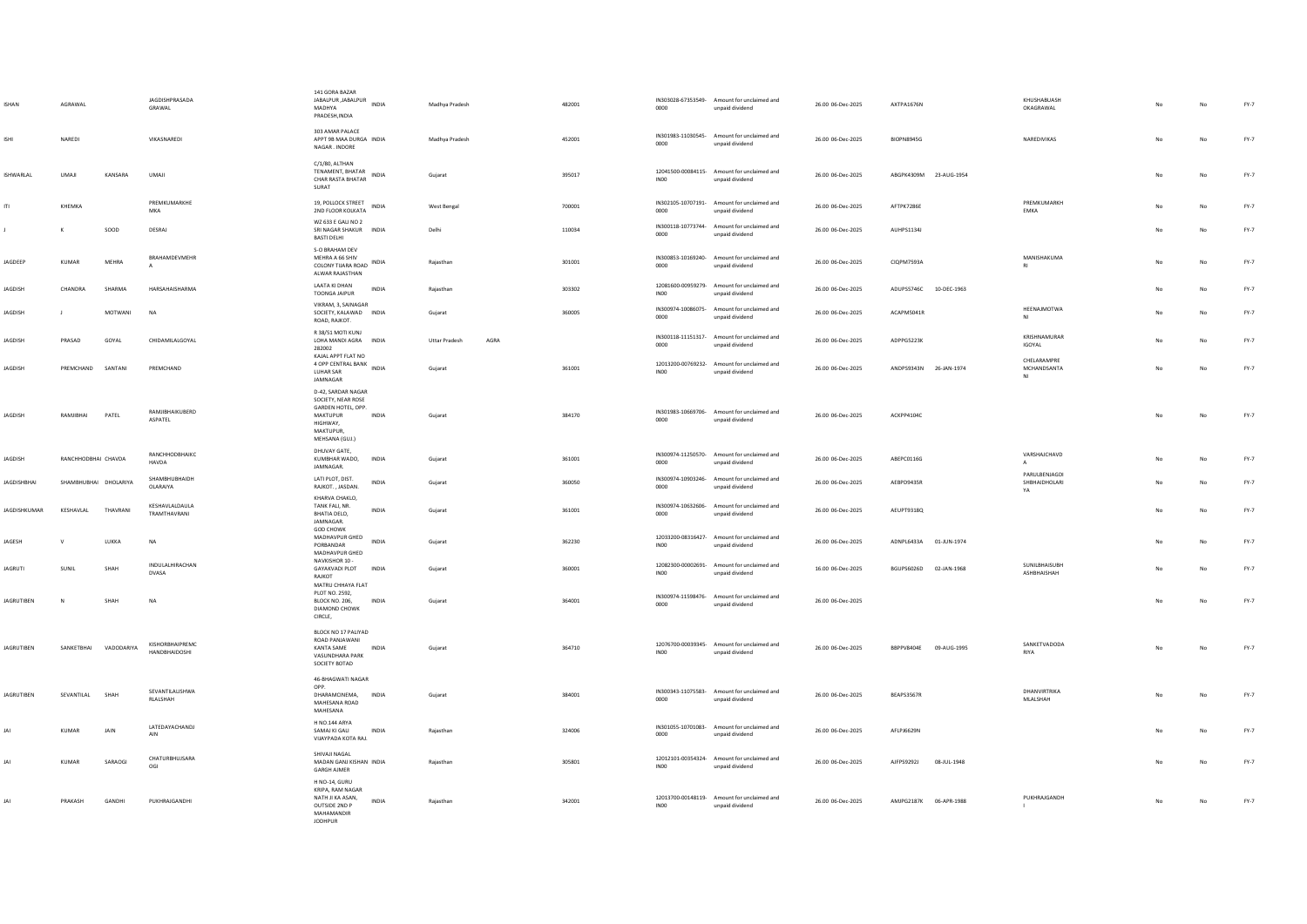| <b>ISHAN</b>      | AGRAWAL               |            | JAGDISHPRASADA<br>GRAWAL         | 141 GORA BAZAR<br>JABALPUR, JABALPUR<br>JABALPUR, JABALPUR<br>MADHYA<br>PRADESH, INDIA                                |              | Madhya Pradesh               | 482001 | 0000             | IN303028-67353549- Amount for unclaimed and<br>unpaid dividend | 26.00 06-Dec-2025 | AXTPA1676N             |             | KHUSHABUASH<br>OKAGRAWAL             |                | No          | $FY-7$ |
|-------------------|-----------------------|------------|----------------------------------|-----------------------------------------------------------------------------------------------------------------------|--------------|------------------------------|--------|------------------|----------------------------------------------------------------|-------------------|------------------------|-------------|--------------------------------------|----------------|-------------|--------|
| ISHI              | NAREDI                |            | VIKASNAREDI                      | 303 AMAR PALACE<br>APPT 9B MAA DURGA INDIA<br>NAGAR, INDORE                                                           |              | Madhya Pradesh               | 452001 | 0000             | IN301983-11030545- Amount for unclaimed and<br>unpaid dividend | 26.00 06-Dec-2025 | <b>BIOPN8945G</b>      |             | NAREDIVIKAS                          | No             | No          | $FY-7$ |
| <b>ISHWARLAL</b>  | UMAJI                 | KANSARA    | UMAJI                            | C/1/80, ALTHAN<br>TENAMENT, BHATAR<br>CHAR RASTA BHATAR<br>SURAT                                                      | INDIA        | Gujarat                      | 395017 | IN <sub>00</sub> | 12041500-00084115- Amount for unclaimed and<br>unpaid dividend | 26.00 06-Dec-2025 | ABGPK4309M             | 23-AUG-1954 |                                      | No             | $_{\sf No}$ | FY-7   |
| m                 | KHEMKA                |            | PREMKUMARKHE<br><b>MKA</b>       | 19, POLLOCK STREET<br>2ND FLOOR KOLKATA                                                                               | <b>INDIA</b> | West Bengal                  | 700001 | 0000             | IN302105-10707191- Amount for unclaimed and<br>unpaid dividend | 26.00 06-Dec-2025 | AFTPK7286E             |             | PREMKUMARKH<br>EMKA                  | No             | No          | $FY-7$ |
|                   |                       | SOOD       | DESRAJ                           | WZ 633 E GALI NO 2<br>SRI NAGAR SHAKUR INDIA<br><b>BASTI DELHI</b>                                                    |              | Delhi                        | 110034 | 0000             | IN300118-10773744- Amount for unclaimed and<br>unpaid dividend | 26.00 06-Dec-2025 | AUHPS1134J             |             |                                      | No             | $_{\sf No}$ | $FY-7$ |
| JAGDEEP           | KUMAR                 | MEHRA      | RRAHAMDEVMEHR                    | S-O BRAHAM DEV<br>MEHRA A 66 SHIV<br>COLONY TUARA ROAD INDIA<br>ALWAR RAJASTHAN                                       |              | Rajasthan                    | 301001 | 0000             | IN300853-10169240- Amount for unclaimed and<br>unpaid dividend | 26.00 06-Dec-2025 | CIQPM7593A             |             | MANISHAKUMA<br>R1                    | No             | $_{\sf No}$ | $FY-7$ |
| <b>JAGDISH</b>    | CHANDRA               | SHARMA     | HARSAHAISHARMA                   | <b>LAATA KI DHAN</b><br>TOONGA JAIPUR                                                                                 | INDIA        | Raiasthan                    | 303302 | <b>IN00</b>      | 12081600-00959279- Amount for unclaimed and<br>unpaid dividend | 26.00 06-Dec-2025 | ADUPS5746C 10-DEC-1963 |             |                                      | No             | No          | $FY-7$ |
| JAGDISH           | J.                    | MOTWANI    | N <sub>A</sub>                   | VIKRAM, 3, SAINAGAR<br>SOCIETY, KALAWAD INDIA<br>ROAD, RAJKOT.                                                        |              | Gujarat                      | 360005 | 0000             | IN300974-10086075- Amount for unclaimed and<br>unpaid dividend | 26.00 06-Dec-2025 | ACAPM5041R             |             | HEENAJMOTWA<br>NI                    |                | No          | $FY-7$ |
| <b>JAGDISH</b>    | PRASAD                | GOYAL      | CHIDAMILALGOYAL                  | R 38/51 MOTI KUNJ<br>LOHA MANDI AGRA INDIA<br>282002                                                                  |              | <b>Uttar Pradesh</b><br>AGRA |        | 0000             | IN300118-11151317- Amount for unclaimed and<br>unpaid dividend | 26.00 06-Dec-2025 | ADPPG5223K             |             | KRISHNAMURAR<br><b>IGOYAL</b>        |                | No          | $FY-7$ |
| <b>JAGDISH</b>    | PREMCHAND SANTANI     |            | PREMCHAND                        | KAJAL APPT FLAT NO<br>4 OPP CENTRAL BANK<br>LUHAR SAR<br>JAMNAGAR                                                     | <b>INDIA</b> | Guiarat                      | 361001 | INO0             | 12013200-00769232- Amount for unclaimed and<br>unpaid dividend | 26.00 06-Dec-2025 | ANDPS9343N 26-JAN-1974 |             | CHELARAMPRE<br>MCHANDSANTA<br>NI     | No             | No          | $FY-7$ |
| <b>JAGDISH</b>    | RAMJIBHAI             | PATEL      | RAMJIBHAIKUBERD<br>ASPATEL       | D-42, SARDAR NAGAR<br>SOCIETY, NEAR ROSE<br>GARDEN HOTEL, OPP.<br>MAKTUPUR<br>HIGHWAY,<br>MAKTUPUR,<br>MEHSANA (GUJ.) | <b>INDIA</b> | Gujarat                      | 384170 | 0000             | IN301983-10669706- Amount for unclaimed and<br>unpaid dividend | 26.00 06-Dec-2025 | ACKPP4104C             |             |                                      | No             | No          | $FY-7$ |
| <b>JAGDISH</b>    | RANCHHODBHAI CHAVDA   |            | RANCHHODBHAIKC<br><b>HAVDA</b>   | DHUVAY GATE,<br>KUMBHAR WADO,<br>JAMNAGAR.                                                                            | <b>INDIA</b> | Gujarat                      | 361001 | 0000             | IN300974-11250570- Amount for unclaimed and<br>unpaid dividend | 26.00 06-Dec-2025 | ABEPC0116G             |             | VARSHAJCHAVD<br>$\mathsf{A}$         |                | No          | $FY-7$ |
| JAGDISHBHAI       | SHAMBHUBHAI DHOLARIYA |            | SHAMBHUBHAIDH<br>OLARAIYA        | LATI PLOT, DIST.<br>RAJKOT., JASDAN.                                                                                  | <b>INDIA</b> | Gujarat                      | 360050 | 0000             | IN300974-10903246- Amount for unclaimed and<br>unpaid dividend | 26.00 06-Dec-2025 | AEBPD9435R             |             | PARULBENJAGDI<br>SHBHAIDHOLARI<br>YA |                | No          | FY-7   |
| JAGDISHKUMAR      | KESHAVLAL             | THAVRANI   | KESHAVLALDAULA<br>TRAMTHAVRANI   | KHARVA CHAKLO,<br>TANK FALL NR<br>BHATIA DELO.<br>JAMNAGAR.                                                           | INDIA        | Gujarat                      | 361001 | 0000             | IN300974-10632606- Amount for unclaimed and<br>unpaid dividend | 26.00 06-Dec-2025 | AEUPT9318Q             |             |                                      | No             | No          | FY-7   |
| <b>JAGESH</b>     |                       | LUKKA      | NA                               | <b>GOD CHOWK</b><br>MADHAVPUR GHED<br>PORBANDAR<br>MADHAVPUR GHED                                                     | INDIA        | Gujarat                      | 362230 | INO <sub>0</sub> | 12033200-08316427- Amount for unclaimed and<br>unpaid dividend | 26.00 06-Dec-2025 | ADNPL6433A 01-JUN-1974 |             |                                      |                | No          | $FY-7$ |
| <b>JAGRUTI</b>    | SUNIL                 | SHAH       | INDULALHIRACHAN<br>DVASA         | NAVKISHOR 10 -<br><b>GAYAKVADI PLOT</b><br>RAJKOT                                                                     | INDIA        | Gujarat                      | 360001 | IN00             | 12082300-00002691- Amount for unclaimed and<br>unpaid dividend | 16.00 06-Dec-2025 | BGUPS6026D 02-JAN-1968 |             | SUNILBHAISUBH<br>ASHRHAISHAH         |                | No          | FY-7   |
| <b>JAGRUTIBEN</b> |                       | SHAH       | N <sub>A</sub>                   | MATRU CHHAYA FLAT<br>PLOT NO. 2592,<br>BLOCK NO. 206,<br><b>DIAMOND CHOWK</b><br>CIRCLE,                              | INDIA        | Gujarat                      | 364001 | 0000             | IN300974-11598476- Amount for unclaimed and<br>unpaid dividend | 26.00 06-Dec-2025 |                        |             |                                      | No             | No          | FY-7   |
| JAGRUTIBEN        | SANKETBHAI            | VADODARIYA | KISHORRHAIPREMC<br>HANDBHAIDOSHI | BLOCK NO 17 PALIYAD<br>ROAD PANJAWANI<br>KANTA SAME<br>VASUNDHARA PARK<br>SOCIETY BOTAD                               | <b>INDIA</b> | Guiarat                      | 364710 | IN00             | 12076700-00039345- Amount for unclaimed and<br>unpaid dividend | 26.00 06-Dec-2025 | BBPPV8404E 09-AUG-1995 |             | SANKETVADODA<br><b>RIYA</b>          | No             | No          | $FY-7$ |
| <b>JAGRUTIBEN</b> | SEVANTILAL            | SHAH       | SEVANTILALISHWA<br>RLALSHAH      | 46-BHAGWATI NAGAR<br>OPP.<br>DHARAMCINEMA.<br>MAHESANA ROAD<br>MAHESANA                                               | <b>INDIA</b> | Gujarat                      | 384001 | 0000             | IN300343-11075583- Amount for unclaimed and<br>unpaid dividend | 26.00 06-Dec-2025 | <b>BEAPS3567R</b>      |             | DHANVIRTRIKA<br>MLALSHAH             |                | No          | FY-7   |
|                   | <b>KUMAR</b>          | JAIN       | LATEDAYACHANDJ<br>AIN            | H NO.144 ARYA<br>SAMAJ KI GALI<br>VIJAYPADA KOTA RAJ.                                                                 | INDIA        | Rajasthan                    | 324006 | 0000             | IN301055-10701083- Amount for unclaimed and<br>unpaid dividend | 26.00 06-Dec-2025 | AFLPJ6629N             |             |                                      |                | No          | FY-7   |
|                   | <b>KUMAR</b>          | SARAOGI    | CHATURBHUJSARA<br>OGI            | SHIVA II NAGAL<br>MADAN GANJ KISHAN INDIA<br><b>GARGH AJMER</b>                                                       |              | Raiasthan                    | 305801 | INO <sub>0</sub> | 12012101-00354324- Amount for unclaimed and<br>unpaid dividend | 26.00 06-Dec-2025 | AJFPS9292J             | 08-JUL-1948 |                                      | N <sub>0</sub> | No          | FY-7   |
|                   | PRAKASH               | GANDHI     | PUKHRAJGANDHI                    | H NO-14, GURU<br>KRIPA, RAM NAGAR<br>NATH JI KA ASAN,<br>OUTSIDE 2ND P<br>MAHAMANDIR<br><b>IODHPUR</b>                | <b>INDIA</b> | Rajasthan                    | 342001 | INO <sub>0</sub> | 12013700-00148119- Amount for unclaimed and<br>unpaid dividend | 26.00 06-Dec-2025 | AMJPG2187K 06-APR-1988 |             | PUKHRAJGANDH                         | No             | No          | $FY-7$ |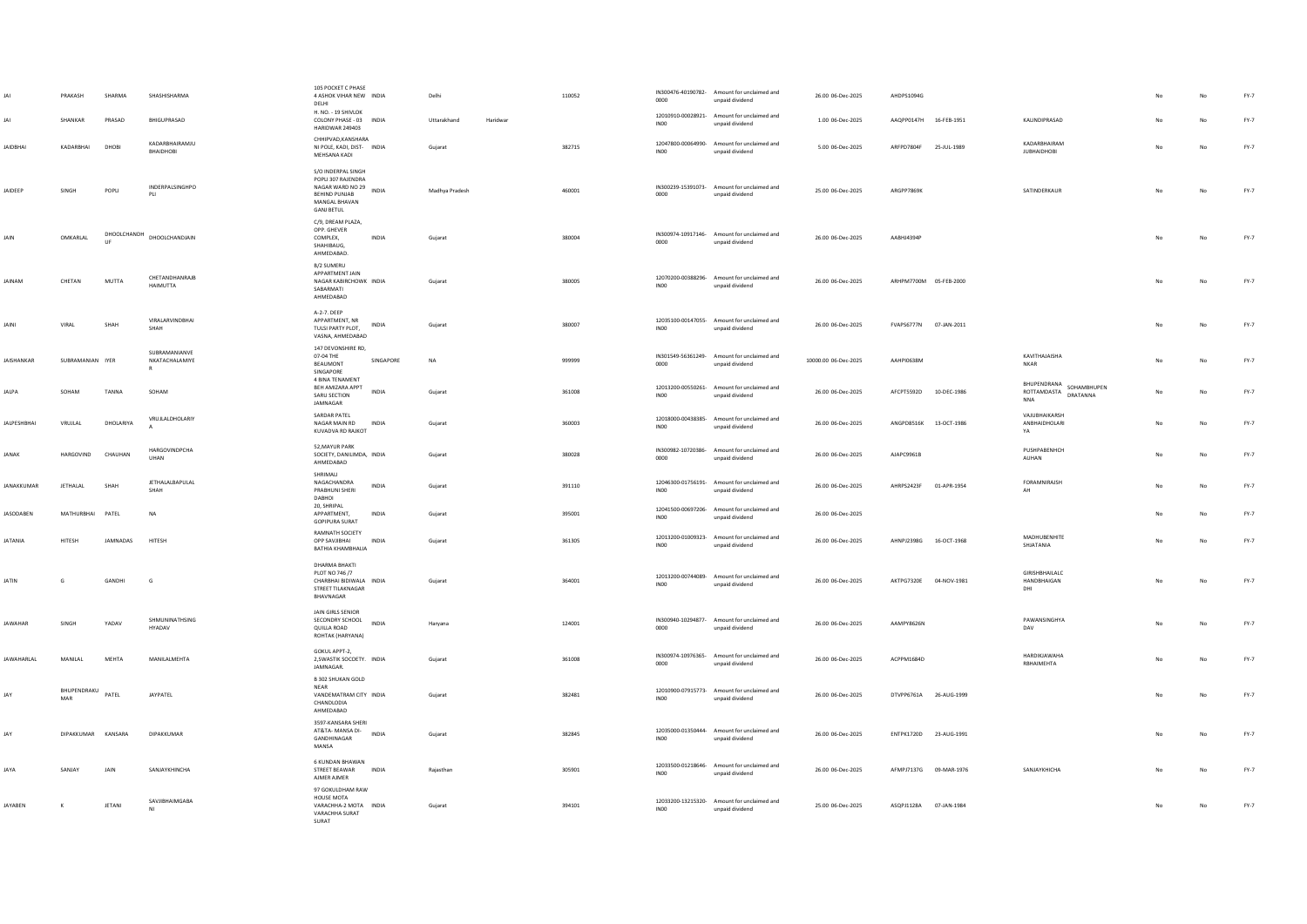|                    | PRAKASH<br>SHANKAR       | SHARMA<br>PRASAD   | SHASHISHARMA<br>BHIGUPRASAD                     | 105 POCKET C PHASE<br>4 ASHOK VIHAR NEW INDIA<br>DELHI<br>H. NO. - 19 SHIVLOK<br>COLONY PHASE - 03 INDIA                                  | Delhi<br>Uttarakhand | Haridwar | 110052 | 0000             | IN300476-40190782- Amount for unclaimed and<br>unpaid dividend<br>12010910-00028921- Amount for unclaimed and | 26.00 06-Dec-2025<br>1.00 06-Dec-2025 | AHDPS1094G<br>AAQPP0147H 16-FEB-1951 | KALINDIPRASAD                                                 |    | No          | $FY-7$<br>$FY-7$ |
|--------------------|--------------------------|--------------------|-------------------------------------------------|-------------------------------------------------------------------------------------------------------------------------------------------|----------------------|----------|--------|------------------|---------------------------------------------------------------------------------------------------------------|---------------------------------------|--------------------------------------|---------------------------------------------------------------|----|-------------|------------------|
| <b>IAIDRHAI</b>    | KADARRHAI                | DHOBI              | KADARBHAIRAMJU                                  | HARIDWAR 249403<br>CHHIPVAD.KANSHARA<br>NI POLE KADL DIST- INDIA                                                                          | Gujarat              |          | 382715 | IN00             | unpaid dividend<br>12047800-00064990- Amount for unclaimed and                                                | 5.00.06-Dec-2025                      | AREPD7804E 25-ILII-1989              | KADARRHAIRAM                                                  | No | No          | $FY-7$           |
| <b>JAIDEEP</b>     | SINGH                    | POPLI              | BHAIDHOBI<br>INDERPALSINGHPO<br>PII             | MEHSANA KADI<br>S/O INDERPAL SINGH<br>POPLI 307 RAJENDRA<br>NAGAR WARD NO 29 INDIA<br>BEHIND PUNJAB<br>MANGAL BHAVAN<br><b>GANJ BETUL</b> | Madhya Pradesh       |          | 460001 | INO0<br>0000     | unpaid dividend<br>IN300239-15391073- Amount for unclaimed and<br>unpaid dividend                             | 25.00 06-Dec-2025                     | ARGPP7869K                           | <b>JUBHAIDHOBI</b><br>SATINDERKAUR                            | No | No          | $FY-7$           |
| JAIN               | OMKARLAL                 | DHOOLCHANDH<br>LIF | DHOOLCHANDJAIN                                  | C/9, DREAM PLAZA,<br>OPP. GHEVER<br>COMPLEX,<br>INDIA<br>SHAHIBAUG,<br>AHMEDABAD.                                                         | Gujarat              |          | 380004 | 0000             | IN300974-10917146- Amount for unclaimed and<br>unpaid dividend                                                | 26.00 06-Dec-2025                     | AABHJ4394F                           |                                                               |    | $_{\sf No}$ | $FY-7$           |
| <b>JAINAM</b>      | CHETAN                   | <b>MUTTA</b>       | CHETANDHANRAJB<br>HAIMUTTA                      | B/2 SUMERU<br>APPARTMENT JAIN<br>NAGAR KABIRCHOWK INDIA<br>SABARMATI<br>AHMEDABAD                                                         | Gujarat              |          | 380005 | INO0             | 12070200-00388296- Amount for unclaimed and<br>unpaid dividend                                                | 26.00 06-Dec-2025                     | ARHPM7700M 05-FEB-2000               |                                                               |    | No          | $FY-7$           |
| <b>JAINI</b>       | VIRAL                    | SHAH               | VIRAI ARVINDRHAI<br>SHAH                        | A-2-7, DEEP<br>APPARTMENT, NR<br>INDIA<br>TULSI PARTY PLOT,<br>VASNA, AHMEDABAD                                                           | Gujarat              |          | 380007 | INO <sub>0</sub> | 12035100-00147055- Amount for unclaimed and<br>unpaid dividend                                                | 26.00 06-Dec-2025                     | FVAPS6777N 07-JAN-2011               |                                                               | No | No          | $FY-7$           |
| <b>JAISHANKAR</b>  | SUBRAMANIAN IYER         |                    | SUBRAMANIANVE<br>NKATACHALAMIYE<br>$\mathbb{R}$ | 147 DEVONSHIRE RD,<br>07-04 THE<br>SINGAPORE<br>BEAUMONT<br>SINGAPORE                                                                     | <b>NA</b>            |          | 999999 | 0000             | IN301549-56361249- Amount for unclaimed and<br>unpaid dividend                                                | 10000.00 06-Dec-2025                  | <b>AAHPI0638M</b>                    | KAVITHAJAISHA<br>NKAR                                         |    | No          | $FY-7$           |
| JALPA              | SOHAM                    | TANNA              | SOHAM                                           | 4 BINA TENAMENT<br>BEH AMIZARA APPT<br><b>INDIA</b><br>SARU SECTION<br>JAMNAGAR                                                           | Gujarat              |          | 361008 | INO <sub>0</sub> | 12013200-00550261- Amount for unclaimed and<br>unpaid dividend                                                | 26.00 06-Dec-2025                     | AFCPT5592D 10-DEC-1986               | BHUPENDRANA SOHAMBHUPEN<br>ROTTAMDASTA DRATANNA<br><b>NNA</b> |    | No          | $FY-7$           |
| <b>JALPESHBHAI</b> | VRUJLAL                  | DHOLARIYA          | VRUJLALDHOLARIY                                 | SARDAR PATEL<br>NAGAR MAIN RD<br>INDIA<br>KUVADVA RD RAJKOT                                                                               | Gujarat              |          | 360003 | <b>INOO</b>      | 12018000-00438385- Amount for unclaimed and<br>unpaid dividend                                                | 26.00 06-Dec-2025                     | ANGPD8516K 13-OCT-1986               | VAJUBHAIKARSH<br>ANBHAIDHOLARI<br>YA                          | No | No          | FY-7             |
| <b>IANAK</b>       | <b>HARGOVIND</b>         | CHAUHAN            | HARGOVINDPCHA<br>UHAN                           | 52. MAYUR PARK<br>SOCIETY, DANILIMDA. INDIA<br>AHMEDABAD                                                                                  | Guiarat              |          | 380028 | 0000             | IN300982-10720386- Amount for unclaimed and<br>unpaid dividend                                                | 26.00.06-Dec-2025                     | AIAPC9961R                           | PUSHPABENHCH<br>AUHAN                                         | No | No          | FY-7             |
| JANAKKUMAR         | JETHALAL                 | SHAH               | JETHALALBAPULAL<br>SHAH                         | SHRIMALL<br>NAGACHANDRA<br>INDIA<br>PRABHUNI SHERI<br>DABHOI                                                                              | Gujarat              |          | 391110 | IN00             | 12046300-01756191- Amount for unclaimed and<br>unpaid dividend                                                | 26.00 06-Dec-2025                     | AHRPS2423F 01-APR-1954               | FORAMNIRAJSH<br>AH                                            | No | No          | $FY-7$           |
| <b>JASODABEN</b>   | MATHURRHAI PATFI         |                    | <b>NA</b>                                       | 20, SHRIPAL<br><b>APPARTMENT</b><br><b>INDIA</b><br><b>GOPIPURA SURAT</b>                                                                 | Gujarat              |          | 395001 | INO0             | 12041500-00697206- Amount for unclaimed and<br>unpaid dividend                                                | 26.00.06-Dec-2025                     |                                      |                                                               | No | No          | $FY-7$           |
| <b>IATANIA</b>     | HITESH                   | <b>IAMNADAS</b>    | <b>HITESH</b>                                   | RAMNATH SOCIETY<br>INDIA<br><b>OPP SAVIIRHAL</b><br>BATHIA KHAMBHALIA                                                                     | Gujarat              |          | 361305 | INO0             | 12013200-01009323- Amount for unclaimed and<br>unpaid dividend                                                | 26.00 06-Dec-2025                     | AHNPJ2398G 16-OCT-1968               | MADHUBENHITE<br>SHJATANIA                                     | No | No          | FY-7             |
| <b>IATIN</b>       | G                        | GANDHI             | G                                               | DHARMA BHAKTI<br>PLOT NO 746 /7<br>CHARRHAI RIDIWALA INDIA<br>STREET TILAKNAGAR<br>BHAVNAGAR                                              | Guiarat              |          | 364001 | INO <sub>0</sub> | 12013200-00744089- Amount for unclaimed and<br>unpaid dividend                                                | 26.00.06-Dec-2025                     | AKTPG7320F 04-NOV-1981               | GIRISHBHAILALC<br><b>HANDRHAIGAN</b><br>DHI                   | No | No          | $FY-7$           |
| <b>JAWAHAR</b>     | SINGH                    | YADAV              | SHMUNINATHSING<br><b>HYADAV</b>                 | JAIN GIRLS SENIOR<br>SECONDRY SCHOOL INDIA<br>QUILLA ROAD<br>ROHTAK (HARYANA)                                                             | Haryana              |          | 124001 | 0000             | IN300940-10294877- Amount for unclaimed and<br>unpaid dividend                                                | 26.00 06-Dec-2025                     | AAMPY8626N                           | PAWANSINGHYA<br>DAV                                           |    | No          | $FY-7$           |
| <b>JAWAHARLAL</b>  | MANILAL                  | MEHTA              | MANILALMEHTA                                    | GOKUL APPT-2,<br>2, SWASTIK SOCOETY. INDIA<br><b>IAMNAGAR</b>                                                                             | Gujarat              |          | 361008 | 0000             | IN300974-10976365- Amount for unclaimed and<br>unpaid dividend                                                | 26.00 06-Dec-2025                     | ACPPM1684D                           | HARDIKJAWAHA<br>RBHAIMEHTA                                    |    | No          | $FY-7$           |
| <b>IAV</b>         | BHUPENDRAKU PATEL<br>MAR |                    | <b>JAYPATEL</b>                                 | B 302 SHUKAN GOLD<br><b>NFAR</b><br>VANDEMATRAM CITY INDIA<br>CHANDLODIA<br>AHMEDABAD                                                     | Gujarat              |          | 382481 | IN <sub>00</sub> | 12010900-07915773- Amount for unclaimed and<br>unpaid dividend                                                | 26.00 06-Dec-2025                     | DTVPP6761A 26-AUG-1999               |                                                               |    | No          | FY-7             |
|                    | DIPAKKUMAR KANSARA       |                    | DIPAKKLIMAR                                     | 3597-KANSARA SHERI<br>AT&TA- MANSA DI-<br>INDIA<br>GANDHINAGAR<br>MANSA                                                                   | Gujarat              |          | 382845 | IN <sub>00</sub> | 12035000-01350444- Amount for unclaimed and<br>unpaid dividend                                                | 26.00 06-Dec-2025                     | ENTPK1720D 23-AUG-1991               |                                                               |    | No          | FY-7             |
| <b>JAYA</b>        | SANJAY                   | JAIN               | SANJAYKHINCHA                                   | 6 KUNDAN BHAWAN<br>STREET BEAWAR INDIA<br>AJMER AJMER                                                                                     | Rajasthan            |          | 305901 | <b>INOO</b>      | 12033500-01218646- Amount for unclaimed and<br>unpaid dividend                                                | 26.00 06-Dec-2025                     | AFMPJ7137G 09-MAR-1976               | SANJAYKHICHA                                                  |    | No          | $FY-7$           |
| <b>JAYABEN</b>     | $\kappa$                 | JETANI             | SAVJIBHAIMGABA<br>NI                            | 97 GOKULDHAM RAW<br>HOUSE MOTA<br>VARACHHA-2 MOTA INDIA<br>VARACHHA SURAT<br>SURAT                                                        | Gujarat              |          | 394101 | IN00             | 12033200-13215320- Amount for unclaimed and<br>unpaid dividend                                                | 25.00 06-Dec-2025                     | ASQPJ1128A 07-JAN-1984               |                                                               |    | No          | $FY-7$           |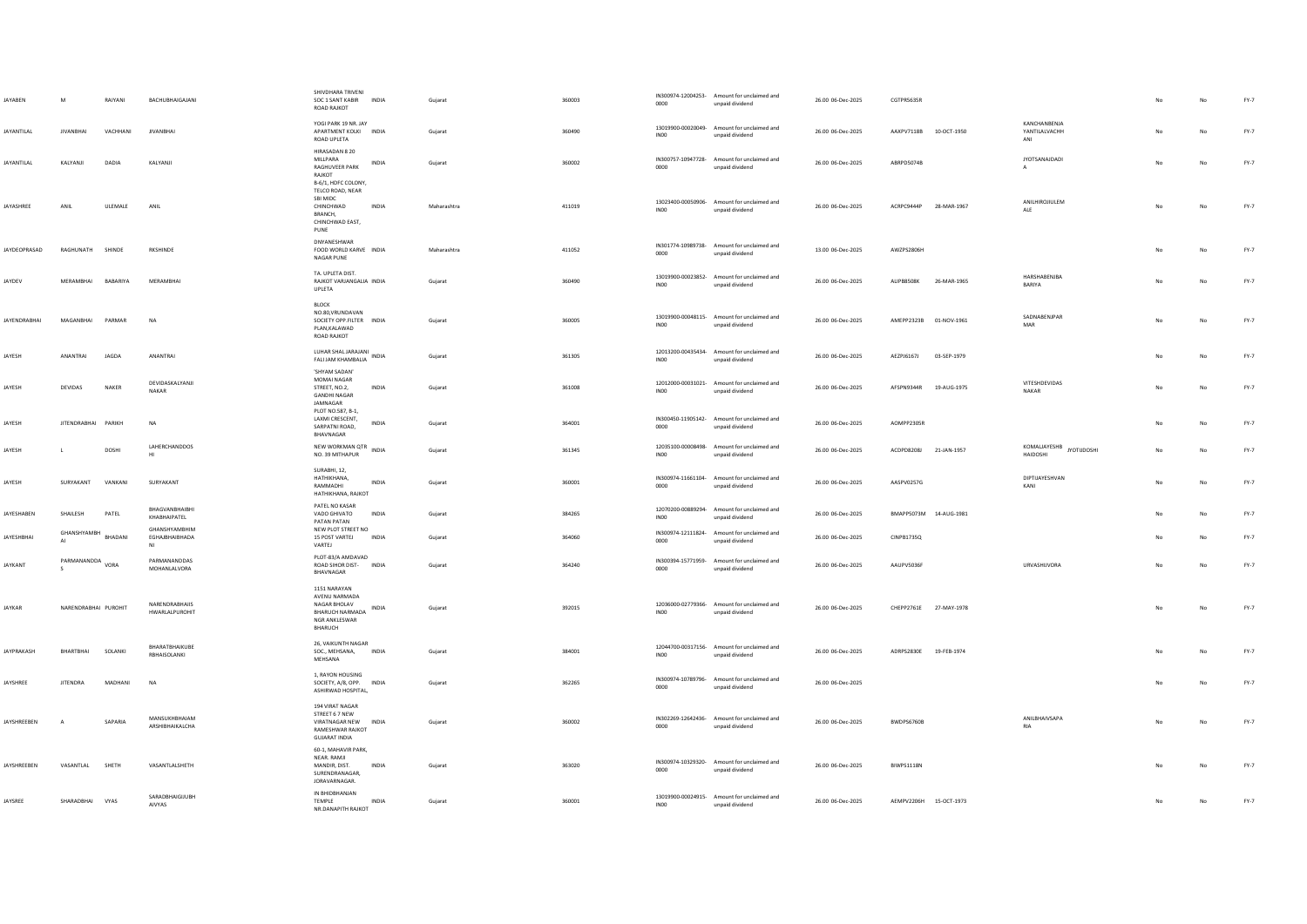| JAYABEN           | M                               | RAIYANI  | BACHUBHAIGAJANI                                 | SHIVDHARA TRIVENI<br>SOC 1 SANT KABIR INDIA<br>ROAD RAJKOT                                                            | Gujarat     | 360003 | 0000             | IN300974-12004253- Amount for unclaimed and<br>unpaid dividend                                                | 26.00 06-Dec-2025 | CGTPR5635R             |             |                                      |    |    | $FY-7$ |
|-------------------|---------------------------------|----------|-------------------------------------------------|-----------------------------------------------------------------------------------------------------------------------|-------------|--------|------------------|---------------------------------------------------------------------------------------------------------------|-------------------|------------------------|-------------|--------------------------------------|----|----|--------|
| <b>JAYANTILAL</b> | <b>JIVANBHAI</b>                | VACHHANI | <b>JIVANBHAI</b>                                | YOGI PARK 19 NR. JAY<br>APARTMENT KOLKI INDIA<br>ROAD UPLETA                                                          | Guiarat     | 360490 | INO0             | 13019900-00020049- Amount for unclaimed and<br>unpaid dividend                                                | 26.00 06-Dec-2025 | AAXPV7118B 10-OCT-1950 |             | KANCHANBENJA<br>YANTILALVACHH<br>ANI | No | No | $FY-7$ |
| <b>JAYANTILAL</b> | KALYANJI                        | DADIA    | KALYANJI                                        | HIRASADAN 8 20<br>MILLPARA<br>INDIA<br>RAGHUVEER PARK<br>RAJKOT<br>B-6/1, HDFC COLONY,                                | Gujarat     | 360002 | 0000             | IN300757-10947728- Amount for unclaimed and<br>unpaid dividend                                                | 26.00 06-Dec-2025 | ABRPD5074B             |             | <b>JYOTSANAJDADI</b>                 | No | No | $FY-7$ |
| <b>JAYASHREE</b>  | ANIL                            | ULEMALE  | ANII                                            | TELCO ROAD, NEAR<br>SBI MIDC<br>CHINCHWAD<br><b>INDIA</b><br>BRANCH.<br>CHINCHWAD EAST,<br>PUNE                       | Maharashtra | 411019 | INO0             | 13023400-00050906- Amount for unclaimed and<br>unpaid dividend                                                | 26.00 06-Dec-2025 | ACRPC9444P 28-MAR-1967 |             | ANILHIROJIULEM<br>ALE                | No | No | $FY-7$ |
| JAYDEOPRASAD      | RAGHUNATH                       | SHINDE   | <b>RKSHINDE</b>                                 | DNYANESHWAR<br>FOOD WORLD KARVE INDIA<br><b>NAGAR PUNE</b>                                                            | Maharashtra | 411052 | 0000             | IN301774-10989738- Amount for unclaimed and<br>unpaid dividend                                                | 13.00 06-Dec-2025 | AWZPS2806H             |             |                                      | No | No | $FY-7$ |
| JAYDEV            | MERAMBHAI                       | BABARIYA | MERAMBHAI                                       | TA. UPLETA DIST.<br>RAJKOT VARJANGALIA INDIA<br>UPLETA                                                                | Guiarat     | 360490 | INO0             | 13019900-00023852- Amount for unclaimed and<br>unpaid dividend                                                | 26.00 06-Dec-2025 | ALIPB8508K             | 26-MAR-1965 | HARSHABENJBA<br>BARIYA               | No | No | FY-7   |
| JAYENDRABHAI      | MAGANRHAI                       | PARMAR   | <b>NA</b>                                       | BLOCK<br>NO.80, VRUNDAVAN<br>SOCIETY OPP.FILTER INDIA<br>PLAN, KALAWAD<br>ROAD RAJKOT                                 | Gujarat     | 360005 | INO <sub>0</sub> | 13019900-00048115- Amount for unclaimed and<br>unpaid dividend                                                | 26.00 06-Dec-2025 | AMEPP2323B 01-NOV-1961 |             | SADNABENJPAR<br>MAR                  |    | No | $FY-7$ |
| JAYESH            | ANANTRAI                        | JAGDA    | <b>ANANTRAI</b>                                 | LUHAR SHAL JARAJANI<br>FALI JAM KHAMBALIA                                                                             | Gujarat     | 361305 | <b>IN00</b>      | 12013200-00435434- Amount for unclaimed and<br>unpaid dividend                                                | 26.00 06-Dec-2025 | AEZPJ6167J             | 03-SEP-1979 |                                      |    | No | $FY-7$ |
| JAYESH            | DEVIDAS                         | NAKER    | DEVIDASKALYANJI<br>NAKAR                        | 'SHYAM SADAN'<br>MOMAI NAGAR<br>STREET, NO.2.<br><b>INDIA</b><br><b>GANDHI NAGAR</b><br>JAMNAGAR<br>PLOT NO.587, B-1, | Guiarat     | 361008 | INO <sub>0</sub> | 12012000-00031021- Amount for unclaimed and<br>unpaid dividend                                                | 26.00 06-Dec-2025 | AFSPN9344R             | 19-AUG-1975 | VITESHDEVIDAS<br>NAKAR               | No | No | FY-7   |
| JAYESH            | JITENDRABHAI PARIKH             |          | <b>NA</b>                                       | LAXMI CRESCENT.<br>INDIA<br>SARPATNI ROAD,<br>BHAVNAGAR                                                               | Gujarat     | 364001 | 0000             | IN300450-11905142- Amount for unclaimed and<br>unpaid dividend                                                | 26.00 06-Dec-2025 | AOMPP2305R             |             |                                      | No | No | $FY-7$ |
| JAYESH            | $\blacksquare$                  | DOSHI    | LAHERCHANDDOS<br>H1                             | NEW WORKMAN QTR<br>INDIA<br>NO. 39 MITHAPUR                                                                           | Guiarat     | 361345 | INO <sub>0</sub> | 12035100-00008498- Amount for unclaimed and<br>unpaid dividend                                                | 26.00 06-Dec-2025 | ACDPD8208J 21-JAN-1957 |             | KOMALIAYESHB JYOTUDOSHI<br>HAIDOSHI  | No | No | FY-7   |
| JAYESH            | SURYAKANT                       | VANKANI  | SURYAKANT                                       | SURABHI, 12,<br>HATHIKHANA,<br><b>INDIA</b><br>RAMMADHI<br>HATHIKHANA, RAJKOT                                         | Gujarat     | 360001 | 0000             | IN300974-11661104- Amount for unclaimed and<br>unpaid dividend                                                | 26.00 06-Dec-2025 | AASPV0257G             |             | DIPTIJAYESHVAN<br>KANI               | No | No | FY-7   |
| JAYESHABEN        | SHAILESH<br>GHANSHYAMBH BHADANI | PATEL    | BHAGVANBHAIBHI<br>KHABHAIPATEL<br>GHANSHYAMBHIM | PATEL NO KASAR<br>VADO GHIVATO<br><b>INDIA</b><br>PATAN PATAN<br>NEW PLOT STREET NO                                   | Guiarat     | 384265 | INO0             | 12070200-00889294- Amount for unclaimed and<br>unpaid dividend<br>IN300974-12111824- Amount for unclaimed and | 26.00 06-Dec-2025 | BMAPP5073M 14-AUG-1981 |             |                                      |    | No | $FY-7$ |
| <b>JAYESHBHAI</b> |                                 |          | EGHAJBHAIBHADA<br>MI                            | 15 POST VARTEJ<br><b>INDIA</b><br>VARTEJ<br>PLOT-83/A AMDAVAD                                                         | Gujarat     | 364060 | 0000             | unpaid dividend                                                                                               | 26.00 06-Dec-2025 | <b>CINPB1735Q</b>      |             |                                      |    | No | $FY-7$ |
| JAYKANT           | PARMANANDDA VORA                |          | PARMANANDDAS<br>MOHANLALVORA                    | ROAD SIHOR DIST- INDIA<br>BHAVNAGAR                                                                                   | Gujarat     | 364240 | 0000             | IN300394-15771959- Amount for unclaimed and<br>unpaid dividend                                                | 26.00 06-Dec-2025 | AAUPV5036F             |             | URVASHIJVORA                         | No | No | $FY-7$ |
| <b>JAYKAR</b>     | NARENDRABHAI PUROHIT            |          | NARENDRABHAIIS<br>HWARLALPUROHIT                | 1151 NARAYAN<br>AVENU NARMADA<br>NAGAR BHOLAV<br>BHARUCH NARMADA INDIA<br>NGR ANKLESWAR<br>BHARUCH                    | Gujarat     | 392015 | IN <sub>00</sub> | 12036000-02779366- Amount for unclaimed and<br>unpaid dividend                                                | 26.00 06-Dec-2025 | CHEPP2761E 27-MAY-1978 |             |                                      | No | No | $FY-7$ |
| <b>JAYPRAKASH</b> | RHARTRHAI                       | SOLANKI  | BHARATBHAIKUBE<br>RBHAISOLANKI                  | 26, VAIKUNTH NAGAR<br>SOC., MEHSANA,<br><b>INDIA</b><br>MEHSANA                                                       | Gujarat     | 384001 | <b>IN00</b>      | 12044700-00317156- Amount for unclaimed and<br>unpaid dividend                                                | 26.00 06-Dec-2025 | ADRPS2830E 19-FEB-1974 |             |                                      |    | No | FY-7   |
| <b>JAYSHREE</b>   | <b>IITENDRA</b>                 | MADHANI  | <b>NA</b>                                       | 1, RAYON HOUSING<br>SOCIETY, A/8, OPP. INDIA<br>ASHIRWAD HOSPITAL,                                                    | Guiarat     | 362265 | 0000             | IN300974-10789796- Amount for unclaimed and<br>unpaid dividend                                                | 26.00 06-Dec-2025 |                        |             |                                      |    | No | $FY-7$ |
| JAYSHREEBEN       | $\overline{A}$                  | SAPARIA  | MANSUKHBHAIAM<br>ARSHIBHAIKALCHA                | 194 VIRAT NAGAR<br>STREET 6 7 NEW<br>VIRATNAGAR NEW INDIA<br>RAMESHWAR RAJKOT<br><b>GUJARAT INDIA</b>                 | Gujarat     | 360002 | 0000             | IN302269-12642436- Amount for unclaimed and<br>unpaid dividend                                                | 26.00 06-Dec-2025 | BWDPS6760B             |             | ANILBHAIVSAPA<br><b>RIA</b>          | No | No | $FY-7$ |
| JAYSHREEBEN       | VASANTLAL                       | SHETH    | VASANTLALSHETH                                  | 60-1, MAHAVIR PARK,<br>NEAR, RAMJI<br>MANDIR, DIST.<br>INDIA<br>SURENDRANAGAR,<br>JORAVARNAGAR.                       | Gujarat     | 363020 | 0000             | IN300974-10329320- Amount for unclaimed and<br>unpaid dividend                                                | 26.00 06-Dec-2025 | BIWPS1118N             |             |                                      |    | No | $FY-7$ |
| JAYSREE           | SHARADBHAI VYAS                 |          | SARADBHAIGIJUBH<br>AIVYAS                       | IN BHIDBHANJAN<br><b>INDIA</b><br>TEMPLE<br>NR.DANAPITH RAJKOT                                                        | Gujarat     | 360001 | <b>IN00</b>      | 13019900-00024915- Amount for unclaimed and<br>unpaid dividend                                                | 26.00 06-Dec-2025 | AEMPV2206H 15-OCT-1973 |             |                                      | No | No | $FY-7$ |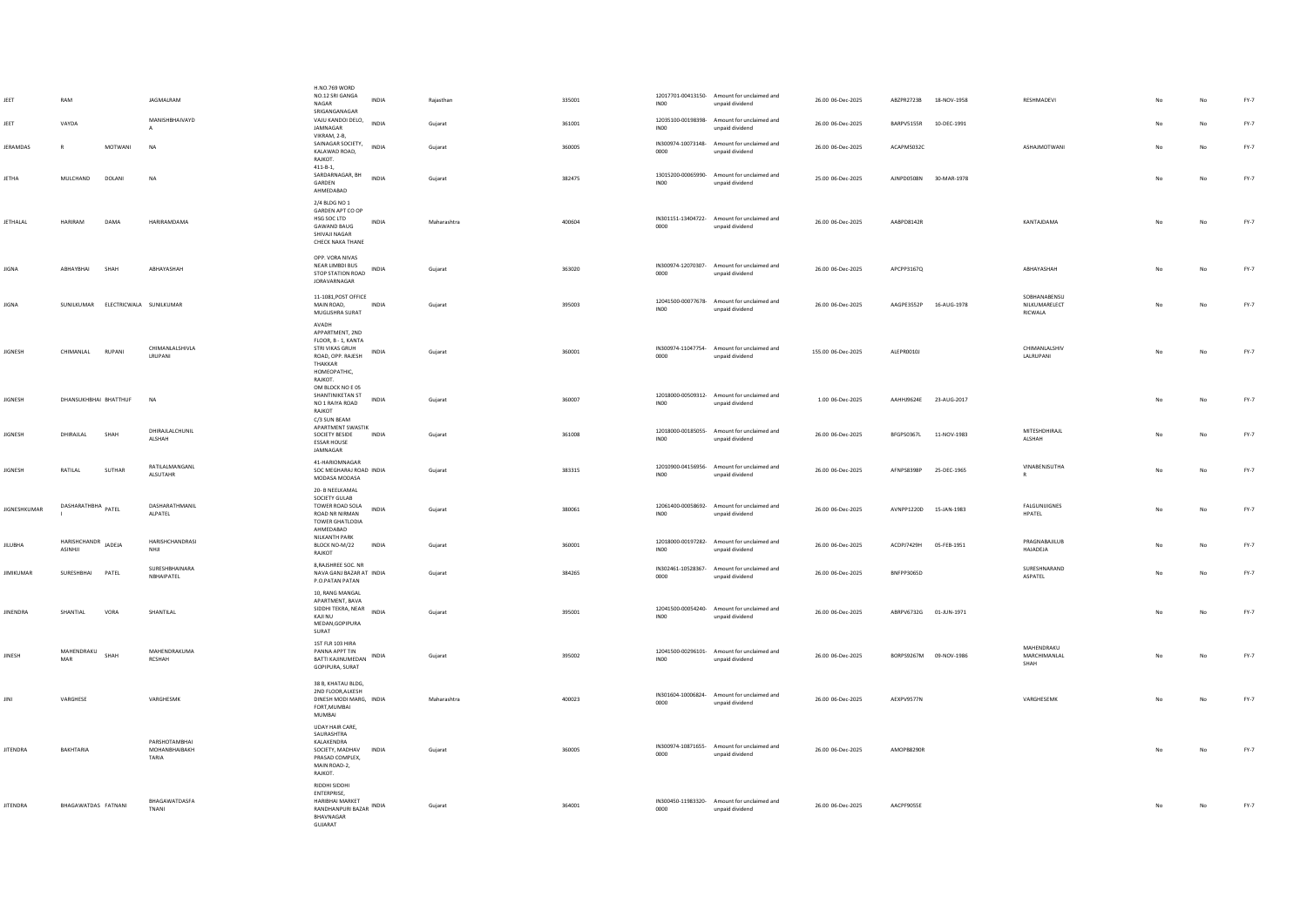| JEET                | RAM                              |         | JAGMALRAM                               | H.NO.769 WORD<br>NO.12 SRI GANGA<br>INDIA<br><b>NAGAR</b>                                                                           | Rajasthan   | 335001 | INO <sub>0</sub> | 12017701-00413150- Amount for unclaimed and<br>unpaid dividend | 26.00 06-Dec-2025  | ABZPR2723B             | 18-NOV-1958 | RESHMADEVI                                      |                | No          | $FY-7$ |
|---------------------|----------------------------------|---------|-----------------------------------------|-------------------------------------------------------------------------------------------------------------------------------------|-------------|--------|------------------|----------------------------------------------------------------|--------------------|------------------------|-------------|-------------------------------------------------|----------------|-------------|--------|
| JEET                | VAYDA                            |         | MANISHBHAIVAYD<br>A                     | SRIGANGANAGAR<br>VAJU KANDOI DELO,<br><b>INDIA</b><br>JAMNAGAR<br>VIKRAM, 2-B.                                                      | Guiarat     | 361001 | IN00             | 12035100-00198398- Amount for unclaimed and<br>unpaid dividend | 26.00.06-Dec-2025  | RARPV5155R             | 10-DFC-1991 |                                                 | N <sub>0</sub> | No          | FY-7   |
| JERAMDAS            | $\mathsf{R}$                     | MOTWANI | NA                                      | SAINAGAR SOCIETY,<br>INDIA<br>KALAWAD ROAD,<br>RAJKOT.                                                                              | Gujarat     | 360005 | 0000             | IN300974-10073148- Amount for unclaimed and<br>unpaid dividend | 26.00 06-Dec-2025  | ACAPM5032C             |             | ASHAJMOTWANI                                    | No             | $_{\sf No}$ | $FY-7$ |
| JETHA               | MULCHAND                         | DOLANI  | <b>NA</b>                               | $411 - B - 1,$<br>SARDARNAGAR, BH<br>INDIA<br>GARDEN<br>AHMEDABAD                                                                   | Gujarat     | 382475 | <b>IN00</b>      | 13015200-00065990- Amount for unclaimed and<br>unpaid dividend | 25.00 06-Dec-2025  | AJNPD0508N 30-MAR-1978 |             |                                                 | No             | $_{\sf No}$ | FY-7   |
| JETHALAL            | <b>HARIRAM</b>                   | DAMA    | HARIRAMDAMA                             | 2/4 BLDG NO 1<br>GARDEN APT CO OP<br>HSG SOC LTD<br>INDIA<br><b>GAWAND BAUG</b><br>SHIVAJI NAGAR<br>CHECK NAKA THANE                | Maharashtra | 400604 | 0000             | IN301151-13404722- Amount for unclaimed and<br>unpaid dividend | 26.00 06-Dec-2025  | AABPD8142R             |             | KANTAJDAMA                                      | No             | No          | $FY-7$ |
| <b>JIGNA</b>        | ABHAYBHAI                        | SHAH    | ABHAYASHAH                              | OPP, VORA NIVAS<br>NEAR LIMBDI BUS<br><b>INDIA</b><br>STOP STATION ROAD<br>JORAVARNAGAR                                             | Guiarat     | 363020 | 0000             | IN300974-12070307- Amount for unclaimed and<br>unpaid dividend | 26.00 06-Dec-2025  | APCPP3167Q             |             | ABHAYASHAH                                      | No             | No          | FY-7   |
| <b>JIGNA</b>        | SUNIKUMAR FIFCTRICWALA SUNIKUMAR |         |                                         | 11-1081, POST OFFICE<br>MAIN ROAD.<br><b>INDIA</b><br>MUGLISHRA SURAT<br>AVADH                                                      | Gujarat     | 395003 | <b>IN00</b>      | 12041500-00077678- Amount for unclaimed and<br>unpaid dividend | 26.00 06-Dec-2025  | AAGPE3552P 16-AUG-1978 |             | SOBHANABENSU<br>NILKUMARELECT<br><b>RICWALA</b> | No             | No          | FY-7   |
| <b>IIGNESH</b>      | CHIMANI AI                       | RUPANI  | CHIMANLALSHIVLA<br>LRUPANI              | APPARTMENT, 2ND<br>FLOOR, B - 1, KANTA<br>STRI VIKAS GRUH<br><b>INDIA</b><br>ROAD, OPP. RAJESH<br>THAKKAR<br>HOMEOPATHIC.<br>RAIKOT | Guiarat     | 360001 | 0000             | IN300974-11047754- Amount for unclaimed and<br>unpaid dividend | 155.00 06-Dec-2025 | ALEPRO0101             |             | CHIMANLALSHIV<br>LALRUPANI                      | No             | No          | FY-7   |
| <b>JIGNESH</b>      | DHANSUKHBHAI BHATTHUF            |         | <b>NA</b>                               | OM BLOCK NO E 05<br>SHANTINIKETAN ST<br><b>INDIA</b><br>NO 1 RAIYA ROAD<br>RAJKOT<br>C/3 SUN BEAM                                   | Gujarat     | 360007 | IN00             | 12018000-00509312- Amount for unclaimed and<br>unpaid dividend | 1.00 06-Dec-2025   | AAHHJ9624E             | 23-AUG-2017 |                                                 | No             | No          | $FY-7$ |
| <b>JIGNESH</b>      | DHIRAJLAL                        | SHAH    | DHIRAJLALCHUNIL<br>ALSHAH               | APARTMENT SWASTIK<br>SOCIETY BESIDE<br>INDIA<br><b>ESSAR HOUSE</b><br>JAMNAGAR                                                      | Gujarat     | 361008 | INO <sub>0</sub> | 12018000-00185055- Amount for unclaimed and<br>unpaid dividend | 26.00 06-Dec-2025  | BFGPS0367L             | 11-NOV-1983 | MITESHDHIRAJL<br>ALSHAH                         | No             | No          | $FY-7$ |
| <b>JIGNESH</b>      | RATILAL                          | SUTHAR  | RATILALMANGANL<br>ALSUTAHR              | 41-HARIOMNAGAR<br>SOC MEGHARAJ ROAD INDIA<br>MODASA MODASA                                                                          | Gujarat     | 383315 | INO <sub>0</sub> | 12010900-04156956- Amount for unclaimed and<br>unpaid dividend | 26.00 06-Dec-2025  | AFNPS8398P             | 25-DEC-1965 | VINABENJSUTHA                                   | No             | No          | FY-7   |
| <b>JIGNESHKUMAR</b> | DASHARATHBHA PATEL               |         | DASHARATHMANII<br>ALPATEL               | 20- B NEELKAMAL<br>SOCIETY GULAB<br>TOWER ROAD SOLA<br>INDIA<br>ROAD NR NIRMAN<br>TOWER GHATLODIA<br>AHMEDABAD                      | Gujarat     | 380061 | INO <sub>0</sub> | 12061400-00058692- Amount for unclaimed and<br>unpaid dividend | 26.00 06-Dec-2025  | AVNPP1220D             | 15-JAN-1983 | <b>FALGUNIJIGNES</b><br>HPATEL                  | No             | No          | $FY-7$ |
| JILUBHA             | HARISHCHANDR<br>ASINHJI          | JADEJA  | <b>HARISHCHANDRASI</b><br>NHJI          | NILKANTH PARK<br>BLOCK NO-M/22<br>INDIA<br>RAJKOT                                                                                   | Gujarat     | 360001 | <b>IN00</b>      | 12018000-00197282- Amount for unclaimed and<br>unpaid dividend | 26.00 06-Dec-2025  | ACDPJ7429H 05-FEB-1951 |             | <b>PRAGNARAIILIR</b><br>HAJADEJA                | No             | No          | FY-7   |
| <b>JIMIKUMAR</b>    | SURESHBHAI                       | PATEL   | SURESHBHAINARA<br>NBHAIPATEL            | 8, RAJSHREE SOC. NR<br>NAVA GANJ BAZAR AT INDIA<br>P.O.PATAN PATAN                                                                  | Gujarat     | 384265 | 0000             | IN302461-10528367- Amount for unclaimed and<br>unpaid dividend | 26.00 06-Dec-2025  | BNFPP3065D             |             | SURESHNARAND<br>ASPATEL                         |                | No          | FY-7   |
| <b>JINENDRA</b>     | SHANTIAL                         | VORA    | SHANTILAL                               | 10. RANG MANGAL<br>APARTMENT, BAVA<br>SIDDHI TEKRA, NEAR<br>INDIA<br>KAJI NU<br>MEDAN, GOPIPURA<br>SURAT                            | Gujarat     | 395001 | INO <sub>0</sub> | 12041500-00054240- Amount for unclaimed and<br>unpaid dividend | 26.00 06-Dec-2025  | ABRPV6732G 01-JUN-1971 |             |                                                 | No             | No          | $FY-7$ |
| JINESH              | MAHENDRAKU<br>MAR                | SHAH    | MAHENDRAKUMA<br><b>RCSHAH</b>           | 1ST FLR 103 HIRA<br>PANNA APPT TIN<br><b>INDIA</b><br>BATTI KAJINUMEDAN<br>GOPIPURA, SURAT                                          | Gujarat     | 395002 | <b>IN00</b>      | 12041500-00296101- Amount for unclaimed and<br>unpaid dividend | 26.00 06-Dec-2025  | BORPS9267M 09-NOV-1986 |             | MAHENDRAKU<br><b>MARCHIMANIAI</b><br>SHAH       | No             | No          | FY-7   |
| JINI                | VARGHESE                         |         | VARGHESMK                               | 38 B, KHATAU BLDG,<br>2ND FLOOR, ALKESH<br>DINESH MODI MARG, INDIA<br>FORT, MUMBAI<br>MUMBAI                                        | Maharashtra | 400023 | 0000             | IN301604-10006824- Amount for unclaimed and<br>unpaid dividend | 26.00 06-Dec-2025  | AEXPV9577N             |             | VARGHESEMK                                      | No             | No          | FY-7   |
| <b>JITENDRA</b>     | <b>BAKHTARIA</b>                 |         | PARSHOTAMRHAI<br>MOHANBHAIBAKH<br>TARIA | UDAY HAIR CARE,<br>SAURASHTRA<br><b>KALAKENDRA</b><br>SOCIETY, MADHAV INDIA<br>PRASAD COMPLEX,<br>MAIN ROAD-2,<br>RAJKOT.           | Gujarat     | 360005 | 0000             | IN300974-10871655- Amount for unclaimed and<br>unpaid dividend | 26.00 06-Dec-2025  | AMOPB8290R             |             |                                                 | No             | No          | $FY-7$ |
| <b>JITENDRA</b>     | BHAGAWATDAS FATNANI              |         | BHAGAWATDASFA<br>TNANI                  | RIDDHI SIDDHI<br>ENTERPRISE,<br><b>HARIBHAI MARKET</b><br>RANDHANPURI BAZAR INDIA<br>RHAVNAGAR<br>GUJARAT                           | Gujarat     | 364001 | 0000             | IN300450-11983320- Amount for unclaimed and<br>unpaid dividend | 26.00 06-Dec-2025  | AACPF9055E             |             |                                                 | N <sub>0</sub> | No          | FY-7   |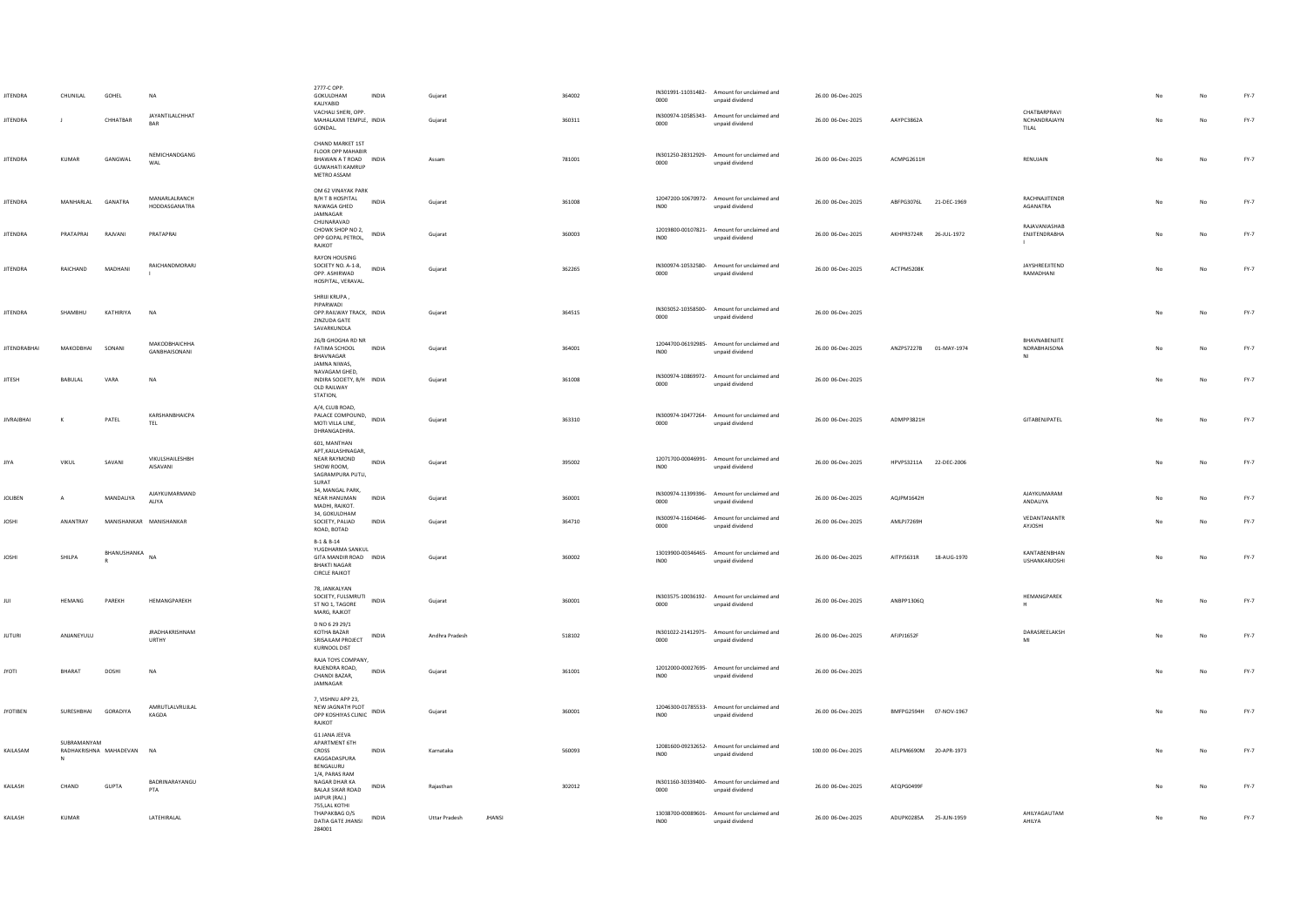| <b>JITENDRA</b><br><b>JITENDRA</b> | CHUNILAL            | GOHEL<br>CHHATBAR      | NA<br>JAYANTILALCHHAT<br><b>BAR</b> | 2777-C OPP<br>GOKULDHAM<br>INDIA<br>KALIYABID<br>VACHALI SHERI, OPP.<br>MAHALAXMI TEMPLE, INDIA         | Gujarat<br>Gujarat                    | 364002<br>360311 | 0000                       | IN301991-11031482- Amount for unclaimed and<br>unpaid dividend<br>IN300974-10585343- Amount for unclaimed and | 26.00 06-Dec-2025<br>26.00 06-Dec-2025 | AAYPC3862A                | CHATBARPRAVI<br>NCHANDRAIAYN        |    | No          | $FY-7$<br>$FY-7$ |
|------------------------------------|---------------------|------------------------|-------------------------------------|---------------------------------------------------------------------------------------------------------|---------------------------------------|------------------|----------------------------|---------------------------------------------------------------------------------------------------------------|----------------------------------------|---------------------------|-------------------------------------|----|-------------|------------------|
|                                    |                     |                        |                                     | <b>GONDAL</b>                                                                                           |                                       |                  | 0000                       | unpaid dividend                                                                                               |                                        |                           | TILAL                               |    |             |                  |
| <b>JITENDRA</b>                    | <b>KUMAR</b>        | GANGWAL                | NEMICHANDGANG<br>WAL                | CHAND MARKET 1ST<br>FLOOR OPP MAHABIR<br>BHAWAN A T ROAD INDIA<br><b>GUWAHATI KAMRUP</b><br>METRO ASSAM | Assam                                 | 781001           | 0000                       | IN301250-28312929- Amount for unclaimed and<br>unpaid dividend                                                | 26.00 06-Dec-2025                      | ACMPG2611H                | RENUJAIN                            | No | No          | FY-7             |
| <b>JITENDRA</b>                    | MANHARLAL           | GANATRA                | MANARLALRANCH<br>HODDASGANATRA      | OM 62 VINAYAK PARK<br>B/H T B HOSPITAL<br>INDIA<br>NAWAGA GHED<br>JAMNAGAR<br>CHUNARAVAD                | Gujarat                               | 361008           | INO <sub>0</sub>           | 12047200-10670972- Amount for unclaimed and<br>unpaid dividend                                                | 26.00 06-Dec-2025                      | ABFPG3076L<br>21-DEC-1969 | RACHNAJITENDR<br>AGANATRA           |    | No          | FY-7             |
| <b>JITENDRA</b>                    | PRATAPRAI           | RAJVANI                | PRATAPRAI                           | CHOWK SHOP NO 2,<br>INDIA<br>OPP GOPAL PETROL,<br>RAJKOT                                                | Gujarat                               | 360003           | IN00                       | 12019800-00107821- Amount for unclaimed and<br>unpaid dividend                                                | 26.00 06-Dec-2025                      | AKHPR3724R<br>26-JUL-1972 | RAJAVANIASHAB<br>ENJITENDRABHA      |    | No          | FY-7             |
| <b>JITENDRA</b>                    | RAICHAND            | MADHANI                | RAICHANDMORARI                      | RAYON HOUSING<br>SOCIETY NO. A-1-8,<br><b>INDIA</b><br>OPP. ASHIRWAD<br>HOSPITAL, VERAVAL.              | Guiarat                               | 362265           | 0000                       | IN300974-10532580- Amount for unclaimed and<br>unpaid dividend                                                | 26.00 06-Dec-2025                      | ACTPM5208K                | JAYSHREEJITEND<br>RAMADHANI         | No | No          | $FY-7$           |
| <b>JITENDRA</b>                    | SHAMBHU             | KATHIRIYA              | N <sub>A</sub>                      | SHRIJI KRUPA,<br>PIPARWADI<br>OPP.RAILWAY TRACK, INDIA<br>ZINZUDA GATE<br>SAVARKUNDLA                   | Gujarat                               | 364515           | 0000                       | IN303052-10358500- Amount for unclaimed and<br>unpaid dividend                                                | 26.00 06-Dec-2025                      |                           |                                     | No | $_{\sf No}$ | FY-7             |
| <b>JITENDRABHAI</b>                | MAKODBHAI           | SONANI                 | МАКОДВНАІСННА<br>GANBHAISONANI      | 26/B GHOGHA RD NR<br>FATIMA SCHOOL<br>INDIA<br>BHAVNAGAR<br>JAMNA NIWAS.                                | Gujarat                               | 364001           | INO <sub>0</sub>           | 12044700-06192985- Amount for unclaimed and<br>unpaid dividend                                                | 26.00 06-Dec-2025                      | ANZPS7227B 01-MAY-1974    | BHAVNABENJITE<br>NDRABHAISONA<br>NI |    | No          | FY-7             |
| <b>JITESH</b>                      | <b>BABULAL</b>      | VARA                   | <b>NA</b>                           | NAVAGAM GHED.<br>INDIRA SOCIETY, B/H INDIA<br>OLD RAILWAY<br>STATION,                                   | Gujarat                               | 361008           | 0000                       | IN300974-10869972- Amount for unclaimed and<br>unpaid dividend                                                | 26.00 06-Dec-2025                      |                           |                                     |    | $_{\sf No}$ | FY-7             |
| <b>JIVRAJBHAI</b>                  | $\kappa$            | PATEL                  | KARSHANBHAICPA<br>TEL               | A/4, CLUB ROAD,<br>PALACE COMPOUND, INDIA<br>MOTI VILLA LINE,<br>DHRANGADHRA.                           | Guiarat                               | 363310           | IN300974-10477264-<br>0000 | Amount for unclaimed and<br>unpaid dividend                                                                   | 26.00 06-Dec-2025                      | ADMPP3821H                | GITABENJPATEL                       | No | No          | $FY-7$           |
| <b>JIYA</b>                        | VIKUL               | SAVANI                 | VIKULSHAILESHBH<br>AISAVANI         | 601, MANTHAN<br>APT, KAILASHNAGAR,<br>NEAR RAYMOND<br>INDIA<br>SHOW ROOM.<br>SAGRAMPURA PUTLI.<br>SURAT | Gujarat                               | 395002           | INO <sub>0</sub>           | 12071700-00046991- Amount for unclaimed and<br>unpaid dividend                                                | 26.00 06-Dec-2025                      | HPVPS3211A 22-DEC-2006    |                                     |    | No          | $FY-7$           |
| JOLIBEN                            | A                   | MANDALIYA              | AJAYKUMARMAND<br><b>ALIYA</b>       | 34, MANGAL PARK,<br>NEAR HANUMAN<br>INDIA<br>MADHI, RAJKOT.<br>34, GOKULDHAM                            | Gujarat                               | 360001           | 0000                       | IN300974-11399396- Amount for unclaimed and<br>unnaid dividend                                                | 26.00 06-Dec-2025                      | AQJPM1642H                | AJAYKUMARAM<br>ANDALIYA             |    | No          | FY-7             |
| <b>JOSHI</b>                       | ANANTRAY            |                        | MANISHANKAR MANISHANKAR             | SOCIETY, PALIAD<br><b>INDIA</b><br>ROAD, BOTAD                                                          | Guiarat                               | 364710           | 0000                       | IN300974-11604646- Amount for unclaimed and<br>unpaid dividend                                                | 26.00 06-Dec-2025                      | AMLPJ7269H                | VEDANTANANTR<br>AYJOSHI             |    | No          | $FY-7$           |
| JOSHI                              | SHILPA              | BHANUSHANKA            | NA                                  | B-1 & B-14<br>YUGDHARMA SANKUL<br>GITA MANDIR ROAD INDIA<br><b>BHAKTI NAGAR</b><br><b>CIRCLE RAJKOT</b> | Gujarat                               | 360002           | INO0                       | 13019900-00346465- Amount for unclaimed and<br>unpaid dividend                                                | 26.00 06-Dec-2025                      | AITPJ5631R<br>18-AUG-1970 | KANTABENBHAN<br>USHANKARJOSHI       |    | No          | $FY-7$           |
|                                    | HEMANG              | PAREKH                 | HEMANGPAREKH                        | 78, JANKALYAN<br>SOCIETY, FULSMRUTI INDIA<br>ST NO 1, TAGORE<br>MARG, RAJKOT                            | Gujarat                               | 360001           | 0000                       | IN303575-10036192- Amount for unclaimed and<br>unpaid dividend                                                | 26.00 06-Dec-2025                      | ANBPP1306Q                | HEMANGPAREK<br>H                    |    | $_{\sf No}$ | FY-7             |
| <b>JUTURI</b>                      | ANJANEYULU          |                        | <b>JRADHAKRISHNAM</b><br>URTHY      | D NO 6 29 29/1<br>KOTHA BAZAR<br>INDIA<br>SRISAILAM PROJECT<br>KURNOOL DIST                             | Andhra Pradesh                        | 518102           | IN301022-21412975-<br>0000 | Amount for unclaimed and<br>unpaid dividend                                                                   | 26.00 06-Dec-2025                      | AFJPJ1652F                | DARASREELAKSH<br>MI                 |    | No          | $FY-7$           |
| <b>JYOTI</b>                       | BHARAT              | DOSHI                  | NA                                  | RAJA TOYS COMPANY.<br>RAJENDRA ROAD,<br>INDIA<br>CHANDI BAZAR,<br>JAMNAGAR                              | Gujarat                               | 361001           | 12012000-00027695-<br>INO0 | Amount for unclaimed and<br>unpaid dividend                                                                   | 26.00 06-Dec-2025                      |                           |                                     |    | No          | FY-7             |
| <b>JYOTIBEN</b>                    | SURESHBHAI GORADIYA |                        | AMRUTLALVRUJLAL<br>KAGDA            | 7. VISHNU APP 23.<br>NEW JAGNATH PLOT<br>INDIA<br>OPP KOSHIYAS CLINIC<br>RAJKOT                         | Gujarat                               | 360001           | INO <sub>0</sub>           | 12046300-01785533- Amount for unclaimed and<br>unpaid dividend                                                | 26.00 06-Dec-2025                      | BMFPG2594H 07-NOV-1967    |                                     |    | No          | FY-7             |
| KAILASAM                           | SUBRAMANYAM         | RADHAKRISHNA MAHADEVAN | <b>NA</b>                           | G1 JANA JEEVA<br>APARTMENT 6TH<br>INDIA<br>CROSS<br>KAGGADASPURA<br>BENGALURU                           | Karnataka                             | 560093           | <b>INOO</b>                | 12081600-09232652- Amount for unclaimed and<br>unpaid dividend                                                | 100.00 06-Dec-2025                     | AELPM6690M 20-APR-1973    |                                     |    | No          | FY-7             |
| KAILASH                            | CHAND               | <b>GUPTA</b>           | BADRINARAYANGU<br>PTA               | 1/4, PARAS RAM<br>NAGAR DHAR KA<br>INDIA<br><b>BALAJI SIKAR ROAD</b><br>JAIPUR (RAJ.)                   | Rajasthan                             | 302012           | 0000                       | IN301160-30339400- Amount for unclaimed and<br>unpaid dividend                                                | 26.00 06-Dec-2025                      | AEQPG0499F                |                                     |    | No          | FY-7             |
| KAILASH                            | <b>KUMAR</b>        |                        | LATEHIRALAL                         | 755,LAL KOTHI<br>THAPAKBAG O/S<br>INDIA<br>DATIA GATE JHANSI<br>284001                                  | <b>Uttar Pradesh</b><br><b>JHANSI</b> |                  | INO <sub>0</sub>           | 13038700-00089601- Amount for unclaimed and<br>unpaid dividend                                                | 26.00 06-Dec-2025                      | ADUPK0285A 25-JUN-1959    | AHILYAGAUTAM<br>AHILYA              |    | No          | FY-7             |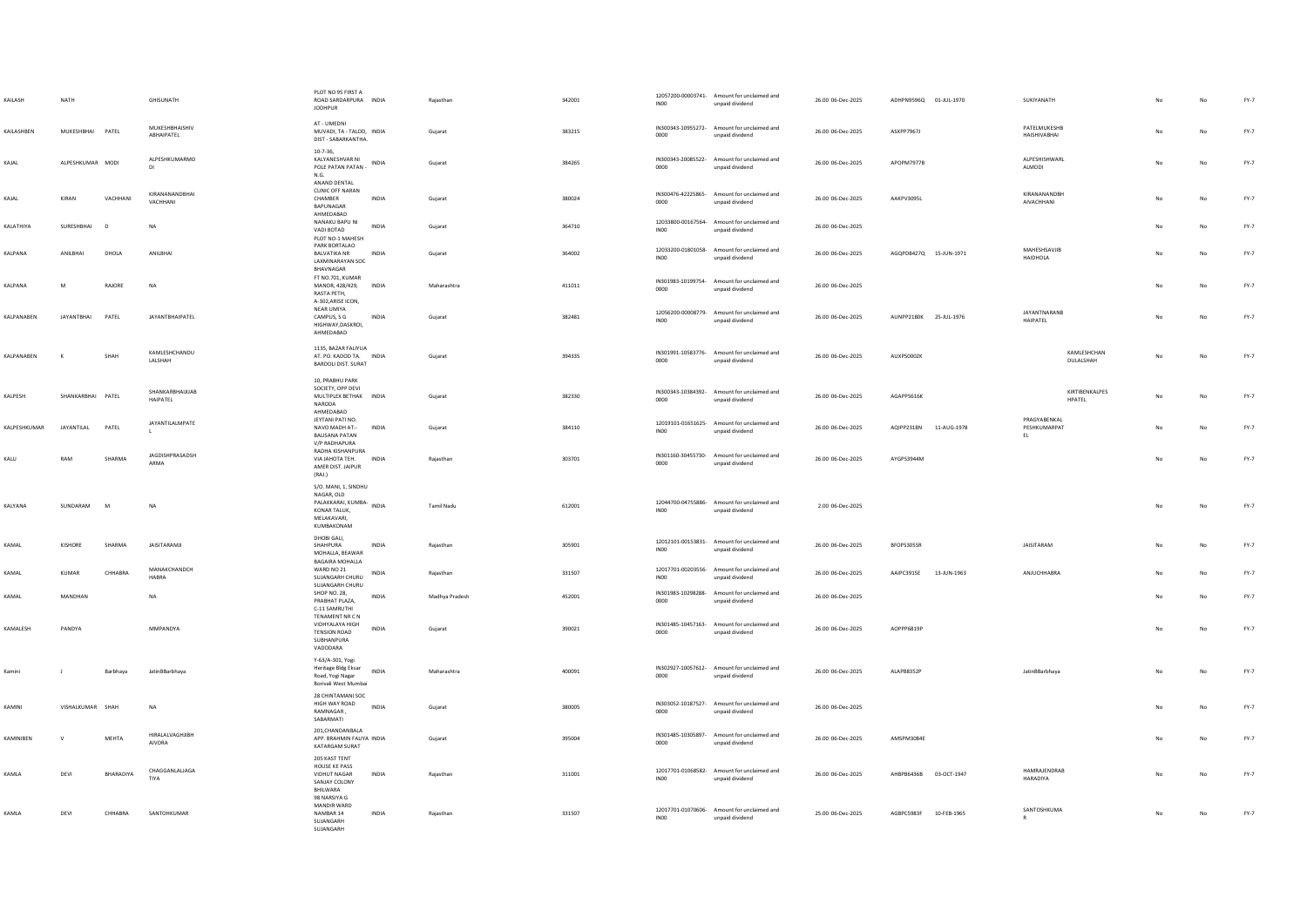| KAILASH            | <b>NATH</b>       |              | <b>GHISLINATH</b>                | PLOT NO 95 FIRST A<br>ROAD SARDARPURA INDIA<br><b>IODHPUR</b>                                         |              | Raiasthan      | 342001 | INO <sub>0</sub> | 12057200-00003741- Amount for unclaimed and<br>unpaid dividend | 26.00 06-Dec-2025 | ADHPN9596Q 01-JUL-1970 |             | SUKIYANATH                          |                           |     | No          | FY-7   |
|--------------------|-------------------|--------------|----------------------------------|-------------------------------------------------------------------------------------------------------|--------------|----------------|--------|------------------|----------------------------------------------------------------|-------------------|------------------------|-------------|-------------------------------------|---------------------------|-----|-------------|--------|
| KAILASHBEN         | MUKESHBHAI PATEL  |              | MUKESHRHAISHIV<br>ABHAIPATEL     | AT - UMEDNI<br>MUVADI, TA - TALOD, INDIA<br>DIST - SABARKANTHA.                                       |              | Gujarat        | 383215 | 0000             | IN300343-10955272- Amount for unclaimed and<br>unpaid dividend | 26.00 06-Dec-2025 | ASXPP7967J             |             | <b>PATFLMUKESHR</b><br>HAISHIVARHAI |                           | No  | No          | $FY-7$ |
| KAJAL              | ALPESHKUMAR MODI  |              | ALPESHKUMARMO<br>DI              | $10-7-36,$<br>KALYANESHVAR NI<br>POLE PATAN PATAN -<br>N.G.                                           | <b>INDIA</b> | Gujarat        | 384265 | 0000             | IN300343-20085522- Amount for unclaimed and<br>unpaid dividend | 26.00 06-Dec-2025 | APOPM7977R             |             | ALPESHISHWARL<br>ALMODI             |                           | No. | No          | FY-7   |
| KAJAL              | KIRAN             | VACHHANI     | KIRANANANDBHAI<br>VACHHANI       | ANAND DENTAL<br><b>CLINIC OFF NARAN</b><br>CHAMBER<br>BAPUNAGAR<br>AHMEDABAD                          | INDIA        | Gujarat        | 380024 | 0000             | IN300476-42225865- Amount for unclaimed and<br>unpaid dividend | 26.00 06-Dec-2025 | AAKPV3095L             |             | KIRANANANDBH<br><b>AIVACHHANI</b>   |                           |     | No          | $FY-7$ |
| KALATHIYA          | SURESHBHAI        | $\mathsf{D}$ | NA                               | NANAKU BAPU NI<br>VADI BOTAD<br>PLOT NO-1 MAHESH                                                      | INDIA        | Gujarat        | 364710 | <b>INOO</b>      | 12033800-00167564- Amount for unclaimed and<br>unpaid dividend | 26.00 06-Dec-2025 |                        |             |                                     |                           |     | No          | $FY-7$ |
| KALPANA            | ANILBHAI          | DHOLA        | ANILBHAI                         | PARK BORTALAO<br><b>BALVATIKA NR</b><br><b>LAXMINARAYAN SOC</b><br>BHAVNAGAR                          | INDIA        | Gujarat        | 364002 | IN00             | 12033200-01801058- Amount for unclaimed and<br>unpaid dividend | 26.00 06-Dec-2025 | AGQPD8427Q 15-JUN-1971 |             | MAHESHSAVIIR<br>HAIDHOLA            |                           | No  | No          | $FY-7$ |
| KALPANA            | M                 | RAJORE       | <b>NA</b>                        | FT NO.701, KUMAR<br>MANOR, 428/429,<br>RASTA PETH,<br>A-302, ARISE ICON,                              | INDIA        | Maharashtra    | 411011 | 0000             | IN301983-10199754- Amount for unclaimed and<br>unpaid dividend | 26.00 06-Dec-2025 |                        |             |                                     |                           |     | No          | FY-7   |
| <b>KAI PANAREN</b> | <b>JAYANTBHAI</b> | PATEL        | <b>IAYANTRHAIPATEL</b>           | NEAR UMIYA<br>CAMPUS, S G<br>HIGHWAY.DASKROI.<br>AHMEDABAD                                            | <b>INDIA</b> | Gujarat        | 382481 | IN00             | 12056200-00008779- Amount for unclaimed and<br>unpaid dividend | 26.00 06-Dec-2025 | AUNPP2180K 25-JUL-1976 |             | <b>JAYANTNARANB</b><br>HAIPATEL     |                           | No  | No          | FY-7   |
| <b>KAI PANAREN</b> | $\kappa$          | SHAH         | KAMLESHCHANDU<br>LALSHAH         | 1135, BAZAR FALIYUA<br>AT. PO. KADOD TA. INDIA<br><b>BARDOLI DIST. SURAT</b>                          |              | Gujarat        | 394335 | 0000             | IN301991-10583776- Amount for unclaimed and<br>unpaid dividend | 26.00 06-Dec-2025 | AUXPS0002K             |             |                                     | KAMLESHCHAN<br>DULALSHAH  | No  | No          | $FY-7$ |
| KALPESH            | SHANKARBHAI PATEL |              | SHANKARRHAIIIIAR<br>HAIPATEL     | 10, PRABHU PARK<br>SOCIETY, OPP DEVI<br>MULTIPLEX BETHAK INDIA<br><b>NARODA</b><br>AHMEDABAD          |              | Gujarat        | 382330 | 0000             | IN300343-10384392- Amount for unclaimed and<br>unpaid dividend | 26.00 06-Dec-2025 | AGAPP5616K             |             |                                     | KIRTIRENKAI PES<br>HPATEL | No  | No          | $FY-7$ |
| KALPESHKUMAR       | JAYANTILAL        | PATEL        | <b>JAYANTILALMPATE</b>           | JEYTANI PATI NO.<br>NAVO MADH AT:-<br><b>BALISANA PATAN</b><br>V/P RADHAPURA                          | INDIA        | Gujarat        | 384110 | IN00             | 12019101-01651625- Amount for unclaimed and<br>unpaid dividend | 26.00 06-Dec-2025 | AQIPP2318N 11-AUG-1978 |             | PRAGYABENKAL<br>PESHKUMARPAT<br>EL. |                           | No  | No          | FY-7   |
| KALLI              | RAM               | SHARMA       | JAGDISHPRASADSH<br>ARMA          | RADHA KISHANPURA<br>VIA JAHOTA TEH. INDIA<br>AMER DIST, JAIPUR<br>(RAJ.)                              |              | Raiasthan      | 303701 | 0000             | IN301160-30455730- Amount for unclaimed and<br>unpaid dividend | 26.00 06-Dec-2025 | AYGPS3944M             |             |                                     |                           | No  | No          | FY-7   |
| <b>KAI YANA</b>    | SUNDARAM          | M            | <b>NA</b>                        | S/O. MANI, 1, SINDHU<br>NAGAR, OLD<br>PALAKKARAI, KUMBA-<br>KONAR TALUK,<br>MELAKAVARI,<br>KUMBAKONAM | INDIA        | Tamil Nadu     | 612001 | IN00             | 12044700-04755886- Amount for unclaimed and<br>unpaid dividend | 2.00.06-Dec-2025  |                        |             |                                     |                           | No  | No          | FY-7   |
| KAMAL              | KISHORE           | SHARMA       | <b>JAISITARAMJI</b>              | DHOBI GALI,<br>SHAHPURA<br>MOHALLA, BEAWAR<br><b>BAGAIRA MOHALLA</b>                                  | <b>INDIA</b> | Raiasthan      | 305901 | INO <sub>0</sub> | 12012101-00153831- Amount for unclaimed and<br>unpaid dividend | 26.00 06-Dec-2025 | BFOPS3055R             |             | <b>JAISITARAM</b>                   |                           | No  | No          | $FY-7$ |
| KAMAL              | KUMAR             | CHHABRA      | MANAKCHANDCH<br>HABRA            | WARD NO 21<br>SUJANGARH CHURU<br>SUJANGARH CHURU                                                      | <b>INDIA</b> | Raiasthan      | 331507 | INO0             | 12017701-00203556- Amount for unclaimed and<br>unpaid dividend | 26.00 06-Dec-2025 | AAIPC3915E             | 13-JUN-1963 | ANJUCHHABRA                         |                           |     | No          | $FY-7$ |
| KAMAL              | MANDHAN           |              | NA                               | <b>SHOP NO. 28,</b><br>PRABHAT PLAZA.<br>C-11 SAMRUTHI                                                | INDIA        | Madhya Pradesh | 452001 | 0000             | IN301983-10298288- Amount for unclaimed and<br>unpaid dividend | 26.00 06-Dec-2025 |                        |             |                                     |                           |     | No          | FY-7   |
| KAMALESH           | PANDYA            |              | MMPANDYA                         | TENAMENT NR C N<br>VIDHYALAYA HIGH<br>TENSION ROAD<br>SUBHANPURA<br>VADODARA                          | <b>INDIA</b> | Gujarat        | 390021 | 0000             | IN301485-10457163- Amount for unclaimed and<br>unpaid dividend | 26.00 06-Dec-2025 | AOPPP6819P             |             |                                     |                           | No. | No          | FY-7   |
| Kamini             |                   | Barbhaya     | JatinBBarbhaya                   | Y-63/A-301. Yogi<br><b>Heritage Bldg Eksar</b><br>Road, Yogi Nagar<br>Borivali West Mumbai            | INDIA        | Maharashtra    | 400091 | 0000             | IN302927-10057612- Amount for unclaimed and<br>unpaid dividend | 26.00 06-Dec-2025 | ALAPB8352P             |             | JatinBBarbhava                      |                           | No  | No          | $FY-7$ |
| KAMINI             | VISHALKUMAR SHAH  |              | <b>NA</b>                        | 28 CHINTAMANI SOC<br>HIGH WAY ROAD<br>RAMNAGAR.<br>SABARMATI                                          | INDIA        | Guiarat        | 380005 | 0000             | IN303052-10187527- Amount for unclaimed and<br>unpaid dividend | 26.00 06-Dec-2025 |                        |             |                                     |                           |     | No          | FY-7   |
| KAMINIBEN          | $\vee$            | MEHTA        | HIRALALVAGHJIBH<br><b>AIVORA</b> | 201.CHANDANBALA<br>APP. BRAHMIN FALIYA INDIA<br>KATARGAM SURAT                                        |              | Gujarat        | 395004 | 0000             | IN301485-10305897- Amount for unclaimed and<br>unpaid dividend | 26.00 06-Dec-2025 | AMSPM3084E             |             |                                     |                           |     | No          | FY-7   |
| KAMLA              | DEVI              | BHARADIYA    | CHAGGANI ALIAGA<br>TIYA          | 205 KAST TENT<br>HOUSE KE PASS<br>VIDHUT NAGAR<br>SANJAY COLONY<br>BHILWARA<br>98 NARSIYA G           | INDIA        | Rajasthan      | 311001 | IN00             | 12017701-01068582- Amount for unclaimed and<br>unpaid dividend | 26.00 06-Dec-2025 | AHBPB6436B             | 03-OCT-1947 | <b>HAMRAIFNDRAR</b><br>HARADIYA     |                           |     | No          | FY-7   |
| KAMLA              | DEVI              | CHHABRA      | SANTOHKUMAR                      | MANDIR WARD<br>NAMBAR 14<br>SUJANGARH<br>SUJANGARH                                                    | INDIA        | Rajasthan      | 331507 | IN00             | 12017701-01070606- Amount for unclaimed and<br>unpaid dividend | 25.00 06-Dec-2025 | AGBPC5983F             | 10-FEB-1965 | SANTOSHKUMA                         |                           | No  | $_{\sf No}$ | $FY-7$ |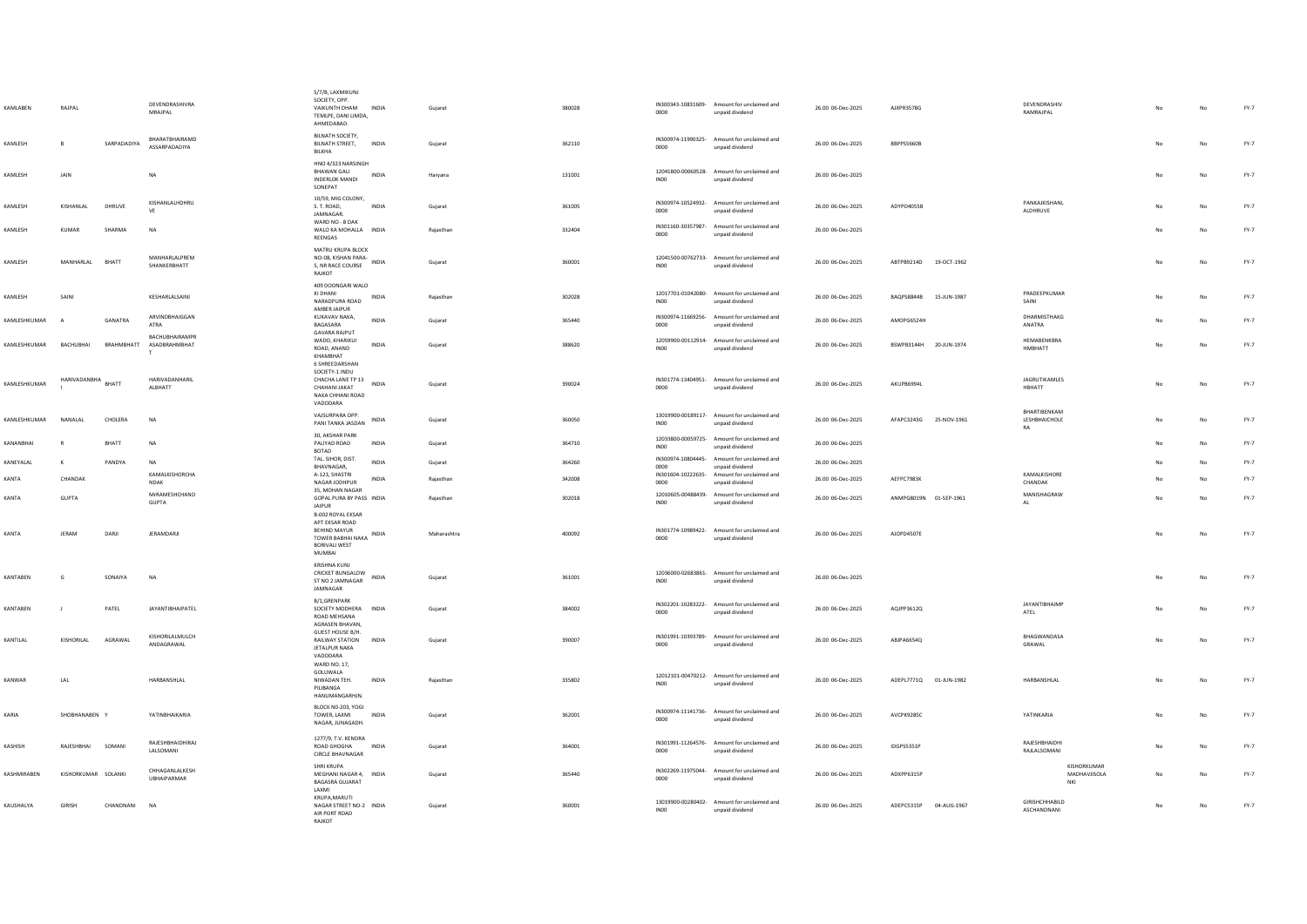| KAMLABEN                 | RAJPAL              |             | DEVENDRASHIVRA<br>MRAJPAL            | S/7/B, LAXMIKUNJ<br>SOCIETY, OPP.<br>VAIKUNTH DHAM<br>TEMLPE, DANI LIMDA.<br><b>AHMEDARAD</b> | <b>INDIA</b> | Gujarat     | 380028 | 0000                       | IN300343-10831609- Amount for unclaimed and<br>unpaid dividend | 26.00 06-Dec-2025 | AJXPR3578G                        | DEVENDRASHIV<br>RAMRAJPAL            | No  | $_{\sf No}$ | $FY-7$ |
|--------------------------|---------------------|-------------|--------------------------------------|-----------------------------------------------------------------------------------------------|--------------|-------------|--------|----------------------------|----------------------------------------------------------------|-------------------|-----------------------------------|--------------------------------------|-----|-------------|--------|
| KAMLESH                  | B                   | SARPADADIYA | BHARATBHAIRAMD<br>ASSARPADADIYA      | BILNATH SOCIETY.<br>BILNATH STREET,<br>BILKHA                                                 | INDIA        | Gujarat     | 362110 | 0000                       | IN300974-11990325- Amount for unclaimed and<br>unpaid dividend | 26.00 06-Dec-2025 | <b>BBPPS5660B</b>                 |                                      |     | No          | FY-7   |
| KAMLESH                  | JAIN                |             | <b>NA</b>                            | HNO 4/323 NARSINGH<br><b>BHAWAN GALI</b><br><b>INDERLOK MANDI</b><br>SONEPAT                  | <b>INDIA</b> | Harvana     | 131001 | INO <sub>0</sub>           | 12041800-00060528- Amount for unclaimed and<br>unpaid dividend | 26.00 06-Dec-2025 |                                   |                                      | No  | No          | $FY-7$ |
| KAMLESH                  | KISHANLAL           | DHRUVE      | KISHANLALHDHRU<br>VF                 | 10/59, MIG COLONY,<br>S. T. ROAD,<br>JAMNAGAR.                                                | INDIA        | Gujarat     | 361005 | 0000                       | IN300974-10524932- Amount for unclaimed and<br>unpaid dividend | 26.00 06-Dec-2025 | ADYPD4055B                        | PANKAJKISHANL<br>ALDHRUVE            |     | No          | $FY-7$ |
| KAMLESH                  | KUMAR               | SHARMA      | <b>NA</b>                            | WARD NO - 8 DAK<br>WALO KA MOHALLA INDIA<br>REENGAS                                           |              | Raiasthan   | 332404 | 0000                       | IN301160-30357987- Amount for unclaimed and<br>unpaid dividend | 26.00 06-Dec-2025 |                                   |                                      | No  | No          | $FY-7$ |
| KAMLESH                  | MANHARLAL BHATT     |             | MANHARI AI PREM<br>SHANKERBHATT      | MATRU KRUPA BLOCK<br>NO-08, KISHAN PARA-<br>5, NR RACE COURSE<br>RAJKOT                       | INDIA        | Gujarat     | 360001 | <b>IN00</b>                | 12041500-00762733- Amount for unclaimed and<br>unpaid dividend | 26.00 06-Dec-2025 | ABTPB9214D 19-OCT-1962            |                                      | No  | No          | $FY-7$ |
| KAMI FSH                 | SAINI               |             | KESHARI AI SAINI                     | 409 DOONGARI WALO<br>KI DHANI<br>NARADPURA ROAD<br>AMBER JAIPUR                               | <b>INDIA</b> | Raiasthan   | 302028 | IN <sub>00</sub>           | 12017701-01042080- Amount for unclaimed and<br>unpaid dividend | 26.00.06-Dec-2025 | <b>RAOPS8844B</b><br>15-ILIN-1987 | PRADEEPKUMAR<br>SAINI                | No  | No          | FY-7   |
| KAMLESHKUMAR             |                     | GANATRA     | ARVINDRHAIGGAN<br><b>ATRA</b>        | KUKAVAV NAKA,<br><b>RAGASARA</b>                                                              | <b>INDIA</b> | Gujarat     | 365440 | 0000                       | IN300974-11669256- Amount for unclaimed and<br>unpaid dividend | 26.00 06-Dec-2025 | AMOPG6524H                        | DHARMISTHAKG<br>ANATRA               | Na  | No          | $FY-7$ |
| KAMI FSHKLIMAR RACHURHAL |                     | RRAHMRHATT  | BACHUBHAIRAMPR<br>ASADRRAHMRHAT<br>T | <b>GAVARA RAJPUT</b><br>WADO, KHARIKUI<br>ROAD, ANAND<br>KHAMBHAT<br><b>6 SHREEDARSHAN</b>    | <b>INDIA</b> | Gujarat     | 388620 | <b>IN00</b>                | 12059900-00112914- Amount for unclaimed and<br>unpaid dividend | 26.00.06-Dec-2025 | RSWPR3144H 20-ILIN-1974           | HEMABENKBRA<br>HMBHATT               | No. | No          | $FY-7$ |
| KAMLESHKUMAR             | <b>HARIVADANBHA</b> | BHATT       | HARIVADANHARIL<br>ALBHATT            | SOCIETY-1 INDU<br>CHACHA LANE TP 13 INDIA<br>CHAHANI JAKAT<br>NAKA CHHANI ROAD<br>VADODARA    |              | Guiarat     | 390024 | 0000                       | IN301774-13404951- Amount for unclaimed and<br>unpaid dividend | 26.00 06-Dec-2025 | AKUPB6994L                        | <b>JAGRUTIKAMLES</b><br>HBHATT       | No  | No          | FY-7   |
| KAMLESHKUMAR             | NANAL AL            | CHOLERA     | <b>NA</b>                            | VAJSURPARA OPP.<br>PANI TANKA JASDAN                                                          | INDIA        | Gujarat     | 360050 | <b>IN00</b>                | 13019900-00189117- Amount for unclaimed and<br>unpaid dividend | 26.00 06-Dec-2025 | AFAPC3243G 25-NOV-1961            | BHARTIBENKAM<br>LESHBHAICHOLE<br>RA  | No  | No          | FY-7   |
| KANANBHAI                |                     | BHATT       | <b>NA</b>                            | 30, AKSHAR PARK<br>PALIYAD ROAD<br><b>BOTAD</b>                                               | INDIA        | Gujarat     | 364710 | INO <sub>0</sub>           | 12033800-00059725- Amount for unclaimed and<br>unpaid dividend | 26.00 06-Dec-2025 |                                   |                                      | No  | No          | $FY-7$ |
| KANEYALAL                | $\kappa$            | PANDYA      | <b>NA</b>                            | TAL, SIHOR, DIST.<br>BHAVNAGAR.                                                               | INDIA        | Gujarat     | 364260 | 0000                       | IN300974-10804445- Amount for unclaimed and<br>unpaid dividend | 26.00 06-Dec-2025 |                                   |                                      |     | No          | FY-7   |
| KANTA                    | CHANDAK             |             | KAMALKISHORCHA<br>NDAK               | A-123, SHASTRI<br>NAGAR JODHPUR                                                               | INDIA        | Raiasthan   | 342008 | IN301604-10222635-<br>0000 | Amount for unclaimed and<br>unpaid dividend                    | 26.00 06-Dec-2025 | AEFPC7983K                        | KAMALKISHORE<br>CHANDAK              | No  | No          | $FY-7$ |
| KANTA                    | <b>GUPTA</b>        |             | MrRAMESHCHAND<br>GUPTA               | 35, MOHAN NAGAR<br>GOPAL PURA BY PASS INDIA<br><b>IAIPUR</b><br><b>B-002 ROYAL EKSAR</b>      |              | Rajasthan   | 302018 | <b>IN00</b>                | 12010605-00488439- Amount for unclaimed and<br>unpaid dividend | 26.00 06-Dec-2025 | ANMPG8019N 01-SEP-1961            | MANISHAGRAW<br>AL                    | No  | No          | FY-7   |
| KANTA                    | <b>JERAM</b>        | DARJI       | <b>IFRAMDARII</b>                    | APT EKSAR ROAD<br><b>BEHIND MAYUR</b><br>TOWER BABHAI NAKA INDIA<br>BORIVALI WEST<br>MUMRAI   |              | Maharashtra | 400092 | 0000                       | IN301774-10989422- Amount for unclaimed and<br>unpaid dividend | 26.00 06-Dec-2025 | AJOPD4507E                        |                                      | No  | No          | FY-7   |
| KANTABEN                 | G                   | SONAIYA     | <b>NA</b>                            | KRISHNA KUNI<br>CRICKET BUNGALOW<br>ST NO 2 JAMNAGAR<br>JAMNAGAR                              | INDIA        | Gujarat     | 361001 | <b>IN00</b>                | 12036000-02683861- Amount for unclaimed and<br>unpaid dividend | 26.00 06-Dec-2025 |                                   |                                      | No  | No          | $FY-7$ |
| KANTABEN                 | $\blacksquare$      | PATEL       | JAYANTIBHAIPATEL                     | B/1,GRENPARK<br>SOCIETY MODHERA INDIA<br>ROAD MEHSANA<br>AGRASEN BHAVAN.                      |              | Gujarat     | 384002 | 0000                       | IN302201-10283222- Amount for unclaimed and<br>unpaid dividend | 26.00 06-Dec-2025 | AQJPP3612Q                        | <b>JAYANTIBHAIMP</b><br>ATEL         | No  | No          | FY-7   |
| KANTILAL                 | KISHORILAL          | AGRAWAL     | KISHORILALMULCH<br>ANDAGRAWAL        | GUEST HOUSE B/H.<br>RAILWAY STATION<br>JETALPUR NAKA<br>VADODARA<br>WARD NO. 17.              | INDIA        | Gujarat     | 390007 | 0000                       | IN301991-10393789- Amount for unclaimed and<br>unpaid dividend | 26.00 06-Dec-2025 | ABJPA6654Q                        | BHAGWANDASA<br>GRAWAL                | No  | No          | FY-7   |
| KANWAR                   | LAL                 |             | <b>HARRANSHIAI</b>                   | GOLUWALA<br>NIWADAN TEH.<br>PILIRANGA<br><b>HANUMANGARHJN</b>                                 | <b>INDIA</b> | Rajasthan   | 335802 | IN00                       | 12012101-00470212- Amount for unclaimed and<br>unpaid dividend | 26.00 06-Dec-2025 | ADEPL7771Q 01-JUN-1982            | <b>HARRANSHIAI</b>                   | No. | No          | FY-7   |
| KARIA                    | SHORHANAREN Y       |             | YATINRHAIKARIA                       | BLOCK NO-203, YOGI<br>TOWER, LAXMI<br>NAGAR, JUNAGADH.                                        | <b>INDIA</b> | Gujarat     | 362001 | 0000                       | IN300974-11141736- Amount for unclaimed and<br>unpaid dividend | 26.00 06-Dec-2025 | AVCPK9285C                        | YATINKARIA                           | No. | No          | FY-7   |
| KASHISH                  | RAJESHBHAI          | SOMANI      | RAJESHBHAIDHIRAJ<br>LALSOMANI        | 1277/9, T.V. KENDRA<br>ROAD GHOGHA<br><b>CIRCLE BHAVNAGAR</b>                                 | INDIA        | Guiarat     | 364001 | 0000                       | IN301991-11264576- Amount for unclaimed and<br>unpaid dividend | 26.00 06-Dec-2025 | IDGPS5351P                        | RAJESHBHAIDHI<br>RAJLALSOMANI        | No  | No          | FY-7   |
| KASHMIRAREN              | KISHORKUMAR SOLANKI |             | CHHAGANLALKESH<br>UBHAIPARMAR        | SHRI KRUPA<br>MEGHANI NAGAR 4. INDIA<br>BAGASRA GUJARAT<br>LAXMI                              |              | Gujarat     | 365440 | 0000                       | IN302269-11975044- Amount for unclaimed and<br>unpaid dividend | 26.00 06-Dec-2025 | ADXPP6315P                        | KISHORKUMAR<br>MADHAVJISOLA<br>NKI   | No  | No          | FY-7   |
| KAUSHALYA                | GIRISH              | CHANDNANI   | <b>NA</b>                            | KRUPA, MARUTI<br>NAGAR STREET NO-2 INDIA<br>AIR PORT ROAD<br>RAIKOT                           |              | Gujarat     | 360001 | <b>IN00</b>                | 13019900-00280402- Amount for unclaimed and<br>unpaid dividend | 26.00 06-Dec-2025 | ADEPC5315P 04-AUG-1967            | <b>GIRISHCHHARILD</b><br>ASCHANDNANI | No  | $_{\sf No}$ | $FY-7$ |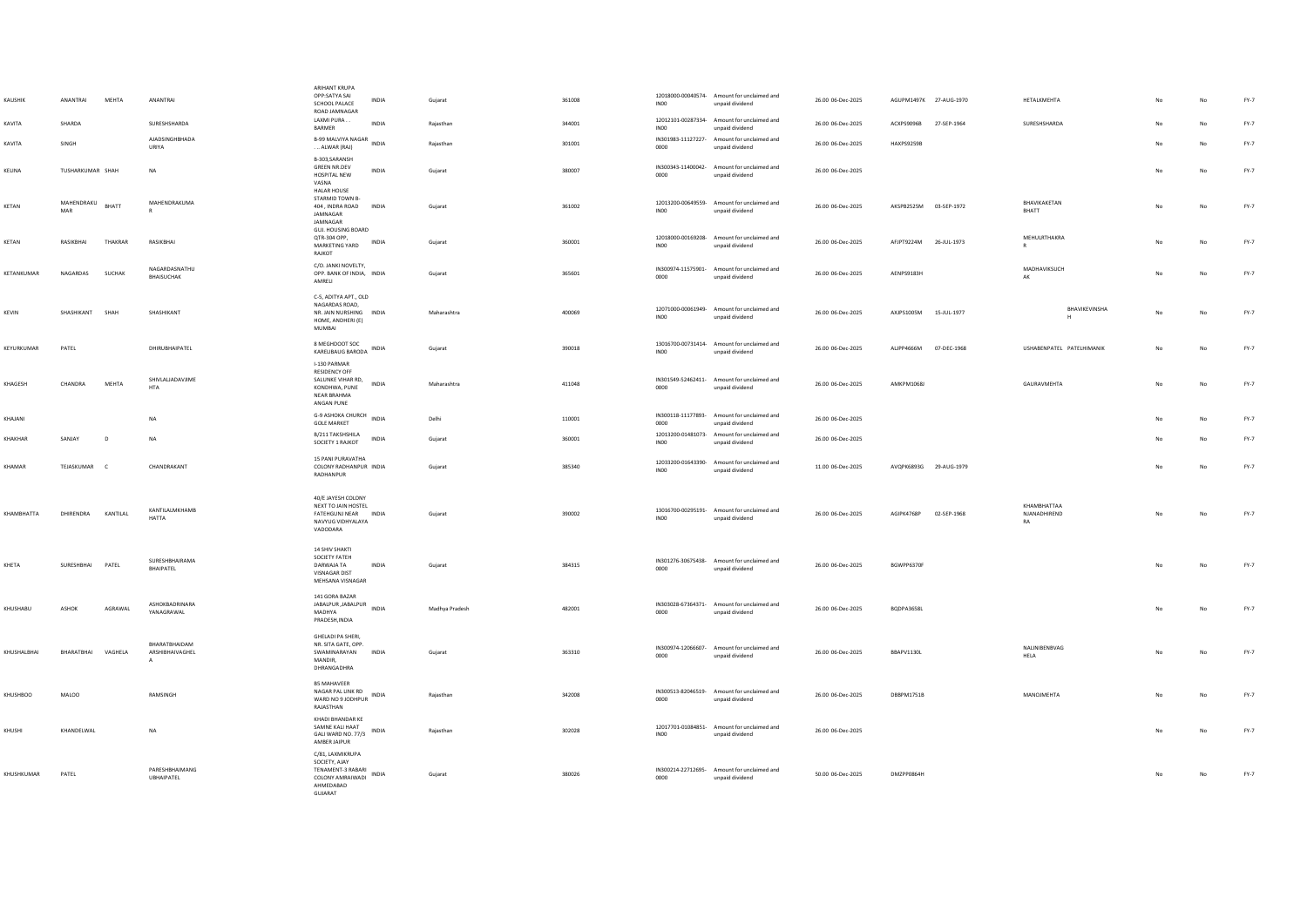| KAUSHIK     | ANANTRAI           | MEHTA         | ANANTRAI                                         | ARIHANT KRUPA<br>OPP:SATYA SAI<br>INDIA<br>SCHOOL PALACE<br>ROAD JAMNAGAR                                       | Gujarat        | 361008 | INO <sub>0</sub> | 12018000-00040574- Amount for unclaimed and<br>unpaid dividend | 26.00 06-Dec-2025 | AGUPM1497K 27-AUG-1970  |             | <b>HETALKMEHTA</b>                | No        | No | FY-7   |
|-------------|--------------------|---------------|--------------------------------------------------|-----------------------------------------------------------------------------------------------------------------|----------------|--------|------------------|----------------------------------------------------------------|-------------------|-------------------------|-------------|-----------------------------------|-----------|----|--------|
| KAVITA      | SHARDA             |               | <b>SURFSHSHARDA</b>                              | LAXMI PURA<br><b>INDIA</b><br>BARMER                                                                            | Raiasthan      | 344001 | INO <sub>0</sub> | 12012101-00287334- Amount for unclaimed and<br>unpaid dividend | 26.00 06-Dec-2025 | ACXPS9096B              | 27-SEP-1964 | SURFSHSHARDA                      | No        | No | FY-7   |
| KAVITA      | SINGH              |               | <b>AJADSINGHBHADA</b><br>URIYA                   | B-99 MALVIYA NAGAR INDIA<br>ALWAR (RAJ)                                                                         | Rajasthan      | 301001 | 0000             | IN301983-11127227- Amount for unclaimed and<br>unpaid dividend | 26.00 06-Dec-2025 | HAXPS9259B              |             |                                   | No        | No | FY-7   |
| KELINA      | TUSHARKUMAR SHAH   |               | <b>NA</b>                                        | B-303.SARANSH<br><b>GREEN NR.DEV</b><br><b>INDIA</b><br>HOSPITAL NEW<br>VASNA                                   | Gujarat        | 380007 | 0000             | IN300343-11400042- Amount for unclaimed and<br>unpaid dividend | 26.00 06-Dec-2025 |                         |             |                                   | No        | No | FY-7   |
| KETAN       | MAHENDRAKU<br>MAR  | BHATT         | MAHENDRAKUMA                                     | HALAR HOUSE<br>STARMID TOWN B-<br>404, INDRA ROAD<br><b>INDIA</b><br>JAMNAGAR<br>JAMNAGAR<br>GUJ, HOUSING BOARD | Gujarat        | 361002 | IN <sub>00</sub> | 12013200-00649559- Amount for unclaimed and<br>unpaid dividend | 26.00 06-Dec-2025 | AKSPB2525M 03-SEP-1972  |             | BHAVIKAKETAN<br>BHATT             | No        | No | $FY-7$ |
| KFTAN       | RASIKRHAL          | THAKRAR       | RASIKRHAI                                        | OTR-304 OPP.<br><b>INDIA</b><br>MARKETING YARD<br>RAJKOT                                                        | Guiarat        | 360001 | INO <sub>0</sub> | 12018000-00169208- Amount for unclaimed and<br>unpaid dividend | 26.00.06-Dec-2025 | AFIPT9224M 26-ILII-1973 |             | MEHULRTHAKRA                      | <b>No</b> | No | FY-7   |
| KETANKUMAR  | NAGARDAS           | <b>SUCHAK</b> | NAGARDASNATHU<br>BHAISUCHAK                      | C/O. JANKI NOVELTY,<br>OPP. BANK OF INDIA, INDIA<br>AMRELI                                                      | Gujarat        | 365601 | 0000             | IN300974-11575901- Amount for unclaimed and<br>unpaid dividend | 26.00 06-Dec-2025 | AFNPS9183H              |             | MADHAVIKSUCH<br>AK                | No        | No | $FY-7$ |
| KEVIN       | SHASHIKANT         | SHAH          | SHASHIKANT                                       | C-5, ADITYA APT., OLD<br>NAGARDAS ROAD,<br>NR. JAIN NURSHING INDIA<br>HOME, ANDHERI (E)<br><b>MUMBAI</b>        | Maharashtra    | 400069 | IN00             | 12071000-00061949- Amount for unclaimed and<br>unpaid dividend | 26.00 06-Dec-2025 | AXJPS1005M 15-JUL-1977  |             | BHAVIKEVINSHA<br>H                | No        | No | FY-7   |
| KEYURKUMAR  | PATEL              |               | DHIRUBHAIPATEL                                   | 8 MEGHDOOT SOC<br>KARELIBAUG BARODA INDIA                                                                       | Gujarat        | 390018 | INO <sub>0</sub> | 13016700-00731414- Amount for unclaimed and<br>unpaid dividend | 26.00 06-Dec-2025 | ALJPP4666M              | 07-DEC-1968 | USHABENPATEL PATELHIMANIK         | No        | No | FY-7   |
| KHAGESH     | CHANDRA            | MEHTA         | SHIVI AI IADAVIIME<br><b>HTA</b>                 | I-130 PARMAR<br>RESIDENCY OFF<br>SALUNKE VIHAR RD,<br>INDIA<br>KONDHWA, PUNE<br>NEAR BRAHMA<br>ANGAN PUNE       | Maharashtra    | 411048 | 0000             | IN301549-52462411- Amount for unclaimed and<br>unpaid dividend | 26.00 06-Dec-2025 | AMKPM1068J              |             | GAURAVMEHTA                       | No        | No | $FY-7$ |
| KHAJANI     |                    |               | <b>NA</b>                                        | G-9 ASHOKA CHURCH INDIA<br><b>GOLE MARKET</b>                                                                   | Delhi          | 110001 | 0000             | IN300118-11177893- Amount for unclaimed and<br>unpaid dividend | 26.00 06-Dec-2025 |                         |             |                                   | No        | No | FY-7   |
| KHAKHAR     | SANJAY             | D             | NA                                               | B/211 TAKSHSHILA<br>INDIA<br>SOCIETY 1 RAJKOT                                                                   | Gujarat        | 360001 | INO0             | 12013200-01481073- Amount for unclaimed and<br>unpaid dividend | 26.00 06-Dec-2025 |                         |             |                                   |           | No | $FY-7$ |
| KHAMAR      | TEJASKUMAR C       |               | CHANDRAKANT                                      | 15 PANI PURAVATHA<br>COLONY RADHANPUR INDIA<br>RADHANPUR                                                        | Gujarat        | 385340 | INO <sub>0</sub> | 12033200-01643390- Amount for unclaimed and<br>unpaid dividend | 11.00 06-Dec-2025 | AVQPK6893G 29-AUG-1979  |             |                                   | No        | No | $FY-7$ |
| KHAMBHATTA  | DHIRENDRA          | KANTILAL      | KANTILALMKHAMB<br><b>HATTA</b>                   | 40/E JAYESH COLONY<br>NEXT TO JAIN HOSTEL<br>FATEHGUNJ NEAR INDIA<br>NAVYUG VIDHYALAYA<br>VADODARA              | Gujarat        | 390002 | INO <sub>0</sub> | 13016700-00295191- Amount for unclaimed and<br>unpaid dividend | 26.00 06-Dec-2025 | AGIPK4768P              | 02-SEP-1968 | KHAMRHATTAA<br>NJANADHIREND<br>RA | No        | No | FY-7   |
| KHETA       | SURESHBHAI PATEL   |               | SURESHBHAIRAMA<br>BHAIPATEL                      | <b>14 SHIV SHAKTI</b><br>SOCIETY FATEH<br>DARWAJA TA<br><b>INDIA</b><br>VISNAGAR DIST<br>MEHSANA VISNAGAR       | Guiarat        | 384315 | 0000             | IN301276-30675438- Amount for unclaimed and<br>unpaid dividend | 26.00 06-Dec-2025 | BGWPP6370F              |             |                                   | No        | No | FY-7   |
| KHUSHABU    | ASHOK              | AGRAWAL       | ASHOKBADRINARA<br>YANAGRAWAL                     | 141 GORA BAZAR<br>JABALPUR , JABALPUR<br><b>INDIA</b><br>MADHYA<br>PRADESH, INDIA                               | Madhya Pradesh | 482001 | 0000             | IN303028-67364371- Amount for unclaimed and<br>unpaid dividend | 26.00 06-Dec-2025 | <b>BODPA3658L</b>       |             |                                   | No        | No | FY-7   |
| KHUSHALBHAI | BHARATBHAI VAGHELA |               | RHARATRHAIDAM<br>ARSHIBHAIVAGHEL<br>$\mathbf{A}$ | GHELADI PA SHERI.<br>NR. SITA GATE, OPP.<br>SWAMINARAYAN INDIA<br>MANDIR,<br>DHRANGADHRA                        | Gujarat        | 363310 | 0000             | IN300974-12066607- Amount for unclaimed and<br>unpaid dividend | 26.00 06-Dec-2025 | BBAPV1130L              |             | NALINIBENBVAG<br><b>HELA</b>      | No        | No | $FY-7$ |
| KHUSHBOO    | MALOO              |               | RAMSINGH                                         | <b>B5 MAHAVEER</b><br>NAGAR PAL LINK RD<br>WARD NO 9 JODHPUR INDIA<br>RAJASTHAN                                 | Rajasthan      | 342008 | 0000             | IN300513-82046519- Amount for unclaimed and<br>unpaid dividend | 26.00 06-Dec-2025 | DBBPM1751B              |             | MANOJMEHTA                        |           | No | $FY-7$ |
| KHUSHI      | KHANDELWAL         |               | <b>NA</b>                                        | KHADI BHANDAR KE<br>SAMNE KALI HAAT<br>INDIA<br>GALI WARD NO. 77/3<br>AMBER JAIPUR                              | Rajasthan      | 302028 | INO <sub>0</sub> | 12017701-01084851- Amount for unclaimed and<br>unpaid dividend | 26.00 06-Dec-2025 |                         |             |                                   |           | No | $FY-7$ |
| KHUSHKUMAR  | PATEL              |               | PARESHBHAIMANG<br>UBHAIPATEL                     | C/81, LAXMIKRUPA<br>SOCIETY, AJAY<br>TENAMENT-3 RABARI<br>INDIA<br>COLONY AMRAIWADI<br>AHMEDABAD<br>GUIARAT     | Gujarat        | 380026 | 0000             | IN300214-22712695- Amount for unclaimed and<br>unpaid dividend | 50.00 06-Dec-2025 | DMZPP0864H              |             |                                   | No        | No | $FY-7$ |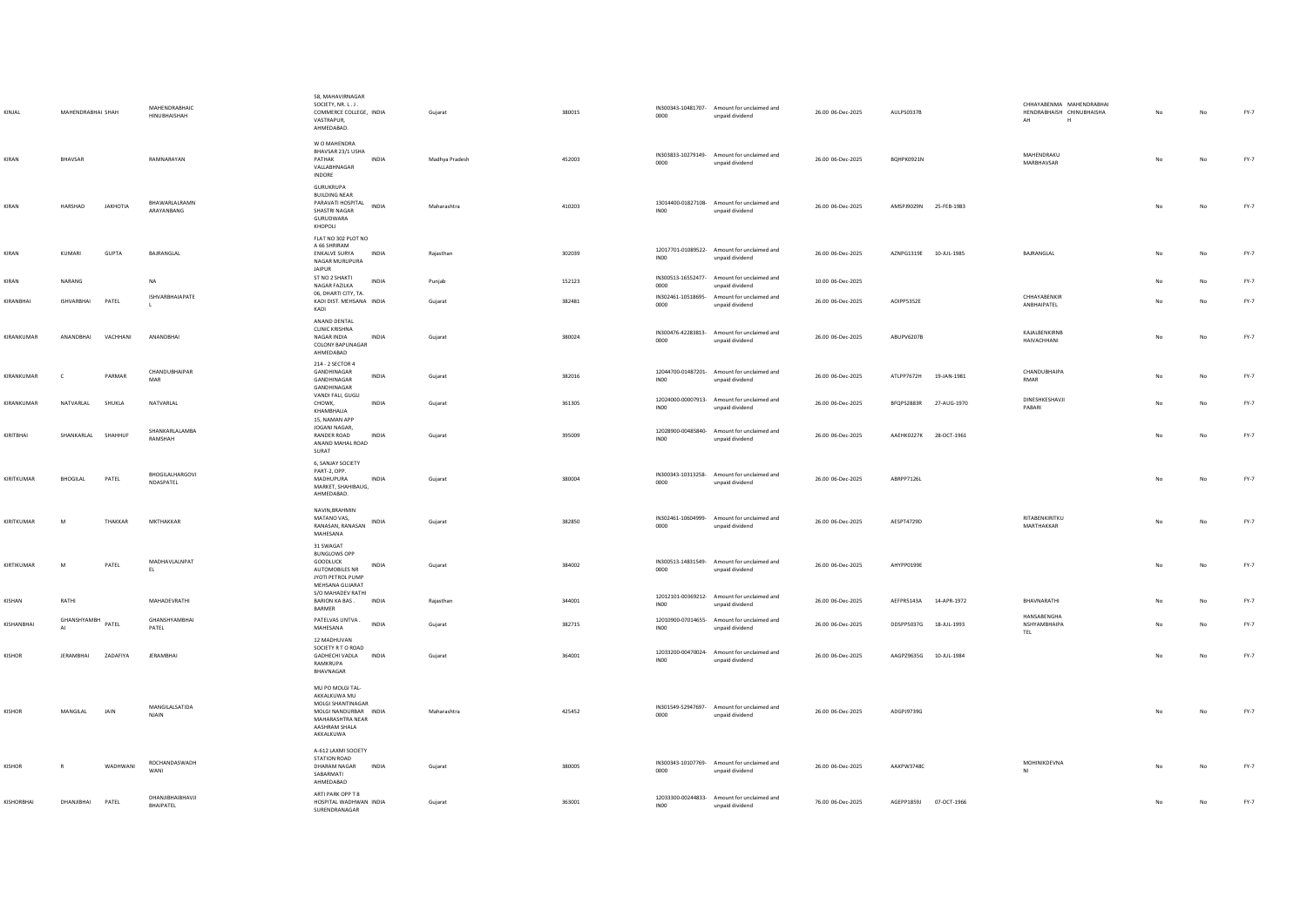| KINJAL        | MAHENDRABHAI SHAH  |                 | MAHENDRABHAIC<br>HINUBHAISHAH        | 58, MAHAVIRNAGAR<br>SOCIETY, NR. L.J.<br>COMMERCE COLLEGE, INDIA<br>VASTRAPUR,<br>AHMEDABAD.                                     | Gujarat        | 380015 | 0000             | IN300343-10481707- Amount for unclaimed and<br>unpaid dividend | 26.00 06-Dec-2025 | AULPS0337B             |             | CHHAYARENMA MAHENDRARHAI<br>HENDRABHAISH CHINUBHAISHA<br>AH<br>H | No | No          | $FY-7$ |
|---------------|--------------------|-----------------|--------------------------------------|----------------------------------------------------------------------------------------------------------------------------------|----------------|--------|------------------|----------------------------------------------------------------|-------------------|------------------------|-------------|------------------------------------------------------------------|----|-------------|--------|
| KIRAN         | BHAVSAR            |                 | RAMNARAYAN                           | W O MAHENDRA<br>BHAVSAR 23/1 USHA<br>PATHAK<br><b>INDIA</b><br>VALLABHNAGAR<br>INDORE                                            | Madhya Pradesh | 452003 | 0000             | IN303833-10279149- Amount for unclaimed and<br>unpaid dividend | 26.00 06-Dec-2025 | BOHPK0921N             |             | MAHENDRAKU<br>MARBHAVSAR                                         | No | No          | $FY-7$ |
| KIRAN         | HARSHAD            | JAKHOTIA        | <b>BHAWARI AI RAMN</b><br>ARAYANBANG | GURUKRUPA<br><b>BUILDING NEAR</b><br>PARAVATI HOSPITAL INDIA<br>SHASTRI NAGAR<br>GURUDWARA<br>KHOPOLI                            | Maharashtra    | 410203 | IN00             | 13014400-01827108- Amount for unclaimed and<br>unpaid dividend | 26.00 06-Dec-2025 | AMSPJ9029N 25-FEB-1983 |             |                                                                  | No | No          | FY-7   |
| KIRAN         | KUMARI             | GUPTA           | BAJRANGLAL                           | FLAT NO 302 PLOT NO<br>A 66 SHRIRAM<br><b>ENKALVE SURYA</b><br>INDIA<br>NAGAR MURLIPURA<br><b>JAIPUR</b>                         | Rajasthan      | 302039 | INO <sub>0</sub> | 12017701-01089522- Amount for unclaimed and<br>unpaid dividend | 26.00 06-Dec-2025 | AZNPG1319E 10-JUL-1985 |             | BAJRANGLAL                                                       | No | No          | FY-7   |
| KIRAN         | NARANG             |                 | <b>NA</b>                            | ST NO 2 SHAKTI<br><b>INDIA</b><br>NAGAR FAZILKA                                                                                  | Punjab         | 152123 | 0000             | IN300513-16552477- Amount for unclaimed and<br>unpaid dividend | 10.00 06-Dec-2025 |                        |             |                                                                  | No | No          | $FY-7$ |
| KIRANBHAI     | <b>ISHVARBHAI</b>  | PATEL           | ISHVARBHAIAPATE<br>L                 | 06, DHARTI CITY, TA.<br>KADI DIST. MEHSANA INDIA<br>KADI                                                                         | Guiarat        | 382481 | 0000             | IN302461-10518695- Amount for unclaimed and<br>unpaid dividend | 26.00 06-Dec-2025 | AOIPP5352E             |             | CHHAYABENKIR<br>ANBHAIPATEL                                      | No | No          | $FY-7$ |
| KIRANKUMAR    | ANANDRHAI          | VACHHANI        | ANANDRHAI                            | ANAND DENTAL<br><b>CLINIC KRISHNA</b><br>NAGAR INDIA<br><b>INDIA</b><br><b>COLONY BAPUNAGAR</b><br>AHMEDABAD                     | Gujarat        | 380024 | 0000             | IN300476-42283813- Amount for unclaimed and<br>unpaid dividend | 26.00 06-Dec-2025 | ARUPV6207B             |             | KAJALBENKIRNB<br>HAIVACHHANI                                     | No | No          | $FY-7$ |
| KIRANKUMAR    | $\mathsf{C}$       | PARMAR          | CHANDUBHAIPAR<br>MAR                 | 214 - 2 SECTOR 4<br>GANDHINAGAR<br>INDIA<br>GANDHINAGAR<br>GANDHINAGAR                                                           | Gujarat        | 382016 | INO <sub>0</sub> | 12044700-01487201- Amount for unclaimed and<br>unpaid dividend | 26.00 06-Dec-2025 | ATLPP7672H 19-JAN-1981 |             | CHANDUBHAIPA<br><b>RMAR</b>                                      | No | No          | $FY-7$ |
| KIRANKUMAR    | NATVARLAL          | SHUKLA          | NATVARLAL                            | VANDI FALI, GUGLI<br>INDIA<br>CHOWK,<br>KHAMBHALIA                                                                               | Gujarat        | 361305 | INO <sub>0</sub> | 12024000-00007913- Amount for unclaimed and<br>unpaid dividend | 26.00 06-Dec-2025 | BFQPS2883R             | 27-AUG-1970 | DINESHKESHAVJI<br>PABARI                                         |    | No          | FY-7   |
| KIRITBHAI     | SHANKARLAL SHAHHUF |                 | SHANKARLALAMBA<br>RAMSHAH            | 15, NAMAN APP<br>JOGANI NAGAR,<br><b>INDIA</b><br>RANDER ROAD<br>ANAND MAHAL ROAD<br>SURAT                                       | Guiarat        | 395009 | INO <sub>0</sub> | 12028900-00485840- Amount for unclaimed and<br>unpaid dividend | 26.00 06-Dec-2025 | AAEHK0227K 28-OCT-1961 |             |                                                                  | No | No          | $FY-7$ |
| KIRITKUMAR    | BHOGILAL           | PATEL           | BHOGILALHARGOVI<br>NDASPATEL         | 6, SANJAY SOCIETY<br>PART-2, OPP.<br>MADHUPURA<br><b>INDIA</b><br>MARKET, SHAHIBAUG,<br>AHMEDABAD.                               | Guiarat        | 380004 | 0000             | IN300343-10313258- Amount for unclaimed and<br>unpaid dividend | 26.00 06-Dec-2025 | ABRPP7126L             |             |                                                                  | No | No          | FY-7   |
| KIRITKUMAR    | M                  | THAKKAR         | MKTHAKKAR                            | NAVIN, BRAHMIN<br>MATANO VAS,<br>INDIA<br>RANASAN, RANASAN<br>MAHESANA                                                           | Guiarat        | 382850 | 0000             | IN302461-10604999- Amount for unclaimed and<br>unpaid dividend | 26.00 06-Dec-2025 | AFSPT4729D             |             | RITABENKIRITKU<br>MARTHAKKAR                                     | No | <b>No</b>   | FY-7   |
| KIRTIKUMAR    | M                  | PATEL           | MADHAVLALNPAT<br>EL.                 | 31 SWAGAT<br><b>BUNGLOWS OPP</b><br>GOODLUCK<br>INDIA<br>AUTOMOBILES NR<br>JYOTI PETROL PUMP<br>MEHSANA GUJARAT                  | Gujarat        | 384002 | 0000             | IN300513-14831549- Amount for unclaimed and<br>unpaid dividend | 26.00 06-Dec-2025 | AHYPP0199E             |             |                                                                  | No | $_{\sf No}$ | $FY-7$ |
| KISHAN        | RATHI              |                 | MAHADEVRATHI                         | S/O MAHADEV RATHI<br>BARION KA BAS. INDIA<br>BARMER                                                                              | Rajasthan      | 344001 | INO0             | 12012101-00369212- Amount for unclaimed and<br>unpaid dividend | 26.00 06-Dec-2025 | AEFPR5143A             | 14-APR-1972 | BHAVNARATHI                                                      |    | No          | $FY-7$ |
| KISHANBHAI    | GHANSHYAMBH        | PATEL           | GHANSHYAMRHAI<br>PATEL               | PATELVAS UNTVA.<br>INDIA<br>MAHESANA                                                                                             | Gujarat        | 382715 | IN00             | 12010900-07014655- Amount for unclaimed and<br>unpaid dividend | 26.00 06-Dec-2025 | DDSPP5037G 18-JUL-1993 |             | HANSABENGHA<br>NSHYAMBHAIPA<br>TEL                               |    | $_{\sf No}$ | FY-7   |
| <b>KISHOR</b> | <b>IFRAMRHAI</b>   | <b>ZADAFIYA</b> | <b>IFRAMRHAI</b>                     | 12 MADHUVAN<br>SOCIETY R T O ROAD<br>GADHECHI VADLA INDIA<br>RAMKRUPA<br>BHAVNAGAR                                               | Guiarat        | 364001 | INO0             | 12033200-00470024- Amount for unclaimed and<br>unpaid dividend | 26.00 06-Dec-2025 | AAGPZ9635G 10-JUL-1984 |             |                                                                  | No | No          | FY-7   |
| <b>KISHOR</b> | MANGILAL           | <b>JAIN</b>     | MANGILALSATIDA<br><b>NJAIN</b>       | MU PO MOLGI TAL-<br>AKKALKUWA MU<br>MOLGI SHANTINAGAR<br>MOLGI NANDURBAR INDIA<br>MAHARASHTRA NEAR<br>AASHRAM SHALA<br>AKKALKUWA | Maharashtra    | 425452 | 0000             | IN301549-52947697- Amount for unclaimed and<br>unpaid dividend | 26.00 06-Dec-2025 | ADGPJ9739G             |             |                                                                  | No | No          | FY-7   |
| <b>KISHOR</b> | $\mathbb{R}$       | WADHWANI        | ROCHANDASWADH<br>WANI                | A-612 LAXMI SOCIETY<br>STATION ROAD<br><b>INDIA</b><br><b>DHARAM NAGAR</b><br>SABARMATI<br>AHMEDABAD                             | Guiarat        | 380005 | 0000             | IN300343-10107769- Amount for unclaimed and<br>unpaid dividend | 26.00 06-Dec-2025 | AAXPW3748C             |             | MOHINIKDEVNA<br>NI                                               |    | No          | FY-7   |
| KISHORBHAI    | DHANJIBHAI         | PATEL           | DHANJIBHAIBHAVJI<br>BHAIPATEL        | ARTI PARK OPP T 8<br>HOSPITAL WADHWAN INDIA<br>SURENDRANAGAR                                                                     | Gujarat        | 363001 | INO <sub>0</sub> | 12033300-00244833- Amount for unclaimed and<br>unpaid dividend | 76.00 06-Dec-2025 | AGEPP1859J 07-OCT-1966 |             |                                                                  |    | No          | FY-7   |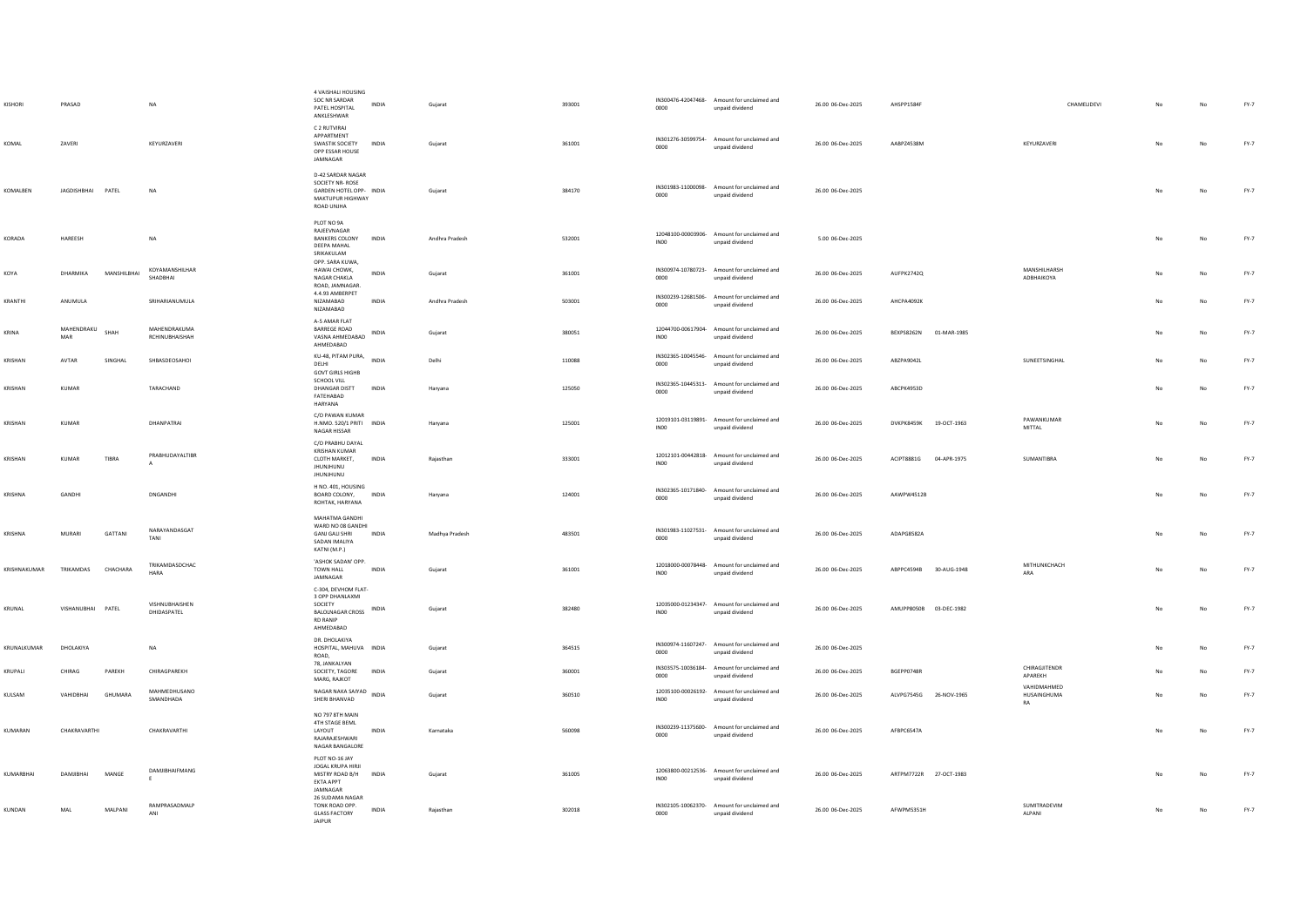| <b>KISHOR</b> | PRASAD            |             | <b>NA</b>                       | 4 VAISHALI HOUSING<br>SOC NR SARDAR<br>PATEL HOSPITAL<br>ANKLESHWAR                                          | <b>INDIA</b> | Guiarat        | 393001 | 0000             | IN300476-42047468- Amount for unclaimed and<br>unpaid dividend | 26.00 06-Dec-2025 | AHSPP1584F             |             | CHAMELIDEVI                       | No | No | $FY-7$ |
|---------------|-------------------|-------------|---------------------------------|--------------------------------------------------------------------------------------------------------------|--------------|----------------|--------|------------------|----------------------------------------------------------------|-------------------|------------------------|-------------|-----------------------------------|----|----|--------|
| KOMAL         | <b>ZAVERI</b>     |             | KEYURZAVERI                     | C 2 RUTVIRAJ<br>APPARTMENT<br>SWASTIK SOCIETY<br>OPP ESSAR HOUSE<br>JAMNAGAR                                 | <b>INDIA</b> | Gujarat        | 361001 | 0000             | IN301276-30599754- Amount for unclaimed and<br>unpaid dividend | 26.00 06-Dec-2025 | AARP74538M             |             | KEYURZAVERI                       | No | No | $FY-7$ |
| KOMALBEN      | JAGDISHBHAI PATEL |             | NA                              | <b>D-42 SARDAR NAGAR</b><br>SOCIETY NR-ROSE<br>GARDEN HOTEL OPP- INDIA<br>MAKTUPUR HIGHWAY<br>ROAD UNJHA     |              | Gujarat        | 384170 | 0000             | IN301983-11000098- Amount for unclaimed and<br>unpaid dividend | 26.00 06-Dec-2025 |                        |             |                                   | No | No | $FY-7$ |
| KORADA        | HAREESH           |             | NA                              | PLOT NO 9A<br>RAJEEVNAGAR<br>BANKERS COLONY<br><b>DEEPA MAHAL</b><br>SRIKAKULAM                              | INDIA        | Andhra Pradesh | 532001 | <b>INOO</b>      | 12048100-00003906- Amount for unclaimed and<br>unpaid dividend | 5.00 06-Dec-2025  |                        |             |                                   | No | No | FY-7   |
| KOYA          | DHARMIKA          | MANSHILBHAI | KOYAMANSHILHAR<br>SHADBHAI      | OPP. SARA KUWA,<br>HAWAI CHOWK,<br>NAGAR CHAKLA<br>ROAD, JAMNAGAR.                                           | INDIA        | Gujarat        | 361001 | 0000             | IN300974-10780723- Amount for unclaimed and<br>unpaid dividend | 26.00 06-Dec-2025 | AUFPK2742Q             |             | <b>MANSHILHARSH</b><br>ADBHAIKOYA | No | No | $FY-7$ |
| KRANTHI       | ANUMULA           |             | SRIHARIANUMULA                  | 4.4.93 AMBERPET<br>NIZAMABAD<br>NIZAMABAD                                                                    | <b>INDIA</b> | Andhra Pradesh | 503001 | 0000             | IN300239-12681506- Amount for unclaimed and<br>unpaid dividend | 26.00 06-Dec-2025 | AHCPA4092K             |             |                                   |    | No | $FY-7$ |
| KRINA         | MAHENDRAKU<br>MAR | SHAH        | MAHENDRAKUMA<br>RCHINUBHAISHAH  | A-5 AMAR FLAT<br><b>BARREGE ROAD</b><br>VASNA AHMEDABAD<br>AHMEDABAD                                         | <b>INDIA</b> | Guiarat        | 380051 | INO0             | 12044700-00617904- Amount for unclaimed and<br>unpaid dividend | 26.00 06-Dec-2025 | BEXPS8262N             | 01-MAR-1985 |                                   | No | No | FY-7   |
| KRISHAN       | AVTAR             | SINGHAL     | SHBASDEOSAHOI                   | KU-48, PITAM PURA, INDIA<br>DELHI<br><b>GOVT GIRLS HIGHB</b>                                                 |              | Delhi          | 110088 | 0000             | IN302365-10045546- Amount for unclaimed and<br>unpaid dividend | 26.00 06-Dec-2025 | ABZPA9042L             |             | SUNEETSINGHAL                     |    | No | $FY-7$ |
| KRISHAN       | <b>KUMAR</b>      |             | TARACHAND                       | SCHOOL VILL<br>DHANGAR DISTT<br>FATEHABAD<br>HARYANA                                                         | <b>INDIA</b> | Haryana        | 125050 | 0000             | IN302365-10445313- Amount for unclaimed and<br>unpaid dividend | 26.00 06-Dec-2025 | ABCPK4953D             |             |                                   | No | No | FY-7   |
| KRISHAN       | KUMAR             |             | DHANPATRAI                      | C/O PAWAN KUMAR<br>H.NMO. 520/1 PRITI INDIA<br>NAGAR HISSAR                                                  |              | Haryana        | 125001 | INO <sub>0</sub> | 12019101-03119891- Amount for unclaimed and<br>unpaid dividend | 26.00 06-Dec-2025 | DVKPK8459K 19-OCT-1963 |             | PAWANKUMAR<br>MITTAL              |    | No | $FY-7$ |
| KRISHAN       | KUMAR             | TIRRA       | PRABHUDAYALTIBR<br>$\mathbf{A}$ | C/O PRABHU DAYAL<br><b>KRISHAN KUMAR</b><br>CLOTH MARKET,<br><b>JHUNJHUNU</b><br><b>JHUNJHUNU</b>            | <b>INDIA</b> | Rajasthan      | 333001 | IN00             | 12012101-00442818- Amount for unclaimed and<br>unpaid dividend | 26.00 06-Dec-2025 | ACIPT8881G             | 04-APR-1975 | SUMANTIRRA                        |    | No | $FY-7$ |
| KRISHNA       | GANDHI            |             | DNGANDHI                        | H NO. 401, HOUSING<br>BOARD COLONY,<br>ROHTAK, HARYANA                                                       | <b>INDIA</b> | Haryana        | 124001 | 0000             | IN302365-10171840- Amount for unclaimed and<br>unpaid dividend | 26.00 06-Dec-2025 | AAWPW4512B             |             |                                   |    | No | $FY-7$ |
| KRISHNA       | MURARI            | GATTANI     | NARAYANDASGAT<br>TANI           | MAHATMA GANDHI<br>WARD NO 08 GANDHI<br><b>GANJ GALI SHRI</b><br>SADAN IMALIYA<br>KATNI (M.P.)                | <b>INDIA</b> | Madhya Pradesh | 483501 | 0000             | IN301983-11027531- Amount for unclaimed and<br>unpaid dividend | 26.00 06-Dec-2025 | ADAPG8582A             |             |                                   |    | No | $FY-7$ |
| KRISHNAKUMAR  | TRIKAMDAS         | CHACHARA    | TRIKAMDASDCHAC<br><b>HARA</b>   | 'ASHOK SADAN' OPP.<br>TOWN HALL<br>JAMNAGAR                                                                  | INDIA        | Gujarat        | 361001 | IN00             | 12018000-00078448- Amount for unclaimed and<br>unpaid dividend | 26.00 06-Dec-2025 | ABPPC4594B 30-AUG-1948 |             | MITHUNKCHACH<br>ARA               | No | No | $FY-7$ |
| KRUNAL        | VISHANUBHAI PATEL |             | VISHNUBHAISHEN<br>DHIDASPATEL   | C-304, DEVHOM FLAT-<br>3 OPP DHANLAXMI<br>SOCIETY<br><b>BALOLNAGAR CROSS</b><br><b>RD RANIP</b><br>AHMEDABAD | INDIA        | Guiarat        | 382480 | INO0             | 12035000-01234347- Amount for unclaimed and<br>unpaid dividend | 26.00 06-Dec-2025 | AMUPP8050B 03-DEC-1982 |             |                                   | No | No | FY-7   |
| KRUNALKUMAR   | DHOLAKIYA         |             | <b>NA</b>                       | DR. DHOLAKIYA<br>HOSPITAL, MAHUVA INDIA<br>ROAD.                                                             |              | Guiarat        | 364515 | 0000             | IN300974-11607247- Amount for unclaimed and<br>unpaid dividend | 26.00 06-Dec-2025 |                        |             |                                   | No | No | $FY-7$ |
| KRUPALI       | CHIRAG            | PAREKH      | CHIRAGPAREKH                    | 78, JANKALYAN<br>SOCIETY, TAGORE<br>MARG, RAJKOT                                                             | INDIA        | Gujarat        | 360001 | 0000             | IN303575-10036184- Amount for unclaimed and<br>unpaid dividend | 26.00 06-Dec-2025 | BGEPP0748R             |             | CHIRAGJITENDR<br>APAREKH          | No | No | FY-7   |
| KULSAM        | VAHIDRHAI         | GHUMARA     | MAHMEDHUSANO<br>SMANDHADA       | NAGAR NAKA SAIYAD INDIA<br>SHERI BHANVAD                                                                     |              | Guiarat        | 360510 | INO <sub>0</sub> | 12035100-00026192- Amount for unclaimed and<br>unpaid dividend | 26.00 06-Dec-2025 | ALVPG7545G 26-NOV-1965 |             | VAHIDMAHMED<br>HUSAINGHUMA<br>RA  | No | No | FY-7   |
| KUMARAN       | CHAKRAVARTHI      |             | CHAKRAVARTHI                    | NO 797 8TH MAIN<br>4TH STAGE BEML<br>LAYOUT<br>RAJARAJESHWARI<br>NAGAR BANGALORE                             | INDIA        | Karnataka      | 560098 | 0000             | IN300239-11375600- Amount for unclaimed and<br>unpaid dividend | 26.00 06-Dec-2025 | AFBPC6547A             |             |                                   | No | No | $FY-7$ |
| KUMARBHAI     | <b>DAMIIRHAI</b>  | MANGE       | DAMJIBHAIFMANG                  | PLOT NO-16 JAY<br>JOGAL KRUPA HIRJI<br>MISTRY ROAD B/H INDIA<br><b>EKTA APPT</b><br>JAMNAGAR                 |              | Gujarat        | 361005 | IN <sub>00</sub> | 12063800-00212536- Amount for unclaimed and<br>unpaid dividend | 26.00 06-Dec-2025 | ARTPM7722R 27-OCT-1983 |             |                                   |    | No | FY-7   |
| KUNDAN        | MAL               | MALPANI     | RAMPRASADMALP<br>ANI            | 26 SUDAMA NAGAR<br>TONK ROAD OPP.<br><b>GLASS FACTORY</b><br><b>JAIPUR</b>                                   | INDIA        | Rajasthan      | 302018 | 0000             | IN302105-10062370- Amount for unclaimed and<br>unpaid dividend | 26.00 06-Dec-2025 | AFWPM5351H             |             | SUMITRADEVIM<br>ALPANI            | No | No | FY-7   |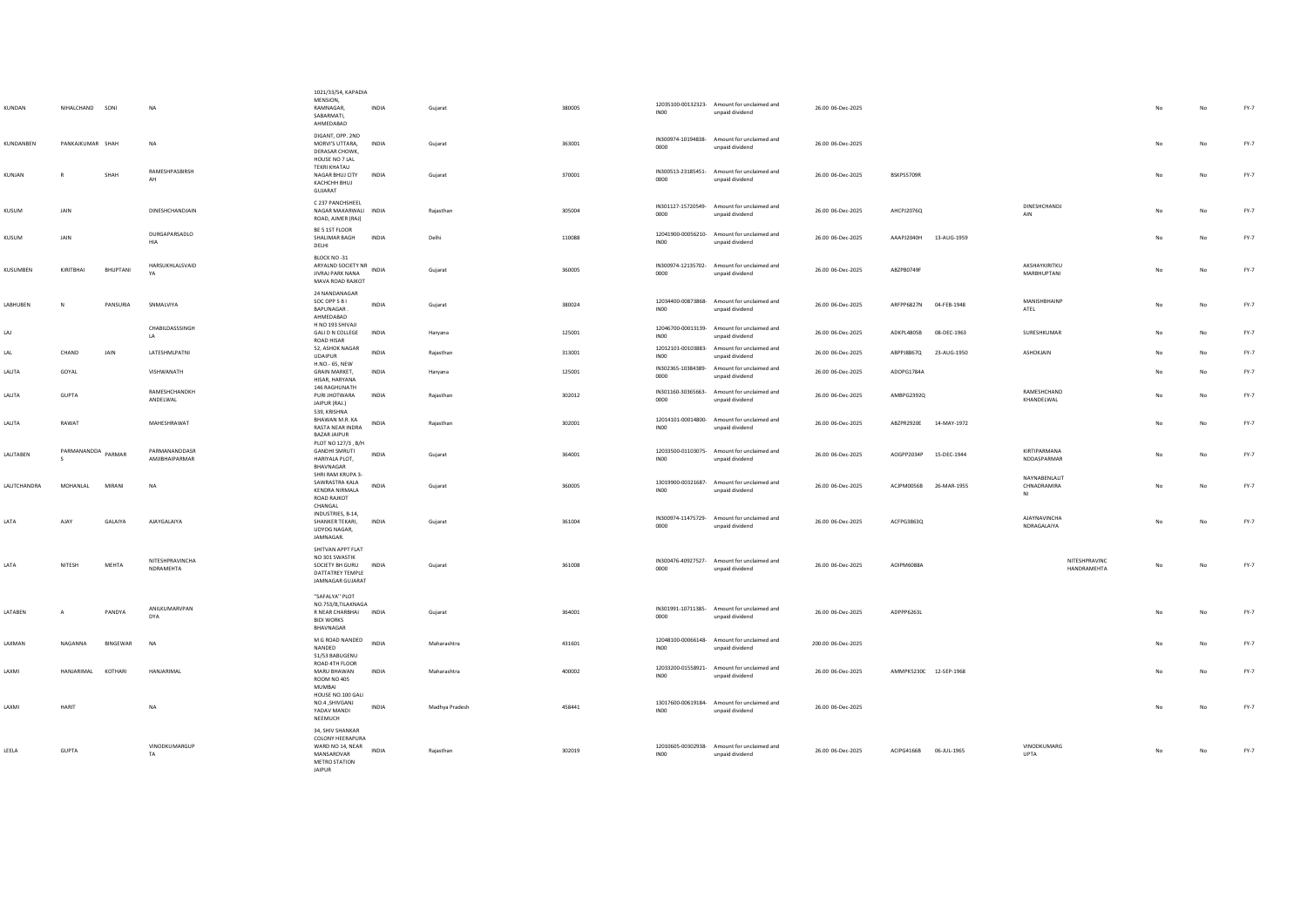| KUNDAN          | NIHALCHAND SONI  |              | <b>NA</b>                              | 1021/33/54, KAPADIA<br>MENSION.<br>RAMNAGAR,<br>SABARMATI.<br>AHMEDABAD                                  | INDIA        | Gujarat        | 380005 | IN00             | 12035100-00132323- Amount for unclaimed and<br>unpaid dividend | 26.00 06-Dec-2025  |                        |             |                                    |                              |           | No | FY-7   |
|-----------------|------------------|--------------|----------------------------------------|----------------------------------------------------------------------------------------------------------|--------------|----------------|--------|------------------|----------------------------------------------------------------|--------------------|------------------------|-------------|------------------------------------|------------------------------|-----------|----|--------|
| KUNDANBEN       | PANKAJKUMAR SHAH |              | <b>NA</b>                              | DIGANT, OPP. 2ND<br>MORVI'S UTTARA,<br>DERASAR CHOWK,<br>HOUSE NO 7 LAL                                  | <b>INDIA</b> | Gujarat        | 363001 | റററ              | IN300974-10194838- Amount for unclaimed and<br>unnaid dividend | 26.00 06-Dec-2025  |                        |             |                                    |                              |           | No | $FY-7$ |
| KUNJAN          | R                | SHAH         | RAMESHPASBIRSH<br>AH                   | <b>TEKRI KHATAU</b><br>NAGAR BHUJ CITY<br>KACHCHH BHUJ<br>GUJARAT                                        | <b>INDIA</b> | Gujarat        | 370001 | 0000             | IN300513-23185451- Amount for unclaimed and<br>unpaid dividend | 26.00 06-Dec-2025  | BSKPS5709R             |             |                                    |                              | No        | No | $FY-7$ |
| KUSUM           | JAIN             |              | DINESHCHANDJAIN                        | C 237 PANCHSHEEL<br>NAGAR MAKARWALI INDIA<br>ROAD, AIMER (RAJ)                                           |              | Raiasthan      | 305004 | 0000             | IN301127-15720549- Amount for unclaimed and<br>unpaid dividend | 26.00 06-Dec-2025  | AHCPJ2076Q             |             | DINESHCHANDI<br>AIN                |                              | No        | No | FY-7   |
| KUSUM           | JAIN             |              | DURGAPARSADLO<br>HIA                   | BE 5 1ST FLOOR<br>SHALIMAR BAGH<br>DELHI                                                                 | INDIA        | Delhi          | 110088 | INO <sub>0</sub> | 12041900-00056210- Amount for unclaimed and<br>unpaid dividend | 26.00 06-Dec-2025  | AAAPJ2040H 13-AUG-1959 |             |                                    |                              |           | No | FY-7   |
| KUSUMBEN        | KIRITBHAI        | BHUPTANI     | HARSUKHLALSVAID<br>YA                  | BLOCK NO-31<br>ARYALND SOCIETY NR<br>INDIA<br>JIVRAJ PARK NANA<br>MAVA ROAD RAJKOT                       |              | Gujarat        | 360005 | 0000             | IN300974-12135702- Amount for unclaimed and<br>unpaid dividend | 26.00 06-Dec-2025  | ABZPB0749F             |             | AKSHAYKIRITKU<br>MARRHUPTANI       |                              | No        | No | FY-7   |
| <b>LARHUREN</b> | $\mathbb{N}$     | PANSURIA     | <b>SNMAI VIYA</b>                      | 24 NANDANAGAR<br>SOC OPP S B I<br>BAPUNAGAR.<br>AHMEDABAD                                                | <b>INDIA</b> | Guiarat        | 380024 | INO <sub>0</sub> | 12034400-00873868- Amount for unclaimed and<br>unpaid dividend | 26.00 06-Dec-2025  | AREPP6827N 04-FEB-1948 |             | MANISHRHAINP<br>ATEL               |                              | <b>No</b> | No | FY-7   |
| LAJ             |                  |              | CHABILDASSSINGH<br>LA.                 | H NO 193 SHIVAJI<br><b>GALI D N COLLEGE</b><br>ROAD HISAR                                                | <b>INDIA</b> | Haryana        | 125001 | INO <sub>0</sub> | 12046700-00013139- Amount for unclaimed and<br>unpaid dividend | 26.00 06-Dec-2025  | ADKPL4805B             | 08-DEC-1963 | SURESHKUMAR                        |                              | No        | No | FY-7   |
| LAL             | CHAND            | JAIN         | LATESHMLPATNI                          | 52, ASHOK NAGAR<br><b>UDAIPUR</b>                                                                        | INDIA        | Rajasthan      | 313001 | IN <sub>00</sub> | 12012101-00103883- Amount for unclaimed and<br>unpaid dividend | 26.00 06-Dec-2025  | ABPPJ8867Q             | 23-AUG-1950 | ASHOKJAIN                          |                              |           | No | FY-7   |
| LALITA          | GOYAL            |              | VISHWANATH                             | H.NO.- 65, NEW<br>GRAIN MARKET,<br>HISAR, HARYANA                                                        | INDIA        | Haryana        | 125001 | 0000             | IN302365-10384389- Amount for unclaimed and<br>unpaid dividend | 26.00 06-Dec-2025  | ADOPG1784A             |             |                                    |                              | No        | No | FY-7   |
| LALITA          | GUPTA            |              | <b>RAMESHCHANDKH</b><br>ANDELWAL       | 146 RAGHUNATH<br>PURI JHOTWARA<br>JAIPUR (RAJ.)<br>539, KRISHNA                                          | INDIA        | Raiasthan      | 302012 | 0000             | IN301160-30365663- Amount for unclaimed and<br>unpaid dividend | 26.00 06-Dec-2025  | AMBPG2392Q             |             | RAMESHCHAND<br>KHANDELWAL          |                              | No        | No | FY-7   |
| LALITA          | RAWAT            |              | MAHESHRAWAT                            | BHAWAN M.R. KA<br>RASTA NEAR INDRA<br><b>BAZAR JAIPUR</b>                                                | INDIA        | Raiasthan      | 302001 | INO <sub>0</sub> | 12014101-00014800- Amount for unclaimed and<br>unpaid dividend | 26.00 06-Dec-2025  | ABZPR2920E 14-MAY-1972 |             |                                    |                              | No        | No | FY-7   |
| LALITABEN       | PARMANANDDA      | PARMAR       | PARMANANDDASR<br><b>AMIIRHAIPARMAR</b> | PLOT NO 127/3, B/H<br><b>GANDHI SMRUTI</b><br>HARIYALA PLOT,<br>BHAVNAGAR<br>SHRI RAM KRUPA 3-           | INDIA        | Guiarat        | 364001 | INO <sub>0</sub> | 12033500-01103075- Amount for unclaimed and<br>unpaid dividend | 26.00 06-Dec-2025  | AOGPP2034P             | 15-DEC-1944 | KIRTIPARMANA<br>NDDASPARMAR        |                              | No        | No | FY-7   |
| LALITCHANDRA    | MOHANLAL         | MIRANI       | NA                                     | SAWRASTRA KALA<br><b>KENDRA NIRMALA</b><br>ROAD RAJKOT<br>CHANGAL                                        | INDIA        | Gujarat        | 360005 | <b>INOO</b>      | 13019900-00321687- Amount for unclaimed and<br>unpaid dividend | 26.00 06-Dec-2025  | ACJPM0056B             | 26-MAR-1955 | NAYNABENLALIT<br>CHNADRAMIRA<br>NI |                              | No        | No | FY-7   |
| <b>IATA</b>     | <b>AJAY</b>      | GALAIYA      | <b>AJAYGALAIYA</b>                     | INDUSTRIES, B-14,<br>SHANKER TEKARI,<br>UDYOG NAGAR,<br><b>IAMNAGAR</b>                                  | <b>INDIA</b> | Gujarat        | 361004 | 0000             | IN300974-11475729- Amount for unclaimed and<br>unpaid dividend | 26.00 06-Dec-2025  | ACFPG3863Q             |             | <b>AJAYNAVINCHA</b><br>NDRAGALAIYA |                              | No        | No | FY-7   |
| <b>IATA</b>     | <b>NITESH</b>    | <b>MFHTA</b> | NITESHPRAVINCHA<br>NDRAMEHTA           | SHITVAN APPT FLAT<br>NO 301 SWASTIK<br>SOCIETY RH GURU<br>DATTATREY TEMPLE<br>JAMNAGAR GUJARAT           | <b>INDIA</b> | Guiarat        | 361008 | 0000             | IN300476-40927527- Amount for unclaimed and<br>unpaid dividend | 26.00.06-Dec-2025  | AOIPM6088A             |             |                                    | NITESHPRAVINC<br>HANDRAMEHTA | No        | No | FY-7   |
| LATABEN         | $\overline{A}$   | PANDYA       | ANILKUMARVPAN<br>DYA                   | "SAFAI YA" PLOT<br>NO.753/B,TILAKNAGA<br>R NEAR CHARBHAI INDIA<br><b>BIDI WORKS</b><br>BHAVNAGAR         |              | Guiarat        | 364001 | 0000             | IN301991-10711385- Amount for unclaimed and<br>unpaid dividend | 26.00 06-Dec-2025  | ADPPP6263L             |             |                                    |                              | No        | No | FY-7   |
| LAXMAN          | NAGANNA          | BINGEWAR     | <b>NA</b>                              | M G ROAD NANDED<br>NANDED<br>51/53 BARUGENU                                                              | INDIA        | Maharashtra    | 431601 | INO <sub>0</sub> | 12048100-00066148- Amount for unclaimed and<br>unpaid dividend | 200.00 06-Dec-2025 |                        |             |                                    |                              |           | No | $FY-7$ |
| LAXMI           | HANJARIMAL       | KOTHARI      | HANJARIMAL                             | ROAD 4TH FLOOR<br>MARU BHAWAN<br><b>ROOM NO 405</b><br>MUMBAI<br>HOUSE NO.100 GALI                       | INDIA        | Maharashtra    | 400002 | INO <sub>0</sub> | 12033200-01558921- Amount for unclaimed and<br>unpaid dividend | 26.00 06-Dec-2025  | AMMPK5230C 12-SEP-1968 |             |                                    |                              |           | No | $FY-7$ |
| LAXMI           | <b>HARIT</b>     |              | <b>NA</b>                              | NO.4, SHIVGANJ<br>YADAV MANDI<br>NEEMUCH                                                                 | <b>INDIA</b> | Madhya Pradesh | 458441 | INO <sub>0</sub> | 13017600-00619184- Amount for unclaimed and<br>unpaid dividend | 26.00 06-Dec-2025  |                        |             |                                    |                              | No        | No | FY-7   |
| LEELA           | <b>GUPTA</b>     |              | VINODKUMARGUP<br>TA.                   | 34, SHIV SHANKAR<br><b>COLONY HEERAPURA</b><br>WARD NO 14, NEAR<br>MANSAROVAR<br>METRO STATION<br>JAIPUR | <b>INDIA</b> | Rajasthan      | 302019 | <b>INOO</b>      | 12010605-00302938- Amount for unclaimed and<br>unpaid dividend | 26.00 06-Dec-2025  | ACIPG4166B 06-JUL-1965 |             | VINODKUMARG<br><b>LIPTA</b>        |                              |           | No | $FY-7$ |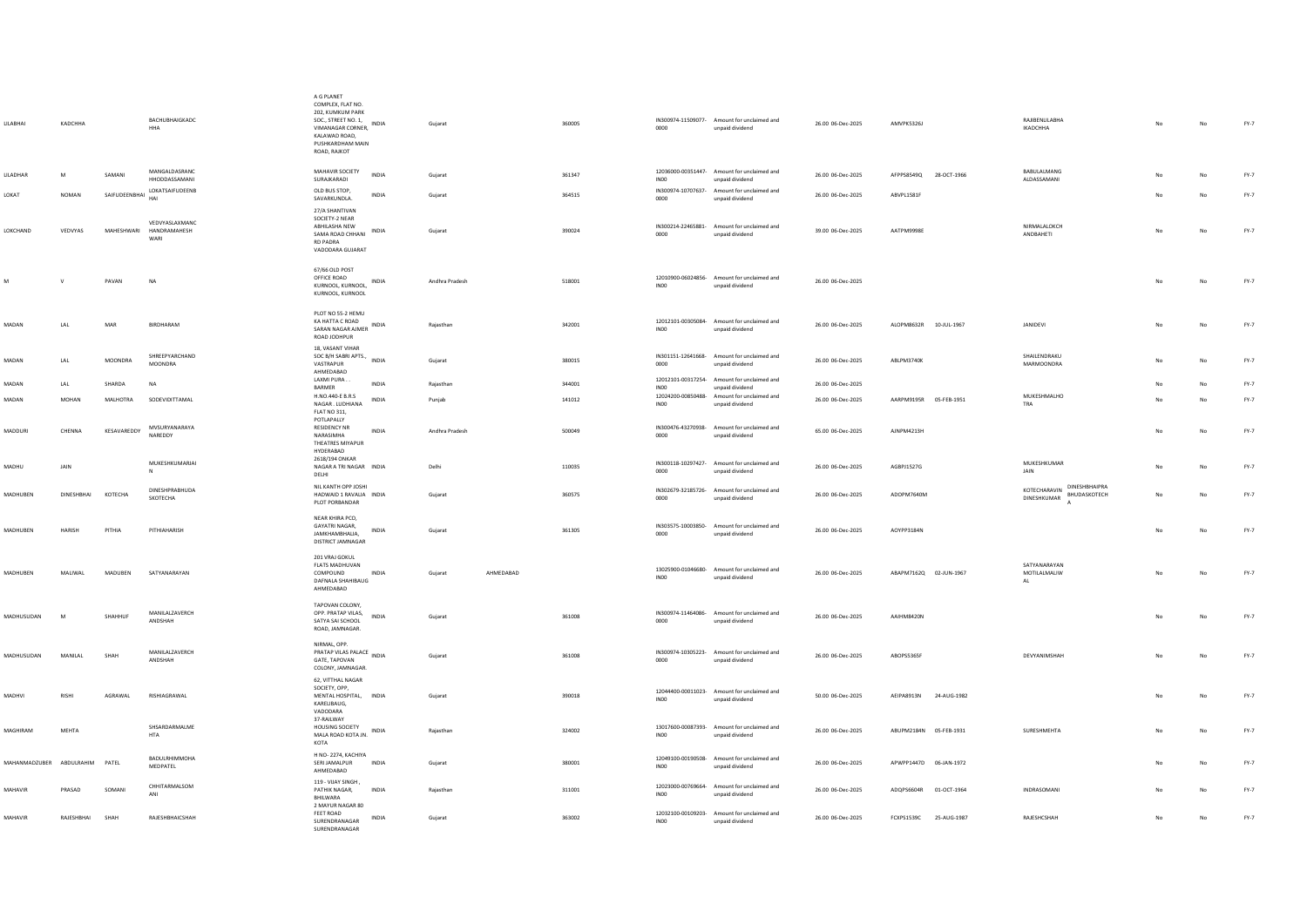| LILABHAI                 | KADCHHA                     |                | BACHUBHAIGKADC<br>HHA                             | A G PLANET<br>COMPLEX, FLAT NO.<br>202, KUMKUM PARK<br>SOC., STREET NO. 1,<br>VIMANAGAR CORNER,<br>KALAWAD ROAD.<br>PUSHKARDHAM MAIN<br>ROAD, RAJKOT | INDIA        | Gujarat        |           | 360005 | 0000             | IN300974-11509077- Amount for unclaimed and<br>unpaid dividend | 26.00 06-Dec-2025 | AMVPK5326J                | RAJIBENLILABHA<br>IKADCHHA                                   | No  | No          | FY-7   |
|--------------------------|-----------------------------|----------------|---------------------------------------------------|------------------------------------------------------------------------------------------------------------------------------------------------------|--------------|----------------|-----------|--------|------------------|----------------------------------------------------------------|-------------------|---------------------------|--------------------------------------------------------------|-----|-------------|--------|
| LILADHAR                 | M                           | SAMANI         | MANGALDASRANC<br>HHODDASSAMANI                    | MAHAVIR SOCIETY<br>SURAJKARADI                                                                                                                       | <b>INDIA</b> | Gujarat        |           | 361347 | IN00             | 12036000-00351447- Amount for unclaimed and<br>unpaid dividend | 26.00 06-Dec-2025 | AFPPS8549Q 28-OCT-1966    | BABULALMANG<br>ALDASSAMANI                                   |     | No          | $FY-7$ |
| LOKAT                    | <b>NOMAN</b>                | SAIFUDEENBHAI  | LOKATSAIFUDEENB<br>HAI                            | OLD BUS STOP,<br>SAVARKUNDLA.                                                                                                                        | <b>INDIA</b> | Guiarat        |           | 364515 | 0000             | IN300974-10707637- Amount for unclaimed and<br>unpaid dividend | 26.00 06-Dec-2025 | ABVPL1581F                |                                                              |     | No          | FY-7   |
| LOKCHAND                 | VEDVYAS                     |                | VEDVYASLAXMANC<br>MAHESHWARI HANDRAMAHESH<br>WARI | 27/A SHANTIVAN<br>SOCIETY-2 NEAR<br>ABHILASHA NEW<br>SAMA ROAD CHHANI<br><b>RD PADRA</b><br>VADODARA GUJARAT                                         | INDIA        | Gujarat        |           | 390024 | 0000             | IN300214-22465881- Amount for unclaimed and<br>unpaid dividend | 39.00 06-Dec-2025 | AATPM9998E                | NIRMALALOKCH<br>ANDBAHETI                                    | No  | No          | FY-7   |
| M                        | $\mathbf{v}$                | PAVAN          | <b>NA</b>                                         | 67/66 OLD POST<br>OFFICE ROAD<br>KURNOOL, KURNOOL,<br>KURNOOL, KURNOOL                                                                               | INDIA        | Andhra Pradesh |           | 518001 | INO0             | 12010900-06024856- Amount for unclaimed and<br>unpaid dividend | 26.00 06-Dec-2025 |                           |                                                              | No  | No          | $FY-7$ |
| MADAN                    | LAL                         | MAR            | BIRDHARAM                                         | PLOT NO 55-2 HEMU<br>KA HATTA C ROAD<br>SARAN NAGAR AJMER INDIA<br>ROAD JODHPUR                                                                      |              | Rajasthan      |           | 342001 | INO <sub>0</sub> | 12012101-00305084- Amount for unclaimed and<br>unpaid dividend | 26.00 06-Dec-2025 | ALOPM8632R 10-JUL-1967    | JANIDEVI                                                     | No  | No          | $FY-7$ |
| MADAN                    | LAL                         | <b>MOONDRA</b> | SHREEPYARCHAND<br>MOONDRA                         | <b>18. VASANT VIHAR</b><br>SOC B/H SABRI APTS.,<br>VASTRAPUR<br>AHMEDABAD                                                                            | INDIA        | Guiarat        |           | 380015 | 0000             | IN301151-12641668- Amount for unclaimed and<br>unpaid dividend | 26.00 06-Dec-2025 | ABLPM3740K                | SHAILENDRAKU<br>MARMOONDRA                                   | No. | No          | $FY-7$ |
| MADAN                    | $\ensuremath{\mathsf{LAL}}$ | SHARDA         | NA                                                | LAXMI PURA.<br><b>BARMER</b>                                                                                                                         | INDIA        | Rajasthan      |           | 344001 | INO <sub>0</sub> | 12012101-00317254- Amount for unclaimed and<br>unpaid dividend | 26.00 06-Dec-2025 |                           |                                                              |     | No          | $FY-7$ |
| MADAN                    | <b>MOHAN</b>                | MALHOTRA       | SODEVIDITTAMAL                                    | H.NO.440-E B.R.S<br>NAGAR . LUDHIANA                                                                                                                 | <b>INDIA</b> | Puniab         |           | 141012 | INO <sub>0</sub> | 12024200-00850488- Amount for unclaimed and<br>unpaid dividend | 26.00 06-Dec-2025 | AARPM9195R 05-FEB-1951    | MUKESHMALHO<br>TRA                                           |     | No          | FY-7   |
| MADDURI                  | CHENNA                      | KESAVAREDDY    | <b>MVSURYANARAYA</b><br>NAREDDY                   | <b>FLAT NO 311,</b><br>POTLAPALLY<br><b>RESIDENCY NR</b><br>NARASIMHA<br>THEATRES MIYAPUR<br>HYDERABAD                                               | INDIA        | Andhra Pradesh |           | 500049 | 0000             | IN300476-43270938- Amount for unclaimed and<br>unpaid dividend | 65.00 06-Dec-2025 | AJNPM4213H                |                                                              | No  | No          | FY-7   |
| MADHU                    | JAIN                        |                | MUKESHKUMARJAI<br>N                               | 2618/194 ONKAR<br>NAGAR A TRI NAGAR INDIA<br>DELHI                                                                                                   |              | Delhi          |           | 110035 | 0000             | IN300118-10297427- Amount for unclaimed and<br>unpaid dividend | 26.00 06-Dec-2025 | AGBPJ1527G                | MUKESHKUMAR<br>JAIN                                          | No  | No          | $FY-7$ |
| MADHUBEN                 | <b>DINESHBHAI</b>           | KOTECHA        | DINESHPRABHUDA<br>SKOTECHA                        | NIL KANTH OPP JOSHI<br>HADWAID 1 RAVALIA INDIA<br>PLOT PORBANDAR                                                                                     |              | Gujarat        |           | 360575 | 0000             | IN302679-32185726- Amount for unclaimed and<br>unpaid dividend | 26.00 06-Dec-2025 | ADOPM7640M                | DINESHBHAIPRA<br>KOTECHARAVIN<br>BHUDASKOTECH<br>DINESHKUMAR | No  | No          | $FY-7$ |
| MADHUBEN                 | <b>HARISH</b>               | PITHIA         | PITHIAHARISH                                      | NEAR KHIRA PCO.<br>GAYATRI NAGAR.<br>JAMKHAMBHALIA.<br>DISTRICT JAMNAGAR                                                                             | INDIA        | Gujarat        |           | 361305 | 0000             | IN303575-10003850- Amount for unclaimed and<br>unpaid dividend | 26.00 06-Dec-2025 | AOYPP3184N                |                                                              |     | No          | $FY-7$ |
| MADHUBEN                 | MALIWAL                     | MADUBEN        | SATYANARAYAN                                      | 201 VRAJ GOKUL<br><b>FLATS MADHUVAN</b><br>COMPOUND<br>DAFNALA SHAHIBAUG<br>AHMEDABAD                                                                | <b>INDIA</b> | Gujarat        | AHMEDABAD |        | IN00             | 13025900-01046680- Amount for unclaimed and<br>unpaid dividend | 26.00 06-Dec-2025 | ABAPM7162Q 02-JUN-1967    | SATYANARAYAN<br>MOTILALMALIW<br>$\mathsf{AL}$                | No  | No          | $FY-7$ |
| MADHUSUDAN               | M                           | SHAHHUF        | MANILALZAVERCH<br><b>ANDSHAH</b>                  | TAPOVAN COLONY.<br>OPP. PRATAP VILAS,<br>SATYA SAI SCHOOL<br>ROAD, JAMNAGAR.                                                                         | INDIA        | Gujarat        |           | 361008 | 0000             | IN300974-11464086- Amount for unclaimed and<br>unpaid dividend | 26.00 06-Dec-2025 | AAIHM8420N                |                                                              | No  | No          | $FY-7$ |
| MADHUSUDAN               | MANILAL                     | SHAH           | MANILALZAVERCH<br>ANDSHAH                         | NIRMAL, OPP.<br><b>PRATAP VILAS PALACE</b> INDIA<br>GATE, TAPOVAN<br>COLONY, JAMNAGAR.                                                               |              | Gujarat        |           | 361008 | 0000             | IN300974-10305223- Amount for unclaimed and<br>unpaid dividend | 26.00 06-Dec-2025 | ABOPS5365F                | DEVYANIMSHAH                                                 | No  | No          | $FY-7$ |
| MADHVI                   | RISHI                       | AGRAWAL        | RISHIAGRAWAL                                      | 62, VITTHAL NAGAR<br>SOCIETY, OPP,<br>MENTAL HOSPITAL, INDIA<br>KARELIBAUG,<br>VADODARA                                                              |              | Gujarat        |           | 390018 | IN00             | 12044400-00011023- Amount for unclaimed and<br>unpaid dividend | 50.00 06-Dec-2025 | AEIPA8913N<br>24-AUG-1982 |                                                              | No  | $_{\sf No}$ | $FY-7$ |
| MAGHIRAM                 | <b>MEHTA</b>                |                | SHSARDARMALME<br><b>HTA</b>                       | 37-RAILWAY<br>HOUSING SOCIETY<br>MALA ROAD KOTA JN.<br>KOTA                                                                                          | INDIA        | Rajasthan      |           | 324002 | INO <sub>0</sub> | 13017600-00087393- Amount for unclaimed and<br>unpaid dividend | 26.00 06-Dec-2025 | ABUPM2184N 05-FEB-1931    | <b>SURFSHMEHTA</b>                                           | No. | No          | $FY-7$ |
| MAHANMADZUBER ABDULRAHIM |                             | PATEL          | <b>BADULRHIMMOHA</b><br>MEDPATEL                  | H NO-2274, KACHIYA<br>SERI JAMALPUR<br>AHMEDABAD                                                                                                     | INDIA        | Gujarat        |           | 380001 | IN00             | 12049100-00190508- Amount for unclaimed and<br>unpaid dividend | 26.00 06-Dec-2025 | APWPP1447D 06-JAN-1972    |                                                              |     | No          | $FY-7$ |
| MAHAVIR                  | PRASAD                      | SOMANI         | CHHITARMALSOM<br>ANI                              | 119 - VIJAY SINGH,<br>PATHIK NAGAR,<br>BHILWARA                                                                                                      | <b>INDIA</b> | Raiasthan      |           | 311001 | INO <sub>0</sub> | 12023000-00769664- Amount for unclaimed and<br>unpaid dividend | 26.00 06-Dec-2025 | ADQPS6604R 01-OCT-1964    | INDRASOMANI                                                  |     | No          | FY-7   |
| MAHAVIR                  | RAJESHBHAI                  | SHAH           | RAJESHBHAICSHAH                                   | 2 MAYUR NAGAR 80<br>FEET ROAD<br><b>INDIA</b><br>SURENDRANAGAR<br>SURENDRANAGAR                                                                      |              | Gujarat        |           | 363002 | INO <sub>0</sub> | 12032100-00109203- Amount for unclaimed and<br>unpaid dividend | 26.00 06-Dec-2025 | FCXPS1539C 25-AUG-1987    | RAJESHCSHAH                                                  | No  | No          | $FY-7$ |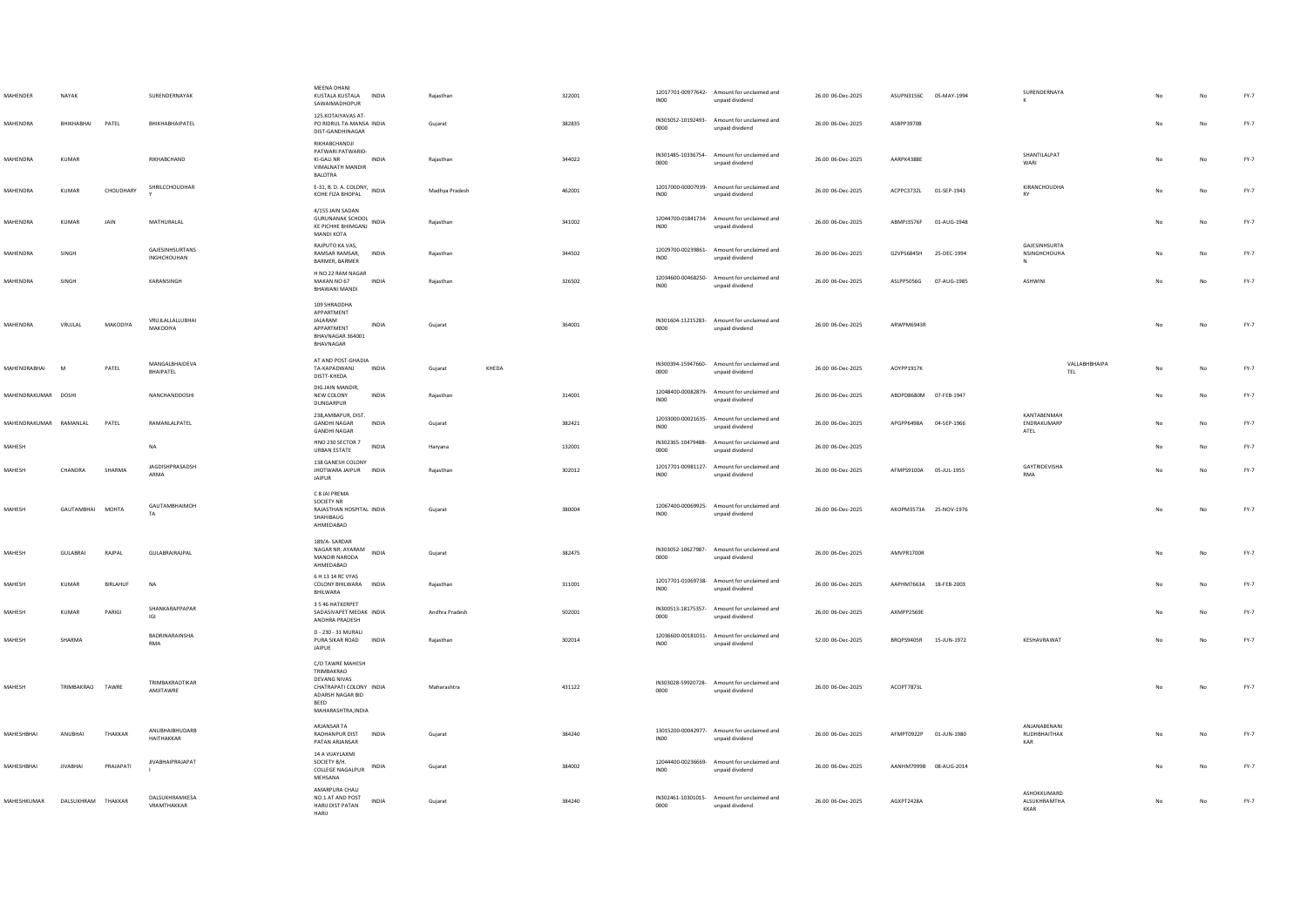| MAHENDER               | NAYAK              |                 | SURENDERNAYAK                         | MEENA DHANI<br>KUSTALA KUSTALA<br>SAWAIMADHOPUR                                                                             | INDIA        | Rajasthar      |       | 322001 | IN <sub>00</sub>                       | 12017701-00977642- Amount for unclaimed and<br>unpaid dividend | 26.00 06-Dec-2025 | ASUPN3156C 05-MAY-1994 |             | SURENDERNAYA                                 |    |    | $FY-7$ |
|------------------------|--------------------|-----------------|---------------------------------------|-----------------------------------------------------------------------------------------------------------------------------|--------------|----------------|-------|--------|----------------------------------------|----------------------------------------------------------------|-------------------|------------------------|-------------|----------------------------------------------|----|----|--------|
| MAHENDRA               | BHIKHABHAI         | PATEL           | BHIKHABHAIPATEL                       | 125.KOTAIYAVAS AT-<br>PO RIDRUL TA-MANSA INDIA<br>DIST-GANDHINAGAR                                                          |              | Gujarat        |       | 382835 | 0000                                   | IN303052-10192493- Amount for unclaimed and<br>unpaid dividend | 26.00 06-Dec-2025 | ASBPP3970B             |             |                                              |    | No | $FY-7$ |
| MAHENDRA               | KUMAR              |                 | RIKHABCHAND                           | RIKHABCHANDJI<br>PATWARI PATWARIO-<br>KI-GALI NR<br>VIMALNATH MANDIR<br><b>BALOTRA</b>                                      | INDIA        | Rajasthan      |       | 344022 | 0000                                   | IN301485-10336754- Amount for unclaimed and<br>unpaid dividend | 26.00 06-Dec-2025 | AARPK4388F             |             | SHANTILALPAT<br>WARI                         | No | No | FY-7   |
| <b>MAHENDRA</b>        | KUMAR              | CHOUDHARY       | SHRILCCHOUDHAR                        | E-31, B. D. A. COLONY, INDIA<br>KOHE FIZA BHOPAL                                                                            |              | Madhya Pradesh |       | 462001 | 12017000-00007939-<br>INO <sub>0</sub> | Amount for unclaimed and<br>unpaid dividend                    | 26.00 06-Dec-2025 | ACPPC3732L 01-SEP-1943 |             | <b>KIRANCHOUDHA</b><br>RY                    | No | No | FY-7   |
| MAHENDRA               | <b>KUMAR</b>       | JAIN            | MATHURALAL                            | 4/155 JAIN SADAN<br>GURUNANAK SCHOOL INDIA<br>KE PICHHE BHIMGANJ<br>MANDI KOTA                                              |              | Rajasthan      |       | 341002 | INO <sub>0</sub>                       | 12044700-01841734- Amount for unclaimed and<br>unpaid dividend | 26.00 06-Dec-2025 | ABMPJ3576F             | 01-AUG-1948 |                                              |    | No | $FY-7$ |
| MAHENDRA               | SINGH              |                 | <b>GAJESINHSURTANS</b><br>INGHCHOUHAN | RAJPUTO KA VAS,<br>RAMSAR RAMSAR,<br>BARMER, BARMER                                                                         | <b>INDIA</b> | Raiasthan      |       | 344502 | INO <sub>0</sub>                       | 12029700-00239861- Amount for unclaimed and<br>unpaid dividend | 26.00 06-Dec-2025 | GZVPS6845H             | 25-DEC-1994 | GAJESINHSURTA<br>NSINGHCHOUHA<br>$\mathbf N$ | No | No | FY-7   |
| MAHENDRA               | SINGH              |                 | KARANSINGH                            | H NO 22 RAM NAGAR<br>MAKAN NO 67<br><b>BHAWANI MANDI</b>                                                                    | <b>INDIA</b> | Rajasthan      |       | 326502 | IN <sub>00</sub>                       | 12034600-00468250- Amount for unclaimed and<br>unpaid dividend | 26.00 06-Dec-2025 | ASLPP5056G             | 07-AUG-1985 | <b>ASHWINI</b>                               |    | No | FY-7   |
| MAHENDRA               | VRUJLAL            | MAKODIYA        | VRUJLALLALLUBHAI<br>MAKODIYA          | 109 SHRADDHA<br>APPARTMENT<br><b>JALARAM</b><br>APPARTMENT<br>BHAVNAGAR 364001<br>BHAVNAGAR                                 | INDIA        | Gujarat        |       | 364001 | 0000                                   | IN301604-11215283- Amount for unclaimed and<br>unpaid dividend | 26.00 06-Dec-2025 | ARWPM6943R             |             |                                              | No | No | FY-7   |
| MAHENDRABHAI           | M                  | PATEL           | MANGALBHAIDEVA<br>BHAIPATEL           | AT AND POST-GHADIA<br>TA-KAPADWANJ<br>DISTT-KHEDA                                                                           | <b>INDIA</b> | Gujarat        | KHEDA |        | 0000                                   | IN300394-15947660- Amount for unclaimed and<br>unpaid dividend | 26.00 06-Dec-2025 | AOYPP1917K             |             | VALLABHBHAIPA<br>TEL                         | No | No | FY-7   |
| MAHENDRAKUMAR DOSHI    |                    |                 | NANCHANDDOSHI                         | DIG.JAIN MANDIR,<br>NEW COLONY<br>DUNGARPUR                                                                                 | INDIA        | Rajasthan      |       | 314001 | INO <sub>0</sub>                       | 12048400-00082879- Amount for unclaimed and<br>unpaid dividend | 26.00 06-Dec-2025 | ABDPD8680M 07-FEB-1947 |             |                                              | No | No | FY-7   |
| MAHENDRAKUMAR RAMANLAL |                    | PATEL           | RAMANLALPATEL                         | 238.AMBAPUR, DIST.<br><b>GANDHI NAGAR</b><br><b>GANDHI NAGAR</b>                                                            | <b>INDIA</b> | Guiarat        |       | 382421 | INO <sub>0</sub>                       | 12033000-00021635- Amount for unclaimed and<br>unpaid dividend | 26.00 06-Dec-2025 | APGPP6498A 04-SEP-1966 |             | KANTABENMAH<br>ENDRAKUMARP<br>${\sf ATEL}$   | No | No | FY-7   |
| MAHESH                 |                    |                 | <b>NA</b>                             | HNO 230 SECTOR 7<br><b>URBAN ESTATE</b>                                                                                     | INDIA        | Haryana        |       | 132001 | 0000                                   | IN302365-10479488- Amount for unclaimed and<br>unpaid dividend | 26.00 06-Dec-2025 |                        |             |                                              |    | No | $FY-7$ |
| MAHESH                 | CHANDRA            | SHARMA          | JAGDISHPRASADSH<br>ARMA               | 138 GANESH COLONY<br>JHOTWARA JAIPUR INDIA<br><b>JAIPUR</b>                                                                 |              | Rajasthan      |       | 302012 | IN <sub>00</sub>                       | 12017701-00981127- Amount for unclaimed and<br>unpaid dividend | 26.00 06-Dec-2025 | AFMPS9100A 05-JUL-1955 |             | GAYTRIDEVISHA<br><b>RMA</b>                  | No | No | FY-7   |
| MAHESH                 | GAUTAMBHAI MOHTA   |                 | GAUTAMBHAIMOH<br>TA                   | C 8 JAI PREMA<br>SOCIETY NR<br>RAJASTHAN HOSPITAL INDIA<br>SHAHIBAUG<br>AHMEDABAD                                           |              | Gujarat        |       | 380004 | IN <sub>00</sub>                       | 12067400-00069925- Amount for unclaimed and<br>unpaid dividend | 26.00 06-Dec-2025 | AKOPM3573A 25-NOV-1976 |             |                                              | No | No | $FY-7$ |
| MAHESH                 | <b>GULARRAL</b>    | RAIPAL          | <b>GUI ARRAIRAIPAL</b>                | 189/A-SARDAR<br>NAGAR NR. AYARAM<br><b>MANOIR NARODA</b><br>AHMEDABAD                                                       | <b>INDIA</b> | Gujarat        |       | 382475 | 0000                                   | IN303052-10627987- Amount for unclaimed and<br>unpaid dividend | 26.00 06-Dec-2025 | AMVPR1700R             |             |                                              |    | No | FY-7   |
| MAHESH                 | KUMAR              | <b>BIRLAHUF</b> | <b>NA</b>                             | 6 H 13 14 RC VYAS<br>COLONY BHILWARA INDIA<br><b>RHII WARA</b>                                                              |              | Raiasthan      |       | 311001 | <b>IN00</b>                            | 12017701-01069738- Amount for unclaimed and<br>unpaid dividend | 26.00 06-Dec-2025 | AAPHM7663A 18-FEB-2003 |             |                                              |    | No | $FY-7$ |
| MAHFSH                 | KUMAR              | PARIGI          | SHANKARAPPAPAR<br>IGI                 | 3.5 46 HATKERPET<br>SADASIVAPET MEDAK INDIA<br>ANDHRA PRADESH                                                               |              | Andhra Pradesh |       | 502001 | 0000                                   | IN300513-18175357- Amount for unclaimed and<br>unpaid dividend | 26.00.06-Dec-2025 | AXMPP2569F             |             |                                              |    | No | FY-7   |
| MAHESH                 | SHARMA             |                 | BADRINARAINSHA<br><b>RMA</b>          | D - 230 - 31 MURALI<br>PURA SIKAR ROAD<br>JAIPUE                                                                            | INDIA        | Rajasthan      |       | 302014 | INO <sub>0</sub>                       | 12036600-00181031- Amount for unclaimed and<br>unpaid dividend | 52.00 06-Dec-2025 | BRQPS9405R             | 15-JUN-1972 | KESHAVRAWAT                                  |    | No | FY-7   |
| MAHESH                 | TRIMBAKRAO TAWRE   |                 | TRIMRAKRAOTIKAR<br>AMJITAWRE          | C/O TAWRE MAHESH<br>TRIMBAKRAO<br>DEVANG NIVAS<br>CHATRAPATI COLONY INDIA<br>ADARSH NAGAR BID<br>BEED<br>MAHARASHTRA, INDIA |              | Maharashtra    |       | 431122 | 0000                                   | IN303028-59920728- Amount for unclaimed and<br>unpaid dividend | 26.00 06-Dec-2025 | ACOPT7873L             |             |                                              | No | No | FY-7   |
| MAHESHBHAI             | ANUBHAI            | THAKKAR         | ANUBHAIBHUDARB<br>HAITHAKKAR          | ARJANSAR TA<br>RADHANPUR DIST<br>PATAN ARJANSAR                                                                             | <b>INDIA</b> | Gujarat        |       | 384240 | IN00                                   | 13015200-00042977- Amount for unclaimed and<br>unpaid dividend | 26.00 06-Dec-2025 | AFMPT0922P 01-JUN-1980 |             | ANJANABENANI<br>RUDHBHAITHAK<br>KAR          |    | No | $FY-7$ |
| MAHESHRHAI             | <b>IIVARHAI</b>    | PRAIAPATI       | <b>JIVABHAIPRAJAPAT</b>               | 14 A VIJAYLAXMI<br>SOCIETY B/H.<br>COLLEGE NAGALPUR<br>MEHSANA                                                              | INDIA        | Gujarat        |       | 384002 | IN <sub>00</sub>                       | 12044400-00236669- Amount for unclaimed and<br>unpaid dividend | 26.00 06-Dec-2025 | AANHM7999B 08-AUG-2014 |             |                                              |    | No | $FY-7$ |
| MAHESHKUMAR            | DALSUKHRAM THAKKAR |                 | DALSUKHRAMKESA<br>VRAMTHAKKAR         | AMARPURA CHALI<br>NO.1 AT AND POST<br>HARIJ DIST PATAN<br>HARII                                                             | INDIA        | Gujarat        |       | 384240 | 0000                                   | IN302461-10301015- Amount for unclaimed and<br>unpaid dividend | 26.00 06-Dec-2025 | AGXPT2428A             |             | ASHOKKUMARD<br>ALSUKHRAMTHA<br><b>KKAR</b>   |    | No | FY-7   |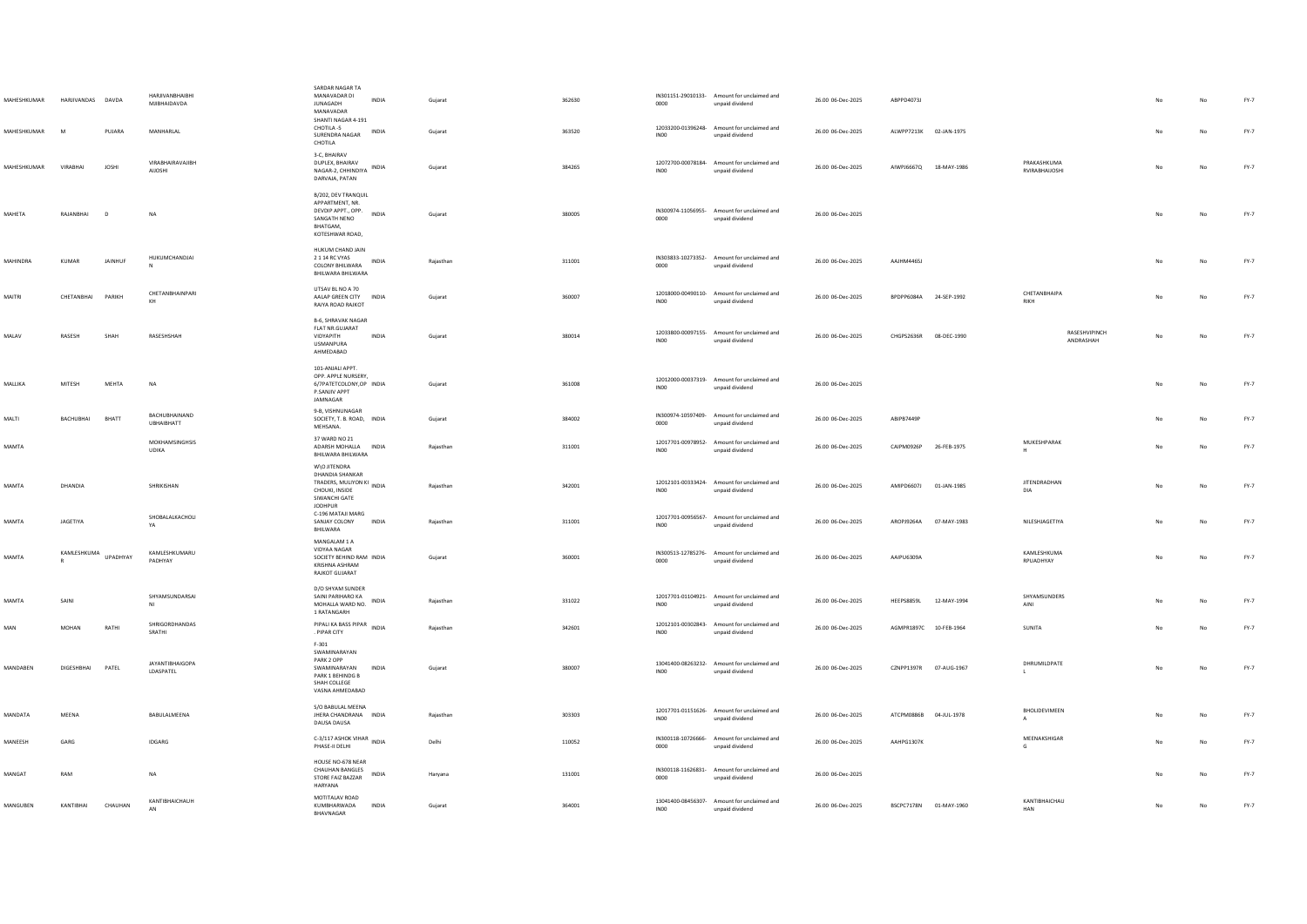| MAHESHKUMAR<br>MAHESHKUMAR | HARJIVANDAS DAVDA<br>M | PUJARA        | HARIIVANRHAIRHI<br>MIIRHAIDAVDA<br>MANHARLAL | SARDAR NAGAR TA<br>MANAVADAR DI<br><b>JUNAGADH</b><br>MANAVADAR<br>SHANTI NAGAR 4-191<br>CHOTILA-5                                     | <b>INDIA</b><br>INDIA | Guiarat<br>Gujarat | 362630<br>363520 | 0000                                   | IN301151-29010133- Amount for unclaimed and<br>unpaid dividend<br>12033200-01396248- Amount for unclaimed and | 26.00 06-Dec-2025<br>26.00 06-Dec-2025 | ABPPD4073J<br>ALWPP7213K 02-JAN-1975 |             |                                  |    | No<br>No | FY-7<br>$FY-7$ |
|----------------------------|------------------------|---------------|----------------------------------------------|----------------------------------------------------------------------------------------------------------------------------------------|-----------------------|--------------------|------------------|----------------------------------------|---------------------------------------------------------------------------------------------------------------|----------------------------------------|--------------------------------------|-------------|----------------------------------|----|----------|----------------|
| MAHESHKUMAR                | VIRARHAI               | <b>JOSHI</b>  | VIRABHAIRAVAJIBH<br><b>AUOSHI</b>            | SURENDRA NAGAR<br>CHOTILA<br>3-C, BHAIRAV<br>DUPLEX, BHAIRAV<br>NAGAR-2, CHHINDIYA                                                     | <b>INDIA</b>          | Gujarat            | 384265           | IN00<br>IN00                           | unpaid dividend<br>12072700-00078184- Amount for unclaimed and<br>unpaid dividend                             | 26.00 06-Dec-2025                      | AIWPJ6667Q 18-MAY-1986               |             | PRAKASHKUMA<br>RVIRABHAIJOSHI    | No | No       | $FY-7$         |
| MAHETA                     | RAJANBHAI              | D             | NA                                           | DARVAJA, PATAN<br>B/202, DEV TRANQUIL<br>APPARTMENT, NR.<br>DEVDIP APPT., OPP.<br>SANGATH NENO<br>BHATGAM.                             | INDIA                 | Gujarat            | 380005           | 0000                                   | IN300974-11056955- Amount for unclaimed and<br>unpaid dividend                                                | 26.00 06-Dec-2025                      |                                      |             |                                  | No | No       | $FY-7$         |
| MAHINDRA                   | <b>KUMAR</b>           | JAINHUF       | HUKUMCHANDJAI                                | KOTESHWAR ROAD,<br>HUKUM CHAND JAIN<br>2 1 14 RC VYAS<br>COLONY BHILWARA<br>BHILWARA BHILWARA                                          | <b>INDIA</b>          | Rajasthan          | 311001           | 0000                                   | IN303833-10273352- Amount for unclaimed and<br>unpaid dividend                                                | 26.00 06-Dec-2025                      | AAJHM4465J                           |             |                                  |    | No       | $FY-7$         |
| MAITRI                     | CHETANBHAI             | <b>PARIKH</b> | CHETANBHAINPARI                              | UTSAV BL NO A 70<br>AALAP GREEN CITY INDIA<br>RAIYA ROAD RAJKOT                                                                        |                       | Gujarat            | 360007           | INO <sub>0</sub>                       | 12018000-00490110- Amount for unclaimed and<br>unpaid dividend                                                | 26.00 06-Dec-2025                      | BPDPP6084A 24-SEP-1992               |             | CHETANBHAIPA<br>RIKH             |    | No       | $FY-7$         |
| MALAV                      | RASESH                 | SHAH          | RASESHSHAH                                   | <b>B-6, SHRAVAK NAGAR</b><br>FLAT NR.GUJARAT<br>VIDYAPITH<br><b>USMANPURA</b><br>AHMEDABAD                                             | INDIA                 | Gujarat            | 380014           | INO <sub>0</sub>                       | 12033800-00097155- Amount for unclaimed and<br>unpaid dividend                                                | 26.00 06-Dec-2025                      | CHGPS2636R 08-DEC-1990               |             | RASESHVIPINCH<br>ANDRASHAH       |    | No       | $FY-7$         |
| MALLIKA                    | MITESH                 | MEHTA         | <b>NA</b>                                    | 101-ANJALI APPT.<br>OPP. APPLE NURSERY,<br>6/7PATETCOLONY, OP INDIA<br>P.SANJIV APPT<br>JAMNAGAR                                       |                       | Gujarat            | 361008           | IN00                                   | 12012000-00037319- Amount for unclaimed and<br>unpaid dividend                                                | 26.00 06-Dec-2025                      |                                      |             |                                  | No | No       | FY-7           |
| MALTI                      | BACHUBHAI              | <b>BHATT</b>  | BACHUBHAINAND<br><b>UBHAIBHATT</b>           | <b>9-R VISHNUNAGAR</b><br>SOCIETY, T. B. ROAD, INDIA<br>MEHSANA.                                                                       |                       | Gujarat            | 384002           | 0000                                   | IN300974-10597409- Amount for unclaimed and<br>unpaid dividend                                                | 26.00 06-Dec-2025                      | ARIPR7449P                           |             |                                  |    | No       | $FY-7$         |
| MAMTA                      |                        |               | MOKHAMSINGHSIS<br><b>UDIKA</b>               | 37 WARD NO 21<br>ADARSH MOHALLA INDIA<br>BHILWARA BHILWARA                                                                             |                       | Rajasthan          | 311001           | INO <sub>0</sub>                       | 12017701-00978952- Amount for unclaimed and<br>unpaid dividend                                                | 26.00 06-Dec-2025                      | CAIPM0926P                           | 26-FEB-1975 | MUKESHPARAK<br>H                 |    | No       | $FY-7$         |
| MAMTA                      | DHANDIA                |               | SHRIKISHAN                                   | W\O JITENDRA<br><b>DHANDIA SHANKAR</b><br>TRADERS, MULIYON KI INDIA<br>CHOUKI, INSIDE<br>SIWANCHI GATE<br>JODHPUR<br>C-196 MATAJI MARG |                       | Rajasthan          | 342001           | IN00                                   | 12012101-00333424- Amount for unclaimed and<br>unpaid dividend                                                | 26.00 06-Dec-2025                      | AMIPD6607J 01-JAN-1985               |             | <b>JITENDRADHAN</b><br>DIA       |    | No       | $FY-7$         |
| MAMTA                      | JAGETIYA               |               | SHOBALALKACHOLI<br>YA                        | SANJAY COLONY<br>BHILWARA                                                                                                              | <b>INDIA</b>          | Raiasthan          | 311001           | 12017701-00956567-<br>IN <sub>00</sub> | Amount for unclaimed and<br>unpaid dividend                                                                   | 26.00 06-Dec-2025                      | AROPJ9264A                           | 07-MAY-1983 | NILESHJAGETIYA                   | No | No       | $FY-7$         |
| MAMTA                      | KAMLESHKUMA            | UPADHYAY      | KAMLESHKUMARU<br>PADHYAY                     | MANGALAM 1 A<br>VIDYAA NAGAR<br>SOCIETY BEHIND RAM INDIA<br>KRISHNA ASHRAM<br>RAJKOT GUJARAT                                           |                       | Gujarat            | 360001           | 0000                                   | IN300513-12785276- Amount for unclaimed and<br>unpaid dividend                                                | 26.00 06-Dec-2025                      | AAIPU6309A                           |             | <b>KAMI FSHKUMA</b><br>RPUADHYAY | No | No       | $FY-7$         |
| <b>MAMTA</b>               | SAINI                  |               | SHYAMSUNDARSAI<br>NI                         | D/O SHYAM SUNDER<br>SAINI PARIHARO KA<br>MOHALLA WARD NO.<br>1 RATANGARH                                                               | INDIA                 | Rajasthan          | 331022           | IN00                                   | 12017701-01104921- Amount for unclaimed and<br>unpaid dividend                                                | 26.00 06-Dec-2025                      | HEEPS8859L                           | 12-MAY-1994 | SHYAMSUNDERS<br>AINI             |    | No       | $FY-7$         |
| $\mathsf{MAN}$             | MOHAN                  | RATHI         | SHRIGORDHANDAS<br>SRATHI                     | PIPALI KA BASS PIPAR INDIA<br>. PIPAR CITY                                                                                             |                       | Rajasthan          | 342601           | INO <sub>0</sub>                       | 12012101-00302843- Amount for unclaimed and<br>unpaid dividend                                                | 26.00 06-Dec-2025                      | AGMPR1897C 10-FEB-1964               |             | SUNITA                           |    | No       | $FY-7$         |
| MANDABEN                   | DIGESHBHAI             | PATEL         | <b>JAYANTIBHAIGOPA</b><br>LDASPATEL          | F-301<br>SWAMINARAYAN<br>PARK 2 OPP<br>SWAMINARAYAN<br>PARK 1 BEHINDG B<br>SHAH COLLEGE<br>VASNA AHMEDABAD                             | INDIA                 | Gujarat            | 380007           | INO <sub>0</sub>                       | 13041400-08263232- Amount for unclaimed and<br>unpaid dividend                                                | 26.00 06-Dec-2025                      | CZNPP1397R 07-AUG-1967               |             | DHRUMILDPATE                     |    | No       | $FY-7$         |
| MANDATA                    | MFFNA                  |               | <b>BARULAIMEENA</b>                          | S/O BABULAL MEENA<br>JHERA CHANDRANA INDIA<br>DAUSA DAUSA                                                                              |                       | Raiasthan          | 303303           | IN00                                   | 12017701-01151626- Amount for unclaimed and<br>unpaid dividend                                                | 26.00 06-Dec-2025                      | ATCPM0886B 04-JUL-1978               |             | BHOLIDEVIMEEN                    | No | No       | FY-7           |
| MANEESH                    | GARG                   |               | <b>IDGARG</b>                                | C-3/117 ASHOK VIHAR INDIA<br>PHASE-II DELHI                                                                                            |                       | Delhi              | 110052           | 0000                                   | IN300118-10726666- Amount for unclaimed and<br>unpaid dividend                                                | 26.00 06-Dec-2025                      | AAHPG1307K                           |             | MEENAKSHIGAR<br>G                |    | No       | $FY-7$         |
| MANGAT                     | RAM                    |               | <b>NA</b>                                    | HOUSE NO-678 NEAR<br><b>CHAUHAN BANGLES</b><br>STORE FAIZ BAZZAR<br><b>HARYANA</b>                                                     | <b>INDIA</b>          | Haryana            | 131001           | 0000                                   | IN300118-11626831- Amount for unclaimed and<br>unpaid dividend                                                | 26.00 06-Dec-2025                      |                                      |             |                                  |    | No       | FY-7           |
| MANGUBEN                   | KANTIBHAI              | CHAUHAN       | KANTIBHAICHAUH                               | MOTITALAV ROAD<br>KUMBHARWADA<br>BHAVNAGAR                                                                                             | INDIA                 | Gujarat            | 364001           | IN00                                   | 13041400-08456307- Amount for unclaimed and<br>unpaid dividend                                                | 26.00 06-Dec-2025                      | BSCPC7178N 01-MAY-1960               |             | KANTIBHAICHAU<br>HAN             | No | No       | $FY-7$         |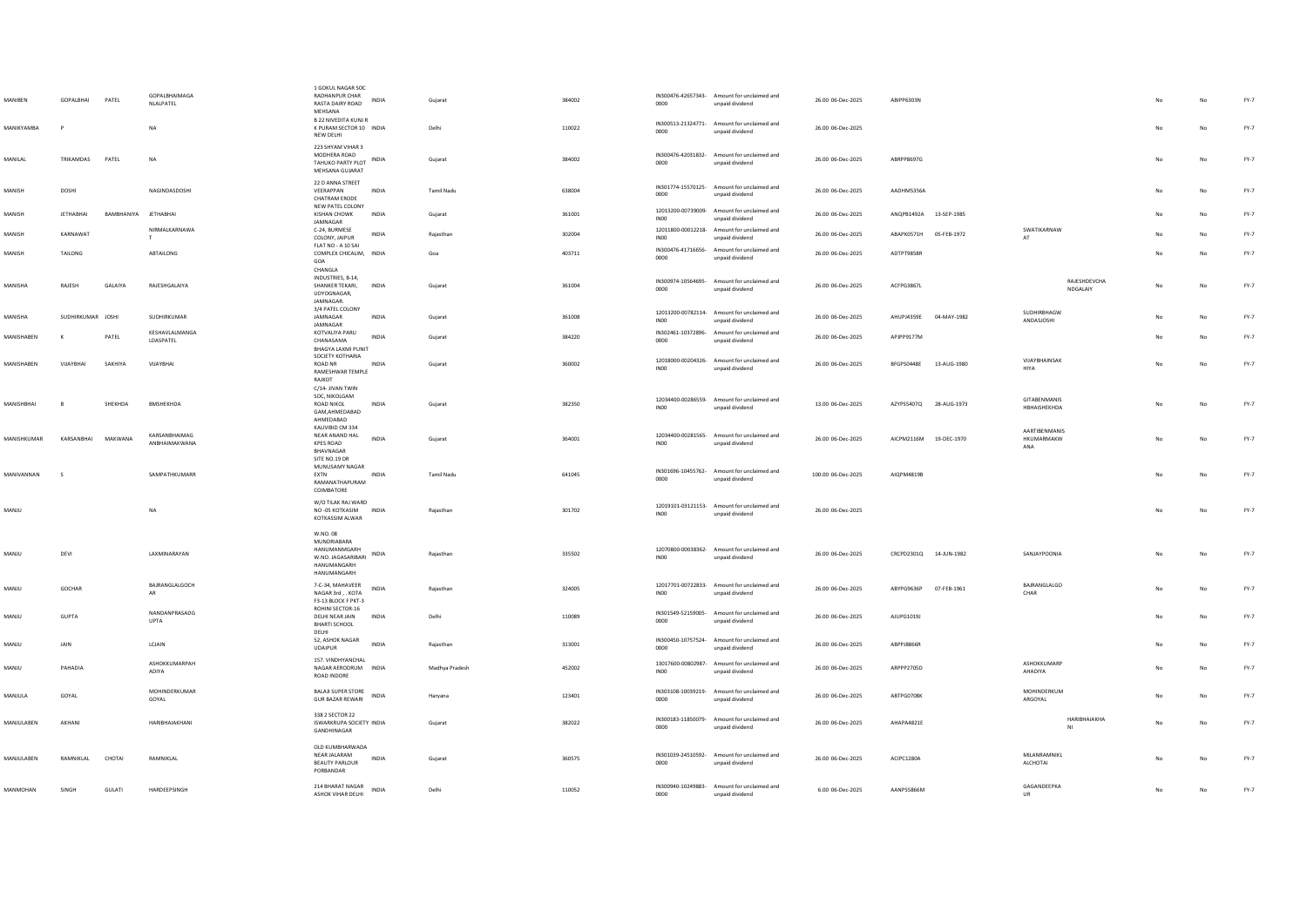| MANIBEN            | GOPALBHAI         | PATEL                | <b>GOPALBHAIMAGA</b><br>NLALPATEL | 1 GOKUL NAGAR SOC<br>RADHANPUR CHAR<br>INDIA<br>RASTA DAIRY ROAD<br>MEHSANA                                | Gujarat           | 384002 | 0000             | IN300476-42657343- Amount for unclaimed and<br>unpaid dividend | 26.00 06-Dec-2025  | ARIPP6303N             |             |                                           |    | No | $FY-7$ |
|--------------------|-------------------|----------------------|-----------------------------------|------------------------------------------------------------------------------------------------------------|-------------------|--------|------------------|----------------------------------------------------------------|--------------------|------------------------|-------------|-------------------------------------------|----|----|--------|
| MANIKYAMBA         |                   |                      | NA                                | <b>B 22 NIVEDITA KUNJ R</b><br>K PURAM SECTOR 10 INDIA<br>NEW DELHI                                        | Delhi             | 110022 | 0000             | IN300513-21324771- Amount for unclaimed and<br>unpaid dividend | 26.00 06-Dec-2025  |                        |             |                                           |    | No | $FY-7$ |
| MANILAL            | <b>TRIKAMDAS</b>  | PATEL                | <b>NA</b>                         | 223 SHYAM VIHAR 3<br>MODHERA ROAD<br>TAHUKO PARTY PLOT INDIA<br>MEHSANA GUIARAT                            | Gujarat           | 384002 | 0000             | IN300476-42031832- Amount for unclaimed and<br>unpaid dividend | 26.00 06-Dec-2025  | ARRPP8697G             |             |                                           | No | No | $FY-7$ |
| MANISH             | DOSHI             |                      | NAGINDASDOSHI                     | 22 D ANNA STREET<br>VEERAPPAN<br>INDIA<br>CHATRAM ERODE                                                    | Tamil Nadu        | 638004 | 0000             | IN301774-15570125- Amount for unclaimed and<br>unpaid dividend | 26.00 06-Dec-2025  | AADHM5356A             |             |                                           | No | No | FY-7   |
| MANISH             | <b>IFTHARHAI</b>  | RAMRHANIYA IFTHARHAI |                                   | NEW PATEL COLONY<br>KISHAN CHOWK<br><b>INDIA</b><br>JAMNAGAR                                               | Guiarat           | 361001 | INO <sub>0</sub> | 12013200-00739009- Amount for unclaimed and<br>unpaid dividend | 26.00 06-Dec-2025  | ANOPB1492A 13-SEP-1985 |             |                                           | No | No | $FY-7$ |
| MANISH             | KARNAWAT          |                      | NIRMALKARNAWA<br>T                | C-24, BURMESE<br><b>INDIA</b><br>COLONY, JAIPUR                                                            | Rajasthan         | 302004 | INO <sub>0</sub> | 12011800-00012218- Amount for unclaimed and<br>unpaid dividend | 26.00 06-Dec-2025  | ABAPK0571H 05-FEB-1972 |             | SWATIKARNAW<br>AT                         | No | No | FY-7   |
| MANISH             | TAILONG           |                      | ABTAILONG                         | FLAT NO - A 10 SAI<br>COMPLEX CHICALIM, INDIA<br>GOA                                                       | Goa               | 403711 | 0000             | IN300476-41716656- Amount for unclaimed and<br>unpaid dividend | 26.00 06-Dec-2025  | ADTPT9858R             |             |                                           | No | No | $FY-7$ |
| MANISHA            | RAJESH            | GALAIYA              | RAJESHGALAIYA                     | CHANGLA<br>INDUSTRIES, B-14,<br>SHANKER TEKARI,<br><b>INDIA</b><br>UDYOGNAGAR,                             | Gujarat           | 361004 | 0000             | IN300974-10564695- Amount for unclaimed and<br>unpaid dividend | 26.00 06-Dec-2025  | ACFPG3867L             |             | RAJESHDEVCHA<br>NDGALAIY                  | No | No | FY-7   |
| MANISHA            | SUDHIRKUMAR JOSHI |                      | SUDHIRKUMAR                       | JAMNAGAR<br>3/4 PATEL COLONY<br>JAMNAGAR<br><b>INDIA</b><br>JAMNAGAR                                       | Gujarat           | 361008 | INO <sub>0</sub> | 12013200-00782114- Amount for unclaimed and<br>unpaid dividend | 26.00 06-Dec-2025  | AHUPJ4359E 04-MAY-1982 |             | SUDHIRBHAGW<br>ANDASJOSHI                 | No | No | $FY-7$ |
| MANISHABEN         | к                 | PATEL                | KESHAVLALMANGA<br>LDASPATEL       | KOTVALIYA PARU<br>INDIA<br>CHANASAMA                                                                       | Gujarat           | 384220 | 0000             | IN302461-10372896- Amount for unclaimed and<br>unpaid dividend | 26.00 06-Dec-2025  | APJPP9177M             |             |                                           |    | No | FY-7   |
| MANISHABEN         | VIJAYBHAI         | SAKHIYA              | VIJAYBHAI                         | BHAGYA LAXMI PUNIT<br>SOCIETY KOTHARIA<br><b>INDIA</b><br>ROAD NR<br>RAMESHWAR TEMPLE                      | Guiarat           | 360002 | IN00             | 12018000-00204326- Amount for unclaimed and<br>unpaid dividend | 26.00 06-Dec-2025  | BFGPS0448E             | 13-AUG-1980 | VIJAYBHAINSAK<br><b>HIYA</b>              | No | No | $FY-7$ |
|                    |                   |                      |                                   | RAJKOT<br>C/14- JIVAN TWIN                                                                                 |                   |        |                  |                                                                |                    |                        |             |                                           |    |    |        |
| MANISHBHAI         | B                 | SHEKHDA              | BMSHEKHDA                         | SOC, NIKOLGAM<br>ROAD NIKOL<br>INDIA<br>GAM, AHMEDABAD<br>AHMEDABAD                                        | Gujarat           | 382350 | IN00             | 12034400-00286559- Amount for unclaimed and<br>unpaid dividend | 13.00 06-Dec-2025  | AZYPS5407Q 28-AUG-1973 |             | GITABENMANIS<br>HBHAISHEKHDA              | No | No | FY-7   |
| <b>MANISHKUMAR</b> | KARSANRHAI        | MAKWANA              | KARSANBHAIMAG<br>ANBHAIMAKWANA    | KALIVIBID CM 334<br>NEAR ANAND HAL<br><b>INDIA</b><br><b>KPES ROAD</b><br>BHAVNAGAR                        | Gujarat           | 364001 | IN00             | 12034400-00281565- Amount for unclaimed and<br>unpaid dividend | 26.00 06-Dec-2025  | AICPM2116M 19-DEC-1970 |             | <b>AARTIRENMANIS</b><br>HKUMARMAKW<br>ANA | No | No | $FY-7$ |
| MANIVANNAN         |                   |                      | SAMPATHKUMARR                     | SITE NO.19 DR<br>MUNUSAMY NAGAR<br>EXTN<br><b>INDIA</b><br>RAMANATHAPURAM<br>COIMBATORE                    | <b>Tamil Nadu</b> | 641045 | 0000             | IN301696-10455762- Amount for unclaimed and<br>unpaid dividend | 100.00 06-Dec-2025 | AIOPM4819B             |             |                                           | No | No | FY-7   |
| MANJU              |                   |                      | <b>NA</b>                         | W/O TILAK RAJ WARD<br>NO-05 KOTKASIM INDIA<br><b>KOTKASSIM ALWAR</b>                                       | Raiasthan         | 301702 | IN00             | 12019101-03121153- Amount for unclaimed and<br>unpaid dividend | 26.00 06-Dec-2025  |                        |             |                                           | No | No | $FY-7$ |
| MANJU              | DEVI              |                      | LAXMINARAYAN                      | W.NO.08<br>MUNDRIABARA<br>HANUMANMGARH<br>INDIA<br>W.NO. JAGASARIBARI<br><b>HANUMANGARH</b><br>HANUMANGARH | Raiasthan         | 335502 | INO <sub>0</sub> | 12070800-00038362- Amount for unclaimed and<br>unpaid dividend | 26.00 06-Dec-2025  | CRCPD2301Q 14-JUN-1982 |             | SANJAYPOONIA                              | No | No | $FY-7$ |
| MANJU              | GOCHAR            |                      | BAJRANGLALGOCH<br>AR.             | 7-C-34, MAHAVEER<br><b>INDIA</b><br>NAGAR 3rd , . KOTA<br>F3-13 BLOCK F PKT-3                              | Raiasthan         | 324005 | INO <sub>0</sub> | 12017701-00722833- Amount for unclaimed and<br>unpaid dividend | 26.00 06-Dec-2025  | ABYPG9636P             | 07-FEB-1961 | BAJRANGLALGO<br>CHAR                      | No | No | $FY-7$ |
| MANJU              | <b>GUPTA</b>      |                      | NANDANPRASADG<br><b>UPTA</b>      | ROHINI SECTOR-16<br>DELHI NEAR JAIN<br>INDIA<br><b>BHARTI SCHOOL</b><br>DELHI                              | Delhi             | 110089 | 0000             | IN301549-52159005- Amount for unclaimed and<br>unpaid dividend | 26.00 06-Dec-2025  | AJUPG1019J             |             |                                           | No | No | $FY-7$ |
| MANJU              | <b>JAIN</b>       |                      | LCJAIN                            | 52, ASHOK NAGAR<br><b>INDIA</b><br><b>UDAIPUR</b>                                                          | Raiasthan         | 313001 | 0000             | IN300450-10757524- Amount for unclaimed and<br>unpaid dividend | 26.00 06-Dec-2025  | ABPPJ8866R             |             |                                           | No | No | $FY-7$ |
| MANJU              | PAHADIA           |                      | ASHOKKUMARPAH<br>ADIYA            | 157. VINDHYANCHAL<br>NAGAR AERODRUM INDIA<br>ROAD INDORE                                                   | Madhya Pradesh    | 452002 | IN00             | 13017600-00802987- Amount for unclaimed and<br>unpaid dividend | 26.00 06-Dec-2025  | ARPPP2705D             |             | ASHOKKUMARP<br>AHADIYA                    | No | No | $FY-7$ |
| MANJULA            | GOYAL             |                      | MOHINDERKUMAR<br>GOYAL            | BALAJI SUPER STORE<br>INDIA<br><b>GUR BAZAR REWARI</b>                                                     | Haryana           | 123401 | 0000             | IN303108-10039219- Amount for unclaimed and<br>unpaid dividend | 26.00 06-Dec-2025  | ABTPG0708K             |             | MOHINDERKUM<br>ARGOYAL                    | No | No | FY-7   |
| MANJULABEN         | AKHANI            |                      | HARIRHAIAKHANI                    | 338 2 SECTOR 22<br>ISWARKRUPA SOCIETY INDIA<br>GANDHINAGAR                                                 | Gujarat           | 382022 | 0000             | IN300183-11850079- Amount for unclaimed and<br>unpaid dividend | 26.00 06-Dec-2025  | AHAPA4821E             |             | HARIBHAIAKHA                              | No | No | $FY-7$ |
| MANJULABEN         | RAMNIKLAL         | CHOTAL               | RAMNIKLAL                         | OLD KUMBHARWADA<br>NEAR JALARAM<br>INDIA<br><b>BEAUTY PARLOUR</b><br>PORBANDAR                             | Gujarat           | 360575 | 0000             | IN301039-24510592- Amount for unclaimed and<br>unpaid dividend | 26.00 06-Dec-2025  | ACIPC1280A             |             | MILANRAMNIKL<br>ALCHOTAI                  | No | No | FY-7   |
| MANMOHAN           | <b>SINGH</b>      | <b>GULATI</b>        | <b>HARDFFPSINGH</b>               | 214 BHARAT NAGAR<br><b>INDIA</b><br>ASHOK VIHAR DELHI                                                      | Delhi             | 110052 | 0000             | IN300940-10249883- Amount for unclaimed and<br>unpaid dividend | 6.00 06-Dec-2025   | <b>AANPSS866M</b>      |             | GAGANDEEPKA<br>UR                         | No | No | $FY-7$ |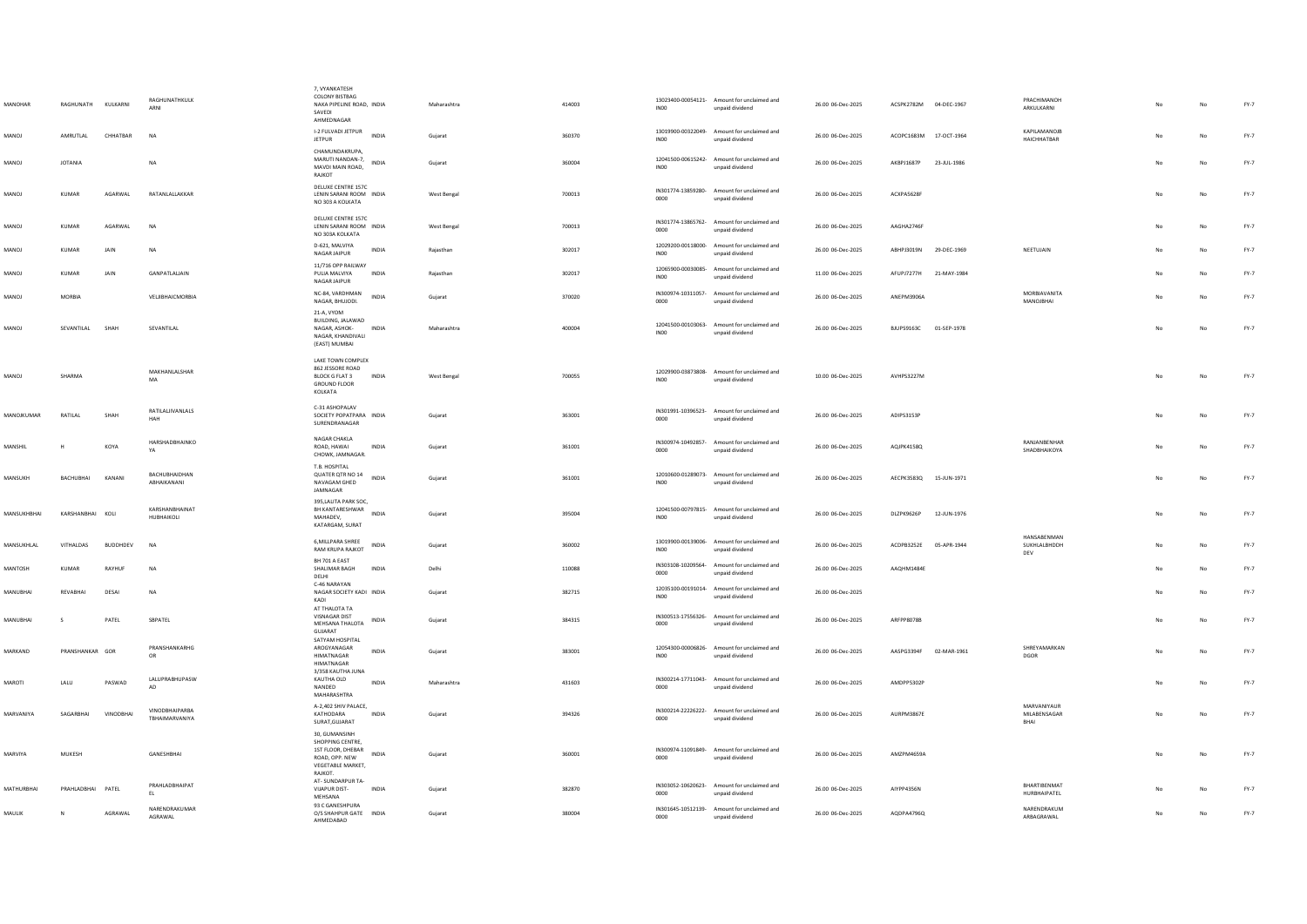| MANOHAR       | RAGHUNATH KULKARNI |                 | <b>RAGHUNATHKULK</b><br>ARNI     | 7, VYANKATESH<br>COLONY BISTBAG<br>NAKA PIPELINE ROAD, INDIA<br>SAVEDI<br>AHMEDNAGAR                              | Maharashtra | 414003 | <b>IN00</b>      | 13023400-00054121- Amount for unclaimed and<br>unpaid dividend | 26.00 06-Dec-2025 | ACSPK2782M 04-DEC-1967 |             | PRACHIMANOH<br><b>ARKLIJ KARNI</b>        |    | No | FY-7   |
|---------------|--------------------|-----------------|----------------------------------|-------------------------------------------------------------------------------------------------------------------|-------------|--------|------------------|----------------------------------------------------------------|-------------------|------------------------|-------------|-------------------------------------------|----|----|--------|
| MANOJ         | AMRUTLAL           | CHHATBAR        | <b>NA</b>                        | I-2 FULVADI JETPUR<br><b>INDIA</b><br><b>JETPUR</b>                                                               | Gujarat     | 360370 | INO <sub>0</sub> | 13019900-00322049- Amount for unclaimed and<br>unpaid dividend | 26.00 06-Dec-2025 | ACOPC1683M 17-OCT-1964 |             | KAPILAMANOJE<br><b>HAICHHATRAR</b>        |    | No | $FY-7$ |
| MANOJ         | <b>JOTANIA</b>     |                 | NA                               | CHAMUNDAKRUPA,<br>MARUTI NANDAN-7<br>INDIA<br>MAVDI MAIN ROAD,<br>RAJKOT                                          | Gujarat     | 360004 | <b>IN00</b>      | 12041500-00615242- Amount for unclaimed and<br>unpaid dividend | 26.00 06-Dec-2025 | AKBPJ1687P             | 23-JUL-1986 |                                           |    | No | $FY-7$ |
| MANOJ         | <b>KUMAR</b>       | AGARWAL         | RATANLALLAKKAR                   | DELUXE CENTRE 157C<br>LENIN SARANI ROOM INDIA<br>NO 303 A KOLKATA                                                 | West Bengal | 700013 | 0000             | IN301774-13859280- Amount for unclaimed and<br>unpaid dividend | 26.00 06-Dec-2025 | ACXPA5628F             |             |                                           | No | No | $FY-7$ |
| MANOJ         | <b>KUMAR</b>       | AGARWAL         | <b>NA</b>                        | DELUXE CENTRE 157C<br>LENIN SARANI ROOM INDIA<br>NO 303A KOLKATA                                                  | West Bengal | 700013 | 0000             | IN301774-13865762- Amount for unclaimed and<br>unpaid dividend | 26.00 06-Dec-2025 | AAGHA2746F             |             |                                           | No | No | $FY-7$ |
| MANOJ         | KUMAR              | JAIN            | <b>NA</b>                        | D-621, MALVIYA<br>INDIA<br>NAGAR JAIPUR                                                                           | Rajasthan   | 302017 | <b>IN00</b>      | 12029200-00118000- Amount for unclaimed and<br>unpaid dividend | 26.00 06-Dec-2025 | ABHPJ3019N             | 29-DEC-1969 | NEETUJAIN                                 |    | No | FY-7   |
| MANOJ         | <b>KUMAR</b>       | JAIN            | GANPATLALJAIN                    | 11/716 OPP RAILWAY<br>PULIA MALVIYA<br>INDIA<br>NAGAR JAIPUR                                                      | Rajasthan   | 302017 | <b>IN00</b>      | 12065900-00030085- Amount for unclaimed and<br>unpaid dividend | 11.00 06-Dec-2025 | AFUPJ7277H 21-MAY-1984 |             |                                           | No | No | FY-7   |
| MANOJ         | MORBIA             |                 | VELJIBHAICMORBIA                 | NC-84, VARDHMAN<br>INDIA<br>NAGAR, BHUJODI.                                                                       | Gujarat     | 370020 | 0000             | IN300974-10311057- Amount for unclaimed and<br>unpaid dividend | 26.00 06-Dec-2025 | ANEPM3906A             |             | MORBIAVANITA<br>MANOJBHAI                 | No | No | $FY-7$ |
| MANOJ         | SEVANTILAL         | SHAH            | SEVANTILAL                       | 21-A, VYOM<br>BUILDING, JALAWAD<br>NAGAR, ASHOK-<br><b>INDIA</b><br>NAGAR, KHANDIVALI<br>(EAST) MUMBAI            | Maharashtra | 400004 | <b>IN00</b>      | 12041500-00103063- Amount for unclaimed and<br>unpaid dividend | 26.00 06-Dec-2025 | BJUPS9163C             | 01-SEP-1978 |                                           | No | No | FY-7   |
| MANOJ         | SHARMA             |                 | <b>MAKHANI AI SHAR</b><br>MA     | LAKE TOWN COMPLEX<br>862 JESSORE ROAD<br><b>BLOCK G FLAT 3</b><br>INDIA<br><b>GROUND FLOOR</b><br>KOLKATA         | West Bengal | 700055 | <b>IN00</b>      | 12029900-03873808- Amount for unclaimed and<br>unpaid dividend | 10.00 06-Dec-2025 | AVHPS3227M             |             |                                           | No | No | $FY-7$ |
| MANOJKUMAR    | RATILAL            | SHAH            | RATILALIIVANLALS<br>HAH          | C-31 ASHOPALAV<br>SOCIETY POPATPARA INDIA<br>SURENDRANAGAR                                                        | Gujarat     | 363001 | 0000             | IN301991-10396523- Amount for unclaimed and<br>unpaid dividend | 26.00 06-Dec-2025 | ADIPS3153P             |             |                                           | No | No | $FY-7$ |
| MANSHIL       |                    | KOYA            | HARSHADBHAINKO<br>YA             | NAGAR CHAKLA<br>ROAD, HAWAI<br>INDIA<br>CHOWK, JAMNAGAR.                                                          | Gujarat     | 361001 | 0000             | IN300974-10492857- Amount for unclaimed and<br>unpaid dividend | 26.00 06-Dec-2025 | AQJPK4158Q             |             | RANJANBENHAR<br>SHADBHAIKOYA              | No | No | $FY-7$ |
| MANSUKH       | RACHURHAL          | KANANI          | BACHUBHAIDHAN<br>ABHAIKANANI     | T.B. HOSPITAL<br>QUATER QTR NO 14<br><b>INDIA</b><br>NAVAGAM GHED<br>JAMNAGAR                                     | Gujarat     | 361001 | INO <sub>0</sub> | 12010600-01289073- Amount for unclaimed and<br>unpaid dividend | 26.00 06-Dec-2025 | AECPK3583Q 15-JUN-1971 |             |                                           | No | No | FY-7   |
| MANSUKHBHAI   | KARSHANBHAI KOLI   |                 | KARSHANBHAINAT<br>HUBHAIKOLI     | 395.LALITA PARK SOC.<br>BH KANTARESHWAR<br>INDIA<br>MAHADEV.<br>KATARGAM, SURAT                                   | Gujarat     | 395004 | <b>IN00</b>      | 12041500-00797815- Amount for unclaimed and<br>unpaid dividend | 26.00 06-Dec-2025 | DLZPK9626P             | 12-JUN-1976 |                                           | No | No | $FY-7$ |
| MANSUKHLAL    | VITHALDAS          | <b>BUDDHDEV</b> | <b>NA</b>                        | 6, MILLPARA SHREE<br>INDIA<br><b>RAM KRUPA RAJKOT</b>                                                             | Gujarat     | 360002 | INO <sub>0</sub> | 13019900-00139006- Amount for unclaimed and<br>unpaid dividend | 26.00 06-Dec-2025 | ACDPB3252E 05-APR-1944 |             | <b>HANSARENMAN</b><br>SUKHLALBHDDH<br>DEV | No | No | FY-7   |
| MANTOSH       | <b>KUMAR</b>       | RAYHUF          | <b>NA</b>                        | BH 701 A EAST<br>SHALIMAR BAGH<br><b>INDIA</b><br>DELHI                                                           | Delhi       | 110088 | 0000             | IN303108-10209564- Amount for unclaimed and<br>unpaid dividend | 26.00 06-Dec-2025 | AAOHM1484E             |             |                                           |    | No | FY-7   |
| MANUBHA       | REVARHAL           | DESAI           | <b>NA</b>                        | C-46 NARAYAN<br>NAGAR SOCIETY KADI INDIA<br>KADI<br>AT THALOTA TA                                                 | Gujarat     | 382715 | INO <sub>0</sub> | 12035100-00191014- Amount for unclaimed and<br>unpaid dividend | 26.00 06-Dec-2025 |                        |             |                                           | No | No | FY-7   |
| MANUBHAI      | <sub>S</sub>       | PATEL           | SBPATEL                          | <b>VISNAGAR DIST</b><br>INDIA<br>MEHSANA THALOTA<br>GUJARAT                                                       | Gujarat     | 384315 | 0000             | IN300513-17556326- Amount for unclaimed and<br>unpaid dividend | 26.00 06-Dec-2025 | ARFPP8078B             |             |                                           |    | Nα | FY-7   |
| MARKAND       | PRANSHANKAR GOR    |                 | PRANSHANKARHG<br>OR              | SATYAM HOSPITAL<br>AROGYANAGAR<br><b>INDIA</b><br><b>HIMATNAGAR</b><br>HIMATNAGAR                                 | Gujarat     | 383001 | INO <sub>0</sub> | 12054300-00006826- Amount for unclaimed and<br>unpaid dividend | 26.00 06-Dec-2025 | AASPG3394F 02-MAR-1961 |             | SHREYAMARKAN<br>DGOR                      | No | No | FY-7   |
| <b>MAROTI</b> | LALU               | PASWAD          | LALUPRABHUPASW<br>AD             | 3/358 KAUTHA JUNA<br>KAUTHA OLD<br><b>INDIA</b><br>NANDED<br>MAHARASHTRA                                          | Maharashtra | 431603 | 0000             | IN300214-17711043- Amount for unclaimed and<br>unpaid dividend | 26.00 06-Dec-2025 | AMDPP5302P             |             |                                           | No | No | $FY-7$ |
| MARVANIYA     | SAGARBHAI          | VINODBHAI       | VINODRHAIPARRA<br>TBHAIMARVANIYA | A-2,402 SHIV PALACE,<br>KATHODARA<br>INDIA<br>SURAT.GUJARAT                                                       | Gujarat     | 394326 | 0000             | IN300214-22226222- Amount for unclaimed and<br>unpaid dividend | 26.00 06-Dec-2025 | AURPM3867E             |             | MARVANIYAUR<br>MILABENSAGAR<br>BHAI       | No | No | $FY-7$ |
| MARVIYA       | MUKESH             |                 | GANESHBHAI                       | 30, GUMANSINH<br>SHOPPING CENTRE.<br>1ST FLOOR, DHEBAR<br>INDIA<br>ROAD, OPP. NEW<br>VEGETABLE MARKET,<br>RAJKOT. | Gujarat     | 360001 | 0000             | IN300974-11091849- Amount for unclaimed and<br>unpaid dividend | 26.00 06-Dec-2025 | AMZPM4659A             |             |                                           | No | No | $FY-7$ |
| MATHURBHAI    | PRAHLADBHAI PATEL  |                 | PRAHLADBHAIPAT<br>EL             | AT-SUNDARPUR TA-<br><b>VIJAPUR DIST-</b><br><b>INDIA</b><br>MEHSANA                                               | Gujarat     | 382870 | 0000             | IN303052-10620623- Amount for unclaimed and<br>unpaid dividend | 26.00 06-Dec-2025 | AIYPP4356N             |             | BHARTIBENMAT<br>HURBHAIPATEL              |    | No | FY-7   |
| MAULIK        | N                  | AGRAWAL         | NARENDRAKUMAR<br>AGRAWAL         | 93 C GANESHPURA<br>O/S SHAHPUR GATE INDIA<br>AHMEDABAD                                                            | Gujarat     | 380004 | 0000             | IN301645-10512139- Amount for unclaimed and<br>unpaid dividend | 26.00 06-Dec-2025 | AQDPA4796Q             |             | NARENDRAKUM<br>ARBAGRAWAL                 | No | No | $FY-7$ |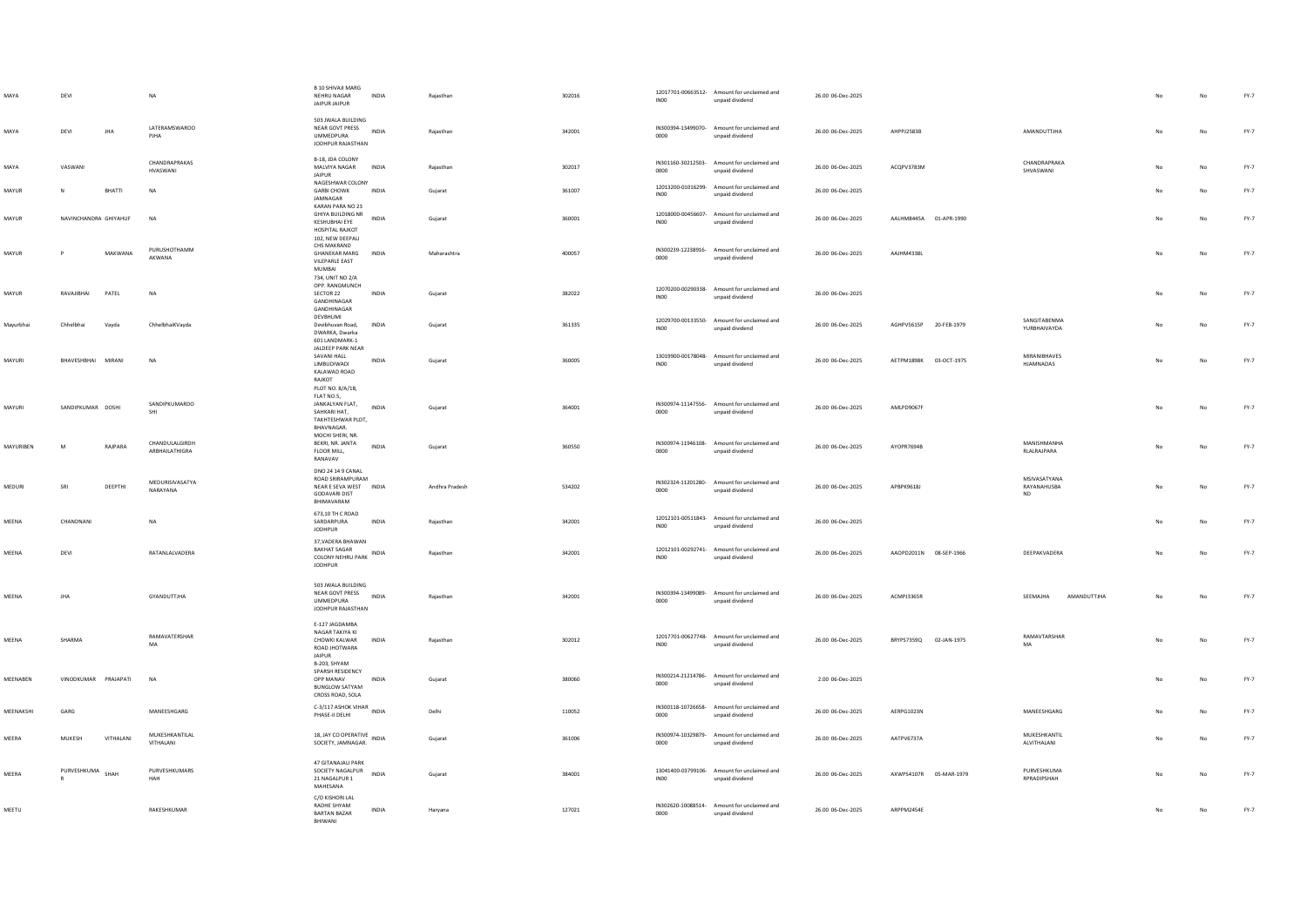| MAYA      | DEVI                  |           | NA                               | <b>B 10 SHIVAJI MARG</b><br>NEHRU NAGAR<br>JAIPUR JAIPUR                                              | INDIA        | Rajasthan      | 302016 | INO <sub>0</sub>           | 12017701-00663512- Amount for unclaimed and<br>unpaid dividend | 26.00 06-Dec-2025 |                        |                                          |    |             | FY-7   |
|-----------|-----------------------|-----------|----------------------------------|-------------------------------------------------------------------------------------------------------|--------------|----------------|--------|----------------------------|----------------------------------------------------------------|-------------------|------------------------|------------------------------------------|----|-------------|--------|
| MAYA      | DEVI                  | JHA       | <b>IATERAMSWAROO</b><br>PJHA     | 503 JWALA BUILDING<br>NEAR GOVT PRESS<br><b>UMMEDPURA</b><br>JODHPUR RAJASTHAN                        | <b>INDIA</b> | Rajasthan      | 342001 | 0000                       | IN300394-13499070- Amount for unclaimed and<br>unpaid dividend | 26.00 06-Dec-2025 | AHPPJ2583B             | AMANDUTTJHA                              | No | No          | $FY-7$ |
| MAYA      | VASWANI               |           | CHANDRAPRAKAS<br>HVASWANI        | B-18, JDA COLONY<br>MALVIYA NAGAR<br><b>JAIPUR</b>                                                    | INDIA        | Rajasthan      | 302017 | 0000                       | IN301160-30212503- Amount for unclaimed and<br>unpaid dividend | 26.00 06-Dec-2025 | ACQPV3783M             | CHANDRAPRAKA<br>SHVASWANI                | No | No          | $FY-7$ |
| MAYUR     |                       | BHATTI    | <b>NA</b>                        | NAGESHWAR COLONY<br><b>GARBI CHOWK</b><br>JAMNAGAR                                                    | <b>INDIA</b> | Gujarat        | 361007 | INO <sub>0</sub>           | 12013200-01016299- Amount for unclaimed and<br>unpaid dividend | 26.00 06-Dec-2025 |                        |                                          |    | No          | $FY-7$ |
| MAYUR     | NAVINCHANDRA GHIYAHUF |           | <b>NA</b>                        | KARAN PARA NO 23<br>GHIYA BUILDING NR<br>KESHUBHAI EYE<br>HOSPITAL RAJKOT<br>102, NEW DEEPALI         | <b>INDIA</b> | Gujarat        | 360001 | <b>IN00</b>                | 12018000-00456607- Amount for unclaimed and<br>unpaid dividend | 26.00 06-Dec-2025 | AALHM8445A 01-APR-1990 |                                          |    | $_{\sf No}$ | $FY-7$ |
| MAYUR     |                       | MAKWANA   | PURUSHOTHAMM<br>AKWANA           | CHS MAKRAND<br><b>GHANEKAR MARG</b><br>VILEPARLE EAST<br>MUMBAI<br>734, UNIT NO 2/A                   | <b>INDIA</b> | Maharashtra    | 400057 | IN300239-12238916-<br>0000 | Amount for unclaimed and<br>unpaid dividend                    | 26.00 06-Dec-2025 | AAJHM4338L             |                                          | No | No          | $FY-7$ |
| MAYUR     | RAVAJIBHAI            | PATEL     | <b>NA</b>                        | OPP, RANGMUNCH<br>SECTOR 22<br><b>GANDHINAGAR</b><br>GANDHINAGAR<br>DEVBHUMI                          | <b>INDIA</b> | Gujarat        | 382022 | INO0                       | 12070200-00290338- Amount for unclaimed and<br>unpaid dividend | 26.00 06-Dec-2025 |                        |                                          | No | No          | $FY-7$ |
| Mayurbhai | Chhelbhai             | Vayda     | ChhelbhaiKVayda                  | Devibhuvan Road,<br>DWARKA, Dwarka<br>601 LANDMARK-1<br>JALDEEP PARK NEAR                             | INDIA        | Gujarat        | 361335 | IN00                       | 12029700-00133550- Amount for unclaimed and<br>unpaid dividend | 26.00 06-Dec-2025 | AGHPV5615P 20-FEB-1979 | SANGITARENMA<br>YURBHAIVAYDA             |    | No          | $FY-7$ |
| MAYURI    | BHAVESHBHAI MIRANI    |           | <b>NA</b>                        | SAVANI HALL<br><b>LIMBUDIWADI</b><br>KALAWAD ROAD<br>RAJKOT<br>PLOT NO. 8/A/1B,                       | <b>INDIA</b> | Gujarat        | 360005 | <b>IN00</b>                | 13019900-00178048- Amount for unclaimed and<br>unpaid dividend | 26.00 06-Dec-2025 | AETPM1898K 03-OCT-1975 | MIRANIBHAVES<br>HJAMNADAS                | No | No          | $FY-7$ |
| MAYURI    | SANDIPKUMAR DOSHI     |           | SANDIPKUMARDO<br>SHI             | FLAT NO.5,<br>JANKALYAN FLAT,<br>SAHKARI HAT,<br>TAKHTESHWAR PLOT.<br><b>RHAVNAGAR</b>                | INDIA        | Gujarat        | 364001 | 0000                       | IN300974-11147556- Amount for unclaimed and<br>unpaid dividend | 26.00 06-Dec-2025 | AMLPD9067F             |                                          | No | No          | $FY-7$ |
| MAYURIBEN | M                     | RAJPARA   | CHANDULALGIRDH<br>ARBHAILATHIGRA | MOCHI SHERI, NR.<br>BEKRI, NR. JANTA<br>FLOOR MILL,<br>RANAVAV                                        | <b>INDIA</b> | Gujarat        | 360550 | 0000                       | IN300974-11946108- Amount for unclaimed and<br>unpaid dividend | 26.00 06-Dec-2025 | AYOPR7694B             | MANISHMANHA<br>RLALRAJPARA               | No | No          | $FY-7$ |
| MEDURI    | SRI                   | DEEPTHI   | MEDURISIVASATYA<br>NARAYANA      | DNO 24 14 9 CANAL<br>ROAD SRIRAMPURAM<br>NEAR E SEVA WEST INDIA<br><b>GODAVARI DIST</b><br>BHIMAVARAM |              | Andhra Pradesh | 534202 | 0000                       | IN302324-11201280- Amount for unclaimed and<br>unpaid dividend | 26.00 06-Dec-2025 | APBPK9618J             | MSIVASATYANA<br>RAYANAHUSBA<br><b>ND</b> | No | No          | $FY-7$ |
| MEENA     | CHANDNANI             |           | <b>NA</b>                        | 673,10 TH C ROAD<br>SARDARPURA<br><b>JODHPUR</b>                                                      | INDIA        | Rajasthan      | 342001 | INO0                       | 12012101-00511843- Amount for unclaimed and<br>unpaid dividend | 26.00 06-Dec-2025 |                        |                                          |    | No          | FY-7   |
| MEENA     | DEVI                  |           | RATANLALVADERA                   | 37, VADERA BHAWAN<br><b>BAKHAT SAGAR</b><br>COLONY NEHRU PARK INDIA<br><b>JODHPUR</b>                 |              | Rajasthan      | 342001 | IN00                       | 12012101-00292741- Amount for unclaimed and<br>unpaid dividend | 26.00 06-Dec-2025 | AAOPD2011N 08-SEP-1966 | DEEPAKVADERA                             | No | No          | $FY-7$ |
| MEENA     | <b>JHA</b>            |           | GYANDUTTJHA                      | 503 JWALA BUILDING<br>NEAR GOVT PRESS<br><b>UMMEDPURA</b><br>JODHPUR RAJASTHAN                        | <b>INDIA</b> | Rajasthan      | 342001 | 0000                       | IN300394-13499089- Amount for unclaimed and<br>hosbivib bisonu | 26.00 06-Dec-2025 | ACMPJ3365R             | AMANDUTTJHA<br>SEEMAJHA                  |    | No          | $FY-7$ |
| MEENA     | SHARMA                |           | RAMAVATERSHAR<br>MA              | E-127 JAGDAMBA<br>NAGAR TAKIYA KI<br>CHOWKI KALWAR<br>ROAD JHOTWARA<br>JAIPUR<br>B-203, SHYAM         | <b>INDIA</b> | Rajasthan      | 302012 | INO <sub>0</sub>           | 12017701-00627748- Amount for unclaimed and<br>unpaid dividend | 26.00 06-Dec-2025 | BRYPS7359Q 02-JAN-1975 | RAMAVTARSHAR<br><b>MA</b>                |    | No          | $FY-7$ |
| MEENABEN  | VINODKUMAR PRAJAPATI  |           | <b>NA</b>                        | SPARSH RESIDENCY<br>OPP MANAV<br><b>BUNGLOW SATYAM</b><br>CROSS ROAD, SOLA                            | <b>INDIA</b> | Gujarat        | 380060 | 0000                       | IN300214-21214786- Amount for unclaimed and<br>unpaid dividend | 2.00 06-Dec-2025  |                        |                                          |    | No          | $FY-7$ |
| MEENAKSHI | GARG                  |           | MANEESHGARG                      | C-3/117 ASHOK VIHAR INDIA<br>PHASE-II DELHI                                                           |              | Delhi          | 110052 | 0000                       | IN300118-10726658- Amount for unclaimed and<br>unpaid dividend | 26.00 06-Dec-2025 | AERPG1023N             | MANEESHGARG                              |    | No          | $FY-7$ |
| MEERA     | MUKESH                | VITHALANI | MUKESHKANTILAL<br>VITHALANI      | 18, JAY CO OPERATIVE INDIA<br>SOCIETY, JAMNAGAR.                                                      |              | Gujarat        | 361006 | 0000                       | IN300974-10329879- Amount for unclaimed and<br>unpaid dividend | 26.00 06-Dec-2025 | AATPV6737A             | MUKESHKANTIL<br>ALVITHALANI              |    | No          | $FY-7$ |
| MEERA     | PURVESHKUMA SHAH      |           | PURVESHKUMARS<br>HAH             | 47 GITANAJALI PARK<br>SOCIETY NAGALPUR<br>21 NAGALPUR 1<br>MAHESANA                                   | INDIA        | Gujarat        | 384001 | INO <sub>0</sub>           | 13041400-03799106- Amount for unclaimed and<br>unpaid dividend | 26.00 06-Dec-2025 | AXWPS4107R 05-MAR-1979 | PURVESHKUMA<br>RPRADIPSHAH               |    | No          | $FY-7$ |
| MEETU     |                       |           | RAKESHKUMAR                      | C/O KISHORI LAL<br>RADHE SHYAM<br><b>BARTAN BAZAR</b><br>BHIWANI                                      | INDIA        | Haryana        | 127021 | 0000                       | IN302620-10088514- Amount for unclaimed and<br>unpaid dividend | 26.00 06-Dec-2025 | ARPPM2454E             |                                          |    | No          | $FY-7$ |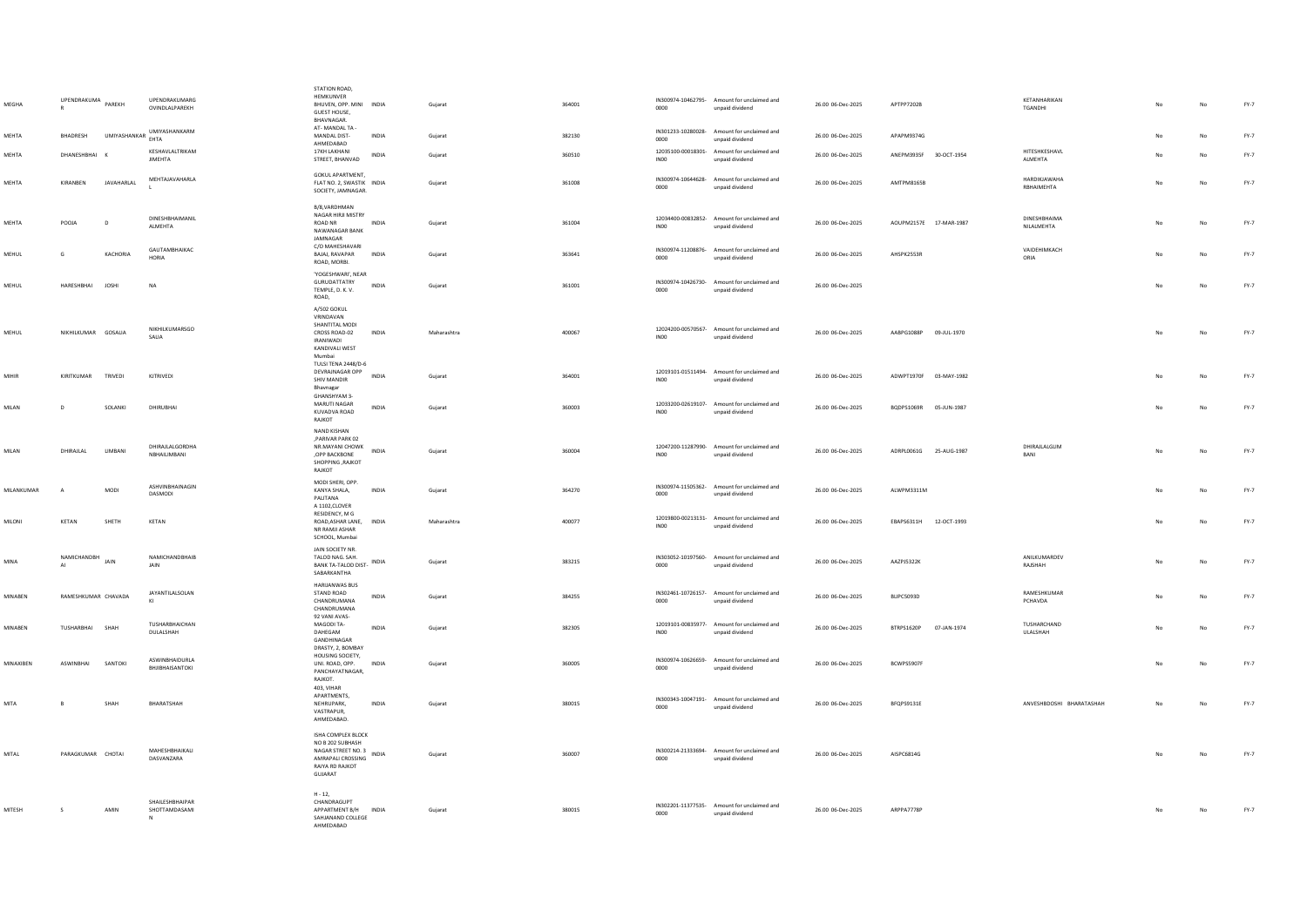| MEGHA        | UPENDRAKUMA         | PAREKH            | <b>UPENDRAKUMARG</b><br>OVINDI AI PAREKH | STATION ROAD,<br>HEMKUNVER<br>BHUVEN, OPP. MINI INDIA<br>GUEST HOUSE,<br>BHAVNAGAR.<br>AT-MANDAI TA-        |              | Gujarat     | 364001 | 0000                                   | IN300974-10462795- Amount for unclaimed and<br>unpaid dividend | 26.00 06-Dec-2025 | APTPP7202B                | KFTANHARIKAN<br><b>TGANDHI</b>    |                | No          | $FY-7$ |
|--------------|---------------------|-------------------|------------------------------------------|-------------------------------------------------------------------------------------------------------------|--------------|-------------|--------|----------------------------------------|----------------------------------------------------------------|-------------------|---------------------------|-----------------------------------|----------------|-------------|--------|
| MEHTA        | <b>BHADRESH</b>     |                   | UMIYASHANKAR UMIYASHANKARM<br>EHTA       | MANDAI DIST-<br>AHMEDABAD                                                                                   | <b>INDIA</b> | Gujarat     | 382130 | 0000                                   | IN301233-10280028- Amount for unclaimed and<br>unpaid dividend | 26.00 06-Dec-2025 | APAPM9374G                |                                   | N <sub>o</sub> | No          | FY-7   |
| <b>MFHTA</b> | DHANESHBHAI K       |                   | KESHAVLALTRIKAM<br><b>JIMEHTA</b>        | 17KH LAKHANI<br>STREET, BHANVAD                                                                             | <b>INDIA</b> | Gujarat     | 360510 | INO <sub>0</sub>                       | 12035100-00018301- Amount for unclaimed and<br>unpaid dividend | 26.00 06-Dec-2025 | ANEPM3935F 30-OCT-1954    | HITESHKESHAVL<br>ALMEHTA          | N <sub>o</sub> | No          | FY-7   |
| <b>MFHTA</b> | KIRANBEN            | <b>JAVAHARLAL</b> | MEHTAJAVAHARLA                           | GOKUL APARTMENT.<br>FLAT NO. 2, SWASTIK INDIA<br>SOCIETY, JAMNAGAR.                                         |              | Gujarat     | 361008 | 0000                                   | IN300974-10644628- Amount for unclaimed and<br>unpaid dividend | 26.00 06-Dec-2025 | <b>AMTPM8165B</b>         | HARDIKJAWAHA<br>RBHAIMEHTA        | No             | No          | $FY-7$ |
| MEHTA        | POOJA               | D                 | DINESHBHAIMANIL<br>ALMEHTA               | B/8.VARDHMAN<br>NAGAR HIRJI MISTRY<br>ROAD NR<br>NAWANAGAR BANK<br>JAMNAGAR                                 | INDIA        | Gujarat     | 361004 | INO <sub>0</sub>                       | 12034400-00832852- Amount for unclaimed and<br>unpaid dividend | 26.00 06-Dec-2025 | AOUPM2157E 17-MAR-1987    | <b>DINESHBHAIMA</b><br>NILALMEHTA | No             | No          | $FY-7$ |
| MEHUL        | G                   | KACHORIA          | GAUTAMBHAIKAC<br>HORIA                   | C/O MAHESHAVARI<br>BAJAJ, RAVAPAR<br>ROAD, MORBI.                                                           | <b>INDIA</b> | Guiarat     | 363641 | IN300974-11208876-<br>0000             | Amount for unclaimed and<br>unpaid dividend                    | 26.00 06-Dec-2025 | AHSPK2553R                | VAIDEHIMKACH<br>ORIA              | No             | No          | $FY-7$ |
| MEHUL        | HARESHBHAI JOSHI    |                   | NA                                       | 'YOGESHWARI' NEAR<br>GURUDATTATRY<br>TEMPLE, D. K. V.<br>ROAD,                                              | INDIA        | Guiarat     | 361001 | 0000                                   | IN300974-10426730- Amount for unclaimed and<br>unpaid dividend | 26.00 06-Dec-2025 |                           |                                   | No             | No          | $FY-7$ |
| MEHUL        | NIKHILKUMAR GOSALIA |                   | NIKHII KUMARSGO<br>SALIA                 | A/502 GOKUL<br>VRINDAVAN<br>SHANTITAL MODI<br>CROSS ROAD-02<br><b>IRANIWADI</b><br>KANDIVALL WEST<br>Mumbai | INDIA        | Maharashtra | 400067 | INO0                                   | 12024200-00570567- Amount for unclaimed and<br>unpaid dividend | 26.00 06-Dec-2025 | AABPG1088P<br>09-JUL-1970 |                                   | No             | No          | $FY-7$ |
| MIHIR        | KIRITKUMAR          | <b>TRIVEDI</b>    | KITRIVEDI                                | <b>TULSI TENA 2448/D-6</b><br>DEVRAJNAGAR OPP<br>SHIV MANDIR<br>Bhavnagar<br>GHANSHYAM 3-                   | <b>INDIA</b> | Guiarat     | 364001 | 12019101-01511494-<br>INO <sub>0</sub> | Amount for unclaimed and<br>unpaid dividend                    | 26.00 06-Dec-2025 | ADWPT1970F 03-MAY-1982    |                                   | No             | No          | FY-7   |
| MILAN        | D                   | SOLANKI           | DHIRUBHAI                                | MARUTI NAGAR<br>KUVADVA ROAD<br>RAJKOT                                                                      | <b>INDIA</b> | Gujarat     | 360003 | INO0                                   | 12033200-02619107- Amount for unclaimed and<br>unpaid dividend | 26.00 06-Dec-2025 | BODPS1069R 05-ILIN-1987   |                                   | No             | No          | $FY-7$ |
| MILAN        | DHIRAJLAL           | LIMBANI           | DHIRAJLALGORDHA<br>NBHAILIMBANI          | NAND KISHAN<br>,PARIVAR PARK 02<br>NR.MAYANI CHOWK<br>.OPP BACKBONE<br>SHOPPING .RAJKOT<br>RAJKOT           | <b>INDIA</b> | Gujarat     | 360004 | IN00                                   | 12047200-11287990- Amount for unclaimed and<br>unpaid dividend | 26.00 06-Dec-2025 | ADRPL0061G<br>25-AUG-1987 | DHIRAJLALGLIM<br>BANI             | No             | No          | FY-7   |
| MILANKUMAR   | $\Delta$            | <b>MODI</b>       | ASHVINBHAINAGIN<br>DASMODI               | MODI SHERI, OPP.<br>KANYA SHALA,<br>PALITANA<br>A 1102, CLOVER                                              | <b>INDIA</b> | Gujarat     | 364270 | 0000                                   | IN300974-11505362- Amount for unclaimed and<br>unpaid dividend | 26.00 06-Dec-2025 | ALWPM3311M                |                                   | No             | No          | $FY-7$ |
| MILONI       | KETAN               | SHETH             | KETAN                                    | RESIDENCY, M G<br>ROAD, ASHAR LANE, INDIA<br>NR RAMJI ASHAR<br>SCHOOL, Mumbai                               |              | Maharashtra | 400077 | IN00                                   | 12019800-00213131- Amount for unclaimed and<br>unpaid dividend | 26.00 06-Dec-2025 | EBAPS6311H 12-OCT-1993    |                                   | No             | No          | $FY-7$ |
| MINA         | NAMICHANDBH<br>AI   | JAIN              | NAMICHANDBHAIB<br>JAIN                   | JAIN SOCIETY NR.<br>TALOD NAG, SAH.<br>BANK TA-TALOD DIST- INDIA<br>SABARKANTHA                             |              | Guiarat     | 383215 | 0000                                   | IN303052-10197560- Amount for unclaimed and<br>unpaid dividend | 26.00 06-Dec-2025 | AAZPJ5322K                | ANILKUMARDEV<br>RAJSHAH           | No             | No          | FY-7   |
| MINABEN      | RAMESHKUMAR CHAVADA |                   | JAYANTILALSOLAN                          | HARIJANWAS BUS<br>STAND ROAD<br>CHANDRUMANA<br>CHANDRUMANA                                                  | <b>INDIA</b> | Gujarat     | 384255 | 0000                                   | IN302461-10726157- Amount for unclaimed and<br>unpaid dividend | 26.00 06-Dec-2025 | BLIPC5093D                | RAMESHKUMAR<br>PCHAVDA            | No             | No          | $FY-7$ |
| MINABEN      | TUSHARBHAI SHAH     |                   | TUSHARBHAICHAN<br>DULALSHAH              | 92 VANI AVAS-<br>MAGODI TA-<br>DAHEGAM<br>GANDHINAGAR<br>DRASTY, 2, BOMBAY                                  | <b>INDIA</b> | Guiarat     | 382305 | INO <sub>0</sub>                       | 12019101-00835977- Amount for unclaimed and<br>unpaid dividend | 26.00 06-Dec-2025 | BTRPS1620P<br>07-JAN-1974 | TUSHARCHAND<br>ULALSHAH           | No             | No          | FY-7   |
| MINAXIREN    | <b>ASWINRHAL</b>    | SANTOKI           | ASWINBHAIDURLA<br>BHJIBHAISANTOKI        | HOUSING SOCIETY.<br>UNL ROAD, OPP.<br>PANCHAYATNAGAR.<br>RAJKOT.                                            | <b>INDIA</b> | Gujarat     | 360005 | IN300974-10626659-<br>0000             | Amount for unclaimed and<br>unpaid dividend                    | 26.00 06-Dec-2025 | BCWPS5907F                |                                   | No             | No          | FY-7   |
| MITA         |                     | SHAH              | RHARATSHAH                               | 403, VIHAR<br>APARTMENTS,<br>NEHRUPARK<br>VASTRAPUR<br>AHMEDABAD.                                           | <b>INDIA</b> | Gujarat     | 380015 | 0000                                   | IN300343-10047191- Amount for unclaimed and<br>unpaid dividend | 26.00 06-Dec-2025 | BFQPS9131E                | ANVESHBDOSHI BHARATASHAH          | No.            | No          | FY-7   |
| MITAL        | PARAGKUMAR CHOTAI   |                   | <b>MAHESHRHAIKALL</b><br>DASVANZARA      | ISHA COMPLEX BLOCK<br>NO B 202 SUBHASH<br>AMRAPALI CROSSING<br>RAIYA RD RAJKOT<br>GUJARAT                   |              | Gujarat     | 360007 | 0000                                   | IN300214-21333694- Amount for unclaimed and<br>unpaid dividend | 26.00 06-Dec-2025 | AISPC6814G                |                                   | No             | $_{\sf No}$ | $FY-7$ |
| MITESH       | s.                  | AMIN              | SHAILESHBHAIPAR<br>SHOTTAMDASAMI<br>N    | $H - 12$<br>CHANDRAGUPT<br>APPARTMENT B/H INDIA<br>SAHJANAND COLLEGE<br>AHMEDABAD                           |              | Guiarat     | 380015 | 0000                                   | IN302201-11377535- Amount for unclaimed and<br>unpaid dividend | 26.00 06-Dec-2025 | ARPPA7778P                |                                   | No             | No          | $FY-7$ |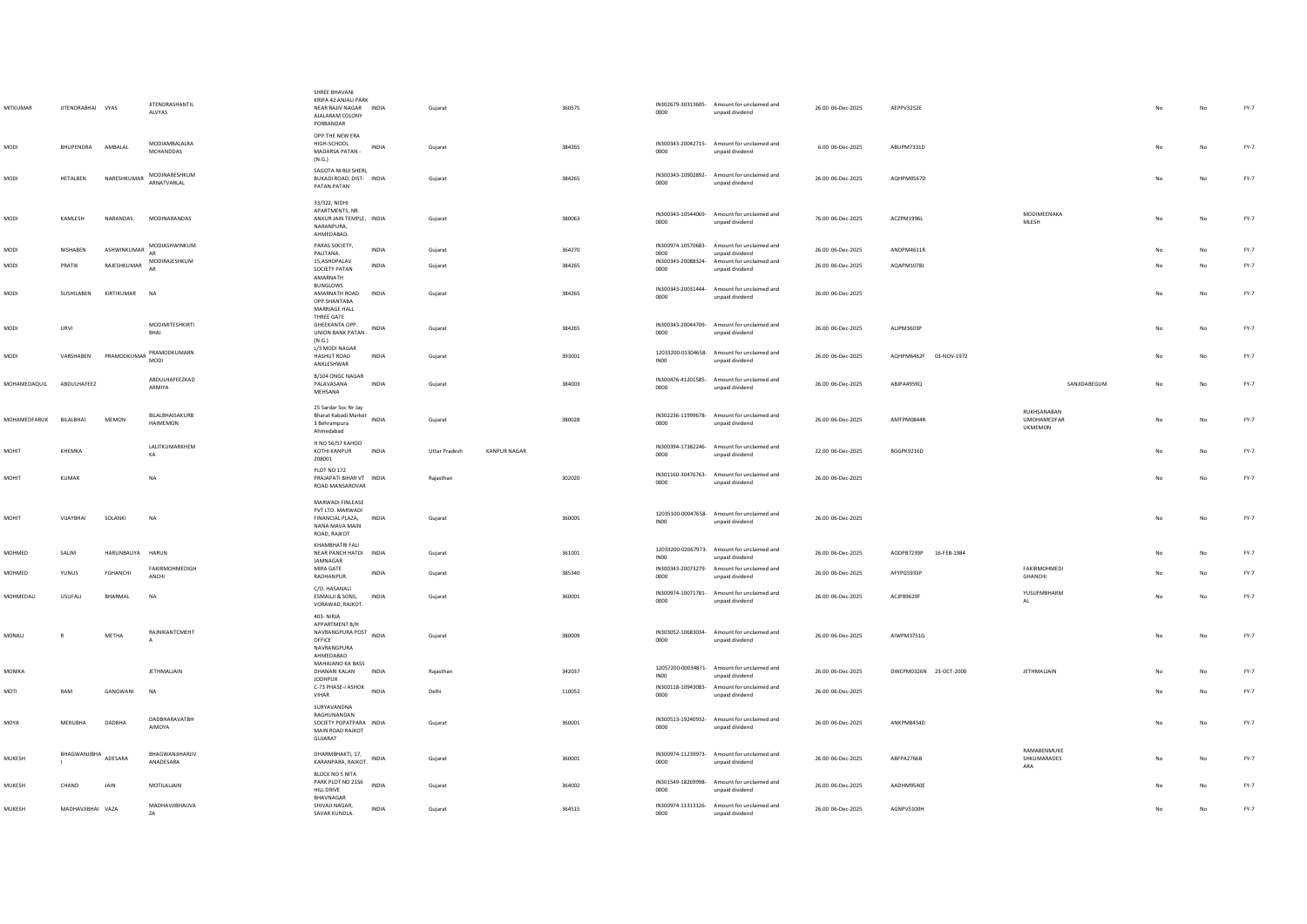| <b>MITKUMAR</b> | JITENDRABHAI VYAS    |                  | <b>JITENDRASHANTIL</b><br>ALVYAS      | SHREE BHAVANI<br>KRIPA 42 ANIALI PARK<br>NEAR RAJIV NAGAR INDIA<br>AJALARAM COLONY<br>PORBANDAR  |              | Gujarat                              | 360575 | 0000             | IN302679-30313605- Amount for unclaimed and<br>unpaid dividend | 26.00 06-Dec-2025 | AEPPV3252E             |                                                     |     | No          | $FY-7$ |
|-----------------|----------------------|------------------|---------------------------------------|--------------------------------------------------------------------------------------------------|--------------|--------------------------------------|--------|------------------|----------------------------------------------------------------|-------------------|------------------------|-----------------------------------------------------|-----|-------------|--------|
| MODI            | BHUPENDRA            | AMBALAL          | MODIAMBALALRA<br><b>MCHANDDAS</b>     | OPP.THE NEW ERA<br>HIGH-SCHOOL<br>MADARSA PATAN -<br>(N.G.)                                      | INDIA        | Gujarat                              | 384265 | 0000             | IN300343-20042715- Amount for unclaimed and<br>unpaid dividend | 6.00 06-Dec-2025  | ABUPM7331D             |                                                     |     | No          | $FY-7$ |
| MODI            | HETALBEN             | NARESHKUMAR      | MODINARESHKUM<br>ARNATVARLAL          | SAGOTA NI BIJI SHERI,<br>BUKADI ROAD, DIST- INDIA<br>PATAN PATAN                                 |              | Gujarat                              | 384265 | 0000             | IN300343-10902892- Amount for unclaimed and<br>unpaid dividend | 26.00 06-Dec-2025 | AQHPM0567D             |                                                     | No. | No          | FY-7   |
| MODI            | KAMLESH              | NARANDAS         | MODINARANDAS                          | 33/322, NIDHI<br>APARTMENTS, NR.<br>ANKUR JAIN TEMPLE, INDIA<br>NARANPURA,<br>AHMEDABAD.         |              | Gujarat                              | 380063 | 0000             | IN300343-10544069- Amount for unclaimed and<br>unpaid dividend | 76.00 06-Dec-2025 | ACZPM1996L             | MODIMEENAKA<br>MLESH                                | No  | No          | $FY-7$ |
| MODI            | NISHABEN             | ASHWINKUMAR      | MODIASHWINKUM<br>AR                   | PARAS SOCIETY,<br><b>PALITANA</b>                                                                | <b>INDIA</b> | Gujarat                              | 364270 | 0000             | IN300974-10570683- Amount for unclaimed and<br>unpaid dividend | 26.00 06-Dec-2025 | ANDPM4611R             |                                                     |     | No          | FY-7   |
| MODI            | PRATIK               | RAJESHKUMAR      | MODIRAJESHKUM<br>AR.                  | 15,ASHOPALAV<br>SOCIETY PATAN<br>AMARNATH                                                        | <b>INDIA</b> | Guiarat                              | 384265 | 0000             | IN300343-20088324- Amount for unclaimed and<br>unpaid dividend | 26.00 06-Dec-2025 | AQAPM1078J             |                                                     |     | No          | FY-7   |
| MODI            | SUSHILABEN           | KIRTIKUMAR       | <b>NA</b>                             | <b>BUNGLOWS</b><br>AMARNATH ROAD<br>OPP.SHANTABA<br>MARRIAGE HALL                                | INDIA        | Gujarat                              | 384265 | 0000             | IN300343-20031444- Amount for unclaimed and<br>unpaid dividend | 26.00 06-Dec-2025 |                        |                                                     | No  | No          | FY-7   |
| MODI            | URVI                 |                  | <b>MODIMITESHKIRTI</b><br>BHAI        | THREE GATE<br>GHEEKANTA OPP.<br><b>UNION BANK PATAN -</b><br>(N.G.)                              | INDIA        | Guiarat                              | 384265 | 0000             | IN300343-20044709- Amount for unclaimed and<br>unpaid dividend | 26.00 06-Dec-2025 | <b>ALIPM3603P</b>      |                                                     | No  | No          | FY-7   |
| MODI            | VARSHAREN            | PRAMODKUMAR      | PRAMODKUMARN<br>MODI                  | L/3 MODI NAGAR<br><b>HASHUT ROAD</b><br>ANKLESHWAR                                               | <b>INDIA</b> | Gujarat                              | 393001 | INO <sub>0</sub> | 12033200-01304658- Amount for unclaimed and<br>unpaid dividend | 26.00 06-Dec-2025 | AOHPM6462F 03-NOV-1972 |                                                     | No  | No          | FY-7   |
| MOHAMEDAQUIL    | ABDULHAFEEZ          |                  | ABDULHAFEEZKAD<br>ARMIYA              | B/104 ONGC NAGAR<br>PALAVASANA<br>MEHSANA                                                        | <b>INDIA</b> | Gujarat                              | 384003 | 0000             | IN300476-41201585- Amount for unclaimed and<br>unpaid dividend | 26.00 06-Dec-2025 | ABJPA4959Q             | SANJIDABEGUM                                        |     | No          | FY-7   |
| MOHAMEDEARUK    | <b>BILALBHAL</b>     | <b>MEMON</b>     | BILALBHAISAKURB<br>HAIMEMON           | 25 Sardar Soc Nr Jay<br>Bharat Kabadi Market<br>3 Behrampura<br>Ahmedabad                        | <b>INDIA</b> | Gujarat                              | 380028 | 0000             | IN302236-11999678- Amount for unclaimed and<br>unpaid dividend | 26.00 06-Dec-2025 | AMTPM0844R             | RUKHSANABAN<br><b>UMOHAMEDFAR</b><br><b>UKMEMON</b> | No. | No          | FY-7   |
| <b>MOHIT</b>    | KHFMKA               |                  | LALITKUMARKHEM<br>KA                  | H NO 56/57 KAHOO<br>KOTHI KANPUR<br>208001                                                       | <b>INDIA</b> | <b>Uttar Pradesh</b><br>KANPUR NAGAR |        | 0000             | IN300394-17382246- Amount for unclaimed and<br>unpaid dividend | 22.00 06-Dec-2025 | BGGPK9216D             |                                                     |     | No          | FY-7   |
| MOHIT           | <b>KUMAR</b>         |                  | <b>NA</b>                             | PLOT NO 172<br>PRAJAPATI BIHAR VT INDIA<br>ROAD MANSAROVAR                                       |              | Rajasthan                            | 302020 | 0000             | IN301160-30476763- Amount for unclaimed and<br>unpaid dividend | 26.00 06-Dec-2025 |                        |                                                     | No. | $_{\sf No}$ | $FY-7$ |
| <b>TIHOM</b>    | VIJAYBHAI            | SOLANKI          | <b>NA</b>                             | MARWADI FINLEASE<br>PVT LTD. MARWADI<br>FINANCIAL PLAZA, INDIA<br>NANA MAVA MAIN<br>ROAD, RAJKOT |              | Gujarat                              | 360005 | INO <sub>0</sub> | 12035100-00047658- Amount for unclaimed and<br>unpaid dividend | 26.00 06-Dec-2025 |                        |                                                     | No  | No          | $FY-7$ |
| <b>MOHMED</b>   | SALIM                | HARUNRAUYA HARUN |                                       | KHAMBHATRI FALI<br>NEAR PANCH HATDI INDIA<br><b>IAMNAGAR</b>                                     |              | Guiarat                              | 361001 | INO0             | 12033200-02067973- Amount for unclaimed and<br>unpaid dividend | 26.00.06-Dec-2025 | AODPR7239P 16-FFR-1984 |                                                     | No. | No          | FY-7   |
| MOHMED          | YUNUS                | FGHANCHI         | FAKIRMOHMEDIGH<br>ANCHI               | MIRA GATE<br>RADHANPUR.                                                                          | INDIA        | Gujarat                              | 385340 | 0000             | IN300343-20073279- Amount for unclaimed and<br>unpaid dividend | 26.00 06-Dec-2025 | AFYPG5933P             | FAKIRMOHMEDI<br>GHANCHI                             | No  | No          | $FY-7$ |
| MOHMEDALI       | USUFALI              | BHARMAL          | NA                                    | C/O. HASANALI<br>ESMAILII & SONS,<br>VORAWAD, RAJKOT.                                            | INDIA        | Gujarat                              | 360001 | 0000             | IN300974-10071781- Amount for unclaimed and<br>unpaid dividend | 26.00 06-Dec-2025 | ACJPB9629F             | YUSUFMBHARM<br>AL                                   | No  | $_{\sf No}$ | $FY-7$ |
| MONALI          | R                    | METHA            | RAJNIKANTCMEHT                        | 403-NIRIA<br>APPARTMENT B/H<br>NAVRANGPURA POST INDIA<br>OFFICE<br>NAVRANGPURA<br>AHMEDARAD      |              | Gujarat                              | 380009 | 0000             | IN303052-10683034- Amount for unclaimed and<br>unpaid dividend | 26.00 06-Dec-2025 | AIWPM3751G             |                                                     | No  | No          | $FY-7$ |
| MONIKA          |                      |                  | JETHMALJAIN                           | MAHAJANO KA BASS<br>DHANARI KALAN<br><b>JODHPUR</b>                                              | <b>INDIA</b> | Rajasthan                            | 342037 | <b>IN00</b>      | 12057200-00034871- Amount for unclaimed and<br>unpaid dividend | 26.00 06-Dec-2025 | DWCPM0326N 23-OCT-2000 | JETHMALJAIN                                         |     | No          | $FY-7$ |
| <b>NOTI</b>     | RAM                  | GANGWANI         | <b>NA</b>                             | C-73 PHASE-I ASHOK<br>VIHAR                                                                      | INDIA        | Delhi                                | 110052 | 0000             | IN300118-10943083- Amount for unclaimed and<br>unpaid dividend | 26.00 06-Dec-2025 |                        |                                                     |     | No          | $FY-7$ |
| MOYA            | MERUBHA              | DADBHA           | <b>DADBHARAVATBH</b><br><b>AIMOYA</b> | SURYAVANDNA<br>RAGHUNANDAN<br>SOCIETY POPATPARA INDIA<br>MAIN ROAD RAJKOT<br>GUIARAT             |              | Gujarat                              | 360001 | 0000             | IN300513-19240932- Amount for unclaimed and<br>unpaid dividend | 26.00 06-Dec-2025 | ANKPM8454D             |                                                     | No. | No          | FY-7   |
| MUKESH          | BHAGWANJIBHA ADESARA |                  | BHAGWANJIHARJIV<br>ANADESARA          | DHARMBHAKTI, 17,<br>KARANPARA, RAJKOT.                                                           | INDIA        | Gujarat                              | 360001 | 0000             | IN300974-11239973- Amount for unclaimed and<br>unpaid dividend | 26.00 06-Dec-2025 | ABFPA2766B             | RAMARENMUKE<br>SHKUMARADES<br>ARA                   | No  | No          | FY-7   |
| MUKESH          | CHAND                | JAIN             | MOTILALIAIN                           | BLOCK NO 5 NITA<br>PARK PLOT NO 2156<br>HILL DRIVE                                               | INDIA        | Gujarat                              | 364002 | 0000             | IN301549-18269998- Amount for unclaimed and<br>unpaid dividend | 26.00 06-Dec-2025 | AADHM9540E             |                                                     |     | No          | $FY-7$ |
| <b>MUKESH</b>   | MADHAVJIBHAI VAZA    |                  | MADHAVJIBHAIJVA<br>ZA                 | BHAVNAGAR<br>SHIVAJI NAGAR,<br>SAVAR KUNDLA.                                                     | <b>INDIA</b> | Gujarat                              | 364515 | 0000             | IN300974-11313126- Amount for unclaimed and<br>unpaid dividend | 26.00 06-Dec-2025 | AGNPV5100H             |                                                     | No. | $_{\sf No}$ | FY-7   |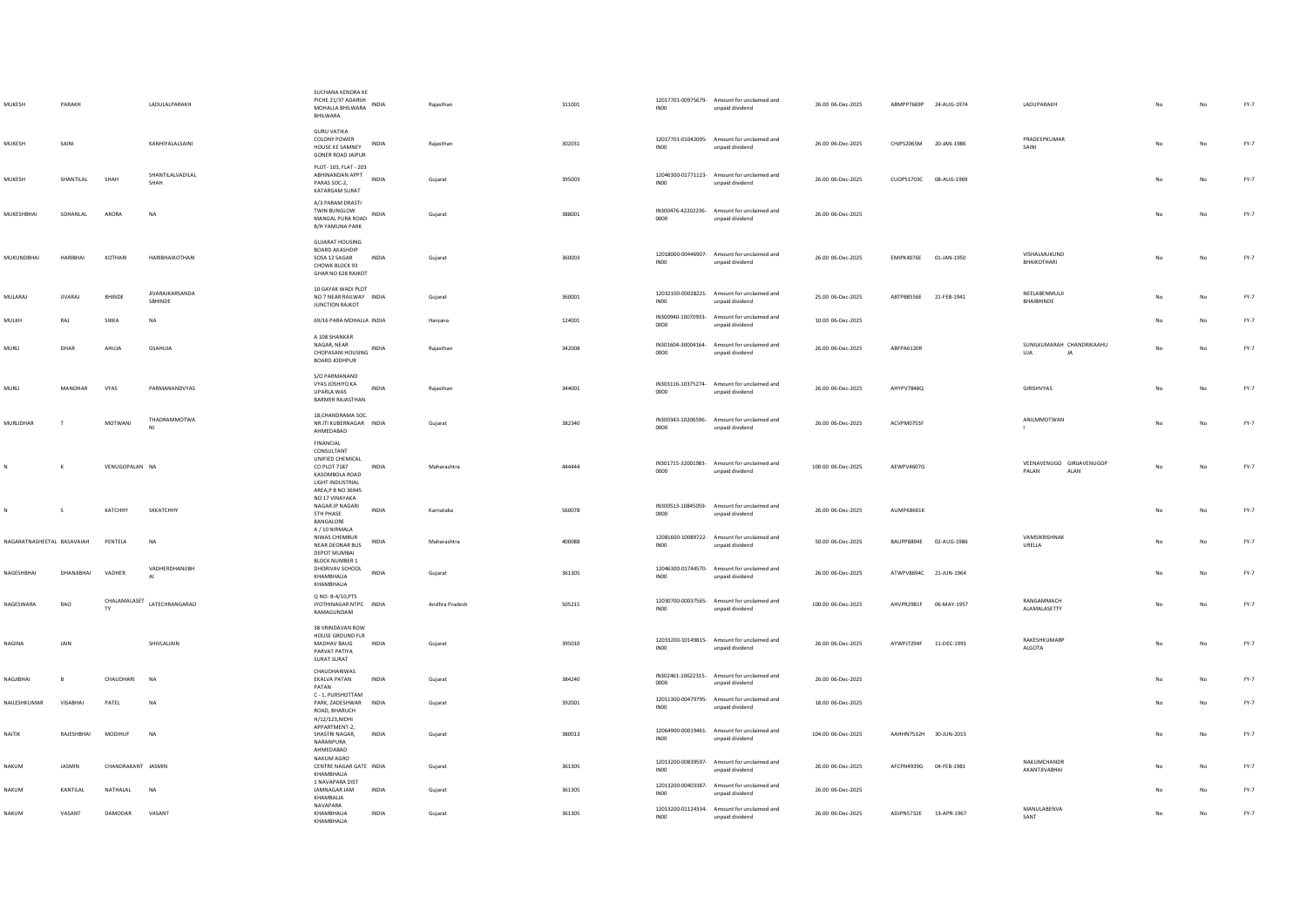| MUKESH                     | PARAKH          |                    | LADULALPARAKH                     | SUCHANA KENDRA KE<br>PICHE 21/37 ADARSH<br>MOHALLA BHILWARA INDIA<br>BHILWARA                                           |              | Rajasthan      | 311001 | IN00             | 12017701-00975679- Amount for unclaimed and<br>unpaid dividend | 26.00 06-Dec-2025  | ABMPP7669P 24-AUG-1974 |             | LADUPARAKH                                 |     | No | FY-7   |
|----------------------------|-----------------|--------------------|-----------------------------------|-------------------------------------------------------------------------------------------------------------------------|--------------|----------------|--------|------------------|----------------------------------------------------------------|--------------------|------------------------|-------------|--------------------------------------------|-----|----|--------|
| MUKESH                     | SAINI           |                    | KANHIYALALSAINI                   | <b>GURU VATIKA</b><br>COLONY POWER<br>HOUSE KE SAMNEY<br><b>GONER ROAD JAIPUR</b>                                       | INDIA        | Rajasthan      | 302031 | INO <sub>0</sub> | 12017701-01042095- Amount for unclaimed and<br>unpaid dividend | 26.00 06-Dec-2025  | CHJPS2065M 20-JAN-1986 |             | PRADEEPKUMAR<br>SAINI                      |     | No | FY-7   |
| MUKESH                     | SHANTILAL       | SHAH               | SHANTILALVADILAL<br>SHAH          | PLOT- 103, FLAT - 203<br>ABHINANDAN APPT<br>PARAS SOC-2,<br>KATARGAM SURAT                                              | <b>INDIA</b> | Gujarat        | 395003 | INO <sub>0</sub> | 12046300-01771123- Amount for unclaimed and<br>unpaid dividend | 26.00 06-Dec-2025  | CUOPS1703C 08-AUG-1969 |             |                                            |     | No | $FY-7$ |
| MUKESHBHAI                 | SOHANLAL        | ARORA              | <b>NA</b>                         | A/3 PARAM DRASTI<br>TWIN BUNGLOW<br>MANGAL PURA ROAD INDIA<br><b>B/H YAMUNA PARK</b>                                    |              | Gujarat        | 388001 | 0000             | IN300476-42202236- Amount for unclaimed and<br>unpaid dividend | 26.00 06-Dec-2025  |                        |             |                                            | No  | No | FY-7   |
| MUKUNDBHAI                 | <b>HARIBHAI</b> | KOTHARI            | HARIBHAIKOTHARI                   | <b>GUJARAT HOUSING</b><br><b>BOARD AKASHDIP</b><br>SOSA 12 SAGAR<br>CHOWK BLOCK 93<br>GHAR NO 628 RAJKOT                | <b>INDIA</b> | Guiarat        | 360003 | INO0             | 12018000-00446907- Amount for unclaimed and<br>unpaid dividend | 26.00 06-Dec-2025  | EMIPK4076E 01-JAN-1950 |             | VISHALMUKUND<br><b>BHAIKOTHARI</b>         | No  | No | FY-7   |
| <b>MULARAJ</b>             | <b>JIVARAJ</b>  | BHINDE             | <b>JIVARAJKARSANDA</b><br>SBHINDE | 10 GAYAK WADI PLOT<br>NO 7 NEAR RAILWAY INDIA<br><b>JUNCTION RAJKOT</b>                                                 |              | Gujarat        | 360001 | INO <sub>0</sub> | 12032100-00028221- Amount for unclaimed and<br>unpaid dividend | 25.00 06-Dec-2025  | ABTPB8556E 21-FEB-1941 |             | NEELABENMULJI<br>BHAIBHINDE                |     | No | $FY-7$ |
| MULKH                      | RAJ             | SIKKA              | NA                                | 69/16 PARA MOHALLA INDIA                                                                                                |              | Haryana        | 124001 | 0000             | IN300940-10070933- Amount for unclaimed and<br>unpaid dividend | 10.00 06-Dec-2025  |                        |             |                                            |     | No | $FY-7$ |
| MURLI                      | DHAR            | AHUJA              | <b>GSAHUJA</b>                    | A 108 SHANKAR<br>NAGAR, NEAR<br>CHOPASANI HOUSING INDIA<br>BOARD JODHPUR                                                |              | Raiasthan      | 342008 | 0000             | IN301604-30004164- Amount for unclaimed and<br>unpaid dividend | 26.00 06-Dec-2025  | ABFPA6120R             |             | SUNILKUMARAH CHANDRIKAAHU<br>UJA<br>JA     | No  | No | FY-7   |
| MURLI                      | MANOHAR         | <b>VYAS</b>        | PARMANANDVYAS                     | S/O PARMANAND<br>VYAS JOSHIYO KA<br>UPARLA WAS<br><b>BARMER RAJASTHAN</b>                                               | INDIA        | Raiasthan      | 344001 | 0000             | IN303116-10375274- Amount for unclaimed and<br>unpaid dividend | 26.00 06-Dec-2025  | AHYPV7848Q             |             | GIRISHVYAS                                 | No  | No | FY-7   |
| MURLIDHAR                  | $\mathbf{r}$    | MOTWANI            | THADRAMMOTWA                      | 18.CHANDRAMA SOC.<br>NR.ITI KUBERNAGAR INDIA<br>AHMEDABAD                                                               |              | Gujarat        | 382340 | 0000             | IN300343-10206596- Amount for unclaimed and<br>unpaid dividend | 26.00 06-Dec-2025  | ACVPM0755F             |             | ANILMMOTWAN                                | No  | No | $FY-7$ |
|                            | К               | VENUGOPALAN NA     |                                   | FINANCIAL<br>CONSULTANT<br>UNIFIED CHEMICAL<br>CO PLOT 7187<br>KASOMBOLA ROAD<br>LIGHT INDUSTRIAL<br>AREA, P B NO 36945 | <b>INDIA</b> | Maharashtra    | 444444 | 0000             | IN301715-32001983- Amount for unclaimed and<br>unpaid dividend | 100.00 06-Dec-2025 | AEWPV4607G             |             | VEENAVENUGO GIRIJAVENUGOP<br>PALAN<br>ALAN | No  | No | FY-7   |
|                            | s               | КАТСННУ            | SKKATCHHY                         | NO 17 VINAYAKA<br>NAGAR JP NAGARI<br><b>STH PHASE</b><br>BANGALORE<br>A / 10 NIRMALA                                    | <b>INDIA</b> | Karnataka      | 560078 | 0000             | IN300513-10845059- Amount for unclaimed and<br>unpaid dividend | 26.00 06-Dec-2025  | AUMPK8661K             |             |                                            | No  | No | $FY-7$ |
| NAGARATNASHEETAL BASAVAIAH |                 | PENTELA            | <b>NA</b>                         | NIWAS CHEMBUR<br>NEAR DEONAR BUS<br>DEPOT MUMBAI                                                                        | INDIA        | Maharashtra    | 400088 | INO <sub>0</sub> | 12081600-10089722- Amount for unclaimed and<br>unpaid dividend | 50.00 06-Dec-2025  | BAUPP8894E             | 02-AUG-1986 | VAMSIKRISHNAK<br>URELLA                    |     | No | $FY-7$ |
| NAGESHBHAI                 | DHANIIRHAI      | VADHER             | VADHERDHANJIBH<br>AI              | <b>BLOCK NUMBER 1</b><br>DHORIVAV SCHOOL<br>KHAMBHALIA<br>KHAMBHALIA                                                    | <b>INDIA</b> | Gujarat        | 361305 | INO <sub>0</sub> | 12046300-01744570- Amount for unclaimed and<br>unpaid dividend | 26.00 06-Dec-2025  | ATWPV8694C 21-JUN-1964 |             |                                            | No  | No | $FY-7$ |
| NAGESWARA                  | RAO             | CHALAMALASET       | LATECHRANGARAO                    | Q NO: B-4/10, PTS<br>JYOTHINAGAR NTPC INDIA<br>RAMAGUNDAM                                                               |              | Andhra Pradesh | 505215 | IN00             | 12030700-00037565- Amount for unclaimed and<br>unpaid dividend | 100.00 06-Dec-2025 | AHVPR2981F 06-MAY-1957 |             | RANGAMMACH<br>ALAMALASETTY                 | No  | No | FY-7   |
| <b>NAGINA</b>              | <b>JAIN</b>     |                    | SHIVI ALIAIN                      | 38 VRINDAVAN ROW<br>HOUSE GROUND FLR<br>MADHAV RAUG<br>PARVAT PATIYA<br>SURAT SURAT                                     | <b>INDIA</b> | Guiarat        | 395010 | INO0             | 12033200-10149815- Amount for unclaimed and<br>unpaid dividend | 26.00 06-Dec-2025  | AYWPJ7294F 11-DEC-1991 |             | RAKESHKUMARP<br>ALGOTA                     | No. | No | FY-7   |
| NAGJIBHAI                  |                 | CHAUDHARI          | NA                                | CHAUDHARIWAS<br>EKALVA PATAN<br>PATAN                                                                                   | INDIA        | Gujarat        | 384240 | 0000             | IN302461-10622315- Amount for unclaimed and<br>unpaid dividend | 26.00 06-Dec-2025  |                        |             |                                            |     | No | $FY-7$ |
| NAILESHKUMAR               | VISABHAI        | PATEL              | <b>NA</b>                         | C - 1. PURSHOTTAM<br>PARK, ZADESHWAR INDIA<br>ROAD, BHARUCH<br>H/12/123, NIDHI                                          |              | Gujarat        | 392001 | IN00             | 12011300-00479795- Amount for unclaimed and<br>unpaid dividend | 18.00 06-Dec-2025  |                        |             |                                            |     | No | FY-7   |
| NAITIK                     | RAJESHBHAI      | <b>MODIHUF</b>     | <b>NA</b>                         | APPARTMENT-2,<br>SHASTRI NAGAR.<br>NARANPURA<br>AHMEDABAD                                                               | <b>INDIA</b> | Gujarat        | 380013 | INO0             | 12064900-00019461- Amount for unclaimed and<br>unpaid dividend | 104.00 06-Dec-2025 | AAHHN7532H 30-JUN-2015 |             |                                            | No  | No | $FY-7$ |
| NAKUM                      | JASMIN          | CHANDRAKANT JASMIN |                                   | NAKUM AGRO<br>CENTRE NAGAR GATE INDIA<br>KHAMBHALIA                                                                     |              | Guiarat        | 361305 | IN00             | 12013200-00839597- Amount for unclaimed and<br>unpaid dividend | 26.00 06-Dec-2025  | AFCPN4939G 04-FEB-1981 |             | NAKUMCHANDR<br>AKANTJIVABHAI               |     | No | FY-7   |
| NAKUM                      | KANTILAL        | NATHALAL           | NA                                | 1 NAVAPARA DIST<br>JAMNAGAR JAM<br>KHAMBALIA                                                                            | INDIA        | Gujarat        | 361305 | INO <sub>0</sub> | 12013200-00403387- Amount for unclaimed and<br>unpaid dividend | 26.00 06-Dec-2025  |                        |             |                                            |     | No | FY-7   |
| NAKUM                      | VASANT          | DAMODAR            | VASANT                            | NAVAPARA<br>KHAMBHALIA<br>KHAMRHALIA                                                                                    | <b>INDIA</b> | Gujarat        | 361305 | IN00             | 12013200-01124334- Amount for unclaimed and<br>unpaid dividend | 26.00 06-Dec-2025  | ADJPN5732E 13-APR-1967 |             | MANULABENVA<br>SANT                        |     | No | $FY-7$ |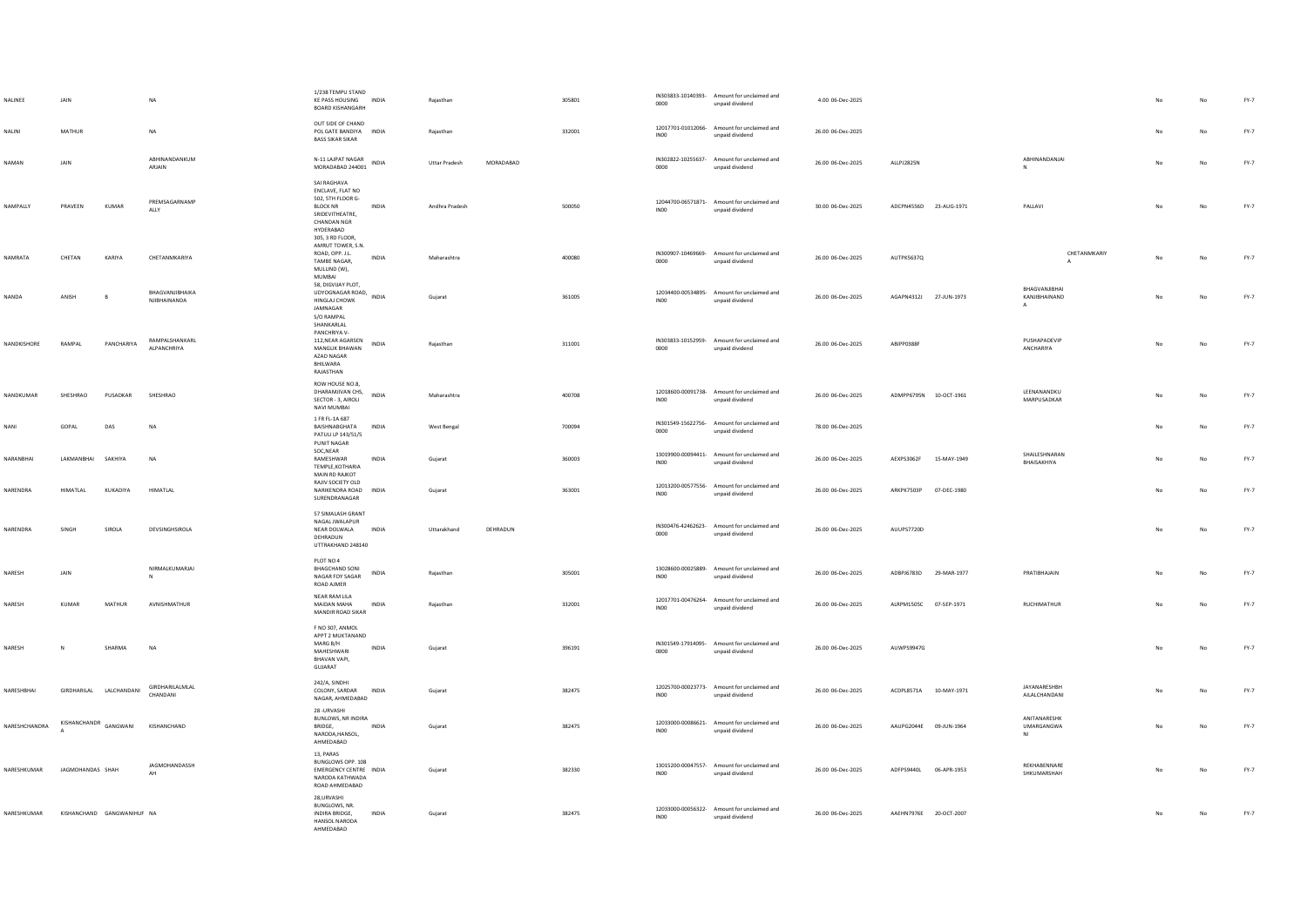| NALINEE                                | JAIN                    |            |                                       | 1/238 TEMPU STAND<br>KE PASS HOUSING INDIA<br><b>BOARD KISHANGARH</b>                                                                     |              | Rajasthan            |           | 305801 | 0000             | IN303833-10140393- Amount for unclaimed and<br>unpaid dividend | 4.00 06-Dec-2025  |                        |             |                                                |    |    | FY-7   |
|----------------------------------------|-------------------------|------------|---------------------------------------|-------------------------------------------------------------------------------------------------------------------------------------------|--------------|----------------------|-----------|--------|------------------|----------------------------------------------------------------|-------------------|------------------------|-------------|------------------------------------------------|----|----|--------|
| NALINI                                 | MATHUR                  |            | <b>NA</b>                             | OUT SIDE OF CHAND<br>POL GATE BANDIYA INDIA<br><b>BASS SIKAR SIKAR</b>                                                                    |              | Raiasthan            |           | 332001 | INO <sub>0</sub> | 12017701-01012066- Amount for unclaimed and<br>unpaid dividend | 26.00 06-Dec-2025 |                        |             |                                                |    | No | $FY-7$ |
| NAMAN                                  | JAIN                    |            | ABHINANDANKUM<br>ARJAIN               | N-11 LAJPAT NAGAR<br>MORADABAD 244001                                                                                                     | INDIA        | <b>Uttar Pradesh</b> | MORADABAD |        | 0000             | IN302822-10255637- Amount for unclaimed and<br>unpaid dividend | 26.00 06-Dec-2025 | ALLPJ2825N             |             | ABHINANDANJAI<br>N                             |    | No | $FY-7$ |
| NAMPALLY                               | PRAVEEN                 | KUMAR      | PREMSAGARNAMP<br>ALLY                 | SAI RAGHAVA<br>ENCLAVE, FLAT NO<br>502, 5TH FLOOR G-<br><b>BLOCK NR</b><br>SRIDEVITHEATRE,<br>CHANDAN NGR<br>HYDERABAD<br>305.3 RD FLOOR. | <b>INDIA</b> | Andhra Pradesh       |           | 500050 | IN00             | 12044700-06571871- Amount for unclaimed and<br>unpaid dividend | 30.00 06-Dec-2025 | ADCPN4556D 23-AUG-1971 |             | PALLAVI                                        |    | No | $FY-7$ |
| NAMRATA                                | CHETAN                  | KARIYA     | CHETANMKARIYA                         | AMRUT TOWER, S.N.<br>ROAD, OPP. J.L.<br>TAMBE NAGAR,<br>MULUND (W),<br>MUMBAI                                                             | INDIA        | Maharashtra          |           | 400080 | 0000             | IN300907-10469669- Amount for unclaimed and<br>unpaid dividend | 26.00 06-Dec-2025 | AUTPK5637Q             |             | CHETANMKARIY<br>$\Delta$                       | No | No | $FY-7$ |
| NANDA                                  | ANISH                   |            | BHAGVANJIBHAIKA<br>NIIRHAINANDA       | 58. DIGVIJAY PLOT.<br>UDYOGNAGAR ROAD,<br>HINGLAJ CHOWK<br>JAMNAGAR<br>S/O RAMPAL<br>SHANKARLAL                                           | INDIA        | Gujarat              |           | 361005 | INO <sub>0</sub> | 12034400-00534895- Amount for unclaimed and<br>unpaid dividend | 26.00 06-Dec-2025 | AGAPN4312J 27-JUN-1973 |             | BHAGVANJIBHAI<br>KANJIBHAINAND<br>$\mathsf{A}$ |    | No | $FY-7$ |
| NANDKISHORE                            | RAMPAL                  | PANCHARIYA | <b>RAMPAISHANKARI</b><br>AI PANCHRIYA | PANCHRIYA V-<br>112.NEAR AGARSEN<br><b>MANGLIK BHAWAN</b><br>AZAD NAGAR<br>BHILWARA<br>RAJASTHAN                                          | INDIA        | Rajasthan            |           | 311001 | 0000             | IN303833-10152959- Amount for unclaimed and<br>unpaid dividend | 26.00 06-Dec-2025 | ABIPP0388F             |             | PUSHAPADEVIP<br>ANCHARIYA                      |    | No | $FY-7$ |
| NANDKUMAR                              | SHESHRAO                | PUSADKAR   | SHESHRAO                              | ROW HOUSE NO.8,<br>DHARAMJIVAN CHS,<br>SECTOR - 3, AIROU<br>NAVI MUMBAI                                                                   | <b>INDIA</b> | Maharashtra          |           | 400708 | INO0             | 12018600-00091738- Amount for unclaimed and<br>unpaid dividend | 26.00 06-Dec-2025 | ADMPP6795N 10-OCT-1961 |             | LEENANANDKU<br>MARPUSADKAR                     | No | No | $FY-7$ |
| <b>NANI</b>                            | GOPAL                   | DAS        | <b>NA</b>                             | 1 FR FL-1A 687<br>BAISHNABGHATA<br>PATULI LP 143/51/5<br>PUNIT NAGAR                                                                      | <b>INDIA</b> | West Bengal          |           | 700094 | 0000             | IN301549-15622756- Amount for unclaimed and<br>unpaid dividend | 78.00 06-Dec-2025 |                        |             |                                                |    | No | FY-7   |
| NARANBHAI                              | LAKMANBHAI              | SAKHIYA    | NA                                    | SOC, NEAR<br>RAMESHWAR<br>TEMPLE, KOTHARIA<br>MAIN RD RAJKOT                                                                              | INDIA        | Gujarat              |           | 360003 | INO <sub>0</sub> | 13019900-00094411- Amount for unclaimed and<br>unpaid dividend | 26.00 06-Dec-2025 | AEXPS3062F             | 15-MAY-1949 | <b>SHAILFSHNARAN</b><br>RHAISAKHIYA            |    | No | $FY-7$ |
| NARENDRA                               | <b>HIMATIAL</b>         | KUKADIYA   | <b>HIMATI AI</b>                      | RAJIV SOCIETY OLD<br>NARIKENDRA ROAD INDIA<br>SURENDRANAGAR                                                                               |              | Guiarat              |           | 363001 | INO0             | 12013200-00577556- Amount for unclaimed and<br>unpaid dividend | 26.00.06-Dec-2025 | ARKPK7503P 07-DEC-1980 |             |                                                | No | No | FY-7   |
| NARENDRA                               | SINGH                   | SIROLA     | DEVSINGHSIROLA                        | 57 SIMALASH GRANT<br>NAGAL JWALAPUR<br>NEAR DOLWALA<br>DEHRADUN<br>UTTRAKHAND 248140                                                      | <b>INDIA</b> | Uttarakhand          | DEHRADUN  |        | 0000             | IN300476-42462623- Amount for unclaimed and<br>unpaid dividend | 26.00 06-Dec-2025 | AUUPS7720D             |             |                                                | No | No | $FY-7$ |
| NARESH                                 | JAIN                    |            | NIRMALKUMARJAI<br>N                   | PLOT NO 4<br><b>BHAGCHAND SONI</b><br>NAGAR FOY SAGAR<br>ROAD AJMER                                                                       | INDIA        | Rajasthan            |           | 305001 | INO <sub>0</sub> | 13028600-00025889- Amount for unclaimed and<br>unpaid dividend | 26.00 06-Dec-2025 | ADBPJ6783D 29-MAR-1977 |             | PRATIBHAJAIN                                   | No | No | $FY-7$ |
| NARESH                                 | KUMAR                   | MATHUR     | AVNISHMATHUR                          | NEAR RAM LILA<br>MAIDAN MAHA<br>MANDIR ROAD SIKAR                                                                                         | <b>INDIA</b> | Raiasthan            |           | 332001 | INO0             | 12017701-00476264- Amount for unclaimed and<br>unpaid dividend | 26.00 06-Dec-2025 | ALRPM1505C 07-SEP-1971 |             | RUCHIMATHUR                                    |    | No | $FY-7$ |
| NARESH                                 | N                       | SHARMA     | NA                                    | F NO 307, ANMOL<br>APPT 2 MUKTANAND<br>MARG B/H<br>MAHFSHWARI<br>BHAVAN VAPI.<br>GUJARAT                                                  | INDIA        | Gujarat              |           | 396191 | 0000             | IN301549-17914095- Amount for unclaimed and<br>unpaid dividend | 26.00 06-Dec-2025 | AUWPS9947G             |             |                                                |    | No | $FY-7$ |
| NARESHBHAI                             | GIRDHARILAL LALCHANDANI |            | GIRDHARILALMLAL<br>CHANDANI           | 242/A, SINDHI<br>COLONY, SARDAR<br>NAGAR, AHMEDABAD                                                                                       | <b>INDIA</b> | Gujarat              |           | 382475 | INO <sub>0</sub> | 12025700-00023773- Amount for unclaimed and<br>unpaid dividend | 26.00 06-Dec-2025 | ACDPL8571A 10-MAY-1971 |             | JAYANARESHBH<br>AILALCHANDANI                  |    | No | $FY-7$ |
| NARESHCHANDRA                          | KISHANCHANDR GANGWANI   |            | KISHANCHAND                           | 28 - URVASHI<br>BUNLOWS, NR INDIRA<br>BRIDGE.<br>NARODA, HANSOL,<br>AHMEDABAD                                                             | <b>INDIA</b> | Gujarat              |           | 382475 | INO <sub>0</sub> | 12033000-00086621- Amount for unclaimed and<br>unpaid dividend | 26.00 06-Dec-2025 | AAUPG2044E 09-JUN-1964 |             | ANITANARESHK<br>UMARGANGWA<br>NI               | No | No | $FY-7$ |
| NARESHKUMAR                            | JAGMOHANDAS SHAH        |            | JAGMOHANDASSH<br>AH                   | 13, PARAS<br>BUNGLOWS OPP. 108<br>EMERGENCY CENTRE INDIA<br>NARODA KATHWADA<br>ROAD AHMEDABAD                                             |              | Gujarat              |           | 382330 | INO <sub>0</sub> | 13015200-00047557- Amount for unclaimed and<br>unpaid dividend | 26.00 06-Dec-2025 | ADFPS9440L             | 06-APR-1953 | REKHABENNARE<br>SHKUMARSHAH                    |    | No | $FY-7$ |
| NARESHKUMAR KISHANCHAND GANGWANIHUF NA |                         |            |                                       | 28, URVASHI<br>BUNGLOWS, NR.<br>INDIRA BRIDGE.<br>HANSOL NARODA<br>AHMEDARAD                                                              | <b>INDIA</b> | Guiarat              |           | 382475 | INO0             | 12033000-00056322- Amount for unclaimed and<br>unpaid dividend | 26.00 06-Dec-2025 | AAEHN7976E 20-OCT-2007 |             |                                                |    | No | $FY-7$ |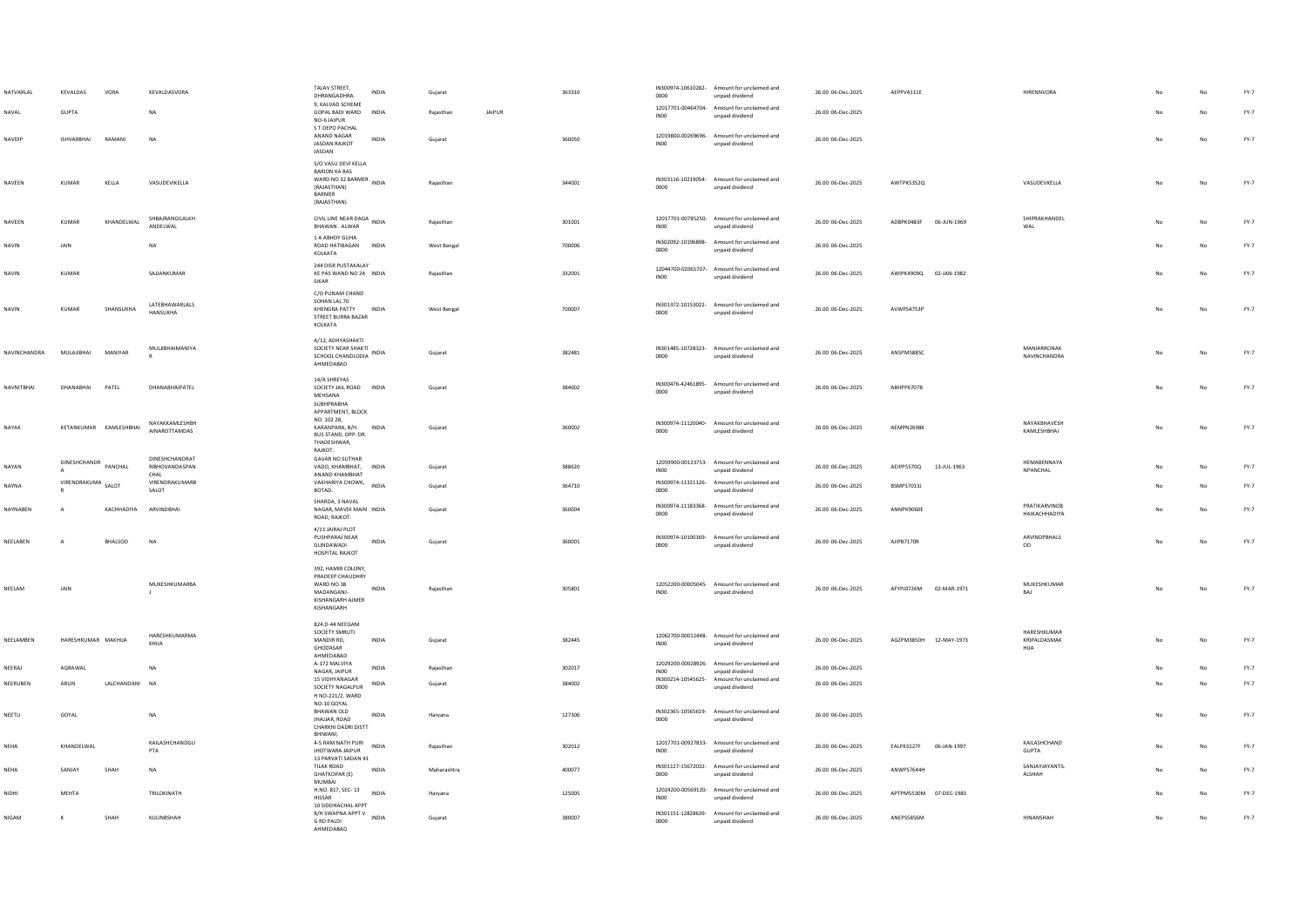| NATVARLAL    | KEVALDAS                 | VORA                  | KEVALDASVORA                             | TALAV STREET,<br><b>INDIA</b><br>DHRANGADHRA.                                                                                    | Guiarat     |        | 363310 | 0000             | IN300974-10610282- Amount for unclaimed and<br>unpaid dividend | 26.00 06-Dec-2025 | AEPPV4111E             |             | <b>HIRENNVORA</b>                   |    | No          | $FY-7$ |
|--------------|--------------------------|-----------------------|------------------------------------------|----------------------------------------------------------------------------------------------------------------------------------|-------------|--------|--------|------------------|----------------------------------------------------------------|-------------------|------------------------|-------------|-------------------------------------|----|-------------|--------|
| NAVAL        | GUPTA                    |                       | NA                                       | 9, KALVAD SCHEME<br>GOPAL BADI WARD<br>INDIA<br>NO-6 JAIPUR<br>S T DEPO PACHAL                                                   | Rajasthan   | JAIPUR |        | IN00             | 12017701-00464704- Amount for unclaimed and<br>unpaid dividend | 26.00 06-Dec-2025 |                        |             |                                     |    | No          | FY-7   |
| NAVDIP       | <b>ISHVARBHAI</b>        | RAMANI                | <b>NA</b>                                | ANAND NAGAR<br><b>INDIA</b><br><b>JASDAN RAJKOT</b><br>JASDAN                                                                    | Guiarat     |        | 360050 | INO <sub>0</sub> | 12019800-00269696- Amount for unclaimed and<br>unpaid dividend | 26.00 06-Dec-2025 |                        |             |                                     |    | No          | FY-7   |
| NAVEEN       | <b>KUMAR</b>             | KELLA                 | VASUDEVIKELLA                            | S/O VASU DEVI KELLA<br><b>BARION KA BAS</b><br>BARIUIN NO 32 BARMER<br>WARD NO 32 BARMER<br>(RAJASTHAN)<br>BARMER<br>(RAJASTHAN) | Rajasthan   |        | 344001 | 0000             | IN303116-10219054- Amount for unclaimed and<br>unpaid dividend | 26.00 06-Dec-2025 | AWTPK5352Q             |             | VASUDEVKELLA                        | No | No          | $FY-7$ |
| NAVEEN       | KUMAR                    | KHANDELWAL            | SHBAJRANGILALKH<br>ANDELWAL              | CIVIL LINE NEAR DAGA INDIA<br>BHAWAN. ALWAR                                                                                      | Rajasthan   |        | 301001 | INO <sub>0</sub> | 12017701-00785250- Amount for unclaimed and<br>unpaid dividend | 26.00 06-Dec-2025 | ADBPK0483F             | 06-JUN-1969 | SHIPRAKHANDEL<br>WAL                |    | No          | $FY-7$ |
| NAVIN        | <b>JAIN</b>              |                       | <b>NA</b>                                | 1 A ABHOY GUHA<br>ROAD HATIBAGAN INDIA<br>KOLKATA                                                                                | West Bengal |        | 700006 | 0000             | IN302092-10196898- Amount for unclaimed and<br>unpaid dividend | 26.00 06-Dec-2025 |                        |             |                                     |    | No          | $FY-7$ |
| NAVIN        | <b>KUMAR</b>             |                       | SAJJANKUMAR                              | 244 DISR PUSTAKALAY<br>KE PAS WAND NO 24 INDIA<br>SIKAR                                                                          | Raiasthan   |        | 332001 | INO0             | 12044700-02065707- Amount for unclaimed and<br>unpaid dividend | 26.00 06-Dec-2025 | AWIPK4909Q 02-JAN-1982 |             |                                     | No | No          | $FY-7$ |
| NAVIN        | KUMAR                    | SHANSUKHA             | LATEBHAWARLALS<br><b>HANSUKHA</b>        | C/O PUNAM CHAND<br>SOHAN LAL 70<br>KHENGRA PATTY<br><b>INDIA</b><br>STREET BURRA BAZAR<br>KOLKATA                                | West Bengal |        | 700007 | 0000             | IN301372-10153022- Amount for unclaimed and<br>unpaid dividend | 26.00.06-Dec-2025 | AVWPS4753P             |             |                                     | No | No          | FY-7   |
| NAVINCHANDRA | MULAJIBHAI               | MANIYAR               | MULJIBHAIMANIYA                          | A/12, ADHYASHAKTI<br>SOCIETY NEAR SHAKTI<br>SOCIETY NEAR SHAKTI INDIA<br>SCHOOL CHANDLODIA<br>AHMEDARAD                          | Gujarat     |        | 382481 | 0000             | IN301485-10728323- Amount for unclaimed and<br>unpaid dividend | 26.00 06-Dec-2025 | <b>ANSPMS885C</b>      |             | MANIARRONAK<br>NAVINCHANDRA         | No | No          | FY-7   |
| NAVNITBHAI   | DHANABHAI PATEL          |                       | DHANABHAIPATEL                           | 14/A SHREYAS<br>SOCIETY JAIL ROAD INDIA<br>MEHSANA<br>SUBHPRABHA<br>APPARTMENT, BLOCK                                            | Gujarat     |        | 384002 | 0000             | IN300476-42461895- Amount for unclaimed and<br>unpaid dividend | 26.00 06-Dec-2025 | ABHPP6707B             |             |                                     | No | No          | FY-7   |
| NAYAK        | KETANKUMAR KAMLESHBHAI   |                       | NAYAKKAMLESHBH<br>AINAROTTAMDAS          | NO. 102 28.<br>KARANPARA, B/H. INDIA<br>BUS STAND, OPP. DR.<br>THADESHWAR,<br>RAJKOT.                                            | Gujarat     |        | 360002 | 0000             | IN300974-11120040- Amount for unclaimed and<br>unpaid dividend | 26.00 06-Dec-2025 | AEMPN2698K             |             | NAYAKBHAVESH<br>KAMLESHBHAI         | No | No          | $FY-7$ |
| NAYAN        | DINESHCHANDR<br>$\Delta$ | PANCHAL               | DINESHCHANDRAT<br>RIBHOVANDASPAN<br>CHAL | <b>GAVAR NO SUTHAR</b><br>VADO, KHAMBHAT, INDIA<br>ANAND KHAMBHAT                                                                | Gujarat     |        | 388620 | INO <sub>0</sub> | 12059900-00123753- Amount for unclaimed and<br>unpaid dividend | 26.00 06-Dec-2025 | AEIPP5570Q             | 13-JUL-1963 | HEMARENNAYA<br><b>NPANCHAL</b>      |    | No          | FY-7   |
| NAYNA        | VIRENDRAKUMA SALOT       |                       | VIRENDRAKUMARB<br>SALOT                  | VAKHARIYA CHOWK,<br>INDIA<br>BOTAD.                                                                                              | Gujarat     |        | 364710 | 0000             | IN300974-11321126- Amount for unclaimed and<br>unpaid dividend | 26.00 06-Dec-2025 | BSMPS7013J             |             |                                     |    | No          | $FY-7$ |
| NAYNABEN     |                          | KACHHADIYA ARVINDBHAI |                                          | SHARDA, 3 NAVAL<br>NAGAR, MAVDI MAIN INDIA<br>ROAD, RAJKOT.                                                                      | Guiarat     |        | 360004 | 0000             | IN300974-11183368- Amount for unclaimed and<br>unpaid dividend | 26.00 06-Dec-2025 | ANNPK9060E             |             | PRATIKARVINDB<br>HAIKACHHADIYA      | No | No          | FY-7   |
| NEELABEN     |                          | BHALSOD               | <b>NA</b>                                | 4/13 JAIRAJ PLOT<br>PUSHPARAJ NEAR<br><b>INDIA</b><br>GUNDAWADI<br><b>HOSPITAL RAJKOT</b>                                        | Gujarat     |        | 360001 | 0000             | IN300974-10100169- Amount for unclaimed and<br>unpaid dividend | 26.00 06-Dec-2025 | AIIPR7170R             |             | ARVINDPBHALS<br>OD                  | No | No          | FY-7   |
| NEELAM       | JAIN                     |                       | MUKESHKUMARBA                            | 392, HAMIR COLONY,<br>PRADEEP CHAUDHRY<br>WARD NO.38<br>INDIA<br>MADANGANJ-<br>KISHANGARH AJMER<br>KISHANGARH                    | Rajasthan   |        | 305801 | INO <sub>0</sub> | 12052200-00005045- Amount for unclaimed and<br>unpaid dividend | 26.00 06-Dec-2025 | AFYPJ0726M 02-MAR-1971 |             | MUKESHKUMAR<br>BAJ                  | No | No          | $FY-7$ |
| NEELAMBEN    | HARESHKUMAR MAKHIJA      |                       | HARESHKUMARMA<br>KHIJA                   | 824.D-44 NEEGAM<br>SOCIETY SMRUTI<br>MANDIR RD,<br>INDIA<br>GHODASAR<br>AHMEDABAD                                                | Gujarat     |        | 382445 | INO0             | 12062700-00012448- Amount for unclaimed and<br>unpaid dividend | 26.00 06-Dec-2025 | AGZPM3850H 12-MAY-1973 |             | HARESHKUMAR<br>KRIPALDASMAK<br>HIJA | No | No          | $FY-7$ |
| NEERAJ       | AGRAWAL                  |                       | NA                                       | A-172 MAI VIYA<br>INDIA<br>NAGAR, JAIPUR                                                                                         | Rajasthan   |        | 302017 | INO <sub>0</sub> | 12029200-00028926- Amount for unclaimed and<br>unpaid dividend | 26.00 06-Dec-2025 |                        |             |                                     |    | No          | $FY-7$ |
| NEERUBEN     | ARUN                     | LALCHANDANI NA        |                                          | 15 VIDHYANAGAR<br><b>INDIA</b><br>SOCIETY NAGALPUR<br>H NO-221/2, WARD<br>NO-10 GOYAL                                            | Guiarat     |        | 384002 | 0000             | IN300214-10545625- Amount for unclaimed and<br>unpaid dividend | 26.00 06-Dec-2025 |                        |             |                                     |    | No          | FY-7   |
| NEETU        | GOYAL                    |                       | NA                                       | BHAWAN OLD<br>INDIA<br><b>JHAJJAR, ROAD</b><br>CHARKHI DADRI DISTT<br>BHIWANI.                                                   | Haryana     |        | 127306 | 0000             | IN302365-10565619- Amount for unclaimed and<br>unpaid dividend | 26.00 06-Dec-2025 |                        |             |                                     | No | $_{\sf No}$ | FY-7   |
| <b>NEHA</b>  | KHANDELWAL               |                       | KAILASHCHANDGU<br>PTA                    | 4-5 RAM NATH PURI<br>INDIA<br>JHOTWARA JAIPUR<br>13 PARVATI SADAN 41                                                             | Raiasthan   |        | 302012 | INO0             | 12017701-00927833- Amount for unclaimed and<br>unpaid dividend | 26.00 06-Dec-2025 | EALPK3127F             | 06-JAN-1997 | KAILASHCHAND<br>GUPTA               | No | No          | $FY-7$ |
| NEHA         | SANJAY                   | SHAH                  | NA                                       | <b>TILAK ROAD</b><br>INDIA<br>GHATKOPAR (E)<br><b>MUMBAI</b>                                                                     | Maharashtra |        | 400077 | 0000             | IN301127-15672032- Amount for unclaimed and<br>unpaid dividend | 26.00 06-Dec-2025 | ANWPS7644H             |             | SANJAYJAYANTIL<br>ALSHAH            |    | No          | FY-7   |
| NIDHI        | MEHTA                    |                       | TRILOKINATH                              | H.NO. 817, SEC-13 INDIA<br>HISSAR<br>10 SIDDHACHAL APPT                                                                          | Haryana     |        | 125005 | INO <sub>0</sub> | 12024200-00569120- Amount for unclaimed and<br>unpaid dividend | 26.00 06-Dec-2025 | APTPM5530M 07-DEC-1983 |             |                                     |    | No          | $FY-7$ |
| <b>NIGAM</b> | ĸ                        | SHAH                  | KULINRSHAH                               | B/H SWAPNA APPT V<br><b>INDIA</b><br><b>G RD PALDI</b><br>AHMEDABAD                                                              | Guiarat     |        | 380007 | 0000             | IN301151-12828639- Amount for unclaimed and<br>unpaid dividend | 26.00.06-Dec-2025 | <b>ANFPS5856M</b>      |             | <b>HINANSHAH</b>                    | No | No          | FY-7   |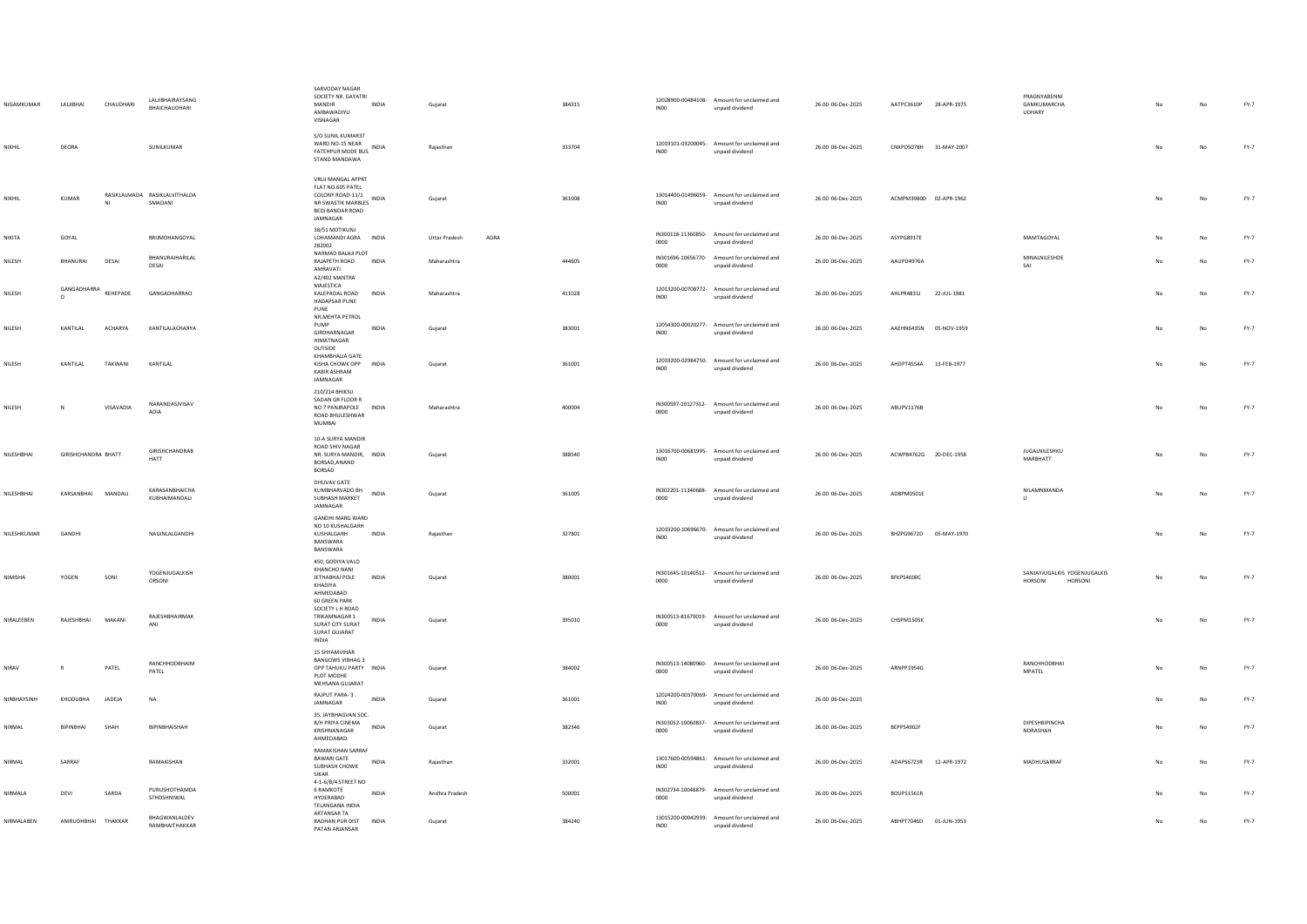| NIGAMKUMAR    | LALJIBHAI              | CHAUDHARI      | <b>LALJIBHAIRAYSANG</b><br>BHAICHAUDHARI | SARVODAY NAGAR<br>SOCIETY NR. GAYATRI<br>MANDIR<br>INDIA<br>AMBAWADIYU<br>VISNAGAR                                               | Gujarat              |      | 384315 | INO <sub>0</sub> | 12028900-00484108- Amount for unclaimed and<br>unpaid dividend | 26.00 06-Dec-2025 | AATPC3610P 28-APR-1975 |             | PRAGNYABENNI<br>GAMKUMARCHA<br>UDHARY              |     | No          | $FY-7$ |
|---------------|------------------------|----------------|------------------------------------------|----------------------------------------------------------------------------------------------------------------------------------|----------------------|------|--------|------------------|----------------------------------------------------------------|-------------------|------------------------|-------------|----------------------------------------------------|-----|-------------|--------|
| NIKHIL        | DEORA                  |                | SUNILKUMAR                               | S/O SUNIL KUMAR37<br>WARD NO-15 NEAR<br>FATEHPUR MODE BUS INDIA<br>STAND MANDAWA                                                 | Rajasthan            |      | 333704 | INO <sub>0</sub> | 12019101-03200045- Amount for unclaimed and<br>unpaid dividend | 26.00 06-Dec-2025 | CNXPD5078H 31-MAY-2007 |             |                                                    | No  | $_{\sf No}$ | $FY-7$ |
| NIKHIL        | <b>KUMAR</b>           |                | RASIKLALMADA RASIKLALVITHALDA<br>SMADANI | VRUJ MANGAL APPRT<br>FLAT NO.605 PATEL<br>COLONY ROAD-11/1<br><b>INDIA</b><br>NR SWASTIK MARBLES<br>BEDI BANDAR ROAD<br>JAMNAGAR | Gujarat              |      | 361008 | INO0             | 13014400-01496059- Amount for unclaimed and<br>unpaid dividend | 26.00 06-Dec-2025 | ACMPM3980D 02-APR-1962 |             |                                                    | No  | No          | FY-7   |
| <b>NIKITA</b> | GOYAL                  |                | BRIJMOHANGOYAL                           | 38/51 MOTIKUNJ<br>LOHAMANDI AGRA INDIA<br>282002                                                                                 | <b>Uttar Pradesh</b> | AGRA |        | 0000             | IN300118-11360850- Amount for unclaimed and<br>unpaid dividend | 26.00 06-Dec-2025 | ASYPG8917E             |             | MAMTAGOYAL                                         | No  | No          | FY-7   |
| NILESH        | BHANURAI               | DESAI          | BHANURAIHARILAL<br>DESAI                 | NARMAD BALAJI PLOT<br>RAJAPETH ROAD<br>INDIA<br>AMRAVATI<br>A2/402 MANTRA                                                        | Maharashtra          |      | 444605 | 0000             | IN301696-10656770- Amount for unclaimed and<br>unpaid dividend | 26.00 06-Dec-2025 | AAUPD4976A             |             | MINALNILESHDE<br>SAI                               |     | No          | $FY-7$ |
| NILESH        | GANGADHARRA<br>$\circ$ | REHEPADE       | GANGADHARRAO                             | MAJESTICA<br>KALEPADAL ROAD<br><b>INDIA</b><br><b>HADAPSAR PUNE</b><br>PUNE                                                      | Maharashtra          |      | 411028 | INO <sub>0</sub> | 12013200-00708772- Amount for unclaimed and<br>unpaid dividend | 26.00 06-Dec-2025 | AHLPR4831J             | 22-JUL-1981 |                                                    | No  | No          | FY-7   |
| NILESH        | KANTILAL               | <b>ACHARYA</b> | KANTILALACHARYA                          | NR, MEHTA PETROL<br>PUMP<br>INDIA<br>GIRDHARNAGAR<br>HIMATNAGAR                                                                  | Gujarat              |      | 383001 | INO0             | 12054300-00020277- Amount for unclaimed and<br>unpaid dividend | 26.00 06-Dec-2025 | AAEHN6435N 05-NOV-1959 |             |                                                    | No  | No          | $FY-7$ |
| NILESH        | KANTILAL               | TAKWANI        | KANTILAL                                 | OUTSIDE<br>KHAMBHALIA GATE<br>KISHA CHOWK OPP INDIA<br>KABIR ASHRAM<br>JAMNAGAR                                                  | Gujarat              |      | 361001 | INO <sub>0</sub> | 12033200-02984750- Amount for unclaimed and<br>unpaid dividend | 26.00 06-Dec-2025 | AHDPT4554A 13-FEB-1977 |             |                                                    |     | $_{\sf No}$ | FY-7   |
| NILESH        | N                      | VISAVADIA      | NARANDASJVISAV<br>ADIA                   | 210/214 BHIKSU<br>SADAN GR FLOOR R<br>NO 7 PANJRAPOLE INDIA<br>ROAD BHULESHWAR<br>MUMBAI                                         | Maharashtra          |      | 400004 | 0000             | IN300597-10127312- Amount for unclaimed and<br>unpaid dividend | 26.00 06-Dec-2025 | ABUPV1176B             |             |                                                    | No  | $_{\sf No}$ | $FY-7$ |
| NILESHBHAI    | GIRISHCHANDRA BHATT    |                | GIRISHCHANDRAB<br><b>HATT</b>            | 10-A SURYA MANDIR<br>ROAD SHIV NAGAR<br>NR. SURYA MANDIR, INDIA<br>BORSAD, ANAND<br><b>BORSAD</b>                                | Gujarat              |      | 388540 | INO <sub>0</sub> | 13016700-00681995- Amount for unclaimed and<br>unpaid dividend | 26.00 06-Dec-2025 | ACWPB4762G 20-DEC-1958 |             | JUGALNILESHKU<br>MARBHATT                          |     | No          | $FY-7$ |
| NILESHBHAI    | KARSANRHAI             | <b>MANDALL</b> | KARASANBHAICHA<br>KUBHAIMANDALI          | DHUVAV GATE<br>KUMBHARVADO BH<br><b>INDIA</b><br>SUBHASH MARKET<br>JAMNAGAR                                                      | Guiarat              |      | 361005 | 0000             | IN302201-11340688- Amount for unclaimed and<br>unpaid dividend | 26.00 06-Dec-2025 | ADRPM0501F             |             | NILAMNMANDA<br>$\mathbf{u}$                        | No  | No          | FY-7   |
| NILESHKUMAR   | GANDHI                 |                | NAGINLALGANDHI                           | <b>GANDHI MARG WARD</b><br>NO 10 KUSHALGARH<br>KUSHALGARH<br><b>INDIA</b><br>RANSWARA<br>BANSWARA                                | Raiasthan            |      | 327801 | INO0             | 12033200-10696670- Amount for unclaimed and<br>unpaid dividend | 26.00 06-Dec-2025 | BHZPG9672D 05-MAY-1970 |             |                                                    | No. | No          | $FY-7$ |
| NIMISHA       | YOGEN                  | SONI           | YOGENJUGALKISH<br>ORSONI                 | 450, GODIYA VALO<br>KHANCHO NANI<br>JETHABHAI POLE<br>INDIA<br>KHADIYA<br>AHMEDABAD                                              | Gujarat              |      | 380001 | 0000             | IN301645-10140512- Amount for unclaimed and<br>unpaid dividend | 26.00 06-Dec-2025 | BFKPS4600C             |             | SANJAYJUGALKIS YOGENJUGALKIS<br>HORSONI<br>HORSONI | No  | $_{\sf No}$ | $FY-7$ |
| NIRALEEBEN    | RAJESHBHAI             | MAKANI         | <b>RAIFSHRHAIRMAK</b><br>ANI             | <b>60 GREEN PARK</b><br>SOCIETY L H ROAD<br>TRIKAMNAGAR 1<br>INDIA<br>SURAT CITY SURAT<br>SURAT GUJARAT<br>INDIA                 | Gujarat              |      | 395010 | 0000             | IN300513-81679019- Amount for unclaimed and<br>unpaid dividend | 26.00 06-Dec-2025 | CHSPM1505K             |             |                                                    | No  | $_{\sf No}$ | $FY-7$ |
| NIRAV         | $\mathsf R$            | PATEL          | RANCHHODBHAIM<br>PATEL                   | 15 SHYAMVIHAR<br><b>BANGOWS VIBHAG 3</b><br>OPP TAHUKU PARTY INDIA<br>PLOT MODHE<br>MEHSANA GUJARAT                              | Gujarat              |      | 384002 | 0000             | IN300513-14080960- Amount for unclaimed and<br>unpaid dividend | 26.00 06-Dec-2025 | ARNPP1954G             |             | RANCHHODBHAI<br>MPATEL                             | No  | No          | $FY-7$ |
| NIRRHAYSINH   | KHODURHA               | <b>IADEIA</b>  | <b>NA</b>                                | RAJPUT PARA-3.<br><b>INDIA</b><br>JAMNAGAR                                                                                       | Guiarat              |      | 361001 | INO0             | 12024200-00370069- Amount for unclaimed and<br>unpaid dividend | 26.00 06-Dec-2025 |                        |             |                                                    | No  | No          | FY-7   |
| NIRMAL        | BIPINBHAI              | SHAH           | BIPINBHAISHAH                            | 35, JAYBHAGVAN SOC.<br>B/H PRIYA CINEMA<br><b>INDIA</b><br>KRISHNANAGAR<br>AHMEDABAD                                             | Gujarat              |      | 382346 | 0000             | IN303052-10060837- Amount for unclaimed and<br>unpaid dividend | 26.00 06-Dec-2025 | BEPPS4902F             |             | DIPESHBIPINCHA<br>NDRASHAH                         | No  | No          | $FY-7$ |
| NIRMAI        | SARRAF                 |                | RAMAKISHAN                               | RAMAKISHAN SARRAF<br>BAWARI GATE<br>INDIA<br>SUBHASH CHOWK<br>SIKAR                                                              | Rajasthan            |      | 332001 | IN <sub>00</sub> | 13017600-00594861- Amount for unclaimed and<br>unpaid dividend | 26.00 06-Dec-2025 | ADAPS6723R 12-APR-1972 |             | MADHUSARRAF                                        |     | No          | $FY-7$ |
| NIRMALA       | DEVI                   | SARDA          | PURUSHOTHAMDA<br>STHOSHNIWAL             | 4-1-6/B/4 STREET NO<br>6 RAMKOTE<br>INDIA<br>HYDERABAD<br>TELANGANA INDIA                                                        | Andhra Pradesh       |      | 500001 | 0000             | IN302734-10048879- Amount for unclaimed and<br>unpaid dividend | 26.00 06-Dec-2025 | BOUPS1561R             |             |                                                    |     | $_{\sf No}$ | $FY-7$ |
| NIRMALABEN    | ANIRUDHBHAI THAKKAR    |                | BHAGWANLALDEV<br>RAMBHAITHAKKAR          | ARTANSAR TA<br>RADHAN PUR DIST<br><b>INDIA</b><br>PATAN ARJANSAR                                                                 | Guiarat              |      | 384240 | INO0             | 13015200-00042939- Amount for unclaimed and<br>unpaid dividend | 26.00 06-Dec-2025 | ABHPT7046D 01-JUN-1953 |             |                                                    | No  | No          | $FY-7$ |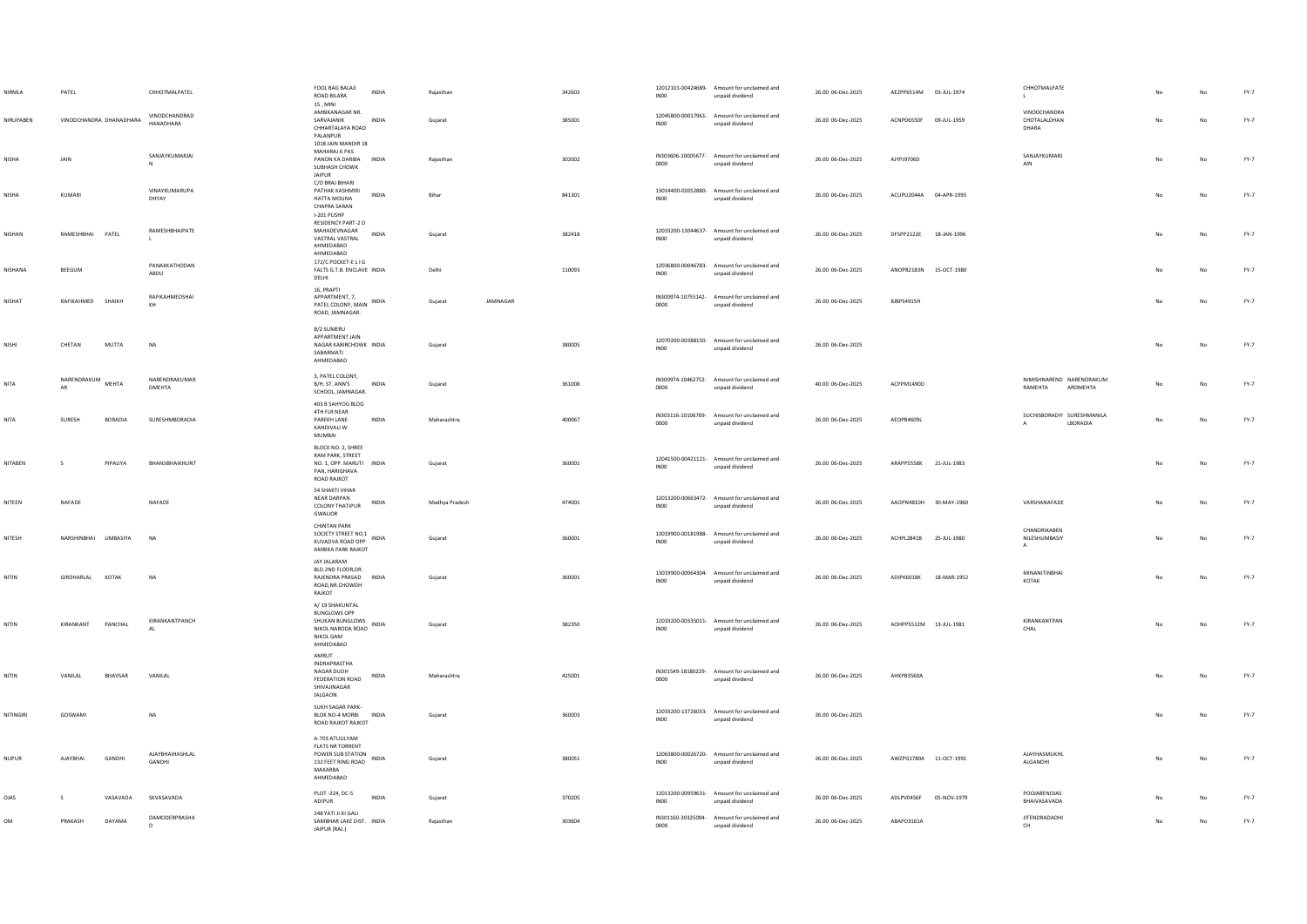| NIRMLA       | PATEL                      |                | CHHOTMALPATEL                | FOOL BAG BALAJI<br><b>INDIA</b><br>ROAD BILARA<br>15, MINI                                                           | Rajasthan   |                |          | 342602 | INO <sub>0</sub>                       | 12012101-00424689- Amount for unclaimed and<br>unpaid dividend | 26.00 06-Dec-2025 | AEZPP6514M 03-JUL-1974 |             | CHHOTMALPATE                                    |    |    | $FY-7$ |
|--------------|----------------------------|----------------|------------------------------|----------------------------------------------------------------------------------------------------------------------|-------------|----------------|----------|--------|----------------------------------------|----------------------------------------------------------------|-------------------|------------------------|-------------|-------------------------------------------------|----|----|--------|
| NIRUPABEN    | VINODCHANDRA DHANADHARA    |                | VINODCHANDRAD<br>HANADHARA   | AMBIKANAGAR NR.<br>SARVAJANIK<br>INDIA<br>CHHARTALAYA ROAD<br>PALANPUR<br>1018 JAIN MANDIR 18                        | Gujarat     |                |          | 385001 | INO <sub>0</sub>                       | 12045800-00017961- Amount for unclaimed and<br>unpaid dividend | 26.00 06-Dec-2025 | ACNPD6550F             | 09-JUL-1959 | VINODCHANDRA<br>CHOTALALDHAN<br>DHARA           |    | No | FY-7   |
| NISHA        | <b>JAIN</b>                |                | SANJAYKUMARJAI               | MAHARAJ K PAS<br>PANON KA DARIBA INDIA<br>SUBHASH CHOWK<br>JAIPUR                                                    | Raiasthan   |                |          | 302002 | IN303606-10005677-<br>0000             | Amount for unclaimed and<br>unpaid dividend                    | 26.00 06-Dec-2025 | AIYP19706D             |             | SANJAYKUMARJ<br>AIN                             |    | No | FY-7   |
| NISHA        | KUMARI                     |                | VINAYKUMARUPA<br>DHYAY       | C/O BRAJ BIHARI<br>PATHAK KASHMIRI<br><b>INDIA</b><br>HATTA MOUNA<br>CHAPRA SARAN<br>I-201 PUSHP                     | Bihar       |                |          | 841301 | INO0                                   | 13014400-02052880- Amount for unclaimed and<br>unpaid dividend | 26.00 06-Dec-2025 | ACUPU2044A 04-APR-1993 |             |                                                 | No | No | FY-7   |
| NISHAN       | RAMESHBHAI PATEL           |                | RAMESHBHAIPATE               | <b>RESIDENCY PART-2 O</b><br>MAHADEVNAGAR<br><b>INDIA</b><br>VASTRAL VASTRAL<br>AHMEDABAD<br>AHMEDABAD               | Guiarat     |                |          | 382418 | 12033200-13044637-<br>INO <sub>0</sub> | Amount for unclaimed and<br>unpaid dividend                    | 26.00 06-Dec-2025 | DFSPP2122E 18-JAN-1996 |             |                                                 | No | No | FY-7   |
| NISHANA      | BEEGUM                     |                | PANAKKATHODAN<br>ABDU        | 172/C POCKET-E LIG<br>FALTS G.T.B. ENCLAVE INDIA<br>DELHI                                                            | Delhi       |                |          | 110093 | <b>IN00</b>                            | 12036800-00046783- Amount for unclaimed and<br>unpaid dividend | 26.00 06-Dec-2025 | ANOPB2183N             | 15-OCT-1980 |                                                 |    | No | FY-7   |
| NISHAT       | RAFIKAHMED SHAIKH          |                | RAFIKAHMEDSHAI               | 16, PRAPTI<br>APPARTMENT, 7,<br>PATEL COLONY, MAIN INDIA<br>ROAD, JAMNAGAR.                                          | Gujarat     |                | JAMNAGAR |        | 0000                                   | IN300974-10755142- Amount for unclaimed and<br>unpaid dividend | 26.00 06-Dec-2025 | BJBPS4915H             |             |                                                 |    | No | FY-7   |
| NISHI        | CHETAN                     | MUTTA          | N <sub>A</sub>               | B/2 SUMERU<br>APPARTMENT JAIN<br>NAGAR KABIRCHOWK INDIA<br>SABARMATI<br>AHMEDABAD                                    | Gujarat     |                |          | 380005 | INO <sub>0</sub>                       | 12070200-00388150- Amount for unclaimed and<br>unpaid dividend | 26.00 06-Dec-2025 |                        |             |                                                 |    | No | $FY-7$ |
| NITA         | NARENDRAKUM<br>AR          | <b>MFHTA</b>   | NARENDRAKUMAR<br>DMEHTA      | 3, PATEL COLONY,<br>B/H. ST. ANN'S<br>INDIA<br>SCHOOL, JAMNAGAR.                                                     | Gujarat     |                |          | 361008 | 0000                                   | IN300974-10462752- Amount for unclaimed and<br>unpaid dividend | 40.00 06-Dec-2025 | ACPPM1490D             |             | NIMISHNAREND NARENDRAKUM<br>RAMEHTA<br>ARDMEHTA |    | No | $FY-7$ |
| NITA         | SURESH                     | <b>BORADIA</b> | SURESHMBORADIA               | 403 B SAHYOG BLDG<br>4TH FLR NEAR<br>PAREKH LANE<br>INDIA<br>KANDIVALI W<br>MUMBAI                                   | Maharashtra |                |          | 400067 | 0000                                   | IN303116-10106709- Amount for unclaimed and<br>unpaid dividend | 26.00 06-Dec-2025 | AEOPB4609L             |             | SUCHISBORADIY SURESHMANILA<br>LBORADIA          | No | No | $FY-7$ |
| NITABEN      | s                          | PIPALIYA       | BHANJIBHAIKHUNT              | BLOCK NO. 2, SHREE<br>RAM PARK, STREET<br>NO. 1, OPP. MARUTI INDIA<br>PAN, HARIGHAVA<br>ROAD RAJKOT                  | Gujarat     |                |          | 360001 | INO <sub>0</sub>                       | 12041500-00421121- Amount for unclaimed and<br>unpaid dividend | 26.00 06-Dec-2025 | ARAPP5558K             | 21-JUL-1983 |                                                 |    | No | $FY-7$ |
| NITEEN       | <b>NAFADE</b>              |                | NAFADE                       | <b>54 SHAKTI VIHAR</b><br>NEAR DARPAN<br>INDIA<br>COLONY THATIPUR<br>GWALIOR                                         |             | Madhya Pradesh |          | 474001 | INO <sub>0</sub>                       | 12013200-00663472- Amount for unclaimed and<br>unpaid dividend | 26.00 06-Dec-2025 | AAOPN4810H 30-MAY-1960 |             | VARSHANAFADE                                    |    | No | FY-7   |
| NITESH       | NARSHINBHAI LIMBASIYA      |                | <b>NA</b>                    | <b>CHINTAN PARK</b><br>SOCIETY STREET NO.1 INDIA<br>KUVADVA ROAD OPP<br>AMBIKA PARK RAJKOT                           | Guiarat     |                |          | 360001 | INO0                                   | 13019900-00181988- Amount for unclaimed and<br>unpaid dividend | 26.00 06-Dec-2025 | ACHPL2841B 25-JUL-1980 |             | CHANDRIKAREN<br>NILESHLIMBASIY<br>$\mathbf{A}$  |    | No | FY-7   |
| NITIN        | <b>KOTAK</b><br>GIRDHARLAL |                | N <sub>A</sub>               | JAY JALARAM<br>BLD.2ND FLOOR, DR.<br>RAJENDRA PRASAD INDIA<br>ROAD, NR.CHOWDH<br>RAJKOT                              | Gujarat     |                |          | 360001 | IN00                                   | 13019900-00064304- Amount for unclaimed and<br>unpaid dividend | 26.00 06-Dec-2025 | ADIPK6018K             | 18-MAR-1952 | MINANITINRHAI<br>KOTAK                          |    | No | FY-7   |
| NITIN        | KIRANKANT                  | PANCHAL        | KIRANKANTPANCH<br>$\Delta$ 1 | A/19 SHAKUNTAL<br><b>BUNGLOWS OPP</b><br>SHUKAN BUNGLOWS<br>NIKOL NARODA ROAD INDIA<br><b>NIKOL GAM</b><br>AHMEDABAD | Gujarat     |                |          | 382350 | INO <sub>0</sub>                       | 12033200-00335011- Amount for unclaimed and<br>unpaid dividend | 26.00 06-Dec-2025 | AOHPP5512M 13-JUL-1981 |             | KIRANKANTPAN<br>CHAL                            |    |    | $FY-7$ |
| NITIN        | VANILAL                    | BHAVSAR        | VANILAL                      | AMRUT<br>INDRAPRASTHA<br>NAGAR DUDH<br>INDIA<br>FEDERATION ROAD<br>SHIVAJINAGAR<br>JALGAON                           | Maharashtra |                |          | 425001 | 0000                                   | IN301549-18180229- Amount for unclaimed and<br>unpaid dividend | 26.00 06-Dec-2025 | AHXPB3560A             |             |                                                 |    | No | FY-7   |
| NITINGIRI    | GOSWAM                     |                | NA                           | SUKH SAGAR PARK-<br>BLOK NO-4 MORBI INDIA<br>ROAD RAJKOT RAJKOT                                                      | Gujarat     |                |          | 360003 | INO <sub>0</sub>                       | 12033200-13726033- Amount for unclaimed and<br>unpaid dividend | 26.00 06-Dec-2025 |                        |             |                                                 |    | No | $FY-7$ |
| <b>NUPUR</b> | AJAYBHAI                   | GANDHI         | AJAYBHAIHASHLAL<br>GANDHI    | A-703 ATUULYAM<br><b>FLATS NR TORRENT</b><br>POWER SUB STATION<br>132 FEET RING ROAD INDIA<br>MAKARBA<br>AHMEDABAD   | Gujarat     |                |          | 380051 | INO <sub>0</sub>                       | 12063800-00026720- Amount for unclaimed and<br>unpaid dividend | 26.00 06-Dec-2025 | AWZPG1780A 11-OCT-1991 |             | AJAYHASMUKHL<br>ALGANDHI                        |    |    | FY-7   |
| OJAS         |                            | VASAVADA       | SKVASAVADA                   | PLOT -224, DC-5<br><b>INDIA</b><br><b>ADIPUR</b>                                                                     | Gujarat     |                |          | 370205 | INO <sub>0</sub>                       | 12013200-00959631- Amount for unclaimed and<br>unpaid dividend | 26.00 06-Dec-2025 | ADLPV0456F             | 05-NOV-1979 | POOJABENOJAS<br>BHAIVASAVADA                    |    | No | $FY-7$ |
| <b>OM</b>    | PRAKASH                    | DAYAMA         | DAMODERPRASHA<br>$\mathsf D$ | 248 YATI JI KI GALI<br>SAMBHAR LAKE DIST. INDIA<br>JAIPUR (RAJ.)                                                     | Rajasthan   |                |          | 303604 | 0000                                   | IN301160-30325094- Amount for unclaimed and<br>unpaid dividend | 26.00 06-Dec-2025 | ABAPD3161A             |             | <b>IITENDRADADHI</b><br>CH                      |    | No | $FY-7$ |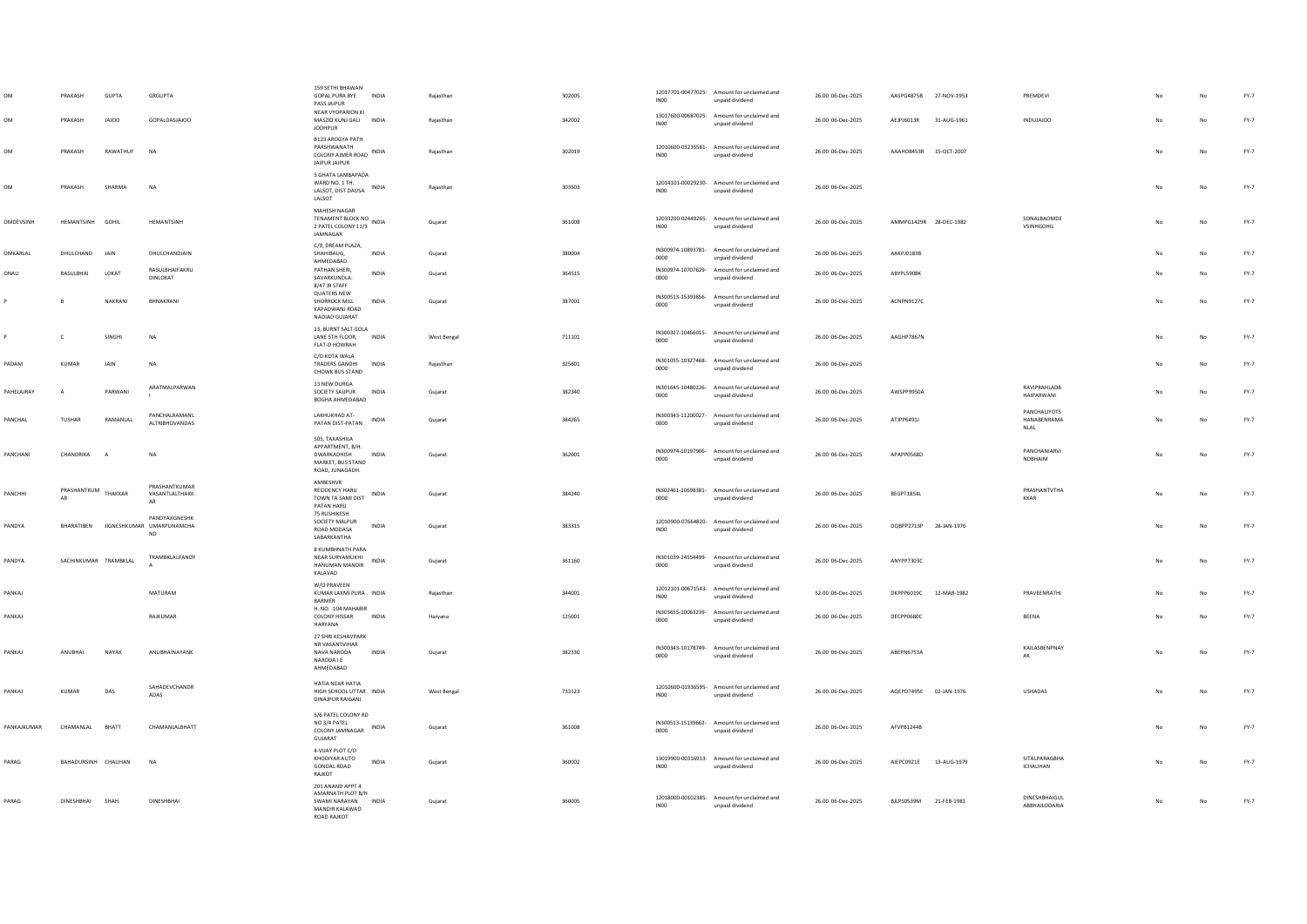|             | PRAKASH<br>PRAKASH    | GUPTA<br>JAJOO | GRGUPTA<br>GOPALDASJAJOO                                            | 159 SETHI BHAWAN<br>GOPAL PURA BYE INDIA<br>PASS JAIPUR<br>NEAR VYOPARION KI<br>MASZID KUNJ GALI INDIA   | Rajasthan<br>Rajasthan | 302005<br>342002 | IN00<br>INO <sub>0</sub> | 12017701-00477025- Amount for unclaimed and<br>unpaid dividend<br>13017600-00687025- Amount for unclaimed and<br>unpaid dividend | 26.00 06-Dec-2025<br>26.00 06-Dec-2025 | AASPG4875B 27-NOV-1953<br>AEJPJ6013R | 31-AUG-1961 | PREMDEVI<br><b>OOIAIDO</b>          |                | No          | $FY-7$<br>FY-7 |
|-------------|-----------------------|----------------|---------------------------------------------------------------------|----------------------------------------------------------------------------------------------------------|------------------------|------------------|--------------------------|----------------------------------------------------------------------------------------------------------------------------------|----------------------------------------|--------------------------------------|-------------|-------------------------------------|----------------|-------------|----------------|
| OM          | PRAKASH               | RAWATHUF       | <b>NA</b>                                                           | <b>JODHPUR</b><br><b>B123 AROGYA PATH</b><br>PARSHWANATH<br>COLONY AJMER ROAD INDIA<br>JAIPUR JAIPUR     | Rajasthan              | 302019           | INO <sub>0</sub>         | 12010600-03235581- Amount for unclaimed and<br>unpaid dividend                                                                   | 26.00 06-Dec-2025                      | AAAHO8453R 15-OCT-2007               |             |                                     | No             | No          | FY-7           |
| <b>OM</b>   | PRAKASH               | SHARMA         | <b>NA</b>                                                           | 5 GHATA LAMBAPADA<br>WARD NO. 1 TH.<br>LALSOT, DIST DAUSA INDIA<br>LALSOT                                | Rajasthan              | 303503           | INO <sub>0</sub>         | 12014101-00029230- Amount for unclaimed and<br>unpaid dividend                                                                   | 26.00 06-Dec-2025                      |                                      |             |                                     | No             | No          | FY-7           |
| OMDEVSINH   | HEMANTSINH GOHIL      |                | <b>HEMANTSINH</b>                                                   | MAHESH NAGAR<br>TENAMENT BLOCK NO<br>TENAMENT BLOCK NO<br>2 PATEL COLONY 11/3<br>JAMNAGAR                | Guiarat                | 361008           | INO0                     | 12033200-02449265- Amount for unclaimed and<br>unpaid dividend                                                                   | 26.00.06-Dec-2025                      | AMMPG1429R 28-DEC-1982               |             | SONALBAOMDE<br>VSINHGOHIL           | No             | No          | FY-7           |
| OMKARLAL    | DHULCHAND JAIN        |                | DHULCHANDJAIN                                                       | C/9, DREAM PLAZA,<br>INDIA<br>SHAHIBAUG.<br><b>AHMEDARAD</b>                                             | Guiarat                | 380004           | 0000                     | IN300974-10893781- Amount for unclaimed and<br>unpaid dividend                                                                   | 26.00 06-Dec-2025                      | AAKPJ0183B                           |             |                                     |                | No          | $FY-7$         |
| ONALI       | RASULBHAI             | LOKAT          | RASULBHAIFAKRU<br>DINLOKAT                                          | PATHAN SHERI<br><b>INDIA</b><br>SAVARKUNDLA.<br>8/47 JR STAFF                                            | Guiarat                | 364515           | 0000                     | IN300974-10707629- Amount for unclaimed and<br>unpaid dividend                                                                   | 26.00 06-Dec-2025                      | ABYPL5908K                           |             |                                     |                | No          | $FY-7$         |
|             |                       | NAKRANI        | RHNAKRANI                                                           | <b>QUATERS NEW</b><br><b>SHORROCK MILL</b><br>INDIA<br>KAPADWANJ ROAD<br>NADIAD GUJARAT                  | Gujarat                | 387001           | 0000                     | IN300513-15393856- Amount for unclaimed and<br>unpaid dividend                                                                   | 26.00 06-Dec-2025                      | ACNPN9127C                           |             |                                     | No             | No          | FY-7           |
|             |                       | SINGHI         | NA                                                                  | 13, BURNT SALT GOLA<br>LANE STH FLOOR, INDIA<br>FLAT-D HOWRAH                                            | West Bengal            | 711101           | 0000                     | IN300327-10466015- Amount for unclaimed and<br>unpaid dividend                                                                   | 26.00 06-Dec-2025                      | AAGHP7867N                           |             |                                     |                | $_{\sf No}$ | $FY-7$         |
| PADAM       | <b>KUMAR</b>          | JAIN           | <b>NA</b>                                                           | C/O KOTA WALA<br>TRADERS GANDHI<br><b>INDIA</b><br><b>CHOWK BUS STAND</b>                                | Raiasthan              | 325601           | 0000                     | IN301055-10327468- Amount for unclaimed and<br>unpaid dividend                                                                   | 26.00 06-Dec-2025                      |                                      |             |                                     | No             | No          | $FY-7$         |
| PAHELAJRAY  | $\mathbf{A}$          | PARWANI        | ARATMALPARWAN                                                       | 13 NEW DURGA<br><b>INDIA</b><br>SOCIETY SAUPUR<br>BOGHA AHMEDABAD                                        | Gujarat                | 382340           | 0000                     | IN301645-10480226- Amount for unclaimed and<br>unpaid dividend                                                                   | 26.00 06-Dec-2025                      | AWSPP9950A                           |             | RAVIPRAHLADB<br>HAIPARWANI          | No             | No          | FY-7           |
| PANCHAL     | <b>TUSHAR</b>         | RAMANI AI      | PANCHALRAMANL<br>ALTRIBHOVANDAS                                     | LAKHUKHAD AT-<br>INDIA<br>PATAN DIST-PATAN                                                               | Gujarat                | 384265           | 0000                     | IN300343-11200027- Amount for unclaimed and<br>unpaid dividend                                                                   | 26.00 06-Dec-2025                      | ATJPP6491J                           |             | PANCHALIYOTS<br>HANABENRAMA<br>NLAL | No             | No          | FY-7           |
| PANCHANI    | CHANDRIKA             | A              | NA                                                                  | 505, TAXASHILA<br>APPARTMENT, B/H.<br>DWARKADHISH<br><b>INDIA</b><br>MARKET, BUS STAND<br>ROAD, JUNAGADH | Gujarat                | 362001           | 0000                     | IN300974-10197906- Amount for unclaimed and<br>unpaid dividend                                                                   | 26.00 06-Dec-2025                      | APAPP0568D                           |             | PANCHANIARVI<br>NDBHAIM             | N <sub>0</sub> | No          | FY-7           |
| PANCHHI     | PRASHANTKUM THAKKAR   |                | PRASHANTKUMAR<br>VASANTLALTHAKK<br>AR                               | AMBESHVR<br><b>RECIDENCY HARU</b><br>INDIA<br>TOWN TA SAMI DIST<br>PATAN HARIJ                           | Gujarat                | 384240           | 0000                     | IN302461-10698381- Amount for unclaimed and<br>unpaid dividend                                                                   | 26.00 06-Dec-2025                      | BEGPT1854L                           |             | PRASHANTVTHA<br><b>KKAR</b>         |                | No          | $FY-7$         |
| PANDYA      |                       |                | PANDYAIIGNESHK<br>BHARATIBEN JIGNESHKUMAR UMARPUNAMCHA<br><b>ND</b> | 75 RUSHIKESH<br>SOCIETY MALPUR<br>INDIA<br>ROAD MODASA<br>SABARKANTHA                                    | Gujarat                | 383315           | INO <sub>0</sub>         | 12010900-07664820- Amount for unclaimed and<br>unpaid dividend                                                                   | 26.00 06-Dec-2025                      | DQBPP2713P                           | 28-JAN-1976 |                                     | No             | No          | FY-7           |
| PANDYA      | SACHINKUMAR TRAMBKIAL |                | TRAMBKLALPANDY                                                      | 8 KUMBHNATH PARA<br>NEAR SURYAMUKHI<br><b>INDIA</b><br>HANUMAN MANDIR<br>KALAVAD                         | Gujarat                | 361160           | 0000                     | IN301039-24554499- Amount for unclaimed and<br>unpaid dividend                                                                   | 26.00 06-Dec-2025                      | ANYPP7303C                           |             |                                     | No             | No          | FY-7           |
| PANKAJ      |                       |                | MATURAM                                                             | W/O PRAVEEN<br>KUMAR LAXMI PURA . INDIA<br>BARMER                                                        | Raiasthan              | 344001           | INO <sub>0</sub>         | 12012101-00671543- Amount for unclaimed and<br>unpaid dividend                                                                   | 52.00 06-Dec-2025                      | DKPPP6019C 12-MAR-1982               |             | PRAVEENRATHI                        |                | No          | $FY-7$         |
| PANKAJ      |                       |                | RAJKUMAR                                                            | H. NO. - 104 MAHABIR<br><b>COLONY HISSAR</b><br><b>INDIA</b><br>HARYANA                                  | Haryana                | 125001           | 0000                     | IN303655-10063239- Amount for unclaimed and<br>unpaid dividend                                                                   | 26.00 06-Dec-2025                      | DECPP0680C                           |             | BEENA                               | No             | No          | FY-7           |
| PANKAJ      | ANUBHAI               | NAYAK          | ANUBHAINAYANK                                                       | 27 SHRI KESHAVPARK<br>NR VASANTVIHAR<br>INDIA<br>NAVA NARODA<br>NARODA I F<br>AHMEDABAD                  | Guiarat                | 382330           | 0000                     | IN300343-10178749- Amount for unclaimed and<br>unpaid dividend                                                                   | 26.00 06-Dec-2025                      | ABEPN6753A                           |             | KAILASBENPNAY<br>AK                 | N <sub>0</sub> | No          | $FY-7$         |
| PANKAJ      | <b>KUMAR</b>          | DAS            | SAHADEVCHANDR<br>ADAS                                               | HATIA NEAR HATIA<br>HIGH SCHOOL UTTAR INDIA<br><b>DINAJPUR RAIGANJ</b>                                   | West Bengal            | 733123           | INO <sub>0</sub>         | 12010600-01936595- Amount for unclaimed and<br>unpaid dividend                                                                   | 26.00 06-Dec-2025                      | AQEPD7495E 02-JAN-1976               |             | <b>USHADAS</b>                      |                | No          | $FY-7$         |
| PANKAJKUMAR | CHAMANLAL BHATT       |                | CHAMANLALBHATT                                                      | 5/6 PATEL COLONY RD<br>NO 3/4 PATEL<br>COLONY JAMNAGAR INDIA<br>GUIARAT                                  | Gujarat                | 361008           | 0000                     | IN300513-15139662- Amount for unclaimed and<br>unpaid dividend                                                                   | 26.00 06-Dec-2025                      | AFVPB1244B                           |             |                                     |                | No          | FY-7           |
| PARAG       | BAHADURSINH CHAUHAN   |                | <b>NA</b>                                                           | 4-VIIAY PLOT C/O<br>KHODIYAR AUTO<br>INDIA<br>GONDAL ROAD<br>RAJKOT                                      | Guiarat                | 360002           | INO0                     | 13019900-00316913- Amount for unclaimed and<br>unpaid dividend                                                                   | 26.00 06-Dec-2025                      | AIEPC0921E                           | 13-AUG-1979 | <b>SITALPARAGRHA</b><br>ICHAUHAN    |                | No          | FY-7           |
| PARAG       | DINESHBHAI SHAH       |                | DINESHBHAI                                                          | 201 ANAND APPT 4<br>AMARNATH PLOT B/H<br>SWAMI NARAYAN INDIA<br>MANDIR KALAWAD<br>ROAD RAJKOT            | Guiarat                | 360005           | INO <sub>0</sub>         | 12018000-00102385- Amount for unclaimed and<br>unpaid dividend                                                                   | 26.00 06-Dec-2025                      | BJLPS0539M 21-FEB-1981               |             | DINESHRHAIGUL<br>ABBHAILODARIA      | No             | No          | $FY-7$         |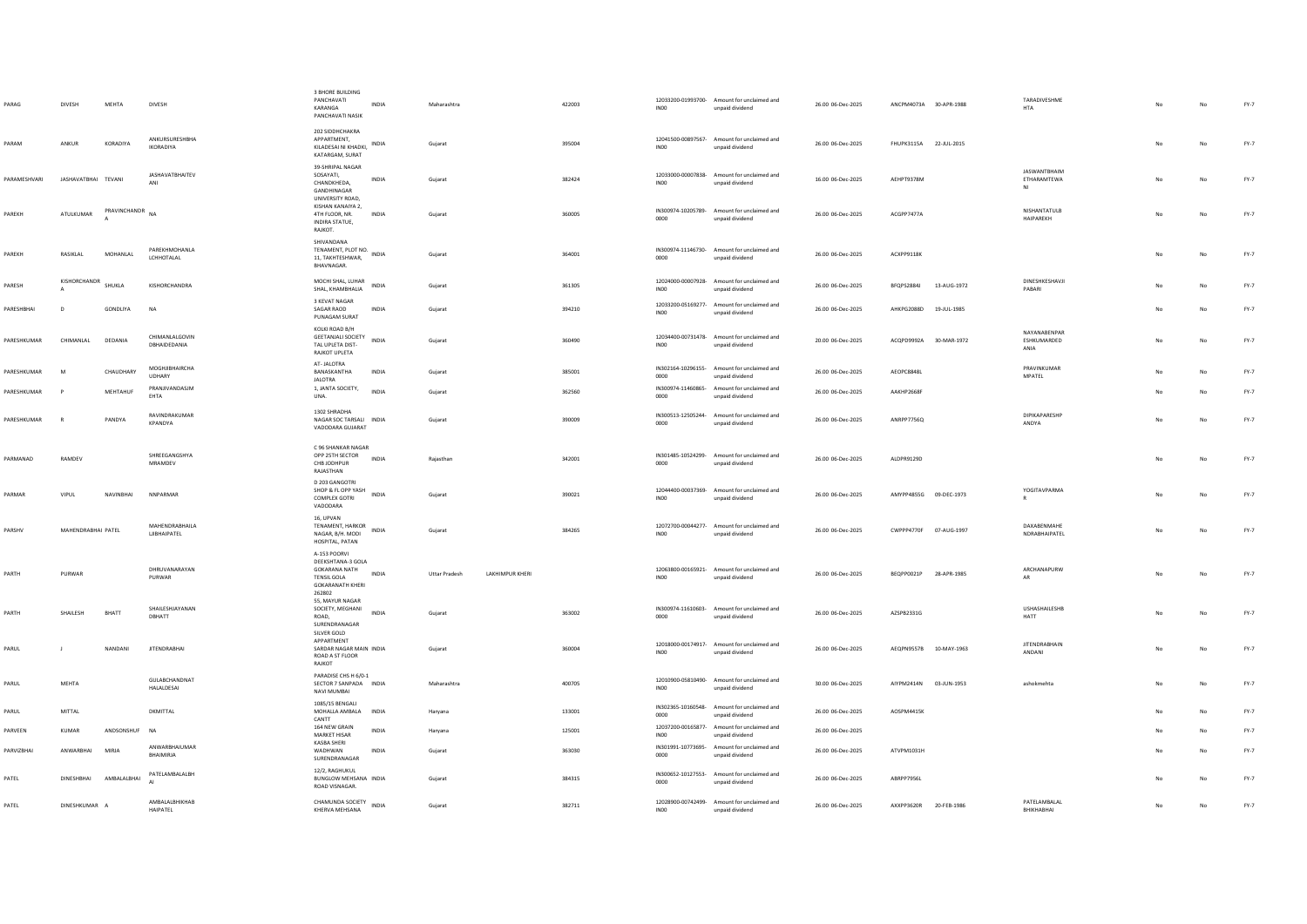| PARAG        | DIVESH              | MEHTA        | DIVESH                             | <b>3 BHORE BUILDING</b><br>PANCHAVATI<br>INDIA<br>KARANGA<br>PANCHAVATI NASIK                                                        | Maharashtra          |                        | 422003 | INO <sub>0</sub>           | 12033200-01993700- Amount for unclaimed and<br>unpaid dividend | 26.00 06-Dec-2025 | ANCPM4073A 30-APR-1988 |             | TARADIVESHME<br><b>HTA</b>               |           | No        | $FY-7$ |
|--------------|---------------------|--------------|------------------------------------|--------------------------------------------------------------------------------------------------------------------------------------|----------------------|------------------------|--------|----------------------------|----------------------------------------------------------------|-------------------|------------------------|-------------|------------------------------------------|-----------|-----------|--------|
| PARAM        | ANKUR               | KORADIYA     | ANKURSURESHRHA<br><b>IKORADIYA</b> | 202 SIDDHCHAKRA<br>APPARTMENT.<br>INDIA<br>KILADESAI NI KHADKI,<br>KATARGAM, SURAT                                                   | Gujarat              |                        | 395004 | INO <sub>0</sub>           | 12041500-00897567- Amount for unclaimed and<br>unpaid dividend | 26.00 06-Dec-2025 | FHUPK3115A 22-JUL-2015 |             |                                          | No        | No        | FY-7   |
| PARAMESHVARI | IASHAVATRHAI TEVANI |              | <b>JASHAVATBHAITEV</b><br>ANI      | 39-SHRIPAL NAGAR<br>SOSAYATI,<br><b>INDIA</b><br>CHANDKHEDA.<br>GANDHINAGAR<br>UNIVERSITY ROAD,                                      | Gujarat              |                        | 382424 | INO <sub>0</sub>           | 12033000-00007838- Amount for unclaimed and<br>unpaid dividend | 16.00 06-Dec-2025 | AFHPT9378M             |             | <b>IASWANTRHAIM</b><br>ETHARAMTEWA<br>NI | No        | No        | FY-7   |
| PAREKH       | ATULKUMAR           | PRAVINCHANDR | <b>NA</b>                          | KISHAN KANAIYA 2,<br>4TH FLOOR, NR.<br><b>INDIA</b><br>INDIRA STATUE,<br>RAJKOT.                                                     | Gujarat              |                        | 360005 | 0000                       | IN300974-10205789- Amount for unclaimed and<br>unpaid dividend | 26.00 06-Dec-2025 | ACGPP7477A             |             | NISHANTATULB<br>HAIPAREKH                | No        | No        | FY-7   |
| PAREKH       | RASIKIAL            | MOHANIAI     | PAREKHMOHANLA<br>LCHHOTALAL        | SHIVANDANA<br>TENAMENT, PLOT NO. INDIA<br>11, TAKHTESHWAR,<br><b>RHAVNAGAR</b>                                                       | Gujarat              |                        | 364001 | 0000                       | IN300974-11146730- Amount for unclaimed and<br>unpaid dividend | 26.00 06-Dec-2025 | ACXPP9118K             |             |                                          | No        | <b>No</b> | FY-7   |
| PARESH       | KISHORCHANDR        | SHUKLA       | KISHORCHANDRA                      | MOCHI SHAL, LUHAR<br>INDIA<br>SHAL, KHAMBHALIA                                                                                       | Gujarat              |                        | 361305 | IN00                       | 12024000-00007928- Amount for unclaimed and<br>unpaid dividend | 26.00 06-Dec-2025 | BFQPS2884J             | 13-AUG-1972 | DINESHKESHAVJI<br>PABARI                 |           | No        | FY-7   |
| PARESHBHAI   | D                   | GONDLIYA     | <b>NA</b>                          | 3 KEVAT NAGAR<br>SAGAR RAOD<br><b>INDIA</b><br>PUNAGAM SURAT                                                                         | Guiarat              |                        | 394210 | INO0                       | 12033200-05169277- Amount for unclaimed and<br>unpaid dividend | 26.00 06-Dec-2025 | AHKPG2088D 19-JUL-1985 |             |                                          | <b>No</b> | No        | $FY-7$ |
| PARESHKUMAR  | CHIMANLAL           | DEDANIA      | CHIMANLALGOVIN<br>DBHAIDEDANIA     | KOLKI ROAD B/H<br>GEETANJALI SOCIETY<br>INDIA<br>TAL UPLETA DIST-<br><b>RAJKOT UPLETA</b>                                            | Gujarat              |                        | 360490 | INO0                       | 12034400-00731478- Amount for unclaimed and<br>unpaid dividend | 20.00 06-Dec-2025 | ACOPD9992A             | 30-MAR-1972 | NAYANABENPAR<br>ESHKUMARDED<br>ANIA      | No        | No        | $FY-7$ |
| PARESHKUMAR  | M                   | CHAUDHARY    | MOGHJIBHAIRCHA<br>UDHARY           | AT-JALOTRA<br>BANASKANTHA<br><b>INDIA</b><br><b>IALOTRA</b>                                                                          | Gujarat              |                        | 385001 | 0000                       | IN302164-10296155- Amount for unclaimed and<br>unpaid dividend | 26.00 06-Dec-2025 | AEOPC8848L             |             | PRAVINKUMAR<br>MPATEL                    |           | No        | $FY-7$ |
| PARESHKUMAR  |                     | MEHTAHUE     | PRANJIVANDASJM<br>EHTA             | 1, JANTA SOCIETY,<br><b>INDIA</b><br>UNA.                                                                                            | Guiarat              |                        | 362560 | 0000                       | IN300974-11460865- Amount for unclaimed and<br>unpaid dividend | 26.00 06-Dec-2025 | AAKHP2668F             |             |                                          |           | No        | FY-7   |
| PARESHKUMAR  | $\mathsf{R}$        | PANDYA       | RAVINDRAKUMAR<br>KPANDYA           | 1302 SHRADHA<br>NAGAR SOC TARSALI INDIA<br>VADODARA GUJARAT                                                                          | Gujarat              |                        | 390009 | 0000                       | IN300513-12505244- Amount for unclaimed and<br>unpaid dividend | 26.00 06-Dec-2025 | ANRPP7756Q             |             | DIPIKAPARESHP<br>ANDYA                   |           | No        | FY-7   |
| PARMANAD     | RAMDEV              |              | SHREEGANGSHYA<br>MRAMDEV           | C 96 SHANKAR NAGAR<br>OPP 25TH SECTOR<br><b>INDIA</b><br>CHB JODHPUR<br>RAJASTHAN                                                    | Rajasthan            |                        | 342001 | 0000                       | IN301485-10524299- Amount for unclaimed and<br>unpaid dividend | 26.00 06-Dec-2025 | ALDPR9129D             |             |                                          |           | No        | FY-7   |
| PARMAR       | VIPUL               | NAVINBHAI    | NNPARMAR                           | D 203 GANGOTRI<br>SHOP & FL OPP YASH<br>INDIA<br>COMPLEX GOTRI<br>VADODARA                                                           | Gujarat              |                        | 390021 | INO <sub>0</sub>           | 12044400-00037369- Amount for unclaimed and<br>unpaid dividend | 26.00 06-Dec-2025 | AMYPP4855G 09-DEC-1973 |             | YOGITAVPARMA<br>R.                       | No        | No        | FY-7   |
| PARSHV       | MAHENDRABHAI PATEL  |              | MAHENDRABHAILA<br>LJIBHAIPATEL     | 16. UPVAN<br>TENAMENT, HARKOR<br><b>INDIA</b><br>NAGAR, B/H. MODI<br>HOSPITAL, PATAN                                                 | Guiarat              |                        | 384265 | INO <sub>0</sub>           | 12072700-00044277- Amount for unclaimed and<br>unpaid dividend | 26.00 06-Dec-2025 | CWPPP4770F 07-AUG-1997 |             | DAXABENMAHE<br>NDRABHAIPATEL             |           | No        | $FY-7$ |
| PARTH        | PURWAR              |              | DHRUVANARAYAN<br>PURWAR            | A-153 POORVI<br>DEEKSHTANA-3 GOLA<br><b>GOKARANA NATH</b><br><b>INDIA</b><br><b>TENSIL GOLA</b><br><b>GOKARANATH KHERI</b><br>262802 | <b>Uttar Pradesh</b> | <b>LAKHIMPUR KHERI</b> |        | <b>IN00</b>                | 12063800-00165921- Amount for unclaimed and<br>unpaid dividend | 26.00 06-Dec-2025 | BEQPP0021P             | 28-APR-1985 | ARCHANAPURW<br><b>AR</b>                 | No        | No        | $FY-7$ |
| PARTH        | SHAILESH            | BHATT        | SHAILESHJAYANAN<br>DBHATT          | 55. MAYUR NAGAR<br>SOCIETY, MEGHANI<br>INDIA<br>ROAD,<br>SURENDRANAGAR<br>SILVER GOLD                                                | Gujarat              |                        | 363002 | 0000                       | IN300974-11610603- Amount for unclaimed and<br>unpaid dividend | 26.00 06-Dec-2025 | AZSPB2331G             |             | USHASHAILESHB<br><b>HATT</b>             | No        | No        | $FY-7$ |
| PARUL        | $\perp$             | NANDANI      | <b>JITENDRABHAI</b>                | APPARTMENT<br>SARDAR NAGAR MAIN INDIA<br>ROAD A ST FLOOR<br><b>RAJKOT</b>                                                            | Gujarat              |                        | 360004 | INO <sub>0</sub>           | 12018000-00174917- Amount for unclaimed and<br>unpaid dividend | 26.00 06-Dec-2025 | AEQPN9557B 10-MAY-1963 |             | <b>IITENDRARHAIN</b><br>ANDANI           |           | No        | FY-7   |
| PARUL        | <b>MFHTA</b>        |              | GULABCHANDNAT<br>HALALDESAI        | PARADISE CHS H 6/0-1<br>SECTOR 7 SANPADA INDIA<br>NAVI MUMBAI                                                                        | Maharashtra          |                        | 400705 | INO <sub>0</sub>           | 12010900-05810490- Amount for unclaimed and<br>unpaid dividend | 30.00 06-Dec-2025 | AIYPM2414N             | 03-JUN-1953 | ashokmehta                               |           | No        | FY-7   |
| PARUL        | MITTAL              |              | <b>DKMITTAL</b>                    | 1085/15 BENGALI<br>MOHALLA AMBALA<br>INDIA<br>CANTT                                                                                  | Haryana              |                        | 133001 | 0000                       | IN302365-10160548- Amount for unclaimed and<br>unpaid dividend | 26.00 06-Dec-2025 | AOSPM4415K             |             |                                          |           | No        | FY-7   |
| PARVEEN      | KUMAR               | ANDSONSHUF   | <b>NA</b>                          | 164 NEW GRAIN<br>INDIA<br><b>MARKET HISAR</b><br>KASBA SHERI                                                                         | Harvana              |                        | 125001 | 12037200-00165877-<br>INO0 | Amount for unclaimed and<br>unpaid dividend                    | 26.00 06-Dec-2025 |                        |             |                                          |           | No        | FY-7   |
| PARVIZBHAI   | ANWARBHAI           | <b>MIRJA</b> | ANWARBHAIUMAR<br>BHAIMIRIA         | WADHWAN<br>INDIA<br>SURENDRANAGAR                                                                                                    | Gujarat              |                        | 363030 | 0000                       | IN301991-10773695- Amount for unclaimed and<br>unpaid dividend | 26.00 06-Dec-2025 | ATVPM1031H             |             |                                          |           | No        | $FY-7$ |
| PATEL        | <b>DINESHBHAI</b>   | AMBALALBHAI  | PATELAMBALALBH                     | 12/2. RAGHUKUL<br>BUNGLOW MEHSANA INDIA<br>ROAD VISNAGAR.                                                                            | Gujarat              |                        | 384315 | 0000                       | IN300652-10127553- Amount for unclaimed and<br>unpaid dividend | 26.00 06-Dec-2025 | <b>ABRPP7956I</b>      |             |                                          |           | No        | $FY-7$ |
| PATEL        | DINESHKUMAR A       |              | AMBALALBHIKHAB<br><b>HAIPATEL</b>  | CHAMUNDA SOCIETY<br>INDIA<br>KHERVA MEHSANA                                                                                          | Gujarat              |                        | 382711 | INO <sub>0</sub>           | 12028900-00742499- Amount for unclaimed and<br>unpaid dividend | 26.00 06-Dec-2025 | AXXPP3620R 20-FEB-1986 |             | PATELAMBALAL<br>RHIKHARHAI               | No        | No        | $FY-7$ |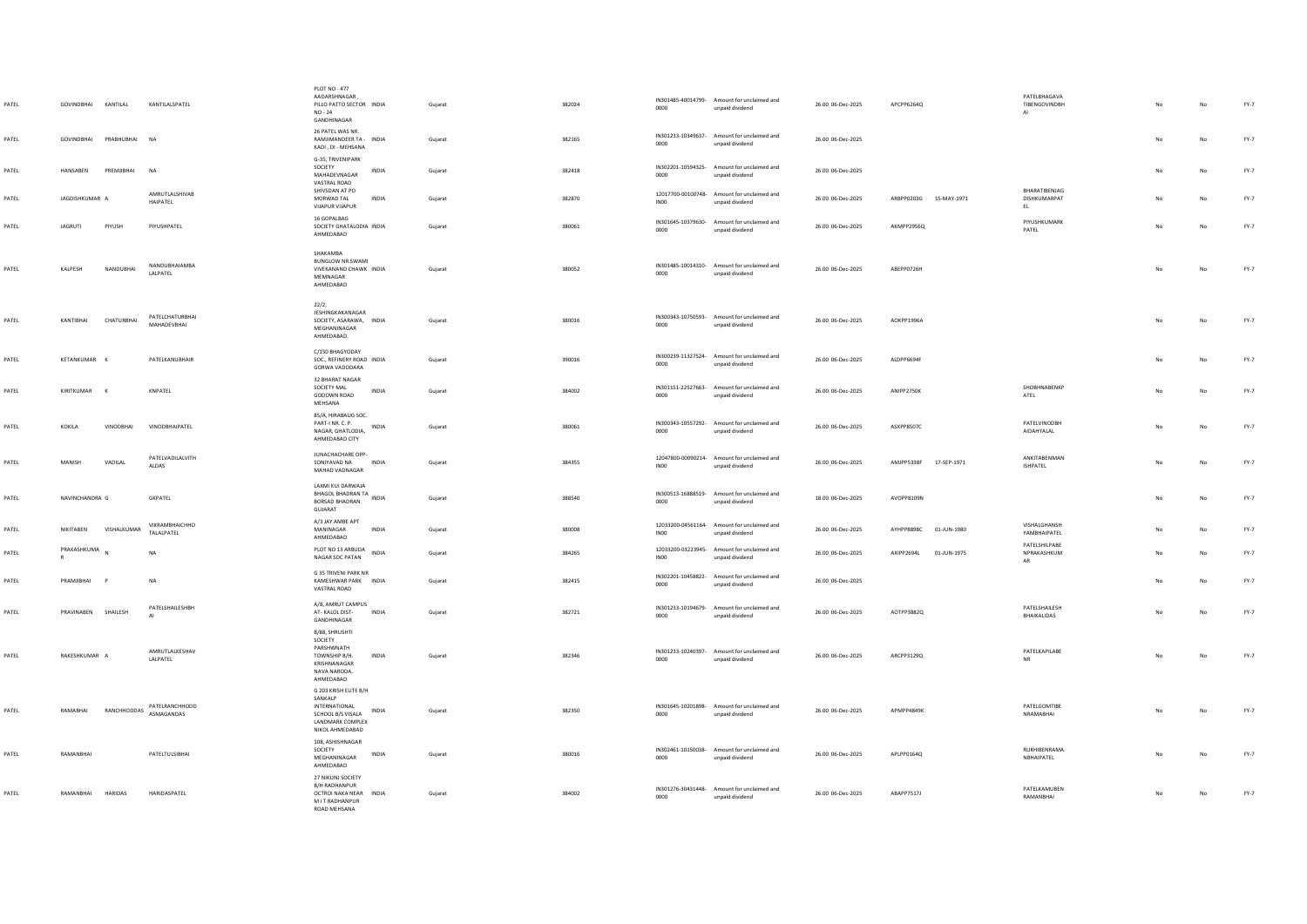| PATEL | GOVINDBHAI KANTILAL   |                    | KANTILALSPATEL                 | PLOT NO - 477<br>AADARSHNAGAR,<br>PILLO PATTO SECTOR INDIA<br>$NO - 24$<br>GANDHINAGAR                                 | Guiarat | 382024 | 0000             | IN301485-40014799- Amount for unclaimed and<br>unpaid dividend | 26.00 06-Dec-2025 | APCPP6264Q                 | PATELBHAGAVA<br>TIBENGOVINDBH<br>A1       | N <sub>0</sub> | No          | FY-7   |
|-------|-----------------------|--------------------|--------------------------------|------------------------------------------------------------------------------------------------------------------------|---------|--------|------------------|----------------------------------------------------------------|-------------------|----------------------------|-------------------------------------------|----------------|-------------|--------|
| PATEL | GOVINDBHAI PRABHUBHAI |                    | <b>NA</b>                      | 26 PATEL WAS NR.<br>RAMJIMANDEER TA - INDIA<br>KADI, DI - MEHSANA                                                      | Gujarat | 382165 | 0000             | IN301233-10349637- Amount for unclaimed and<br>unpaid dividend | 26.00 06-Dec-2025 |                            |                                           |                | No          | FY-7   |
| PATEL | HANSABEN              | PREMJIBHAI         | <b>NA</b>                      | G-35, TRIVENIPARK<br>SOCIETY<br>INDIA<br>MAHADEVNAGAR<br>VASTRAL ROAD                                                  | Gujarat | 382418 | 0000             | IN302201-10594325- Amount for unclaimed and<br>unpaid dividend | 26.00 06-Dec-2025 |                            |                                           | No             | $_{\sf No}$ | $FY-7$ |
| PATEL | JAGDISHKUMAR A        |                    | AMRUTLALSHIVAB<br>HAIPATEL     | SHIVSDAN AT PO<br>MORWAD TAL<br>INDIA<br><b>VIJAPUR VIJAPUR</b>                                                        | Gujarat | 382870 | IN00             | 12017700-00100748- Amount for unclaimed and<br>unpaid dividend | 26.00 06-Dec-2025 | ARBPP0203G 15-MAY-1971     | BHARATIBENJAG<br>DISHKUMARPAT<br>EL       |                | No          | FY-7   |
| PATEL | <b>JAGRUTI</b>        | PIYUSH             | PIYUSHPATEL                    | 16 GOPALBAG<br>SOCIETY GHATALODIA INDIA<br>AHMEDABAD                                                                   | Guiarat | 380061 | 0000             | IN301645-10379630- Amount for unclaimed and<br>unpaid dividend | 26.00 06-Dec-2025 | <b>AKMPP2956Q</b>          | PIYUSHKUMARK<br>PATEL                     | No             | No          | $FY-7$ |
| PATEL | KALPESH               | NANDUBHAI          | NANDUBHAIAMBA<br>LALPATEL      | SHAKAMBA<br>BUNGLOW NR.SWAMI<br>VIVEKANAND CHAWK INDIA<br>MEMNAGAR<br>AHMEDABAD                                        | Guiarat | 380052 | 0000             | IN301485-10014310- Amount for unclaimed and<br>unpaid dividend | 26.00 06-Dec-2025 | ABEPP0726H                 |                                           | No             | No          | $FY-7$ |
| PATEL | KANTIBHAI             | CHATURBHAI         | PATELCHATURBHAI<br>MAHADEVBHAI | 22/2,<br>JESHINGKAKANAGAR<br>SOCIETY, ASARAWA, INDIA<br>MEGHANINAGAR<br>AHMEDABAD.                                     | Gujarat | 380016 | 0000             | IN300343-10750593- Amount for unclaimed and<br>unpaid dividend | 26.00 06-Dec-2025 | AOKPP1996A                 |                                           | No             | No          | FY-7   |
| PATEL | KETANKUMAR K          |                    | PATELKANUBHAIR                 | C/150 BHAGYODAY<br>SOC., REFINERY ROAD INDIA<br>GORWA VADODARA                                                         | Gujarat | 390016 | 0000             | IN300239-11327524- Amount for unclaimed and<br>unpaid dividend | 26.00 06-Dec-2025 | ALDPP6694F                 |                                           | N <sub>o</sub> | No          | FY-7   |
| PATEL | KIRITKUMAR K          |                    | KNPATEL                        | 32 BHARAT NAGAR<br>SOCIETY MAL<br>INDIA<br>GODOWN ROAD<br>MEHSANA                                                      | Gujarat | 384002 | 0000             | IN301151-22527663- Amount for unclaimed and<br>unpaid dividend | 26.00 06-Dec-2025 | ANIPP2750K                 | SHOBHNABENKP<br>ATEL                      | No             | No          | $FY-7$ |
| PATEL | KOKILA                | VINODBHAI          | VINODBHAIPATEL                 | 85/A, HIRABAUG SOC.<br>PART-I NR. C. P.<br><b>INDIA</b><br>NAGAR, GHATLODIA,<br>AHMEDABAD CITY                         | Guiarat | 380061 | 0000             | IN300343-10557292- Amount for unclaimed and<br>unpaid dividend | 26.00 06-Dec-2025 | <b>ASXPP8507C</b>          | PATELVINODBH<br>AIDAHYALAL                | No.            | No          | FY-7   |
| PATEL | MANISH                | VADILAL            | PATELVADILALVITH<br>ALDAS      | JUNACHACHARE OPP-<br>SONIYAVAD NA<br><b>INDIA</b><br>MAHAD VADNAGAR                                                    | Gujarat | 384355 | INO <sub>0</sub> | 12047800-00090214- Amount for unclaimed and<br>unpaid dividend | 26.00 06-Dec-2025 | AMJPP5338F<br>17-SEP-1971  | ANKITABENMAN<br><b>ISHPATEL</b>           | No             | No          | FY-7   |
| PATEL | NAVINCHANDRA G        |                    | <b>GKPATEL</b>                 | LAXMI KUI DARWAJA<br>BHAGOL BHADRAN TA<br>INDIA<br>BORSAD BHADRAN<br>GUJARAT                                           | Guiarat | 388540 | 0000             | IN300513-16888519- Amount for unclaimed and<br>unpaid dividend | 18.00 06-Dec-2025 | AVOPPR109N                 |                                           | No             | No          | FY-7   |
| PATEL | NIKITAREN             | <b>VISHALKUMAR</b> | VIKRAMBHAICHHO<br>TALALPATEL   | A/3 JAY AMBE APT<br>MANINAGAR<br><b>INDIA</b><br>AHMEDABAD                                                             | Gujarat | 380008 | INO0             | 12033200-04561164- Amount for unclaimed and<br>unpaid dividend | 26.00 06-Dec-2025 | AYHPPRR98C<br>01-ILIN-1980 | VISHALGHANSH<br>YAMBHAIPATEL              | No.            | No          | FY-7   |
| PATEL | PRAKASHKUMA<br>R      |                    | <b>NA</b>                      | PLOT NO 13 ARBUDA<br>INDIA<br>NAGAR SOC PATAN                                                                          | Guiarat | 384265 | INO <sub>0</sub> | 12033200-03223945- Amount for unclaimed and<br>unpaid dividend | 26.00 06-Dec-2025 | AXIPP2694L<br>01-JUN-1975  | PATELSHILPABE<br>NPRAKASHKUM<br><b>AR</b> |                | No          | FY-7   |
| PATEL | PRAMIIRHAI            | $\mathsf{p}$       | <b>NA</b>                      | G 35 TRIVENI PARK NR<br>KAMESHWAR PARK INDIA<br>VASTRAL ROAD                                                           | Gujarat | 382415 | 0000             | IN302201-10458822- Amount for unclaimed and<br>unpaid dividend | 26.00 06-Dec-2025 |                            |                                           | No             | No          | FY-7   |
| PATEL | PRAVINAREN SHAILESH   |                    | PATELSHAILESHBH                | A/8, AMRUT CAMPUS<br>AT-KALOL DIST-<br><b>INDIA</b><br>GANDHINAGAR<br>B/88, SHRUSHTI                                   | Gujarat | 382721 | 0000             | IN301233-10194679- Amount for unclaimed and<br>unpaid dividend | 26.00 06-Dec-2025 | AOTPP3882O                 | PATELSHAILESH<br>BHAIKALIDAS              | No.            | No          | FY-7   |
| PATEL | RAKESHKUMAR A         |                    | AMRUTLALKESHAV<br>LALPATEL     | SOCIETY<br>PARSHWNATH<br>TOWNSHIP R/H.<br><b>INDIA</b><br>KRISHNANAGAR<br>NAVA NARODA,<br>AHMEDABAD                    | Guiarat | 382346 | 0000             | IN301233-10240397- Amount for unclaimed and<br>unpaid dividend | 26.00 06-Dec-2025 | ARCPP3129Q                 | PATELKAPILABE<br><b>NR</b>                | No             | $_{\sf No}$ | FY-7   |
| PATEL | RAMABHAI              | RANCHHODDAS        | PATELRANCHHODD<br>ASMAGANDAS   | G 203 KRISH ELITE B/H<br>SANKALP<br>INTERNATIONAL<br>INDIA<br>SCHOOL B/S VISALA<br>LANDMARK COMPLEX<br>NIKOL AHMEDABAD | Gujarat | 382350 | 0000             | IN301645-10201898- Amount for unclaimed and<br>unpaid dividend | 26.00 06-Dec-2025 | APMPP4849K                 | PATELGOMTIRE<br>NRAMABHAI                 | No             | No          | FY-7   |
| PATEL | RAMANBHAI             |                    | PATELTULSIBHAI                 | 108, ASHISHNAGAR<br>SOCIETY<br>INDIA<br>MEGHANINAGAR<br>AHMEDABAD                                                      | Gujarat | 380016 | 0000             | IN302461-10150038- Amount for unclaimed and<br>unpaid dividend | 26.00 06-Dec-2025 | APLPP0164Q                 | RUKHIBENRAMA<br>NBHAIPATEL                | No             | No          | FY-7   |
| PATEL | RAMANBHAI HARIDAS     |                    | HARIDASPATEL                   | 27 NIKUNJ SOCIETY<br>B/H RADHANPUR<br>OCTROI NAKA NEAR INDIA<br>M I T RADHANPUR<br>ROAD MEHSANA                        | Gujarat | 384002 | 0000             | IN301276-30431448- Amount for unclaimed and<br>unpaid dividend | 26.00 06-Dec-2025 | ABAPP7517J                 | <b>PATFIKAMUREN</b><br>RAMANBHAI          |                | No          | $FY-7$ |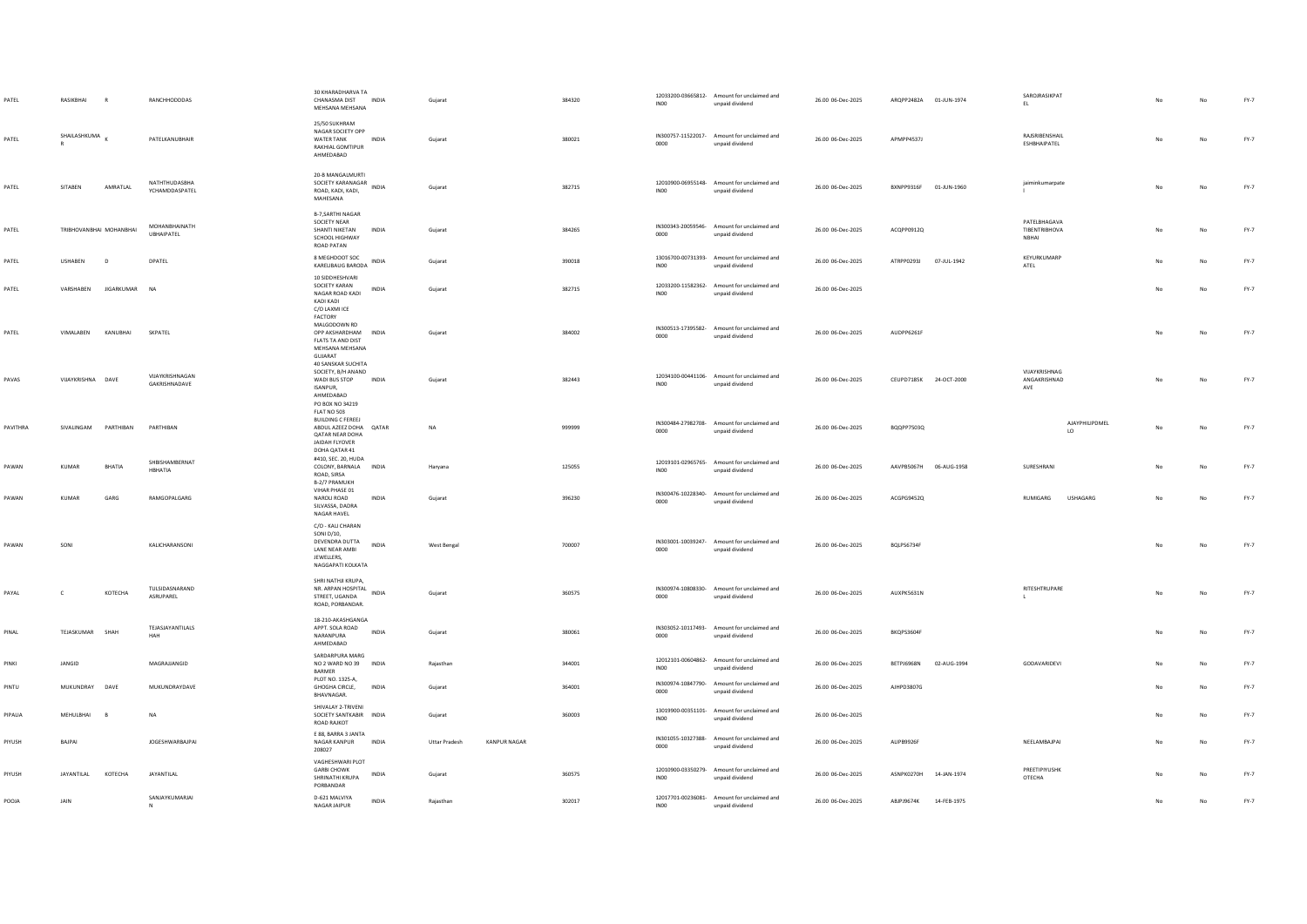| PATEL        | RASIKBHAI               | R                 | RANCHHODDDAS                       | 30 KHARADHARVA TA<br>CHANASMA DIST INDIA<br>MEHSANA MEHSANA                                                             |              | Gujarat              |                     | 384320 | INO <sub>0</sub> | 12033200-03665812- Amount for unclaimed and<br>unpaid dividend | 26.00 06-Dec-2025 | ARQPP2482A 01-JUN-1974 |             | SAROJRASIKPAT<br>EL.                   |                      |    |             | $FY-7$ |
|--------------|-------------------------|-------------------|------------------------------------|-------------------------------------------------------------------------------------------------------------------------|--------------|----------------------|---------------------|--------|------------------|----------------------------------------------------------------|-------------------|------------------------|-------------|----------------------------------------|----------------------|----|-------------|--------|
| PATEL        | SHAILASHKUMA            |                   | PATELKANUBHAIR                     | 25/50 SUKHRAM<br>NAGAR SOCIETY OPP<br><b>WATER TANK</b><br>RAKHIAL GOMTIPUR<br>AHMEDABAD                                | <b>INDIA</b> | Guiarat              |                     | 380021 | 0000             | IN300757-11522017- Amount for unclaimed and<br>unpaid dividend | 26.00 06-Dec-2025 | APMPP4537J             |             | <b>RAISRIRENSHAIL</b><br>ESHBHAIPATEL  |                      | No | No          | FY-7   |
| PATEL        | SITABEN                 | AMRATLAL          | NATHTHUDASBHA<br>YCHAMDDASPATEL    | 20-B MANGALMURTI<br>SOCIETY KARANAGAR<br>ROAD, KADI, KADI,<br>MAHESANA                                                  | INDIA        | Gujarat              |                     | 382715 | INO <sub>0</sub> | 12010900-06955148- Amount for unclaimed and<br>unpaid dividend | 26.00 06-Dec-2025 | BXNPP9316F 01-JUN-1960 |             | jaiminkumarpate                        |                      |    | No          | $FY-7$ |
| PATEL        | TRIBHOVANBHAI MOHANBHAI |                   | MOHANBHAINATH<br><b>UBHAIPATEL</b> | <b>B-7, SARTHI NAGAR</b><br>SOCIETY NEAR<br>SHANTI NIKETAN<br>SCHOOL HIGHWAY<br>ROAD PATAN                              | INDIA        | Gujarat              |                     | 384265 | 0000             | IN300343-20059546- Amount for unclaimed and<br>unpaid dividend | 26.00 06-Dec-2025 | ACOPP0912O             |             | PATELBHAGAVA<br>TIBENTRIBHOVA<br>NBHAI |                      | No | No          | $FY-7$ |
| PATEL        | <b>USHABEN</b>          | $\sqrt{2}$        | DPATFI                             | 8 MEGHDOOT SOC<br>KARELIBAUG BARODA                                                                                     | <b>INDIA</b> | Gujarat              |                     | 390018 | IN00             | 13016700-00731393- Amount for unclaimed and<br>unpaid dividend | 26.00 06-Dec-2025 | ATRPP0293J 07-JUL-1942 |             | KEYURKUMARP<br>ATEL                    |                      |    | No          | FY-7   |
| PATEL        | VARSHABEN               | <b>JIGARKUMAR</b> | NA                                 | 10 SIDDHESHVARI<br>SOCIETY KARAN<br>NAGAR ROAD KADI<br>KADI KADI<br>C/O LAXMI ICE                                       | INDIA        | Gujarat              |                     | 382715 | IN00             | 12033200-11582362- Amount for unclaimed and<br>unpaid dividend | 26.00 06-Dec-2025 |                        |             |                                        |                      |    | No          | $FY-7$ |
| PATEL        | VIMALABEN KANUBHAI      |                   | SKPATEL                            | FACTORY<br>MALGODOWN RD<br>OPP AKSHARDHAM INDIA<br>FLATS TA AND DIST<br>MEHSANA MEHSANA<br>GUJARAT                      |              | Gujarat              |                     | 384002 | 0000             | IN300513-17395582- Amount for unclaimed and<br>unpaid dividend | 26.00 06-Dec-2025 | AUDPP6261F             |             |                                        |                      | No | $_{\sf No}$ | FY-7   |
| PAVAS        | VIJAYKRISHNA DAVE       |                   | VIIAYKRISHNAGAN<br>GAKRISHNADAVE   | 40 SANSKAR SUCHITA<br>SOCIETY, B/H ANAND<br>WADI BUS STOP INDIA<br>ISANPUR.<br>AHMEDABAD<br>PO BOX NO 34219             |              | Guiarat              |                     | 382443 | INO <sub>0</sub> | 12034100-00441106- Amount for unclaimed and<br>unpaid dividend | 26.00 06-Dec-2025 | CEUPD7185K 24-OCT-2000 |             | VIJAYKRISHNAG<br>ANGAKRISHNAD<br>AVE   |                      |    | No          | FY-7   |
| PAVITHRA     | SIVALINGAM PARTHIBAN    |                   | PARTHIBAN                          | FLAT NO 503<br><b>BUILDING C FEREEJ</b><br>ABDUL AZEEZ DOHA QATAR<br>QATAR NEAR DOHA<br>JAIDAH FLYOVER<br>DOHA QATAR 41 |              | <b>NA</b>            |                     | 999999 | 0000             | IN300484-27982708- Amount for unclaimed and<br>unpaid dividend | 26.00 06-Dec-2025 | BQQPP7503Q             |             |                                        | AJAYPHILIPDMEL<br>LO | No | No          | $FY-7$ |
| PAWAN        | KUMAR                   | BHATIA            | SHBISHAMBERNAT<br>HBHATIA          | #410, SEC. 20, HUDA<br>COLONY, BARNALA INDIA<br>ROAD, SIRSA<br>B-2/7 PRAMUKH                                            |              | Haryana              |                     | 125055 | IN00             | 12019101-02965765- Amount for unclaimed and<br>unpaid dividend | 26.00 06-Dec-2025 | AAVPB5067H 06-AUG-1958 |             | SURESHRANI                             |                      |    | No          | FY-7   |
| PAWAN        | KUMAR                   | GARG              | RAMGOPALGARG                       | VIHAR PHASE 01<br>NAROLI ROAD<br>SILVASSA, DADRA<br>NAGAR HAVEL                                                         | INDIA        | Gujarat              |                     | 396230 | 0000             | IN300476-10228340- Amount for unclaimed and<br>unpaid dividend | 26.00 06-Dec-2025 | ACGPG9452Q             |             | RUMIGARG                               | USHAGARG             |    | No          | $FY-7$ |
| PAWAN        | SONI                    |                   | KALICHARANSONI                     | C/O - KALI CHARAN<br>SONI D/10,<br>DEVENDRA DUTTA<br>LANE NEAR AMBI<br>JEWELLERS.<br>NAGGAPATI KOLKATA                  | <b>INDIA</b> | West Bengal          |                     | 700007 | 0000             | IN303001-10039247- Amount for unclaimed and<br>unpaid dividend | 26.00 06-Dec-2025 | BOLPS6734F             |             |                                        |                      | No | No          | $FY-7$ |
| PAYAL        | $\mathsf{C}$            | KOTECHA           | TULSIDASNARAND<br>ASRUPAREL        | SHRI NATHJI KRUPA,<br>NR. ARPAN HOSPITAL<br>STREET, UGANDA<br>ROAD, PORBANDAR.                                          | <b>INDIA</b> | Gujarat              |                     | 360575 | 0000             | IN300974-10808330- Amount for unclaimed and<br>unpaid dividend | 26.00 06-Dec-2025 | AUXPK5631N             |             | RITESHTRUPARE<br>$\mathbf{1}$          |                      |    | No          | FY-7   |
| PINAL        | TEJASKUMAR SHAH         |                   | TEJASJAYANTILALS<br>HAH            | 18-210-AKASHGANGA<br>APPT. SOLA ROAD<br>NARANPURA<br>AHMEDABAD                                                          | <b>INDIA</b> | Guiarat              |                     | 380061 | 0000             | IN303052-10117493- Amount for unclaimed and<br>unpaid dividend | 26.00 06-Dec-2025 | BKQPS3604F             |             |                                        |                      |    | No          | FY-7   |
| PINKI        | JANGID                  |                   | MAGRAJIANGID                       | SARDARPURA MARG<br>NO 2 WARD NO 39 INDIA<br>BARMER                                                                      |              | Raiasthan            |                     | 344001 | INO <sub>0</sub> | 12012101-00604862- Amount for unclaimed and<br>unpaid dividend | 26.00 06-Dec-2025 | BETPJ6968N             | 02-AUG-1994 | GODAVARIDEVI                           |                      |    | No          | FY-7   |
| PINTU        | MUKUNDRAY DAVE          |                   | MUKUNDRAYDAVE                      | PLOT NO. 1325-A,<br>GHOGHA CIRCLE,<br>BHAVNAGAR.                                                                        | INDIA        | Gujarat              |                     | 364001 | 0000             | IN300974-10847790- Amount for unclaimed and<br>unpaid dividend | 26.00 06-Dec-2025 | AJHPD3807G             |             |                                        |                      |    | No          | $FY-7$ |
| PIPALIA      | MEHULBHAI               | B                 | <b>NA</b>                          | SHIVALAY 2-TRIVENI<br>SOCIETY SANTKABIR INDIA<br><b>ROAD RAJKOT</b>                                                     |              | Gujarat              |                     | 360003 | INO <sub>0</sub> | 13019900-00351101- Amount for unclaimed and<br>unpaid dividend | 26.00 06-Dec-2025 |                        |             |                                        |                      |    | No          | $FY-7$ |
| PIYUSH       | BAJPAI                  |                   | <b>JOGESHWARBAJPAI</b>             | E 88, BARRA 3 JANTA<br>NAGAR KANPUR INDIA<br>208027                                                                     |              | <b>Uttar Pradesh</b> | <b>KANPUR NAGAR</b> |        | 0000             | IN301055-10327388- Amount for unclaimed and<br>unpaid dividend | 26.00 06-Dec-2025 | ALIPB9926F             |             | NEELAMBAJPAI                           |                      |    | No          | $FY-7$ |
| PIYUSH       | JAYANTILAL              | KOTECHA           | JAYANTILAL                         | VAGHESHWARI PLOT<br><b>GARBI CHOWK</b><br>SHRINATHI KRUPA<br>PORBANDAR                                                  | <b>INDIA</b> | Gujarat              |                     | 360575 | INO <sub>0</sub> | 12010900-03350279- Amount for unclaimed and<br>unpaid dividend | 26.00 06-Dec-2025 | ASNPK0270H             | 14-JAN-1974 | PREETIPIYUSHK<br>OTECHA                |                      |    | No          | $FY-7$ |
| <b>POOJA</b> | JAIN                    |                   | SANJAYKUMARJAI<br>$\mathbb{N}$     | D-621 MALVIYA<br>NAGAR JAIPUR                                                                                           | INDIA        | Rajasthan            |                     | 302017 | IN00             | 12017701-00236081- Amount for unclaimed and<br>unpaid dividend | 26.00 06-Dec-2025 | ABJPJ9674K 14-FEB-1975 |             |                                        |                      |    | No          | $FY-7$ |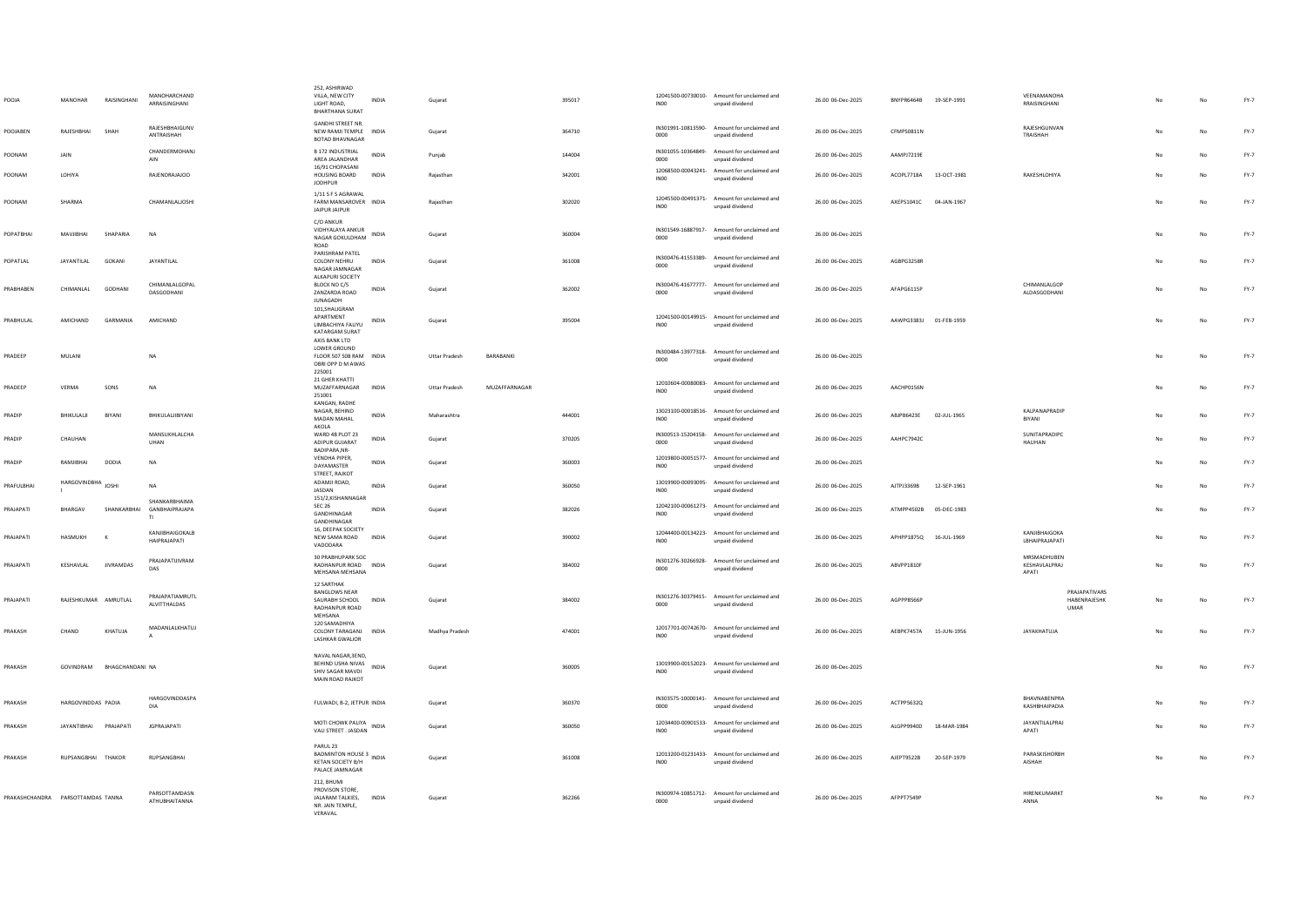| POOJA                             | MANOHAR              | RAISINGHANI      | MANOHARCHAND<br>ARRAISINGHANI                 | 252 ASHIRWAD<br>VILLA, NEW CITY<br>LIGHT ROAD.<br><b>BHARTHANA SURAT</b>                           | <b>INDIA</b> | Guiarat              |               | 395017 | INO <sub>0</sub> | 12041500-00730010- Amount for unclaimed and<br>unpaid dividend | 26.00 06-Dec-2025 | BNYPR6464B 19-SEP-1991 |             | <b>VFFNAMANOHA</b><br>RRAISINGHANI                  |    | No          | FY-7   |
|-----------------------------------|----------------------|------------------|-----------------------------------------------|----------------------------------------------------------------------------------------------------|--------------|----------------------|---------------|--------|------------------|----------------------------------------------------------------|-------------------|------------------------|-------------|-----------------------------------------------------|----|-------------|--------|
| POOJABEN                          | RAJESHBHAI           | SHAH             | RAJESHBHAIGUNV<br>ANTRAISHAH                  | <b>GANDHI STREET NR.</b><br>NEW RAMJI TEMPLE<br>BOTAD BHAVNAGAR                                    | <b>INDIA</b> | Gujarat              |               | 364710 | 0000             | IN301991-10813590- Amount for unclaimed and<br>unpaid dividend | 26.00 06-Dec-2025 | CFMPS0811N             |             | RAJESHGUNVAN<br>TRAISHAH                            |    | No          | $FY-7$ |
| POONAM                            | <b>IAIN</b>          |                  | CHANDERMOHANJ<br>AIN                          | <b>B 172 INDUSTRIAL</b><br>AREA JALANDHAR                                                          | <b>INDIA</b> | Punjab               |               | 144004 | 0000             | IN301055-10364849- Amount for unclaimed and<br>unpaid dividend | 26.00.06-Dec-2025 | AAMP17219F             |             |                                                     |    | No          | FY-7   |
| POONAM                            | <b>I OHIYA</b>       |                  | <b>RAIFNDRAIAIOO</b>                          | 16/91 CHOPASANI<br><b>HOUSING BOARD</b><br><b>JODHPUR</b>                                          | <b>INDIA</b> | Raiasthan            |               | 342001 | IN <sub>00</sub> | 12068500-00043241- Amount for unclaimed and<br>unpaid dividend | 26.00 06-Dec-2025 | ACOPL7718A 13-OCT-1981 |             | <b>RAKESHI OHIYA</b>                                | No | No          | FY-7   |
| POONAM                            | SHARMA               |                  | CHAMANLALIOSHI                                | 1/11 S F S AGRAWAL<br>FARM MANSAROVER INDIA<br>JAIPUR JAIPUR                                       |              | Rajasthar            |               | 302020 | INO <sub>0</sub> | 12045500-00491371- Amount for unclaimed and<br>unpaid dividend | 26.00 06-Dec-2025 | AXEPS1041C 04-JAN-1967 |             |                                                     |    | No          | $FY-7$ |
| POPATBHAI                         | MAVIIRHAI            | SHAPARIA         | <b>NA</b>                                     | C/O ANKUR<br>VIDHYALAYA ANKUR<br>NAGAR GOKULDHAM<br>ROAD                                           | INDIA        | Gujarat              |               | 360004 | 0000             | IN301549-16887917- Amount for unclaimed and<br>unpaid dividend | 26.00 06-Dec-2025 |                        |             |                                                     | No | No          | $FY-7$ |
| POPATLAL                          | <b>JAYANTILAL</b>    | GOKANI           | <b>JAYANTILAL</b>                             | PARISHRAM PATEL<br>COLONY NEHRU<br>NAGAR JAMNAGAR<br>ALKAPURI SOCIETY                              | <b>INDIA</b> | Gujarat              |               | 361008 | 0000             | IN300476-41553389- Amount for unclaimed and<br>unpaid dividend | 26.00 06-Dec-2025 | AGBPG3258R             |             |                                                     |    | No          | FY-7   |
| PRABHABEN                         | CHIMANLAL            | GODHANI          | CHIMANI ALGOPAL<br>DASGODHANI                 | BLOCK NO C/5<br>ZANZARDA ROAD<br><b>JUNAGADH</b>                                                   | INDIA        | Gujarat              |               | 362002 | 0000             | IN300476-41677777- Amount for unclaimed and<br>unpaid dividend | 26.00 06-Dec-2025 | AFAPG6115P             |             | CHIMANI ALGOR<br>ALDASGODHANI                       | No | No          | $FY-7$ |
| PRABHULAL                         | AMICHAND             | GARMANIA         | AMICHAND                                      | 101, SHALIGRAM<br>APARTMENT<br>LIMBACHIYA FALIYU<br>KATARGAM SURAT                                 | INDIA        | Gujarat              |               | 395004 | INO <sub>0</sub> | 12041500-00149915- Amount for unclaimed and<br>unpaid dividend | 26.00 06-Dec-2025 | AAWPG3383J 01-FEB-1959 |             |                                                     |    | No          | $FY-7$ |
| PRADEEP                           | MULANI               |                  | <b>NA</b>                                     | AXIS BANK LTD<br>LOWER GROUND<br>FLOOR 507 508 RAM INDIA<br>OBRI OPP D M AWAS<br>225001            |              | <b>Uttar Pradesh</b> | BARABANKI     |        | 0000             | IN300484-13977318- Amount for unclaimed and<br>unpaid dividend | 26.00 06-Dec-2025 |                        |             |                                                     | No | No          | $FY-7$ |
| PRADEEP                           | VERMA                | SONS             | <b>NA</b>                                     | 21 GHER KHATTI<br>MUZAFFARNAGAR<br>251001<br>KANGAN RADHE                                          | INDIA        | <b>Uttar Pradesh</b> | MUZAFFARNAGAR |        | INO <sub>0</sub> | 12010604-00080083- Amount for unclaimed and<br>unpaid dividend | 26.00 06-Dec-2025 | AACHP0156N             |             |                                                     | No | $_{\rm No}$ | $FY-7$ |
| PRADIP                            | BHIKULALII           | BIYANI           | BHIKULALJIBIYANI                              | NAGAR, BEHIND<br>MADAN MAHAL<br>AKOLA                                                              | <b>INDIA</b> | Maharashtra          |               | 444001 | IN <sub>00</sub> | 13023100-00018516- Amount for unclaimed and<br>unpaid dividend | 26.00 06-Dec-2025 | ABJPB6423E             | 02-JUL-1965 | KALPANAPRADIP<br>BIYANI                             |    | No          | $FY-7$ |
| PRADIP                            | CHAUHAN              |                  | MANSUKHLALCHA<br>UHAN                         | WARD 4B PLOT 23<br>ADIPLIR GUIARAT<br>BADIPARA.NR-                                                 | INDIA        | Gujarat              |               | 370205 | 0000             | IN300513-15204158- Amount for unclaimed and<br>unpaid dividend | 26.00 06-Dec-2025 | AAHPC7942C             |             | SUNITAPRADIPC<br><b>HAUHAN</b>                      |    | No          | $FY-7$ |
| PRADIP                            | RAMJIBHAI            | DODIA            | <b>NA</b>                                     | VENDHA PIPER,<br>DAYAMASTER<br>STREET, RAJKOT                                                      | <b>INDIA</b> | Gujarat              |               | 360003 | IN00             | 12019800-00051577- Amount for unclaimed and<br>unpaid dividend | 26.00 06-Dec-2025 |                        |             |                                                     |    | No          | $FY-7$ |
| PRAFULBHAI                        | HARGOVINDBHA JOSHI   |                  | <b>NA</b>                                     | ADAMJI ROAD,<br>JASDAN<br>151/2,KISHANNAGAR                                                        | INDIA        | Gujarat              |               | 360050 | INO <sub>0</sub> | 13019900-00093095- Amount for unclaimed and<br>unpaid dividend | 26.00 06-Dec-2025 | AJTPJ3369B             | 12-SEP-1961 |                                                     |    | No          | $FY-7$ |
| PRAJAPATI                         | BHARGAV              | SHANKARBHAI      | SHANKARRHAIMA<br>GANBHAIPRAJAPA<br>TI.        | <b>SEC 26</b><br>GANDHINAGAR<br>GANDHINAGAR                                                        | INDIA        | Gujarat              |               | 382026 | INO <sub>0</sub> | 12042100-00061273- Amount for unclaimed and<br>hoebivib hisonu | 26.00 06-Dec-2025 | ATMPP4502B 05-DEC-1983 |             |                                                     | No | No          | FY-7   |
| PRAJAPATI                         | HASMUKH              | $\kappa$         | <b>KANJIRHAIGOKALB</b><br><b>HAIPRAJAPATI</b> | 16, DEEPAK SOCIETY<br>NEW SAMA ROAD<br>VADODARA                                                    | INDIA        | Gujarat              |               | 390002 | INO <sub>0</sub> | 12044400-00134223- Amount for unclaimed and<br>unpaid dividend | 26.00 06-Dec-2025 | APHPP1875Q 16-JUL-1969 |             | KANIIRHAIGOKA<br>LBHAIPRAJAPATI                     |    | No          | $FY-7$ |
| PRAJAPATI                         | KESHAVLAL            | <b>JIVRAMDAS</b> | PRAJAPATUIVRAM<br>DAS                         | 30 PRABHUPARK SOC<br>RADHANPUR ROAD INDIA<br>MEHSANA MEHSANA                                       |              | Guiarat              |               | 384002 | 0000             | IN301276-30266928- Amount for unclaimed and<br>unpaid dividend | 26.00 06-Dec-2025 | ABVPP1810F             |             | MRSMADHUBEN<br>KESHAVLALPRAJ<br>APATI               | No | No          | FY-7   |
| PRAJAPATI                         | RAJESHKUMAR AMRUTLAL |                  | PRAJAPATIAMRUTL<br><b>ALVITTHALDAS</b>        | <b>12 SARTHAK</b><br><b>BANGLOWS NEAR</b><br>SAURABH SCHOOL<br>RADHANPUR ROAD<br>MEHSANA           | <b>INDIA</b> | Gujarat              |               | 384002 | 0000             | IN301276-30379415- Amount for unclaimed and<br>unpaid dividend | 26.00 06-Dec-2025 | AGPPP8566P             |             | PRAJAPATIVARS<br><b>HARENRAIFSHK</b><br><b>UMAR</b> | No | No          | $FY-7$ |
| PRAKASH                           | CHAND                | KHATUIA          | MADANLALKHATUJ                                | 120 SAMADHIYA<br>COLONY TARAGANI<br><b>LASHKAR GWALIOR</b>                                         | <b>INDIA</b> | Madhya Pradesh       |               | 474001 | IN <sub>00</sub> | 12017701-00742670- Amount for unclaimed and<br>unpaid dividend | 26.00 06-Dec-2025 | AFRPK7457A             | 15-JUN-1956 | <b>JAYAKHATUJA</b>                                  | No | No          | $FY-7$ |
| PRAKASH                           | GOVINDRAM            | BHAGCHANDANI NA  |                                               | NAVAL NAGAR, 3END,<br>BEHIND USHA NIVAS<br>SHIV SAGAR MAVDI<br>MAIN ROAD RAJKOT                    | INDIA        | Gujarat              |               | 360005 | INO <sub>0</sub> | 13019900-00152023- Amount for unclaimed and<br>unpaid dividend | 26.00 06-Dec-2025 |                        |             |                                                     | No | No          | $FY-7$ |
| PRAKASH                           | HARGOVINDDAS PADIA   |                  | HARGOVINDDASPA<br>DIA                         | FULWADI, B-2, JETPUR INDIA                                                                         |              | Guiarat              |               | 360370 | 0000             | IN303575-10000141- Amount for unclaimed and<br>unpaid dividend | 26.00 06-Dec-2025 | ACTPP5632Q             |             | BHAVNABENPRA<br>KASHBHAIPADIA                       | No | No          | FY-7   |
| PRAKASH                           | <b>JAYANTIBHAI</b>   | PRAJAPATI        | <b>JGPRAJAPATI</b>                            | MOTI CHOWK PALIYA<br>VALI STREET . JASDAN INDIA                                                    |              | Gujarat              |               | 360050 | INO <sub>0</sub> | 12034400-00901533- Amount for unclaimed and<br>unnaid dividend | 26.00 06-Dec-2025 | ALGPP9940D             | 18-MAR-1984 | <b>JAYANTILALPRAJ</b><br><b>APATI</b>               | No |             | FY-7   |
| PRAKASH                           | RUPSANGBHAI THAKOR   |                  | RUPSANGBHAI                                   | PARUL 23<br>BANUL 23<br>BADMINTON HOUSE 3<br>ALL ALL ANDIA<br>KETAN SOCIETY R/H<br>PALACE JAMNAGAR |              | Gujarat              |               | 361008 | IN <sub>00</sub> | 12013200-01231433- Amount for unclaimed and<br>unpaid dividend | 26.00 06-Dec-2025 | AJEPT9522B             | 20-SEP-1979 | PARASKISHORBH<br>AISHAH                             | No | No          | $FY-7$ |
| PRAKASHCHANDRA PARSOTTAMDAS TANNA |                      |                  | PARSOTTAMDASN<br>ATHUBHAITANNA                | 212 RHUMI<br>PROVISON STORE<br>JALARAM TALKIES,<br>NR. JAIN TEMPLE,<br>VERAVAL.                    | INDIA        | Gujarat              |               | 362266 | 0000             | IN300974-10851712- Amount for unclaimed and<br>unpaid dividend | 26.00 06-Dec-2025 | AFPPT7549P             |             | HIRENKUMARKT<br>ANNA                                | No | No          | $FY-7$ |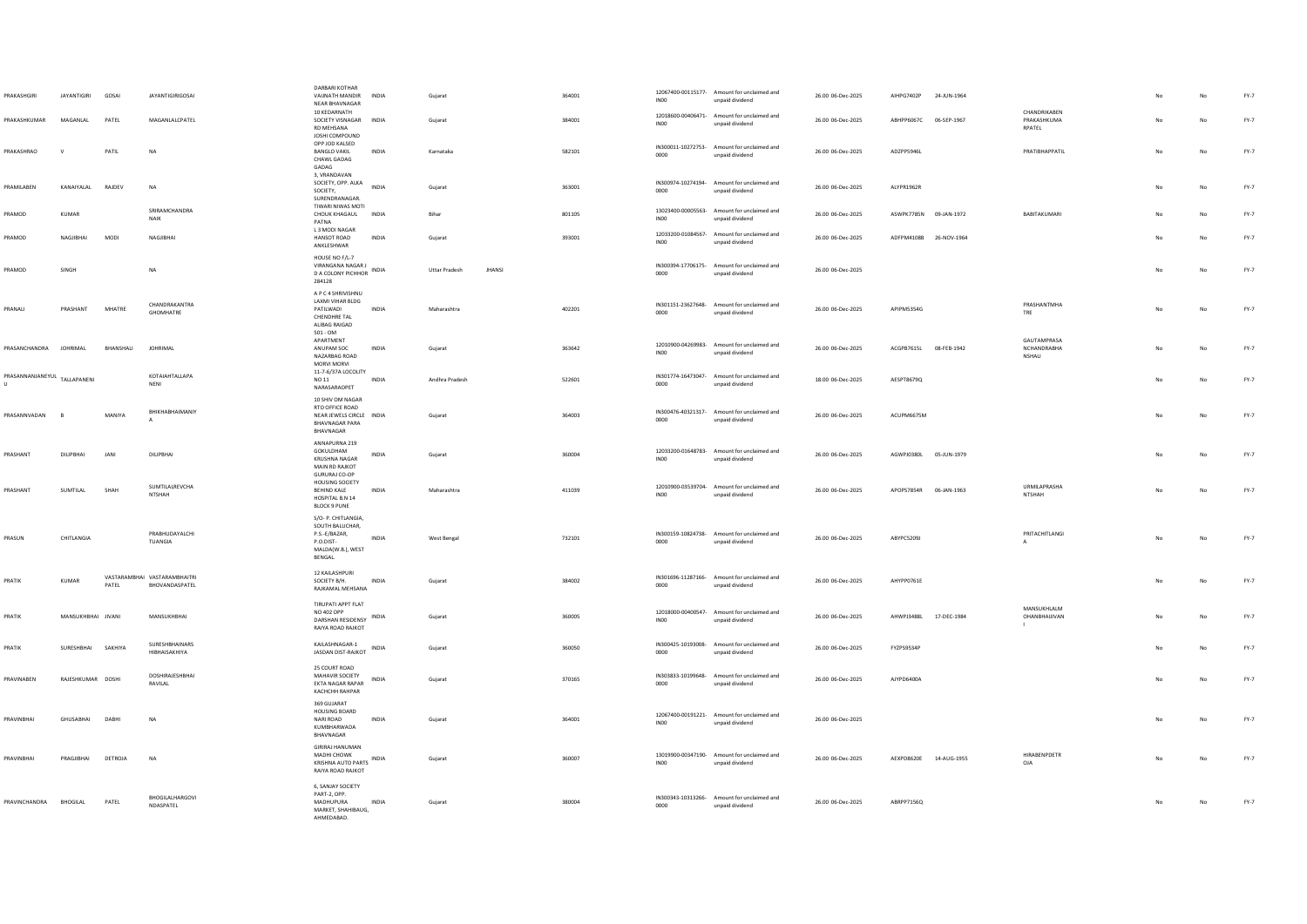| PRAKASHGIRI                                  | <b>JAYANTIGIRI</b> | GOSAI     | <b>JAYANTIGIRIGOSAI</b>                        | DARBARI KOTHAR<br>VAUNATH MANDIR<br>NEAR BHAVNAGAR<br>10 KEDARNATH                                    | <b>INDIA</b> | Gujarat              |               | 364001 | INO <sub>0</sub> | 12067400-00115177- Amount for unclaimed and<br>unpaid dividend<br>12018600-00406471- Amount for unclaimed and | 26.00 06-Dec-2025 | AIHPG7402P             | 24-JUN-1964 | CHANDRIKAREN                                |     |             | $FY-7$ |
|----------------------------------------------|--------------------|-----------|------------------------------------------------|-------------------------------------------------------------------------------------------------------|--------------|----------------------|---------------|--------|------------------|---------------------------------------------------------------------------------------------------------------|-------------------|------------------------|-------------|---------------------------------------------|-----|-------------|--------|
| PRAKASHKUMAR                                 | MAGANLAL           | PATEL     | MAGANLALCPATEL                                 | SOCIETY VISNAGAR INDIA<br>RD MEHSANA<br>JOSHI COMPOUND                                                |              | Gujarat              |               | 384001 | INO <sub>0</sub> | unpaid dividend                                                                                               | 26.00 06-Dec-2025 | ABHPP6067C 06-SEP-1967 |             | PRAKASHKUMA<br>RPATEL                       |     | No          | FY-7   |
| PRAKASHRAO                                   | $\mathsf{v}$       | PATIL     | <b>NA</b>                                      | OPP JOD KALSED<br><b>BANGLO VAKIL</b><br>CHAWL GADAG<br>GADAG<br>3, VRANDAVAN                         | <b>INDIA</b> | Karnataka            |               | 582101 | 0000             | IN300011-10272753- Amount for unclaimed and<br>unpaid dividend                                                | 26.00 06-Dec-2025 | AD7PP5946L             |             | PRATIRHAPPATIL                              | No. | No          | $FY-7$ |
| PRAMILABEN                                   | KANAIYALAL         | RAJDEV    | <b>NA</b>                                      | SOCIETY, OPP. ALKA INDIA<br>SOCIETY,<br>SURENDRANAGAR.<br>TIWARI NIWAS MOTI                           |              | Gujarat              |               | 363001 | 0000             | IN300974-10274194- Amount for unclaimed and<br>unpaid dividend                                                | 26.00 06-Dec-2025 | ALYPR1962R             |             |                                             | No  | No          | FY-7   |
| PRAMOD                                       | KUMAR              |           | SRIRAMCHANDRA<br>NAIK                          | CHOUK KHAGAUL INDIA<br>PATNA<br>L3 MODI NAGAR                                                         |              | Bihar                |               | 801105 | INO <sub>0</sub> | 13023400-00005563- Amount for unclaimed and<br>unpaid dividend                                                | 26.00 06-Dec-2025 | ASWPK7785N 09-JAN-1972 |             | BABITAKUMARI                                |     | No          | $FY-7$ |
| PRAMOD                                       | NAGJIBHAI          | MODI      | NAGJIBHAI                                      | HANSOT ROAD<br>ANKLESHWAR<br>HOUSE NO F/L-7                                                           | INDIA        | Gujarat              |               | 393001 | <b>INOO</b>      | 12033200-01084567- Amount for unclaimed and<br>unpaid dividend                                                | 26.00 06-Dec-2025 | ADFPM4108B 26-NOV-1964 |             |                                             |     | No          | $FY-7$ |
| PRAMOD                                       | SINGH              |           | NA                                             | VIRANGANA NAGAR J<br><b>D A COLONY PICHHOR</b><br>284128<br>A P C 4 SHRIVISHNU                        | INDIA        | <b>Uttar Pradesh</b> | <b>IHANSI</b> |        | 0000             | IN300394-17706175- Amount for unclaimed and<br>unpaid dividend                                                | 26.00 06-Dec-2025 |                        |             |                                             | No  | $_{\sf No}$ | $FY-7$ |
| PRANALI                                      | PRASHANT           | MHATRE    | CHANDRAKANTRA<br>GHOMHATRE                     | <b>LAXMI VIHAR BLDG</b><br>PATILWADI<br>CHENDHRE TAL<br>ALIBAG RAIGAD<br>$501 - OM$                   | INDIA        | Maharashtra          |               | 402201 | 0000             | IN301151-23627648- Amount for unclaimed and<br>unpaid dividend                                                | 26.00 06-Dec-2025 | APIPM5354G             |             | PRASHANTMHA<br>TRE                          | No  | $_{\sf No}$ | FY-7   |
| PRASANCHANDRA                                | <b>JOHRIMAL</b>    | BHANSHALI | <b>JOHRIMAL</b>                                | APARTMENT<br>ANUPAM SOC<br>NAZARBAG ROAD<br>MORVI MORVI                                               | INDIA        | Gujarat              |               | 363642 | INO <sub>0</sub> | 12010900-04269983- Amount for unclaimed and<br>unnaid dividend                                                | 26.00 06-Dec-2025 | ACGPB7615L             | 08-FEB-1942 | <b>GAUTAMPRASA</b><br>NCHANDRABHA<br>NSHALI | No  | No          | FY-7   |
| PRASANNANJANEYUL TALLAPANENI<br>$\mathbf{H}$ |                    |           | KOTAIAHTALLAPA<br><b>NENI</b>                  | 11-7-6/37A LOCOLITY<br>NO 11<br>NARASARAOPET                                                          | <b>INDIA</b> | Andhra Pradesh       |               | 522601 | 0000             | IN301774-16473047- Amount for unclaimed and<br>unpaid dividend                                                | 18.00 06-Dec-2025 | AESPT8679Q             |             |                                             | No  | No          | $FY-7$ |
| PRASANNVADAN                                 | B                  | MANIYA    | BHIKHABHAIMANIY                                | 10 SHIV OM NAGAR<br>RTO OFFICE ROAD<br>NEAR JEWELS CIRCLE INDIA<br><b>BHAVNAGAR PARA</b><br>BHAVNAGAR |              | Gujarat              |               | 364003 | 0000             | IN300476-40321317- Amount for unclaimed and<br>unpaid dividend                                                | 26.00 06-Dec-2025 | ACUPM6675M             |             |                                             |     | No          | $FY-7$ |
| PRASHANT                                     | DILIPBHAI          | JAN       | DILIPBHAI                                      | ANNAPURNA 219<br>GOKULDHAM<br><b>KRUSHNA NAGAR</b><br>MAIN RD RAJKOT<br><b>GURURAJ CO-OP</b>          | INDIA        | Gujarat              |               | 360004 | INO <sub>0</sub> | 12033200-01648783- Amount for unclaimed and<br>unpaid dividend                                                | 26.00 06-Dec-2025 | AGWPJ0380L 05-JUN-1979 |             |                                             |     | No          | $FY-7$ |
| PRASHANT                                     | SUMTILAL           | SHAH      | SUMTILALREVCHA<br><b>NTSHAH</b>                | <b>HOUSING SOCIETY</b><br><b>REHIND KALE</b><br>HOSPITAL B.N 14<br><b>BLOCK 9 PUNE</b>                | <b>INDIA</b> | Maharashtra          |               | 411039 | INO0             | 12010900-03539704- Amount for unclaimed and<br>unpaid dividend                                                | 26.00 06-Dec-2025 | APOPS7854R 06-JAN-1963 |             | <b>URMILAPRASHA</b><br>NTSHAH               | No  | No          | FY-7   |
| PRASUN                                       | CHITLANGIA         |           | PRABHUDAYALCHI<br>TUANGIA                      | S/O- P. CHITLANGIA,<br>SOUTH BALUCHAR,<br>P.S.-E/BAZAR,<br>P.O.DIST-<br>MALDA(W.B.), WEST<br>BENGAL.  | INDIA        | West Bengal          |               | 732101 | 0000             | IN300159-10824738- Amount for unclaimed and<br>unpaid dividend                                                | 26.00 06-Dec-2025 | ABYPC5209J             |             | PRITACHITLANGI<br>$\mathbf{A}$              | No  | No          | FY-7   |
| PRATIK                                       | <b>KUMAR</b>       | PATEL     | VASTARAMBHAI VASTARAMBHAITRI<br>BHOVANDASPATEL | 12 KAILASHPURI<br>SOCIETY B/H.<br>RAJKAMAL MEHSANA                                                    | <b>INDIA</b> | Gujarat              |               | 384002 | 0000             | IN301696-11287166- Amount for unclaimed and<br>unpaid dividend                                                | 26.00 06-Dec-2025 | AHYPP0761E             |             |                                             | No  | No          | $FY-7$ |
| PRATIK                                       | MANSUKHBHAI JIVANI |           | MANSUKHBHAI                                    | TIRUPATI APPT FLAT<br>NO 402 OPP<br>DARSHAN RESIDENSY INDIA<br>RAIYA ROAD RAJKOT                      |              | Gujarat              |               | 360005 | INO <sub>0</sub> | 12018000-00400547- Amount for unclaimed and<br>unpaid dividend                                                | 26.00 06-Dec-2025 | AHWPJ3488L 17-DEC-1984 |             | MANSUKHLALM<br>OHANBHAUIVAN                 |     | No          | FY-7   |
| PRATIK                                       | SURESHBHAI SAKHIYA |           | SURESHBHAINARS<br>HIBHAISAKHIYA                | KAILASHNAGAR-1<br>JASDAN DIST-RAJKOT INDIA                                                            |              | Gujarat              |               | 360050 | 0000             | IN300425-10193008- Amount for unclaimed and<br>unpaid dividend                                                | 26.00 06-Dec-2025 | FYZPS9534F             |             |                                             |     | No          | $FY-7$ |
| PRAVINABEN                                   | RAJESHKUMAR DOSHI  |           | DOSHIRAJESHBHAI<br>RAVILAL                     | 25 COURT ROAD<br>MAHAVIR SOCIETY<br>EKTA NAGAR RAPAR<br>KACHCHH RAHPAR                                | INDIA        | Gujarat              |               | 370165 | 0000             | IN303833-10199648- Amount for unclaimed and<br>unpaid dividend                                                | 26.00 06-Dec-2025 | AJYPD6400A             |             |                                             | No  | No          | $FY-7$ |
| <b>PRAVINRHAI</b>                            | <b>GHLISARHAL</b>  | DARHI     | <b>NA</b>                                      | 369 GUJARAT<br><b>HOUSING BOARD</b><br>NARI ROAD<br>KUMBHARWADA<br>BHAVNAGAR                          | <b>INDIA</b> | Guiarat              |               | 364001 | IN00             | 12067400-00191221- Amount for unclaimed and<br>unpaid dividend                                                | 26.00 06-Dec-2025 |                        |             |                                             | No  | No          | FY-7   |
| PRAVINBHAI                                   | PRAGIIRHAI         | DETROJA   | <b>NA</b>                                      | <b>GIRIRAJ HANUMAN</b><br>MADHI CHOWK<br>KRISHNA AUTO PARTS INDIA<br>RAIYA ROAD RAJKOT                |              | Gujarat              |               | 360007 | INO <sub>0</sub> | 13019900-00347190- Amount for unclaimed and<br>unpaid dividend                                                | 26.00 06-Dec-2025 | AEXPD8620E 14-AUG-1955 |             | HIRABENPDETR<br><b>OJA</b>                  | No  | No          | $FY-7$ |
| PRAVINCHANDRA BHOGILAL                       |                    | PATEL     | BHOGILALHARGOVI<br>NDASPATEL                   | 6, SANJAY SOCIETY<br>PART-2, OPP.<br>MADHUPURA<br>MARKET, SHAHIBAUG.<br><b>AHMEDARAD</b>              | INDIA        | Gujarat              |               | 380004 | 0000             | IN300343-10313266- Amount for unclaimed and<br>unpaid dividend                                                | 26.00 06-Dec-2025 | ABRPP7156Q             |             |                                             |     | $_{\sf No}$ | $FY-7$ |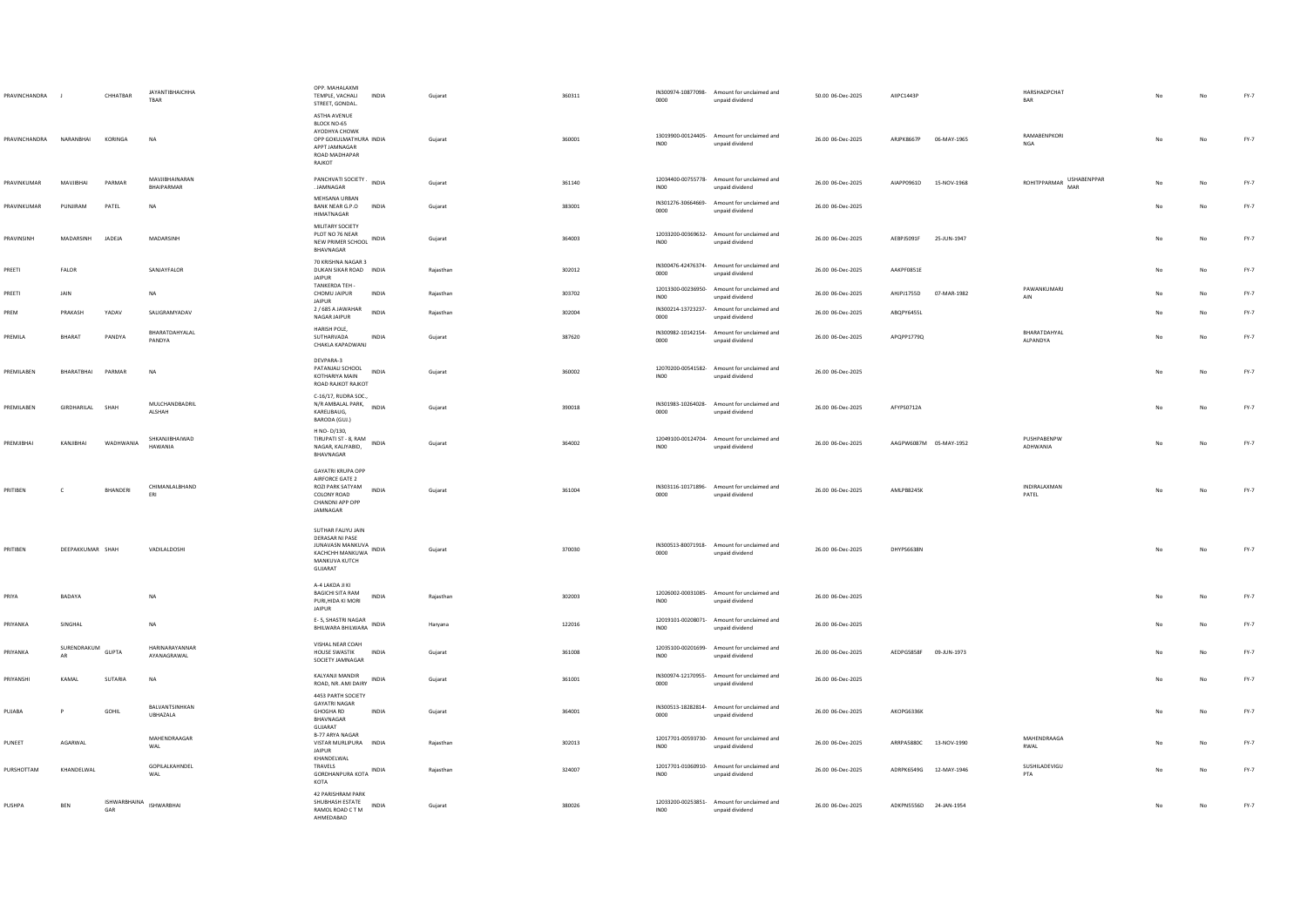| PRAVINCHANDRA           | $\blacksquare$          | CHHATBAR            | <b>JAYANTIBHAICHHA</b><br>TBAR  | OPP. MAHALAXML<br>TEMPLE, VACHALI<br><b>INDIA</b><br>STREET, GONDAL.                                                          | Gujarat   | 360311 | 0000             | IN300974-10877098- Amount for unclaimed and<br>unpaid dividend | 50.00 06-Dec-2025 | AIIPC1443P             |             | HARSHADPCHAT<br>BAR                    |    |             | $FY-7$ |
|-------------------------|-------------------------|---------------------|---------------------------------|-------------------------------------------------------------------------------------------------------------------------------|-----------|--------|------------------|----------------------------------------------------------------|-------------------|------------------------|-------------|----------------------------------------|----|-------------|--------|
| PRAVINCHANDRA NARANBHAI |                         | <b>KORINGA</b>      | <b>NA</b>                       | ASTHA AVENUE<br>BLOCK NO-65<br>AYODHYA CHOWK<br>OPP GOKULMATHURA INDIA<br>APPT JAMNAGAR<br>ROAD MADHAPAR<br>RAJKOT            | Guiarat   | 360001 | <b>INOO</b>      | 13019900-00124405- Amount for unclaimed and<br>unpaid dividend | 26.00 06-Dec-2025 | ARJPK8667P             | 06-MAY-1965 | RAMABENPKORI<br><b>NGA</b>             | No | No          | $FY-7$ |
| PRAVINKUMAR             | MAVJIBHAI               | PARMAR              | MAVJIBHAINARAN<br>BHAIPARMAR    | PANCHVATI SOCIETY.<br><b>INDIA</b><br>. JAMNAGAR                                                                              | Gujarat   | 361140 | INO <sub>0</sub> | 12034400-00755778- Amount for unclaimed and<br>unpaid dividend | 26.00 06-Dec-2025 | AIAPP0961D 15-NOV-1968 |             | <b>USHABENPPAR</b><br>ROHITPPARMAR MAR | No | No          | FY-7   |
| PRAVINKUMAR             | PUNJIRAM                | PATEL               | <b>NA</b>                       | MEHSANA URBAN<br><b>BANK NEAR G.P.O</b><br><b>INDIA</b><br>HIMATNAGAR                                                         | Gujarat   | 383001 | 0000             | IN301276-30664669- Amount for unclaimed and<br>unpaid dividend | 26.00 06-Dec-2025 |                        |             |                                        | No | No          | $FY-7$ |
| PRAVINSINH              | MADARSINH               | JADEJA              | MADARSINH                       | MILITARY SOCIETY<br>PLOT NO 76 NEAR<br>NEW PRIMER SCHOOL INDIA<br>BHAVNAGAR                                                   | Guiarat   | 364003 | INO <sub>0</sub> | 12033200-00369632- Amount for unclaimed and<br>unpaid dividend | 26.00 06-Dec-2025 | AEBPJ5091F             | 25-JUN-1947 |                                        | No | No          | FY-7   |
| PREETI                  | FALOR                   |                     | SANJAYFALOR                     | 70 KRISHNA NAGAR 3<br>DUKAN SIKAR ROAD INDIA<br><b>JAIPUR</b>                                                                 | Rajasthan | 302012 | 0000             | IN300476-42476374- Amount for unclaimed and<br>unpaid dividend | 26.00 06-Dec-2025 | AAKPF0851E             |             |                                        | No | $_{\sf No}$ | $FY-7$ |
| PREETI                  | JAIN                    |                     | $_{\sf NA}$                     | TANKERDA TEH -<br>CHOMU JAIPUR<br>INDIA<br><b>JAIPUR</b>                                                                      | Rajasthan | 303702 | INO <sub>0</sub> | 12013300-00236950- Amount for unclaimed and<br>unpaid dividend | 26.00 06-Dec-2025 | AHJPJ1755D             | 07-MAR-1982 | PAWANKUMARJ<br>AIN                     |    | No          | FY-7   |
| PREM                    | PRAKASH                 | YADAV               | SALIGRAMYADAV                   | 2 / 685 A JAWAHAR<br><b>INDIA</b><br>NAGAR JAIPUR                                                                             | Rajasthan | 302004 | 0000             | IN300214-13723237- Amount for unclaimed and<br>unpaid dividend | 26.00 06-Dec-2025 | ABQPY6455L             |             |                                        | No | No          | FY-7   |
| PREMILA                 | BHARAT                  | PANDYA              | BHARATDAHYALAL<br>PANDYA        | HARISH POLE,<br>SUTHARVADA<br>INDIA<br>CHAKLA KAPADWANJ                                                                       | Gujarat   | 387620 | 0000             | IN300982-10142154- Amount for unclaimed and<br>unpaid dividend | 26.00 06-Dec-2025 | APOPP1779Q             |             | BHARATDAHYAL<br>ALPANDYA               | No | No          | FY-7   |
| PREMILABEN              | BHARATBHAI              | PARMAR              | NA                              | DEVPARA-3<br>PATANJALI SCHOOL<br><b>INDIA</b><br>KOTHARIYA MAIN<br>ROAD RAJKOT RAJKOT                                         | Gujarat   | 360002 | IN <sub>00</sub> | 12070200-00541582- Amount for unclaimed and<br>unpaid dividend | 26.00 06-Dec-2025 |                        |             |                                        | No | No          | FY-7   |
| PREMILABEN              | GIRDHARILAL SHAH        |                     | <b>MULCHANDRADRIL</b><br>ALSHAH | C-16/17, RUDRA SOC.,<br>N/R AMBALAL PARK, INDIA<br>KARELIBAUG,<br>BARODA (GUJ.)                                               | Gujarat   | 390018 | 0000             | IN301983-10264028- Amount for unclaimed and<br>unpaid dividend | 26.00 06-Dec-2025 | AFYPS0712A             |             |                                        | No | No          | $FY-7$ |
| PREMJIBHAI              | KANJIBHAI               | WADHWANIA           | SHKANJIBHAIWAD<br>HAWANIA       | H NO-D/130,<br>TIRUPATI ST - 8, RAM<br>TIRUPATI ST - 8, RAM<br>NAGAR, KALIYABID,<br>BHAVNAGAR                                 | Gujarat   | 364002 | INO <sub>0</sub> | 12049100-00124704- Amount for unclaimed and<br>unpaid dividend | 26.00 06-Dec-2025 | AAGPW6087M 05-MAY-1952 |             | PUSHPABENPW<br>ADHWANIA                | No | No          | $FY-7$ |
| PRITIBEN                | c                       | BHANDERI            | CHIMANLALBHAND<br>ERI           | <b>GAYATRI KRUPA OPP</b><br>AIRFORCE GATE 2<br>ROZI PARK SATYAM<br><b>INDIA</b><br>COLONY ROAD<br>CHANDNI APP OPP<br>JAMNAGAR | Gujarat   | 361004 | 0000             | IN303116-10171896- Amount for unclaimed and<br>unpaid dividend | 26.00 06-Dec-2025 | AMLPB8245K             |             | INDIRALAXMAN<br>PATEL                  | No | No          | FY-7   |
| PRITIBEN                | DEEPAKKUMAR SHAH        |                     | VADILALDOSHI                    | SUTHAR FALIYU JAIN<br>DERASAR NI PASE<br>JUNAVASN MANKUVA INDIA<br>KACHCHH MANKUWA<br>MANKUVA KUTCH<br>GUJARAT                | Gujarat   | 370030 | 0000             | IN300513-80071918- Amount for unclaimed and<br>unpaid dividend | 26.00 06-Dec-2025 | DHYPS6638N             |             |                                        | No | No          | $FY-7$ |
| PRIYA                   | BADAYA                  |                     | <b>NA</b>                       | A-4 LAKDA JI KI<br>BAGICHI SITA RAM<br><b>INDIA</b><br>PURI.HIDA KI MORI<br><b>JAIPUR</b>                                     | Rajasthan | 302003 | INO <sub>0</sub> | 12026002-00031085- Amount for unclaimed and<br>unpaid dividend | 26.00 06-Dec-2025 |                        |             |                                        |    | No          | $FY-7$ |
| PRIYANKA                | SINGHAL                 |                     | NA                              | E- 5. SHASTRI NAGAR<br>INDIA<br>BHILWARA BHILWARA                                                                             | Haryana   | 122016 | IN00             | 12019101-00208071- Amount for unclaimed and<br>unpaid dividend | 26.00 06-Dec-2025 |                        |             |                                        |    | No          | $FY-7$ |
| PRIYANKA                | SURENDRAKUM GUPTA<br>AR |                     | HARINARAYANNAR<br>AYANAGRAWAL   | VISHAL NEAR COAH<br>HOUSE SWASTIK INDIA<br>SOCIETY JAMNAGAR                                                                   | Gujarat   | 361008 | INO <sub>0</sub> | 12035100-00201699- Amount for unclaimed and<br>unpaid dividend | 26.00 06-Dec-2025 | AEDPG5858F 09-JUN-1973 |             |                                        |    | No          | FY-7   |
| PRIYANSHI               | KAMAI                   | SUTARIA             | <b>NA</b>                       | KALYANJI MANDIR<br><b>INDIA</b><br>ROAD, NR. AMI DAIRY                                                                        | Guiarat   | 361001 | 0000             | IN300974-12170955- Amount for unclaimed and<br>unpaid dividend | 26.00 06-Dec-2025 |                        |             |                                        | No | No          | FY-7   |
| PUJABA                  | P                       | GOHIL               | BALVANTSINHKAN<br>UBHAZALA      | 4453 PARTH SOCIETY<br><b>GAYATRI NAGAR</b><br><b>GHOGHA RD</b><br><b>INDIA</b><br>BHAVNAGAR<br>GUJARAT                        | Guiarat   | 364001 | 0000             | IN300513-18282814- Amount for unclaimed and<br>unpaid dividend | 26.00 06-Dec-2025 | AKOPG6336K             |             |                                        | No | No          | $FY-7$ |
| PUNEET                  | AGARWAL                 |                     | MAHENDRAAGAR<br>WAL             | B-77 ARYA NAGAR<br>VISTAR MURLIPURA INDIA<br><b>JAIPUR</b>                                                                    | Rajasthan | 302013 | INO <sub>0</sub> | 12017701-00593730- Amount for unclaimed and<br>unpaid dividend | 26.00 06-Dec-2025 | ARRPA5880C             | 13-NOV-1990 | MAHENDRAAGA<br>RWAL                    |    | No          | FY-7   |
| PURSHOTTAM              | KHANDELWAL              |                     | GOPILALKAHNDEL<br>WAL           | KHANDELWAL<br>TRAVELS<br>GORDHANPURA KOTA INDIA<br>KOTA                                                                       | Rajasthan | 324007 | INO <sub>0</sub> | 12017701-01060910- Amount for unclaimed and<br>unpaid dividend | 26.00 06-Dec-2025 | ADRPK6549G 12-MAY-1946 |             | SUSHILADEVIGU<br>PTA                   |    | No          | $FY-7$ |
| PUSHPA                  | <b>BEN</b>              | ISHWARBHAINA<br>GAR | <b>ISHWARBHAI</b>               | 42 PARISHRAM PARK<br>SHUBHASH ESTATE<br>INDIA<br>RAMOL ROAD C T M<br>AHMEDARAD                                                | Gujarat   | 380026 | INO <sub>0</sub> | 12033200-00253851- Amount for unclaimed and<br>unpaid dividend | 26.00 06-Dec-2025 | ADKPN5556D 24-JAN-1954 |             |                                        | No | No          | $FY-7$ |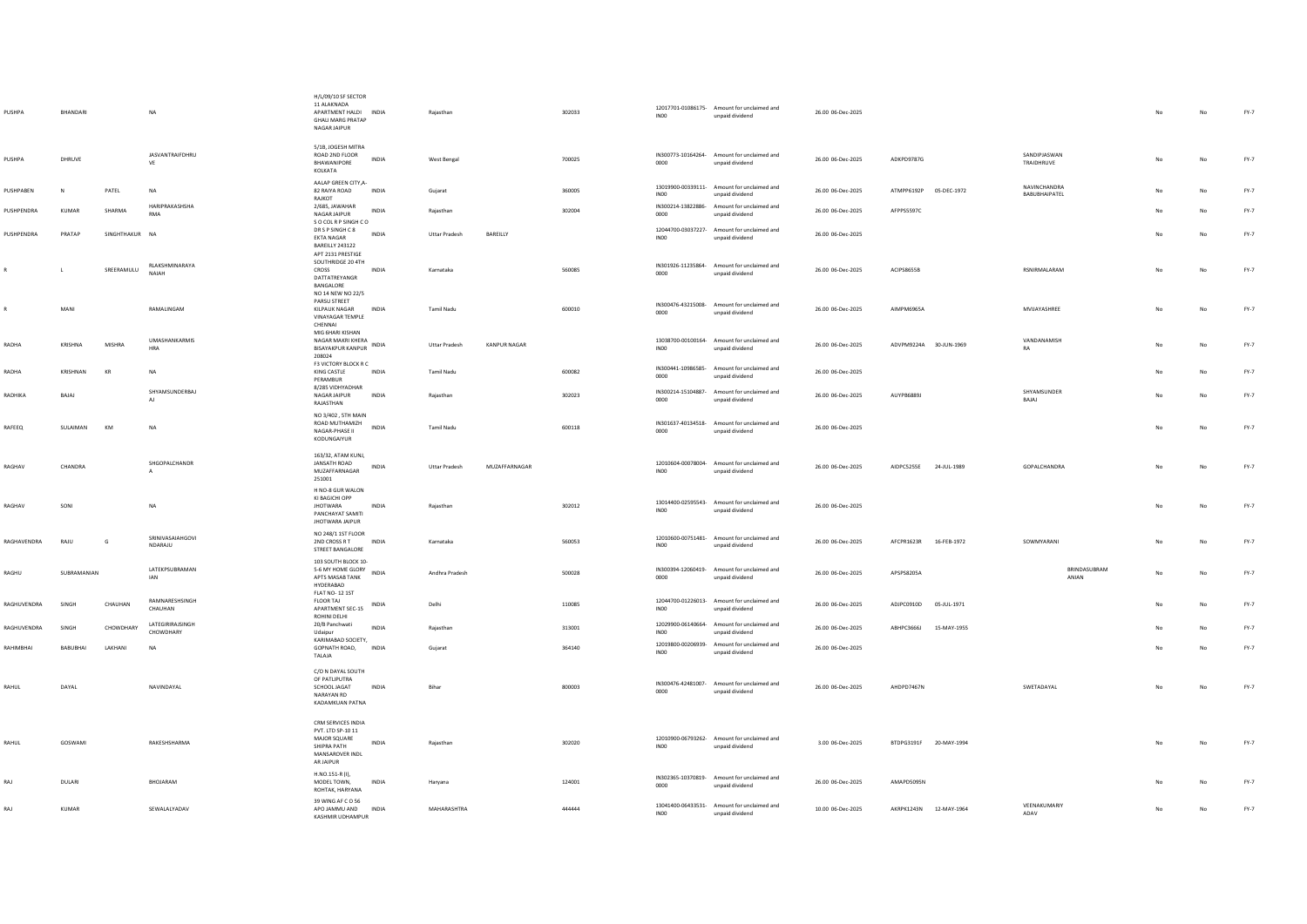| PUSHPA      | BHANDARI     |             | <b>NA</b>                     | H/L/09/10 SF SECTOR<br>11 ALAKNADA<br>APARTMENT HALDI INDIA<br><b>GHALI MARG PRATAP</b><br>NAGAR JAIPUR |              | Rajasthan            |                     | 302033 | <b>IN00</b>      | 12017701-01086175- Amount for unclaimed and<br>unpaid dividend | 26.00 06-Dec-2025 |                        |             |                                      |     | No          | $FY-7$ |
|-------------|--------------|-------------|-------------------------------|---------------------------------------------------------------------------------------------------------|--------------|----------------------|---------------------|--------|------------------|----------------------------------------------------------------|-------------------|------------------------|-------------|--------------------------------------|-----|-------------|--------|
| PUSHPA      | DHRUVE       |             | JASVANTRAIFDHRU<br>VE         | 5/1B, JOGESH MITRA<br>ROAD 2ND FLOOR<br>BHAWANIPORE<br>KOLKATA                                          | <b>INDIA</b> | <b>West Bengal</b>   |                     | 700025 | 0000             | IN300773-10164264- Amount for unclaimed and<br>unpaid dividend | 26.00 06-Dec-2025 | ADKPD9787G             |             | SANDIPJASWAN<br>TRAIDHRUVE           | No  | No          | FY-7   |
| PUSHPABEN   | <b>N</b>     | PATEL       | NA                            | AALAP GREEN CITY, A-<br>82 RAIYA ROAD<br>RAJKOT                                                         | INDIA        | Guiarat              |                     | 360005 | INO0             | 13019900-00339111- Amount for unclaimed and<br>unpaid dividend | 26.00 06-Dec-2025 | ATMPP6192P 05-DEC-1972 |             | <b>NAVINCHANDRA</b><br>BABUBHAIPATEL | No. | No          | FY-7   |
| PUSHPENDRA  | <b>KUMAR</b> | SHARMA      | HARIPRAKASHSHA<br>RMA         | 2/685, JAWAHAR<br>NAGAR JAIPUR                                                                          | <b>INDIA</b> | Raiasthan            |                     | 302004 | 0000             | IN300214-13822886- Amount for unclaimed and<br>unpaid dividend | 26.00 06-Dec-2025 | AFPPS5597C             |             |                                      |     | No          | $FY-7$ |
| PUSHPENDRA  | PRATAP       | SINGHTHAKUR | <b>NA</b>                     | S O COL R P SINGH C O<br>DR S P SINGH C 8<br>EKTA NAGAR<br>BAREILLY 243122<br>APT 2131 PRESTIGE         | INDIA        | <b>Uttar Pradesh</b> | BAREILLY            |        | INO0             | 12044700-03037227- Amount for unclaimed and<br>unpaid dividend | 26.00 06-Dec-2025 |                        |             |                                      | No. | No          | $FY-7$ |
|             | $\mathbf{L}$ | SREERAMULU  | RLAKSHMINARAYA<br>NAIAH       | SOUTHRIDGE 20 4TH<br>CROSS<br>DATTATREYANGR<br>BANGALORE<br>NO 14 NEW NO 22/5                           | <b>INDIA</b> | Karnataka            |                     | 560085 | 0000             | IN301926-11235864- Amount for unclaimed and<br>unpaid dividend | 26.00 06-Dec-2025 | ACIPS8655B             |             | <b>RSNIRMALARAM</b>                  | No. | No          | FY-7   |
|             | MANI         |             | RAMALINGAM                    | PARSU STREET<br>KILPAUK NAGAR<br><b>VINAYAGAR TEMPLE</b><br>CHENNAI                                     | INDIA        | Tamil Nadu           |                     | 600010 | 0000             | IN300476-43215008- Amount for unclaimed and<br>unpaid dividend | 26.00 06-Dec-2025 | AIMPM6965A             |             | MVIJAYASHREE                         |     | No          | $FY-7$ |
| RADHA       | KRISHNA      | MISHRA      | UMASHANKARMIS<br><b>HRA</b>   | MIG 6HARI KISHAN<br>NAGAR MAKRI KHERA<br><b>BISAYAKPUR KANPUR</b><br>208024                             | INDIA        | <b>Uttar Pradesh</b> | <b>KANPUR NAGAR</b> |        | IN <sub>00</sub> | 13038700-00100164- Amount for unclaimed and<br>unpaid dividend | 26.00 06-Dec-2025 | ADVPM9224A 30-JUN-1969 |             | VANDANAMISH                          | No  | No          | FY-7   |
| RADHA       | KRISHNAN     | KR          | NA                            | F3 VICTORY BLOCK R C<br>KING CASTLE<br>PERAMBUR                                                         | INDIA        | Tamil Nadu           |                     | 600082 | 0000             | IN300441-10986585- Amount for unclaimed and<br>unpaid dividend | 26.00 06-Dec-2025 |                        |             |                                      |     | $_{\sf No}$ | $FY-7$ |
| RADHIKA     | RAIAL        |             | SHYAMSUNDERBAJ<br>AI.         | 8/285 VIDHYADHAR<br>NAGAR JAIPUR<br>RAJASTHAN                                                           | <b>INDIA</b> | Raiasthan            |                     | 302023 | 0000             | IN300214-15104887- Amount for unclaimed and<br>unpaid dividend | 26.00 06-Dec-2025 | AUYPR68891             |             | SHYAMSUNDER<br>BAJAJ                 | No. | No          | FY-7   |
| RAFEEQ      | SULAIMAN     | KM          | <b>NA</b>                     | NO 3/402, 5TH MAIN<br>ROAD MUTHAMIZH<br>NAGAR-PHASE II<br>KODUNGAIYUR                                   | INDIA        | <b>Tamil Nadu</b>    |                     | 600118 | 0000             | IN301637-40134518- Amount for unclaimed and<br>unpaid dividend | 26.00 06-Dec-2025 |                        |             |                                      | No  | $_{\sf No}$ | FY-7   |
| RAGHAV      | CHANDRA      |             | SHGOPALCHANDR                 | 163/32, ATAM KUNJ,<br>JANSATH ROAD<br>MUZAFFARNAGAR<br>251001                                           | <b>INDIA</b> | <b>Uttar Pradesh</b> | MUZAFFARNAGAR       |        | INO0             | 12010604-00078004- Amount for unclaimed and<br>unpaid dividend | 26.00 06-Dec-2025 | AIDPC5255E 24-JUL-1989 |             | GOPALCHANDRA                         | No  | No          | FY-7   |
| RAGHAV      | SONI         |             | <b>NA</b>                     | H NO-8 GUR WALON<br>KI BAGICHI OPP<br><b>JHOTWARA</b><br>PANCHAYAT SAMITI<br><b>JHOTWARA JAIPUR</b>     | <b>INDIA</b> | Raiasthan            |                     | 302012 | INO <sub>0</sub> | 13014400-02595543- Amount for unclaimed and<br>unpaid dividend | 26.00 06-Dec-2025 |                        |             |                                      | No  | No          | FY-7   |
| RAGHAVENDRA | RAJU         | G           | SRINIVASAIAHGOVI<br>NDARAJU   | NO 248/1 1ST FLOOR<br>2ND CROSS R T<br>STREET BANGALORE                                                 | INDIA        | Karnataka            |                     | 560053 | INO0             | 12010600-00751481- Amount for unclaimed and<br>unpaid dividend | 26.00 06-Dec-2025 | AFCPR1623R             | 16-FEB-1972 | SOWMYARANI                           |     | No          | $FY-7$ |
| RAGHU       | SUBRAMANIAN  |             | LATEKPSUBRAMAN<br><b>IAN</b>  | 103 SOUTH BLOCK 10-<br>APTS MASAB TANK<br>HYDERABAD                                                     |              | Andhra Pradesh       |                     | 500028 | 0000             | IN300394-12060419- Amount for unclaimed and<br>unpaid dividend | 26.00 06-Dec-2025 | APSPS8205A             |             | BRINDASUBRAM<br>ANIAN                | No  | $_{\sf No}$ | $FY-7$ |
| RAGHUVENDRA | SINGH        | CHAUHAN     | RAMNARESHSINGH<br>CHAUHAN     | <b>FLAT NO-12 1ST</b><br><b>FLOOR TAJ</b><br>APARTMENT SEC-15<br>ROHINI DELHI                           | INDIA        | Delhi                |                     | 110085 | INO <sub>0</sub> | 12044700-01226013- Amount for unclaimed and<br>unpaid dividend | 26.00 06-Dec-2025 | ADJPC0910D             | 05-JUL-1971 |                                      | No  | $_{\sf No}$ | $FY-7$ |
| RAGHUVENDRA | SINGH        | CHOWDHARY   | LATEGIRIRAJSINGH<br>CHOWDHARY | 20/B Panchwati<br>Udaipur                                                                               | <b>INDIA</b> | Rajasthan            |                     | 313001 | INO0             | 12029900-06140664- Amount for unclaimed and<br>unpaid dividend | 26.00 06-Dec-2025 | ABHPC3666J             | 15-MAY-1955 |                                      |     | $_{\sf No}$ | $FY-7$ |
| RAHIMBHAI   | BABUBHAI     | LAKHANI     | NA                            | KARIMABAD SOCIETY,<br>GOPNATH ROAD,<br>TALAJA                                                           | INDIA        | Gujarat              |                     | 364140 | INO <sub>0</sub> | 12019800-00206939- Amount for unclaimed and<br>unpaid dividend | 26.00 06-Dec-2025 |                        |             |                                      |     | $_{\sf No}$ | $FY-7$ |
| RAHUL       | DAYAL        |             | NAVINDAYAL                    | C/O N DAYAL SOUTH<br>OF PATLIPUTRA<br>SCHOOL JAGAT<br>NARAYAN RD<br>KADAMKUAN PATNA                     | INDIA        | Bihar                |                     | 800003 | 0000             | IN300476-42481007- Amount for unclaimed and<br>unpaid dividend | 26.00 06-Dec-2025 | AHDPD7467N             |             | SWETADAYAL                           | No  | No          | FY-7   |
| RAHUL       | GOSWAMI      |             | RAKESHSHARMA                  | CRM SERVICES INDIA<br>PVT. LTD SP-10 11<br>MAJOR SQUARE<br>SHIPRA PATH<br>MANSAROVER INDL<br>AR JAIPUR  | <b>INDIA</b> | Rajasthan            |                     | 302020 | INO <sub>0</sub> | 12010900-06793262- Amount for unclaimed and<br>unpaid dividend | 3.00 06-Dec-2025  | BTDPG3191F 20-MAY-1994 |             |                                      | No  | No          | FY-7   |
| RAJ         | DULARI       |             | BHOJARAM                      | H.NO.151-R (I),<br>MODEL TOWN,<br>ROHTAK, HARYANA                                                       | INDIA        | Haryana              |                     | 124001 | 0000             | IN302365-10370819- Amount for unclaimed and<br>unpaid dividend | 26.00 06-Dec-2025 | AMAPD5095N             |             |                                      |     | No          | FY-7   |
| RAJ         | KUMAR        |             | SEWALALYADAV                  | 39 WING AF C O 56<br>APO JAMMU AND INDIA<br>KASHMIR UDHAMPUR                                            |              | MAHARASHTRA          |                     | 444444 | INO <sub>0</sub> | 13041400-06433531- Amount for unclaimed and<br>unpaid dividend | 10.00 06-Dec-2025 | AKRPK1243N 12-MAY-1964 |             | VEENAKUMARIY<br>ADAV                 | No  | No          | $FY-7$ |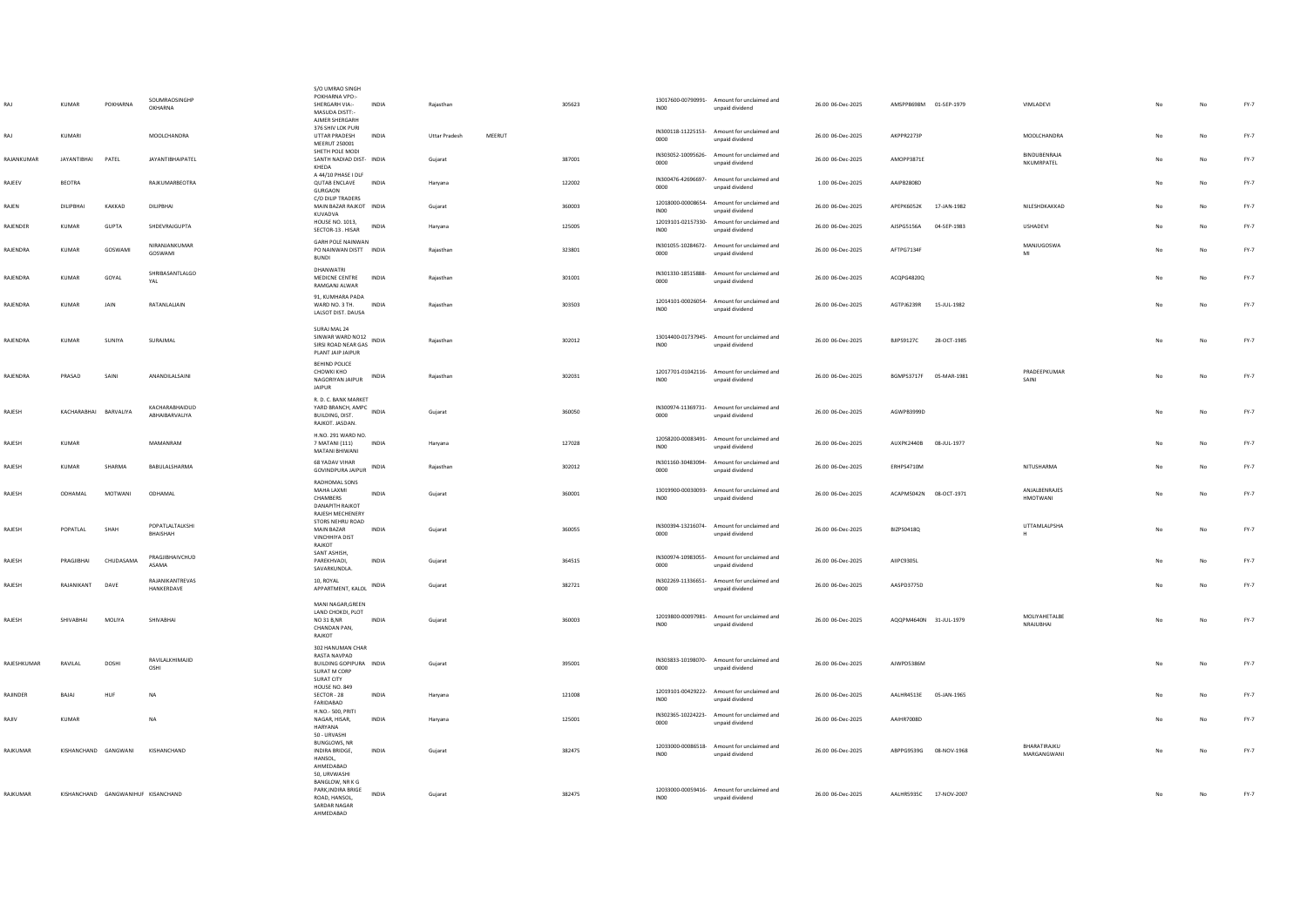|             | <b>KUMAR</b>          | POKHARNA                           | SOUMRAOSINGHP<br>OKHARNA                | S/O UMRAO SINGH<br>POKHARNA VPO:-<br>SHERGARH VIA:-<br>MASUDA DISTT:-<br><b>AIMER SHERGARH</b><br>376 SHIV LOK PURI | <b>INDIA</b> | Rajasthan            |        | 305623 | INO <sub>0</sub> | 13017600-00790991- Amount for unclaimed and<br>unpaid dividend<br>IN300118-11225153- Amount for unclaimed and | 26.00 06-Dec-2025 | AMSPP8698M 01-SEP-1979 |             | VIMLADEVI                        | No             | No | $FY-7$ |
|-------------|-----------------------|------------------------------------|-----------------------------------------|---------------------------------------------------------------------------------------------------------------------|--------------|----------------------|--------|--------|------------------|---------------------------------------------------------------------------------------------------------------|-------------------|------------------------|-------------|----------------------------------|----------------|----|--------|
| RAJ         | KUMARI                |                                    | MOOLCHANDRA                             | UTTAR PRADESH<br>MEERUT 250001<br>SHETH POLE MODI                                                                   | INDIA        | <b>Uttar Pradesh</b> | MEERUT |        | 0000             | unpaid dividend<br>IN303052-10095626- Amount for unclaimed and                                                | 26.00 06-Dec-2025 | AKPPR2273P             |             | MOOLCHANDRA<br>BINDUBENRAJA      |                | No | $FY-7$ |
| RAJANKUMAR  | <b>JAYANTIBHAI</b>    | PATEL                              | <b>JAYANTIBHAIPATEL</b>                 | SANTH NADIAD DIST- INDIA<br>KHEDA<br>A 44/10 PHASE I DLF                                                            |              | Gujarat              |        | 387001 | 0000             | unpaid dividend                                                                                               | 26.00 06-Dec-2025 | AMOPP3871E             |             | NKUMRPATEL                       | No             | No | FY-7   |
| RAJEEV      | <b>BEOTRA</b>         |                                    | RAJKUMARBEOTRA                          | <b>QUTAB ENCLAVE</b><br>GURGAON<br>C/O DILIP TRADERS                                                                | INDIA        | Haryana              |        | 122002 | 0000             | IN300476-42696697- Amount for unclaimed and<br>unpaid dividend                                                | 1.00 06-Dec-2025  | AAIPB2808D             |             |                                  | No             | No | $FY-7$ |
| RAJEN       | DILIPBHAI             | KAKKAD                             | DILIPBHAI                               | MAIN BAZAR RAJKOT INDIA<br>KUVADVA                                                                                  |              | Gujarat              |        | 360003 | IN00             | 12018000-00008654- Amount for unclaimed and<br>unpaid dividend                                                | 26.00 06-Dec-2025 | APEPK6052K             | 17-JAN-1982 | NILESHDKAKKAD                    | No             | No | $FY-7$ |
| RAJENDER    | KUMAR                 | GUPTA                              | SHDEVRAJGUPTA                           | HOUSE NO. 1013.<br>SECTOR-13 . HISAR                                                                                | INDIA        | Haryana              |        | 125005 | INO <sub>0</sub> | 12019101-02157330- Amount for unclaimed and<br>unpaid dividend                                                | 26.00 06-Dec-2025 | AJSPG5156A             | 04-SEP-1983 | USHADEVI                         |                | No | $FY-7$ |
| RAJENDRA    | KUMAR                 | GOSWAMI                            | NIRANJANKUMAR<br>GOSWAMI                | GARH POLE NAINWAN<br>PO NAINWAN DISTT INDIA<br>BUNDI                                                                |              | Rajasthan            |        | 323801 | 0000             | IN301055-10284672- Amount for unclaimed and<br>unpaid dividend                                                | 26.00 06-Dec-2025 | AFTPG7134F             |             | MANJUGOSWA<br>MI                 | No             | No | FY-7   |
| RAJENDRA    | KUMAR                 | GOYAL                              | SHRIBASANTLALGO<br>YAL                  | DHANWATRI<br>MEDICNE CENTRE<br>RAMGANJ ALWAR                                                                        | INDIA        | Rajasthan            |        | 301001 | 0000             | IN301330-18515888- Amount for unclaimed and<br>unpaid dividend                                                | 26.00 06-Dec-2025 | ACQPG4820Q             |             |                                  |                | No | $FY-7$ |
| RAJENDRA    | <b>KUMAR</b>          | JAIN                               | RATANLALJAIN                            | 91, KUMHARA PADA<br>WARD NO. 3 TH. INDIA<br>LALSOT DIST. DAUSA                                                      |              | Raiasthan            |        | 303503 | INO0             | 12014101-00026054- Amount for unclaimed and<br>unpaid dividend                                                | 26.00 06-Dec-2025 | AGTPJ6239R             | 15-JUL-1982 |                                  | No             | No | FY-7   |
| RAJENDRA    | KUMAR                 | <b>SUNIYA</b>                      | SURAJMAL                                | SURAJ MAL 24<br>SINWAR WARD NO12<br>SIRSI ROAD NEAR GAS<br>PLANT JAIP JAIPUR                                        | <b>INDIA</b> | Rajasthan            |        | 302012 | INO <sub>0</sub> | 13014400-01737945- Amount for unclaimed and<br>unpaid dividend                                                | 26.00 06-Dec-2025 | BJIPS9127C             | 28-OCT-1985 |                                  |                | No | FY-7   |
| RAJENDRA    | PRASAD                | SAINI                              | ANANDILALSAINI                          | <b>REHIND POLICE</b><br>CHOWKI KHO<br>NAGORIYAN JAIPUR<br>JAIPUR                                                    | <b>INDIA</b> | Raiasthan            |        | 302031 | IN <sub>00</sub> | 12017701-01042116- Amount for unclaimed and<br>unpaid dividend                                                | 26.00 06-Dec-2025 | BGMPS3717F             | 05-MAR-1981 | PRADEEPKUMAR<br>SAINI            | No             | No | FY-7   |
| RAJESH      | KACHARABHAI BARVALIYA |                                    | KACHARABHAIDUD<br><b>ARHAIRARVALIYA</b> | R. D. C. BANK MARKET<br>YARD BRANCH, AMPC INDIA<br>BUILDING, DIST.<br>RAJKOT. JASDAN                                |              | Gujarat              |        | 360050 | 0000             | IN300974-11369731- Amount for unclaimed and<br>unpaid dividend                                                | 26.00 06-Dec-2025 | AGWPB3999D             |             |                                  | No             | No | FY-7   |
| RAJESH      | KUMAR                 |                                    | MAMANRAM                                | H.NO. 291 WARD NO.<br>7 MATANI (111)<br>MATANI BHIWANI                                                              | <b>INDIA</b> | Haryana              |        | 127028 | INO <sub>0</sub> | 12058200-00083491- Amount for unclaimed and<br>unpaid dividend                                                | 26.00 06-Dec-2025 | AUXPK2440B             | 08-JUL-1977 |                                  | N <sub>o</sub> | No | FY-7   |
| RAIFSH      | KUMAR                 | SHARMA                             | <b>BARULAI SHARMA</b>                   | <b>68 YADAV VIHAR</b><br><b>GOVINDPURA JAIPUR</b>                                                                   | <b>INDIA</b> | Rajasthan            |        | 302012 | 0000             | IN301160-30483094- Amount for unclaimed and<br>unpaid dividend                                                | 26.00.06-Dec-2025 | FRHPS4710M             |             | NITUSHARMA                       | <b>No</b>      | No | FY-7   |
| RAJESH      | ODHAMAL               | <b>MOTWANI</b>                     | ODHAMAL                                 | RADHOMAL SONS<br>MAHA LAXMI<br>CHAMBERS<br><b>DANAPITH RAJKOT</b><br>RAJESH MECHENERY                               | <b>INDIA</b> | Gujarat              |        | 360001 | INO <sub>0</sub> | 13019900-00030093- Amount for unclaimed and<br>unpaid dividend                                                | 26.00 06-Dec-2025 | ACAPM5042N 08-OCT-1971 |             | ANJALBENRAJES<br><b>HMOTWANI</b> | No             | No | FY-7   |
| RAJESH      | POPATLAL              | SHAH                               | POPATLALTALKSHI<br>BHAISHAH             | STORS NEHRU ROAD<br>MAIN BAZAR<br><b>VINCHHIYA DIST</b><br>RAIKOT                                                   | <b>INDIA</b> | Gujarat              |        | 360055 | 0000             | IN300394-13216074- Amount for unclaimed and<br>unpaid dividend                                                | 26.00 06-Dec-2025 | BIZPS0418Q             |             | UTTAMLALPSHA                     | No             | No | FY-7   |
| RAJESH      | PRAGJIBHAI            | CHUDASAMA                          | PRAGJIBHAIVCHUD<br>ASAMA                | SANT ASHISH,<br>PAREKHVADI.<br>SAVARKUNDLA.                                                                         | <b>INDIA</b> | Guiarat              |        | 364515 | 0000             | IN300974-10983055- Amount for unclaimed and<br>unpaid dividend                                                | 26.00 06-Dec-2025 | AIIPC9305L             |             |                                  | No             | No | FY-7   |
| RAJESH      | RAJANIKANT            | DAVE                               | RAJANIKANTREVAS<br>HANKERDAVE           | 10, ROYAL<br>APPARTMENT, KALOL                                                                                      | INDIA        | Gujarat              |        | 382721 | 0000             | IN302269-11336651- Amount for unclaimed and<br>unpaid dividend                                                | 26.00 06-Dec-2025 | AASPD3775D             |             |                                  |                | No | FY-7   |
| RAJESH      | SHIVABHAI             | MOLIYA                             | SHIVABHAI                               | MANI NAGAR, GREEN<br>LAND CHOKDI, PLOT<br><b>NO 31 B.NR</b><br>CHANDAN PAN,<br>RAJKOT                               | <b>INDIA</b> | Gujarat              |        | 360003 | IN <sub>00</sub> | 12019800-00097981- Amount for unclaimed and<br>unpaid dividend                                                | 26.00 06-Dec-2025 | AQQPM4640N 31-JUL-1979 |             | MOLIYAHETALBE<br>NRAJUBHAI       | No             | No | $FY-7$ |
| RAJESHKUMAR | RAVILAL               | DOSHI                              | RAVILALKHIMAJID<br>OSHI                 | 302 HANUMAN CHAR<br>RASTA NAVPAD<br>BUILDING GOPIPURA INDIA<br>SURAT M CORP<br>SURAT CITY                           |              | Guiarat              |        | 395001 | 0000             | IN303833-10198070- Amount for unclaimed and<br>unpaid dividend                                                | 26.00 06-Dec-2025 | AJWPD5386M             |             |                                  |                | No | FY-7   |
| RAJINDER    | BAJAJ                 | HUF                                | NA                                      | HOUSE NO. 849<br>SECTOR - 28<br>FARIDABAD                                                                           | INDIA        | Haryana              |        | 121008 | IN00             | 12019101-00429222- Amount for unclaimed and<br>unpaid dividend                                                | 26.00 06-Dec-2025 | AALHR4513E 05-JAN-1965 |             |                                  |                | No | $FY-7$ |
| RAJIV       | KUMAR                 |                                    | NA                                      | H.NO - 500 PRITI<br>NAGAR, HISAR,<br>HARYANA<br>50 - URVASHI                                                        | INDIA        | Haryana              |        | 125001 | 0000             | IN302365-10224223- Amount for unclaimed and<br>unpaid dividend                                                | 26.00 06-Dec-2025 | AAIHR7008D             |             |                                  |                | No | $FY-7$ |
| RAJKUMAR    | KISHANCHAND GANGWANI  |                                    | KISHANCHAND                             | <b>BUNGLOWS, NR</b><br>INDIRA BRIDGE,<br>HANSOL,<br>AHMEDABAD<br>50 URVWASHI                                        | <b>INDIA</b> | Gujarat              |        | 382475 | INO <sub>0</sub> | 12033000-00086518- Amount for unclaimed and<br>unpaid dividend                                                | 26.00 06-Dec-2025 | ABPPG9539G 08-NOV-1968 |             | BHARATIRAJKU<br>MARGANGWANI      | No             | No | FY-7   |
| RAJKUMAR    |                       | KISHANCHAND GANGWANIHUF KISANCHAND |                                         | BANGLOW, NR K G<br>PARK, INDIRA BRIGE<br>ROAD, HANSOL,<br>SARDAR NAGAR<br>AHMEDARAD                                 | <b>INDIA</b> | Gujarat              |        | 382475 | INO <sub>0</sub> | 12033000-00059416- Amount for unclaimed and<br>unpaid dividend                                                | 26.00 06-Dec-2025 | AALHR5935C 17-NOV-2007 |             |                                  | No             | No | $FY-7$ |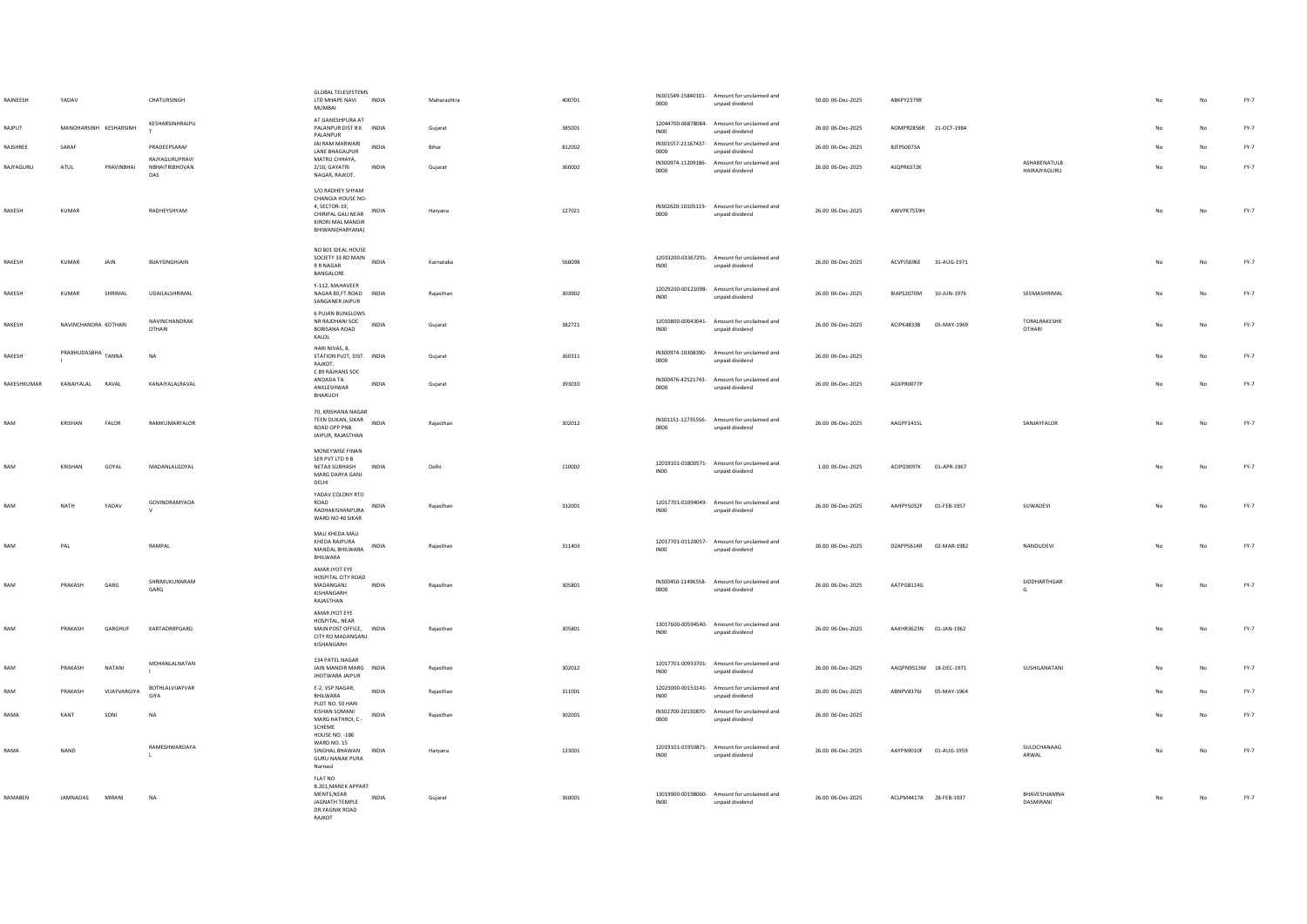| RAJNEESH    | YADAV                  |             | CHATURSINGH                             | GLOBAL TELESYSTEMS<br>LTD MHAPE NAVI INDIA<br>MUMRAI                                                                        |              | Maharashtra | 400701 | 0000             | IN301549-15840101- Amount for unclaimed and<br>unpaid dividend | 50.00 06-Dec-2025 | ABKPY2379R             |              |                                     |    | No.         | $FY-7$ |
|-------------|------------------------|-------------|-----------------------------------------|-----------------------------------------------------------------------------------------------------------------------------|--------------|-------------|--------|------------------|----------------------------------------------------------------|-------------------|------------------------|--------------|-------------------------------------|----|-------------|--------|
| RAJPUT      | MANOHARSINH KESHARSINH |             | KESHARSINHRAJPU<br>T.                   | AT GANESHPURA AT<br>PALANPUR DIST B K INDIA<br>PALANPUR                                                                     |              | Gujarat     | 385001 | INO <sub>0</sub> | 12044700-06878084- Amount for unclaimed and<br>unpaid dividend | 26.00 06-Dec-2025 | AOMPR2856R 21-OCT-1984 |              |                                     |    | No          | FY-7   |
| RAJSHREE    | SARAF                  |             | PRADEEPSARAF                            | JAI RAM MARWARI<br><b>I ANF RHAGALPUR</b>                                                                                   | <b>INDIA</b> | Bihar       | 812002 | 0000             | IN301557-21167437- Amount for unclaimed and<br>unpaid dividend | 26.00 06-Dec-2025 | BJTPS0073A             |              |                                     |    | $_{\sf No}$ | $FY-7$ |
| RAJYAGURU   | ${\sf ATUL}$           | PRAVINBHAI  | RAJYAGURUPRAVI<br>NBHAITRIBHOVAN<br>DAS | MATRU CHHAYA,<br>2/10, GAYATRI<br>NAGAR, RAJKOT.                                                                            | INDIA        | Gujarat     | 360002 | 0000             | IN300974-11209186- Amount for unclaimed and<br>unpaid dividend | 26.00 06-Dec-2025 | AJQPR6372K             |              | ASHABENATULB<br><b>HAIRAIYAGURU</b> |    | No          | $FY-7$ |
| RAKESH      | <b>KUMAR</b>           |             | RADHEYSHYAM                             | S/O RADHEY SHYAM<br>CHANGIA HOUSE NO-<br>4, SECTOR-19,<br>CHIRIPAL GALI NEAR INDIA<br>KIRORI MAI MANDIR<br>BHIWANI(HARYANA) |              | Haryana     | 127021 | 0000             | IN302620-10105119- Amount for unclaimed and<br>unpaid dividend | 26.00 06-Dec-2025 | AWVPK7559H             |              |                                     | No | No          | $FY-7$ |
| RAKESH      | KUMAR                  | JAIN        | BUAYSINGHJAIN                           | NO 801 IDEAL HOUSE<br>SOCIETY 33 RD MAIN INDIA<br><b>R R NAGAR</b><br>BANGALORE                                             |              | Karnataka   | 560098 | INO <sub>0</sub> | 12033200-03367291- Amount for unclaimed and<br>unpaid dividend | 26.00 06-Dec-2025 | ACVPJ5696E             | 31-AUG-1971  |                                     | No | No          | $FY-7$ |
| RAKESH      | KUMAR                  | SHRIMAI     | <b>UDAILAI SHRIMAL</b>                  | Y-112. MAHAVEER<br>NAGAR 80.FT.ROAD INDIA<br>SANGANER JAIPUR                                                                |              | Rajasthan   | 303902 | IN00             | 12029200-00121098- Amount for unclaimed and<br>unpaid dividend | 26.00.06-Dec-2025 | <b>BIAPS2070M</b>      | 10-ILIN-1976 | SEEMASHRIMAL                        | No | No          | $FY-7$ |
| RAKESH      | NAVINCHANDRA KOTHARI   |             | NAVINCHANDRAK<br><b>OTHARI</b>          | 6 PUJAN BUNGLOWS<br>NR RAJDHANI SOC<br>BORISANA ROAD<br>KALOL                                                               | INDIA        | Guiarat     | 382721 | IN <sub>00</sub> | 12010800-00043041- Amount for unclaimed and<br>unpaid dividend | 26.00 06-Dec-2025 | ACIPK4833B             | 05-MAY-1969  | TORALRAKESHK<br>OTHARI              |    | No          | FY-7   |
| RAKESH      | PRABHUDASBHA TANNA     |             | <b>NA</b>                               | HARI NIVAS, 8,<br>STATION PLOT, DIST. INDIA<br><b>RAIKOT</b>                                                                |              | Guiarat     | 360311 | 0000             | IN300974-10308390- Amount for unclaimed and<br>unpaid dividend | 26.00 06-Dec-2025 |                        |              |                                     | No | No          | $FY-7$ |
| RAKESHKUMAR | KANAIYALAL RAVAL       |             | KANAIYAI AI RAVAI                       | C 89 RAJHANS SOC<br>ANDADA TA<br>ANKLESHWAR<br>BHARUCH                                                                      | <b>INDIA</b> | Gujarat     | 393010 | 0000             | IN300476-42521743- Amount for unclaimed and<br>unpaid dividend | 26.00 06-Dec-2025 | AGXPR0077P             |              |                                     | No | No          | FY-7   |
| RAM         | KRISHAN                | FALOR       | RAMKUMARFALOR                           | 70, KRISHANA NAGAR<br>TEEN DUKAN, SIKAR<br>ROAD OPP PNB<br>JAIPUR, RAJASTHAN                                                | <b>INDIA</b> | Rajasthan   | 302012 | 0000             | IN301151-12735556- Amount for unclaimed and<br>unpaid dividend | 26.00 06-Dec-2025 | AAGPF1415L             |              | SANJAYFALOR                         | No | No          | $FY-7$ |
| RAM         | KRISHAN                | GOYAL       | MADANLALGOYAL                           | MONEYWISE FINAN<br>SER PVT LTD 9 B<br>NETAJI SUBHASH<br>MARG DARYA GANJ<br>DELHI                                            | INDIA        | Delhi       | 110002 | IN <sub>00</sub> | 12019101-01800571- Amount for unclaimed and<br>unpaid dividend | 1.00 06-Dec-2025  | ACIPG9097K             | 01-APR-1967  |                                     | No | No          | FY-7   |
| RAM         | NATH                   | YADAV       | GOVINDRAMYADA                           | YADAV COLONY RTO<br>ROAD<br>RADHAKISHANPURA INDIA<br>WARD NO 40 SIKAR                                                       |              | Rajasthan   | 332001 | IN00             | 12017701-01094049- Amount for unclaimed and<br>unpaid dividend | 26.00 06-Dec-2025 | AAHPY5032F             | 01-FEB-1957  | SUWADEVI                            | No | No          | $FY-7$ |
| RAM         | PAL                    |             | RAMPAL                                  | MALI KHEDA MALI<br>KHEDA RAJPURA<br>MANDAL BHILWARA<br>BHILWARA                                                             | <b>INDIA</b> | Raiasthan   | 311403 | <b>IN00</b>      | 12017701-01120057- Amount for unclaimed and<br>unpaid dividend | 26.00 06-Dec-2025 | DZAPP5614R 02-MAR-1982 |              | NANDUDEVI                           | No | No          | FY-7   |
| RAM         | PRAKASH                | GARG        | SHRIMUKUNNRAM<br>GARG                   | AMAR JYOT EYE<br>HOSPITAL CITY ROAD<br>MADANGANI<br>KISHANGARH<br>RAJASTHAN                                                 | <b>INDIA</b> | Rajasthan   | 305801 | 0000             | IN300450-11496558- Amount for unclaimed and<br>unpaid dividend | 26.00 06-Dec-2025 | AATPG8114G             |              | SIDDHARTHGAR<br>G                   | No | No          | $FY-7$ |
| RAM         | PRAKASH                | GARGHUF     | KARTADRRPGARG                           | AMAR JYOT EYE<br>HOSPITAL, NEAR<br>MAIN POST OFFICE, INDIA<br>CITY RO MADANGANJ<br>KISHANGARH                               |              | Raiasthan   | 305801 | IN <sub>00</sub> | 13017600-00594540- Amount for unclaimed and<br>unpaid dividend | 26.00 06-Dec-2025 | AAKHR3623N 01-JAN-1962 |              |                                     |    | No          | FY-7   |
| RAM         | PRAKASH                | NATANI      | MOHANLALNATAN                           | 134 PATEL NAGAR<br>JAIN MANDIR MARG INDIA<br><b>IHOTWARA IAIPUR</b>                                                         |              | Rajasthan   | 302012 | INO <sub>0</sub> | 12017701-00933701- Amount for unclaimed and<br>unpaid dividend | 26.00 06-Dec-2025 | AAQPN9513M 18-DEC-1971 |              | SUSHILANATANI                       | No | No          | $FY-7$ |
| RAM         | PRAKASH                | VUAYVARGIYA | BOTHLALVIJAYVAR<br>GIYA                 | E-2, VSP NAGAR,<br>BHILWARA<br>PLOT NO. 50 HARI                                                                             | INDIA        | Rajasthan   | 311001 | INO <sub>0</sub> | 12023000-00153141- Amount for unclaimed and<br>unpaid dividend | 26.00 06-Dec-2025 | ABNPV8376J 05-MAY-1964 |              |                                     |    | No          | $FY-7$ |
| RAMA        | KANT                   | SONI        | <b>NA</b>                               | <b>KISHAN SOMANI</b><br>MARG HATHROI, C -<br>SCHEME                                                                         | <b>INDIA</b> | Rajasthan   | 302001 | 0000             | IN302700-20130870- Amount for unclaimed and<br>unpaid dividend | 26.00 06-Dec-2025 |                        |              |                                     |    | No          | $FY-7$ |
| RAMA        | NAND                   |             | RAMESHWARDAYA                           | <b>HOUSE NO. - 186</b><br>WARD NO. 15<br>SINGHAL BHAWAN<br><b>GURLI NANAK PURA</b><br>Narnaul                               | <b>INDIA</b> | Haryana     | 123001 | <b>IN00</b>      | 12019101-01950871- Amount for unclaimed and<br>unpaid dividend | 26.00 06-Dec-2025 | AAYPN9010F 01-AUG-1959 |              | SULOCHANAAG<br>ARWAL                |    | No          | $FY-7$ |
| RAMABEN     | JAMNADAS               | MIRANI      | <b>NA</b>                               | FLAT NO<br>B.201, MANEK APPART-<br>MENTS, NEAR<br>JAGNATH TEMPLE<br>DR.YAGNIK ROAD<br>RAIKOT                                | <b>INDIA</b> | Gujarat     | 360001 | <b>IN00</b>      | 13019900-00198060- Amount for unclaimed and<br>unpaid dividend | 26.00 06-Dec-2025 | ACLPM4417A 28-FEB-1937 |              | BHAVESHJAMNA<br>DASMIRANI           | No | No          | FY-7   |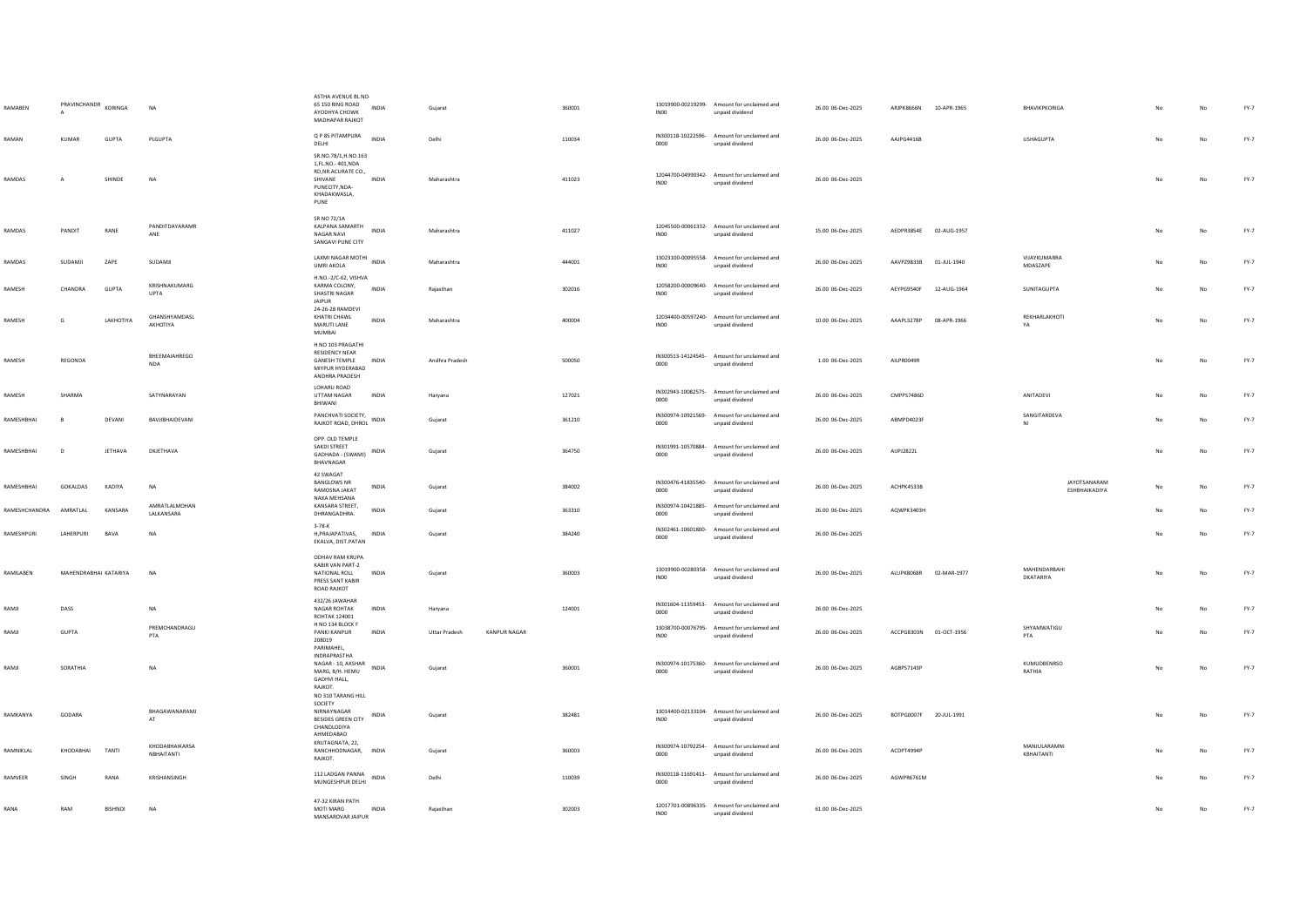| RAMABEN       | PRAVINCHANDR KORINGA  |                | <b>NA</b>                    | ASTHA AVENUE BL NO-<br>65 150 RING ROAD<br>AYODHYA CHOWK<br>MADHAPAR RAJKOT                                          | <b>INDIA</b> | Gujarat              |                     | 360001 | INO <sub>0</sub> | 13019900-00219299- Amount for unclaimed and<br>unpaid dividend | 26.00 06-Dec-2025 | ARJPK8666N 10-APR-1965 |             | BHAVIKPKORIGA                 |    | No          | $FY-7$ |
|---------------|-----------------------|----------------|------------------------------|----------------------------------------------------------------------------------------------------------------------|--------------|----------------------|---------------------|--------|------------------|----------------------------------------------------------------|-------------------|------------------------|-------------|-------------------------------|----|-------------|--------|
| RAMAN         | KUMAR                 | <b>GUPTA</b>   | <b>PLGUPTA</b>               | Q P 85 PITAMPURA<br>DELHI                                                                                            | <b>INDIA</b> | Delhi                |                     | 110034 | 0000             | IN300118-10222596- Amount for unclaimed and<br>unpaid dividend | 26.00 06-Dec-2025 | AAIPG4416B             |             | <b>LISHAGUPTA</b>             | No | No          | $FY-7$ |
| <b>RAMDAS</b> | $\overline{A}$        | SHINDE         | <b>NA</b>                    | SR.NO.78/1,H.NO.163<br>1.FL.NO.- 401.NDA<br>RD, NR.ACURATE CO.,<br>SHIVANE<br>PUNECITY, NDA-<br>KHADAKWASLA,<br>PUNE | <b>INDIA</b> | Maharashtra          |                     | 411023 | INO <sub>0</sub> | 12044700-04990342- Amount for unclaimed and<br>unpaid dividend | 26.00 06-Dec-2025 |                        |             |                               | No | No          | FY-7   |
| RAMDAS        | PANDIT                | RANE           | PANDITDAYARAMR<br>ANE        | SR NO 72/1A<br>KALPANA SAMARTH<br>NAGAR NAVI<br>SANGAVI PUNE CITY                                                    | <b>INDIA</b> | Maharashtra          |                     | 411027 | INO <sub>0</sub> | 12045500-00061332- Amount for unclaimed and<br>unpaid dividend | 15.00 06-Dec-2025 | AEDPR3854E 02-AUG-1957 |             |                               |    | No          | FY-7   |
| <b>RAMDAS</b> | SUDAMJI               | ZAPE           | SUDAMJI                      | LAXMI NAGAR MOTHI INDIA<br><b>UMRI AKOLA</b>                                                                         |              | Maharashtra          |                     | 444001 | IN00             | 13023100-00095558- Amount for unclaimed and<br>unpaid dividend | 26.00 06-Dec-2025 | AAVPZ9833B 01-JUL-1940 |             | VIJAYKUMARRA<br>MDASZAPE      | No | No          | $FY-7$ |
| RAMESH        | CHANDRA               | GUPTA          | KRISHNAKUMARG<br><b>UPTA</b> | H.NO.-2/C-62, VISHVA<br>KARMA COLONY.<br>SHASTRI NAGAR<br><b>JAIPUR</b>                                              | INDIA        | Rajasthan            |                     | 302016 | <b>IN00</b>      | 12058200-00009640- Amount for unclaimed and<br>unpaid dividend | 26.00 06-Dec-2025 | AEYPG9540F             | 12-AUG-1964 | SUNITAGUPTA                   |    | No          | $FY-7$ |
| RAMESH        | G                     | LAKHOTIYA      | GHANSHYAMDASL<br>AKHOTIYA    | 24-26-28 RAMDEVI<br>KHATRI CHAWL<br>MARUTI LANE<br>MUMBAI                                                            | INDIA        | Maharashtra          |                     | 400004 | INO <sub>0</sub> | 12034400-00597240- Amount for unclaimed and<br>unpaid dividend | 10.00 06-Dec-2025 | AAAPL3278P 08-APR-1966 |             | REKHARLAKHOTI<br>YA           | No | No          | $FY-7$ |
| RAMESH        | REGONDA               |                | BHEEMAIAHREGO<br><b>NDA</b>  | H NO 103 PRAGATHI<br><b>RESIDENCY NEAR</b><br><b>GANESH TEMPLE</b><br>MIYPUR HYDERABAD<br>ANDHRA PRADESH             | INDIA        | Andhra Pradesh       |                     | 500050 | 0000             | IN300513-14124545- Amount for unclaimed and<br>unpaid dividend | 1.00 06-Dec-2025  | AILPR0049R             |             |                               | No | $_{\sf No}$ | $FY-7$ |
| RAMESH        | SHARMA                |                | SATYNARAYAN                  | LOHARU ROAD<br>UTTAM NAGAR<br>BHIWANI                                                                                | INDIA        | Haryana              |                     | 127021 | 0000             | IN302943-10082575- Amount for unclaimed and<br>unpaid dividend | 26.00 06-Dec-2025 | CMPPS7486D             |             | ANITADEVI                     | No | $_{\sf No}$ | FY-7   |
| RAMESHBHAI    | $\mathbf{R}$          | DEVANI         | BAVJIBHAIDEVANI              | PANCHVATI SOCIETY,<br>RAJKOT ROAD, DHROL INDIA                                                                       |              | Guiarat              |                     | 361210 | 0000             | IN300974-10921569- Amount for unclaimed and<br>unpaid dividend | 26.00 06-Dec-2025 | ARMPD4023F             |             | SANGITARDEVA<br>NI            | No | No          | FY-7   |
| RAMESHBHAI    | D                     | <b>JETHAVA</b> | DKJETHAVA                    | OPP. OLD TEMPLE<br>SAKDI STREET<br>GADHADA - (SWAMI)<br>BHAVNAGAR                                                    | INDIA        | Gujarat              |                     | 364750 | 0000             | IN301991-10570884- Amount for unclaimed and<br>unpaid dividend | 26.00 06-Dec-2025 | AUPJ2822L              |             |                               | No | No          | FY-7   |
|               |                       |                |                              |                                                                                                                      |              |                      |                     |        |                  |                                                                |                   |                        |             |                               |    |             |        |
| RAMESHBHAI    | GOKALDAS              | KADIYA         | <b>NA</b>                    | 42 SWAGAT<br><b>BANGLOWS NR</b><br>RAMOSNA JAKAT                                                                     | INDIA        | Gujarat              |                     | 384002 | 0000             | IN300476-41835540- Amount for unclaimed and<br>unpaid dividend | 26.00 06-Dec-2025 | ACHPK4533B             |             | JAYOTSANARAM<br>ESHBHAIKADIYA | No | No          | FY-7   |
| RAMESHCHANDRA | AMRATLAL              | KANSARA        | AMRATLALMOHAN<br>LALKANSARA  | NAKA MEHSANA<br>KANSARA STREET,<br>DHRANGADHRA.                                                                      | INDIA        | Gujarat              |                     | 363310 | 0000             | IN300974-10421885- Amount for unclaimed and<br>unpaid dividend | 26.00 06-Dec-2025 | AQWPK3403H             |             |                               |    | No          | FY-7   |
| RAMESHPURI    | LAHERPURI             | BAVA           | <b>NA</b>                    | $3 - 78 - K$<br>H, PRAJAPATIVAS, INDIA<br>EKALVA, DIST.PATAN                                                         |              | Gujarat              |                     | 384240 | 0000             | IN302461-10601800- Amount for unclaimed and<br>unpaid dividend | 26.00 06-Dec-2025 |                        |             |                               | No | No          | $FY-7$ |
| RAMILABEN     | MAHENDRABHAI KATARIYA |                | <b>NA</b>                    | ODHAV RAM KRUPA<br>KABIR VAN PART-2<br>NATIONAL ROLL<br>PRESS SANT KABIR<br>ROAD RAJKOT                              | <b>INDIA</b> | Gujarat              |                     | 360003 | INO <sub>0</sub> | 13019900-00280358- Amount for unclaimed and<br>unpaid dividend | 26.00 06-Dec-2025 | ALUPK8068R 02-MAR-1977 |             | MAHENDARBAHI<br>DKATARIYA     | No | No          | $FY-7$ |
| RAMJI         | DASS                  |                | NA                           | 432/26 JAWAHAR<br>NAGAR ROHTAK<br><b>ROHTAK 124001</b>                                                               | INDIA        | Haryana              |                     | 124001 | 0000             | IN301604-11359453- Amount for unclaimed and<br>unpaid dividend | 26.00 06-Dec-2025 |                        |             |                               |    | No          | $FY-7$ |
| RAMJI         | GUPTA                 |                | PREMCHANDRAGU<br>PTA         | H NO 134 BLOCK F<br>PANKI KANPUR<br>208019<br>PARIMAHEL,                                                             | INDIA        | <b>Uttar Pradesh</b> | <b>KANPUR NAGAR</b> |        | IN00             | 13038700-00076795- Amount for unclaimed and<br>unpaid dividend | 26.00 06-Dec-2025 | ACCPG8303N 01-OCT-1956 |             | SHYAMWATIGU<br>PTA            | No | No          | FY-7   |
| RAMJI         | SORATHIA              |                | <b>NA</b>                    | INDRAPRASTHA<br>NAGAR - 10, AKSHAR<br>MARG, B/H. HEMU<br>GADHVI HALL,<br>RAIKOT                                      | <b>INDIA</b> | Guiarat              |                     | 360001 | 0000             | IN300974-10175360- Amount for unclaimed and<br>unpaid dividend | 26.00 06-Dec-2025 | AGBPS7143P             |             | KUMUDBENRSO<br>RATHIA         | No | No          | FY-7   |
| RAMKANYA      | GODARA                |                | BHAGAWANARAMJ<br>AT          | NO 310 TARANG HILL<br>SOCIETY<br>NIRNAYNAGAR<br>BESIDES GREEN CITY INDIA<br>CHANDLODIYA<br>AHMEDABAD                 |              | Gujarat              |                     | 382481 | INO <sub>0</sub> | 13014400-02133104- Amount for unclaimed and<br>unpaid dividend | 26.00 06-Dec-2025 | BOTPG0007F 20-JUL-1991 |             |                               |    | No          | FY-7   |
| RAMNIKI AI    | KHODARHAI             | <b>TANTI</b>   | KHODABHAIKARSA<br>NBHAITANTI | KRUTAGNATA, 22,<br>RANCHHODNAGAR. INDIA<br>RAJKOT.                                                                   |              | Guiarat              |                     | 360003 | 0000             | IN300974-10792254- Amount for unclaimed and<br>unpaid dividend | 26.00 06-Dec-2025 | ACDPT4994P             |             | MANJULARAMNI<br>KBHAITANTI    | No | <b>No</b>   | FY-7   |
| RAMVEER       | SINGH                 | RANA           | KRISHANSINGH                 | 112 LADGAN PANNA<br>MUNGESHPUR DELHI                                                                                 | INDIA        | Delhi                |                     | 110039 | 0000             | IN300118-11691413- Amount for unclaimed and<br>unpaid dividend | 26.00 06-Dec-2025 | AGWPR6761M             |             |                               |    | No          | FY-7   |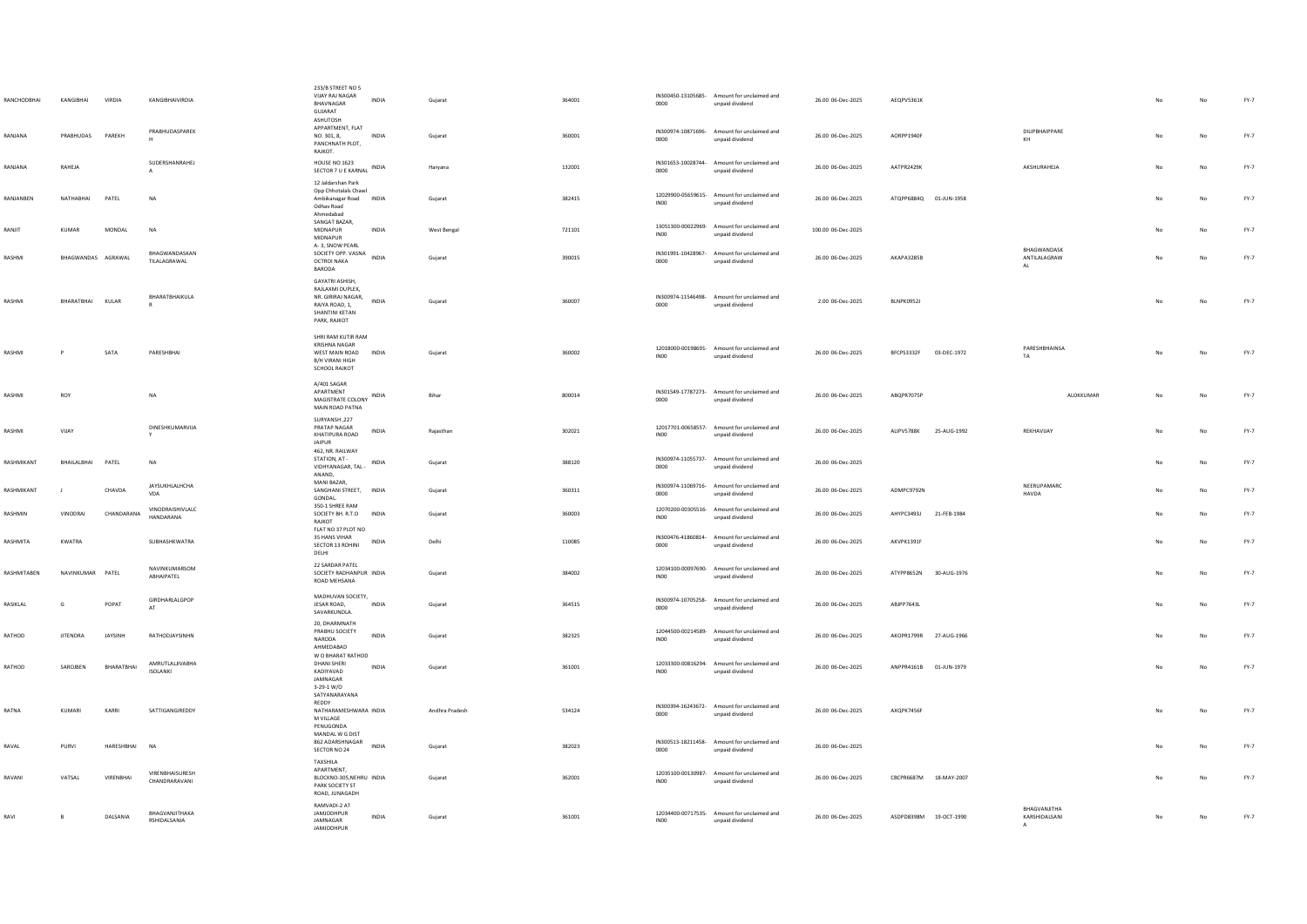| RANCHODBHAI       | KANGIBHAI          | VIRDIA         | KANGIRHAIVIRDIA                      | 233/B STREET NO 5<br>VIJAY RAJ NAGAR<br><b>INDIA</b><br>BHAVNAGAR<br>GUJARAT<br>ASHUTOSH                                      | Gujarat        | 364001 | 0000             | IN300450-13105685- Amount for unclaimed and<br>unpaid dividend | 26.00 06-Dec-2025  | AEOPV5361K                |                                                 |     | $_{\sf No}$ | $FY-7$ |
|-------------------|--------------------|----------------|--------------------------------------|-------------------------------------------------------------------------------------------------------------------------------|----------------|--------|------------------|----------------------------------------------------------------|--------------------|---------------------------|-------------------------------------------------|-----|-------------|--------|
| RANJANA           | PRARHUDAS          | PAREKH         | PRABHUDASPAREK                       | APPARTMENT, FLAT<br>NO. 301, 8,<br>INDIA<br>PANCHNATH PLOT,<br>RAJKOT.                                                        | Gujarat        | 360001 | 0000             | IN300974-10871696- Amount for unclaimed and<br>unpaid dividend | 26.00 06-Dec-2025  | AORPP1940F                | DILIPBHAIPPARE<br>KH                            | No  | $_{\sf No}$ | $FY-7$ |
| RANJANA           | RAHEJA             |                | SUDERSHANRAHEJ                       | HOUSE NO 1623<br><b>INDIA</b><br>SECTOR 7 U E KARNAL                                                                          | Harvana        | 132001 | 0000             | IN301653-10028744- Amount for unclaimed and<br>unpaid dividend | 26.00 06-Dec-2025  | AATPR2429K                | AKSHURAHEJA                                     | No  | No          | FY-7   |
| RANJANBEN         | NATHABHAI          | PATEL          | <b>NA</b>                            | 12 Jaldarshan Park<br>Opp Chhotalals Chawl<br>Ambikanagar Road INDIA<br>Odhav Road<br>Ahmedabad                               | Gujarat        | 382415 | INO <sub>0</sub> | 12029900-05659615- Amount for unclaimed and<br>unpaid dividend | 26.00 06-Dec-2025  | ATQPP6884Q 01-JUN-1958    |                                                 |     | $_{\sf No}$ | $FY-7$ |
| RANJIT            | <b>KUMAR</b>       | MONDAL         | <b>NA</b>                            | SANGAT BAZAR,<br>MIDNAPUR<br><b>INDIA</b><br>MIDNAPUR                                                                         | West Bengal    | 721101 | <b>IN00</b>      | 13051300-00022969- Amount for unclaimed and<br>unpaid dividend | 100.00 06-Dec-2025 |                           |                                                 | No  | No          | FY-7   |
| RASHMI            | BHAGWANDAS AGRAWAL |                | BHAGWANDASKAN<br>TILALAGRAWAL        | A-3, SNOW PEARL<br>SOCIETY OPP. VASNA<br><b>INDIA</b><br>OCTROI NAKA<br>BARODA                                                | Guiarat        | 390015 | 0000             | IN301991-10428967- Amount for unclaimed and<br>unpaid dividend | 26.00 06-Dec-2025  | AKAPA3285B                | BHAGWANDASK<br>ANTILALAGRAW<br><b>AL</b>        | No. | No          | FY-7   |
| RASHMI            | BHARATBHAI KULAR   |                | BHARATBHAIKULA                       | GAYATRI ASHISH,<br>RAJLAXMI DUPLEX,<br>NR, GIRIRAJ NAGAR.<br><b>INDIA</b><br>RAIYA ROAD, 1.<br>SHANTINI KETAN<br>PARK, RAJKOT | Gujarat        | 360007 | 0000             | IN300974-11546498- Amount for unclaimed and<br>unpaid dividend | 2.00 06-Dec-2025   | BLNPK0952J                |                                                 | No  | $_{\sf No}$ | $FY-7$ |
| RASHMI            | P                  | SATA           | PARESHBHAI                           | SHRI RAM KUTIR RAM<br>KRISHNA NAGAR<br>WEST MAIN ROAD<br><b>INDIA</b><br>B/H VIRANI HIGH<br><b>SCHOOL RAJKOT</b>              | Gujarat        | 360002 | INO0             | 12018000-00198691- Amount for unclaimed and<br>unpaid dividend | 26.00 06-Dec-2025  | BFCPS3332F<br>03-DEC-1972 | PARESHBHAINSA<br>TA                             | No  | $_{\sf No}$ | FY-7   |
| <b>RASHMI</b>     | ROY                |                | <b>NA</b>                            | A/401 SAGAR<br>APARTMENT<br>MAGISTRATE COLONY INDIA<br>MAIN ROAD PATNA                                                        | Bihar          | 800014 | 0000             | IN301549-17787273- Amount for unclaimed and<br>unpaid dividend | 26.00 06-Dec-2025  | ABOPR7075P                | ALOKKUMAR                                       | No  | No          | FY-7   |
| RASHMI            | VIJAY              |                | DINESHKUMARVIJA                      | SURYANSH, 227<br>PRATAP NAGAR<br>INDIA<br>KHATIPURA ROAD<br><b>JAIPUR</b><br>462, NR. RAILWAY                                 | Rajasthan      | 302021 | INO <sub>0</sub> | 12017701-00658557- Amount for unclaimed and<br>unpaid dividend | 26.00 06-Dec-2025  | ALIPV5788K<br>25-AUG-1992 | REKHAVIJAY                                      | No  | No          | FY-7   |
| <b>RASHMIKANT</b> | BHAILALBHAI        | PATEL          | <b>NA</b>                            | STATION, AT -<br>INDIA<br>VIDHYANAGAR, TAL -<br>ANAND,                                                                        | Guiarat        | 388120 | 0000             | IN300974-11055737- Amount for unclaimed and<br>unpaid dividend | 26.00 06-Dec-2025  |                           |                                                 | No  | No          | FY-7   |
| RASHMIKANT        | п.                 | CHAVDA         | JAYSUKHLALHCHA<br>VDA                | MANI BAZAR.<br>SANGHANI STREET, INDIA<br><b>GONDAL</b>                                                                        | Guiarat        | 360311 | 0000             | IN300974-11069716- Amount for unclaimed and<br>unpaid dividend | 26.00 06-Dec-2025  | ADMPC9792N                | NEERUPAMARC<br>HAVDA                            |     | No          | FY-7   |
| RASHMIN           | <b>VINODRAI</b>    | CHANDARANA     | VINODRAISHIVLALC<br><b>HANDARANA</b> | 350-1 SHREE RAM<br>SOCIETY BH. R.T.O<br><b>INDIA</b><br>RAJKOT<br>FLAT NO 37 PLOT NO                                          | Gujarat        | 360003 | INO <sub>0</sub> | 12070200-00305516- Amount for unclaimed and<br>unpaid dividend | 26.00 06-Dec-2025  | AHYPC3493J<br>21-FEB-1984 |                                                 |     | No          | FY-7   |
| RASHMITA          | KWATRA             |                | <b>SURHASHKWATRA</b>                 | 35 HANS VIHAR<br>INDIA<br>SECTOR 13 ROHINI<br>DELHI                                                                           | Delhi          | 110085 | 0000             | IN300476-41860814- Amount for unclaimed and<br>unpaid dividend | 26.00 06-Dec-2025  | AKVPK1391F                |                                                 |     | $_{\sf No}$ | $FY-7$ |
| RASHMITABEN       | NAVINKUMAR PATEL   |                | NAVINKUMARSOM<br>ABHAIPATEL          | 22 SARDAR PATEL<br>SOCIETY RADHANPUR INDIA<br>ROAD MEHSANA                                                                    | Guiarat        | 384002 | IN00             | 12034100-00097690- Amount for unclaimed and<br>unpaid dividend | 26.00 06-Dec-2025  | ATYPP8652N<br>30-AUG-1976 |                                                 | No. | No          | FY-7   |
| RASIKLAL          | G                  | POPAT          | GIRDHARLALGPOP<br>AT                 | MADHUVAN SOCIETY,<br>JESAR ROAD,<br>INDIA<br>SAVARKUNDLA.                                                                     | Gujarat        | 364515 | 0000             | IN300974-10705258- Amount for unclaimed and<br>unpaid dividend | 26.00 06-Dec-2025  | ABJPP7643L                |                                                 |     | No          | $FY-7$ |
| RATHOD            | <b>JITENDRA</b>    | <b>JAYSINH</b> | RATHODJAYSINHN                       | 20, DHARMNATH<br>PRABHU SOCIETY<br><b>INDIA</b><br>NARODA<br>AHMEDABAD                                                        | Gujarat        | 382325 | <b>IN00</b>      | 12044500-00214589- Amount for unclaimed and<br>unpaid dividend | 26.00 06-Dec-2025  | AKOPR1799R 27-AUG-1966    |                                                 |     | No          | FY-7   |
| RATHOD            | SAROJBEN           | BHARATBHAI     | AMRUTI ALIIVARHA<br><b>ISOLANKI</b>  | W O BHARAT RATHOD<br><b>DHANI SHERL</b><br>INDIA<br>KADIYAVAD<br>JAMNAGAR<br>3-29-1 W/O<br>SATYANARAYANA                      | Gujarat        | 361001 | INO <sub>0</sub> | 12033300-00816294- Amount for unclaimed and<br>unpaid dividend | 26.00 06-Dec-2025  | ANPPR4161B 01-JUN-1979    |                                                 | No  | $_{\sf No}$ | $FY-7$ |
| RATNA             | KUMARI             | KARRI          | SATTIGANGIREDDY                      | REDDY<br>NATHARAMESHWARA INDIA<br>M VILLAGE<br>PENUGONDA<br>MANDAL W G DIST                                                   | Andhra Pradesh | 534124 | 0000             | IN300394-16243672- Amount for unclaimed and<br>unpaid dividend | 26.00 06-Dec-2025  | AXQPK7456F                |                                                 | No  | No          | $FY-7$ |
| RAVAL             | PURVI              | HARESHBHAI     | <b>NA</b>                            | 862 ADARSHNAGAR<br><b>INDIA</b><br>SECTOR NO 24                                                                               | Gujarat        | 382023 | 0000             | IN300513-18211458- Amount for unclaimed and<br>unpaid dividend | 26.00 06-Dec-2025  |                           |                                                 |     | No          | FY-7   |
| RAVANI            | VATSAL             | VIRENBHAI      | VIRENBHAISURESH<br>CHANDRARAVANI     | TAXSHILA<br>APARTMENT,<br>BLOCKNO-305.NEHRU INDIA<br>PARK SOCIETY ST<br>ROAD, JUNAGADH                                        | Guiarat        | 362001 | INO0             | 12035100-00130987- Amount for unclaimed and<br>unpaid dividend | 26.00 06-Dec-2025  | CBCPR6687M 18-MAY-2007    |                                                 |     | No          | $FY-7$ |
| RAVI              | B                  | DALSANIA       | BHAGVANJITHAKA<br>RSHIDALSANIA       | RAMVADI-2 AT<br>JAMJODHPUR<br>INDIA<br><b>IAMNAGAR</b><br><b>IAMIODHPUR</b>                                                   | Gujarat        | 361001 | INO <sub>0</sub> | 12034400-00717535- Amount for unclaimed and<br>unpaid dividend | 26.00 06-Dec-2025  | ASDPD8398M 19-OCT-1990    | BHAGVANJITHA<br>KARSHIDALSANI<br>$\overline{A}$ |     | No          | $FY-7$ |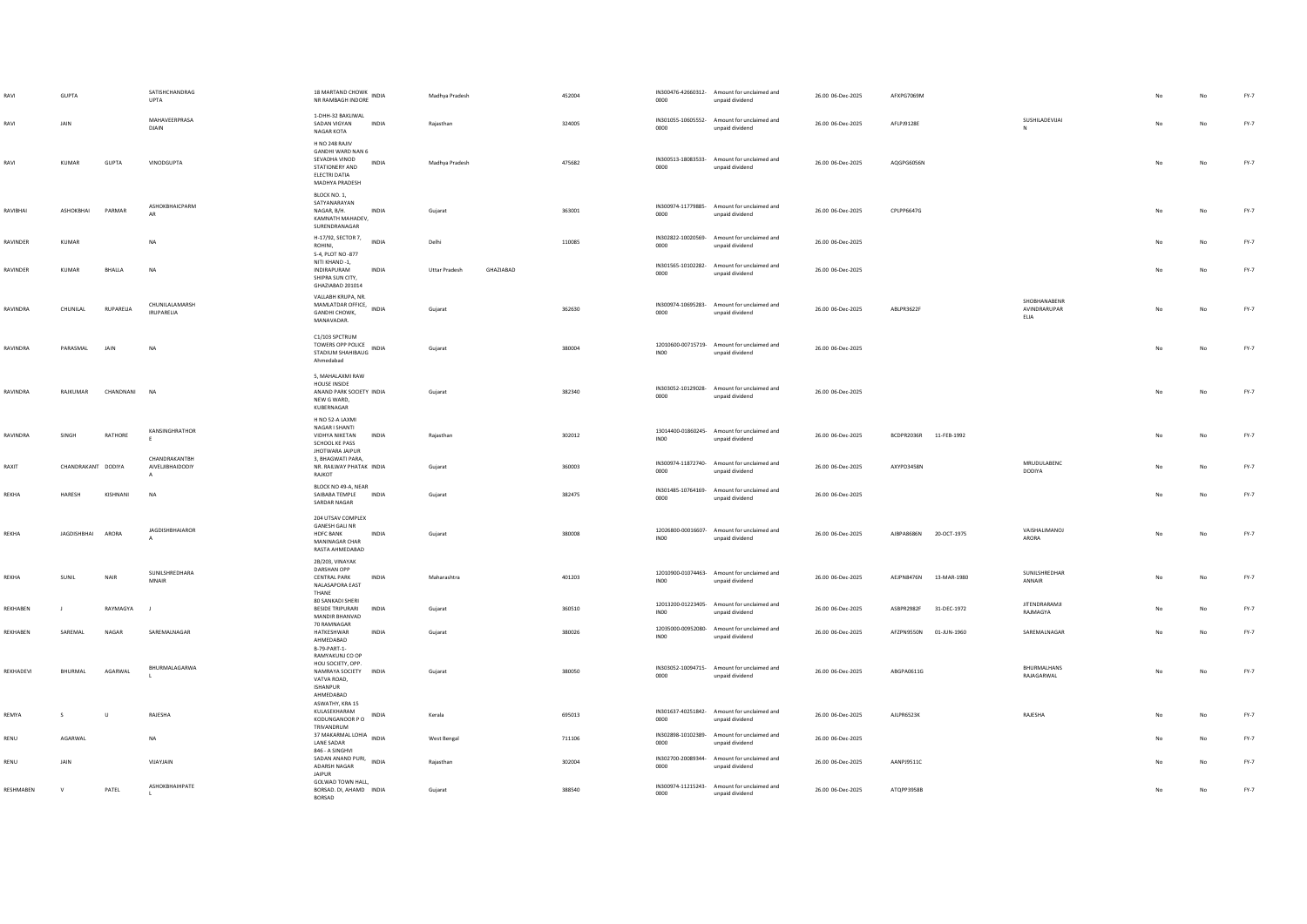|           | <b>GUPTA</b>       |             | SATISHCHANDRAG<br><b>UPTA</b>                     | 18 MARTAND CHOWK<br>NR RAMBAGH INDORE                                                                              | Madhya Pradesh                    | 452004 | 0000             | IN300476-42660312- Amount for unclaimed and<br>unpaid dividend | 26.00 06-Dec-2025 | AFXPG7069M                |                                      |    |    | $FY-7$ |
|-----------|--------------------|-------------|---------------------------------------------------|--------------------------------------------------------------------------------------------------------------------|-----------------------------------|--------|------------------|----------------------------------------------------------------|-------------------|---------------------------|--------------------------------------|----|----|--------|
| RAVI      | JAIN               |             | MAHAVEERPRASA<br>DJAIN                            | 1-DHH-32 BAKLIWAL<br>SADAN VIGYAN<br><b>INDIA</b><br>NAGAR KOTA                                                    | Raiasthan                         | 324005 | 0000             | IN301055-10605552- Amount for unclaimed and<br>unpaid dividend | 26.00 06-Dec-2025 | AFLPJ9128E                | SUSHILADEVIJAI<br>N                  |    | No | FY-7   |
| RAVI      | KUMAR              | GUPTA       | VINODGUPTA                                        | H NO 248 RAJIV<br>GANDHI WARD NAN 6<br>SEVADHA VINOD<br>INDIA<br>STATIONERY AND<br>ELECTRI DATIA<br>MADHYA PRADESH | Madhya Pradesh                    | 475682 | 0000             | IN300513-18083533- Amount for unclaimed and<br>unpaid dividend | 26.00 06-Dec-2025 | AQGPG6056N                |                                      |    | No | $FY-7$ |
| RAVIBHAI  | ASHOKBHAI          | PARMAR      | ASHOKBHAICPARM<br>AR                              | BLOCK NO. 1.<br>SATYANARAYAN<br>NAGAR, B/H.<br>INDIA<br>KAMNATH MAHADEV,<br>SURENDRANAGAR                          | Gujarat                           | 363001 | 0000             | IN300974-11779885- Amount for unclaimed and<br>unpaid dividend | 26.00 06-Dec-2025 | CPLPP6647G                |                                      | No | No | $FY-7$ |
| RAVINDER  | KUMAR              |             | <b>NA</b>                                         | H-17/92, SECTOR 7, INDIA<br>ROHINI.<br>S-4, PLOT NO -877                                                           | Delhi                             | 110085 | 0000             | IN302822-10020569- Amount for unclaimed and<br>unpaid dividend | 26.00 06-Dec-2025 |                           |                                      |    | No | $FY-7$ |
| RAVINDER  | <b>KUMAR</b>       | BHALLA      | <b>NA</b>                                         | NITI KHAND -1.<br>INDIRAPURAM<br><b>INDIA</b><br>SHIPRA SUN CITY,<br>GHAZIABAD 201014                              | GHAZIABAD<br><b>Uttar Pradesh</b> |        | 0000             | IN301565-10102282- Amount for unclaimed and<br>unpaid dividend | 26.00 06-Dec-2025 |                           |                                      |    | No | $FY-7$ |
| RAVINDRA  | CHUNILAL           | RUPARELIA   | CHUNILALAMARSH<br><b>IRUPARELIA</b>               | VALLABH KRUPA, NR.<br>VALUNDIT NINE<br>GANDHI CHOWK,<br>MANAVADAR.                                                 | Gujarat                           | 362630 | 0000             | IN300974-10695283- Amount for unclaimed and<br>unpaid dividend | 26.00 06-Dec-2025 | ABLPR3622F                | SHOBHANABENR<br>AVINDRARUPAR<br>ELIA | No | No | $FY-7$ |
| RAVINDRA  | PARASMAL           | <b>JAIN</b> | <b>NA</b>                                         | C1/103 SPCTRUM<br>TOWERS OPP POLICE<br>I UWERS UPP PULICE<br>STADIUM SHAHIBAUG INDIA<br>Ahmedabad                  | Gujarat                           | 380004 | INO0             | 12010600-00715719- Amount for unclaimed and<br>unpaid dividend | 26.00 06-Dec-2025 |                           |                                      | No | No | $FY-7$ |
| RAVINDRA  | RAJKUMAR           | CHANDNANI   | <b>NA</b>                                         | 5, MAHALAXMI RAW<br>HOUSE INSIDE<br>ANAND PARK SOCIETY INDIA<br>NEW G WARD,<br>KUBERNAGAR                          | Gujarat                           | 382340 | 0000             | IN303052-10129028- Amount for unclaimed and<br>unpaid dividend | 26.00 06-Dec-2025 |                           |                                      |    | No | $FY-7$ |
| RAVINDRA  | SINGH              | RATHORE     | KANSINGHRATHOR                                    | H NO 52-A LAXMI<br>NAGAR I SHANTI<br>VIDHYA NIKETAN<br>INDIA<br>SCHOOL KE PASS<br>JHOTWARA JAIPUR                  | Rajasthan                         | 302012 | INO <sub>0</sub> | 13014400-01860245- Amount for unclaimed and<br>unpaid dividend | 26.00 06-Dec-2025 | BCDPR2036R 11-FEB-1992    |                                      | No | No | $FY-7$ |
| RAXIT     | CHANDRAKANT DODIYA |             | CHANDRAKANTRH<br>AIVELJIBHAIDODIY<br>$\mathsf{A}$ | 3, BHAGWATI PARA,<br>NR. RAILWAY PHATAK INDIA<br>RAJKOT                                                            | Gujarat                           | 360003 | 0000             | IN300974-11872740- Amount for unclaimed and<br>unpaid dividend | 26.00 06-Dec-2025 | AXYPD3458N                | MRUDULABENC<br><b>DODIYA</b>         |    | No | $FY-7$ |
| REKHA     | HARESH             | KISHNANI    | <b>NA</b>                                         | BLOCK NO 49-A, NEAR<br>SAIBABA TEMPLE INDIA<br><b>SARDAR NAGAR</b>                                                 | Gujarat                           | 382475 | 0000             | IN301485-10764169- Amount for unclaimed and<br>unpaid dividend | 26.00 06-Dec-2025 |                           |                                      |    | No | $FY-7$ |
| REKHA     | <b>JAGDISHBHAI</b> | ARORA       | <b>JAGDISHBHAIAROR</b>                            | 204 UTSAV COMPLEX<br><b>GANESH GALI NR</b><br>HDFC BANK<br>INDIA<br>MANINAGAR CHAR<br>RASTA AHMEDABAD              | Gujarat                           | 380008 | INO <sub>0</sub> | 12026800-00016607- Amount for unclaimed and<br>unpaid dividend | 26.00 06-Dec-2025 | AJBPA8686N<br>20-OCT-1975 | <b>VAISHALIMANOJ</b><br>ARORA        | No | No | $FY-7$ |
| REKHA     | SUNIL              | NAIR        | SUNILSHREDHARA<br>MNAIR                           | 2B/203, VINAYAK<br>DARSHAN OPP<br><b>CENTRAL PARK</b><br>INDIA<br>NALASAPORA EAST<br>THANF                         | Maharashtra                       | 401203 | INO <sub>0</sub> | 12010900-01074463- Amount for unclaimed and<br>unpaid dividend | 26.00 06-Dec-2025 | AEJPN8476N<br>13-MAR-1980 | SUNILSHREDHAR<br>ANNAIR              | No | No | $FY-7$ |
| REKHABEN  |                    | RAYMAGYA    |                                                   | 80 SANKADI SHERI<br>BESIDE TRIPURARI INDIA<br>MANDIR BHANVAD                                                       | Gujarat                           | 360510 | INO <sub>0</sub> | 12013200-01223405- Amount for unclaimed and<br>unpaid dividend | 26.00 06-Dec-2025 | ASBPR2982F<br>31-DEC-1972 | <b>JITENDRARAMJI</b><br>RAJMAGYA     |    | No | $FY-7$ |
| REKHABEN  | SAREMAL            | NAGAR       | SAREMALNAGAR                                      | 70 RAMNAGAR<br>HATKESHWAR<br>INDIA<br>AHMEDABAD<br>B-79-PART-1-                                                    | Gujarat                           | 380026 | INO0             | 12035000-00952080- Amount for unclaimed and<br>unpaid dividend | 26.00 06-Dec-2025 | AFZPN9550N<br>01-JUN-1960 | SAREMALNAGAR                         |    | No | $FY-7$ |
| REKHADEVI | <b>RHURMAL</b>     | AGARWAI     | BHURMALAGARWA                                     | RAMYAKUNJ CO OP<br>HOU SOCIETY, OPP.<br>NAMRAYA SOCIETY INDIA<br>VATVA ROAD,<br><b>ISHANPUR</b><br>AHMEDABAD       | Gujarat                           | 380050 | 0000             | IN303052-10094715- Amount for unclaimed and<br>unpaid dividend | 26.00 06-Dec-2025 | ABGPA0611G                | BHURMALHANS<br>RAJAGARWAL            | No | No | $FY-7$ |
| REMYA     | $\sim$             | U           | RAIFSHA                                           | ASWATHY, KRA 15<br>KULASEKHARAM<br>KODUNGANOOR P O INDIA<br>TRIVANDRUM                                             | Kerala                            | 695013 | 0000             | IN301637-40251842- Amount for unclaimed and<br>unpaid dividend | 26.00 06-Dec-2025 | All PR6523K               | RAIFSHA                              |    | No | $FY-7$ |
| RENU      | <b>AGARWAL</b>     |             | NA                                                | 37 MAKARMAL LOHIA INDIA<br>LANE SADAR<br>846 - A SINGHVI                                                           | West Bengal                       | 711106 | 0000             | IN302898-10102389- Amount for unclaimed and<br>unpaid dividend | 26.00 06-Dec-2025 |                           |                                      |    | No | $FY-7$ |
| RENU      | JAIN               |             | VIJAYJAIN                                         | SADAN ANAND PURI, INDIA<br>ADARSH NAGAR<br>JAIPUR                                                                  | Rajasthan                         | 302004 | 0000             | IN302700-20089344- Amount for unclaimed and<br>unpaid dividend | 26.00 06-Dec-2025 | AANPJ9511C                |                                      |    | No | $FY-7$ |
| RESHMABEN | $\mathbf{v}$       | PATEL       | ASHOKBHAIHPATE                                    | GOLWAD TOWN HALL,<br>BORSAD. DI, AHAMD INDIA<br>BORSAD                                                             | Gujarat                           | 388540 | 0000             | IN300974-11215243- Amount for unclaimed and<br>unpaid dividend | 26.00 06-Dec-2025 | ATQPP3958B                |                                      |    | No | $FY-7$ |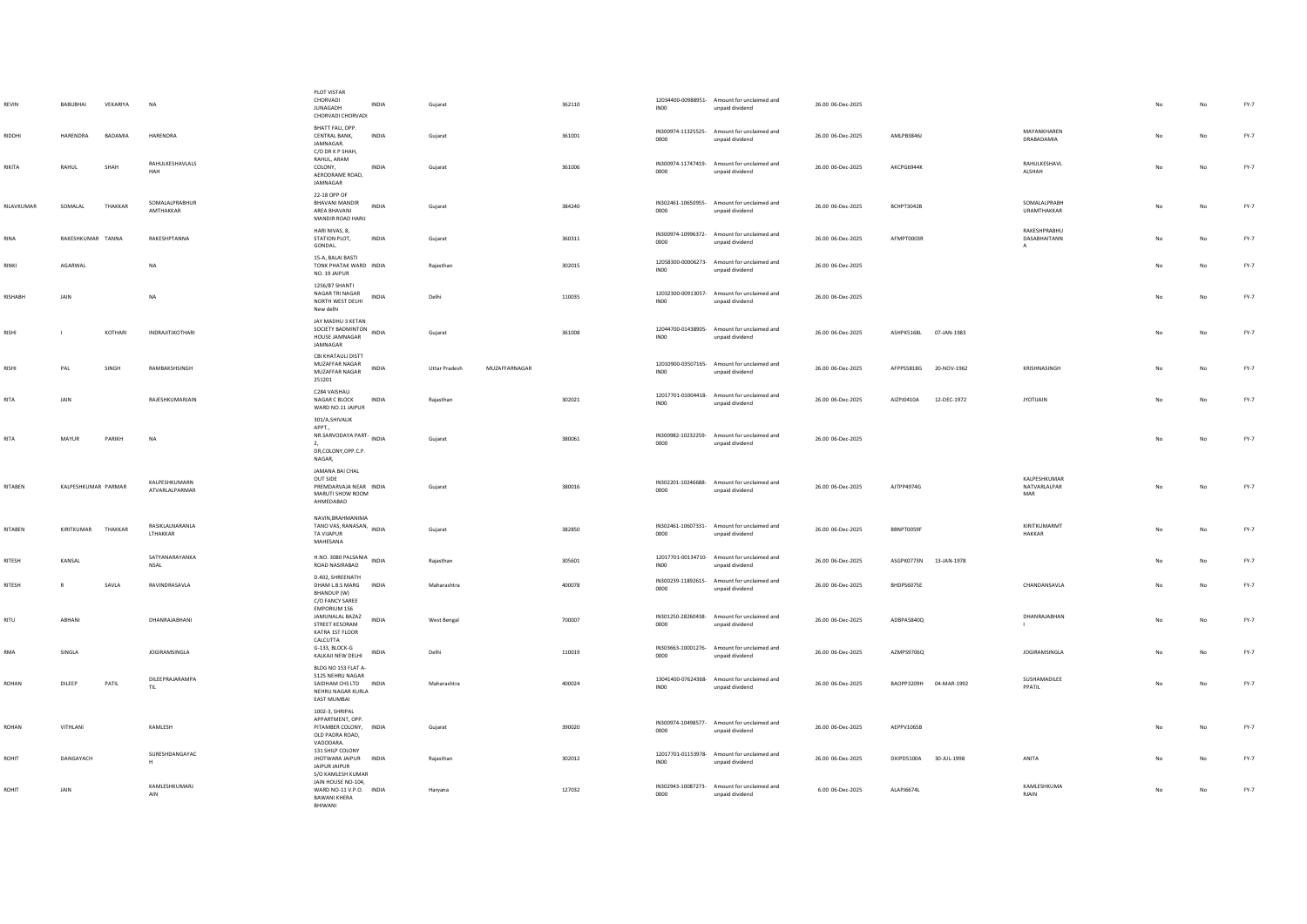| REVIN        | BABUBHAI            | VEKARIYA     | <b>NA</b>                          | PLOT VISTAR<br>CHORVADI<br><b>JUNAGADH</b><br>CHORVADI CHORVADI                                       | INDIA        | Gujarat              |               | 362110 | <b>IN00</b>      | 12034400-00988951- Amount for unclaimed and<br>unpaid dividend | 26.00 06-Dec-2025 |                        |             |                                              |    | No          | FY-7   |
|--------------|---------------------|--------------|------------------------------------|-------------------------------------------------------------------------------------------------------|--------------|----------------------|---------------|--------|------------------|----------------------------------------------------------------|-------------------|------------------------|-------------|----------------------------------------------|----|-------------|--------|
| RIDDHI       | HARENDRA            | BADAMIA      | HARENDRA                           | BHATT FALI, OPP.<br>CENTRAL BANK,<br>JAMNAGAR.<br>C/O DR K P SHAH.                                    | INDIA        | Gujarat              |               | 361001 | 0000             | IN300974-11325525- Amount for unclaimed and<br>unpaid dividend | 26.00 06-Dec-2025 | AMLPB3846J             |             | MAYANKHAREN<br>DRABADAMIA                    |    | No          | FY-7   |
| RIKITA       | RAHUL               | SHAH         | RAHULKESHAVLALS<br>HAH             | RAHUL, ARAM<br>COLONY,<br>AFRODRAME ROAD<br>JAMNAGAR                                                  | INDIA        | Gujarat              |               | 361006 | 0000             | IN300974-11747419- Amount for unclaimed and<br>unpaid dividend | 26.00 06-Dec-2025 | AKCPG6944K             |             | RAHULKESHAVL<br>ALSHAH                       |    | No          | FY-7   |
| RILAVKUMAR   | SOMALAL             | THAKKAR      | SOMALALPRABHUR<br>AMTHAKKAR        | 22-18 OPP OF<br>BHAVANI MANDIR<br>AREA BHAVANI<br>MANDIR ROAD HARIJ                                   | <b>INDIA</b> | Gujarat              |               | 384240 | 0000             | IN302461-10650955- Amount for unclaimed and<br>unpaid dividend | 26.00.06-Dec-2025 | RCHPT3042R             |             | SOMALALPRABH<br>URAMTHAKKAR                  |    | No          | FY-7   |
| RINA         | RAKESHKUMAR TANNA   |              | RAKESHPTANNA                       | HARI NIVAS, 8.<br>STATION PLOT,<br>GONDAL.                                                            | <b>INDIA</b> | Gujarat              |               | 360311 | 0000             | IN300974-10996372- Amount for unclaimed and<br>unpaid dividend | 26.00 06-Dec-2025 | AFMPT0003R             |             | RAKESHPRABHU<br>DASABHAITANN<br>$\mathsf{A}$ |    | No          | FY-7   |
| RINKI        | AGARWAL             |              | $_{\sf NA}$                        | 15-A, BALAI BASTI<br>TONK PHATAK WARD INDIA<br>NO. 19 JAIPUR                                          |              | Rajasthan            |               | 302015 | IN00             | 12058300-00006273- Amount for unclaimed and<br>unpaid dividend | 26.00 06-Dec-2025 |                        |             |                                              | No | No          | FY-7   |
| RISHABH      | JAIN                |              | <b>NA</b>                          | 1256/87 SHANTI<br>NAGAR TRI NAGAR<br>NORTH WEST DELHI<br>New delhi                                    | INDIA        | Delhi                |               | 110035 | INO <sub>0</sub> | 12032300-00913057- Amount for unclaimed and<br>unpaid dividend | 26.00 06-Dec-2025 |                        |             |                                              |    | No          | FY-7   |
| <b>RISHI</b> |                     | KOTHARI      | INDRAJITJKOTHARI                   | JAY MADHU 3 KETAN<br>SOCIETY BADMINTON<br>HOUSE JAMNAGAR<br>JAMNAGAR                                  | INDIA        | Gujarat              |               | 361008 | IN00             | 12044700-01438905- Amount for unclaimed and<br>unpaid dividend | 26.00 06-Dec-2025 | ASHPK5168L 07-JAN-1983 |             |                                              |    | No          | FY-7   |
| RISHI        | PAL                 | <b>SINGH</b> | RAMRAKSHSINGH                      | CBI KHATAULI DISTT<br>MUZAFFAR NAGAR<br>MUZAFFAR NAGAR<br>251201                                      | INDIA        | <b>Uttar Pradesh</b> | MUZAFFARNAGAR |        | IN00             | 12010900-03507165- Amount for unclaimed and<br>unpaid dividend | 26.00 06-Dec-2025 | AFPPS5818G             | 20-NOV-1962 | KRISHNASINGH                                 | No | No          | FY-7   |
| RITA         | JAIN                |              | RAJESHKUMARJAIN                    | C284 VAISHALL<br>NAGAR C BLOCK<br>WARD NO.11 JAIPUR                                                   | INDIA        | Rajasthan            |               | 302021 | IN00             | 12017701-01004418- Amount for unclaimed and<br>unpaid dividend | 26.00 06-Dec-2025 | AIZPJ0410A             | 12-DEC-1972 | <b>JYOTIJAIN</b>                             | No | No          | FY-7   |
| <b>RITA</b>  | MAYUR               | PARIKH       | <b>NA</b>                          | 301/A,SHIVALIK<br>APPT<br>NR.SARVODAYA PART- INDIA<br>2.<br>DR,COLONY,OPP.C.P.<br>NAGAR.              |              | Guiarat              |               | 380061 | 0000             | IN300982-10232259- Amount for unclaimed and<br>unpaid dividend | 26.00 06-Dec-2025 |                        |             |                                              | No | No          | FY-7   |
| RITABEN      | KALPESHKUMAR PARMAR |              | KALPESHKUMARN<br>ATVARI AI PARMAR  | JAMANA BAI CHAL<br>OUT SIDE<br>PREMDARVAJA NEAR INDIA<br>MARUTI SHOW ROOM<br>AHMEDABAD                |              | Gujarat              |               | 380016 | 0000             | IN302201-10246688- Amount for unclaimed and<br>unpaid dividend | 26.00 06-Dec-2025 | AJTPP4974G             |             | KAIPESHKUMAR<br>NATVARLALPAR<br>MAR          | No | $_{\sf No}$ | FY-7   |
| RITABEN      | KIRITKUMAR          | THAKKAR      | RASIKLALNARANLA<br><b>ITHAKKAR</b> | NAVIN, BRAHMANIMA<br>TANO VAS, RANASAN, INDIA<br>TA VIIAPUR<br>MAHESANA                               |              | Gujarat              |               | 382850 | 0000             | IN302461-10607331- Amount for unclaimed and<br>unpaid dividend | 26.00 06-Dec-2025 | BBNPT0059F             |             | KIRITKUMARMT<br><b>HAKKAR</b>                |    | No          | FY-7   |
| RITESH       | KANSAL              |              | SATYANARAYANKA<br><b>NSAL</b>      | H.NO. 3080 PALSANIA<br>ROAD NASIRABAD                                                                 | INDIA        | Rajasthan            |               | 305601 | INO <sub>0</sub> | 12017701-00134710- Amount for unclaimed and<br>unpaid dividend | 26.00 06-Dec-2025 | ASGPK0773N             | 13-JAN-1978 |                                              |    | No          | FY-7   |
| RITESH       | $\mathbb{R}$        | SAVLA        | RAVINDRASAVLA                      | D.402, SHREENATH<br>DHAM L.B.S MARG INDIA<br>BHANDUP (W)<br>C/O FANCY SAREE                           |              | Maharashtra          |               | 400078 | 0000             | IN300239-11892615- Amount for unclaimed and<br>hoebivib hisonu | 26.00 06-Dec-2025 | BHDPS6075E             |             | CHANDANSAVLA                                 | No | No          | FY-7   |
| RITU         | ARHANI              |              | DHANRAIARHANI                      | EMPORIUM 156<br>JAMUNALAL BAZAZ<br>STREET KESORAM<br>KATRA 1ST FLOOR                                  | <b>INDIA</b> | West Bengal          |               | 700007 | 0000             | IN301250-28260438- Amount for unclaimed and<br>unpaid dividend | 26.00 06-Dec-2025 | ADRPASS400             |             | DHANRAJABHAN                                 | No | No          | FY-7   |
| RMA          | SINGLA              |              | <b>IOGIRAMSINGLA</b>               | CALCUTTA<br>G-133, BLOCK-G<br>KALKAJI NEW DELHI                                                       | <b>INDIA</b> | Delhi                |               | 110019 | 0000             | IN303663-10001276- Amount for unclaimed and<br>unpaid dividend | 26.00 06-Dec-2025 | AZMPS9706Q             |             | <b>IOGIRAMSINGLA</b>                         | No | No          | FY-7   |
| ROHAN        | DILEEP              | PATIL        | DILEEPRAJARAMPA<br>TIL             | BLDG NO 153 FLAT A-<br>5125 NEHRLI NAGAR<br>SAIDHAM CHS LTD INDIA<br>NEHRU NAGAR KURLA<br>EAST MUMBAI |              | Maharashtra          |               | 400024 | INO <sub>0</sub> | 13041400-07624368- Amount for unclaimed and<br>unpaid dividend | 26.00 06-Dec-2025 | BAOPP3209H             | 04-MAR-1992 | SUSHAMADILEE<br>PPATIL                       | No | $_{\sf No}$ | FY-7   |
| ROHAN        | VITHLANI            |              | KAMLESH                            | 1002-3, SHRIPAL<br>APPARTMENT, OPP.<br>PITAMBER COLONY, INDIA<br>OLD PADRA ROAD,<br>VADODARA.         |              | Gujarat              |               | 390020 | 0000             | IN300974-10498577- Amount for unclaimed and<br>unpaid dividend | 26.00 06-Dec-2025 | AEPPV1065B             |             |                                              |    | No          | FY-7   |
| ROHIT        | DANGAYACH           |              | SURESHDANGAYAC<br>H                | 131 SHILP COLONY<br>JHOTWARA JAIPUR INDIA<br>JAIPUR JAIPUR                                            |              | Rajasthan            |               | 302012 | INO <sub>0</sub> | 12017701-01153978- Amount for unclaimed and<br>unpaid dividend | 26.00 06-Dec-2025 | DXIPD5100A             | 30-JUL-1998 | ANITA                                        |    | No          | FY-7   |
| ROHIT        | JAIN                |              | KAMI FSHKUMARI<br>AIN              | S/O KAMLESH KUMAR<br>JAIN HOUSE NO-104,<br>WARD NO-11 V.P.O. INDIA<br>BAWANI KHERA<br>RHIWANI         |              | Haryana              |               | 127032 | 0000             | IN302943-10087273- Amount for unclaimed and<br>unpaid dividend | 6.00 06-Dec-2025  | ALAPJ6674L             |             | <b>KAMI FSHKUMA</b><br><b>RJAIN</b>          |    | $_{\sf No}$ | $FY-7$ |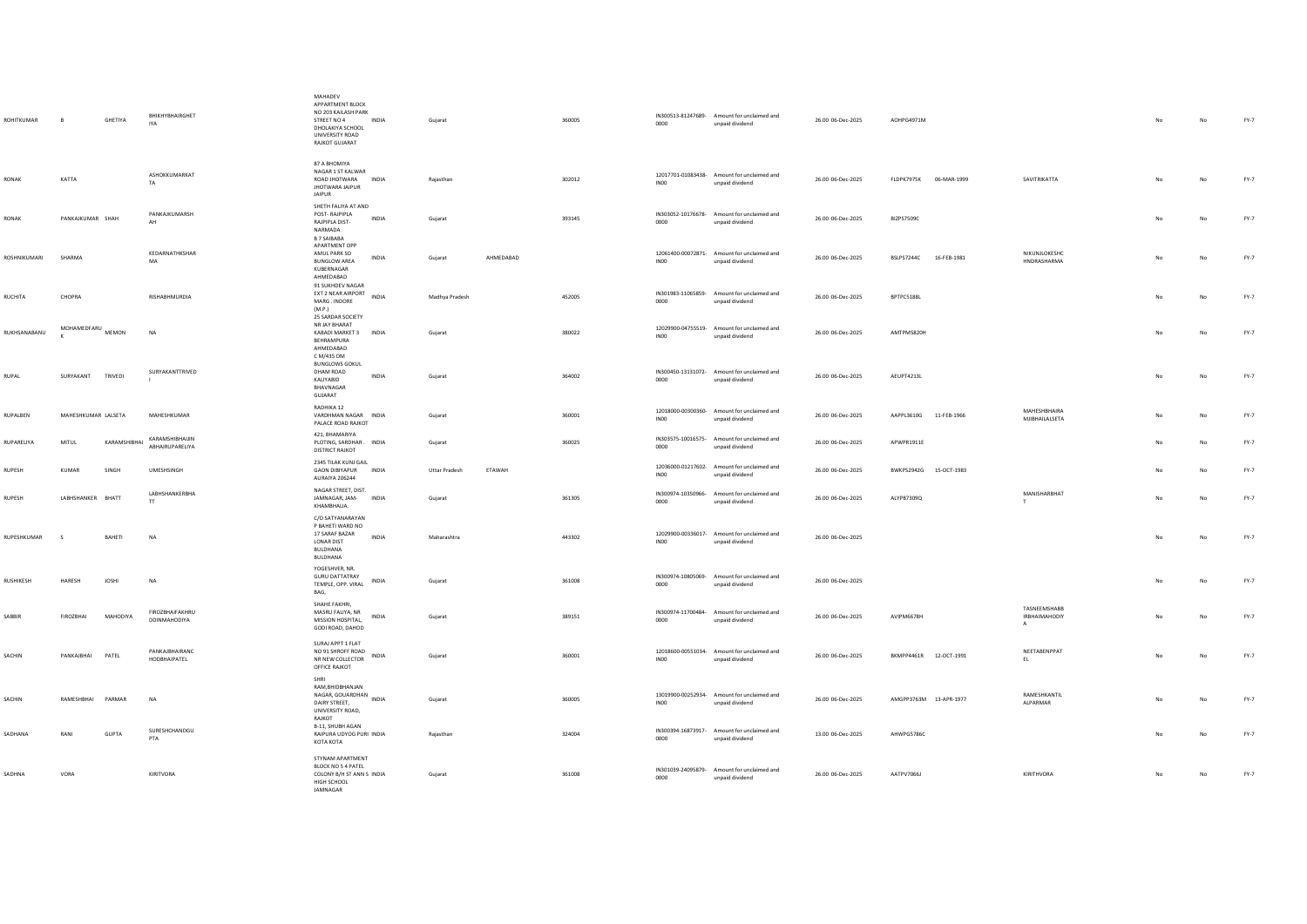| ROHITKUMAR       | B                       | GHETIYA      | BHIKHYBHAIRGHET<br><b>IYA</b>          | MAHADEV<br>APPARTMENT BLOCK<br>NO 203 KAILASH PARK<br>STREET NO 4 INDIA<br>DHOLAKIYA SCHOOL<br>UNIVERSITY ROAD<br>RAJKOT GUJARAT | Guiarat              |               | 360005 | 0000             | IN300513-81247689- Amount for unclaimed and<br>unpaid dividend | 26.00 06-Dec-2025 | AOHPG4971M             |                                       | <b>No</b> | No          | FY-7   |
|------------------|-------------------------|--------------|----------------------------------------|----------------------------------------------------------------------------------------------------------------------------------|----------------------|---------------|--------|------------------|----------------------------------------------------------------|-------------------|------------------------|---------------------------------------|-----------|-------------|--------|
| <b>RONAK</b>     | KATTA                   |              | ASHOKKUMARKAT<br>TA.                   | 87 A BHOMIYA<br>NAGAR 1 ST KALWAR<br>ROAD JHOTWARA INDIA<br><b>JHOTWARA JAIPUR</b><br>JAIPUR                                     | Raiasthan            |               | 302012 | IN00             | 12017701-01083438- Amount for unclaimed and<br>unpaid dividend | 26.00 06-Dec-2025 | FLDPK7975K 06-MAR-1999 | SAVITRIKATTA                          | No        | No          | FY-7   |
| RONAK            | PANKAJKUMAR SHAH        |              | PANKAIKUMARSH<br>AH                    | SHETH FALIYA AT AND<br>POST-RAJPIPLA<br>INDIA<br>RAJPIPLA DIST-<br>NARMADA<br><b>B 7 SAIBABA</b>                                 | Guiarat              |               | 393145 | 0000             | IN303052-10176678- Amount for unclaimed and<br>unpaid dividend | 26.00 06-Dec-2025 | BIZPS7509C             |                                       | No        | No          | FY-7   |
| ROSHNIKUMARI     | SHARMA                  |              | KEDARNATHKSHAR<br>MA                   | APARTMENT OPP<br>AMUL PARK SO<br>INDIA<br><b>BUNGLOW AREA</b><br>KUBERNAGAR<br>AHMEDABAD<br>91 SUKHDEV NAGAR                     | Gujarat              | AHMEDABAD     |        | INO <sub>0</sub> | 12061400-00072871- Amount for unclaimed and<br>unpaid dividend | 26.00 06-Dec-2025 | BSLPS7244C 16-FEB-1981 | NIKUNJLOKESHC<br>HNDRASHARMA          | No        | $_{\sf No}$ | $FY-7$ |
| <b>RUCHITA</b>   | CHOPRA                  |              | RISHABHMURDIA                          | EXT 2 NEAR AIRPORT<br>INDIA<br>MARG. INDORE<br>(M.P.)<br>25 SARDAR SOCIETY                                                       | Madhya Pradesh       |               | 452005 | 0000             | IN301983-11065859- Amount for unclaimed and<br>unpaid dividend | 26.00 06-Dec-2025 | BPTPC5188L             |                                       | No        | No          | FY-7   |
| RUKHSANABANU     | MOHAMEDFARU MEMON       |              | NA                                     | NR JAY BHARAT<br>KABADI MARKET 3 INDIA<br>BEHRAMPURA<br>AHMEDABAD<br>C M/435 OM                                                  | Gujarat              |               | 380022 | <b>INOO</b>      | 12029900-04755519- Amount for unclaimed and<br>unpaid dividend | 26.00 06-Dec-2025 | AMTPM5820H             |                                       | No        | $_{\sf No}$ | $FY-7$ |
| <b>RUPAL</b>     | SURYAKANT TRIVEDI       |              | SURYAKANTTRIVED                        | <b>BUNGLOWS GOKUL</b><br>DHAM ROAD<br><b>INDIA</b><br>KALIYABID<br>BHAVNAGAR<br>GUJARAT                                          | Guiarat              |               | 364002 | 0000             | IN300450-13131072- Amount for unclaimed and<br>unpaid dividend | 26.00 06-Dec-2025 | AEUPT4213L             |                                       | No        | No          | FY-7   |
| RUPALBEN         | MAHESHKUMAR LALSETA     |              | MAHESHKUMAR                            | RADHIKA 12<br>VARDHMAN NAGAR INDIA<br>PALACE ROAD RAJKOT                                                                         | Gujarat              |               | 360001 | INO <sub>0</sub> | 12018000-00300360- Amount for unclaimed and<br>unpaid dividend | 26.00 06-Dec-2025 | AAPPL3610G 11-FEB-1966 | <b>MAHFSHRHAIRA</b><br>MJIBHAILALSETA | No        | No          | $FY-7$ |
| RUPARELIYA       | MITUL                   | KARAMSHIBHAI | KARAMSHIBHAIJIN<br>ABHAIRUPARELIYA     | 421, BHAMARIYA<br>PLOTING, SARDHAR . INDIA<br><b>DISTRICT RAJKOT</b>                                                             | Gujarat              |               | 360025 | 0000             | IN303575-10016575- Amount for unclaimed and<br>unpaid dividend | 26.00 06-Dec-2025 | APWPR1911E             |                                       |           | No          | FY-7   |
| <b>RUPESH</b>    | KUMAR                   | <b>SINGH</b> | <b>UMESHSINGH</b>                      | 2345 TILAK KUNJ GAIL<br>GAON DIBIYAPUR INDIA<br>AURAIYA 206244                                                                   | <b>Uttar Pradesh</b> | <b>FTAWAH</b> |        | INO <sub>0</sub> | 12036000-01217602- Amount for unclaimed and<br>unpaid dividend | 26.00 06-Dec-2025 | BWKPS2942G 15-OCT-1983 |                                       | No        | No          | FY-7   |
| <b>RUPESH</b>    | LABHSHANKER BHATT       |              | <b>LABHSHANKERBHA</b><br>T             | NAGAR STREET, DIST.<br>JAMNAGAR, JAM-<br><b>INDIA</b><br>KHAMBHALIA.                                                             | Guiarat              |               | 361305 | 0000             | IN300974-10350966- Amount for unclaimed and<br>unpaid dividend | 26.00 06-Dec-2025 | ALYPB7309Q             | MANISHARBHAT<br>T                     | No        | No          | FY-7   |
| RUPESHKUMAR      | $\overline{\mathbf{s}}$ | BAHETI       | NA                                     | C/O SATYANARAYAN<br>P BAHETI WARD NO<br>17 SARAF BAZAR<br>INDIA<br>LONAR DIST<br>BULDHANA<br>BULDHANA                            | Maharashtra          |               | 443302 | IN00             | 12029900-00336017- Amount for unclaimed and<br>unpaid dividend | 26.00 06-Dec-2025 |                        |                                       | No        | No          | $FY-7$ |
| <b>RUSHIKESH</b> | <b>HARFSH</b>           | <b>IOSHI</b> | <b>NA</b>                              | YOGESHVER, NR.<br><b>GURU DATTATRAY</b><br>INDIA<br>TEMPLE, OPP. VIRAL<br>BAG,                                                   | Gujarat              |               | 361008 | 0000             | IN300974-10805069- Amount for unclaimed and<br>unpaid dividend | 26.00 06-Dec-2025 |                        |                                       | No        | No          | FY-7   |
| SABBIR           | <b>FIROZBHAI</b>        | MAHODIYA     | FIROZBHAIFAKHRU<br><b>DDINMAHODIYA</b> | SHAHE FAKHRI,<br>MASRU FALIYA, NR<br>INDIA<br>MISSION HOSPITAL,<br>GODI ROAD, DAHOD                                              | Gujarat              |               | 389151 | 0000             | IN300974-11700484- Amount for unclaimed and<br>unpaid dividend | 26.00 06-Dec-2025 | AVIPM6678H             | TASNEEMSHABB<br>IRBHAIMAHODIY<br>A    | No        | No          | FY-7   |
| SACHIN           | PANKAJBHAI PATEL        |              | PANKAJBHAIRANC<br>HODBHAIPATEL         | SURAJ APPT 1 FLAT<br>NO 91 SHROFF ROAD INDIA<br>NR NEW COLLECTOR<br>OFFICE RAJKOT                                                | Gujarat              |               | 360001 | INO <sub>0</sub> | 12018600-00551034- Amount for unclaimed and<br>unpaid dividend | 26.00 06-Dec-2025 | BKMPP4461R 12-OCT-1991 | NEETABENPPAT<br>EL                    | No        | No          | FY-7   |
| SACHIN           | RAMESHBHAI PARMAR       |              | NA                                     | SHRI<br>RAM, BHIDBHANJAN<br>NAGAR, GOUARDHAN<br>-<br>DAIRY STREET,<br>UNIVERSITY ROAD,<br>RAJKOT                                 | Gujarat              |               | 360005 | INO <sub>0</sub> | 13019900-00252934- Amount for unclaimed and<br>unpaid dividend | 26.00 06-Dec-2025 | AMGPP3763M 13-APR-1977 | RAMESHKANTIL<br>AI PARMAR             | No        | No          | FY-7   |
| SADHANA          | RANI                    | <b>GUPTA</b> | SURESHCHANDGU<br>PTA                   | B-11, SHUBH AGAN<br>RAIPURA UDYOG PURI INDIA<br>KOTA KOTA                                                                        | Rajasthan            |               | 324004 | 0000             | IN300394-16873917- Amount for unclaimed and<br>unpaid dividend | 13.00 06-Dec-2025 | AHWPG5786C             |                                       |           | $_{\sf No}$ | $FY-7$ |
| SADHNA           | VORA                    |              | KIRITVORA                              | STYNAM APARTMENT<br>BLOCK NO 5 4 PATEL<br>COLONY B/H ST ANN S INDIA<br>HIGH SCHOOL<br><b>IAMNAGAR</b>                            | Gujarat              |               | 361008 | 0000             | IN301039-24095879- Amount for unclaimed and<br>unpaid dividend | 26.00 06-Dec-2025 | AATPV7066J             | KIRITHVORA                            | No        | No          | FY-7   |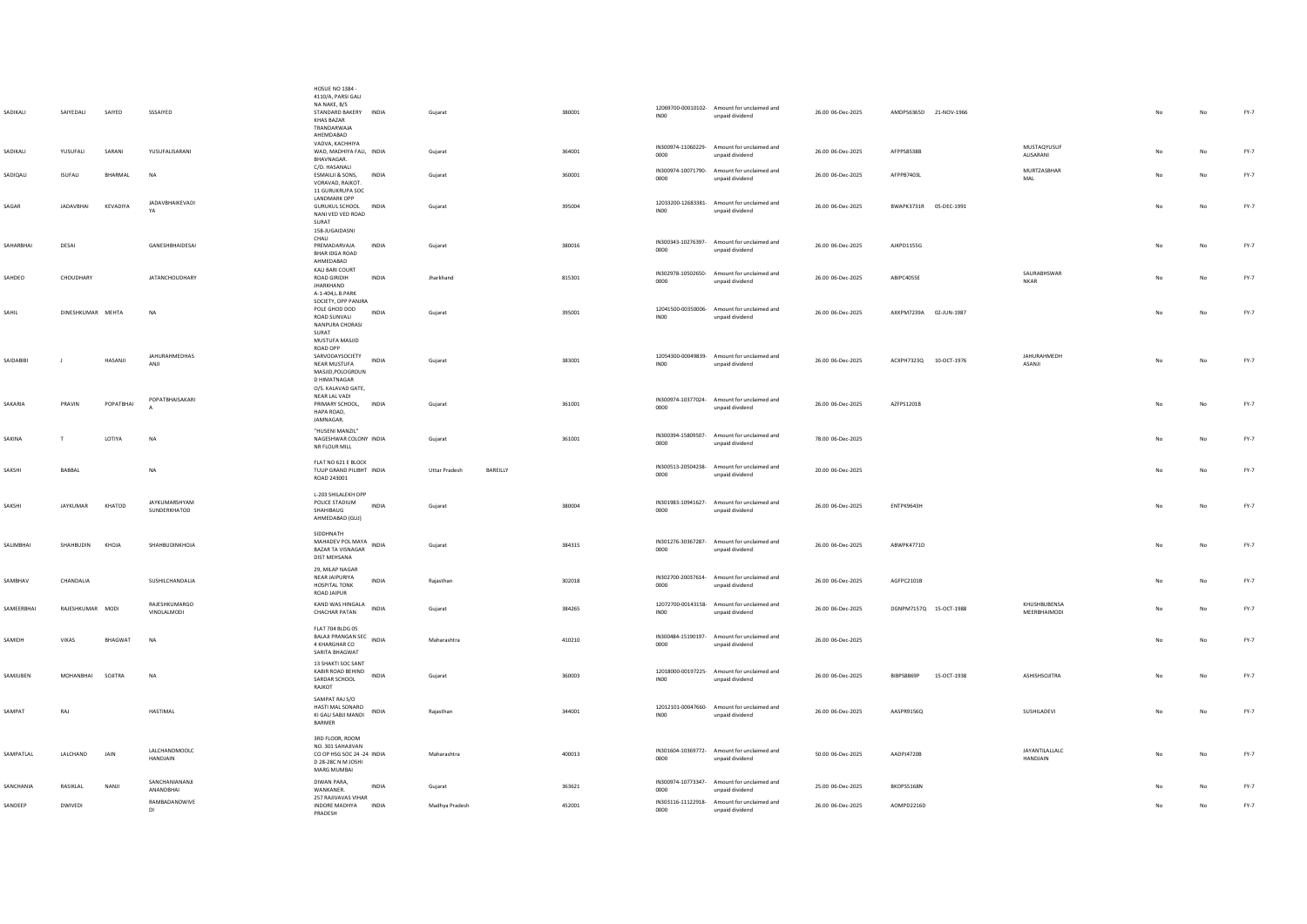| SADIKALI   | SAIYEDALI         | SAIYED      | SSSAIYED                      | <b>HOSUE NO 1384 -</b><br>4110/A, PARSI GALI<br>NA NAKE R/S<br>STANDARD BAKERY INDIA<br>KHAS BAZAR<br>TRANDARWAJA<br>AHEMDABAD | Gujarat                          | 380001 | IN <sub>00</sub> | 12069700-00010102- Amount for unclaimed and<br>unpaid dividend | 26.00 06-Dec-2025 | AMDPS6365D 21-NOV-1966 |             |                              | No             | $_{\sf No}$ | $FY-7$ |
|------------|-------------------|-------------|-------------------------------|--------------------------------------------------------------------------------------------------------------------------------|----------------------------------|--------|------------------|----------------------------------------------------------------|-------------------|------------------------|-------------|------------------------------|----------------|-------------|--------|
| SADIKALI   | <b>YUSUFAU</b>    | SARANI      | YUSUFAUSARANI                 | VADVA, KACHHIYA<br>WAD, MADHIYA FALI, INDIA<br>BHAVNAGAR.                                                                      | Gujarat                          | 364001 | 0000             | IN300974-11060229- Amount for unclaimed and<br>unpaid dividend | 26.00 06-Dec-2025 | AFPPS8538B             |             | MUSTAQYUSUF<br>ALISARANI     | N <sub>0</sub> | $_{\sf No}$ | FY-7   |
| SADIOALI   | <b>ISUFALI</b>    | BHARMAL     | NA                            | C/O. HASANALI<br>ESMAILJI & SONS, INDIA<br>VORAVAD, RAJKOT,<br>11 GURUKRUPA SOC                                                | Guiarat                          | 360001 | 0000             | IN300974-10071790- Amount for unclaimed and<br>unpaid dividend | 26.00 06-Dec-2025 | AFPPB7403L             |             | MURTZASBHAR<br>MAL           |                | No          | FY-7   |
| SAGAR      | <b>JADAVBHAI</b>  | KEVADIYA    | <b>JADAVBHAIKEVADI</b><br>YA  | <b>LANDMARK OPP</b><br>GURUKUL SCHOOL INDIA<br>NANI VED VED ROAD<br>SURAT<br>158-JUGAIDASNI                                    | Guiarat                          | 395004 | <b>IN00</b>      | 12033200-12683381- Amount for unclaimed and<br>unpaid dividend | 26.00 06-Dec-2025 | BWAPK3731R 05-DEC-1991 |             |                              | No             | No          | FY-7   |
| SAHARRHAI  | DESAL             |             | <b>GANESHRHAIDESAL</b>        | CHALI<br>PREMADARVAIA<br><b>INDIA</b><br>BHAR IDGA ROAD<br>AHMEDABAD                                                           | Guiarat                          | 380016 | 0000             | IN300343-10276397- Amount for unclaimed and<br>unpaid dividend | 26.00.06-Dec-2025 | AIKPD1155G             |             |                              | No.            | No          | FY-7   |
| SAHDEO     | CHOUDHARY         |             | JATANCHOUDHARY                | KALI BARI COURT<br><b>ROAD GIRIDIH</b><br><b>INDIA</b><br><b>JHARKHAND</b><br>A-1-404, L.B. PARK<br>SOCIETY, OPP PANJRA        | Jharkhand                        | 815301 | 0000             | IN302978-10502650- Amount for unclaimed and<br>unpaid dividend | 26.00 06-Dec-2025 | ABIPC4055E             |             | SAURABHSWAR<br><b>NKAR</b>   | No             | No          | FY-7   |
| SAHIL      | DINESHKUMAR MEHTA |             | <b>NA</b>                     | POLE GHOD DOD<br><b>INDIA</b><br>ROAD SUNVALL<br>NANPURA CHORASI<br>SURAT<br>MUSTUFA MASJID<br>ROAD OPP                        | Gujarat                          | 395001 | INO <sub>0</sub> | 12041500-00350006- Amount for unclaimed and<br>unpaid dividend | 26.00 06-Dec-2025 | AXKPM7239A 02-JUN-1987 |             |                              | No             | No          | FY-7   |
| SAIDABIBI  |                   | HASANJI     | JAHURAHMEDHAS<br>ANJI         | SARVODAYSOCIETY<br>INDIA<br>NEAR MUSTUFA<br>MASJID, POLOGROUN<br><b>D HIMATNAGAR</b><br>O/S. KALAVAD GATE                      | Gujarat                          | 383001 | <b>IN00</b>      | 12054300-00049839- Amount for unclaimed and<br>unpaid dividend | 26.00 06-Dec-2025 | ACXPH7323Q 10-OCT-1976 |             | JAHURAHMEDH<br>ASANJI        |                | No          | FY-7   |
| SAKARIA    | PRAVIN            | POPATBHAI   | POPATBHAISAKARI               | NEAR LAL VADI<br>PRIMARY SCHOOL, INDIA<br>HAPA ROAD,<br>JAMNAGAR.                                                              | Gujarat                          | 361001 | 0000             | IN300974-10377024- Amount for unclaimed and<br>unpaid dividend | 26.00 06-Dec-2025 | AZFPS1201B             |             |                              | No             | No          | $FY-7$ |
| SAKINA     | T                 | LOTIYA      | <b>NA</b>                     | "HUSENI MANZIL"<br>NAGESHWAR COLONY INDIA<br>NR FLOUR MILL                                                                     | Gujarat                          | 361001 | 0000             | IN300394-15809507- Amount for unclaimed and<br>unpaid dividend | 78.00 06-Dec-2025 |                        |             |                              |                | No          | FY-7   |
|            |                   |             |                               |                                                                                                                                |                                  |        |                  |                                                                |                   |                        |             |                              |                |             |        |
| SAKSHI     | BABBAL            |             | NA                            | FLAT NO 621 E BLOCK<br>TULIP GRAND PILIBHT INDIA<br>ROAD 243001                                                                | BAREILLY<br><b>Uttar Pradesh</b> |        | 0000             | IN300513-20504238- Amount for unclaimed and<br>unpaid dividend | 20.00 06-Dec-2025 |                        |             |                              | No             | No          | FY-7   |
| SAKSHI     | <b>JAYKUMAR</b>   | KHATOD      | JAYKUMARSHYAM<br>SUNDERKHATOD | L-203 SHILALEKH OPP<br>POLICE STADIUM<br><b>INDIA</b><br>SHAHIBAUG<br>AHMEDABAD (GUJ)                                          | Gujarat                          | 380004 | 0000             | IN301983-10941627- Amount for unclaimed and<br>unpaid dividend | 26.00 06-Dec-2025 | FNTPK9643H             |             |                              | No             | No          | FY-7   |
| SALIMBHAI  | SHAHBUDIN         | KHOJA       | SHAHBUDINKHOJA                | SIDDHNATH<br>MAHADEV POL MAYA<br>INDIA<br><b>BAZAR TA VISNAGAR</b><br><b>DIST MEHSANA</b>                                      | Gujarat                          | 384315 | 0000             | IN301276-30367287- Amount for unclaimed and<br>unpaid dividend | 26.00 06-Dec-2025 | ABWPK4771D             |             |                              | No             | No          | FY-7   |
| SAMBHAV    | CHANDALIA         |             | SUSHILCHANDALIA               | 29. MILAP NAGAR<br>NEAR JAIPURIYA<br><b>INDIA</b><br>HOSPITAL TONK<br>ROAD JAIPUR                                              | Rajasthan                        | 302018 | 0000             | IN302700-20037614- Amount for unclaimed and<br>unpaid dividend | 26.00 06-Dec-2025 | AGFPC2101B             |             |                              | No             | No          | $FY-7$ |
| SAMEERBHAI | RAIFSHKUMAR MODI  |             | RAJESHKUMARGO<br>VINDLALMODI  | KAND WAS HINGALA<br><b>INDIA</b><br><b>CHACHAR PATAN</b>                                                                       | Guiarat                          | 384265 | INO <sub>0</sub> | 12072700-00143158- Amount for unclaimed and<br>unpaid dividend | 26.00 06-Dec-2025 | DGNPM7157Q 15-OCT-1988 |             | KHUSHBUBENSA<br>MEERBHAIMODI | No             | No          | FY-7   |
| SAMIDH     | <b>VIKAS</b>      | BHAGWAT     | <b>NA</b>                     | <b>FLAT 704 BLDG 05</b><br>BALAJI PRANGAN SEC INDIA<br>4 KHARGHAR CO<br>SARITA BHAGWAT                                         | Maharashtra                      | 410210 | 0000             | IN300484-15190197- Amount for unclaimed and<br>unpaid dividend | 26.00 06-Dec-2025 |                        |             |                              | No             | No          | $FY-7$ |
| SAMJUBEN   | MOHANBHAI         | SOJITRA     | NA                            | 13 SHAKTI SOC SANT<br>KABIR ROAD BEHIND<br>INDIA<br>SARDAR SCHOOL<br>RAJKOT                                                    | Gujarat                          | 360003 | INO <sub>0</sub> | 12018000-00197225- Amount for unclaimed and<br>unpaid dividend | 26.00 06-Dec-2025 | BIBPS8869P             | 15-OCT-1938 | ASHISHSOJITRA                | No             | No          | FY-7   |
| SAMPAT     | RAJ               |             | <b>HASTIMAL</b>               | SAMPAT RAJ S/O<br>HASTI MAL SONARO<br><b>INDIA</b><br>KI GALI SABJI MANDI<br>BARMER                                            | Rajasthan                        | 344001 | <b>IN00</b>      | 12012101-00047660- Amount for unclaimed and<br>unpaid dividend | 26.00 06-Dec-2025 | AASPR9156Q             |             | SUSHILADEVI                  | No             | No          | $FY-7$ |
| SAMPATLAL  | LALCHAND          | <b>JAIN</b> | LALCHANDMOOLC<br>HANDJAIN     | 3RD FLOOR, ROOM<br>NO. 301 SAHAJIVAN<br>CO OP HSG SOC 24 -24 INDIA<br>D 28-28C N M JOSHI<br>MARG MUMBAI                        | Maharashtra                      | 400013 | 0000             | IN301604-10369772- Amount for unclaimed and<br>unpaid dividend | 50.00 06-Dec-2025 | AADPJ4720B             |             | JAYANTILALLALC<br>HANDJAIN   | No             | No          | FY-7   |
| SANCHANIA  | RASIKLAL          | NANJI       | SANCHANIANANJI<br>ANANDRHAI   | DIWAN PARA.<br>INDIA<br><b>WANKANFR</b><br>257 RAJIVAVAS VIHAR                                                                 | Gujarat                          | 363621 | 0000             | IN300974-10773347- Amount for unclaimed and<br>unpaid dividend | 25.00 06-Dec-2025 | BKOPS5168N             |             |                              |                | No          | $FY-7$ |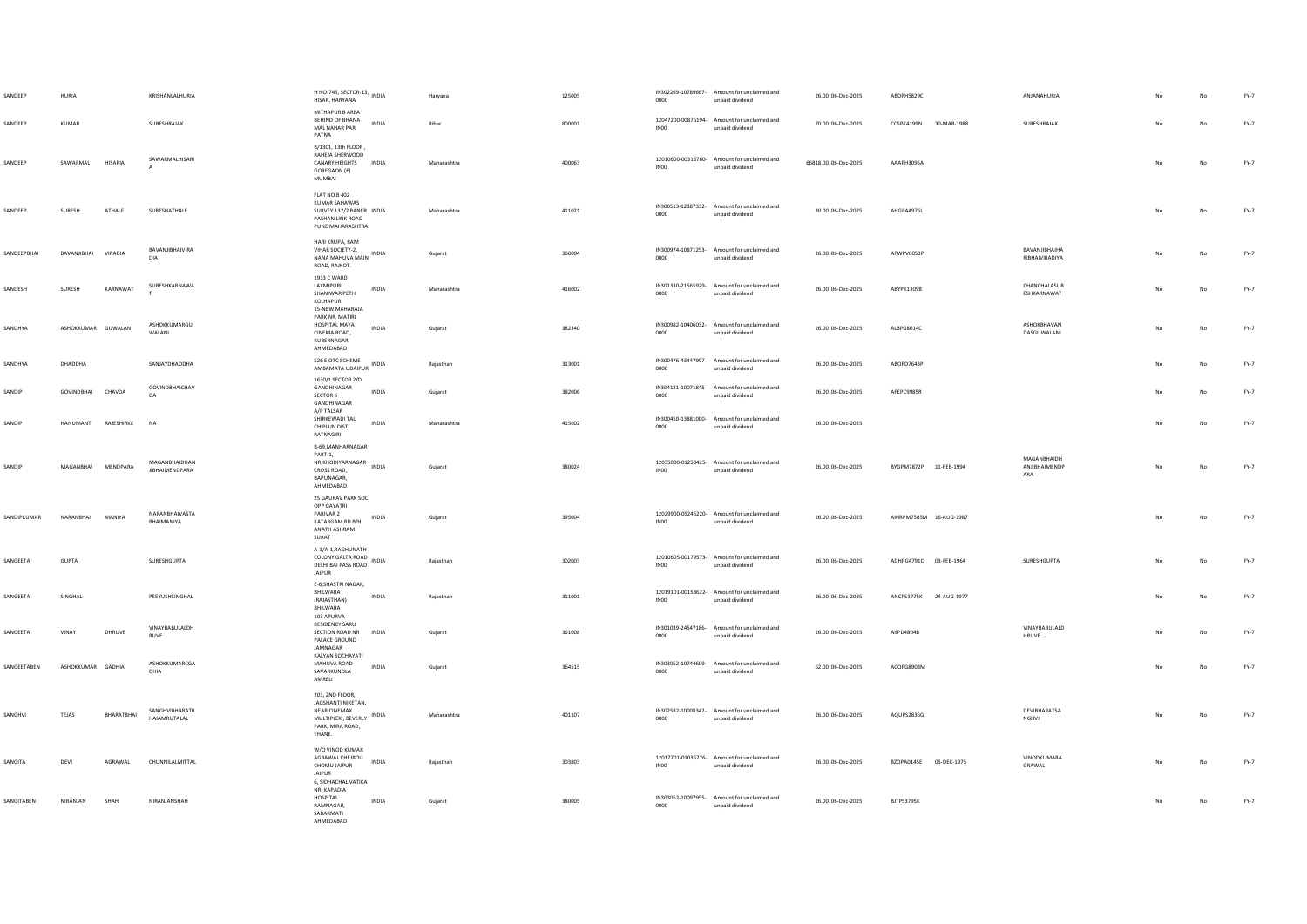| SANDEEP     | HURIA               |            | KRISHANLALHURIA                        | H NO-745, SECTOR-13, INDIA<br>HISAR, HARYANA                                                                    | Haryana     | 125005 | 0000             | IN302269-10789667- Amount for unclaimed and<br>unpaid dividend | 26.00 06-Dec-2025    | ABDPH5829C                | ANJANAHURIA                         |    |             | $FY-7$ |
|-------------|---------------------|------------|----------------------------------------|-----------------------------------------------------------------------------------------------------------------|-------------|--------|------------------|----------------------------------------------------------------|----------------------|---------------------------|-------------------------------------|----|-------------|--------|
| SANDEEP     | KUMAR               |            | SURESHRAJAK                            | MITHAPUR B AREA<br><b>REHIND OF RHANA</b><br>INDIA<br>MAL NAHAR PAR<br>PATNA                                    | Bihar       | 800001 | INO <sub>0</sub> | 12047200-00876194- Amount for unclaimed and<br>unpaid dividend | 70.00 06-Dec-2025    | CCSPK4199N<br>30-MAR-1988 | SURESHRAJAK                         | No | No          | FY-7   |
| SANDEEP     | SAWARMAL            | HISARIA    | SAWARMAI HISARI                        | B/1301, 13th FLOOR,<br>RAHEJA SHERWOOD<br>CANARY HEIGHTS INDIA<br>GOREGAON (E)<br>MUMBAI                        | Maharashtra | 400063 | INO <sub>0</sub> | 12010600-00316780- Amount for unclaimed and<br>unpaid dividend | 66818.00 06-Dec-2025 | AAAPH3095A                |                                     |    | No          | $FY-7$ |
| SANDEEP     | SURESH              | ATHALE     | SURESHATHALE                           | FLAT NO B 402<br>KUMAR SAHAWAS<br>SURVEY 132/2 BANER INDIA<br>PASHAN LINK ROAD<br>PUNE MAHARASHTRA              | Maharashtra | 411021 | 0000             | IN300513-12387332- Amount for unclaimed and<br>unpaid dividend | 30.00 06-Dec-2025    | AHGPA4976L                |                                     | No | No          | $FY-7$ |
| SANDEEPBHAI | BAVANJIBHAI         | VIRADIA    | BAVANJIBHAIVIRA<br>DIA                 | HARI KRUPA, RAM<br>VIHAR SOCIETY-2,<br>NANA MAHUVA MAIN INDIA<br>ROAD, RAJKOT.                                  | Gujarat     | 360004 | 0000             | IN300974-10871253- Amount for unclaimed and<br>unpaid dividend | 26.00 06-Dec-2025    | AFWPV0053P                | BAVANJIBHAIHA<br>RIBHAIVIRADIYA     | No | No          | $FY-7$ |
| SANDESH     | SURESH              | KARNAWAT   | SURESHKARNAWA                          | 1933 C WARD<br>LAXMIPURI<br>INDIA<br>SHANIWAR PETH<br>KOLHAPUR<br>15-NEW MAHARAJA                               | Maharashtra | 416002 | 0000             | IN301330-21565929- Amount for unclaimed and<br>unpaid dividend | 26.00 06-Dec-2025    | ABYPK1309B                | CHANCHALASUR<br>ESHKARNAWAT         | No | $_{\sf No}$ | $FY-7$ |
| SANDHYA     | ASHOKKUMAR GUWALANI |            | <b>ASHOKKUMARGU</b><br>WALANI          | PARK NR, MATIRI<br>HOSPITAL MAYA<br>INDIA<br>CINEMA ROAD,<br>KUBERNAGAR<br>AHMEDABAD                            | Gujarat     | 382340 | 0000             | IN300982-10406032- Amount for unclaimed and<br>unpaid dividend | 26.00 06-Dec-2025    | ALBPG8014C                | ASHOKRHAVAN<br>DASGUWALANI          | No | $_{\sf No}$ | $FY-7$ |
| SANDHYA     | DHADDHA             |            | SANJAYDHADDHA                          | 526 E OTC SCHEME<br>AMBAMATA UDAIPUR INDIA                                                                      | Raiasthan   | 313001 | 0000             | IN300476-43447997- Amount for unclaimed and<br>unpaid dividend | 26.00 06-Dec-2025    | AROPD7643P                |                                     | No | No          | $FY-7$ |
| SANDIP      | GOVINDRHAI CHAVDA   |            | GOVINDBHAICHAV<br>DA                   | 1630/1 SECTOR 2/D<br>GANDHINAGAR<br><b>INDIA</b><br>SECTOR 6<br>GANDHINAGAR                                     | Guiarat     | 382006 | 0000             | IN304131-10071845- Amount for unclaimed and<br>unpaid dividend | 26.00 06-Dec-2025    | AFFPC9985R                |                                     | No | No          | FY-7   |
| SANDIP      | HANUMANT RAJESHIRKE |            | <b>NA</b>                              | A/P TALSAR<br>SHIRKEWADI TAL<br><b>INDIA</b><br>CHIPLUN DIST<br>RATNAGIRI                                       | Maharashtra | 415602 | 0000             | IN300450-13881000- Amount for unclaimed and<br>unpaid dividend | 26.00 06-Dec-2025    |                           |                                     | No | No          | FY-7   |
| SANDIP      | MAGANBHAI MENDPARA  |            | MAGANBHAIDHAN<br><b>JIBHAIMENDPARA</b> | B-69, MANHARNAGAR<br>PART-1.<br>PAR1-1,<br>NR,KHODIYARNAGAR INDIA<br>CROSS ROAD.<br>BAPUNAGAR,<br>AHMEDABAD     | Gujarat     | 380024 | INO <sub>0</sub> | 12035000-01253425- Amount for unclaimed and<br>unpaid dividend | 26.00 06-Dec-2025    | BYGPM7872P 11-FEB-1994    | MAGANBHAIDH<br>ANJIBHAIMENDP<br>ARA | No | No          | $FY-7$ |
| SANDIPKUMAR | NARANBHAI           | MANIYA     | NARANBHAIVASTA<br>BHAIMANIYA           | 25 GAURAV PARK SOC<br>OPP GAYATRI<br>PARIVAR 2<br>INDIA<br>KATARGAM RD B/H<br>ANATH ASHRAM<br>SURAT             | Gujarat     | 395004 | INO <sub>0</sub> | 12029900-05245220- Amount for unclaimed and<br>unpaid dividend | 26.00 06-Dec-2025    | AMRPM7585M 16-AUG-1987    |                                     | No | $_{\sf No}$ | $FY-7$ |
| SANGEETA    | GUPTA               |            | SURESHGUPTA                            | A-3/A-1, RAGHUNATH<br>COLONY GALTA ROAD INDIA<br>DELHI BAI PASS ROAD INDIA<br><b>JAIPUR</b>                     | Rajasthan   | 302003 | INO <sub>0</sub> | 12010605-00179573- Amount for unclaimed and<br>unpaid dividend | 26.00 06-Dec-2025    | ADHPG4791Q 03-FEB-1964    | SURESHGUPTA                         |    | No          | $FY-7$ |
| SANGEETA    | SINGHAL             |            | PEEYUSHSINGHAL                         | E-6, SHASTRI NAGAR,<br>BHILWARA<br><b>INDIA</b><br>(RAJASTHAN)<br>BHILWARA                                      | Raiasthan   | 311001 | INO0             | 12019101-00153622- Amount for unclaimed and<br>unpaid dividend | 26.00 06-Dec-2025    | ANCPS3775K 24-AUG-1977    |                                     |    | No          | $FY-7$ |
| SANGEETA    | VINAY               | DHRUVE     | VINAYRARULALDH<br><b>RUVE</b>          | 103 APURVA<br>RESIDENCY SARU<br>SECTION ROAD NR<br>INDIA<br>PALACE GROUND<br>JAMNAGAR                           | Gujarat     | 361008 | 0000             | IN301039-24547186- Amount for unclaimed and<br>unpaid dividend | 26.00 06-Dec-2025    | AIIPD4804B                | VINAYBABULALD<br><b>HRUVE</b>       |    | No          | FY-7   |
| SANGEETABEN | ASHOKKUMAR GADHIA   |            | ASHOKKUMARCGA<br>DHIA                  | KALYAN SOCHAYATI<br>MAHUVA ROAD<br>INDIA<br>SAVARKUNDLA<br>AMRELI                                               | Guiarat     | 364515 | 0000             | IN303052-10744609- Amount for unclaimed and<br>unpaid dividend | 62.00 06-Dec-2025    | ACOPG8908M                |                                     | No | No          | FY-7   |
| SANGHVI     | <b>TEJAS</b>        | BHARATBHAI | SANGHVIBHARATB<br>HAIAMRUTALAL         | 203, 2ND FLOOR,<br>JAGSHANTI NIKETAN,<br>NEAR CINEMAX<br>MULTIPLEX, BEVERLY INDIA<br>PARK, MIRA ROAD.<br>THANE. | Maharashtra | 401107 | 0000             | IN302582-10008342- Amount for unclaimed and<br>unpaid dividend | 26.00 06-Dec-2025    | AQUPS2836G                | DEVIBHARATSA<br>NGHVI               | No | No          | $FY-7$ |
| SANGITA     | DEVI                | AGRAWAL    | CHUNNILALMITTAL                        | W/O VINOD KUMAR<br>AGRAWAL KHEJROLI<br><b>INDIA</b><br>CHOMU JAIPUR<br><b>JAIPUR</b>                            | Rajasthan   | 303803 | INO0             | 12017701-01035776- Amount for unclaimed and<br>unpaid dividend | 26.00 06-Dec-2025    | BZOPA0145E 05-DEC-1975    | VINODKUMARA<br>GRAWAL               | No | No          | $FY-7$ |
| SANGITABEN  | NIRANIAN            | SHAH       | <b>NIRANIANSHAH</b>                    | 6, SIDHACHAL VATIKA<br>NR. KAPADIA<br>HOSPITAL<br><b>INDIA</b><br>RAMNAGAR,<br>SABARMATI<br>AHMEDARAD           | Gujarat     | 380005 | 0000             | IN303052-10097955- Amount for unclaimed and<br>unpaid dividend | 26.00 06-Dec-2025    | BJTPS3795K                |                                     | No | No          | FY-7   |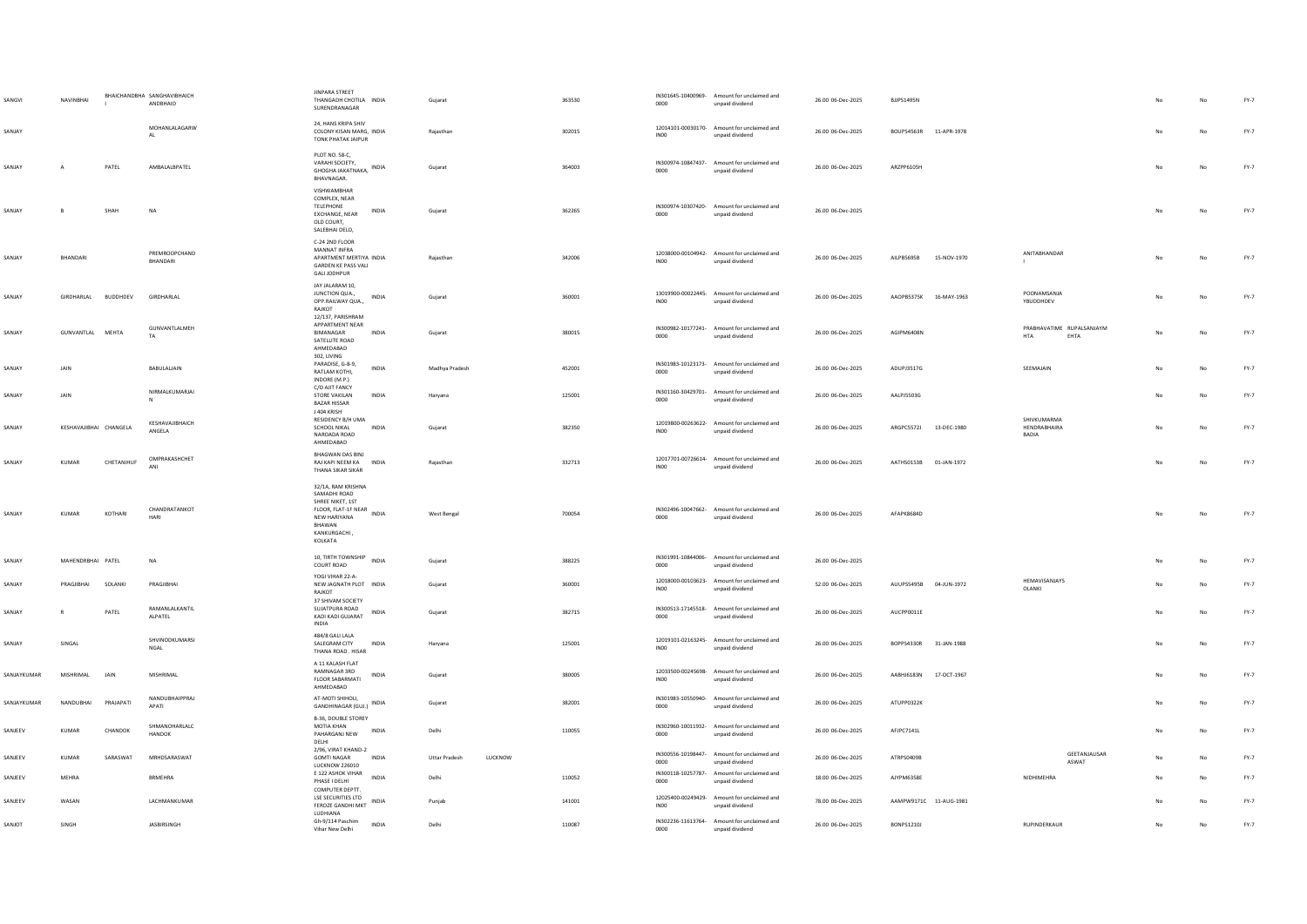| SANGVI      | NAVINBHAI              |            | BHAICHANDBHA SANGHAVIBHAICH<br>ANDBHAIO | JINPARA STREET<br>THANGADH CHOTILA INDIA<br>SURENDRANAGAR                                                                                | Gujarat                         | 363530 | 0000             | IN301645-10400969- Amount for unclaimed and<br>unpaid dividend | 26.00 06-Dec-2025 | BJJPS1495N             |             |                                          |     |             | $FY-7$ |
|-------------|------------------------|------------|-----------------------------------------|------------------------------------------------------------------------------------------------------------------------------------------|---------------------------------|--------|------------------|----------------------------------------------------------------|-------------------|------------------------|-------------|------------------------------------------|-----|-------------|--------|
| SANIAY      |                        |            | MOHANLALAGARW<br>AL                     | 24. HANS KRIPA SHIV<br>COLONY KISAN MARG INDIA<br><b>TONK PHATAK JAIPUR</b>                                                              | Rajasthan                       | 302015 | INO0             | 12014101-00030170- Amount for unclaimed and<br>unpaid dividend | 26.00.06-Dec-2025 | ROUPS4563R 11-APR-1978 |             |                                          | No. | No          | $FY-7$ |
| SANJAY      |                        | PATEL      | AMBALALBPATEL                           | PLOT NO. 58-C,<br>VARAHI SOCIETY,<br>INDIA<br>GHOGHA JAKATNAKA,<br>BHAVNAGAR.                                                            | Gujarat                         | 364003 | 0000             | IN300974-10847437- Amount for unclaimed and<br>unpaid dividend | 26.00 06-Dec-2025 | ARZPP6105H             |             |                                          |     | No          | $FY-7$ |
| SANJAY      | $\mathsf{B}$           | SHAH       | $_{\sf NA}$                             | VISHWAMBHAR<br>COMPLEX, NEAR<br><b>TELEPHONE</b><br>INDIA<br>EXCHANGE, NEAR<br>OLD COURT.<br>SALEBHAI DELO,                              | Gujarat                         | 362265 | 0000             | IN300974-10307420- Amount for unclaimed and<br>unpaid dividend | 26.00 06-Dec-2025 |                        |             |                                          | No  | No          | FY-7   |
| SANJAY      | BHANDARI               |            | PREMROOPCHAND<br><b>BHANDARL</b>        | C-24 2ND FLOOR<br>MANNAT INFRA<br>APARTMENT MERTIYA INDIA<br>GARDEN KE PASS VALI<br><b>GALI JODHPUR</b>                                  | Rajasthan                       | 342006 | INO <sub>0</sub> | 12038000-00104942- Amount for unclaimed and<br>unpaid dividend | 26.00 06-Dec-2025 | AILPB5695B             | 15-NOV-1970 | ANITABHANDAR<br>$\mathbf{1}$             |     | No          | $FY-7$ |
| SANJAY      | GIRDHARLAL BUDDHDEV    |            | <b>GIRDHARLAL</b>                       | JAY JALARAM 10,<br>JUNCTION QUA.,<br><b>INDIA</b><br>OPP.RAILWAY QUA.,<br>RAJKOT                                                         | Guiarat                         | 360001 | INO0             | 13019900-00022445- Amount for unclaimed and<br>unpaid dividend | 26.00.06-Dec-2025 | AAOPR5375K 16-MAY-1963 |             | POONAMSANJA<br>YBUDDHDEV                 | No. | No          | $FY-7$ |
| SANJAY      | GUNVANTLAL MEHTA       |            | GUNVANTLALMEH<br>TA                     | 12/137, PARISHRAM<br>APPARTMENT NEAR<br>BIMANAGAR<br>INDIA<br>SATELLITE ROAD<br>AHMEDABAD                                                | Gujarat                         | 380015 | 0000             | IN300982-10177241- Amount for unclaimed and<br>unpaid dividend | 26.00 06-Dec-2025 | AGIPM6408N             |             | PRABHAVATIME RUPALSANJAYM<br>HTA<br>EHTA | No  | No          | $FY-7$ |
| SANJAY      | JAIN                   |            | BABULALIAIN                             | 302, LIVING<br>PARADISE, G-8-9,<br><b>INDIA</b><br>RATI AM KOTHL<br>INDORE (M.P.)                                                        | Madhya Pradesh                  | 452001 | 0000             | IN301983-10123173- Amount for unclaimed and<br>unpaid dividend | 26.00 06-Dec-2025 | ADUPJ3517G             |             | SEEMAJAIN                                |     | No          | FY-7   |
| SANJAY      | JAIN                   |            | NIRMALKUMARJAI<br>$\mathsf{N}$          | C/O AJIT FANCY<br>STORE VAKILAN<br>INDIA<br><b>BAZAR HISSAR</b><br>J 404 KRISH                                                           | Haryana                         | 125001 | 0000             | IN301160-30429701- Amount for unclaimed and<br>unpaid dividend | 26.00 06-Dec-2025 | AALPJ5503G             |             |                                          |     | No          | $FY-7$ |
| SANJAY      | KESHAVAJIBHAI CHANGELA |            | KESHAVAJIBHAICH<br>ANGELA               | RESIDENCY B/H UMA<br>SCHOOL NIKAL<br><b>INDIA</b><br>NAROADA ROAD<br>AHMEDABAD                                                           | Gujarat                         | 382350 | INO0             | 12019800-00263622- Amount for unclaimed and<br>unpaid dividend | 26.00 06-Dec-2025 | ARGPC5572J 13-DEC-1980 |             | SHIVKUMARMA<br>HENDRABHAIRA<br>BADIA     |     | No          | FY-7   |
| SANJAY      | KUMAR                  | CHETANIHUF | OMPRAKASHCHET<br>ANI                    | BHAGWAN DAS BINJ<br>RAJ KAPI NEEM KA INDIA<br>THANA SIKAR SIKAR                                                                          | Rajasthan                       | 332713 | INO <sub>0</sub> | 12017701-00726614- Amount for unclaimed and<br>unpaid dividend | 26.00 06-Dec-2025 | AATHS0153B 01-JAN-1972 |             |                                          |     | $_{\sf No}$ | $FY-7$ |
| SANJAY      | KUMAR                  | KOTHARI    | CHANDRATANKOT<br><b>HARI</b>            | 32/1A, RAM KRISHNA<br>SAMADHI ROAD<br>SHREE NIKET, 1ST<br>FLOOR, FLAT-1F NEAR INDIA<br>NEW HARIYANA<br>BHAWAN<br>KANKURGACHI,<br>KOLKATA | West Bengal                     | 700054 | 0000             | IN302496-10047662- Amount for unclaimed and<br>unpaid dividend | 26.00 06-Dec-2025 | AFAPK8684D             |             |                                          | No  | No          | FY-7   |
| SANJAY      | MAHENDRBHAI PATEL      |            | $_{\sf NA}$                             | 10, TIRTH TOWNSHIP INDIA<br>COURT ROAD                                                                                                   | Gujarat                         | 388225 | 0000             | IN301991-10844006- Amount for unclaimed and<br>unpaid dividend | 26.00 06-Dec-2025 |                        |             |                                          |     | No          | $FY-7$ |
| SANJAY      | PRAGIIRHAI             | SOLANKI    | PRAGIIRHAI                              | YOGI VIHAR 22-A-<br>NEW JAGNATH PLOT INDIA<br>RAIKOT<br>37 SHIVAM SOCIETY                                                                | Guiarat                         | 360001 | INO0             | 12018000-00103623- Amount for unclaimed and<br>unpaid dividend | 52.00 06-Dec-2025 | AUUPS5495B 04-JUN-1972 |             | HEMAVISANJAYS<br>OLANKI                  |     | No          | FY-7   |
| SANJAY      | $\mathsf{R}$           | PATEL      | RAMANLALKANTIL<br>ALPATEL               | SUJATPURA ROAD<br><b>INDIA</b><br>KADI KADI GUJARAT<br><b>INDIA</b>                                                                      | Gujarat                         | 382715 | 0000             | IN300513-17145518- Amount for unclaimed and<br>unpaid dividend | 26.00 06-Dec-2025 | AUCPP0011E             |             |                                          | No  | No          | FY-7   |
| SANJAY      | SINGAL                 |            | SHVINODKUMARSI<br>NGAL                  | 484/8 GALI LALA<br>SALEGRAM CITY<br>INDIA<br>THANA ROAD, HISAR                                                                           | Haryana                         | 125001 | INO <sub>0</sub> | 12019101-02163245- Amount for unclaimed and<br>unpaid dividend | 26.00 06-Dec-2025 | BOPPS4330R             | 31-JAN-1988 |                                          |     | No          | $FY-7$ |
| SANJAYKUMAR | MISHRIMAL              | JAIN       | MISHRIMAL                               | A 11 KALASH FLAT<br>RAMNAGAR 3RD<br>INDIA<br><b>FLOOR SABARMATI</b><br>AHMEDABAD                                                         | Gujarat                         | 380005 | IN00             | 12033500-00245698- Amount for unclaimed and<br>unpaid dividend | 26.00 06-Dec-2025 | AABHJ6183N             | 17-OCT-1967 |                                          |     | $_{\sf No}$ | FY-7   |
| SANJAYKUMAR | NANDUBHAI              | PRAJAPATI  | NANDUBHAIPPRAJ<br>APATI                 | AT-MOTI SHIHOLI,<br>GANDHINAGAR (GUJ.) INDIA                                                                                             | Gujarat                         | 382001 | 0000             | IN301983-10550940- Amount for unclaimed and<br>unpaid dividend | 26.00 06-Dec-2025 | ATUPP0322K             |             |                                          |     | No          | $FY-7$ |
| SANJEEV     | KUMAR                  | CHANDOK    | SHMANOHARLALC<br><b>HANDOK</b>          | B-36, DOUBLE STOREY<br>MOTIA KHAN<br>INDIA<br>PAHARGANJ NEW<br>DELHI                                                                     | Delhi                           | 110055 | 0000             | IN302960-10011932- Amount for unclaimed and<br>unpaid dividend | 26.00 06-Dec-2025 | AFJPC7141L             |             |                                          | Nc  | No          | FY-7   |
| SANJEEV     | <b>KUMAR</b>           | SARASWAT   | MRHDSARASWAT                            | 2/96, VIRAT KHAND-2<br><b>GOMTI NAGAR</b><br>INDIA<br><b>LUCKNOW 226010</b>                                                              | <b>Uttar Pradesh</b><br>LUCKNOW |        | 0000             | IN300556-10198447- Amount for unclaimed and<br>unpaid dividend | 26.00 06-Dec-2025 | ATRPS0409B             |             | GEETANJALISAR<br>ASWAT                   |     | No          | FY-7   |
| SANJEEV     | <b>MEHRA</b>           |            | <b>BRMEHRA</b>                          | E 122 ASHOK VIHAR<br><b>INDIA</b><br>PHASE I DELHI<br>COMPUTER DEPTT                                                                     | Delhi                           | 110052 | 0000             | IN300118-10257787- Amount for unclaimed and<br>unpaid dividend | 18.00 06-Dec-2025 | AJYPM6358E             |             | NIDHIMEHRA                               |     | No          | $FY-7$ |
| SANJEEV     | WASAN                  |            | LACHMANKUMAR                            | LSE SECURITIES LTD<br>INDIA<br>FEROZE GANDHI MKT<br>LUDHIANA                                                                             | Punjab                          | 141001 | INO0             | 12025400-00249429- Amount for unclaimed and<br>unpaid dividend | 78.00 06-Dec-2025 | AAMPW9171C 11-AUG-1981 |             |                                          |     | No          | $FY-7$ |
| SANJOT      | <b>SINGH</b>           |            | <b>IASRIRSINGH</b>                      | Gh-9/114 Paschim<br><b>INDIA</b><br>Vihar New Delhi                                                                                      | Delhi                           | 110087 | 0000             | IN302236-11613764- Amount for unclaimed and<br>unpaid dividend | 26.00 06-Dec-2025 | <b>RONPS12101</b>      |             | <b>RUPINDERKAUR</b>                      | No. | No          | $FY-7$ |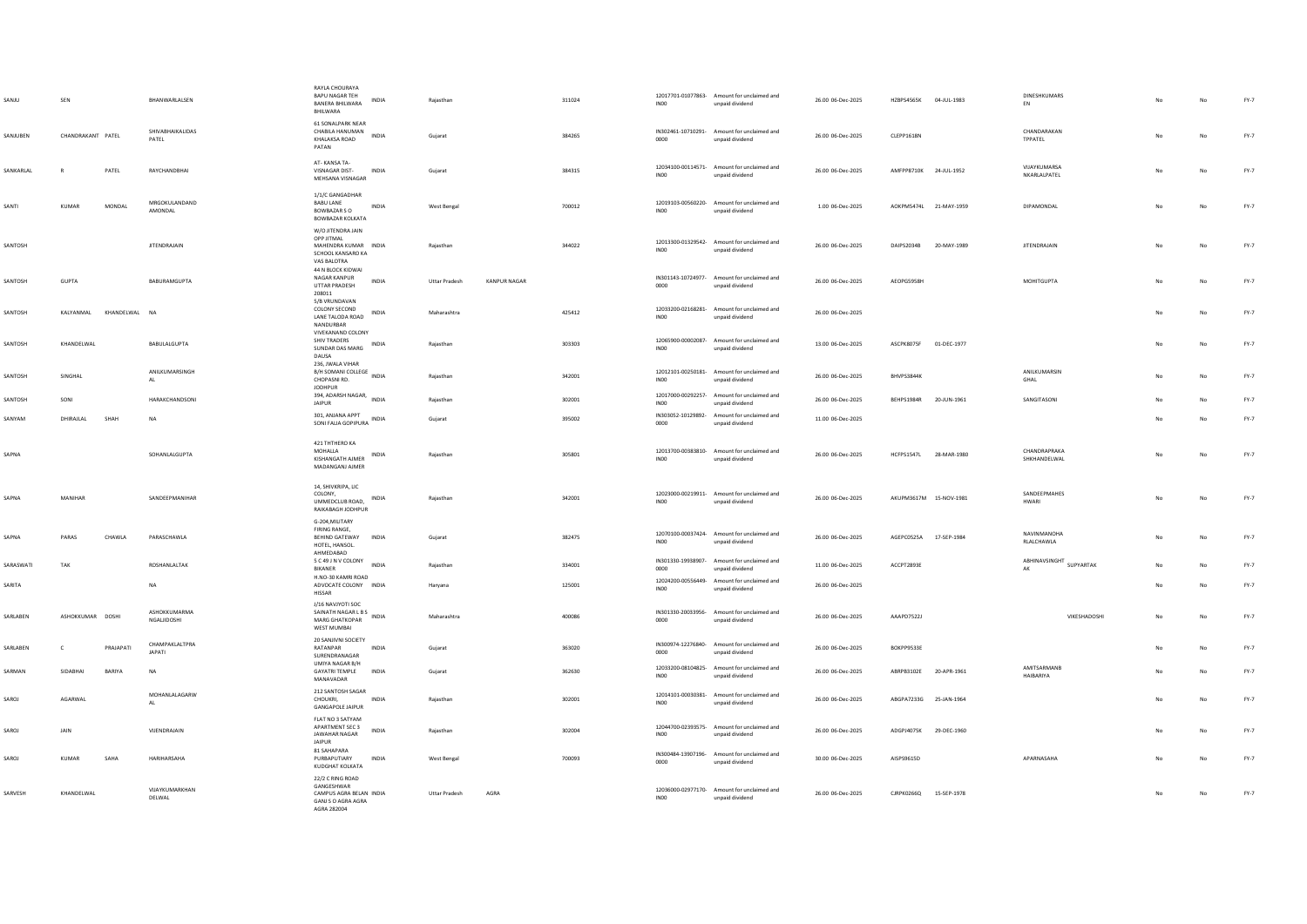| SANJU     | SEN               |               | BHANWARLALSEN                   | RAYLA CHOURAYA<br><b>BAPU NAGAR TEH</b><br><b>INDIA</b><br><b>BANERA BHILWARA</b><br>BHILWARA                   | Raiasthan            |                     | 311024 | IN <sub>00</sub> | 12017701-01077863- Amount for unclaimed and<br>unpaid dividend | 26.00 06-Dec-2025 | HZBPS4565K 04-JUL-1983  |             | <b>DINESHKUMARS</b><br>EN                                                                         |    | No          | FY-7   |
|-----------|-------------------|---------------|---------------------------------|-----------------------------------------------------------------------------------------------------------------|----------------------|---------------------|--------|------------------|----------------------------------------------------------------|-------------------|-------------------------|-------------|---------------------------------------------------------------------------------------------------|----|-------------|--------|
| SANJUBEN  | CHANDRAKANT PATEL |               | SHIVABHAIKALIDAS<br>PATEL       | 61 SONALPARK NEAR<br>61 SUIVALE - VIDEO<br>CHABILA HANUMAN<br>KHALAKSA ROAD<br>PATAN                            | Gujarat              |                     | 384265 | 0000             | IN302461-10710291- Amount for unclaimed and<br>unpaid dividend | 26.00 06-Dec-2025 | CLEPP1618N              |             | CHANDARAKAN<br>TPPATEL                                                                            |    | No          | FY-7   |
| SANKARIAI | $\mathbb{R}$      | PATFI         | RAYCHANDRHAI                    | AT-KANSA TA-<br>VISNAGAR DIST-<br><b>INDIA</b><br>MEHSANA VISNAGAR                                              | Gujarat              |                     | 384315 | INO0             | 12034100-00114571- Amount for unclaimed and<br>unpaid dividend | 26.00.06-Dec-2025 | AMFPP8710K 24-ILII-1952 |             | VIIAYKUMARSA<br>NKARLALPATEL                                                                      | No | No          | FY-7   |
| SANTI     | KUMAR             | MONDAL        | MRGOKULANDAND<br>AMONDAL        | 1/1/C GANGADHAR<br><b>BABU LANE</b><br>INDIA<br>BOWRAZAR S.O.<br>BOWBAZAR KOLKATA                               | West Bengal          |                     | 700012 | <b>IN00</b>      | 12019103-00560220- Amount for unclaimed and<br>unpaid dividend | 1.00 06-Dec-2025  | AOKPM5474L 21-MAY-1959  |             | DIPAMONDAL                                                                                        |    | No          | FY-7   |
| SANTOSH   |                   |               | <b>JITENDRAJAIN</b>             | W/O JITENDRA JAIN<br>OPP JITMAL<br>MAHENDRA KUMAR INDIA<br>SCHOOL KANSARO KA<br>VAS BALOTRA                     | Raiasthan            |                     | 344022 | IN <sub>00</sub> | 12013300-01329542- Amount for unclaimed and<br>unpaid dividend | 26.00 06-Dec-2025 | DAIPS2034B              | 20-MAY-1989 | <b>JITENDRAJAIN</b>                                                                               | No | No          | FY-7   |
| SANTOSH   | GUPTA             |               | BABURAMGUPTA                    | 44 N BLOCK KIDWAI<br>NAGAR KANPUR<br>INDIA<br>UTTAR PRADESH<br>208011                                           | <b>Uttar Pradesh</b> | <b>KANPUR NAGAR</b> |        | 0000             | IN301143-10724977- Amount for unclaimed and<br>unpaid dividend | 26.00 06-Dec-2025 | AEOPG5958H              |             | MOHITGUPTA                                                                                        |    | No          | FY-7   |
| SANTOSH   | KALYANMAL         | KHANDELWAL NA |                                 | 5/B VRUNDAVAN<br>COLONY SECOND<br>LANE TALODA ROAD INDIA<br>NANDURRAR                                           | Maharashtra          |                     | 425412 | INO0             | 12033200-02168281- Amount for unclaimed and<br>unpaid dividend | 26.00 06-Dec-2025 |                         |             |                                                                                                   |    | No          | FY-7   |
| SANTOSH   | KHANDELWAL        |               | BABULALGUPTA                    | VIVEKANAND COLONY<br>SHIV TRADERS<br>SUNDAR DAS MARG INDIA<br>DAUSA                                             | Rajasthan            |                     | 303303 | IN00             | 12065900-00002087- Amount for unclaimed and<br>unpaid dividend | 13.00 06-Dec-2025 | ASCPK8075F              | 01-DEC-1977 |                                                                                                   | No | No          | $FY-7$ |
| SANTOSH   | SINGHAI           |               | ANILKUMARSINGH<br>AL.           | 236, JWALA VIHAR<br>B/H SOMANI COLLEGE<br><b>INDIA</b><br>CHOPASNI RD.<br><b>JODHPUR</b>                        | Raiasthan            |                     | 342001 | INO0             | 12012101-00250181- Amount for unclaimed and<br>unpaid dividend | 26.00.06-Dec-2025 | <b>RHVPS3844K</b>       |             | ANILKUMARSIN<br>GHAL                                                                              |    | No          | FY-7   |
| SANTOSH   | SONI              |               | HARAKCHANDSONI                  | 394, ADARSH NAGAR, INDIA<br><b>JAIPUR</b>                                                                       | Rajasthan            |                     | 302001 | <b>IN00</b>      | 12017000-00292257- Amount for unclaimed and<br>unpaid dividend | 26.00 06-Dec-2025 | BEHPS1984R              | 20-JUN-1961 | SANGITASONI                                                                                       |    | No          | FY-7   |
| SANYAM    | DHIRAJLAL         | SHAH          | <b>NA</b>                       | 301, ANJANA APPT<br>SONI FALIA GOPIPURA INDIA                                                                   | Guiarat              |                     | 395002 | 0000             | IN303052-10129892- Amount for unclaimed and<br>unpaid dividend | 11.00 06-Dec-2025 |                         |             |                                                                                                   |    | No          | FY-7   |
| SAPNA     |                   |               | SOHANLALGUPTA                   | 421 THTHERO KA<br>MOHALLA<br>KISHANGATH AJMER INDIA<br>MADANGANJ AJMER                                          | Rajasthan            |                     | 305801 | INO <sub>0</sub> | 12013700-00383810- Amount for unclaimed and<br>unpaid dividend | 26.00 06-Dec-2025 | HCFPS1547L 28-MAR-1980  |             | CHANDRAPRAKA<br><b>SHKHANDELWAL</b>                                                               |    | No          | FY-7   |
| SAPNA     | MANIHAR           |               | SANDEEPMANIHAR                  | 14, SHIVKRIPA, LIC<br>COLONY,<br>INDIA<br>UMMEDCLUB ROAD,<br><b>RAIKARAGH IODHPUR</b>                           | Rajasthan            |                     | 342001 | INO <sub>0</sub> | 12023000-00219911- Amount for unclaimed and<br>unpaid dividend | 26.00 06-Dec-2025 | AKUPM3617M 15-NOV-1981  |             | SANDEEPMAHES<br>HWARI                                                                             | No | $_{\sf No}$ | $FY-7$ |
| SAPNA     | PARAS             | CHAWLA        | PARASCHAWLA                     | G-204 MILITARY<br>FIRING RANGE,<br>BEHIND GATEWAY<br>INDIA<br>HOTEL, HANSOL<br>AHMEDABAD                        | Gujarat              |                     | 382475 | INO <sub>0</sub> | 12070100-00037424- Amount for unclaimed and<br>unpaid dividend | 26.00 06-Dec-2025 | AGEPC0525A              | 17-SEP-1984 | NAVINMANOHA<br>RLALCHAWLA                                                                         |    | No          | $FY-7$ |
| SARASWATI | TAK               |               | ROSHANLALTAK                    | 5 C 49 J N V COLONY<br><b>INDIA</b><br>BIKANER                                                                  | Rajasthan            |                     | 334001 | 0000             | IN301330-19938907- Amount for unclaimed and<br>unpaid dividend | 11.00 06-Dec-2025 | ACCPT2893E              |             | ${\small \mathsf{ABHINAVSINGHT}} \label{def:ABHINAVSINGHT} {\small \mathsf{SBHINAVSINGHT}}$<br>AK |    | No          | FY-7   |
| SARITA    |                   |               | NA                              | H.NO-30 KAMRI ROAD<br>ADVOCATE COLONY INDIA<br>HISSAR                                                           | Harvana              |                     | 125001 | <b>IN00</b>      | 12024200-00556449- Amount for unclaimed and<br>unpaid dividend | 26.00 06-Dec-2025 |                         |             |                                                                                                   | No | No          | FY-7   |
| SARLABEN  | ASHOKKUMAR DOSHI  |               | ASHOKKUMARMA<br>NGALIDOSHI      | J/16 NAVJYOTI SOC<br>SAINATH NAGAR L B S<br>SAINATH NAGAR L B S<br>NDIA<br><b>MARG GHATKOPAR</b><br>WEST MUMBAI | Maharashtra          |                     | 400086 | 0000             | IN301330-20033956- Amount for unclaimed and<br>unpaid dividend | 26.00 06-Dec-2025 | AAAPD7522J              |             | VIKESHADOSHI                                                                                      | No | No          | $FY-7$ |
| SARLABEN  | c                 | PRAJAPATI     | CHAMPAKLALTPRA<br><b>IAPATI</b> | 20 SANJIVNI SOCIETY<br>RATANPAR<br><b>INDIA</b><br>SURENDRANAGAR                                                | Guiarat              |                     | 363020 | 0000             | IN300974-12276840- Amount for unclaimed and<br>unpaid dividend | 26.00 06-Dec-2025 | BOKPP9533E              |             |                                                                                                   |    | No          | FY-7   |
| SARMAN    | SIDABHAI          | BARIYA        | <b>NA</b>                       | UMIYA NAGAR B/H<br><b>GAYATRI TEMPLE</b><br>INDIA<br>MANAVADAR                                                  | Gujarat              |                     | 362630 | INO <sub>0</sub> | 12033200-08104825- Amount for unclaimed and<br>unpaid dividend | 26.00 06-Dec-2025 | ABRPB3102E              | 20-APR-1961 | AMITSARMANB<br><b>HAIRARIYA</b>                                                                   |    | No          | FY-7   |
| SAROJ     | AGARWAL           |               | MOHANLALAGARW<br>AL.            | 212 SANTOSH SAGAR<br>CHOUKRI.<br><b>INDIA</b><br><b>GANGAPOLE JAIPUR</b>                                        | Raiasthan            |                     | 302001 | IN00             | 12014101-00030381- Amount for unclaimed and<br>unpaid dividend | 26.00 06-Dec-2025 | ABGPA7233G 25-JAN-1964  |             |                                                                                                   |    | No          | FY-7   |
| SAROJ     | JAIN              |               | VIJENDRAJAIN                    | FLAT NO 3 SATYAM<br>APARTMENT SEC 3<br>INDIA<br>JAWAHAR NAGAR<br>JAIPUR                                         | Raiasthan            |                     | 302004 | <b>IN00</b>      | 12044700-02393575- Amount for unclaimed and<br>unpaid dividend | 26.00 06-Dec-2025 | ADGPJ4075K              | 29-DEC-1960 |                                                                                                   |    | No          | FY-7   |
| SAROL     | KUMAR             | SAHA          | <b>HARIHARSAHA</b>              | 81 SAHAPARA<br><b>INDIA</b><br>PURBAPUTIARY<br>KUDGHAT KOLKATA                                                  | West Bengal          |                     | 700093 | 0000             | IN300484-13907196- Amount for unclaimed and<br>unpaid dividend | 30.00 06-Dec-2025 | AISPS9615D              |             | APARNASAHA                                                                                        |    | No          | $FY-7$ |
| SARVESH   | KHANDELWAL        |               | <b>VIIAYKUMARKHAN</b><br>DELWAL | 22/2 C RING ROAD<br>GANGESHWAR<br>CAMPUS AGRA BELAN INDIA<br>GANJ S O AGRA AGRA<br>AGRA 282004                  | <b>Uttar Pradesh</b> | AGRA                |        | INO0             | 12036000-02977170- Amount for unclaimed and<br>unpaid dividend | 26.00 06-Dec-2025 | CJRPK0266Q 15-SEP-1978  |             |                                                                                                   |    | No          | FY-7   |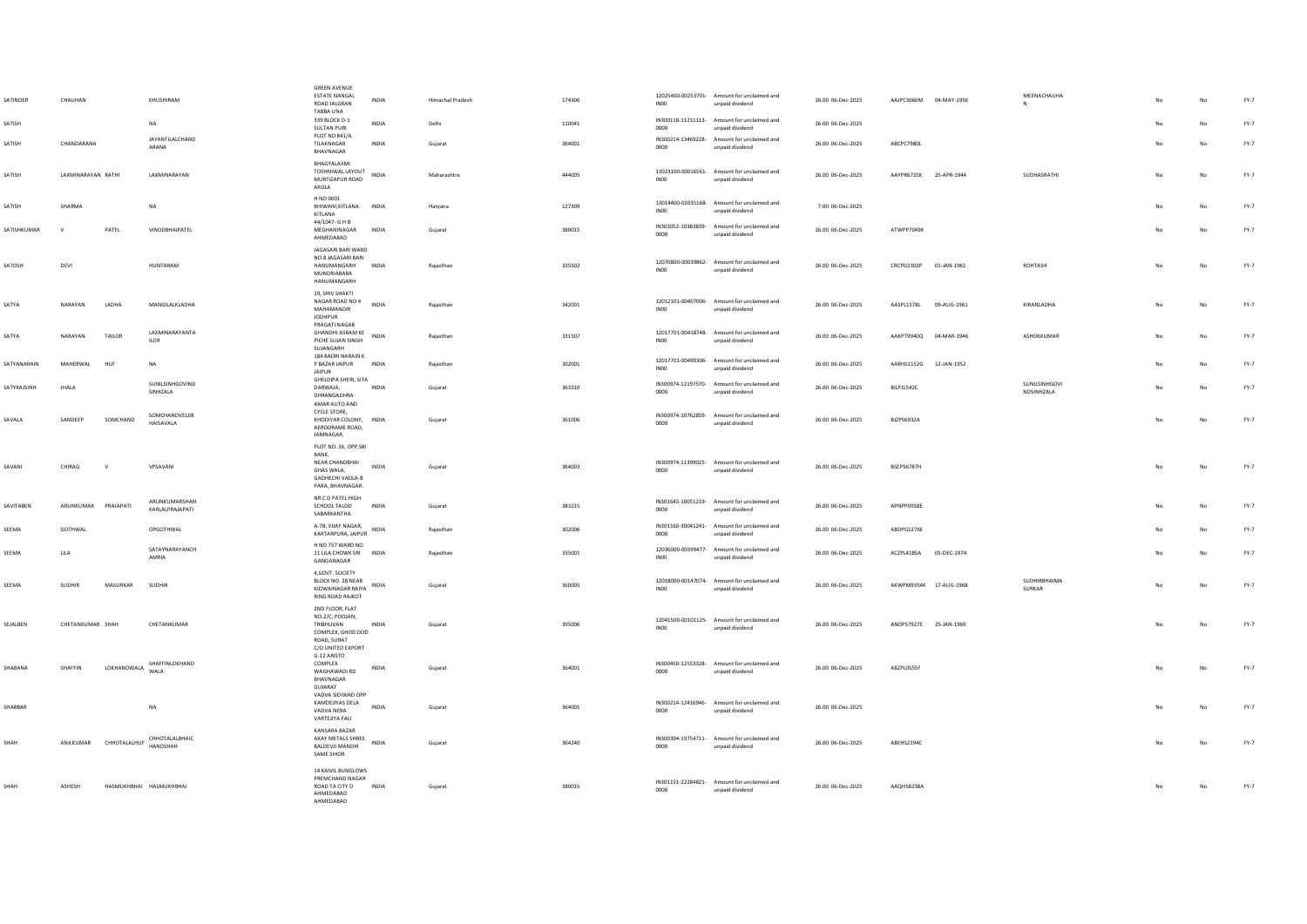| SATINDER            | CHAUHAN             |                         | KHUSHIRAM                             | <b>GREEN AVENUE</b><br><b>ESTATE NANGAL</b><br>ROAD JALGRAN<br>TABBA UNA                                 | INDIA        | <b>Himachal Pradesh</b> | 174306 | INO <sub>0</sub> | 12025400-00253701- Amount for unclaimed and<br>unpaid dividend | 26.00 06-Dec-2025 | AAJPC3666M 04-MAY-1956 |             | MEENACHAUHA<br>N            |             | No          | $FY-7$ |
|---------------------|---------------------|-------------------------|---------------------------------------|----------------------------------------------------------------------------------------------------------|--------------|-------------------------|--------|------------------|----------------------------------------------------------------|-------------------|------------------------|-------------|-----------------------------|-------------|-------------|--------|
| SATISH              |                     |                         | NA                                    | 339 BLOCK D-1<br><b>SULTAN PURI</b><br><b>PLOT NO 841/A</b>                                              | <b>INDIA</b> | Delhi                   | 110041 | 0000             | IN300118-11211113- Amount for unclaimed and<br>unpaid dividend | 26.00 06-Dec-2025 |                        |             |                             |             | No          | $FY-7$ |
| SATISH              | CHANDARANA          |                         | JAYANTILALCHAND<br>ARANA              | TILAKNAGAR<br>BHAVNAGAR                                                                                  | INDIA        | Gujarat                 | 364001 | 0000             | IN300214-13469228- Amount for unclaimed and<br>unpaid dividend | 26.00 06-Dec-2025 | ABCPC7980L             |             |                             | No          | No          | FY-7   |
| SATISH              | LAXMINARAYAN RATHI  |                         | LAXMINARAYAN                          | BHAGYALAXMI<br>TOSHNIWAL LAYOUT<br>MURTIZAPUR ROAD<br>AKOLA                                              | INDIA        | Maharashtra             | 444005 | INO <sub>0</sub> | 13023100-00016561- Amount for unclaimed and<br>unpaid dividend | 26.00 06-Dec-2025 | AAYPR6725K 25-APR-1944 |             | SUDHASRATHI                 | $_{\sf No}$ | No          | $FY-7$ |
| SATISH              | SHARMA              |                         | NA                                    | H NO 0001<br>BHIWANI, KITLANA INDIA<br>KITLANA                                                           |              | Harvana                 | 127309 | INO0             | 13014400-02035168- Amount for unclaimed and<br>unpaid dividend | 7.00 06-Dec-2025  |                        |             |                             |             | No          | $FY-7$ |
| SATISHKUMAR         | $\mathsf{v}$        | PATEL                   | VINODBHAIPATEL                        | 44/1047- G H B<br>MEGHANINAGAR<br>AHMEDABAD                                                              | INDIA        | Gujarat                 | 380015 | 0000             | IN303052-10383839- Amount for unclaimed and<br>unpaid dividend | 26.00 06-Dec-2025 | ATWPP7049K             |             |                             |             | $_{\sf No}$ | $FY-7$ |
| SATOSH              | DEVI                |                         | HUNTARAM                              | JAGASARI BARI WARD<br>NO 8 IAGASARI BARI<br>HANUMANGARH<br>MUNDRIABARA<br>HANUMANGARH                    | INDIA        | Rajasthan               | 335502 | IN <sub>00</sub> | 12070800-00039862- Amount for unclaimed and<br>unpaid dividend | 26.00 06-Dec-2025 | CRCPD2302P             | 01-JAN-1961 | ROHTASH                     | $_{\sf No}$ | No          | FY-7   |
| SATYA               | NARAYAN             | LADHA                   | MANGILALKLADHA                        | 19, SHIV SHAKTI<br>NAGAR ROAD NO 4<br>MAHAMANDIR<br>JODHPUR                                              | INDIA        | Rajasthan               | 342001 | IN00             | 12012101-00407006- Amount for unclaimed and<br>unpaid dividend | 26.00 06-Dec-2025 | AASPL1578L             | 09-AUG-1961 | KIRANLADHA                  | No          | No          | $FY-7$ |
| SATYA               | NARAYAN             | TAILOR                  | LAXMINARAYANTA<br><b>ILOR</b>         | PRAGATI NAGAR<br><b>GHANDHI ASRAM KE</b><br>PICHE SUJAN SINGH<br>SUJANGARH                               | INDIA        | Rajasthan               | 331507 | INO <sub>0</sub> | 12017701-00418748- Amount for unclaimed and<br>unpaid dividend | 26.00 06-Dec-2025 | AAKPT9940Q 04-MAR-1946 |             | ASHOKKUMAR                  |             | No          | FY-7   |
| SATYANARAIN         | <b>MAHFRWAI</b>     | HUF                     | <b>NA</b>                             | 184 BADRI NARAIN K<br>P BAZAR JAIPUR<br>JAIPUR                                                           | <b>INDIA</b> | Rajasthan               | 302001 | <b>IN00</b>      | 12017701-00490306- Amount for unclaimed and<br>unpaid dividend | 26.00 06-Dec-2025 | AARHS1152G 12-JAN-1952 |             |                             |             | No          | FY-7   |
| <b>SATYRA ISINH</b> | <b>IHALA</b>        |                         | SUNILSINHGOVIND<br>SINHZALA           | GHELDIPA SHERI, SITA<br><b>DARWAIA</b><br>DHRANGADHRA<br>AMAR AUTO AND                                   | <b>INDIA</b> | Gujarat                 | 363310 | 0000             | IN300974-12197570- Amount for unclaimed and<br>unpaid dividend | 26.00.06-Dec-2025 | <b>BILP11542C</b>      |             | SUNILSINHGOVI<br>NDSINHZALA | No          | No          | FY-7   |
| SAVALA              | SANDEEP             | SOMCHAND                | SOMCHANDVELJIB<br>HAISAVALA           | CYCLE STORE.<br>KHODIYAR COLONY, INDIA<br>AERODRAME ROAD,<br>JAMNAGAR.                                   |              | Gujarat                 | 361006 | 0000             | IN300974-10762859- Amount for unclaimed and<br>unpaid dividend | 26.00 06-Dec-2025 | <b>BJZPS6932A</b>      |             |                             | No          | No          | FY-7   |
| SAVANI              | CHIRAG              | v                       | VPSAVANI                              | PLOT NO. 26, OPP.SBI<br>RANK<br>NEAR.CHANDBHAI<br>GHAS WALA,<br>GADHECHI VADLA-B<br>PARA, BHAVNAGAR.     | INDIA        | Gujarat                 | 364003 | 0000             | IN300974-11399025- Amount for unclaimed and<br>unpaid dividend | 26.00 06-Dec-2025 | BSEPS6787H             |             |                             | No          | No          | $FY-7$ |
| SAVITABEN           | ARUNKUMAR PRAJAPATI |                         | ARUNKUMARSHAN<br>KARLALPRAJAPATI      | NR C D PATEL HIGH<br>SCHOOL TALOD<br>SABARKANTHA                                                         | INDIA        | Gujarat                 | 383215 | 0000             | IN301645-10051219- Amount for unclaimed and<br>unpaid dividend | 26.00 06-Dec-2025 | APNPP0918E             |             |                             |             | No          | FY-7   |
| SEEMA               | GOTHWAL             |                         | OPGOTHWAL                             | A-78, VIJAY NAGAR,<br>KARTARPURA, JAIPUR INDIA                                                           |              | Raiasthan               | 302006 | 0000             | IN301160-30041241- Amount for unclaimed and<br>unpaid dividend | 26.00 06-Dec-2025 | ARDPG1276F             |             |                             |             | No          | FY-7   |
| SEEMA               | <b>LILA</b>         |                         | SATAYNARAYANCH<br>AMRIA               | H NO 757 WARD NO<br>11 LILA CHOWK SRI INDIA<br>GANGANAGAR                                                |              | Raiasthan               | 335001 | INO0             | 12036000-00399477- Amount for unclaimed and<br>unpaid dividend | 26.00 06-Dec-2025 | ACZPL4185A 05-DEC-1974 |             |                             | No          | No          | $FY-7$ |
| SEEMA               | <b>SUDHIR</b>       | MASURKAR                | <b>SUDHIR</b>                         | 4,GOVT. SOCIETY<br>BLOCK NO. 28 NEAR<br>KIDWAINAGAR RAIYA<br><b>RING ROAD RAJKOT</b>                     | <b>INDIA</b> | Guiarat                 | 360005 | INO0             | 12018000-00147074- Amount for unclaimed and<br>unpaid dividend | 26.00.06-Dec-2025 | AKWPM9354K 17-AUG-1968 |             | SUDHIRBHAIMA<br>SURKAR      | No          | No          | $FY-7$ |
| SEJALBEN            | CHETANKUMAR SHAH    |                         | CHETANKUMAR                           | 2ND FLOOR, FLAT<br>NO.2/C, POOJAN,<br>TRIBHUVAN<br>COMPLEX, GHOD DOD<br>ROAD, SURAT<br>C/O UNITED EXPORT | INDIA        | Gujarat                 | 395006 | INO <sub>0</sub> | 12041500-00101125- Amount for unclaimed and<br>unpaid dividend | 26.00 06-Dec-2025 | ANDPS7927E 25-JAN-1969 |             |                             |             | No          | $FY-7$ |
| SHABANA             | SHAFFIN             | LOKHANDWALA             | SHAFFINLOKHAND<br><b>WALA</b>         | G-12 ARISTO<br>COMPLEX<br>WAGHAWADI RD<br>BHAVNAGAR<br>GUJARAT                                           | INDIA        | Gujarat                 | 364001 | 0000             | IN300450-12553328- Amount for unclaimed and<br>unpaid dividend | 26.00 06-Dec-2025 | ABZPL0555F             |             |                             | No          | No          | $FY-7$ |
| SHABBAR             |                     |                         | NA                                    | VADVA SIDIWAD OPP<br>KAMDEJIYAS DELA<br>VADVA NERA<br>VARTEJIYA FALI                                     | INDIA        | Guiarat                 | 364001 | 0000             | IN300214-12416946- Amount for unclaimed and<br>unpaid dividend | 26.00 06-Dec-2025 |                        |             |                             | No          | No          | FY-7   |
| SHAH                |                     |                         | ANILKUMAR CHHOTALALHUF CHHOTALALBHAIC | KANSARA BAZAR<br>AXAY METALS SHREE INDIA<br>BALDEVJI MANDIR<br>SAME SIHOR                                |              | Gujarat                 | 364240 | 0000             | IN300394-19754711- Amount for unclaimed and<br>unpaid dividend | 26.00 06-Dec-2025 | ABEHS2194C             |             |                             | No          | No          | FY-7   |
| SHAH                | ASHESH              | HASMUKHBHAI HASMUKHBHAI |                                       | 14 KAIVIL BUNGLOWS<br>PREMCHAND NAGAR<br>ROAD TA CITY D<br>AHMEDABAD<br>AHMEDARAD                        | INDIA        | Gujarat                 | 380015 | 0000             | IN301151-22284821- Amount for unclaimed and<br>unpaid dividend | 26.00 06-Dec-2025 | AAQHS8238A             |             |                             |             | $_{\sf No}$ | $FY-7$ |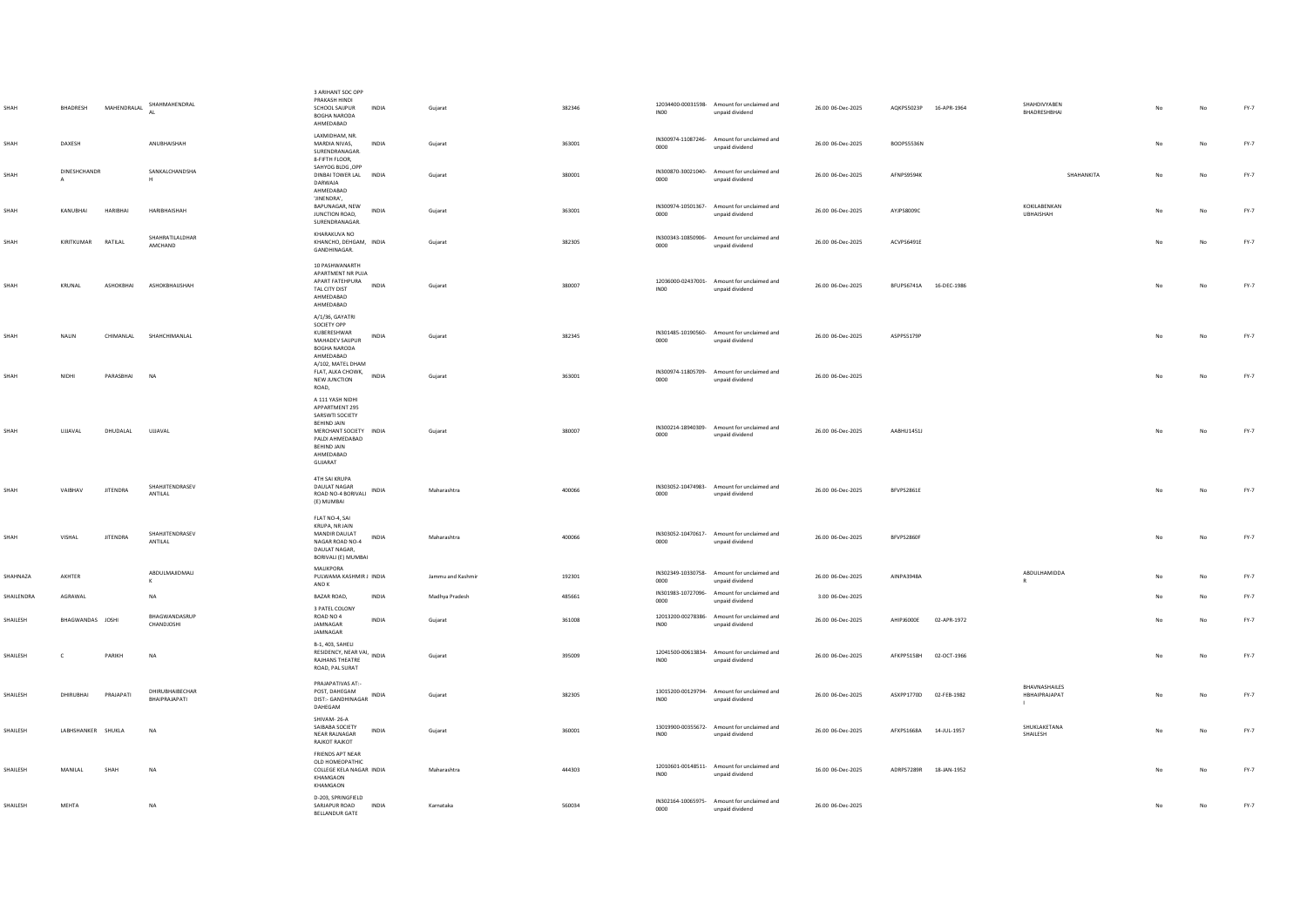|            | BHADRESH           | MAHENDRALAL     | SHAHMAHENDRAL<br>AI               | 3 ARIHANT SOC OPP<br>PRAKASH HINDI<br>SCHOOL SAUPUR<br>INDIA<br><b>BOGHA NARODA</b><br>AHMEDABAD                                                                | Gujarat           | 382346 | INO <sub>0</sub> | 12034400-00031598- Amount for unclaimed and<br>unpaid dividend | 26.00 06-Dec-2025 | AQKPS5023P 16-APR-1964 |             | SHAHDIVYABEN<br>RHADRESHRHAI     |    | No          | $FY-7$ |
|------------|--------------------|-----------------|-----------------------------------|-----------------------------------------------------------------------------------------------------------------------------------------------------------------|-------------------|--------|------------------|----------------------------------------------------------------|-------------------|------------------------|-------------|----------------------------------|----|-------------|--------|
| SHAH       | DAXESH             |                 | ANUBHAISHAH                       | LAXMIDHAM, NR.<br>MARDIA NIVAS.<br><b>INDIA</b><br>SURENDRANAGAR.<br>8-FIFTH FLOOR,                                                                             | Guiarat           | 363001 | 0000             | IN300974-11087246- Amount for unclaimed and<br>unpaid dividend | 26.00 06-Dec-2025 | BOOPS5536N             |             |                                  | No | No          | $FY-7$ |
| SHAH       | DINESHCHANDR       |                 | SANKALCHANDSHA                    | SAHYOG BLDG .OPP<br>DINBAI TOWER LAL INDIA<br>DARWAJA<br>AHMEDABAD                                                                                              | Gujarat           | 380001 | 0000             | IN300870-30021040- Amount for unclaimed and<br>unpaid dividend | 26.00 06-Dec-2025 | <b>AFNPS9594K</b>      |             | SHAHANKITA                       | No | No          | FY-7   |
| SHAH       | KANUBHAI           | HARIBHAI        | HARIBHAISHAH                      | 'JINENDRA',<br>BAPUNAGAR, NEW<br>INDIA<br>JUNCTION ROAD,<br>SURENDRANAGAR.                                                                                      | Gujarat           | 363001 | 0000             | IN300974-10501367- Amount for unclaimed and<br>unpaid dividend | 26.00 06-Dec-2025 | AYJPS8009C             |             | <b>KOKILARENKAN</b><br>UBHAISHAH | No | No          | $FY-7$ |
| SHAH       | KIRITKUMAR         | RATILAL         | SHAHRATILALDHAR<br>AMCHAND        | KHARAKUVA NO<br>KHANCHO, DEHGAM, INDIA<br>GANDHINAGAR.                                                                                                          | Gujarat           | 382305 | 0000             | IN300343-10850906- Amount for unclaimed and<br>unpaid dividend | 26.00 06-Dec-2025 | ACVPS6491E             |             |                                  |    | No          | FY-7   |
| SHAH       | KRUNAL             | ASHOKBHAI       | ASHOKBHAIJSHAH                    | 10 PASHWANARTH<br>APARTMENT NR PUJA<br>APART FATEHPURA<br><b>INDIA</b><br>TAL CITY DIST<br>AHMEDABAD<br>AHMEDABAD                                               | Gujarat           | 380007 | INO <sub>0</sub> | 12036000-02437001- Amount for unclaimed and<br>unpaid dividend | 26.00 06-Dec-2025 | BFUPS6741A 16-DEC-1986 |             |                                  |    | No          | FY-7   |
| SHAH       | NALIN              | CHIMANLAL       | SHAHCHIMANLAL                     | A/1/36, GAYATRI<br>SOCIETY OPP<br>KUBERESHWAR<br>INDIA<br>MAHADEV SAUPUR<br><b>BOGHA NARODA</b><br>AHMEDABAD<br>A/102, MATEL DHAM                               | Gujarat           | 382345 | 0000             | IN301485-10190560- Amount for unclaimed and<br>unpaid dividend | 26.00 06-Dec-2025 | ASPPS5179P             |             |                                  |    | No          | FY-7   |
| SHAH       | NIDHI              | PARASBHAI       | <b>NA</b>                         | FLAT, ALKA CHOWK, INDIA<br>NEW JUNCTION<br>ROAD,                                                                                                                | Gujarat           | 363001 | 0000             | IN300974-11805709- Amount for unclaimed and<br>unpaid dividend | 26.00 06-Dec-2025 |                        |             |                                  | No | No          | $FY-7$ |
| SHAH       | UJJAVAL            | DHUDALAL        | UJJAVAL                           | A 111 YASH NIDHI<br>APPARTMENT 295<br>SARSWTI SOCIETY<br>BEHIND JAIN<br>MERCHANT SOCIETY INDIA<br>PALDI AHMEDABAD<br><b>BEHIND JAIN</b><br>AHMEDABAD<br>GUJARAT | Gujarat           | 380007 | 0000             | IN300214-18940309- Amount for unclaimed and<br>unpaid dividend | 26.00 06-Dec-2025 | AABHU1451J             |             |                                  |    | No          | FY-7   |
| SHAH       | VAIBHAV            | <b>JITENDRA</b> | SHAHJITENDRASEV<br>ANTILAL        | 4TH SAI KRUPA<br><b>DAULAT NAGAR</b><br>ROAD NO-4 BORIVALI INDIA<br>(E) MUMBAI                                                                                  | Maharashtra       | 400066 | 0000             | IN303052-10474983- Amount for unclaimed and<br>unpaid dividend | 26.00 06-Dec-2025 | BFVPS2861E             |             |                                  | No | No          | FY-7   |
| SHAH       | VISHAL             | <b>JITENDRA</b> | SHAHJITENDRASEV<br><b>ANTILAL</b> | FLAT NO-4, SAI<br>KRUPA, NR JAIN<br>MANDIR DAULAT<br><b>INDIA</b><br>NAGAR ROAD NO-4<br>DAULAT NAGAR.<br>BORIVALI (E) MUMBAI                                    | Maharashtra       | 400066 | 0000             | IN303052-10470617- Amount for unclaimed and<br>unpaid dividend | 26.00 06-Dec-2025 | BFVPS2860F             |             |                                  |    | No          | FY-7   |
| SHAHNAZA   | AKHTER             |                 | ABDULMAJIDMALI<br>к               | MALIKPORA<br>PULWAMA KASHMIR J INDIA<br>AND K                                                                                                                   | Jammu and Kashmir | 192301 | 0000             | IN302349-10330758- Amount for unclaimed and<br>unpaid dividend | 26.00 06-Dec-2025 | AINPA3948A             |             | ABDULHAMIDDA<br>R                |    | No          | FY-7   |
| SHAILENDRA | AGRAWAL            |                 | <b>NA</b>                         | BAZAR ROAD,<br>INDIA                                                                                                                                            | Madhya Pradesh    | 485661 | 0000             | IN301983-10727096- Amount for unclaimed and<br>unpaid dividend | 3.00 06-Dec-2025  |                        |             |                                  |    | No          | FY-7   |
| SHAILESH   | BHAGWANDAS JOSHI   |                 | BHAGWANDASRUP<br>CHANDJOSHI       | 3 PATEL COLONY<br>ROAD NO 4<br><b>INDIA</b><br>JAMNAGAR<br>JAMNAGAR                                                                                             | Gujarat           | 361008 | INO <sub>0</sub> | 12013200-00278386- Amount for unclaimed and<br>unpaid dividend | 26.00 06-Dec-2025 | AHIPJ6000E 02-APR-1972 |             |                                  | No | No          | FY-7   |
| SHAILESH   | c                  | PARIKH          | NA                                | B-1, 403, SAHELI<br>RESIDENCY, NEAR VAI, INDIA<br>RAJHANS THEATRE<br>ROAD, PAL SURAT                                                                            | Gujarat           | 395009 | <b>IN00</b>      | 12041500-00613834- Amount for unclaimed and<br>unpaid dividend | 26.00 06-Dec-2025 | AFKPP5158H 02-OCT-1966 |             |                                  |    | No          | $FY-7$ |
| SHAILESH   | DHIRUBHAI          | PRAJAPATI       | DHIRUBHAIBECHAR<br>BHAIPRAJAPATI  | PRAJAPATIVAS AT:-<br>POST, DAHEGAM<br>DIST:- GANDHINAGAR INDIA<br>DAHEGAM                                                                                       | Gujarat           | 382305 | <b>IN00</b>      | 13015200-00129794- Amount for unclaimed and<br>unpaid dividend | 26.00 06-Dec-2025 | ASXPP1770D 02-FEB-1982 |             | BHAVNASHAILES<br>HBHAIPRAJAPAT   |    | No          | $FY-7$ |
| SHAILESH   | LABHSHANKER SHUKLA |                 | NA                                | SHIVAM-26-A<br>SAIBABA SOCIETY<br>INDIA<br>NEAR RALNAGAR<br><b>RAJKOT RAJKOT</b>                                                                                | Gujarat           | 360001 | <b>IN00</b>      | 13019900-00355672- Amount for unclaimed and<br>unpaid dividend | 26.00 06-Dec-2025 | AFXPS1668A             | 14-JUL-1957 | SHUKLAKETANA<br>SHAILESH         |    | No          | FY-7   |
| SHAILESH   | MANILAL            | SHAH            | <b>NA</b>                         | FRIENDS APT NEAR<br>OLD HOMEOPATHIC<br>COLLEGE KELA NAGAR INDIA<br>KHAMGAON<br>KHAMGAON                                                                         | Maharashtra       | 444303 | <b>IN00</b>      | 12010601-00148511- Amount for unclaimed and<br>unpaid dividend | 16.00 06-Dec-2025 | ADRPS7289R 18-JAN-1952 |             |                                  |    | No          | $FY-7$ |
| SHAILESH   | MEHTA              |                 | NA                                | D-203, SPRINGFIELD<br>SARJAPUR ROAD<br><b>INDIA</b><br>BELLANDUR GATE                                                                                           | Karnataka         | 560034 | 0000             | IN302164-10065975- Amount for unclaimed and<br>unpaid dividend | 26.00 06-Dec-2025 |                        |             |                                  | No | $_{\sf No}$ | FY-7   |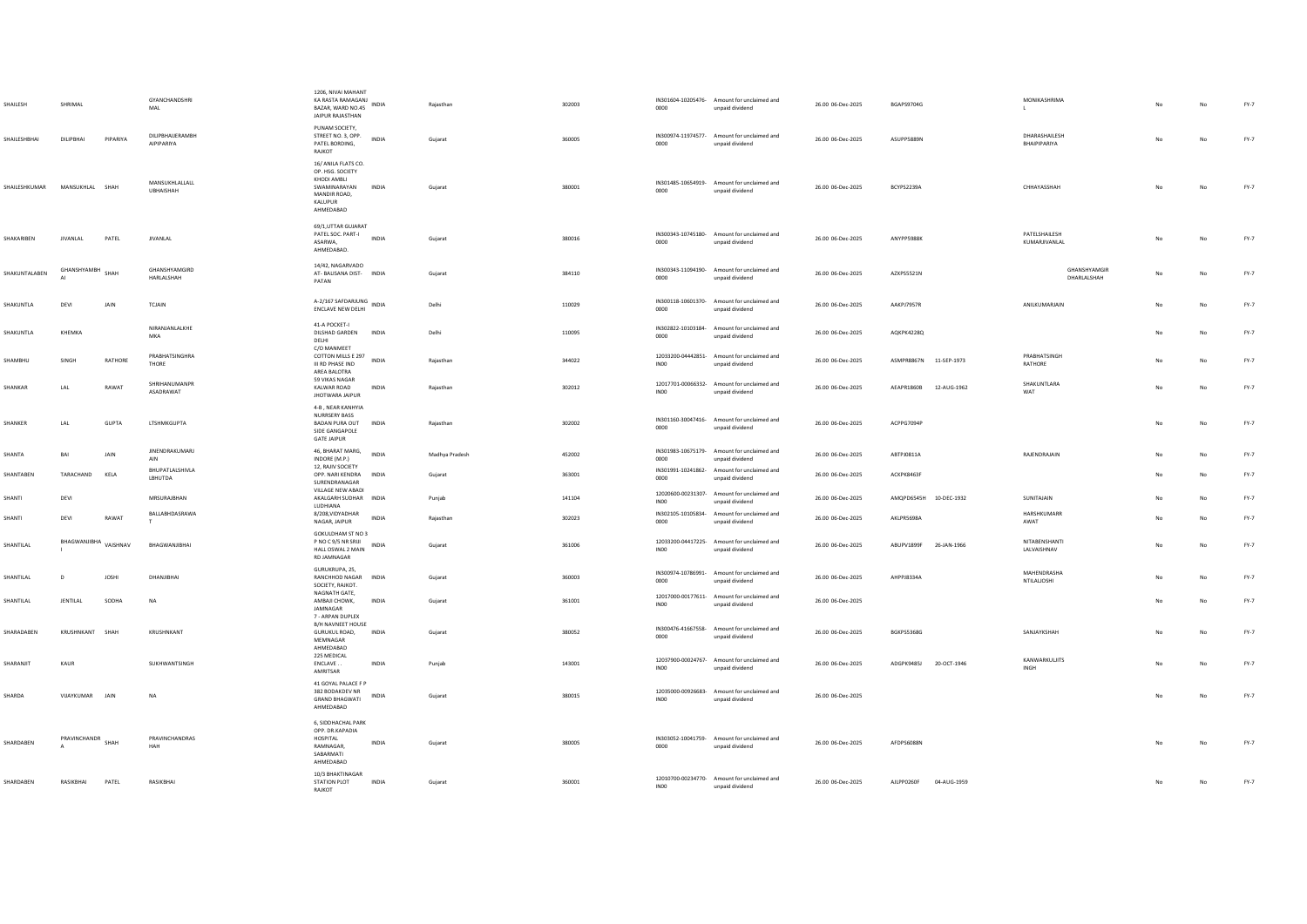| SHAILESH                      | SHRIMAL               |              | GYANCHANDSHRI<br>MAL           | 1206, NIVAI MAHANT<br>KA RASTA RAMAGANJ INDIA<br>BAZAR, WARD NO.45<br>JAIPUR RAJASTHAN                         |              | Rajasthan      | 302003 | 0000             | IN301604-10205476- Amount for unclaimed and<br>unpaid dividend | 26.00 06-Dec-2025 | BGAPS9704G             |             | MONIKASHRIMA<br>$\mathsf{L}$   |    | No | FY-7   |
|-------------------------------|-----------------------|--------------|--------------------------------|----------------------------------------------------------------------------------------------------------------|--------------|----------------|--------|------------------|----------------------------------------------------------------|-------------------|------------------------|-------------|--------------------------------|----|----|--------|
| SHAILESHBHAI                  | DILIPBHAI             | PIPARIYA     | DILIPBHAIJERAMBH<br>AIPIPARIYA | PUNAM SOCIETY,<br>STREET NO. 3, OPP.<br>PATEL BORDING,<br>RAJKOT                                               | INDIA        | Gujarat        | 360005 | 0000             | IN300974-11974577- Amount for unclaimed and<br>unpaid dividend | 26.00 06-Dec-2025 | ASUPP5889N             |             | DHARASHAILESH<br>BHAIPIPARIYA  | No | No | $FY-7$ |
| SHAILESHKUMAR MANSUKHLAL SHAH |                       |              | MANSUKHLALLALL<br>UBHAISHAH    | 16/ ANILA FLATS CO.<br>OP. HSG. SOCIETY<br>KHODI AMBLI<br>SWAMINARAYAN<br>MANDIR ROAD,<br>KALUPUR<br>AHMEDABAD | <b>INDIA</b> | Gujarat        | 380001 | 0000             | IN301485-10654919- Amount for unclaimed and<br>unpaid dividend | 26.00 06-Dec-2025 | BCYPS2239A             |             | CHHAYASSHAH                    | No | No | $FY-7$ |
| SHAKARIBEN                    | JIVANLAL              | PATEL        | <b>JIVANLAL</b>                | 69/1, UTTAR GUJARAT<br>PATEL SOC. PART-I<br>ASARWA.<br>AHMEDABAD.                                              | <b>INDIA</b> | Gujarat        | 380016 | 0000             | IN300343-10745180- Amount for unclaimed and<br>unpaid dividend | 26.00 06-Dec-2025 | ANYPP5988K             |             | PATELSHAILESH<br>KUMARJIVANLAL | No | No | $FY-7$ |
| SHAKUNTALABEN                 | GHANSHYAMBH           | SHAH         | GHANSHYAMGIRD<br>HARLALSHAH    | 14/42, NAGARVADO<br>AT- BALISANA DIST- INDIA<br>PATAN                                                          |              | Gujarat        | 384110 | 0000             | IN300343-11094190- Amount for unclaimed and<br>unpaid dividend | 26.00 06-Dec-2025 | AZXPS5521N             |             | GHANSHYAMGIR<br>DHARLALSHAH    | No | No | $FY-7$ |
| SHAKUNTLA                     | DEVI                  | JAIN         | TCJAIN                         | A-2/167 SAFDARJUNG INDIA<br>ENCLAVE NEW DELHI                                                                  |              | Delhi          | 110029 | 0000             | IN300118-10601370- Amount for unclaimed and<br>unpaid dividend | 26.00 06-Dec-2025 | AAKPJ7957R             |             | ANILKUMARJAIN                  | No | No | $FY-7$ |
| SHAKUNTLA                     | KHEMKA                |              | NIRANJANLALKHE<br>MKA          | 41-A POCKET-I<br>DILSHAD GARDEN INDIA<br>DELHI                                                                 |              | Delhi          | 110095 | 0000             | IN302822-10103184- Amount for unclaimed and<br>unpaid dividend | 26.00 06-Dec-2025 | AQKPK4228Q             |             |                                | No | No | $FY-7$ |
| SHAMBHU                       | SINGH                 | RATHORE      | PRABHATSINGHRA<br>THORE        | C/O MANMEET<br>COTTON MILLS E 297<br>III RD PHASE IND<br>AREA BALOTRA                                          | INDIA        | Rajasthan      | 344022 | IN <sub>00</sub> | 12033200-04442851- Amount for unclaimed and<br>unpaid dividend | 26.00 06-Dec-2025 | ASMPR8867N 11-SEP-1973 |             | PRABHATSINGH<br>RATHORE        | No | No | $FY-7$ |
| SHANKAR                       | LAL                   | RAWAT        | SHRIHANUMANPR<br>ASADRAWAT     | 59 VIKAS NAGAR<br>KALWAR ROAD<br><b>JHOTWARA JAIPUR</b>                                                        | <b>INDIA</b> | Raiasthan      | 302012 |                  | 12017701-00066332- Amount for unclaimed and<br>unpaid dividend | 26.00 06-Dec-2025 | AEAPR1860B 12-AUG-1962 |             | SHAKUNTLARA<br>WAT             | No | No | $FY-7$ |
| SHANKER                       | LAL                   | <b>GUPTA</b> | LTSHMKGUPTA                    | 4-B, NEAR KANHYIA<br>NURRSERY BASS<br>BADAN PURA OUT INDIA<br>SIDE GANGAPOLE<br><b>GATE JAIPUR</b>             |              | Raiasthan      | 302002 | 0000             | IN301160-30047416- Amount for unclaimed and<br>unpaid dividend | 26.00 06-Dec-2025 | ACPPG7094P             |             |                                | No | No | $FY-7$ |
| SHANTA                        | BAI                   | JAIN         | <b>JINENDRAKUMARJ</b><br>AIN   | 46, BHARAT MARG,<br>INDORE (M.P.)                                                                              | INDIA        | Madhya Pradesh | 452002 | 0000             | IN301983-10675179- Amount for unclaimed and<br>unpaid dividend | 26.00 06-Dec-2025 | ABTPJ0811A             |             | RAJENDRAJAIN                   | No | No | $FY-7$ |
| SHANTABEN                     | TARACHAND             | KELA         | BHUPATLALSHIVLA<br>LBHUTDA     | 12, RAJIV SOCIETY<br>OPP. NARI KENDRA<br>SURENDRANAGAR                                                         | INDIA        | Gujarat        | 363001 | 0000             | IN301991-10241862- Amount for unclaimed and<br>unpaid dividend | 26.00 06-Dec-2025 | ACKPK8463F             |             |                                |    | No | $FY-7$ |
| SHANTI                        | DEVI                  |              | MRSURAJBHAN                    | VILLAGE NEW ABADI<br>AKALGARH SUDHAR INDIA<br>LUDHIANA                                                         |              | Puniab         | 141104 | INO <sub>0</sub> | 12020600-00231307- Amount for unclaimed and<br>unpaid dividend | 26.00 06-Dec-2025 | AMQPD6545H 10-DEC-1932 |             | SUNITAJAIN                     | No | No | $FY-7$ |
| SHANTI                        | DEVI                  | RAWAT        | BALLABHDASRAWA<br>T            | 8/208, VIDYADHAR<br>NAGAR, JAIPUR                                                                              | <b>INDIA</b> | Rajasthan      | 302023 | 0000             | IN302105-10105834- Amount for unclaimed and<br>unpaid dividend | 26.00 06-Dec-2025 | AKLPR5698A             |             | HARSHKUMARR<br>AWAT            | No | No | FY-7   |
| SHANTILAL                     | BHAGWANJIBHA VAISHNAV |              | BHAGWANJIBHAI                  | GOKULDHAM ST NO 3<br>P NO C 9/5 NR SRIJI<br>HALL OSWAL 2 MAIN<br>RD JAMNAGAR                                   | <b>INDIA</b> | Gujarat        | 361006 | <b>IN00</b>      | 12033200-04417225- Amount for unclaimed and<br>unpaid dividend | 26.00 06-Dec-2025 | ABUPV1899F             | 26-JAN-1966 | NITABENSHANTI<br>LALVAISHNAV   | No | No | $FY-7$ |
| SHANTILAL                     | D                     | JOSHI        | DHANJIBHAI                     | GURUKRUPA, 25,<br>RANCHHOD NAGAR<br>SOCIETY, RAJKOT.                                                           | INDIA        | Gujarat        | 360003 | 0000             | IN300974-10786991- Amount for unclaimed and<br>unpaid dividend | 26.00 06-Dec-2025 | AHPPJ8334A             |             | MAHENDRASHA<br>NTILALIOSHI     |    | No | $FY-7$ |
| SHANTILAL                     | <b>JENTILAL</b>       | SODHA        | NA                             | NAGNATH GATE,<br>AMBAJI CHOWK,<br>JAMNAGAR                                                                     | INDIA        | Gujarat        | 361001 | INO <sub>0</sub> | 12017000-00177611- Amount for unclaimed and<br>unpaid dividend | 26.00 06-Dec-2025 |                        |             |                                | No | No | FY-7   |
| SHARADABEN                    | KRUSHNKANT SHAH       |              | KRUSHNKANT                     | 7 - ARPAN DUPLEX<br>B/H NAVNEET HOUSE<br>GURUKUL ROAD,<br>MEMNAGAR<br>AHMEDABAD                                | <b>INDIA</b> | Gujarat        | 380052 | 0000             | IN300476-41667558- Amount for unclaimed and<br>unpaid dividend | 26.00 06-Dec-2025 | <b>BGKPS5368G</b>      |             | SANJAYKSHAH                    | No | No | $FY-7$ |
| SHARANJIT                     | KAUR                  |              | SUKHWANTSINGH                  | 225 MEDICAL<br>ENCLAVE.<br>AMRITSAR                                                                            | <b>INDIA</b> | Punjab         | 143001 | INO <sub>0</sub> | 12037900-00024767- Amount for unclaimed and<br>unpaid dividend | 26.00 06-Dec-2025 | ADGPK9485J 20-OCT-1946 |             | KANWARKULJITS<br>INGH          | No | No | FY-7   |
| SHARDA                        | VIJAYKUMAR JAIN       |              | NA                             | 41 GOYAL PALACE F P<br>382 BODAKDEV NR<br><b>GRAND BHAGWATI</b><br>AHMEDABAD                                   | INDIA        | Gujarat        | 380015 | <b>IN00</b>      | 12035000-00926683- Amount for unclaimed and<br>unpaid dividend | 26.00 06-Dec-2025 |                        |             |                                | No | No | $FY-7$ |
| SHARDABEN                     | PRAVINCHANDR SHAH     |              | PRAVINCHANDRAS<br>HAH          | 6, SIDDHACHAL PARK<br>OPP. DR.KAPADIA<br>HOSPITAL<br>RAMNAGAR,<br>SABARMATI<br>AHMEDABAD                       | INDIA        | Gujarat        | 380005 | 0000             | IN303052-10041759- Amount for unclaimed and<br>unpaid dividend | 26.00 06-Dec-2025 | AFDPS6088N             |             |                                | No | No | $FY-7$ |
| SHARDABEN                     | RASIKBHAI             | PATEL        | RASIKBHAI                      | 10/3 BHAKTINAGAR<br>STATION PLOT<br>RAIKOT                                                                     | <b>INDIA</b> | Gujarat        | 360001 | LNO <sub>0</sub> | 12010700-00234770- Amount for unclaimed and<br>unpaid dividend | 26.00 06-Dec-2025 | AJLPP0260F             | 04-AUG-1959 |                                |    | No | $FY-7$ |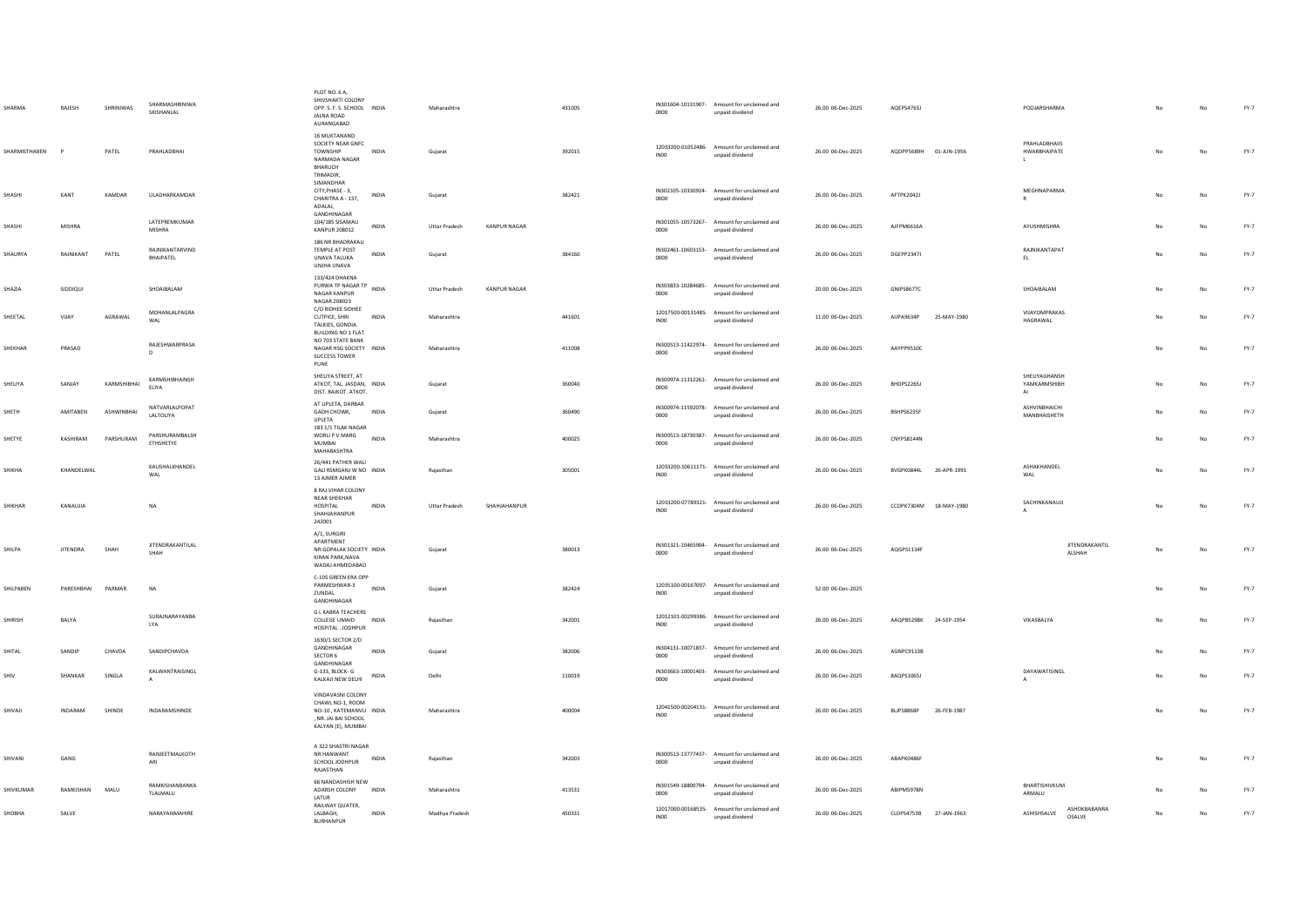| <b>HARMA</b>  | RAJESH          | SHRINIWAS   | SHARMASHRINIWA<br>SKISHANLAL        | PLOT NO. 6 A,<br>SHIVSHAKTI COLONY<br>OPP. S. F. S. SCHOOL INDIA<br><b>JAINA ROAD</b><br>AURANGABAD           |              | Maharashtra          |                     | 431005 | 0000             | IN301604-10131907- Amount for unclaimed and<br>unpaid dividend | 26.00 06-Dec-2025 | AQEPS4763J             |             | POOJARSHARMA                                  |     | No          | FY-7   |
|---------------|-----------------|-------------|-------------------------------------|---------------------------------------------------------------------------------------------------------------|--------------|----------------------|---------------------|--------|------------------|----------------------------------------------------------------|-------------------|------------------------|-------------|-----------------------------------------------|-----|-------------|--------|
| SHARMISTHABEN |                 | PATEL       | PRAHLADBHAI                         | 16 MUKTANAND<br>SOCIETY NEAR GNFC<br>TOWNSHIP<br>NARMADA NAGAR<br>BHARUCH<br>TRIMADIR,                        | <b>INDIA</b> | Gujarat              |                     | 392015 | INO <sub>0</sub> | 12033200-01052486- Amount for unclaimed and<br>unpaid dividend | 26.00 06-Dec-2025 | AQDPP5689H 01-JUN-1956 |             | PRAHLADBHAIIS<br>HWARBHAIPATE<br>$\mathbf{L}$ |     | No          | $FY-7$ |
| SHASHI        | KANT            | KAMDAR      | LILADHARKAMDAR                      | SIMANDHAR<br>CITY, PHASE - 3,<br>CHARITRA A - 137,<br>ADALAJ,                                                 | INDIA        | Gujarat              |                     | 382421 | 0000             | IN302105-10330924- Amount for unclaimed and<br>unpaid dividend | 26.00 06-Dec-2025 | AFTPK2042J             |             | MEGHNAPARMA<br>R                              | No  | $_{\sf No}$ | $FY-7$ |
| SHASHI        | <b>MISHRA</b>   |             | LATEPREMKUMAR<br>MISHRA             | GANDHINAGAR<br>104/185 SISAMAU<br><b>KANPUR 208012</b>                                                        | INDIA        | <b>Uttar Pradesh</b> | <b>KANPUR NAGAR</b> |        | 0000             | IN301055-10573267- Amount for unclaimed and<br>unpaid dividend | 26.00 06-Dec-2025 | AJFPM6616A             |             | AYUSHMISHRA                                   | No  | $_{\sf No}$ | $FY-7$ |
| SHAURYA       | RAJNIKANT       | PATEL       | RAJNIKANTARVIND<br><b>RHAIPATEL</b> | 186 NR BHADRAKALI<br>TEMPLE AT POST<br>UNAVA TALUKA<br>UNJHA UNAVA                                            | INDIA        | Gujarat              |                     | 384160 | 0000             | IN302461-10603153- Amount for unclaimed and<br>unpaid dividend | 26.00 06-Dec-2025 | DGEPP2347J             |             | RAJNIKANTAPAT<br>EL                           | No  | $_{\sf No}$ | $FY-7$ |
| SHAZIA        | SIDDIQUI        |             | SHOAIBALAM                          | 133/424 DHAKNA<br>PURWA TP NAGAR TP<br>NAGAR KANPUR<br>NAGAR 208023                                           | INDIA        | <b>Uttar Pradesh</b> | <b>KANPUR NAGAR</b> |        | 0000             | IN303833-10284685- Amount for unclaimed and<br>unpaid dividend | 20.00 06-Dec-2025 | <b>GNIPS8677C</b>      |             | SHOAIBALAM                                    | No  | No          | FY-7   |
| SHEETAL       | VIIAY           | AGRAWAL     | MOHANLALPAGRA<br>WAL                | C/O RIDHEE SIDHEE<br><b>CUTPICE, SHRI</b><br>TALKIES, GONDIA<br><b>BUILDING NO 1 FLAT</b>                     | <b>INDIA</b> | Maharashtra          |                     | 441601 | INO0             | 12017500-00131485- Amount for unclaimed and<br>unpaid dividend | 11.00 06-Dec-2025 | AUPA9634P              | 25-MAY-1980 | VIJAYOMPRAKAS<br>HAGRAWAL                     | No. | No          | FY-7   |
| SHEKHAR       | PRASAD          |             | RAJESHWARPRASA                      | NO 703 STATE BANK<br>NAGAR HSG SOCIETY INDIA<br>SUCCESS TOWER<br>PUNE                                         |              | Maharashtra          |                     | 411008 | 0000             | IN300513-11422974- Amount for unclaimed and<br>unpaid dividend | 26.00 06-Dec-2025 | AAYPP9510C             |             |                                               | No  | No          | FY-7   |
| SHELIYA       | SANJAY          | KARMSHIBHAI | KARMSHIBHAINSH<br><b>FLIYA</b>      | SHELIYA STREET, AT<br>ATKOT, TAL. JASDAN, INDIA<br>DIST. RAJKOT. ATKOT.                                       |              | Gujarat              |                     | 360040 | 0000             | IN300974-11312261- Amount for unclaimed and<br>unpaid dividend | 26.00 06-Dec-2025 | BHDPS2265J             |             | SHELIYAGHANSH<br>YAMKARMSHIBH<br>AI           | No  | No          | FY-7   |
| SHETH         | AMITABEN        | ASHWINBHAI  | NATVARLALPOPAT<br>LALTOLIYA         | AT UPLETA, DARBAR<br>GADH CHOWK,<br><b>UPLETA</b>                                                             | <b>INDIA</b> | Gujarat              |                     | 360490 | 0000             | IN300974-11592078- Amount for unclaimed and<br>unpaid dividend | 26.00 06-Dec-2025 | BSHPS6235F             |             | ASHVINBHAICHI<br>MANBHAISHETH                 | No  | No          | $FY-7$ |
| SHETYE        | KASHIRAM        | PARSHURAM   | PARSHURAMBALSH<br>ETHSHETYE         | 183 1/1 TILAK NAGAR<br>WORLI P V MARG<br>MUMBAI<br>MAHARASHTRA                                                | <b>INDIA</b> | Maharashtra          |                     | 400025 | 0000             | IN300513-18730387- Amount for unclaimed and<br>unpaid dividend | 26.00 06-Dec-2025 | CNYPS8144N             |             |                                               | No  | No          | FY-7   |
| SHIKHA        | KHANDELWAL      |             | KAUSHALKHANDEL<br>WAL               | 26/441 PATHER WALI<br>GALI RSMGANJ W NO INDIA<br>13 AJMER AJMER                                               |              | Raiasthan            |                     | 305001 | INO <sub>0</sub> | 12033200-10611171- Amount for unclaimed and<br>unpaid dividend | 26.00 06-Dec-2025 | BVGPK0844L             | 26-APR-1991 | ASHAKHANDEI<br>WAL                            | No  | No          | FY-7   |
| SHIKHAR       | KANAUJIA        |             | <b>NA</b>                           | <b>B RAJ VIHAR COLONY</b><br>NEAR SHEKHAR<br>HOSPITAL<br>SHAHJAHANPUR<br>242001                               | INDIA        | <b>Uttar Pradesh</b> | SHAHJAHANPUR        |        | INO <sub>0</sub> | 12033200-07789321- Amount for unclaimed and<br>unpaid dividend | 26.00 06-Dec-2025 | CCOPK7304M 18-MAY-1980 |             | SACHINKANAUJI                                 | No  | $_{\sf No}$ | $FY-7$ |
| SHILPA        | <b>JITENDRA</b> | SHAH        | <b>JITENDRAKANTILAL</b><br>SHAH     | A/1, SURGIRI<br>APARTMENT<br>NR.GOPALAK SOCIETY INDIA<br>KIRAN PARK, NAVA<br>WADAJ AHMEDABAD                  |              | Gujarat              |                     | 380013 | 0000             | IN301321-10465904- Amount for unclaimed and<br>unpaid dividend | 26.00 06-Dec-2025 | AQGPS1134F             |             | <b>JITENDRAKANTIL</b><br>ALSHAH               | No  | No          | FY-7   |
| SHILPABEN     | PARESHRHAI      | PARMAR      | <b>NA</b>                           | C-105 GREEN ERA OPP<br>PARMESHWAR-3<br>ZUNDAL<br>GANDHINAGAR                                                  | <b>INDIA</b> | Gujarat              |                     | 382424 | INO <sub>0</sub> | 12035100-00167097- Amount for unclaimed and<br>unpaid dividend | 52.00 06-Dec-2025 |                        |             |                                               | No  | No          | FY-7   |
| SHIRISH       | BALYA           |             | SURAJNARAYANBA<br>LYA               | <b>G L KABRA TEACHERS</b><br>COLLEGE UMAID INDIA<br>HOSPITAL . JODHPUR                                        |              | Raiasthan            |                     | 342001 | INO <sub>0</sub> | 12012101-00299386- Amount for unclaimed and<br>unpaid dividend | 26.00 06-Dec-2025 | AAQPB5298K 24-SEP-1954 |             | VIKASBALYA                                    | No  | No          | $FY-7$ |
| SHITAL        | SANDIP          | CHAVDA      | SANDIPCHAVDA                        | 1630/1 SECTOR 2/D<br>GANDHINAGAR<br>SECTOR 6                                                                  | INDIA        | Gujarat              |                     | 382006 | 0000             | IN304131-10071837- Amount for unclaimed and<br>unpaid dividend | 26.00 06-Dec-2025 | AGNPC9113B             |             |                                               |     | No          | $FY-7$ |
| SHIV          | SHANKAR         | SINGLA      | KALWANTRAISINGL<br>$\mathbf{A}$     | GANDHINAGAR<br>G-133, BLOCK-G<br>KALKAJI NEW DELHI                                                            | INDIA        | Delhi                |                     | 110019 | 0000             | IN303663-10001403- Amount for unclaimed and<br>unpaid dividend | 26.00 06-Dec-2025 | BAQPS1065J             |             | DAYAWATISINGL<br>$\mathbf{A}$                 |     | No          | $FY-7$ |
| SHIVAJI       | <b>INDARAM</b>  | SHINDE      | INDARAMSHINDE                       | VINDAVASNI COLONY<br>CHAWL NO-1, ROOM<br>NO-10 KATEMANVLI INDIA<br>. NR. JAI BAI SCHOOL<br>KALYAN (E), MUMBAI |              | Maharashtra          |                     | 400004 | INO <sub>0</sub> | 12041500-00204131- Amount for unclaimed and<br>unpaid dividend | 26.00 06-Dec-2025 | BLJPS8868P             | 26-FEB-1987 |                                               | No  | No          | $FY-7$ |
| SHIVANI       | GANG            |             | RANJEETMALKOTH<br>ARI               | A 322 SHASTRI NAGAR<br>NR HANWANT<br>SCHOOL JODHPUR<br>RAJASTHAN                                              | INDIA        | Rajasthan            |                     | 342003 | 0000             | IN300513-13777437- Amount for unclaimed and<br>unpaid dividend | 26.00 06-Dec-2025 | ABAPK0486F             |             |                                               |     | No          | FY-7   |
| SHIVKUMAR     | RAMKISHAN       | MALU        | RAMKISHANBANKA<br>TLALMALU          | 66 NANDASHISH NEW<br>ADARSH COLONY<br>LATUR                                                                   | <b>INDIA</b> | Maharashtra          |                     | 413531 | 0000             | IN301549-18800794- Amount for unclaimed and<br>unpaid dividend | 26.00 06-Dec-2025 | ABIPM5978N             |             | BHARTISHIVKUM<br>ARMALU                       | No  | No          | $FY-7$ |
| SHOBHA        | SALVE           |             | NARAYANMAHIRE                       | RAILWAY QUATER,<br>LALBAGH,<br><b>BURHANPUR</b>                                                               | INDIA        | Madhya Pradesh       |                     | 450331 | INO <sub>0</sub> | 12017000-00168535- Amount for unclaimed and<br>unpaid dividend | 26.00 06-Dec-2025 | CLOPS4753B 27-JAN-1963 |             | ASHOKRARANRA<br>ASHISHSALVE<br>OSALVE         |     | No          | $FY-7$ |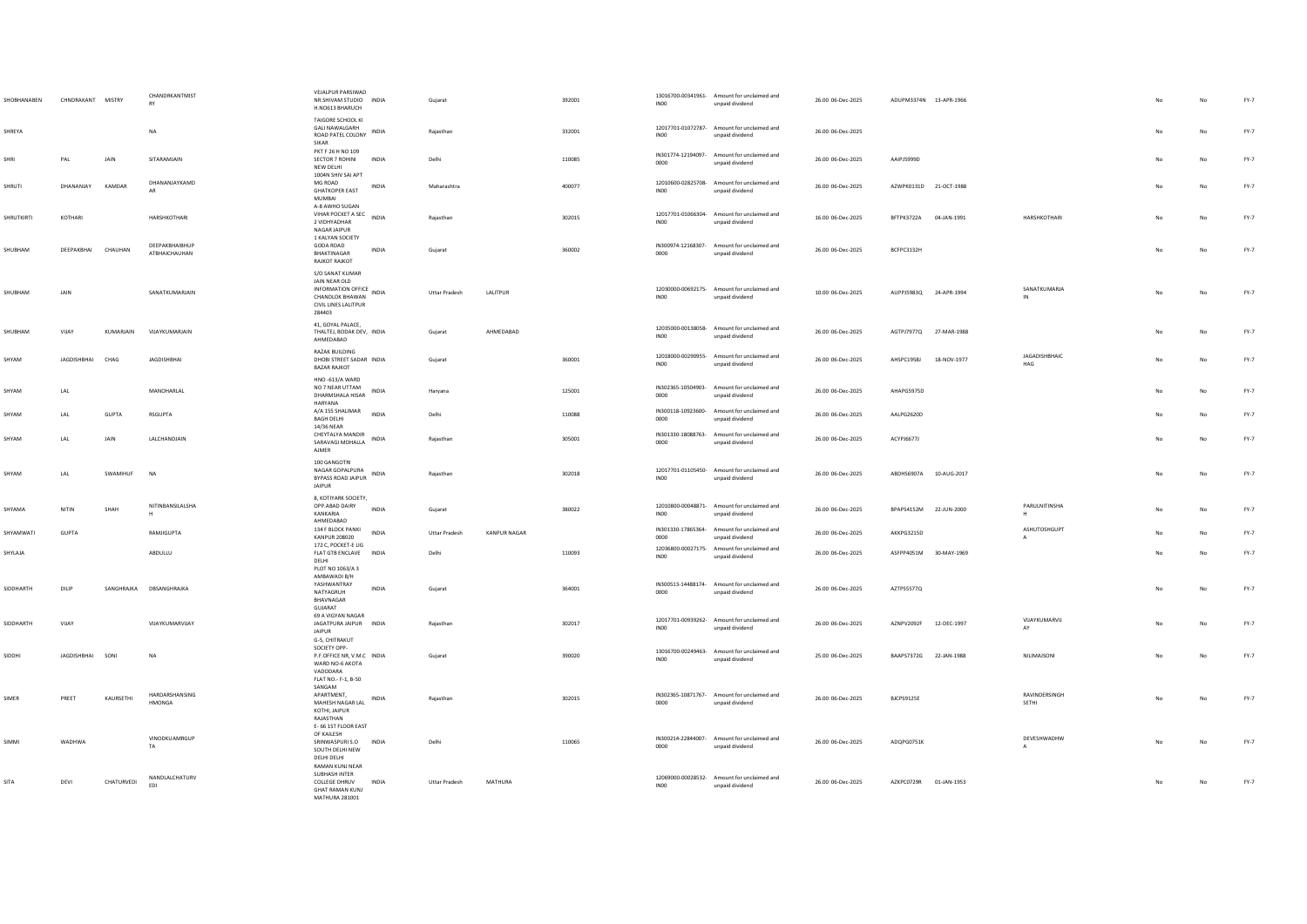| SHOBHANABEN  | CHNDRAKANT MISTRY |               | CHANDRKANTMIST<br>RY            | VEJALPUR PARSIWAD<br>NR.SHIVAM STUDIO INDIA<br>H.NO613 BHARUCH                                                    |       | Guiarat              |                     | 392001 | INO <sub>0</sub> | 13016700-00341961- Amount for unclaimed and<br>unpaid dividend | 26.00 06-Dec-2025 | ADUPM3374N 13-APR-1966 |             |                             |                |             | $FY-7$ |
|--------------|-------------------|---------------|---------------------------------|-------------------------------------------------------------------------------------------------------------------|-------|----------------------|---------------------|--------|------------------|----------------------------------------------------------------|-------------------|------------------------|-------------|-----------------------------|----------------|-------------|--------|
| SHREYA       |                   |               | <b>NA</b>                       | TAIGORE SCHOOL KI<br><b>GALI NAWALGARH</b><br>INDIA<br>ROAD PATEL COLONY<br>SIKAR                                 |       | Raiasthan            |                     | 332001 | <b>IN00</b>      | 12017701-01072787- Amount for unclaimed and<br>unpaid dividend | 26.00 06-Dec-2025 |                        |             |                             | N <sub>0</sub> | No          | FY-7   |
| SHRI         | PAL               | JAIN          | SITARAMJAIN                     | PKT F 26 H NO 109<br>SECTOR 7 ROHINI<br><b>INDIA</b><br>NFW DFI HI<br>1004N SHIV SAI APT                          | Delhi |                      |                     | 110085 | 0000             | IN301774-12194097- Amount for unclaimed and<br>unpaid dividend | 26.00 06-Dec-2025 | AAIPJ5999D             |             |                             |                | No          | $FY-7$ |
| SHRUTI       | DHANANJAY         | <b>KAMDAR</b> | DHANANJAYKAMD<br>AR             | MG ROAD<br>INDIA<br><b>GHATKOPER EAST</b><br><b>MUMBAI</b>                                                        |       | Maharashtra          |                     | 400077 | INO <sub>0</sub> | 12010600-02825708- Amount for unclaimed and<br>unpaid dividend | 26.00 06-Dec-2025 | AZWPK0131D 21-OCT-1988 |             |                             | No             | No          | FY-7   |
| SHRUTKIRTI   | KOTHARI           |               | HARSHKOTHARI                    | A-8 AWHO SUGAN<br>A-8 AW IN JULY 1.<br>VIHAR POCKET A SEC INDIA<br>2 VIDHYADHAR<br>NAGAR JAIPUR                   |       | Rajasthan            |                     | 302015 | INO <sub>0</sub> | 12017701-01066304- Amount for unclaimed and<br>unpaid dividend | 16.00 06-Dec-2025 | BFTPK3722A             | 04-JAN-1991 | HARSHKOTHARI                |                | No          | $FY-7$ |
| SHUBHAM      | DEEPAKBHAI        | CHAUHAN       | DEEPAKRHAIRHUP<br>ATBHAICHAUHAN | 1 KALYAN SOCIETY<br>GODA ROAD<br>INDIA<br>BHAKTINAGAR<br><b>RAJKOT RAJKOT</b>                                     |       | Gujarat              |                     | 360002 | 0000             | IN300974-12168307- Amount for unclaimed and<br>unpaid dividend | 26.00 06-Dec-2025 | BCFPC3132H             |             |                             | No             | $_{\sf No}$ | $FY-7$ |
| SHUBHAM      | JAIN              |               | SANATKUMARJAIN                  | S/O SANAT KUMAR<br>JAIN NEAR OLD<br>INFORMATION OFFICE INDIA<br>CHANDLOK BHAWAN<br>CIVIL LINES LALITPUR<br>284403 |       | <b>Uttar Pradesh</b> | LALITPUR            |        | INO <sub>0</sub> | 12030000-00692175- Amount for unclaimed and<br>unpaid dividend | 10.00 06-Dec-2025 | AUPPJ5983Q 24-APR-1994 |             | SANATKUMARJA<br>IN          | No             | No          | FY-7   |
| SHUBHAM      | VIJAY             | KUMARJAIN     | VIJAYKUMARJAIN                  | 41. GOYAL PALACE.<br>THALTEJ, BODAK DEV, INDIA<br>AHMEDABAD                                                       |       | Gujarat              | AHMEDABAD           |        | <b>IN00</b>      | 12035000-00138058- Amount for unclaimed and<br>unpaid dividend | 26.00 06-Dec-2025 | AGTPJ7977Q 27-MAR-1988 |             |                             | No             | No          | $FY-7$ |
| SHYAM        | IAGDISHRHAI CHAG  |               | <b>IAGDISHRHAI</b>              | <b>RAZAK BUILDING</b><br>DHORI STREET SADAR INDIA<br><b>BAZAR RAJKOT</b>                                          |       | Gujarat              |                     | 360001 | INO0             | 12018000-00290955- Amount for unclaimed and<br>unpaid dividend | 26.00.06-Dec-2025 | AHSPC1958L             | 18-NOV-1977 | <b>JAGADISHBHAIC</b><br>HAG | No             | No          | $FY-7$ |
| SHYAM        | LAL               |               | MANOHARLAL                      | HNO-613/A WARD<br>NO 7 NEAR UTTAM<br>INDIA<br>DHARMSHALA HISAR<br><b>HARYANA</b>                                  |       | Haryana              |                     | 125001 | 0000             | IN302365-10504903- Amount for unclaimed and<br>unpaid dividend | 26.00 06-Dec-2025 | AHAPG5975D             |             |                             |                | No          | $FY-7$ |
| SHYAM        | LAL               | GUPTA         | RSGUPTA                         | A/A 155 SHALIMAR<br><b>INDIA</b><br><b>BAGH DELHI</b><br>14/36 NEAR                                               |       | Delhi                |                     | 110088 | 0000             | IN300118-10923600- Amount for unclaimed and<br>unpaid dividend | 26.00 06-Dec-2025 | AALPG2620D             |             |                             |                | No          | $FY-7$ |
| SHYAM        | LAL               | JAIN          | LALCHANDJAIN                    | CHEYTALYA MANDIR<br>INDIA<br>SARAVAGI MOHALLA<br>AJMER                                                            |       | Rajasthan            |                     | 305001 | 0000             | IN301330-18088763- Amount for unclaimed and<br>unpaid dividend | 26.00 06-Dec-2025 | ACYPJ6677J             |             |                             | No             | No          | $FY-7$ |
|              |                   |               |                                 |                                                                                                                   |       |                      |                     |        |                  |                                                                |                   |                        |             |                             |                |             |        |
| SHYAM        | LAL               | SWAMIHUF      | <b>NA</b>                       | 100 GANGOTRI<br>NAGAR GOPALPURA<br>INDIA<br>BYPASS ROAD JAIPUR<br><b>JAIPUR</b>                                   |       | Rajasthan            |                     | 302018 | INO <sub>0</sub> | 12017701-01105450- Amount for unclaimed and<br>unpaid dividend | 26.00 06-Dec-2025 | ABDHS6907A 10-AUG-2017 |             |                             | No             | $_{\sf No}$ | FY-7   |
| SHYAMA       | NITIN             | SHAH          | NITINBANSILALSHA                | 8, KOTIYARK SOCIETY,<br>OPP.ABAD DAIRY<br><b>INDIA</b><br>KANKARIA<br>AHMEDARAD                                   |       | Gujarat              |                     | 380022 | INO <sub>0</sub> | 12010800-00048871- Amount for unclaimed and<br>unpaid dividend | 26.00 06-Dec-2025 | BPAPS4152M 22-JUN-2000 |             | PARULNITINSHA               | No             | No          | $FY-7$ |
| SHYAMWATI    | <b>GUPTA</b>      |               | RAMJIGUPTA                      | 134 F BLOCK PANKI<br><b>INDIA</b><br><b>KANPUR 208020</b>                                                         |       | <b>Uttar Pradesh</b> | <b>KANPUR NAGAR</b> |        | 0000             | IN301330-17865364- Amount for unclaimed and<br>unpaid dividend | 26.00 06-Dec-2025 | AKKPG3215D             |             | ASHUTOSHGUPT                |                | No          | FY-7   |
| SHYLAJA      |                   |               | ABDULLU                         | 172 C. POCKET-E LIG<br>FLAT GTB ENCLAVE INDIA<br>DELHI<br>PLOT NO 1063/A 3                                        | Delhi |                      |                     | 110093 | INO <sub>0</sub> | 12036800-00027175- Amount for unclaimed and<br>unpaid dividend | 26.00 06-Dec-2025 | ASFPP4051M 30-MAY-1969 |             |                             | No             | $_{\sf No}$ | $FY-7$ |
| SIDDHARTH    | DILIP             |               | SANGHRAJKA DBSANGHRAJKA         | AMBAWADI B/H<br>YASHWANTRAY<br><b>INDIA</b><br>NATYAGRUH<br>BHAVNAGAR                                             |       | Gujarat              |                     | 364001 | 0000             | IN300513-14488174- Amount for unclaimed and<br>unpaid dividend | 26.00 06-Dec-2025 | AZTPS5577Q             |             |                             | No.            | No          | FY-7   |
| SIDDHARTH    | VIIAY             |               | VIIAYKUMARVIIAY                 | GUJARAT<br>69 A VIGYAN NAGAR<br>JAGATPURA JAIPUR INDIA<br><b>JAIPUR</b>                                           |       | Raiasthan            |                     | 302017 | INO <sub>0</sub> | 12017701-00939262- Amount for unclaimed and<br>unpaid dividend | 26.00 06-Dec-2025 | AZNPV2092F 12-DEC-1997 |             | VIJAYKUMARVIJ<br>AY         | No             | No          | FY-7   |
| SIDDHI       | JAGDISHBHAI SONI  |               | N <sub>A</sub>                  | G-5, CHITRAKUT<br>SOCIETY OPP-<br>P.F.OFFICE NR, V.M.C INDIA<br>WARD NO-6 AKOTA<br>VADODARA                       |       | Gujarat              |                     | 390020 | INO <sub>0</sub> | 13016700-00249463- Amount for unclaimed and<br>unpaid dividend | 25.00 06-Dec-2025 | BAAPS7372G 22-JAN-1988 |             | NILIMAJSONI                 | No             | No          | FY-7   |
| SIMER        | PREET             | KAURSETHI     | HARDARSHANSING<br><b>HMONGA</b> | FLAT NO.- F-1, B-50<br>SANGAM<br>APARTMENT.<br>INDIA<br>MAHESH NAGAR LAL<br>KOTHI, JAIPUR<br>RAJASTHAN            |       | Rajasthan            |                     | 302015 | 0000             | IN302365-10871767- Amount for unclaimed and<br>unpaid dividend | 26.00 06-Dec-2025 | BJCPS9125E             |             | RAVINDERSINGH<br>SETHI      |                |             | $FY-7$ |
| <b>SIMMI</b> | <b>WADHWA</b>     |               | VINODKUAMRGUP<br>TA             | E- 66 1ST FLOOR EAST<br>OF KAILESH<br>SRINWASPURIS O INDIA<br>SOUTH DELHI NEW<br>DELHI DELHI<br>RAMAN KUNJ NEAR   |       | Delhi                |                     | 110065 | 0000             | IN300214-22844007- Amount for unclaimed and<br>unpaid dividend | 26.00 06-Dec-2025 | ADOPG0751K             |             | DEVESHWADHW                 | No.            | No          | FY-7   |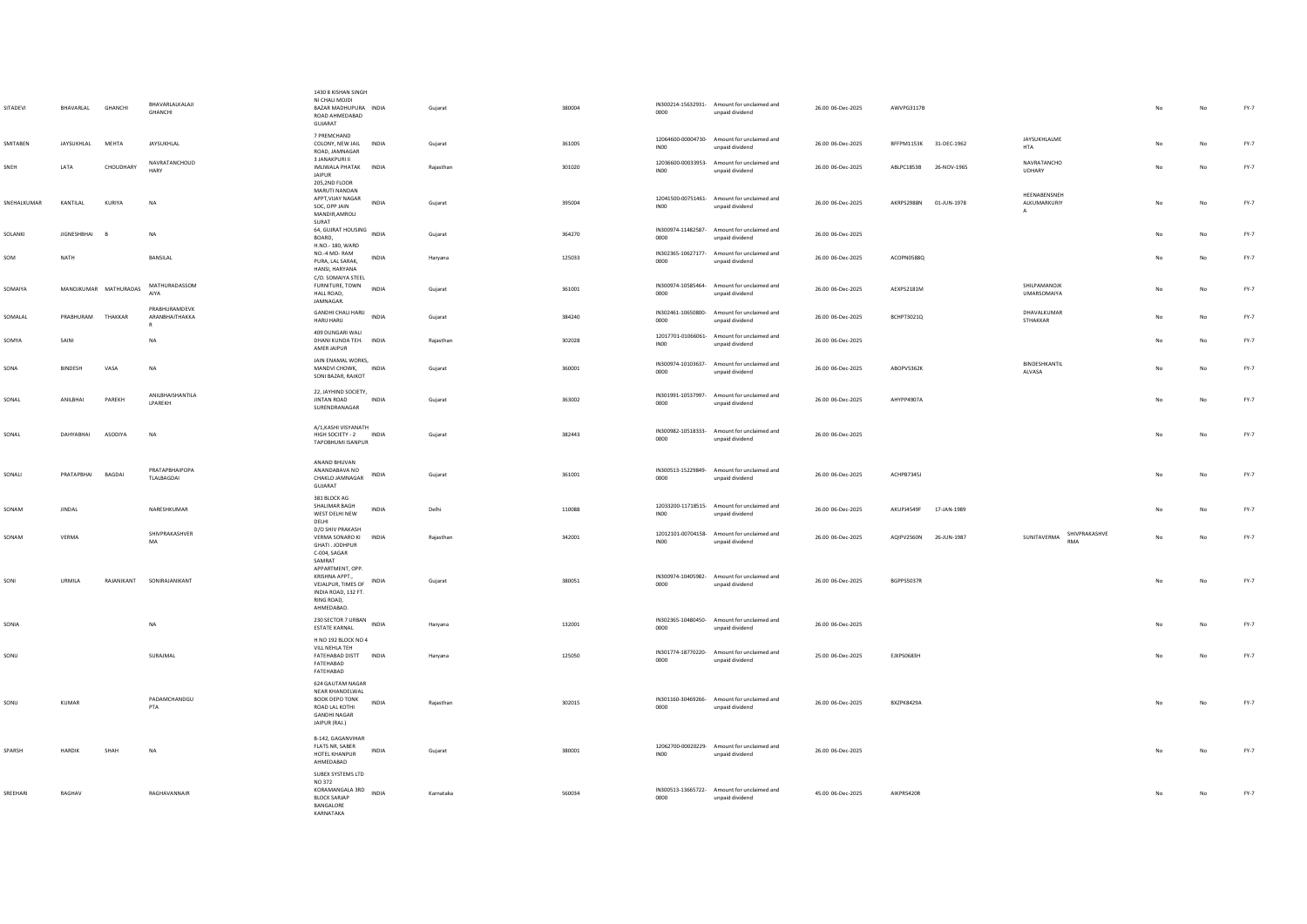| SITADEVI    | BHAVARLAL             | <b>GHANCHI</b> | BHAVARLALKALAJI<br><b>GHANCHI</b>               | 1430 8 KISHAN SINGH<br>NI CHALI MOJDI<br>BAZAR MADHUPURA INDIA<br>ROAD AHMEDABAD<br>GUIARAT                                     | Gujarat   | 380004 | 0000             | IN300214-15632931- Amount for unclaimed and<br>unpaid dividend | 26.00 06-Dec-2025 | AWVPG3117B             |             |                                              | No          | No | $FY-7$ |
|-------------|-----------------------|----------------|-------------------------------------------------|---------------------------------------------------------------------------------------------------------------------------------|-----------|--------|------------------|----------------------------------------------------------------|-------------------|------------------------|-------------|----------------------------------------------|-------------|----|--------|
| SMITABEN    | JAYSUKHLAL            | MEHTA          | JAYSUKHLAL                                      | 7 PREMCHAND<br>COLONY, NEW JAIL INDIA<br>ROAD, JAMNAGAR                                                                         | Gujarat   | 361005 | INO <sub>0</sub> | 12064600-00004730- Amount for unclaimed and<br>unpaid dividend | 26.00 06-Dec-2025 | BFFPM1153K 31-DEC-1962 |             | JAYSUKHLALME<br><b>HTA</b>                   | No          | No | $FY-7$ |
| SNFH        | <b>IATA</b>           | CHOUDHARY      | NAVRATANCHOUD<br>HARY                           | 3 JANAKPURI II<br>IMI IWAI A PHATAK INDIA<br><b>JAIPUR</b><br>205,2ND FLOOR                                                     | Rajasthan | 301020 | INO0             | 12036600-00033953- Amount for unclaimed and<br>unpaid dividend | 26.00.06-Dec-2025 | ARIPC1853B 26-NOV-1965 |             | NAVRATANCHO<br>UDHARY                        | No          | No | FY-7   |
| SNEHALKUMAR | KANTILAL              | KURIYA         | NA                                              | MARUTI NANDAN<br>APPT, VIJAY NAGAR<br><b>INDIA</b><br>SOC, OPP JAIN<br>MANDIR, AMROLI<br>SURAT                                  | Gujarat   | 395004 | INO <sub>0</sub> | 12041500-00751461- Amount for unclaimed and<br>unpaid dividend | 26.00 06-Dec-2025 | AKRPS2988N             | 01-JUN-1978 | HEENABENSNEH<br>ALKUMARKURIY<br>$\mathbf{A}$ | $_{\sf No}$ | No | $FY-7$ |
| SOLANKI     | <b>JIGNESHBHAI</b>    |                | <b>NA</b>                                       | SURAT HOUSING INDIA<br>BOARD,<br>H.NO.- 180, WARD                                                                               | Gujarat   | 364270 | 0000             | IN300974-11482587- Amount for unclaimed and<br>unpaid dividend | 26.00 06-Dec-2025 |                        |             |                                              | No          | No | $FY-7$ |
| SOM         | NATH                  |                | BANSILAL                                        | NO.-4 MO-RAM<br>INDIA<br>PURA, LAL SARAK,<br>HANSI, HARYANA                                                                     | Haryana   | 125033 | 0000             | IN302365-10627177- Amount for unclaimed and<br>unpaid dividend | 26.00 06-Dec-2025 | ACOPN0588Q             |             |                                              | No          | No | $FY-7$ |
| SOMAIYA     | MANOJKUMAR MATHURADAS |                | MATHURADASSOM<br>AIYA                           | C/O. SOMAIYA STEEL<br>FURNITURE, TOWN<br><b>INDIA</b><br>HALL ROAD<br>JAMNAGAR.                                                 | Gujarat   | 361001 | 0000             | IN300974-10585464- Amount for unclaimed and<br>unpaid dividend | 26.00 06-Dec-2025 | AEXPS2181M             |             | SHILPAMANOJK<br><b>IIMARSOMAIYA</b>          | No          | No | FY-7   |
| SOMALAL     | PRABHURAM             | THAKKAR        | PRABHURAMDEVK<br>ARANBHAITHAKKA<br>$\mathsf{R}$ | GANDHI CHALI HARIJ INDIA<br><b>HARIJ HARIJ</b>                                                                                  | Gujarat   | 384240 | 0000             | IN302461-10650800- Amount for unclaimed and<br>unpaid dividend | 26.00 06-Dec-2025 | BCHPT3021Q             |             | DHAVALKUMAR<br>STHAKKAR                      | No          | No | $FY-7$ |
| SOMYA       | SAINI                 |                | NA                                              | 409 DUNGARI WALI<br>DHANI KUNDA TEH. INDIA<br>AMER JAIPUR                                                                       | Rajasthan | 302028 | INO <sub>0</sub> | 12017701-01066061- Amount for unclaimed and<br>unpaid dividend | 26.00 06-Dec-2025 |                        |             |                                              | No          | No | $FY-7$ |
| SONA        | BINDESH               | VASA           | NA                                              | JAIN ENAMAL WORKS,<br>MANDVI CHOWK, INDIA<br>SONI BAZAR, RAJKOT                                                                 | Gujarat   | 360001 | 0000             | IN300974-10103637- Amount for unclaimed and<br>unpaid dividend | 26.00 06-Dec-2025 | ABOPV5362K             |             | BINDESHKANTIL<br>ALVASA                      | No          | No | $FY-7$ |
| SONAL       | ANILBHAI              | PAREKH         | ANILBHAISHANTILA<br>LPAREKH                     | 22, JAYHIND SOCIETY,<br><b>JINTAN ROAD</b><br>INDIA<br>SURENDRANAGAR                                                            | Gujarat   | 363002 | 0000             | IN301991-10537997- Amount for unclaimed and<br>unpaid dividend | 26.00 06-Dec-2025 | AHYPP4907A             |             |                                              | No          | No | $FY-7$ |
| SONAL       | DAHYABHAI             | ASODIYA        | NA                                              | A/1, KASHI VISYANATH<br>HIGH SOCIETY - 2 INDIA<br>TAPOBHUMI ISANPUR                                                             | Gujarat   | 382443 | 0000             | IN300982-10518333- Amount for unclaimed and<br>unpaid dividend | 26.00 06-Dec-2025 |                        |             |                                              | No          | No | $FY-7$ |
| SONALI      | PRATAPBHAI            | BAGDAI         | PRATAPRHAIPOPA<br>TLALBAGDAI                    | ANAND BHUVAN<br>ANANDARAVA NO<br>INDIA<br>CHAKLO JAMNAGAR<br>GUJARAT                                                            | Gujarat   | 361001 | 0000             | IN300513-15229849- Amount for unclaimed and<br>unpaid dividend | 26.00 06-Dec-2025 | ACHPB7345J             |             |                                              |             | No | $FY-7$ |
| SONAM       | JINDAL                |                | NARESHKUMAR                                     | 381 BLOCK AG<br>SHALIMAR BAGH<br>INDIA<br>WEST DELHI NEW<br>DELHI                                                               | Delhi     | 110088 | INO <sub>0</sub> | 12033200-11718515- Amount for unclaimed and<br>unpaid dividend | 26.00 06-Dec-2025 | AKUPJ4549F             | 17-JAN-1989 |                                              | No          | No | $FY-7$ |
| SONAM       | VERMA                 |                | SHIVPRAKASHVER<br>MA                            | D/O SHIV PRAKASH<br>VERMA SONARO KI INDIA<br>GHATI.JODHPUR<br>C-004, SAGAR                                                      | Rajasthan | 342001 | <b>INOO</b>      | 12012101-00704158- Amount for unclaimed and<br>unpaid dividend | 26.00 06-Dec-2025 | AQIPV2560N             | 26-JUN-1987 | SHIVPRAKASHVE<br>SUNITAVERMA<br>RMA          |             | No | $FY-7$ |
| SONI        | URMILA                | RAJANIKANT     | SONIRAJANIKANT                                  | SAMRAT<br>APPARTMENT, OPP.<br>KRISHNA APPT<br>INDIA<br>VEJALPUR, TIMES OF<br>INDIA ROAD, 132 FT.<br>RING ROAD,<br>AHMEDABAD.    | Gujarat   | 380051 | 0000             | IN300974-10405982- Amount for unclaimed and<br>unpaid dividend | 26.00 06-Dec-2025 | BGPPS5037R             |             |                                              | No          | No | $FY-7$ |
| SONIA       |                       |                | NA                                              | 230 SECTOR 7 URBAN INDIA<br><b>ESTATE KARNAL</b>                                                                                | Haryana   | 132001 | 0000             | IN302365-10480450- Amount for unclaimed and<br>unpaid dividend | 26.00 06-Dec-2025 |                        |             |                                              | No          | No | FY-7   |
| SONU        |                       |                | SURAJMAL                                        | H NO 192 BLOCK NO 4<br>VILL NEHLA TEH<br>FATEHABAD DISTT INDIA<br>FATEHABAD<br>FATEHABAD                                        | Haryana   | 125050 | 0000             | IN301774-18770220- Amount for unclaimed and<br>unpaid dividend | 25.00 06-Dec-2025 | <b>EJXPS0683H</b>      |             |                                              | No          | No | FY-7   |
| SONU        | KUMAR                 |                | PADAMCHANDGU<br>PTA                             | 624 GAUTAM NAGAR<br>NEAR KHANDELWAL<br>BOOK DEPO TONK<br><b>INDIA</b><br>ROAD LAL KOTHI<br><b>GANDHI NAGAR</b><br>JAIPUR (RAJ.) | Rajasthan | 302015 | 0000             | IN301160-30469266- Amount for unclaimed and<br>unpaid dividend | 26.00 06-Dec-2025 | BXZPK8429A             |             |                                              | No          | No | $FY-7$ |
| SPARSH      | <b>HARDIK</b>         | SHAH           | <b>NA</b>                                       | B-142, GAGANVIHAR<br>FLATS NR, SABER<br><b>INDIA</b><br>HOTEL KHANPLIR<br>AHMEDABAD                                             | Gujarat   | 380001 | <b>INOO</b>      | 12062700-00020229- Amount for unclaimed and<br>unpaid dividend | 26.00 06-Dec-2025 |                        |             |                                              |             | No | FY-7   |
| SREEHARI    | RAGHAV                |                | RAGHAVANNAIR                                    | SUBEX SYSTEMS LTD<br>NO 372<br>KORAMANGALA 3RD<br><b>INDIA</b><br><b>BLOCK SARJAP</b><br>BANGALORE<br>KARNATAKA                 | Karnataka | 560034 | 0000             | IN300513-13665722- Amount for unclaimed and<br>unpaid dividend | 45.00 06-Dec-2025 | AIKPR5420R             |             |                                              | No          | No | FY-7   |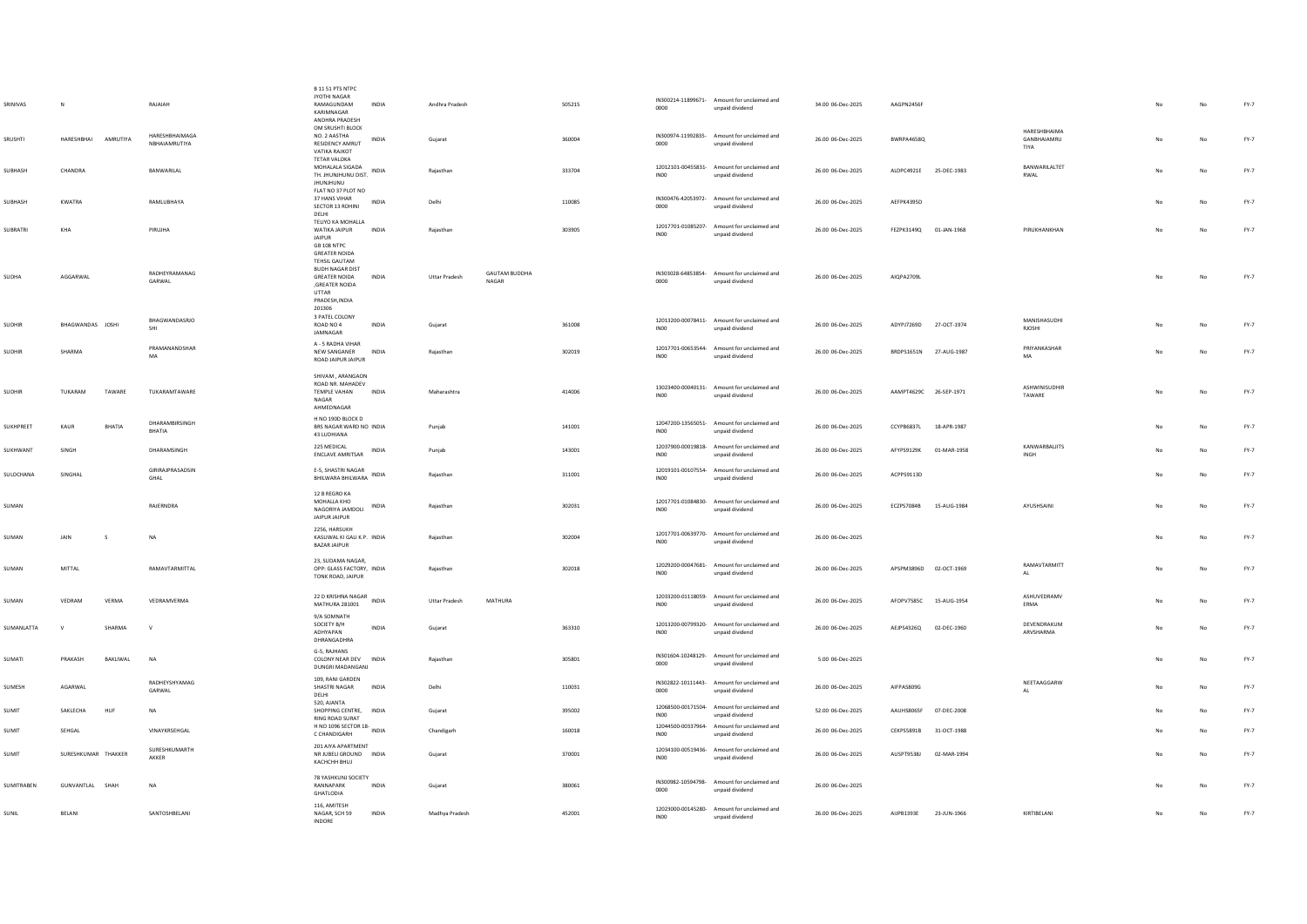|                 |                     |          |                                 | B 11 51 PTS NTPC                                   |              |                      |                      |        |                  |                                                                |                   |                        |             |                          |    |    |        |
|-----------------|---------------------|----------|---------------------------------|----------------------------------------------------|--------------|----------------------|----------------------|--------|------------------|----------------------------------------------------------------|-------------------|------------------------|-------------|--------------------------|----|----|--------|
| SRINIVAS        |                     |          | RAIAIAH                         | JYOTHI NAGAR<br>RAMAGUNDAM                         | INDIA        | Andhra Pradesh       |                      | 505215 | 0000             | IN300214-11899671- Amount for unclaimed and                    | 34.00 06-Dec-2025 | AAGPN2456F             |             |                          |    | No | $FY-7$ |
|                 |                     |          |                                 | KARIMNAGAR<br>ANDHRA PRADESH                       |              |                      |                      |        |                  | unpaid dividend                                                |                   |                        |             |                          |    |    |        |
|                 |                     |          |                                 | OM SRUSHTI BLOCK                                   |              |                      |                      |        |                  |                                                                |                   |                        |             | HARESHBHAIMA             |    |    |        |
| SRUSHTI         | HARESHBHAI          | AMRUTIYA | HARESHBHAIMAGA<br>NBHAIAMRUTIYA | NO. 2 AASTHA<br>RESIDENCY AMRUT                    | INDIA        | Gujarat              |                      | 360004 | 0000             | IN300974-11992835- Amount for unclaimed and<br>unpaid dividend | 26.00 06-Dec-2025 | BWRPA4658Q             |             | GANBHAIAMRU              |    | No | $FY-7$ |
|                 |                     |          |                                 | <b>VATIKA RAJKOT</b>                               |              |                      |                      |        |                  |                                                                |                   |                        |             | TIYA                     |    |    |        |
|                 | CHANDRA             |          | <b>RANWARILAL</b>               | <b>TETAR VALOKA</b><br>MOHALALA SIGADA             |              |                      |                      |        |                  | 12012101-00455831- Amount for unclaimed and                    |                   |                        |             | BANWARILALTET            |    |    |        |
| SUBHASH         |                     |          |                                 | TH. JHUNJHUNU DIST. INDIA<br><b>JHUNJHUNU</b>      |              | Rajasthan            |                      | 333704 | <b>IN00</b>      | unpaid dividend                                                | 26.00 06-Dec-2025 | ALDPC4921E             | 25-DEC-1983 | RWAL                     | No | No | $FY-7$ |
|                 |                     |          |                                 | FLAT NO 37 PLOT NO                                 |              |                      |                      |        |                  |                                                                |                   |                        |             |                          |    |    |        |
| SUBHASH         | KWATRA              |          | RAMLUBHAYA                      | 37 HANS VIHAR                                      | INDIA        | Delhi                |                      | 110085 | 0000             | IN300476-42053972- Amount for unclaimed and                    | 26.00 06-Dec-2025 | AEFPK4395D             |             |                          | No | No | $FY-7$ |
|                 |                     |          |                                 | SECTOR 13 ROHINI<br>DELHI                          |              |                      |                      |        |                  | unpaid dividend                                                |                   |                        |             |                          |    |    |        |
| <b>SUBRATRI</b> | KHA                 |          | PIRUJHA                         | TELIYO KA MOHALLA<br>WATIKA JAIPUR INDIA           |              | Raiasthan            |                      | 303905 |                  | 12017701-01085207- Amount for unclaimed and                    | 26.00 06-Dec-2025 | FEZPK3149Q 01-JAN-1968 |             | PIRUKHANKHAN             | No | No | $FY-7$ |
|                 |                     |          |                                 | JAIPUR                                             |              |                      |                      |        | <b>IN00</b>      | unpaid dividend                                                |                   |                        |             |                          |    |    |        |
|                 |                     |          |                                 | GB 108 NTPC<br><b>GREATER NOIDA</b>                |              |                      |                      |        |                  |                                                                |                   |                        |             |                          |    |    |        |
|                 |                     |          |                                 | <b>TEHSIL GAUTAM</b>                               |              |                      |                      |        |                  |                                                                |                   |                        |             |                          |    |    |        |
| <b>SUDHA</b>    | AGGARWAL            |          | RADHEYRAMANAG                   | <b>BUDH NAGAR DIST</b><br><b>GREATER NOIDA</b>     | <b>INDIA</b> | <b>Uttar Pradesh</b> | <b>GAUTAM BUDDHA</b> |        |                  | IN303028-64853854- Amount for unclaimed and                    | 26.00 06-Dec-2025 | AIOPA2709L             |             |                          | No | No | $FY-7$ |
|                 |                     |          | GARWAL                          | ,GREATER NOIDA                                     |              |                      | NAGAR                |        | 0000             | unpaid dividend                                                |                   |                        |             |                          |    |    |        |
|                 |                     |          |                                 | UTTAR<br>PRADESH, INDIA                            |              |                      |                      |        |                  |                                                                |                   |                        |             |                          |    |    |        |
|                 |                     |          |                                 | 201306                                             |              |                      |                      |        |                  |                                                                |                   |                        |             |                          |    |    |        |
| SUDHIR          | BHAGWANDAS JOSHI    |          | BHAGWANDASRJO                   | 3 PATEL COLONY<br>ROAD NO 4                        | INDIA        | Gujarat              |                      | 361008 |                  | 12013200-00078411- Amount for unclaimed and                    | 26.00 06-Dec-2025 | ADYPJ7269D 27-OCT-1974 |             | MANISHASUDHI             | No | No | $FY-7$ |
|                 |                     |          | SHI                             | JAMNAGAR                                           |              |                      |                      |        | IN <sub>00</sub> | unpaid dividend                                                |                   |                        |             | <b>RJOSHI</b>            |    |    |        |
|                 |                     |          | PRAMANANDSHAR                   | A - 5 RADHA VIHAR                                  |              |                      |                      |        |                  | 12017701-00653544- Amount for unclaimed and                    |                   |                        |             | PRIYANKASHAR             |    |    |        |
| SUDHIR          | SHARMA              |          | MA                              | NEW SANGANER<br>ROAD JAIPUR JAIPUR                 | INDIA        | Rajasthan            |                      | 302019 | INO <sub>0</sub> | unpaid dividend                                                | 26.00 06-Dec-2025 | BRDPS1651N 27-AUG-1987 |             | <b>MA</b>                | No | No | FY-7   |
|                 |                     |          |                                 |                                                    |              |                      |                      |        |                  |                                                                |                   |                        |             |                          |    |    |        |
|                 |                     |          |                                 | SHIVAM, ARANGAON<br>ROAD NR. MAHADEV               |              |                      |                      |        |                  | 13023400-00040131- Amount for unclaimed and                    |                   |                        |             | ASHWINISUDHIR            |    |    |        |
| SUDHIR          | TUKARAM             | TAWARE   | TUKARAMTAWARE                   | TEMPLE VAHAN<br>NAGAR                              | INDIA        | Maharashtra          |                      | 414006 | INO <sub>0</sub> | unpaid dividend                                                | 26.00 06-Dec-2025 | AAMPT4629C 26-SEP-1971 |             | TAWARE                   | No | No | FY-7   |
|                 |                     |          |                                 | AHMEDNAGAR                                         |              |                      |                      |        |                  |                                                                |                   |                        |             |                          |    |    |        |
|                 |                     |          | DHARAMBIRSINGH                  | H NO 190D BLOCK D                                  |              |                      |                      |        |                  | 12047200-13565051- Amount for unclaimed and                    |                   |                        |             |                          |    |    |        |
| SUKHPREET       | KAUR                | BHATIA   | <b>BHATIA</b>                   | BRS NAGAR WARD NO INDIA<br>43 LUDHIANA             |              | Punjab               |                      | 141001 | <b>IN00</b>      | unpaid dividend                                                | 26.00 06-Dec-2025 | CCYPB6837L             | 18-APR-1987 |                          |    | No | $FY-7$ |
|                 |                     |          |                                 | 225 MEDICAL                                        |              |                      |                      |        |                  | 12037900-00019818- Amount for unclaimed and                    |                   |                        |             | KANWARBALIITS            |    |    |        |
| SUKHWANT        | <b>SINGH</b>        |          | DHARAMSINGH                     | <b>ENCLAVE AMRITSAR</b>                            | <b>INDIA</b> | Puniab               |                      | 143001 | IN00             | unpaid dividend                                                | 26.00.06-Dec-2025 | AFYPS9129K             | 01-MAR-1958 | INGH                     |    | No | FY-7   |
|                 |                     |          | <b>GIRIRAIPRASADSIN</b>         | E-5, SHASTRI NAGAR                                 |              |                      |                      |        |                  | 12019101-00107554- Amount for unclaimed and                    |                   |                        |             |                          |    |    |        |
| SULOCHANA       | SINGHAL             |          | GHAL                            | BHILWARA BHILWARA                                  | INDIA        | Rajasthan            |                      | 311001 | IN00             | unpaid dividend                                                | 26.00 06-Dec-2025 | ACPPS9113D             |             |                          | No | No | $FY-7$ |
|                 |                     |          |                                 | 12 B REGRO KA                                      |              |                      |                      |        |                  |                                                                |                   |                        |             |                          |    |    |        |
| SUMAN           |                     |          | RAJERNDRA                       | MOHALLA KHO                                        | INDIA        | Rajasthan            |                      | 302031 | <b>INOO</b>      | 12017701-01084830- Amount for unclaimed and                    | 26.00 06-Dec-2025 | ECZPS7084B             | 15-AUG-1984 | AYUSHSAINI               | No | No | $FY-7$ |
|                 |                     |          |                                 | NAGORIYA JAMDOLI<br>JAIPUR JAIPUR                  |              |                      |                      |        |                  | unpaid dividend                                                |                   |                        |             |                          |    |    |        |
|                 |                     |          |                                 | 2256 HARSUKH                                       |              |                      |                      |        |                  | 12017701-00639770- Amount for unclaimed and                    |                   |                        |             |                          |    |    |        |
| SUMAN           | JAIN                |          | NA                              | KASLIWAL KI GALI K.P. INDIA<br><b>BAZAR JAIPUR</b> |              | Rajasthan            |                      | 302004 | IN00             | unpaid dividend                                                | 26.00 06-Dec-2025 |                        |             |                          | No | No | FY-7   |
|                 |                     |          |                                 |                                                    |              |                      |                      |        |                  |                                                                |                   |                        |             |                          |    |    |        |
| SUMAN           | MITTAL              |          | RAMAVTARMITTAL                  | 23. SUDAMA NAGAR.<br>OPP: GLASS FACTORY INDIA      |              | Raiasthan            |                      | 302018 |                  | 12029200-00047681- Amount for unclaimed and                    | 26.00.06-Dec-2025 | APSPM3896D 02-OCT-1969 |             | RAMAVTARMITT             | No | No | $FY-7$ |
|                 |                     |          |                                 | TONK ROAD, JAIPUR                                  |              |                      |                      |        | INO0             | unpaid dividend                                                |                   |                        |             | AL.                      |    |    |        |
|                 |                     |          |                                 |                                                    |              |                      |                      |        |                  |                                                                |                   |                        |             |                          |    |    |        |
| SUMAN           | VEDRAM              | VERMA    | VEDRAMVERMA                     | 22 D KRISHNA NAGAR<br>MATHURA 281001               | INDIA        | <b>Uttar Pradesh</b> | MATHURA              |        | IN00             | 12033200-01118059- Amount for unclaimed and<br>unpaid dividend | 26.00 06-Dec-2025 | AFOPV7585C 15-AUG-1954 |             | ASHUVEDRAMV<br>ERMA      |    | No | $FY-7$ |
|                 |                     |          |                                 | 9/A SOMNATH                                        |              |                      |                      |        |                  |                                                                |                   |                        |             |                          |    |    |        |
| SUMANLATTA      | $\mathcal{M}$       | SHARMA   | $\mathbf{v}$                    | SOCIETY B/H<br>ADHYAPAN                            | <b>INDIA</b> | Guiarat              |                      | 363310 | INO0             | 12013200-00799320- Amount for unclaimed and<br>unpaid dividend | 26.00 06-Dec-2025 | AEJPS4326Q             | 02-DEC-1960 | DEVENDRAKUM<br>ARVSHARMA | No | No | $FY-7$ |
|                 |                     |          |                                 | DHRANGADHRA                                        |              |                      |                      |        |                  |                                                                |                   |                        |             |                          |    |    |        |
|                 |                     |          |                                 | G-5, RAJHANS                                       |              |                      |                      |        |                  | IN301604-10248129- Amount for unclaimed and                    |                   |                        |             |                          |    |    |        |
| SUMATI          | PRAKASH             | BAKLIWAL | N <sub>A</sub>                  | COLONY NEAR DEV INDIA<br>DUNGRI MADANGANJ          |              | Rajasthan            |                      | 305801 | 0000             | unpaid dividend                                                | 5.00 06-Dec-2025  |                        |             |                          |    | No | $FY-7$ |
|                 |                     |          |                                 | 109, RANI GARDEN                                   |              |                      |                      |        |                  |                                                                |                   |                        |             |                          |    |    |        |
| SUMESH          | AGARWAL             |          | RADHEYSHYAMAG<br>GARWAL         | SHASTRI NAGAR                                      | INDIA        | Delhi                |                      | 110031 | 0000             | IN302822-10111443- Amount for unclaimed and<br>unpaid dividend | 26.00 06-Dec-2025 | AIFPA5809G             |             | NEETAAGGARW<br>AL        | No | No | $FY-7$ |
|                 |                     |          |                                 | DELHI<br>520, AJANTA                               |              |                      |                      |        |                  |                                                                |                   |                        |             |                          |    |    |        |
| SUMIT           | SAKLECHA            | HUF      | NA                              | SHOPPING CENTRE, INDIA                             |              | Gujarat              |                      | 395002 | INO <sub>0</sub> | 12068500-00171504- Amount for unclaimed and<br>unpaid dividend | 52.00 06-Dec-2025 | AAUHS8065F 07-DEC-2008 |             |                          |    | No | $FY-7$ |
|                 |                     |          |                                 | RING ROAD SURAT<br>H NO 1096 SECTOR 18-<br>INDIA   |              |                      |                      |        |                  | 12044500-00337964- Amount for unclaimed and                    |                   |                        |             |                          |    |    |        |
| SUMIT           | SEHGAL              |          | VINAYKRSEHGAL                   | C CHANDIGARH                                       |              | Chandigarh           |                      | 160018 | INO <sub>0</sub> | unpaid dividend                                                | 26.00 06-Dec-2025 | CEKPS5891B             | 31-OCT-1988 |                          |    | No | $FY-7$ |
| SUMIT           | SURESHKUMAR THAKKER |          | SURESHKUMARTH                   | 201 AIYA APARTMENT<br>NR JUBELI GROUND INDIA       |              |                      |                      | 370001 |                  | 12034100-00519436- Amount for unclaimed and                    | 26.00 06-Dec-2025 | AUSPT9538J             | 02-MAR-1994 |                          |    | No | $FY-7$ |
|                 |                     |          | AKKER                           | KACHCHH BHUJ                                       |              | Guiarat              |                      |        | INO0             | unpaid dividend                                                |                   |                        |             |                          |    |    |        |
|                 |                     |          |                                 | 78 YASHKUNJ SOCIETY                                |              |                      |                      |        |                  |                                                                |                   |                        |             |                          |    |    |        |
| SUMITRABEN      | GUNVANTLAL SHAH     |          | NA                              | RANNAPARK                                          | INDIA        | Gujarat              |                      | 380061 | 0000             | IN300982-10594798- Amount for unclaimed and<br>unpaid dividend | 26.00 06-Dec-2025 |                        |             |                          |    | No | $FY-7$ |
|                 |                     |          |                                 | GHATLODIA                                          |              |                      |                      |        |                  |                                                                |                   |                        |             |                          |    |    |        |
| SUNIL           | BELANI              |          | SANTOSHBELANI                   | 116, AMITESH<br>NAGAR, SCH 59                      | INDIA        | Madhya Pradesh       |                      | 452001 | INO <sub>0</sub> | 12023000-00145280- Amount for unclaimed and<br>unpaid dividend | 26.00 06-Dec-2025 | AIJPB1393E             | 23-JUN-1966 | KIRTIBELANI              | No | No | $FY-7$ |
|                 |                     |          |                                 | <b>INDORE</b>                                      |              |                      |                      |        |                  |                                                                |                   |                        |             |                          |    |    |        |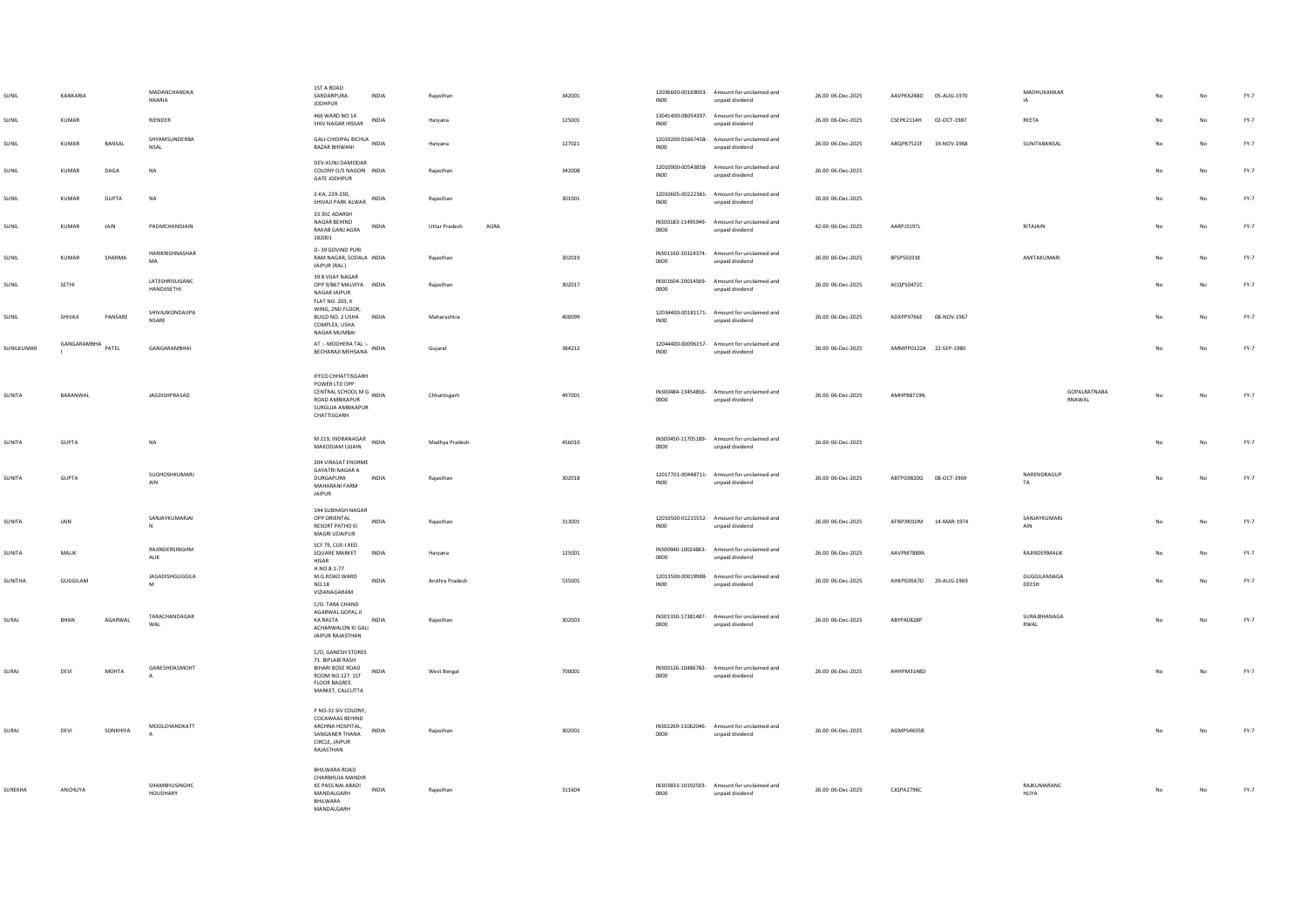| SUNIL         | KANKARIA          |              | MADANCHANDKA<br>NKARIA           | 1ST A ROAD<br>SARDARPURA<br><b>IODHPUR</b>                                                                                                            | <b>INDIA</b> | Raiasthan                    | 342001 | IN00                       | 12036600-00169003- Amount for unclaimed and<br>unpaid dividend | 26.00 06-Dec-2025 | AAVPK6248D 05-AUG-1970    | MADHUKANKAR<br>IA             |                | No          | $FY-7$ |
|---------------|-------------------|--------------|----------------------------------|-------------------------------------------------------------------------------------------------------------------------------------------------------|--------------|------------------------------|--------|----------------------------|----------------------------------------------------------------|-------------------|---------------------------|-------------------------------|----------------|-------------|--------|
| SUNIL         | KUMAR             |              | RJENDER                          | 466 WARD NO 14<br>SHIV NAGAR HISSAR                                                                                                                   | INDIA        | Haryana                      | 125001 | INO <sub>0</sub>           | 13041400-08054397- Amount for unclaimed and<br>unpaid dividend | 26.00 06-Dec-2025 | CSEPK2114H<br>02-OCT-1987 | REETA                         | No             | No          | $FY-7$ |
| SUNIL         | <b>KUMAR</b>      | BANSAL       | SHYAMSUNDERBA<br><b>NSAL</b>     | GALI-CHIDIPAL BICHLA INDIA<br><b>BAZAR BHIWANI</b>                                                                                                    |              | Haryana                      | 127021 | INO <sub>0</sub>           | 12033200-01667458- Amount for unclaimed and<br>unpaid dividend | 26.00 06-Dec-2025 | ABQPB7522F<br>19-NOV-1968 | SUNITABANSAL                  | N <sub>0</sub> | No          | $FY-7$ |
| SUNIL         | KUMAR             | DAGA         | NA                               | DEV-KUNJ DAMODAR<br>COLONY O/S NAGORI INDIA<br><b>GATE JODHPUR</b>                                                                                    |              | Rajasthan                    | 342008 | INO <sub>0</sub>           | 12010900-00543858- Amount for unclaimed and<br>unpaid dividend | 26.00 06-Dec-2025 |                           |                               |                | $_{\sf No}$ | $FY-7$ |
| SUNIL         | <b>KUMAR</b>      | <b>GUPTA</b> | <b>NA</b>                        | 2-KA, 229-230,<br>SHIVAJI PARK ALWAR                                                                                                                  | <b>INDIA</b> | Raiasthan                    | 301001 | IN00                       | 12010605-00222381- Amount for unclaimed and<br>unpaid dividend | 26.00 06-Dec-2025 |                           |                               | No             | No          | FY-7   |
| SUNIL         | KUMAR             | <b>JAIN</b>  | PADMCHANDIAIN                    | 33 35C ADARSH<br>NAGAR BEHIND<br>RAKAB GANJ AGRA<br>282001                                                                                            | <b>INDIA</b> | AGRA<br><b>Uttar Pradesh</b> |        | IN300183-11495949-<br>0000 | Amount for unclaimed and<br>unpaid dividend                    | 42.00 06-Dec-2025 | AARP131971                | RITAIAIN                      | No             | No          | FY-7   |
| SUNIL         | KUMAR             | SHARMA       | HARIKRISHNASHAR<br>MA            | D-39 GOVIND PURI<br>RAM NAGAR, SODALA INDIA<br>JAIPUR (RAJ.)                                                                                          |              | Rajasthan                    | 302019 | IN301160-30324374-<br>0000 | Amount for unclaimed and<br>unpaid dividend                    | 26.00 06-Dec-2025 | BFSPS5031K                | AMITAKUMARI                   | N <sub>0</sub> | No          | $FY-7$ |
| SUNIL         | SETHI             |              | LATESHRISUGANC<br>HANDIISETHI    | 39 B VIIAY NAGAR<br>OPP 9/867 MALVIYA INDIA<br>NAGAR JAIPUR<br>FLAT NO. 203, K                                                                        |              | Rajasthan                    | 302017 | IN301604-20014569-<br>0000 | Amount for unclaimed and<br>unpaid dividend                    | 26.00 06-Dec-2025 | ACQPS0472C                |                               | No             | No          | $FY-7$ |
| SUNIL         | SHIVAII           | PANSARE      | SHIVAJIKONDAJIPA<br><b>NSARE</b> | WING, 2ND FLOOR.<br>BUILD NO. 2 USHA INDIA<br>COMPLEX, USHA<br>NAGAR MUMBAI                                                                           |              | Maharashtra                  | 400099 | INO <sub>0</sub>           | 12034400-00181171- Amount for unclaimed and<br>unpaid dividend | 26.00 06-Dec-2025 | ADXPP9766E 08-NOV-1967    |                               | No             | No          | FY-7   |
| SUNILKUMAR    | GANGARAMBHA PATEL |              | GANGARAMRHAI                     | AT :- MODHERA TAL :- INDIA<br>BECHARAJI MEHSANA                                                                                                       |              | Gujarat                      | 384212 | INO <sub>0</sub>           | 12044400-00096157- Amount for unclaimed and<br>unpaid dividend | 26.00 06-Dec-2025 | AMMPP0122A 22-SEP-1980    |                               | N <sub>0</sub> | No          | $FY-7$ |
| SUNITA        | BARANWAL          |              | JAGDISHPRASAD                    | <b>IFFCO CHHATTISGARH</b><br>POWER LTD OPP<br>CENTRAL SCHOOL M G<br>CENTRAL SCHOOL M G<br>INDIA<br>ROAD AMBIKAPUR<br>SURGUJA AMBIKAPUR<br>CHATTISGARH |              | Chhattisgarh                 | 497001 | 0000                       | IN300484-13454856- Amount for unclaimed and<br>unpaid dividend | 26.00 06-Dec-2025 | <b>AMHPB8719N</b>         | <b>GOPAIRATNARA</b><br>RNAWAL |                | No          | $FY-7$ |
| <b>SUNITA</b> | <b>GUPTA</b>      |              | <b>NA</b>                        | M 219, INDRANAGAR<br>MAKODIAM UJJAIN                                                                                                                  | <b>INDIA</b> | Madhya Pradesh               | 456010 | IN300450-11705189-<br>0000 | Amount for unclaimed and<br>unpaid dividend                    | 26.00 06-Dec-2025 |                           |                               | No             | No.         | FY-7   |
| SUNITA        | GUPTA             |              | SUGHOSHKUMARJ<br>$\mathsf{AIN}$  | 204 VIRASAT ENORME<br><b>GAYATRI NAGAR A</b><br>DURGAPURA<br>MAHARANI FARM<br><b>JAIPUR</b>                                                           | INDIA        | Rajasthan                    | 302018 | INO <sub>0</sub>           | 12017701-00448711- Amount for unclaimed and<br>unpaid dividend | 26.00 06-Dec-2025 | ABTPG9820G 08-OCT-1969    | NARENDRAGUE<br>TA             | No             | No          | $FY-7$ |
| SUNITA        | JAIN              |              | SANJAYKUMARJAI<br>$\mathbb{N}$   | 144 SUBHASH NAGAR<br>OPP ORIENTAL<br>RESORT PATHO KI<br>MAGRI UDAIPUR                                                                                 | INDIA        | Rajasthan                    | 313001 | INO <sub>0</sub>           | 12033500-01215552- Amount for unclaimed and<br>unpaid dividend | 26.00 06-Dec-2025 | AFNPJ9010M<br>14-MAR-1974 | SANJAYKUMARJ<br>AIN           | No             | No          | $FY-7$ |
| SUNITA        | MALIK             |              | RAJINDERSINGHM<br>ALIK           | SCE 79 CUE-LRED<br>SQUARE MARKET<br>HISAR                                                                                                             | INDIA        | Haryana                      | 125001 | IN300940-10024863-<br>0000 | Amount for unclaimed and<br>hosbivib bisonu                    | 26.00 06-Dec-2025 | AAVPM7889A                | RAJINDERMALIK                 | No             | No          | FY-7   |
| SUNITHA       | GUGGILAM          |              | JAGADISHGUGGILA<br>M             | H.NO.8-1-77<br>M.G.ROAD WARD<br><b>NO.18</b><br>VIZIANAGARAM                                                                                          | INDIA        | Andhra Pradesh               | 535001 | INO <sub>0</sub>           | 12013500-00019988- Amount for unclaimed and<br>unpaid dividend | 26.00 06-Dec-2025 | AHKPG9567D 29-AUG-1969    | GUGGILAMJAGA<br>DEESH         |                | No          | $FY-7$ |
| SURAJ         | BHAN              | AGARWAL      | TARACHANDAGAR<br>WAL             | C/O. TARA CHAND<br>AGARWAL GOPAL JI<br><b>KA RASTA</b><br>ACHARWALON KLGALL<br>JAIPUR RAJASTHAN                                                       | INDIA        | Raiasthan                    | 302003 | IN301330-17381487-<br>0000 | Amount for unclaimed and<br>unpaid dividend                    | 26.00 06-Dec-2025 | ABYPA0828P                | SURAJBHANAGA<br>RWAL          |                | No          | $FY-7$ |
| SURAJ         | DEVI              | MOHTA        | GANESHDASMOHT                    | C/O, GANESH STORES<br>71. BIPLABI RASH<br>BIHARI BOSE ROAD<br>ROOM NO.127.1ST<br>FLOOR BAGREE.<br>MARKET, CALCUTTA                                    | INDIA        | West Bengal                  | 700001 | 0000                       | IN300126-10486782- Amount for unclaimed and<br>unpaid dividend | 26.00 06-Dec-2025 | AHHPM3148D                |                               | No             | No          | $FY-7$ |
| SURAJ         | DEVI              | SONKHIYA     | MOOLCHANDKATT                    | P NO-31 SIV COLONY.<br>COCAWAAS BEHIND<br>ARCHNA HOSPITAL,<br>SANGANER THANA<br>CIRCLE, JAIPUR<br>RAJASTHAN                                           | <b>INDIA</b> | Raiasthan                    | 302001 | IN302269-11062046-<br>0000 | Amount for unclaimed and<br>unpaid dividend                    | 26.00 06-Dec-2025 | AGMPS4635B                |                               | No             | No          | $FY-7$ |
| SUREKHA       | ANCHLIYA          |              | SHAMBHUSINGHC<br>HOUDHARY        | <b>RHII WARA ROAD</b><br>CHARBHUJA MANDIR<br>KE PASS NAI ABADI<br>MANDALGARH<br>BHILWARA<br><b>MANDALGARH</b>                                         | <b>INDIA</b> | Rajasthan                    | 311604 | 0000                       | IN303833-10192503- Amount for unclaimed and<br>unpaid dividend | 26.00 06-Dec-2025 | <b>CJOPA2796C</b>         | RAJKUMARANC<br>HLIYA          | No             | No          | $FY-7$ |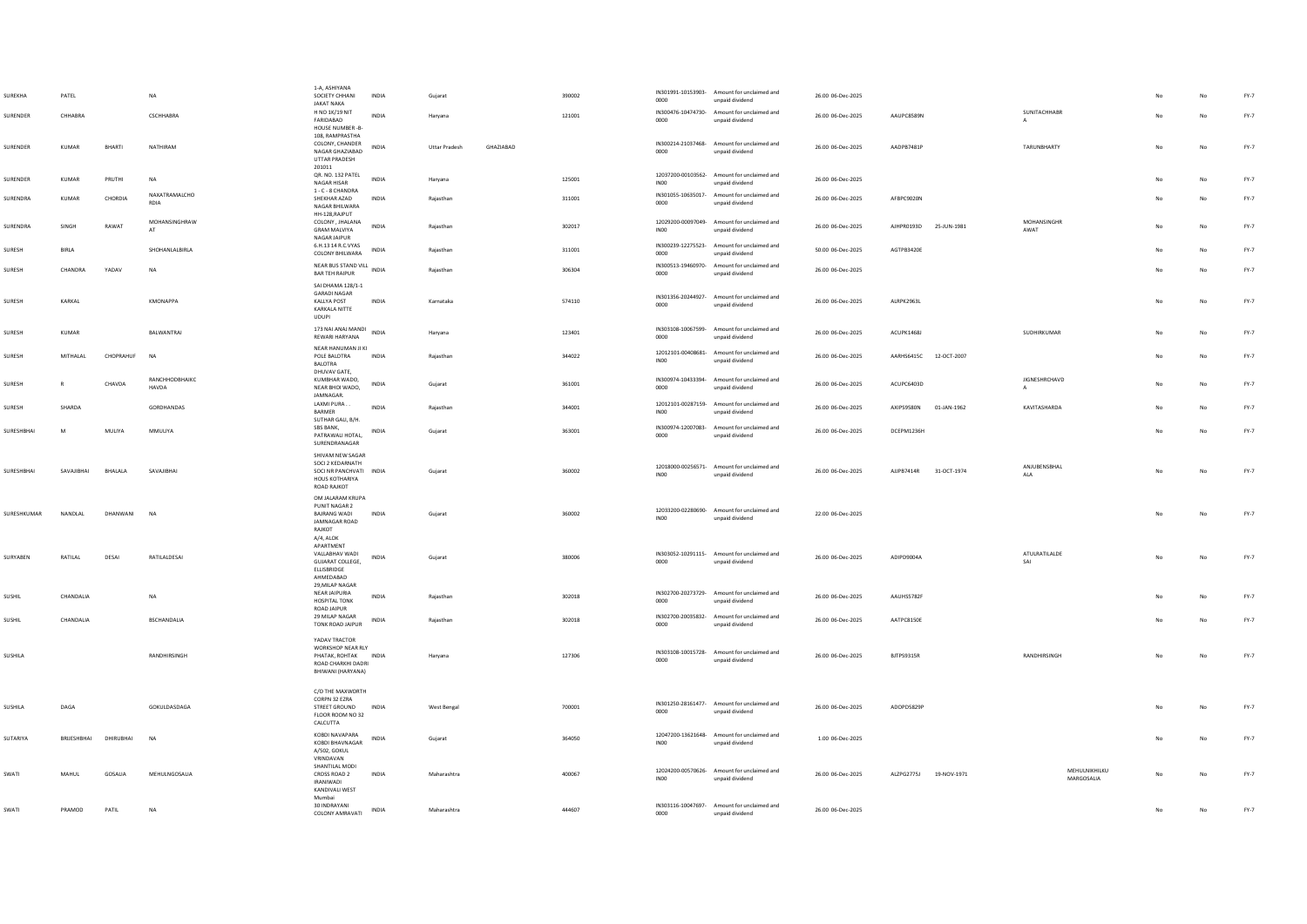| SUREKHA     | PATEL       |               | <b>NA</b>               | 1-A. ASHIYANA<br>SOCIETY CHHANI<br>JAKAT NAKA                                                         | <b>INDIA</b> | Gujarat              |           | 390002 | 0000             | IN301991-10153903- Amount for unclaimed and<br>unpaid dividend | 26.00 06-Dec-2025 |                        |             |                             |    |             | $FY-7$ |
|-------------|-------------|---------------|-------------------------|-------------------------------------------------------------------------------------------------------|--------------|----------------------|-----------|--------|------------------|----------------------------------------------------------------|-------------------|------------------------|-------------|-----------------------------|----|-------------|--------|
| SURENDER    | CHHABRA     |               | CSCHHABRA               | H NO 1K/19 NIT<br>FARIDABAD                                                                           | <b>INDIA</b> | Harvana              |           | 121001 | 0000             | IN300476-10474730- Amount for unclaimed and<br>unpaid dividend | 26.00 06-Dec-2025 | AAUPC8589N             |             | SUNITACHHABR                | No | No          | $FY-7$ |
|             |             |               |                         | HOUSE NUMBER -B-<br>108, RAMPRASTHA                                                                   |              |                      |           |        |                  |                                                                |                   |                        |             |                             |    |             |        |
| SURENDER    | KUMAR       | <b>BHARTI</b> | NATHIRAM                | COLONY, CHANDER<br>NAGAR GHAZIABAD<br>UTTAR PRADESH                                                   | INDIA        | <b>Uttar Pradesh</b> | GHAZIABAD |        | 0000             | IN300214-21037468- Amount for unclaimed and<br>unpaid dividend | 26.00 06-Dec-2025 | AADPB7481P             |             | TARUNBHARTY                 | No | No          | FY-7   |
| SURENDER    | KUMAR       | PRUTHI        | <b>NA</b>               | 201011<br>QR. NO. 132 PATEL<br>NAGAR HISAR                                                            | INDIA        | Haryana              |           | 125001 | IN <sub>00</sub> | 12037200-00103562- Amount for unclaimed and<br>unpaid dividend | 26.00 06-Dec-2025 |                        |             |                             |    | No          | $FY-7$ |
| SURENDRA    | KUMAR       | CHORDIA       | NAXATRAMALCHO<br>RDIA   | $1$ - $\mathsf{C}$ - $8$ CHANDRA<br>SHEKHAR AZAD<br>NAGAR BHILWARA                                    | INDIA        | Rajasthan            |           | 311001 | 0000             | IN301055-10635017- Amount for unclaimed and<br>unpaid dividend | 26.00 06-Dec-2025 | AFBPC9020N             |             |                             | No | No          | $FY-7$ |
| SURENDRA    | SINGH       | RAWAT         | MOHANSINGHRAW<br>AT     | HH-128, RAJPUT<br>COLONY, JHALANA<br><b>GRAM MALVIYA</b>                                              | <b>INDIA</b> | Raiasthan            |           | 302017 | INO <sub>0</sub> | 12029200-00097049- Amount for unclaimed and<br>unpaid dividend | 26.00 06-Dec-2025 | AJHPR0193D 25-JUN-1981 |             | MOHANSINGHR<br>AWAT         | No | No          | $FY-7$ |
| SURESH      | BIRLA       |               | SHOHANLALBIRLA          | NAGAR JAIPUR<br>6.H.13 14 R.C.VYAS                                                                    | INDIA        | Rajasthan            |           | 311001 | 0000             | IN300239-12275523- Amount for unclaimed and<br>unpaid dividend | 50.00 06-Dec-2025 | AGTPB3420E             |             |                             |    | No          | FY-7   |
| SURESH      | CHANDRA     | YADAV         | <b>NA</b>               | <b>COLONY BHILWARA</b><br>NEAR BUS STAND VILL INDIA<br><b>BAR TEH RAIPUR</b>                          |              | Rajasthan            |           | 306304 | 0000             | IN300513-19460970- Amount for unclaimed and<br>unpaid dividend | 26.00 06-Dec-2025 |                        |             |                             | No | $_{\sf No}$ | FY-7   |
|             |             |               |                         | SAI DHAMA 128/1-1<br><b>GARADI NAGAR</b>                                                              |              |                      |           |        |                  |                                                                |                   |                        |             |                             |    |             |        |
| SURESH      | KARKAL      |               | <b>KMONAPPA</b>         | KALLYA POST<br>KARKALA NITTE<br><b>UDUPI</b>                                                          | INDIA        | Karnataka            |           | 574110 | 0000             | IN301356-20244927- Amount for unclaimed and<br>unpaid dividend | 26.00 06-Dec-2025 | ALRPK2963L             |             |                             | No | No          | FY-7   |
| SURESH      | KUMAR       |               | BALWANTRAI              | 173 NAI ANAJ MANDI<br>REWARI HARYANA                                                                  | INDIA        | Haryana              |           | 123401 | 0000             | IN303108-10067599- Amount for unclaimed and<br>unpaid dividend | 26.00 06-Dec-2025 | ACUPK1468J             |             | SUDHIRKUMAR                 | No | No          | $FY-7$ |
| SURESH      | MITHALAL    | CHOPRAHUF     | <b>NA</b>               | NEAR HANUMAN JI KI<br>POLE BALOTRA<br><b>BALOTRA</b>                                                  | INDIA        | Raiasthan            |           | 344022 | INO <sub>0</sub> | 12012101-00408681- Amount for unclaimed and<br>unpaid dividend | 26.00 06-Dec-2025 | AARHS6415C 12-OCT-2007 |             |                             | No | No          | $FY-7$ |
| SURESH      | R           | CHAVDA        | RANCHHODBHAIKC<br>HAVDA | DHUVAV GATE,<br>KUMBHAR WADO,<br>NEAR BHOI WADO,<br>JAMNAGAR.                                         | <b>INDIA</b> | Guiarat              |           | 361001 | 0000             | IN300974-10433394- Amount for unclaimed and<br>unpaid dividend | 26.00 06-Dec-2025 | ACUPC6403D             |             | JIGNESHRCHAVD               | No | <b>No</b>   | $FY-7$ |
| SURESH      | SHARDA      |               | GORDHANDAS              | LAXMI PURA.<br>BARMER<br>SUTHAR GALI, B/H.                                                            | INDIA        | Rajasthan            |           | 344001 | INO <sub>0</sub> | 12012101-00287159- Amount for unclaimed and<br>unpaid dividend | 26.00 06-Dec-2025 | AXIPS9580N             | 01-JAN-1962 | KAVITASHARDA                | No | No          | FY-7   |
| SURESHBHAI  | M           | MULIYA        | MMULIYA                 | SBS BANK,<br>PATRAWALI HOTAL,<br>SURENDRANAGAR                                                        | INDIA        | Gujarat              |           | 363001 | 0000             | IN300974-12007083- Amount for unclaimed and<br>unpaid dividend | 26.00 06-Dec-2025 | DCEPM1236H             |             |                             | No | No          | $FY-7$ |
| SURESHBHAI  | SAVAJIBHAI  | BHALALA       | SAVAJIBHAI              | SHIVAM NEW SAGAR<br>SOCI 2 KEDARNATH<br>SOCI NR PANCHVATI INDIA<br>HOUS KOTHARIYA<br>ROAD RAJKOT      |              | Gujarat              |           | 360002 | INO <sub>0</sub> | 12018000-00256571- Amount for unclaimed and<br>unpaid dividend | 26.00 06-Dec-2025 | AJJPB7414R 31-OCT-1974 |             | ANJUBENSBHAL<br><b>ALA</b>  | No | No          | $FY-7$ |
| SURESHKUMAR | NANDLAL     | DHANWANI      | <b>NA</b>               | OM JALARAM KRUPA<br>PUNIT NAGAR 2<br><b>BAIRANG WADI</b><br>JAMNAGAR ROAD<br>RAJKOT<br>A/4, ALOK      | INDIA        | Gujarat              |           | 360002 | INO0             | 12033200-02280690- Amount for unclaimed and<br>unpaid dividend | 22.00 06-Dec-2025 |                        |             |                             | No | No          | $FY-7$ |
| SURYABEN    | RATILAL     | DESAI         | RATILALDESAI            | APARTMENT<br>VALLABHAV WADI<br>GUJARAT COLLEGE,<br>ELLISBRIDGE<br>AHMEDABAD                           | INDIA        | Gujarat              |           | 380006 | 0000             | IN303052-10291115- Amount for unclaimed and<br>unpaid dividend | 26.00 06-Dec-2025 | ADIPD9004A             |             | ATULRATILALDE<br>SAI        |    | No          | $FY-7$ |
| SUSHIL      | CHANDALIA   |               | <b>NA</b>               | 29. MILAP NAGAR<br>NEAR JAIPURIA<br><b>HOSPITAL TONK</b><br>ROAD JAIPUR                               | INDIA        | Rajasthan            |           | 302018 | 0000             | IN302700-20273729- Amount for unclaimed and<br>unpaid dividend | 26.00 06-Dec-2025 | AAUHS5782F             |             |                             |    | No          | FY-7   |
| SUSHIL      | CHANDALIA   |               | <b>BSCHANDALIA</b>      | 29 MILAP NAGAR<br>TONK ROAD JAIPUR                                                                    | <b>INDIA</b> | Raiasthan            |           | 302018 | 0000             | IN302700-20035832- Amount for unclaimed and<br>unpaid dividend | 26.00 06-Dec-2025 | AATPC8150E             |             |                             | No | No          | FY-7   |
| SUSHILA     |             |               | RANDHIRSINGH            | YADAV TRACTOR<br>WORKSHOP NEAR RLY<br>PHATAK, ROHTAK INDIA<br>ROAD CHARKHI DADRI<br>BHIWANI (HARYANA) |              | Haryana              |           | 127306 | 0000             | IN303108-10015728- Amount for unclaimed and<br>unpaid dividend | 26.00 06-Dec-2025 | BJTPS9315R             |             | RANDHIRSINGH                | No | No          | FY-7   |
| SUSHILA     | DAGA        |               | GOKULDASDAGA            | C/O THE MAXWORTH<br>CORPN 32 EZRA<br>STREET GROUND                                                    | INDIA        | West Bengal          |           | 700001 | 0000             | IN301250-28161477- Amount for unclaimed and<br>unpaid dividend | 26.00 06-Dec-2025 | ADOPD5829P             |             |                             | No | No          | $FY-7$ |
|             |             |               |                         | FLOOR ROOM NO 32<br>CALCUTTA                                                                          |              |                      |           |        |                  |                                                                |                   |                        |             |                             |    |             |        |
| SUTARIYA    | BRIJESHBHAI | DHIRUBHAI     | <b>NA</b>               | KOBDI NAVAPARA<br>KOBDI BHAVNAGAR<br>A/502, GOKUL<br>VRINDAVAN                                        | INDIA        | Gujarat              |           | 364050 | IN00             | 12047200-13621648- Amount for unclaimed and<br>unpaid dividend | 1.00 06-Dec-2025  |                        |             |                             | No | No          | FY-7   |
| SWATI       | MAHUL       | GOSALIA       | MEHULNGOSALIA           | SHANTILAL MODI<br>CROSS ROAD 2<br><b>IRANIWADI</b><br>KANDIVALI WEST                                  | <b>INDIA</b> | Maharashtra          |           | 400067 | INO0             | 12024200-00570626- Amount for unclaimed and<br>unpaid dividend | 26.00 06-Dec-2025 | ALZPG2775J             | 19-NOV-1971 | MEHULNIKHILKU<br>MARGOSALIA |    | No          | FY-7   |
| SWATI       | PRAMOD      | PATIL         | <b>NA</b>               | Mumbai<br>30 INDRAYANI<br>COLONY AMRAVATI                                                             | <b>INDIA</b> | Maharashtra          |           | 444607 | 0000             | IN303116-10047697- Amount for unclaimed and<br>unpaid dividend | 26.00 06-Dec-2025 |                        |             |                             | No | No          | $FY-7$ |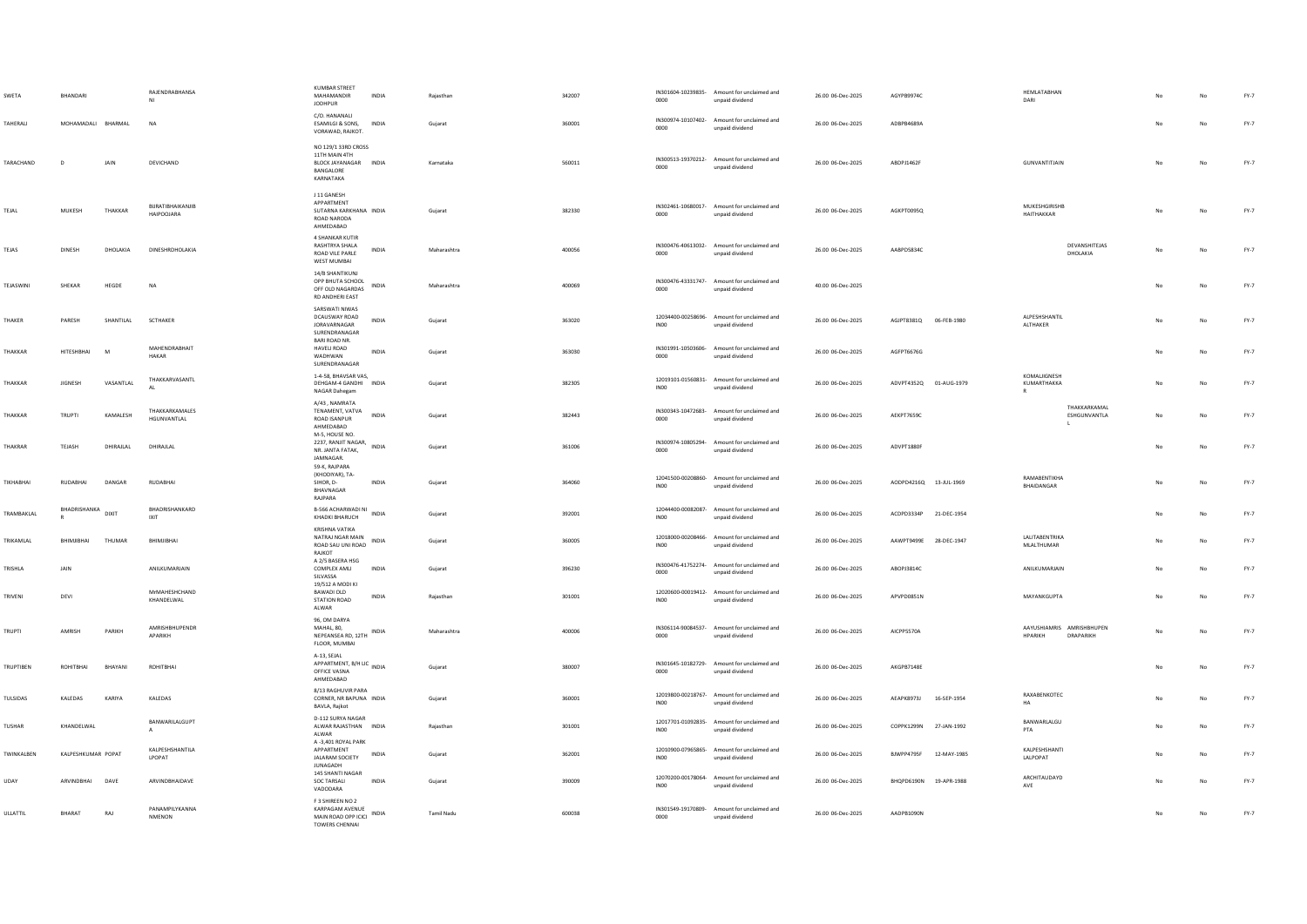| SWETA           | <b>RHANDARI</b>    |           | RAJENDRABHANSA<br>NI                  | KUMBAR STREET<br>MAHAMANDIR<br><b>JODHPUR</b>                                           | <b>INDIA</b> | Raiasthan   | 342007 | 0000             | IN301604-10239835- Amount for unclaimed and<br>unpaid dividend | 26.00 06-Dec-2025 | AGYPR9974C             |             | HEMLATABHAN<br>DARI                         |                              |    |             | $FY-7$ |
|-----------------|--------------------|-----------|---------------------------------------|-----------------------------------------------------------------------------------------|--------------|-------------|--------|------------------|----------------------------------------------------------------|-------------------|------------------------|-------------|---------------------------------------------|------------------------------|----|-------------|--------|
| <b>TAHFRALL</b> | MOHAMADAII RHARMAI |           | <b>NA</b>                             | C/O. HANANALI<br><b>ESAMILGI &amp; SONS.</b><br>VORAWAD, RAJKOT.                        | <b>INDIA</b> | Guiarat     | 360001 | 0000             | IN300974-10107402- Amount for unclaimed and<br>unpaid dividend | 26.00.06-Dec-2025 | ADRPR4689A             |             |                                             |                              |    | No          | FY-7   |
| TARACHAND       | D                  | JAIN      | DEVICHAND                             | NO 129/1 33RD CROSS<br>11TH MAIN 4TH<br>BLOCK JAYANAGAR INDIA<br>BANGALORE<br>KARNATAKA |              | Karnataka   | 560011 | 0000             | IN300513-19370212- Amount for unclaimed and<br>unpaid dividend | 26.00 06-Dec-2025 | ABDPJ1462F             |             | GUNVANTITJAIN                               |                              |    | No          | $FY-7$ |
| TEJAL           | MUKESH             | THAKKAR   | BURATIBHAIKANJIB<br><b>HAIPOOJARA</b> | J 11 GANESH<br>APPARTMENT<br>SUTARNA KARKHANA INDIA<br>ROAD NARODA<br>AHMEDABAD         |              | Gujarat     | 382330 | 0000             | IN302461-10680017- Amount for unclaimed and<br>unpaid dividend | 26.00 06-Dec-2025 | AGKPT0095Q             |             | MUKESHGIRISHB<br>HAITHAKKAR                 |                              | No | No          | $FY-7$ |
| TEJAS           | <b>DINESH</b>      | DHOLAKIA  | DINESHRDHOLAKIA                       | 4 SHANKAR KUTIR<br>RASHTRYA SHALA<br>ROAD VILE PARLE<br>WEST MUMBAI                     | <b>INDIA</b> | Maharashtra | 400056 | 0000             | IN300476-40613032- Amount for unclaimed and<br>unpaid dividend | 26.00 06-Dec-2025 | AABPD5834C             |             |                                             | DEVANSHITEJAS<br>DHOLAKIA    | No | No          | $FY-7$ |
| TEJASWINI       | SHEKAR             | HEGDE     | <b>NA</b>                             | 14/B SHANTIKUNJ<br>OPP BHUTA SCHOOL<br>OFF OLD NAGARDAS<br>RD ANDHERI EAST              | INDIA        | Maharashtra | 400069 | coon             | IN300476-43331747- Amount for unclaimed and<br>unpaid dividend | 40.00 06-Dec-2025 |                        |             |                                             |                              | No | No          | $FY-7$ |
| THAKER          | PARESH             | SHANTILAL | SCTHAKER                              | SARSWATI NIWAS<br>DCAUSWAY ROAD<br><b>IORAVARNAGAR</b><br>SURENDRANAGAR                 | INDIA        | Gujarat     | 363020 | INO <sub>0</sub> | 12034400-00258696- Amount for unclaimed and<br>unpaid dividend | 26.00 06-Dec-2025 |                        |             | ALPESHSHANTIL<br>ALTHAKER                   |                              |    | No          | $FY-7$ |
| THAKKAR         | <b>HITESHRHAI</b>  | M         | MAHENDRABHAIT<br>HAKAR                | BARI ROAD NR.<br>HAVELI ROAD<br>WADHWAN<br>SURENDRANAGAR                                | <b>INDIA</b> | Guiarat     | 363030 | 0000             | IN301991-10503606- Amount for unclaimed and<br>unpaid dividend | 26.00 06-Dec-2025 | AGFPT6676G             |             |                                             |                              |    | No          | FY-7   |
| THAKKAR         | JIGNESH            | VASANTLAL | THAKKARVASANTL<br>AI                  | 1-4-58, BHAVSAR VAS,<br>DEHGAM-4 GANDHI INDIA<br>NAGAR Dahegam                          |              | Gujarat     | 382305 | INO <sub>0</sub> | 12019101-01560831- Amount for unclaimed and<br>unpaid dividend | 26.00 06-Dec-2025 | ADVPT4352Q 01-AUG-1979 |             | KOMALIGNESH<br>KUMARTHAKKA                  |                              |    | No          | $FY-7$ |
| THAKKAR         | TRUPTI             | KAMALESH  | THAKKARKAMALES<br>HGUNVANTLAL         | A/43, NAMRATA<br>TENAMENT, VATVA<br><b>ROAD ISANPUR</b><br>AHMEDABAD                    | INDIA        | Gujarat     | 382443 | 0000             | IN300343-10472683- Amount for unclaimed and<br>unpaid dividend | 26.00 06-Dec-2025 | <b>AEKPT7659C</b>      |             | <b>L</b>                                    | THAKKARKAMAI<br>ESHGUNVANTLA | No | No          | $FY-7$ |
| THAKRAR         | TEJASH             | DHIRAJLAL | DHIRAJLAL                             | M-5, HOUSE NO.<br>2237, RANJIT NAGAR, INDIA<br>NR. JANTA FATAK,<br>JAMNAGAR.            |              | Guiarat     | 361006 | 0000             | IN300974-10805294- Amount for unclaimed and<br>unpaid dividend | 26.00 06-Dec-2025 | ADVPT1880F             |             |                                             |                              | No | No          | $FY-7$ |
| TIKHABHAI       | RUDABHAI           | DANGAR    | <b>RUDABHAI</b>                       | 59-K. RAJPARA<br>(KHODIYAR), TA-<br>SIHOR, D-<br>BHAVNAGAR<br>RAJPARA                   | INDIA        | Gujarat     | 364060 | INO <sub>0</sub> | 12041500-00208860- Amount for unclaimed and<br>unpaid dividend | 26.00 06-Dec-2025 | AODPD4216Q 13-JUL-1969 |             | RAMABENTIKHA<br>BHAIDANGAR                  |                              |    | No          | $FY-7$ |
| TRAMBAKLAL      | BHADRISHANKA DIXIT |           | BHADRISHANKARD<br>IXIT                | B-566 ACHARWADI NI<br>INDIA<br>KHADKI BHARUCH                                           |              | Gujarat     | 392001 | INO0             | 12044400-00082087- Amount for unclaimed and<br>unpaid dividend | 26.00 06-Dec-2025 | ACDPD3334P 21-DEC-1954 |             |                                             |                              |    | No          | $FY-7$ |
| TRIKAMI AI      | RHIMIIRHAI         | THUMAR    | RHIMIIRHAI                            | KRISHNA VATIKA<br>NATRAJ NGAR MAIN<br>ROAD SAU UNI ROAD<br>RAJKOT                       | <b>INDIA</b> | Guiarat     | 360005 | INO0             | 12018000-00208466- Amount for unclaimed and<br>unpaid dividend | 26.00 06-Dec-2025 | AAWPT9499F 28-DFC-1947 |             | LALITABENTRIKA<br>MLALTHUMAR                |                              |    | No          | FY-7   |
| TRISHLA         | <b>JAIN</b>        |           | <b>ANII KUMARIAIN</b>                 | A 2/5 BASERA HSG<br><b>COMPLEX AMLI</b><br>SILVASSA                                     | <b>INDIA</b> | Gujarat     | 396230 | 0000             | IN300476-41752274- Amount for unclaimed and<br>unpaid dividend | 26.00 06-Dec-2025 | AROP13814C             |             | <b>ANII KUMARIAIN</b>                       |                              |    | No          | FY-7   |
| TRIVENI         | DEVI               |           | MrMAHESHCHAND<br>KHANDELWAL           | 19/512 A MODI KI<br>BAWADI OLD<br>STATION ROAD<br>ALWAR                                 | INDIA        | Rajasthan   | 301001 | INO <sub>0</sub> | 12020600-00019412- Amount for unclaimed and<br>unpaid dividend | 26.00 06-Dec-2025 | APVPD0851N             |             | MAYANKGUPTA                                 |                              | No | No          | FY-7   |
| TRUPTI          | AMRISH             | PARIKH    | AMRISHBHUPENDR<br>APARIKH             | 96. OM DARYA<br>MAHAL, 80.<br>NEPEANSEA RD, 12TH INDIA<br>FLOOR, MUMBAI                 |              | Maharashtra | 400006 | 0000             | IN306114-90084537- Amount for unclaimed and<br>unpaid dividend | 26.00 06-Dec-2025 | AICPP5570A             |             | AAYUSHIAMRIS AMRISHBHUPEN<br><b>HPARIKH</b> | DRAPARIKH                    |    | No          | $FY-7$ |
| TRUPTIBEN       | ROHITBHAI          | BHAYANI   | ROHITBHA                              | A-13, SEJAL<br>APPARTMENT, B/H LIC<br>APPARTMENT, B/H LIC<br>OFFICE VASNA<br>AHMEDABAD  |              | Guiarat     | 380007 | 0000             | IN301645-10182729- Amount for unclaimed and<br>unpaid dividend | 26.00 06-Dec-2025 | AKGPB7148E             |             |                                             |                              | No | No          | $FY-7$ |
| TULSIDAS        | KALEDAS            | KARIYA    | KALEDAS                               | 8/13 RAGHUVIR PARA<br>CORNER, NR BAPUNA INDIA<br>BAVLA, Rajkot                          |              | Gujarat     | 360001 | INO <sub>0</sub> | 12019800-00218767- Amount for unclaimed and<br>unpaid dividend | 26.00 06-Dec-2025 | AEAPK8973J             | 16-SEP-1954 | RAXABENKOTEC<br>HA                          |                              |    | No          | $FY-7$ |
| TUSHAR          | KHANDELWAL         |           | BANWARILALGUPT<br>$\mathsf{A}$        | D-112 SURYA NAGAR<br>ALWAR RAJASTHAN INDIA<br>ALWAR                                     |              | Rajasthan   | 301001 | INO <sub>0</sub> | 12017701-01092835- Amount for unclaimed and<br>unpaid dividend | 26.00 06-Dec-2025 | COPPK1299N 27-JAN-1992 |             | BANWARLALGU<br>PTA                          |                              |    | No          | $FY-7$ |
| TWINKALBEN      | KALPESHKUMAR POPAT |           | KALPESHSHANTILA<br>LPOPAT             | A -3.401 ROYAL PARK<br>APPARTMENT<br>JALARAM SOCIETY<br><b>JUNAGADH</b>                 | INDIA        | Gujarat     | 362001 | INO <sub>0</sub> | 12010900-07965865- Amount for unclaimed and<br>unpaid dividend | 26.00 06-Dec-2025 | BJWPP4795F             | 12-MAY-1985 | KAIPFSHSHANTI<br>LALPOPAT                   |                              |    | No          | $FY-7$ |
| UDAY            | ARVINDBHAI         | DAVE      | ARVINDBHAIDAVE                        | 145 SHANTI NAGAR<br>SOC TARSALI<br>VADODARA                                             | INDIA        | Gujarat     | 390009 | IN00             | 12070200-00178064- Amount for unclaimed and<br>unpaid dividend | 26.00 06-Dec-2025 | BHQPD6190N 19-APR-1988 |             | ARCHITAUDAYD<br>AVE                         |                              |    | No          | $FY-7$ |
| ULLATTIL        | BHARAT             | RAJ       | PANAMPILYKANNA<br>NMENON              | F 3 SHIREEN NO 2<br>KARPAGAM AVENUE<br>MAIN ROAD OPP ICICI<br><b>TOWERS CHENNAL</b>     | INDIA        | Tamil Nadu  | 600038 | 0000             | IN301549-19170809- Amount for unclaimed and<br>unpaid dividend | 26.00 06-Dec-2025 | AADPB1090N             |             |                                             |                              |    | $_{\sf No}$ | $FY-7$ |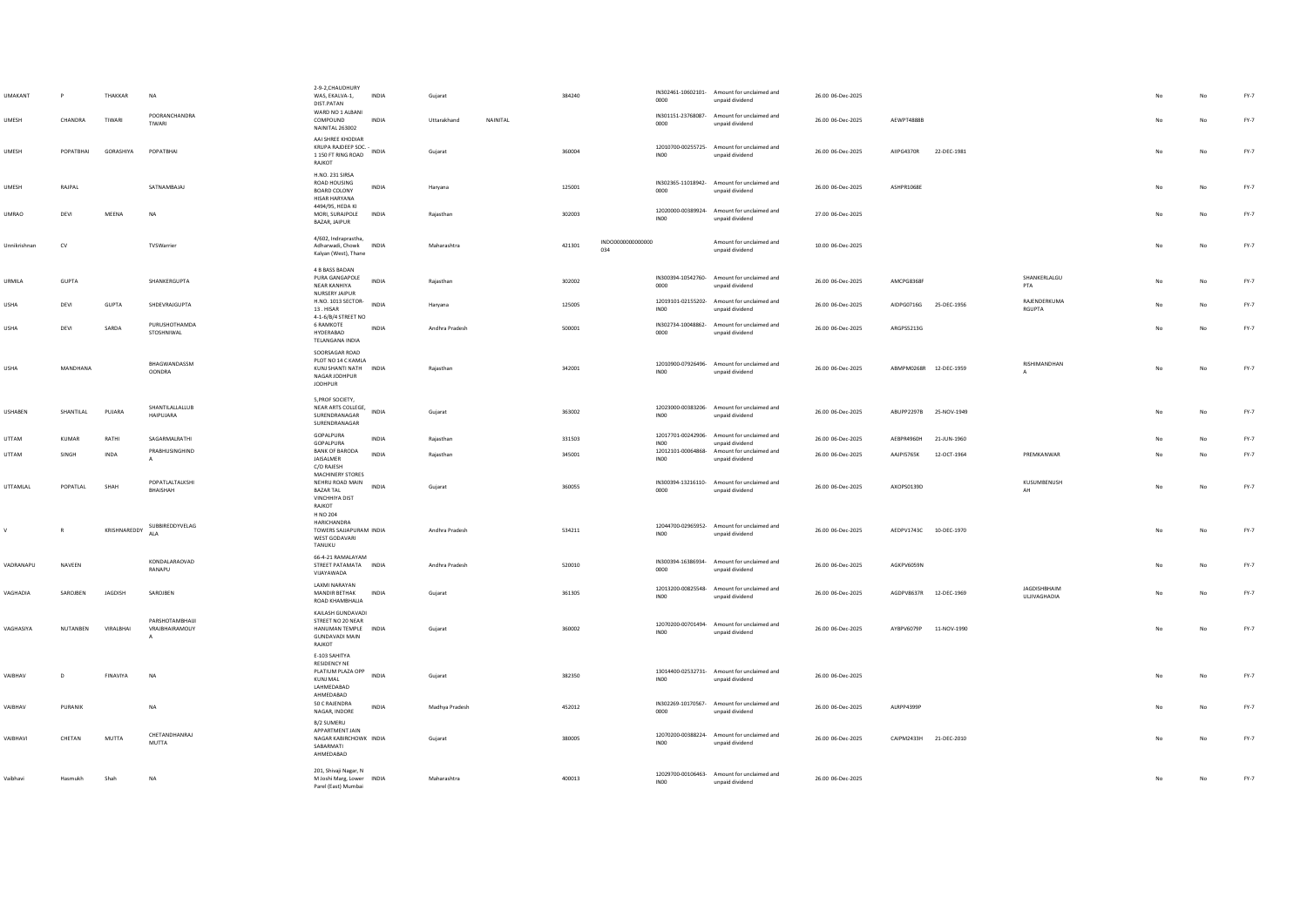| <b>UMAKANT</b>  |              | THAKKAR          | <b>NA</b>                              | 2-9-2.CHAUDHURY<br>WAS, EKALVA-1,<br>DIST.PATAN                                                               | INDIA        | Gujarat        |          | 384240 |                         | 0000             | IN302461-10602101- Amount for unclaimed and<br>unpaid dividend | 26.00 06-Dec-2025 |                        |             |                                     |    |           | FY-7   |
|-----------------|--------------|------------------|----------------------------------------|---------------------------------------------------------------------------------------------------------------|--------------|----------------|----------|--------|-------------------------|------------------|----------------------------------------------------------------|-------------------|------------------------|-------------|-------------------------------------|----|-----------|--------|
| UMESH           | CHANDRA      | TIWARI           | POORANCHANDRA<br>TIWARI                | WARD NO 1 ALBANI<br>COMPOUND<br><b>NAINITAL 263002</b>                                                        | INDIA        | Uttarakhand    | NAINITAL |        |                         | 0000             | IN301151-23768087- Amount for unclaimed and<br>unpaid dividend | 26.00 06-Dec-2025 | AFWPT4888B             |             |                                     |    | No        | FY-7   |
| <b>UMESH</b>    | POPATBHAI    | GORASHIYA        | POPATBHAI                              | AAI SHREE KHODIAR<br>KRUPA RAJDEEP SOC. -<br>KRUPA RAJDEEP SOC. - INDIA<br>1 150 FT RING ROAD<br>RAJKOT       |              | Gujarat        |          | 360004 |                         | <b>IN00</b>      | 12010700-00255725- Amount for unclaimed and<br>unpaid dividend | 26.00 06-Dec-2025 | AIIPG4370R             | 22-DEC-1981 |                                     | No | No        | FY-7   |
| <b>UMESH</b>    | RAJPAL       |                  | SATNAMBAJAJ                            | H.NO. 231 SIRSA<br>ROAD HOUSING<br><b>BOARD COLONY</b><br><b>HISAR HARYANA</b>                                | INDIA        | Haryana        |          | 125001 |                         | 0000             | IN302365-11018942- Amount for unclaimed and<br>unpaid dividend | 26.00 06-Dec-2025 | ASHPR1068E             |             |                                     | No | No        | FY-7   |
| <b>UMRAO</b>    | DEVI         | MEENA            | <b>NA</b>                              | 4494/95, HEDA KI<br>MORI, SURAJPOLE<br>BAZAR, JAIPUR                                                          | <b>INDIA</b> | Rajasthan      |          | 302003 |                         | INO <sub>0</sub> | 12020000-00389924- Amount for unclaimed and<br>unnaid dividend | 27.00 06-Dec-2025 |                        |             |                                     |    | No        | FY-7   |
| Unnikrishnan    | CV           |                  | TVSWarrier                             | 4/602, Indraprastha,<br>Adharwadi, Chowk INDIA<br>Kalyan (West), Thane                                        |              | Maharashtra    |          | 421301 | INDO000000000000<br>034 |                  | Amount for unclaimed and<br>unpaid dividend                    | 10.00 06-Dec-2025 |                        |             |                                     | No | No        | FY-7   |
| URMILA          | <b>GUPTA</b> |                  | SHANKERGUPTA                           | 4 B BASS BADAN<br>PURA GANGAPOLE<br>NEAR KANHIYA<br>NURSERY JAIPUR                                            | INDIA        | Raiasthan      |          | 302002 |                         | 0000             | IN300394-10542760- Amount for unclaimed and<br>unpaid dividend | 26.00 06-Dec-2025 | AMCPG8368F             |             | SHANKERLALGU<br>PTA                 | No | <b>No</b> | FY-7   |
| <b>USHA</b>     | DEVI         | GUPTA            | SHDEVRAJGUPTA                          | H.NO. 1013 SECTOR-<br>13. HISAR<br>4-1-6/B/4 STREET NO                                                        | INDIA        | Harvana        |          | 125005 |                         | <b>IN00</b>      | 12019101-02155202- Amount for unclaimed and<br>unpaid dividend | 26.00 06-Dec-2025 | AIDPG0716G 25-DEC-1956 |             | <b>RAIFNDERKUMA</b><br>RGUPTA       | No | No        | $FY-7$ |
| <b>USHA</b>     | DEVI         | SARDA            | PURUSHOTHAMDA<br>STOSHNIWAL            | <b>6 RAMKOTE</b><br><b>HYDERABAD</b><br><b>TELANGANA INDIA</b>                                                | <b>INDIA</b> | Andhra Pradesh |          | 500001 |                         | 0000             | IN302734-10048862- Amount for unclaimed and<br>unpaid dividend | 26.00 06-Dec-2025 | ARGPS5213G             |             |                                     | No | No        | FY-7   |
| USHA            | MANDHANA     |                  | BHAGWANDASSM<br><b>OONDRA</b>          | SOORSAGAR ROAD<br>PLOT NO 14 C KAMLA<br>KUNJ SHANTI NATH INDIA<br>NAGAR JODHPUR<br>JODHPUR                    |              | Rajasthan      |          | 342001 |                         | <b>IN00</b>      | 12010900-07926496- Amount for unclaimed and<br>unpaid dividend | 26.00 06-Dec-2025 | ABMPM0268R 12-DEC-1959 |             | RISHIMANDHAN<br>$\mathbf{A}$        | No | No        | $FY-7$ |
| <b>USHABEN</b>  | SHANTILAL    | PUJARA           | SHANTILALLALLUB<br><b>HAIPUJARA</b>    | 5.PROF SOCIETY.<br>NEAR ARTS COLLEGE, INDIA<br>SURENDRANAGAR<br>SURENDRANAGAR                                 |              | Gujarat        |          | 363002 |                         | <b>IN00</b>      | 12023000-00383206- Amount for unclaimed and<br>unpaid dividend | 26.00 06-Dec-2025 | ABUPP2297B 25-NOV-1949 |             |                                     | No | No        | FY-7   |
| UTTAM           | KUMAR        | RATHI            | SAGARMALRATHI                          | GOPALPURA<br>GOPALPURA                                                                                        | <b>INDIA</b> | Raiasthan      |          | 331503 |                         | <b>IN00</b>      | 12017701-00242906- Amount for unclaimed and<br>unpaid dividend | 26.00 06-Dec-2025 | AEBPR4960H             | 21-JUN-1960 |                                     |    | No        | $FY-7$ |
| UTTAM           | SINGH        | INDA             | PRABHUSINGHIND<br>A                    | <b>BANK OF BARODA</b><br>JAISALMER<br>C/O RAJESH<br><b>MACHINERY STORES</b>                                   | <b>INDIA</b> | Rajasthan      |          | 345001 |                         | <b>IN00</b>      | 12012101-00064868- Amount for unclaimed and<br>unpaid dividend | 26.00 06-Dec-2025 | AAJPI5765K             | 12-OCT-1964 | PREMKANWAR                          | No | No        | $FY-7$ |
| <b>UTTAMLAL</b> | POPATLAL     | SHAH             | POPATLALTALKSHI<br><b>BHAISHAH</b>     | NEHRU ROAD MAIN<br><b>BAZAR TAL</b><br><b>VINCHHIYA DIST</b><br>RAJKOT<br>H NO 204                            | INDIA        | Guiarat        |          | 360055 |                         | 0000             | IN300394-13216110- Amount for unclaimed and<br>unpaid dividend | 26.00 06-Dec-2025 | AXOPS0139D             |             | KUSUMBENUSH                         | No | No        | $FY-7$ |
| V.              | $\mathsf{R}$ | KRISHNAREDDY     | SUBBIREDDYVELAG<br><b>ALA</b>          | HARICHANDRA<br>TOWERS SAJJAPURAM INDIA<br>WEST GODAVARI<br>TANUKU                                             |              | Andhra Pradesh |          | 534211 |                         | INO <sub>0</sub> | 12044700-02965952- Amount for unclaimed and<br>unpaid dividend | 26.00 06-Dec-2025 | AEDPV1743C 10-DEC-1970 |             |                                     | No | No        | FY-7   |
| VADRANAPU       | NAVEEN       |                  | KONDALARAOVAD<br>RANAPU                | 66-4-21 RAMALAYAM<br>STREET PATAMATA INDIA<br>VIJAYAWADA                                                      |              | Andhra Pradesh |          | 520010 |                         | 0000             | IN300394-16386934- Amount for unclaimed and<br>unpaid dividend | 26.00 06-Dec-2025 | AGKPV6059N             |             |                                     | No | No        | FY-7   |
| VAGHADIA        | SAROIREN     | <b>IAGDISH</b>   | SAROIREN                               | LAXMI NARAYAN<br>MANDIR RETHAK<br>ROAD KHAMBHALIA                                                             | <b>INDIA</b> | Guiarat        |          | 361305 |                         | INO <sub>0</sub> | 12013200-00825548- Amount for unclaimed and<br>unpaid dividend | 26.00 06-Dec-2025 | AGDPV8637R 12-DEC-1969 |             | <b>JAGDISHBHAIM</b><br>ULJIVAGHADIA | No | No        | $FY-7$ |
| VAGHASIYA       | NUTANREN     | <b>VIRAIRHAI</b> | PARSHOTAMBHAUL<br>VRAJBHAIRAMOLIY<br>A | KAILASH GUNDAVADI<br>STREET NO 20 NEAR<br>HANUMAN TEMPLE INDIA<br><b>GUNDAVADI MAIN</b><br>RAJKOT             |              | Gujarat        |          | 360002 |                         | INO <sub>0</sub> | 12070200-00701494- Amount for unclaimed and<br>unpaid dividend | 26.00 06-Dec-2025 | AYRPV6079P             | 11-NOV-1990 |                                     | No | No        | FY-7   |
| VAIBHAV         | D            | <b>FINAVIYA</b>  | <b>NA</b>                              | E-103 SAHITYA<br><b>RESIDENCY NE</b><br>PLATIUM PLAZA OPP INDIA<br><b>KUNJ MAL</b><br>LAHMEDABAD<br>AHMEDABAD |              | Guiarat        |          | 382350 |                         | <b>IN00</b>      | 13014400-02532731- Amount for unclaimed and<br>unpaid dividend | 26.00 06-Dec-2025 |                        |             |                                     | No | No        | $FY-7$ |
| VAIBHAV         | PURANIK      |                  | <b>NA</b>                              | 50 C RAJENDRA<br>NAGAR, INDORE                                                                                | INDIA        | Madhya Pradesh |          | 452012 |                         | 0000             | IN302269-10170567- Amount for unclaimed and<br>unpaid dividend | 26.00 06-Dec-2025 | ALRPP4399P             |             |                                     |    | No        | $FY-7$ |
| VAIRHAVI        | CHETAN       | MUTTA            | CHETANDHANRAJ<br>MUTTA                 | B/2 SUMERU<br>APPARTMENT JAIN<br>NAGAR KARIRCHOWK INDIA<br>SABARMATI<br>AHMEDABAD                             |              | Guiarat        |          | 380005 |                         | IN00             | 12070200-00388224- Amount for unclaimed and<br>unpaid dividend | 26.00.06-Dec-2025 | CAIPM2433H 21-DEC-2010 |             |                                     | No | No        | $FY-7$ |
| Vaibhav         | Hasmukh      | Shah             | <b>NA</b>                              | 201, Shivaji Nagar, N<br>M Joshi Marg, Lower INDIA<br>Parel (East) Mumbai                                     |              | Maharashtra    |          | 400013 |                         | INO <sub>0</sub> | 12029700-00106463- Amount for unclaimed and<br>unpaid dividend | 26.00 06-Dec-2025 |                        |             |                                     | No | No        | $FY-7$ |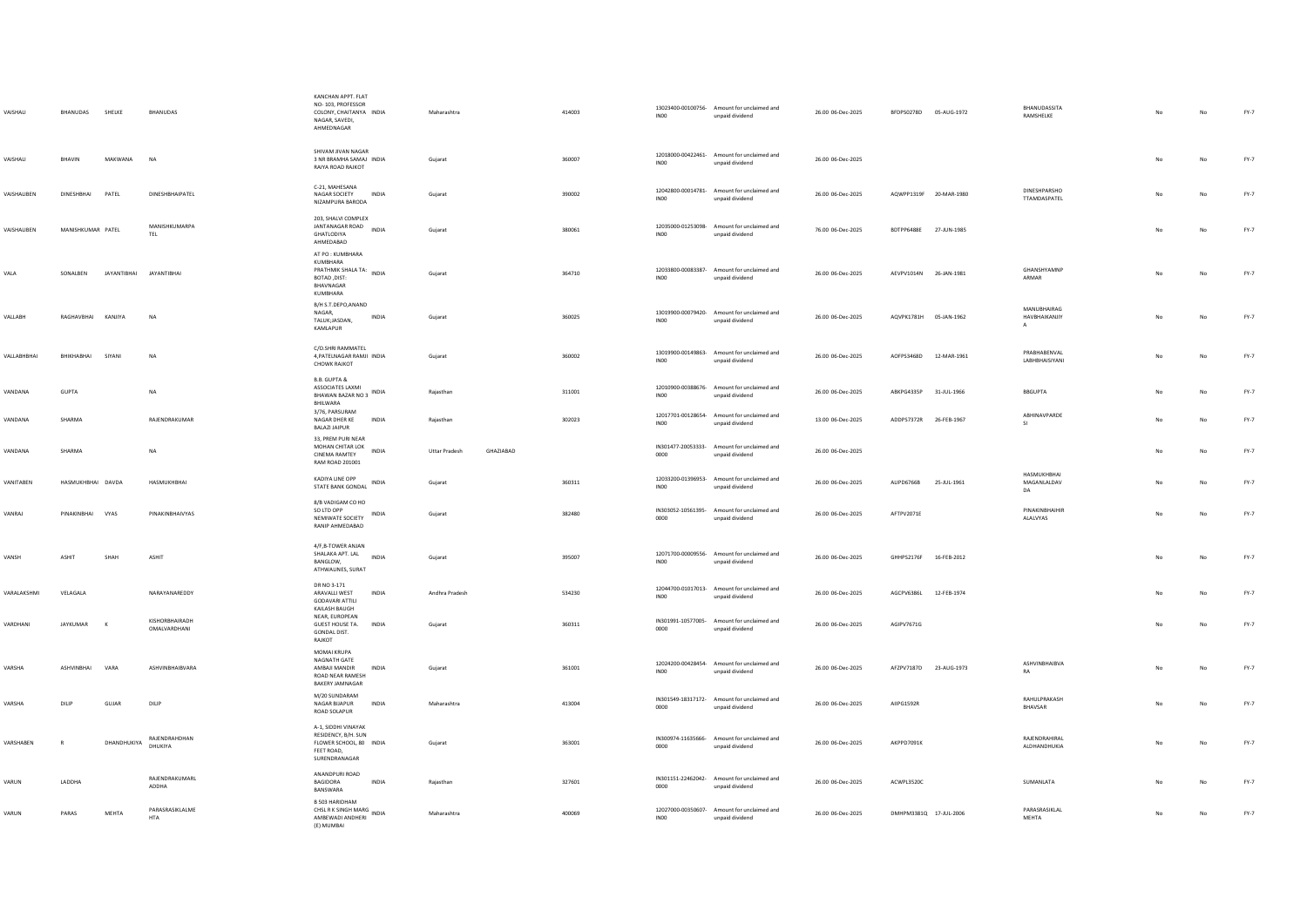| VAISHALI    | BHANUDAS           | SHELKE                  | <b>BHANUDAS</b>                | KANCHAN APPT. FLAT<br>NO-103, PROFESSOR<br>COLONY, CHAITANYA INDIA<br>NAGAR, SAVEDI.<br>AHMEDNAGAR   | Maharashtra                       | 414003 | <b>IN00</b>      | 13023400-00100756- Amount for unclaimed and<br>unpaid dividend | 26.00 06-Dec-2025 | BFDPS0278D 05-AUG-1972 |             | BHANUDASSITA<br>RAMSHELKE                      |    |             | $FY-7$ |
|-------------|--------------------|-------------------------|--------------------------------|------------------------------------------------------------------------------------------------------|-----------------------------------|--------|------------------|----------------------------------------------------------------|-------------------|------------------------|-------------|------------------------------------------------|----|-------------|--------|
| VAISHALL    | RHAVIN             | MAKWANA                 | <b>NA</b>                      | SHIVAM JIVAN NAGAR<br>3 NR RRAMHA SAMAL INDIA<br>RAIYA ROAD RAJKOT                                   | Guiarat                           | 360007 | INO0             | 12018000-00422461- Amount for unclaimed and<br>unpaid dividend | 26.00 06-Dec-2025 |                        |             |                                                | No | No          | $FY-7$ |
| VAISHALIBEN | <b>DINESHRHAI</b>  | PATFI                   | DINESHBHAIPATEL                | C-21, MAHESANA<br>NAGAR SOCIETY<br><b>INDIA</b><br>NIZAMPURA BARODA                                  | Gujarat                           | 390002 | INO <sub>0</sub> | 12042800-00014781- Amount for unclaimed and<br>unpaid dividend | 26.00 06-Dec-2025 | AQWPP1319F 20-MAR-1980 |             | <b>DINESHPARSHO</b><br>TTAMDASPATEL            | No | No          | FY-7   |
| VAISHALIBEN | MANISHKUMAR PATEL  |                         | MANISHKUMARPA<br>TEL           | 203. SHALVI COMPLEX<br>JANTANAGAR ROAD INDIA<br>GHATLODIYA<br>AHMEDABAD                              | Guiarat                           | 380061 | <b>IN00</b>      | 12035000-01253098- Amount for unclaimed and<br>unpaid dividend | 76.00 06-Dec-2025 | BDTPP6488E             | 27-JUN-1985 |                                                | No | No          | $FY-7$ |
| VALA        | SONALBEN           | JAYANTIBHAI JAYANTIBHAI |                                | AT PO: KUMBHARA<br>KUMBHARA<br>PRATHMIK SHALA TA:<br>INDIA<br>BOTAD, DIST:<br>BHAVNAGAR<br>KUMBHARA  | Gujarat                           | 364710 | INO0             | 12033800-00083387- Amount for unclaimed and<br>unpaid dividend | 26.00 06-Dec-2025 | AEVPV1014N 26-JAN-1981 |             | GHANSHYAMNP<br>ARMAR                           |    | No          | $FY-7$ |
| VALLABH     | RAGHAVBHAI KANJIYA |                         | NA                             | B/H S.T.DEPO,ANAND<br>NAGAR,<br>INDIA<br>TALUK;JASDAN,<br>KAMLAPUR                                   | Gujarat                           | 360025 | INO <sub>0</sub> | 13019900-00079420- Amount for unclaimed and<br>unpaid dividend | 26.00 06-Dec-2025 | AQVPK1781H 05-JAN-1962 |             | MANURHAIRAG<br>HAVBHAIKANJIY<br>$\overline{A}$ | No | No          | FY-7   |
| VALLABHBHAI | BHIKHABHAI         | SIYANI                  | NA                             | C/O.SHRI RAMMATEL<br>4, PATELNAGAR RAMJI INDIA<br><b>CHOWK RAJKOT</b>                                | Gujarat                           | 360002 | INO <sub>0</sub> | 13019900-00149863- Amount for unclaimed and<br>unpaid dividend | 26.00 06-Dec-2025 | AOFPS3468D             | 12-MAR-1961 | PRABHABENVAL<br>LABHBHAISIYANI                 | No | No          | FY-7   |
| VANDANA     | GUPTA              |                         | <b>NA</b>                      | B.B. GUPTA &<br>ASSOCIATES LAXMI<br><b>BHAWAN BAZAR NO 3</b> INDIA<br>BHILWARA                       | Rajasthan                         | 311001 | INO0             | 12010900-00388676- Amount for unclaimed and<br>unpaid dividend | 26.00 06-Dec-2025 | ABKPG4335P             | 31-JUL-1966 | BBGUPTA                                        |    | No          | FY-7   |
| VANDANA     | SHARMA             |                         | RAJENDRAKUMAR                  | 3/76, PARSURAM<br>NAGAR DHER KE<br><b>INDIA</b><br><b>BALAZI JAIPUR</b>                              | Raiasthan                         | 302023 | INO <sub>0</sub> | 12017701-00128654- Amount for unclaimed and<br>unpaid dividend | 13.00 06-Dec-2025 | ADDPS7372R 26-FEB-1967 |             | ABHINAVPARDE<br>SI                             | No | No          | $FY-7$ |
| VANDANA     | SHARMA             |                         | <b>NA</b>                      | 33, PREM PURI NEAR<br>MOHAN CHITAR LOK<br><b>INDIA</b><br><b>CINEMA RAMTEY</b><br>RAM ROAD 201001    | GHAZIABAD<br><b>Uttar Pradesh</b> |        | 0000             | IN301477-20053333- Amount for unclaimed and<br>unpaid dividend | 26.00 06-Dec-2025 |                        |             |                                                | No | No          | $FY-7$ |
| VANITABEN   | HASMUKHBHAI DAVDA  |                         | HASMUKHBHAI                    | KADIYA LINE OPP<br>INDIA<br>STATE BANK GONDAL                                                        | Guiarat                           | 360311 | INO0             | 12033200-01396953- Amount for unclaimed and<br>unpaid dividend | 26.00 06-Dec-2025 | ALIPD6766B             | 25-JUL-1961 | HASMUKHBHAI<br>MAGANLALDAV<br>DA               | No | No          | FY-7   |
| VANRAJ      | PINAKINBHAI VYAS   |                         | PINAKINBHAIVYAS                | 8/B VADIGAM CO HO<br>SO LTD OPP<br>NEMIWATE SOCIETY INDIA<br>RANIP AHMEDABAD                         | Guiarat                           | 382480 | 0000             | IN303052-10561395- Amount for unclaimed and<br>unpaid dividend | 26.00 06-Dec-2025 | AFTPV2071E             |             | PINAKINBHAIHIR<br>ALALVYAS                     | No | No          | FY-7   |
| VANSH       | <b>ASHIT</b>       | SHAH                    | <b>ASHIT</b>                   | 4/F,B-TOWER ANJAN<br>SHALAKA APT. LAL<br>INDIA<br><b>BANGLOW</b><br>ATHWALINES, SURAT                | Gujarat                           | 395007 | INO <sub>0</sub> | 12071700-00009556- Amount for unclaimed and<br>unpaid dividend | 26.00 06-Dec-2025 | GHHPS2176F             | 16-FEB-2012 |                                                | No | No          | $FY-7$ |
| VARALAKSHMI | VELAGALA           |                         | NARAYANAREDDY                  | DR NO 3-171<br>ARAVALLI WEST<br><b>INDIA</b><br><b>GODAVARI ATTILI</b><br>KAILASH BAUGH              | Andhra Pradesh                    | 534230 | <b>IN00</b>      | 12044700-01017013- Amount for unclaimed and<br>unpaid dividend | 26.00 06-Dec-2025 | AGCPV6386L             | 12-FEB-1974 |                                                | No | No          | FY-7   |
| VARDHANI    | <b>JAYKUMAR</b>    | $\kappa$                | KISHORRHAIRADH<br>OMALVARDHANI | NEAR, EUROPEAN<br>GUEST HOUSE TA.<br><b>INDIA</b><br>GONDAL DIST.<br>RAJKOT                          | Gujarat                           | 360311 | 0000             | IN301991-10577005- Amount for unclaimed and<br>unpaid dividend | 26.00 06-Dec-2025 | AGIPV7671G             |             |                                                | No | $_{\sf No}$ | $FY-7$ |
| VARSHA      | ASHVINBHAI         | VARA                    | ASHVINBHAIBVARA                | MOMAL KRUPA<br>NAGNATH GATE<br>AMBAJI MANDIR<br>INDIA<br>ROAD NEAR RAMESH<br><b>BAKERY JAMNAGAR</b>  | Gujarat                           | 361001 | INO <sub>0</sub> | 12024200-00428454- Amount for unclaimed and<br>unpaid dividend | 26.00 06-Dec-2025 | AFZPV7187D 23-AUG-1973 |             | ASHVINBHAIBVA<br>RA                            | No | No          | FY-7   |
| VARSHA      | DILIP              | GUJAR                   | DILIP                          | M/20 SUNDARAM<br>NAGAR BUAPUR<br><b>INDIA</b><br>ROAD SOLAPUR                                        | Maharashtra                       | 413004 | 0000             | IN301549-18317172- Amount for unclaimed and<br>unpaid dividend | 26.00 06-Dec-2025 | AIIPG1592R             |             | RAHULPRAKASH<br>BHAVSAR                        | No | No          | $FY-7$ |
| VARSHAREN   | $\mathbb{R}$       | DHANDHUKIYA             | RAJENDRAHDHAN<br>DHUKIYA       | A-1, SIDDHI VINAYAK<br>RESIDENCY, B/H. SUN<br>FLOWER SCHOOL, 80 INDIA<br>FEET ROAD.<br>SURENDRANAGAR | Guiarat                           | 363001 | 0000             | IN300974-11635666- Amount for unclaimed and<br>unpaid dividend | 26.00 06-Dec-2025 | AKPPD7091K             |             | RAJENDRAHIRAL<br>ALDHANDHUKIA                  | No | No          | FY-7   |
| VARUN       | LADDHA             |                         | RAJENDRAKUMARL<br>ADDHA        | ANANDPURI ROAD<br><b>INDIA</b><br>BAGIDORA<br>BANSWARA                                               | Raiasthan                         | 327601 | 0000             | IN301151-22462042- Amount for unclaimed and<br>unpaid dividend | 26.00 06-Dec-2025 | ACWPL3520C             |             | SUMANLATA                                      |    | No          | FY-7   |
| VARUN       | PARAS              | MFHTA                   | PARASRASIKLALME<br><b>HTA</b>  | B 503 HARIDHAM<br>CHSL R K SINGH MARG<br>AMBEWADI ANDHERI<br>(E) MUMBAI                              | Maharashtra                       | 400069 | INO0             | 12027000-00350607- Amount for unclaimed and<br>unpaid dividend | 26.00 06-Dec-2025 | DMHPM3381Q 17-JUL-2006 |             | PARASRASIKLAL<br>MEHTA                         | No | No          | $FY-7$ |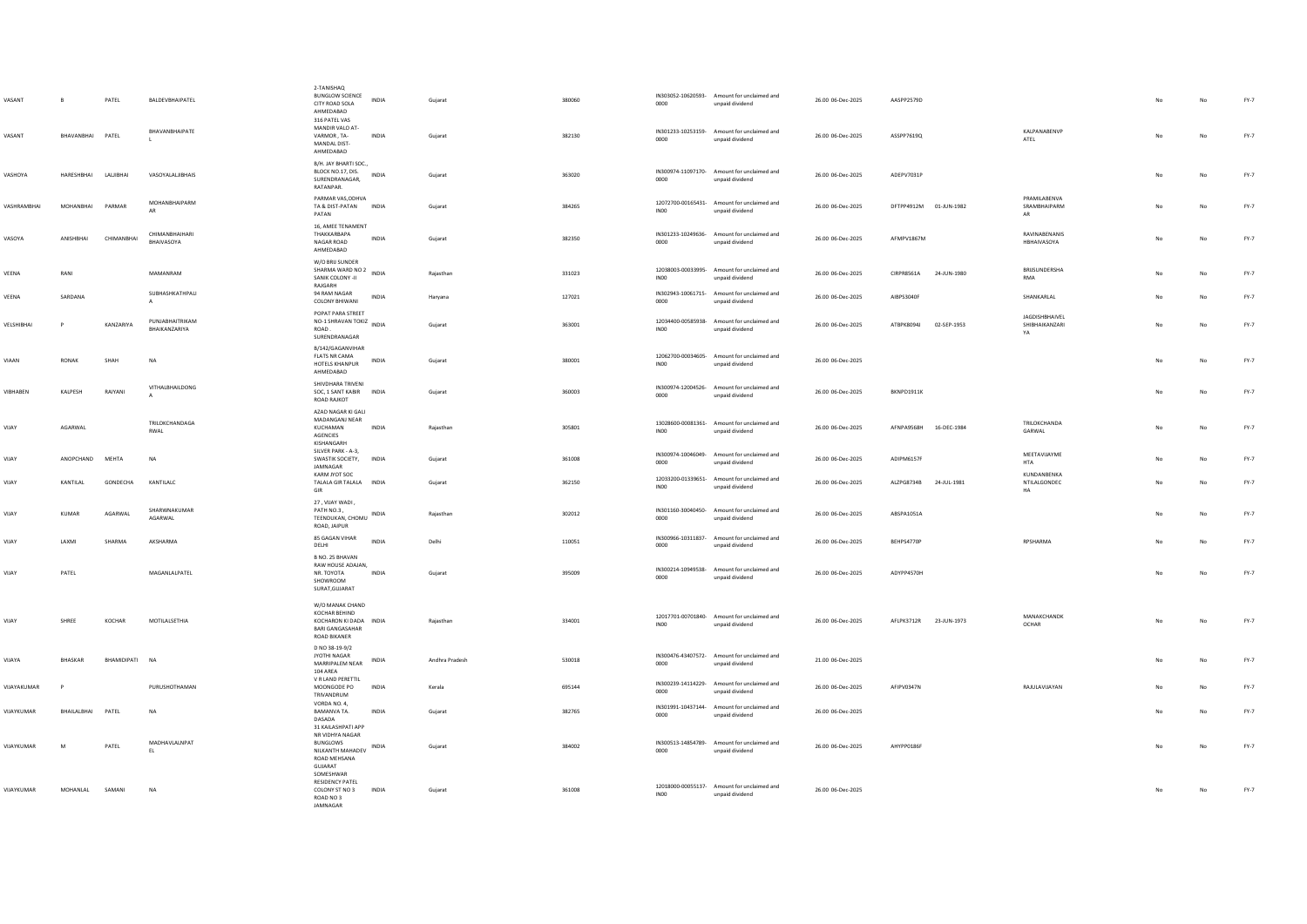| VASANT<br>VASANT | B<br>BHAVANBHAI PATEL | PATEL          | BALDEVBHAIPATEL<br>BHAVANBHAIPATE       | 2-TANISHAO<br><b>BUNGLOW SCIENCE</b><br>CITY ROAD SOLA<br>AHMEDABAD<br>316 PATEL VAS<br>MANDIR VALO AT-<br>VARMOR, TA-<br>MANDAL DIST- | <b>INDIA</b><br><b>INDIA</b> | Guiarat<br>Gujarat | 380060<br>382130 | 0000<br>0000     | IN303052-10620593- Amount for unclaimed and<br>unpaid dividend<br>IN301233-10253159- Amount for unclaimed and<br>unpaid dividend | 26.00 06-Dec-2025<br>26.00 06-Dec-2025 | AASPP2579D<br>ASSPP7619Q |             | KALPANABENVP<br>ATEL                          | No | No<br>No    | $FY-7$<br>$FY-7$ |
|------------------|-----------------------|----------------|-----------------------------------------|----------------------------------------------------------------------------------------------------------------------------------------|------------------------------|--------------------|------------------|------------------|----------------------------------------------------------------------------------------------------------------------------------|----------------------------------------|--------------------------|-------------|-----------------------------------------------|----|-------------|------------------|
| VASHOYA          | HARESHBHAI LALJIBHAI  |                | VASOYALALJIBHAIS                        | AHMEDABAD<br>B/H. JAY BHARTI SOC.,<br>BLOCK NO.17, DIS.<br>SURENDRANAGAR,<br>RATANPAR.                                                 | INDIA                        | Guiarat            | 363020           | 0000             | IN300974-11097170- Amount for unclaimed and<br>unpaid dividend                                                                   | 26.00 06-Dec-2025                      | ADEPV7031P               |             |                                               | No | No          | FY-7             |
| VASHRAMBHAI      | MOHANBHAI             | PARMAR         | MOHANBHAIPARM<br>AR                     | PARMAR VAS, ODHVA<br>TA & DIST-PATAN INDIA<br>PATAN                                                                                    |                              | Gujarat            | 384265           | INO0             | 12072700-00165431- Amount for unclaimed and<br>unpaid dividend                                                                   | 26.00 06-Dec-2025                      | DFTPP4912M 01-JUN-1982   |             | PRAMILABENVA<br>SRAMBHAIPARM<br>AR            | No | No          | $FY-7$           |
| VASOYA           | ANISHBHAI             | CHIMANBHAI     | CHIMANBHAIHARI<br>BHAIVASOYA            | 16. AMEE TENAMENT<br>THAKKARBAPA<br>NAGAR ROAD<br>AHMEDABAD                                                                            | INDIA                        | Gujarat            | 382350           | 0000             | IN301233-10249636- Amount for unclaimed and<br>unpaid dividend                                                                   | 26.00 06-Dec-2025                      | AFMPV1867M               |             | RAVINABENANIS<br>HBHAIVASOYA                  |    | No          | $FY-7$           |
| VEENA            | RANI                  |                | MAMANRAM                                | W/O BRIJ SUNDER<br>SHARMA WARD NO 2 INDIA<br>SANIK COLONY -II<br>RAJGARH                                                               |                              | Rajasthan          | 331023           | INO <sub>0</sub> | 12038003-00033995- Amount for unclaimed and<br>unpaid dividend                                                                   | 26.00 06-Dec-2025                      | CIRPR8561A               | 24-JUN-1980 | BRIJSUNDERSHA<br><b>RMA</b>                   |    | $_{\sf No}$ | FY-7             |
| VEENA            | SARDANA               |                | SUBHASHKATHPALI<br>$\mathsf{A}$         | 94 RAM NAGAR<br><b>COLONY BHIWANI</b>                                                                                                  | <b>INDIA</b>                 | Haryana            | 127021           | 0000             | IN302943-10061715- Amount for unclaimed and<br>unpaid dividend                                                                   | 26.00 06-Dec-2025                      | AIRPS3040F               |             | <b>SHANKARIAI</b>                             |    | No          | $FY-7$           |
| VELSHIBHAI       | P                     | KANZARIYA      | PUNJABHAITRIKAM<br><b>RHAIKANZARIYA</b> | POPAT PARA STREET<br>NO-1 SHRAVAN TOKIZ INDIA<br>ROAD.<br>SURENDRANAGAR                                                                |                              | Gujarat            | 363001           | INO <sub>0</sub> | 12034400-00585938- Amount for unclaimed and<br>unpaid dividend                                                                   | 26.00 06-Dec-2025                      | ATBPK8094J               | 02-SEP-1953 | <b>IAGDISHRHAIVEL</b><br>SHIBHAIKANZARI<br>YA | No | $_{\sf No}$ | FY-7             |
| VIAAN            | RONAK                 | SHAH           | <b>NA</b>                               | B/142/GAGANVIHAR<br><b>FLATS NR CAMA</b><br>HOTELS KHANPUR<br>AHMEDABAD                                                                | <b>INDIA</b>                 | Gujarat            | 380001           | INO <sub>0</sub> | 12062700-00034605- Amount for unclaimed and<br>unpaid dividend                                                                   | 26.00 06-Dec-2025                      |                          |             |                                               | No | No          | $FY-7$           |
| VIBHABEN         | KALPESH               | RAIYANI        | VITHALBHAILDONG                         | SHIVDHARA TRIVENI<br>SOC, 1 SANT KABIR INDIA<br>ROAD RAJKOT                                                                            |                              | Gujarat            | 360003           | 0000             | IN300974-12004526- Amount for unclaimed and<br>unpaid dividend                                                                   | 26.00 06-Dec-2025                      | BKNPD1911K               |             |                                               |    | No          | $FY-7$           |
| VIJAY            | AGARWAL               |                | TRILOKCHANDAGA<br>RWAL                  | AZAD NAGAR KI GALI<br>MADANGANJ NEAR<br>KUCHAMAN<br>AGENCIES<br>KISHANGARH                                                             | INDIA                        | Rajasthan          | 305801           | INO0             | 13028600-00081361- Amount for unclaimed and<br>unpaid dividend                                                                   | 26.00 06-Dec-2025                      | AFNPA9568H 16-DEC-1984   |             | TRILOKCHANDA<br>GARWAL                        | No | No          | $FY-7$           |
| VIJAY            | ANOPCHAND             | MEHTA          | NA                                      | SILVER PARK - A-3,<br>SWASTIK SOCIETY, INDIA<br>JAMNAGAR                                                                               |                              | Gujarat            | 361008           | 0000             | IN300974-10046049- Amount for unclaimed and<br>unpaid dividend                                                                   | 26.00 06-Dec-2025                      | ADIPM6157F               |             | MEETAVIJAYME<br><b>HTA</b>                    |    | No          | $FY-7$           |
| VIJAY            | KANTILAL              | GONDECHA       | KANTILALC                               | KARM JYOT SOC<br>TALALA GIR TALALA INDIA<br>GIR                                                                                        |                              | Gujarat            | 362150           | INO <sub>0</sub> | 12033200-01339651- Amount for unclaimed and<br>unpaid dividend                                                                   | 26.00 06-Dec-2025                      | ALZPG8734B 24-JUL-1981   |             | KUNDANBENKA<br>NTILALGONDEC<br>HA             |    | No          | $FY-7$           |
| VIJAY            | KUMAR                 | AGARWAL        | SHARWNAKUMAR<br>AGARWAL                 | 27, VIJAY WADI,<br>PATH NO.3.<br>TEENDUKAN, CHOMU INDIA<br>ROAD, JAIPUR                                                                |                              | Rajasthan          | 302012           | 0000             | IN301160-30040450- Amount for unclaimed and<br>unpaid dividend                                                                   | 26.00 06-Dec-2025                      | ABSPA1051A               |             |                                               |    | No          | $FY-7$           |
| VIJAY            | LAXMI                 | SHARMA         | AKSHARMA                                | 85 GAGAN VIHAR<br>DELHI                                                                                                                | INDIA                        | Delhi              | 110051           | 0000             | IN300966-10311837- Amount for unclaimed and<br>unpaid dividend                                                                   | 26.00 06-Dec-2025                      | BEHPS4770P               |             | RPSHARMA                                      |    | No          | $FY-7$           |
| VIJAY            | PATEL                 |                | MAGANLALPATEL                           | B NO. 25 BHAVAN<br>RAW HOUSE ADAJAN,<br>NR. TOYOTA<br>SHOWROOM<br>SURAT, GUJARAT                                                       | <b>INDIA</b>                 | Gujarat            | 395009           | 0000             | IN300214-10949538- Amount for unclaimed and<br>unpaid dividend                                                                   | 26.00 06-Dec-2025                      | ADYPP4570H               |             |                                               | No | No          | $FY-7$           |
| VIJAY            | SHREE                 | KOCHAR         | MOTILALSETHIA                           | W/O MANAK CHAND<br>KOCHAR BEHIND<br>KOCHARON KI DADA INDIA<br>BARI GANGASAHAR<br>ROAD BIKANER                                          |                              | Rajasthan          | 334001           | INO <sub>0</sub> | 12017701-00701840- Amount for unclaimed and<br>unpaid dividend                                                                   | 26.00 06-Dec-2025                      | AFLPK3712R 23-JUN-1973   |             | MANAKCHANDK<br>OCHAR                          | No | No          | FY-7             |
| VIJAYA           | BHASKAR               | BHAMIDIPATI NA |                                         | D NO 38-19-9/2<br>JYOTHI NAGAR<br>MARRIPALEM NEAR<br>104 AREA                                                                          | INDIA                        | Andhra Pradesh     | 530018           | 0000             | IN300476-43407572- Amount for unclaimed and<br>unpaid dividend                                                                   | 21.00 06-Dec-2025                      |                          |             |                                               |    | $_{\sf No}$ | $FY-7$           |
| VIJAYAKUMAR      | P                     |                | PURUSHOTHAMAN                           | V R LAND PERETTIL<br>MOONGODE PO<br>TRIVANDRUM                                                                                         | <b>INDIA</b>                 | Kerala             | 695144           | 0000             | IN300239-14114229- Amount for unclaimed and<br>unpaid dividend                                                                   | 26.00 06-Dec-2025                      | AFIPV0347N               |             | RAJULAVIJAYAN                                 |    | No          | $FY-7$           |
| VIJAYKUMAR       | BHAILALBHAI           | PATEL          | <b>NA</b>                               | VORDA NO. 4,<br>BAMANVA TA.<br>DASADA                                                                                                  | INDIA                        | Gujarat            | 382765           | 0000             | IN301991-10437144- Amount for unclaimed and<br>unpaid dividend                                                                   | 26.00 06-Dec-2025                      |                          |             |                                               |    | No          | $FY-7$           |
| VIJAYKUMAR       | M                     | PATEL          | MADHAVLALNPAT<br>EL                     | 31 KAILASHPATI APP<br>NR VIDHYA NAGAR<br>BUNGLOWS<br>NILKANTH MAHADEV INDIA<br>ROAD MEHSANA<br>GUJARAT                                 |                              | Gujarat            | 384002           | 0000             | IN300513-14854789- Amount for unclaimed and<br>unpaid dividend                                                                   | 26.00 06-Dec-2025                      | AHYPP0186F               |             |                                               |    | No          | $FY-7$           |
| VIJAYKUMAR       | MOHANLAL              | SAMANI         | <b>NA</b>                               | SOMESHWAR<br><b>RESIDENCY PATEL</b><br>COLONY ST NO 3<br>ROAD NO3<br>JAMNAGAR                                                          | <b>INDIA</b>                 | Gujarat            | 361008           | INO0             | 12018000-00055137- Amount for unclaimed and<br>unpaid dividend                                                                   | 26.00 06-Dec-2025                      |                          |             |                                               |    | No          | FY-7             |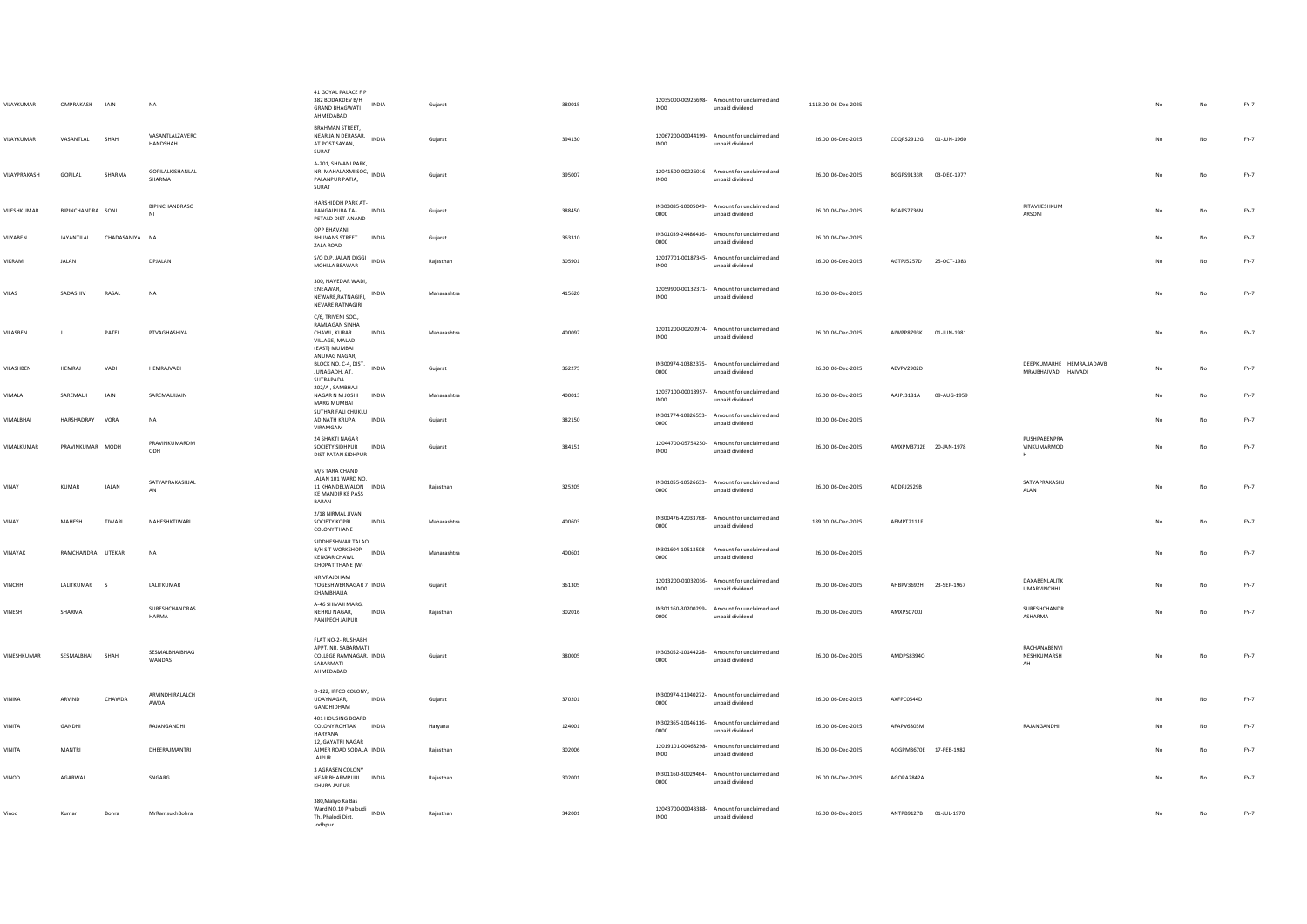| VIJAYKUMAR     | OMPRAKASH JAIN    |              | <b>NA</b>                   | 41 GOYAL PALACE F P<br>382 BODAKDEV B/H<br><b>INDIA</b><br><b>GRAND BHAGWATI</b><br>AHMEDABAD    | Guiarat     | 380015 | INO0             | 12035000-00926698- Amount for unclaimed and<br>unpaid dividend | 1113.00 06-Dec-2025 |                        |                                                  |    | No          | FY-7   |
|----------------|-------------------|--------------|-----------------------------|--------------------------------------------------------------------------------------------------|-------------|--------|------------------|----------------------------------------------------------------|---------------------|------------------------|--------------------------------------------------|----|-------------|--------|
| VIJAYKUMAR     | VASANTLAL         | SHAH         | VASANTLALZAVERC<br>HANDSHAH | <b>BRAHMAN STREET,</b><br>NEAR JAIN DERASAR,<br>INDIA<br>AT POST SAYAN,<br>SURAT                 | Gujarat     | 394130 | INO <sub>0</sub> | 12067200-00044199- Amount for unclaimed and<br>unpaid dividend | 26.00 06-Dec-2025   | CDQPS2912G 01-JUN-1960 |                                                  |    | No          | FY-7   |
| VIJAYPRAKASH   | GOPILAL           | SHARMA       | GOPILALKISHANLAL<br>SHARMA  | A-201, SHIVANI PARK,<br>PALANPUR PATIA,<br>SURAT                                                 | Guiarat     | 395007 | IN <sub>00</sub> | 12041500-00226016- Amount for unclaimed and<br>unpaid dividend | 26.00 06-Dec-2025   | BGGPS9133R 03-DEC-1977 |                                                  | No | No          | $FY-7$ |
| VUESHKUMAR     | BIPINCHANDRA SONI |              | BIPINCHANDRASO              | HARSHIDDH PARK AT-<br>RANGAIPURA TA- INDIA<br>PETALD DIST-ANAND                                  | Gujarat     | 388450 | 0000             | IN303085-10005049- Amount for unclaimed and<br>unpaid dividend | 26.00 06-Dec-2025   | BGAPS7736N             | RITAVIJESHKUM<br>ARSONI                          | No | No          | FY-7   |
| VIJYABEN       | JAYANTILAL        | CHADASANIYA  | <b>NA</b>                   | OPP BHAVANI<br><b>BHUVANS STREET</b><br>INDIA<br>ZALA ROAD                                       | Gujarat     | 363310 | 0000             | IN301039-24486416- Amount for unclaimed and<br>unpaid dividend | 26.00 06-Dec-2025   |                        |                                                  |    | No          | FY-7   |
| <b>VIKRAM</b>  | <b>JALAN</b>      |              | DPJALAN                     | S/O D.P. JALAN DIGGI<br>INDIA<br>MOHLLA BEAWAR                                                   | Raiasthan   | 305901 | IN00             | 12017701-00187345- Amount for unclaimed and<br>unpaid dividend | 26.00 06-Dec-2025   | AGTPJ5257D 25-OCT-1983 |                                                  | No | No          | $FY-7$ |
| VILAS          | SADASHIV          | RASAL        | <b>NA</b>                   | 300, NAVEDAR WADI,<br>ENEAWAR.<br>INDIA<br>NEWARE, RATNAGIRI,<br>NEVARE RATNAGIRI                | Maharashtra | 415620 | INO <sub>0</sub> | 12059900-00132371- Amount for unclaimed and<br>unpaid dividend | 26.00 06-Dec-2025   |                        |                                                  | No | $_{\sf No}$ | FY-7   |
| VILASBEN       |                   | PATEL        | PTVAGHASHIYA                | C/6, TRIVENI SOC.,<br>RAMLAGAN SINHA<br>CHAWL, KURAR<br>INDIA<br>VILLAGE, MALAD<br>(EAST) MUMBAI | Maharashtra | 400097 | INO <sub>0</sub> | 12011200-00200974- Amount for unclaimed and<br>unpaid dividend | 26.00 06-Dec-2025   | AIWPP8793K 01-JUN-1981 |                                                  | No | $_{\sf No}$ | FY-7   |
| VILASHBEN      | <b>HFMRAI</b>     | VADI         | <b>HEMRAIVADI</b>           | ANURAG NAGAR,<br>BLOCK NO. C-4, DIST.<br><b>INDIA</b><br>JUNAGADH, AT.<br>SUTRAPADA.             | Gujarat     | 362275 | 0000             | IN300974-10382375- Amount for unclaimed and<br>unpaid dividend | 26.00 06-Dec-2025   | AFVPV2902D             | DEEPKUMARHE HEMRAJJADAVB<br>MRAJBHAIVADI HAIVADI | No | No          | $FY-7$ |
| <b>VIMALA</b>  | SAREMALII         | <b>JAIN</b>  | SAREMALIHAIN                | 202/A. SAMBHAJI<br>NAGAR N M JOSHI<br><b>INDIA</b><br>MARG MUMBAI                                | Maharashtra | 400013 | IN00             | 12037100-00018957- Amount for unclaimed and<br>unpaid dividend | 26.00 06-Dec-2025   | AAJPJ3181A 09-AUG-1959 |                                                  | No | No          | FY-7   |
| VIMALBHAI      | HARSHADRAY VORA   |              | <b>NA</b>                   | SUTHAR FALI CHUKLU<br>ADINATH KRUPA<br><b>INDIA</b><br>VIRAMGAM                                  | Guiarat     | 382150 | 0000             | IN301774-10826553- Amount for unclaimed and<br>unpaid dividend | 20.00 06-Dec-2025   |                        |                                                  | No | No          | $FY-7$ |
| VIMALKUMAR     | PRAVINKUMAR MODH  |              | PRAVINKUMARDM<br>ODH        | 24 SHAKTI NAGAR<br><b>INDIA</b><br>SOCIETY SIDHPUR<br>DIST PATAN SIDHPUR                         | Guiarat     | 384151 | IN <sub>00</sub> | 12044700-05754250- Amount for unclaimed and<br>unpaid dividend | 26.00 06-Dec-2025   | AMXPM3732E 20-JAN-1978 | PUSHPABENPRA<br>VINKUMARMOD                      | No | No          | $FY-7$ |
| VINAY          | <b>KUMAR</b>      | <b>JALAN</b> | SATYAPRAKASHJAL             | M/S TARA CHAND<br>JALAN 101 WARD NO.<br>11 KHANDELWALON INDIA<br>KE MANDIR KE PASS<br>BARAN      | Raiasthan   | 325205 | 0000             | IN301055-10526633- Amount for unclaimed and<br>unpaid dividend | 26.00 06-Dec-2025   | ADDPJ2529B             | SATYAPRAKASHJ<br>ALAN                            | No | No          | $FY-7$ |
| VINAY          | MAHESH            | TIWAR        | NAHESHKTIWARI               | 2/18 NIRMAL JIVAN<br>SOCIETY KOPRI<br>INDIA<br><b>COLONY THANE</b>                               | Maharashtra | 400603 | 0000             | IN300476-42033768- Amount for unclaimed and<br>unpaid dividend | 189.00 06-Dec-2025  | AEMPT2111F             |                                                  |    | No          | $FY-7$ |
| <b>VINAYAK</b> | RAMCHANDRA UTEKAR |              | <b>NA</b>                   | SIDDHESHWAR TALAO<br>B/H S T WORKSHOP<br><b>INDIA</b><br><b>KENGAR CHAWL</b><br>KHOPAT THANE (W) | Maharashtra | 400601 | 0000             | IN301604-10513508- Amount for unclaimed and<br>unpaid dividend | 26.00 06-Dec-2025   |                        |                                                  | No | No          | $FY-7$ |
| VINCHHI        | LALITKUMAR S      |              | LALITKUMAR                  | NR VRAJDHAM<br>YOGESHWERNAGAR 7 INDIA<br>KHAMRHALIA                                              | Gujarat     | 361305 | INO <sub>0</sub> | 12013200-01032036- Amount for unclaimed and<br>unpaid dividend | 26.00 06-Dec-2025   | AHBPV3692H 23-SEP-1967 | DAXABENLALITK<br><b>UMARVINCHHI</b>              |    | No          | FY-7   |
| <b>VINESH</b>  | SHARMA            |              | SURESHCHANDRAS<br>HARMA     | A-46 SHIVAJI MARG,<br>NEHRU NAGAR<br><b>INDIA</b><br>PANIPECH JAIPUR                             | Raiasthan   | 302016 | 0000             | IN301160-30200299- Amount for unclaimed and<br>unpaid dividend | 26.00.06-Dec-2025   | AMXPS07001             | SURESHCHANDR<br>ASHARMA                          | No | No          | $FY-7$ |
| VINESHKUMAR    | SESMALBHAI        | SHAH         | SESMALBHAIBHAG<br>WANDAS    | FLAT NO-2- RUSHABH<br>APPT. NR. SABARMATI<br>COLLEGE RAMNAGAR, INDIA<br>SABARMATI<br>AHMEDABAD   | Gujarat     | 380005 | 0000             | IN303052-10144228- Amount for unclaimed and<br>unpaid dividend | 26.00 06-Dec-2025   | AMDPS8394Q             | RACHANABENVI<br>NESHKUMARSH<br>AH                | No | No          | FY-7   |
| VINIKA         | ARVIND            | CHAWDA       | ARVINDHIRALALCH<br>AWDA     | D-122. IFFCO COLONY.<br>UDAYNAGAR.<br><b>INDIA</b><br>GANDHIDHAM                                 | Gujarat     | 370201 | 0000             | IN300974-11940272- Amount for unclaimed and<br>unpaid dividend | 26.00 06-Dec-2025   | AXFPC0544D             |                                                  |    | No          | $FY-7$ |
| VINITA         | GANDHI            |              | RAJANGANDHI                 | 401 HOUSING BOARD<br><b>COLONY ROHTAK</b><br>INDIA<br>HARYANA                                    | Haryana     | 124001 | 0000             | IN302365-10146116- Amount for unclaimed and<br>unpaid dividend | 26.00 06-Dec-2025   | AFAPV6803M             | RAJANGANDHI                                      |    | No          | FY-7   |
| VINITA         | <b>MANTRI</b>     |              | DHEERAJMANTRI               | 12, GAYATRI NAGAR<br>AIMER ROAD SODALA INDIA<br><b>JAIPUR</b>                                    | Raiasthan   | 302006 | IN00             | 12019101-00468298- Amount for unclaimed and<br>unpaid dividend | 26.00 06-Dec-2025   | AQGPM3670E 17-FEB-1982 |                                                  |    | No          | $FY-7$ |
| VINOD          | AGARWAL           |              | SNGARG                      | 3 AGRASEN COLONY<br>NEAR BHARMPURI INDIA<br>KHURA JAIPUR                                         | Raiasthan   | 302001 | 0000             | IN301160-30029464- Amount for unclaimed and<br>unpaid dividend | 26.00 06-Dec-2025   | AGOPA2842A             |                                                  |    | No          | FY-7   |
| Vinod          | Kumar             | Bohra        | MrRamsukhBohra              | 380, Maliyo Ka Bas<br>Ward NO.10 Phaloudi<br>INDIA<br>Th. Phalodi Dist.<br>Jodhour               | Rajasthan   | 342001 | INO <sub>0</sub> | 12043700-00043388- Amount for unclaimed and<br>unpaid dividend | 26.00 06-Dec-2025   | ANTPB9127B 01-JUL-1970 |                                                  | No | No          | $FY-7$ |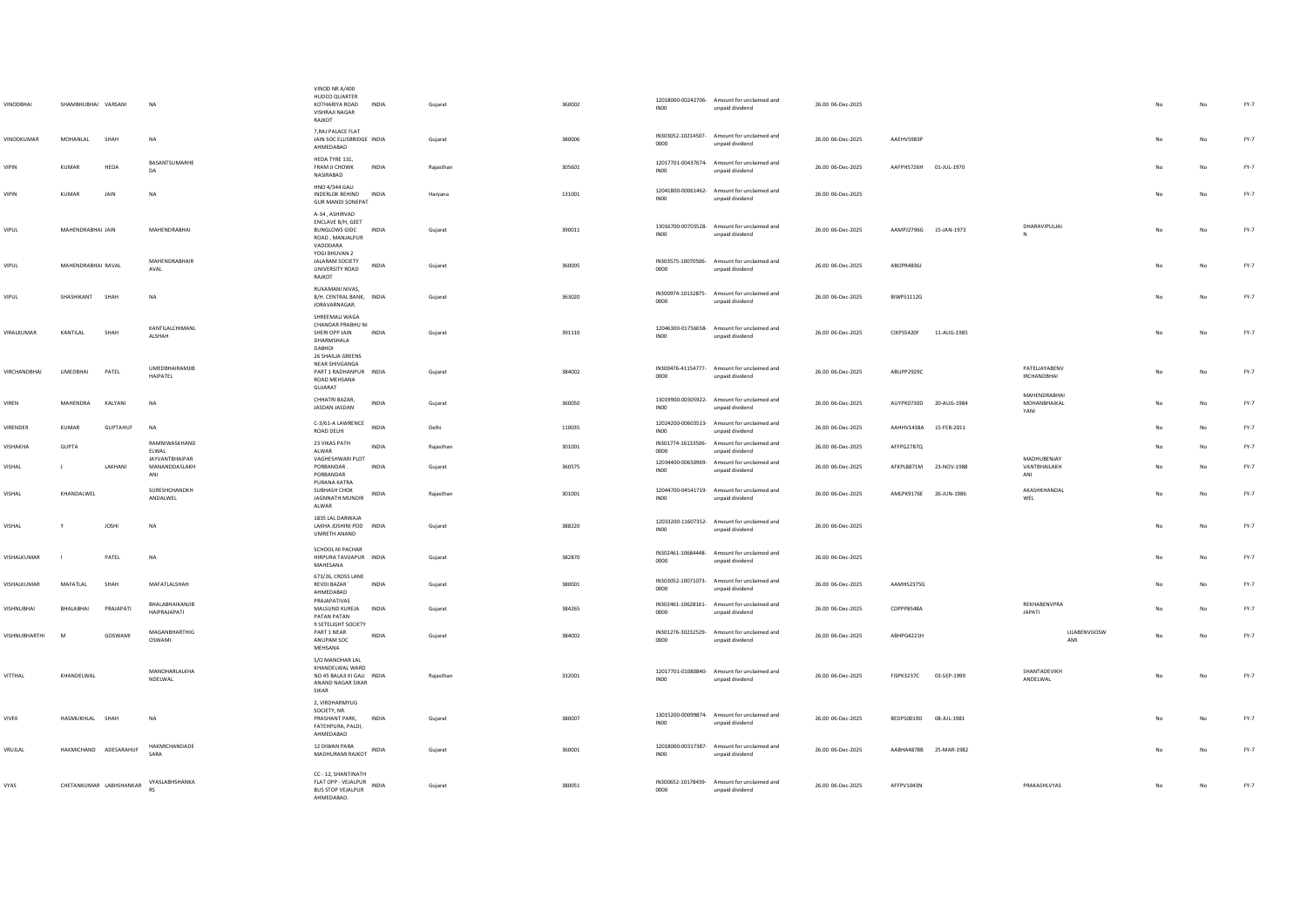| VINODBHAI           | SHAMBHUBHAI VARSANI     |                 | <b>NA</b>                                     | VINOD NR A/400<br>HUDCO QUARTER<br>KOTHARIYA ROAD<br>VISHRAJI NAGAR<br>RAJKOT                   | <b>INDIA</b> | Gujarat   | 360002 | INO0             | 12018000-00242706- Amount for unclaimed and<br>unpaid dividend | 26.00 06-Dec-2025 |                        |             |                                     |                     |     | No | $FY-7$ |
|---------------------|-------------------------|-----------------|-----------------------------------------------|-------------------------------------------------------------------------------------------------|--------------|-----------|--------|------------------|----------------------------------------------------------------|-------------------|------------------------|-------------|-------------------------------------|---------------------|-----|----|--------|
| VINODKUMAR          | MOHANI AI               | SHAH            | <b>NA</b>                                     | 7, RAJ PALACE FLAT<br>JAIN SOC ELLISBRIDGE INDIA<br>AHMEDABAD                                   |              | Gujarat   | 380006 | 0000             | IN303052-10214507- Amount for unclaimed and<br>unpaid dividend | 26.00 06-Dec-2025 | AAFHV5983P             |             |                                     |                     | No  | No | $FY-7$ |
| <b>VIPIN</b>        | KUMAR                   | HEDA            | BASANTSUMARHE<br>DA                           | HEDA TYRE 131,<br>FRAM JI CHOWK<br>NASIRABAD                                                    | INDIA        | Rajasthan | 305601 | <b>IN00</b>      | 12017701-00437674- Amount for unclaimed and<br>unpaid dividend | 26.00 06-Dec-2025 | AAFPH5726H             | 01-JUL-1970 |                                     |                     |     | No | $FY-7$ |
| <b>VIPIN</b>        | <b>KUMAR</b>            | JAIN            | <b>NA</b>                                     | <b>HNO 4/344 GALI</b><br>INDERLOK BEHIND INDIA<br><b>GUR MANDI SONEPAT</b>                      |              | Haryana   | 131001 | <b>IN00</b>      | 12041800-00061462- Amount for unclaimed and<br>unpaid dividend | 26.00 06-Dec-2025 |                        |             |                                     |                     | No  | No | FY-7   |
| VIPUL               | MAHENDRABHAI JAIN       |                 | MAHENDRABHAI                                  | A-34, ASHIRVAD<br>ENCLAVE B/H, GEET<br>BUNGLOWS GIDC INDIA<br>ROAD, MANJALPUR<br>VADODARA       |              | Guiarat   | 390011 | <b>IN00</b>      | 13016700-00703528- Amount for unclaimed and<br>unpaid dividend | 26.00 06-Dec-2025 | AAMPJ2796G 15-JAN-1973 |             | DHARAVIPULJAI                       |                     | No  | No | FY-7   |
| VIPUL               | MAHENDRABHAI RAVAL      |                 | MAHENDRARHAIR<br>AVAL                         | YOGI BHUVAN 2<br><b>JALARAM SOCIETY</b><br>UNIVERSITY ROAD<br>RAJKOT                            | INDIA        | Gujarat   | 360005 | 0000             | IN303575-10070506- Amount for unclaimed and<br>unpaid dividend | 26.00 06-Dec-2025 | ABOPR4836J             |             |                                     |                     | No  | No | FY-7   |
| <b>VIPUL</b>        | SHASHIKANT SHAH         |                 | <b>NA</b>                                     | RUXAMANI NIVAS,<br>B/H. CENTRAL BANK, INDIA<br>JORAVARNAGAR.                                    |              | Guiarat   | 363020 | 0000             | IN300974-10132875- Amount for unclaimed and<br>unpaid dividend | 26.00 06-Dec-2025 | <b>BIWPS1112G</b>      |             |                                     |                     |     | No | FY-7   |
| VIRALKUMAR          | KANTILAL                | SHAH            | KANTILALCHIMANL<br>ALSHAH                     | SHREEMALI WAGA<br>CHANDAR PRABHU NI<br>SHERI OPP JAIN<br>DHARMSHALA<br>DABHOI                   | INDIA        | Guiarat   | 391110 | <b>IN00</b>      | 12046300-01756658- Amount for unclaimed and<br>unpaid dividend | 26.00 06-Dec-2025 | CIXPS5420F             | 11-AUG-1985 |                                     |                     | No  | No | FY-7   |
| <b>VIRCHANDRHAI</b> | <b>LIMEDRHAL</b>        | PATFI           | UMEDBHAIRAMJIB<br>HAIPATEL                    | <b>26 SHAILIA GREENS</b><br>NEAR SHIVGANGA<br>PART 1 RADHANPUR INDIA<br>ROAD MEHSANA<br>GUJARAT |              | Gujarat   | 384002 | 0000             | IN300476-41154777- Amount for unclaimed and<br>unpaid dividend | 26.00 06-Dec-2025 | ARLIPP2929C            |             | PATELJAYABENV<br>IRCHANDBHAI        |                     | No  | No | FY-7   |
| VIREN               | MAHENDRA                | KALYANI         | NA                                            | CHHATRI BAZAR,<br>JASDAN JASDAN                                                                 | INDIA        | Gujarat   | 360050 | INO <sub>0</sub> | 13019900-00305922- Amount for unclaimed and<br>unpaid dividend | 26.00 06-Dec-2025 | AUYPK0730D 20-AUG-1984 |             | MAHENDRARHA<br>MOHANBHAIKAL<br>YANI |                     | No  | No | FY-7   |
| VIRENDER            | KUMAR                   | <b>GUPTAHUF</b> | <b>NA</b>                                     | C-3/61-A LAWRENCE<br>ROAD DELHI                                                                 | <b>INDIA</b> | Delhi     | 110035 | <b>IN00</b>      | 12024200-00603513- Amount for unclaimed and<br>unpaid dividend | 26.00 06-Dec-2025 | AAHHV1438A 15-FEB-2011 |             |                                     |                     | No  | No | FY-7   |
| VISHAKHA            | GUPTA                   |                 | RAMNIWASKHAND<br>ELWAL                        | 23 VIKAS PATH<br>ALWAR                                                                          | INDIA        | Rajasthan | 301001 | 0000             | IN301774-16133506- Amount for unclaimed and<br>unpaid dividend | 26.00 06-Dec-2025 | AFFPG2787Q             |             |                                     |                     |     | No | FY-7   |
| VISHAL              | $\perp$                 | LAKHANI         | <b>JAYVANTBHAIPAR</b><br>MANANDDASLAKH<br>ANI | VAGHESHWARI PLOT<br>PORBANDAR.<br>PORBANDAR<br>PURANA KATRA                                     | INDIA        | Guiarat   | 360575 | <b>IN00</b>      | 12034400-00650969- Amount for unclaimed and<br>unpaid dividend | 26.00 06-Dec-2025 | AFKPL8871M             | 23-NOV-1988 | MADHUBENJAY<br>VANTBHAILAKH<br>ANI  |                     | No  | No | FY-7   |
| VISHAL              | KHANDAI WFI             |                 | SURESHCHANDKH<br>ANDALWEL                     | SUBHASH CHOK<br><b>JAGNNATH MUNDIR</b><br>ALWAR                                                 | INDIA        | Rajasthan | 301001 | <b>IN00</b>      | 12044700-04541719- Amount for unclaimed and<br>unpaid dividend | 26.00 06-Dec-2025 | AMLPK9176E 26-JUN-1986 |             | AKASHKHANDAL<br>WEL                 |                     | No  | No | $FY-7$ |
| VISHAL              |                         | <b>JOSHI</b>    | <b>NA</b>                                     | 1835 LAL DARWAJA<br>LAKHA JOSHINI POD INDIA<br>UMRETH ANAND                                     |              | Gujarat   | 388220 | <b>INOO</b>      | 12033200-11607352- Amount for unclaimed and<br>unpaid dividend | 26.00 06-Dec-2025 |                        |             |                                     |                     | No  | No | FY-7   |
| VISHALKUMAR         | $\blacksquare$          | PATEL           | NA                                            | SCHOOL NI PACHAR<br>HIRPURA TAVUAPUR INDIA<br>MAHESANA                                          |              | Guiarat   | 382870 | 0000             | IN302461-10684448- Amount for unclaimed and<br>unpaid dividend | 26.00 06-Dec-2025 |                        |             |                                     |                     | No. | No | FY-7   |
| VISHALKUMAR         | MAFATLAL                | SHAH            | MAFATLALSHAH                                  | 673/26, CROSS LANE<br><b>REVDI BAZAR</b><br>AHMEDABAD                                           | <b>INDIA</b> | Gujarat   | 380001 | 0000             | IN303052-10071073- Amount for unclaimed and<br>unpaid dividend | 26.00 06-Dec-2025 | AAMHS2375G             |             |                                     |                     | No  | No | $FY-7$ |
| <b>VISHNUBHAI</b>   | BHALABHAI               | PRAJAPAT        | BHALABHAIKANJIB<br>HAIPRAJAPATI               | PRAJAPATIVAS<br>MALSUND KUREJA<br>PATAN PATAN                                                   | <b>INDIA</b> | Gujarat   | 384265 | 0000             | IN302461-10628161- Amount for unclaimed and<br>unpaid dividend | 26.00 06-Dec-2025 | CDPPP8548A             |             | REKHABENVPRA<br><b>JAPATI</b>       |                     | No  | No | FY-7   |
| VISHNUBHARTHI       | M                       | GOSWAMI         | MAGANBHARTHIG<br>OSWAMI                       | 9 SETELIGHT SOCIETY<br>PART 1 NEAR<br>ANUPAM SOC<br>MEHSANA                                     | INDIA        | Gujarat   | 384002 | 0000             | IN301276-30232529- Amount for unclaimed and<br>unpaid dividend | 26.00 06-Dec-2025 | ABHPG4221H             |             |                                     | LILABENVGOSW<br>AMI | No  | No | $FY-7$ |
| VITTHAL             | KHANDELWAL              |                 | MANOHARLALKHA<br>NDELWAL                      | S/O MANOHAR LAL<br>KHANDELWAL WARD<br>NO 45 BALAJI KI GALI INDIA<br>ANAND NAGAR SIKAR<br>SIKAR  |              | Rajasthan | 332001 | <b>IN00</b>      | 12017701-01080840- Amount for unclaimed and<br>unpaid dividend | 26.00 06-Dec-2025 | FISPK3237C             | 03-SEP-1999 | SHANTADEVIKH<br>ANDELWAL            |                     | No  | No | FY-7   |
| <b>VIVEK</b>        | HASMUKHLAL SHAH         |                 | NA                                            | 2, VIRDHARMYUG<br>SOCIETY, NR<br>PRASHANT PARK.<br>FATEHPURA, PALDI,<br>AHMEDABAD               | <b>INDIA</b> | Gujarat   | 380007 | INO <sub>0</sub> | 13015200-00099874- Amount for unclaimed and<br>unpaid dividend | 26.00 06-Dec-2025 | BEDPS0019D 08-JUL-1981 |             |                                     |                     |     | No | FY-7   |
| VRUJLAL             | HAKMICHAND ADESARAHUF   |                 | <b>HAKMICHANDADE</b><br>SARA                  | 12 DIWAN PARA<br>MADHURAMI RAJKOT INDIA                                                         |              | Gujarat   | 360001 | INO <sub>0</sub> | 12018000-00317387- Amount for unclaimed and<br>unnaid dividend | 26.00 06-Dec-2025 | AABHA4878B             | 25-MAR-1982 |                                     |                     |     | No | $FY-7$ |
| VYAS                | CHETANKUMAR LABHSHANKAR |                 | VYASLABHSHANKA<br><b>RS</b>                   | CC - 12, SHANTINATH<br>FLAT OPP - VEJALPUR<br><b>BUS STOP VEJALPUR</b><br><b>AHMEDARAD</b>      | INDIA        | Gujarat   | 380051 | 0000             | IN300652-10178439- Amount for unclaimed and<br>unpaid dividend | 26.00 06-Dec-2025 | AFFPV1043N             |             | PRAKASHLVYAS                        |                     | No  | No | FY-7   |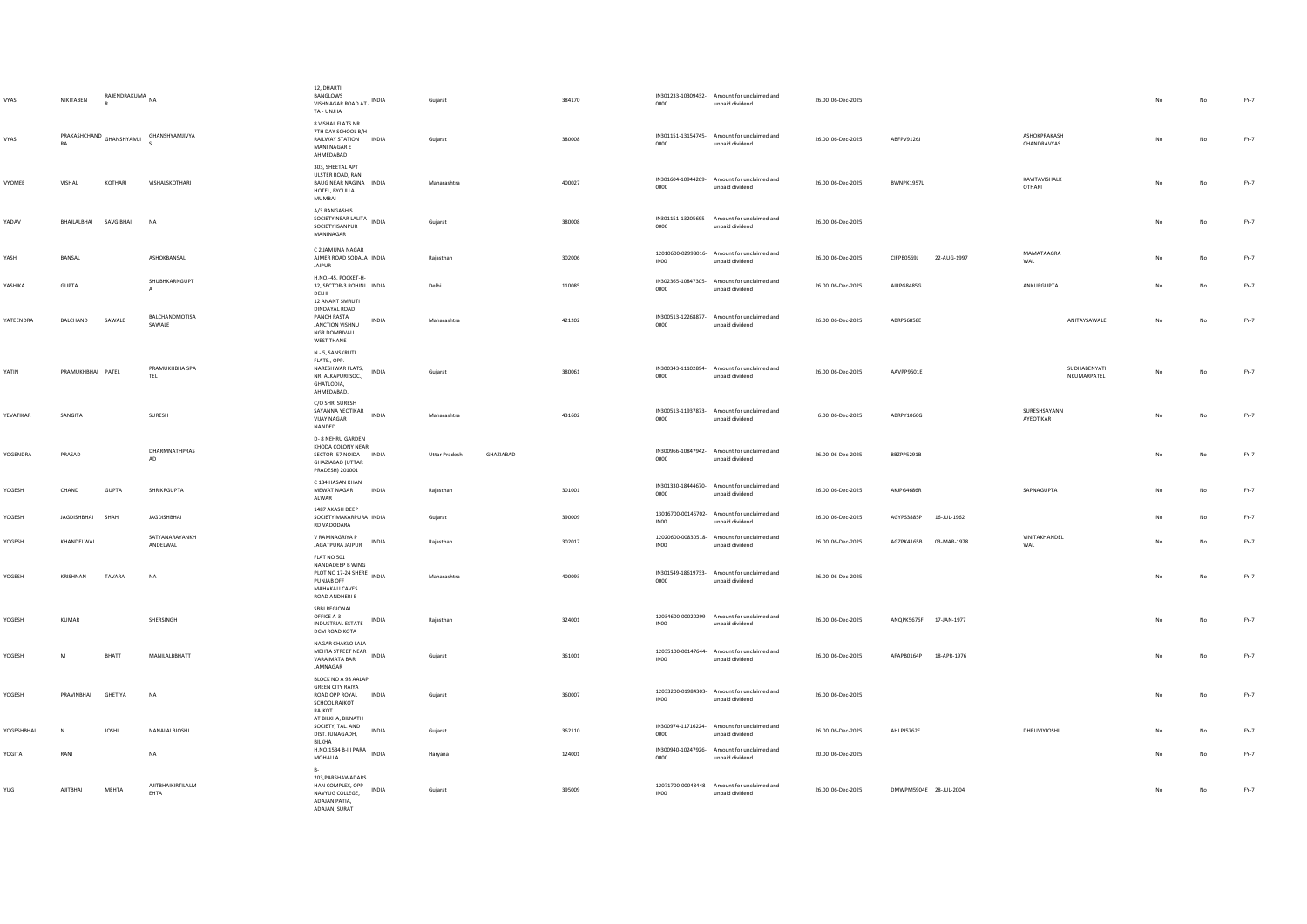| VYAS       | NIKITABEN                                                                                      | RAJENDRAKUMA NA<br>$\mathbb{R}$ |                                 | 12. DHARTI<br><b>BANGLOWS</b><br>VISHNAGAR ROAD AT - INDIA<br>TA - UNJHA                                       | Gujarat                           | 384170 | 0000             | IN301233-10309432- Amount for unclaimed and<br>unpaid dividend | 26.00 06-Dec-2025 |                           |                             |    | No          | FY-7   |
|------------|------------------------------------------------------------------------------------------------|---------------------------------|---------------------------------|----------------------------------------------------------------------------------------------------------------|-----------------------------------|--------|------------------|----------------------------------------------------------------|-------------------|---------------------------|-----------------------------|----|-------------|--------|
| VYAS       | $\small \textsf{PRAKASHCHAND} \begin{tabular}{c} \bf \small \textsf{GRANSHYAMI} \end{tabular}$ |                                 | GHANSHYAMJIVYA                  | 8 VISHAL FLATS NR<br>7TH DAY SCHOOL B/H<br>RAILWAY STATION INDIA<br>MANI NAGAR E<br>AHMEDABAD                  | Gujarat                           | 380008 | 0000             | IN301151-13154745- Amount for unclaimed and<br>unpaid dividend | 26.00 06-Dec-2025 | ARFPV9126L                | ASHOKPRAKASH<br>CHANDRAVYAS | No | No          | $FY-7$ |
| VYOMEE     | VISHAL                                                                                         | KOTHARI                         | VISHALSKOTHARI                  | 303, SHEETAL APT<br>ULSTER ROAD, RANI<br>BAUG NEAR NAGINA INDIA<br>HOTEL, BYCULLA<br>MUMBAI                    | Maharashtra                       | 400027 | 0000             | IN301604-10944269- Amount for unclaimed and<br>unpaid dividend | 26.00 06-Dec-2025 | BWNPK1957L                | KAVITAVISHALK<br>OTHARI     |    | No          | $FY-7$ |
| YADAV      | BHAILALBHAI SAVGIBHAI                                                                          |                                 | <b>NA</b>                       | A/3 RANGASHIS<br>SOCIETY NEAR LALITA INDIA<br>SOCIETY ISANPUR<br>MANINAGAR                                     | Gujarat                           | 380008 | 0000             | IN301151-13205695- Amount for unclaimed and<br>unpaid dividend | 26.00 06-Dec-2025 |                           |                             | No | No          | FY-7   |
| YASH       | BANSAL                                                                                         |                                 | ASHOKBANSAL                     | C 2 JAMUNA NAGAR<br>AJMER ROAD SODALA INDIA<br><b>JAIPUR</b>                                                   | Rajasthan                         | 302006 | IN00             | 12010600-02998016- Amount for unclaimed and<br>unpaid dividend | 26.00 06-Dec-2025 | CIFPB0569J<br>22-AUG-1997 | MAMATAAGRA<br>WAL           |    | $_{\sf No}$ | $FY-7$ |
| YASHIKA    | <b>GUPTA</b>                                                                                   |                                 | SHUBHKARNGUPT                   | H.NO.-45, POCKET-H-<br>32, SECTOR-3 ROHINI INDIA<br>DELHI<br>12 ANANT SMRUTI                                   | Delhi                             | 110085 | 0000             | IN302365-10847305- Amount for unclaimed and<br>unpaid dividend | 26.00 06-Dec-2025 | AIRPG8485G                | ANKURGUPTA                  |    | No          | $FY-7$ |
| YATEENDRA  | BALCHAND                                                                                       | SAWALE                          | <b>BALCHANDMOTISA</b><br>SAWALE | DINDAYAL ROAD<br>PANCH RASTA<br>INDIA<br>JANCTION VISHNU<br>NGR DOMBIVALI<br><b>WEST THANE</b>                 | Maharashtra                       | 421202 | 0000             | IN300513-12268877- Amount for unclaimed and<br>unpaid dividend | 26.00 06-Dec-2025 | ABRPS6858E                | ANITAYSAWALE                | No | No          | FY-7   |
| YATIN      | PRAMUKHBHAI PATEL                                                                              |                                 | PRAMUKHBHAISPA<br>TEL           | N - 5, SANSKRUTI<br>FLATS., OPP.<br>NARESHWAR FLATS, INDIA<br>NR. ALKAPURI SOC.,<br>GHATLODIA,<br>AHMEDABAD.   | Gujarat                           | 380061 | 0000             | IN300343-11102894- Amount for unclaimed and<br>unpaid dividend | 26.00 06-Dec-2025 | AAVPP9501E                | SUDHABENYATI<br>NKUMARPATEL | No | No          | $FY-7$ |
| YEVATIKAR  | SANGITA                                                                                        |                                 | SURESH                          | C/O SHRI SURESH<br>SAYANNA YEOTIKAR<br>INDIA<br><b>VIJAY NAGAR</b><br>NANDED                                   | Maharashtra                       | 431602 | 0000             | IN300513-11937873- Amount for unclaimed and<br>unpaid dividend | 6.00 06-Dec-2025  | ABRPY1060G                | SURESHSAYANN<br>AYEOTIKAR   |    | No          | FY-7   |
| YOGENDRA   | PRASAD                                                                                         |                                 | <b>DHARMNATHPRAS</b><br>AD      | <b>D-8 NEHRU GARDEN</b><br>KHODA COLONY NEAR<br>SECTOR- 57 NOIDA INDIA<br>GHAZIABAD (UTTAR<br>PRADESH) 201001  | <b>Uttar Pradesh</b><br>GHAZIABAD |        | 0000             | IN300966-10847942- Amount for unclaimed and<br>unpaid dividend | 26.00 06-Dec-2025 | BBZPP5291B                |                             |    | No          | $FY-7$ |
| YOGESH     | CHAND                                                                                          | <b>GUPTA</b>                    | SHRIKRGUPTA                     | C 134 HASAN KHAN<br>MEWAT NAGAR INDIA<br>ALWAR                                                                 | Rajasthan                         | 301001 | 0000             | IN301330-18444670- Amount for unclaimed and<br>unpaid dividend | 26.00 06-Dec-2025 | AKIPG4686R                | SAPNAGUPTA                  | No | No          | $FY-7$ |
| YOGESH     | JAGDISHBHAI                                                                                    | SHAH                            | <b>JAGDISHBHAI</b>              | 1487 AKASH DEEP<br>SOCIETY MAKARPURA INDIA<br>RD VADODARA                                                      | Gujarat                           | 390009 | INO <sub>0</sub> | 13016700-00145702- Amount for unclaimed and<br>unpaid dividend | 26.00 06-Dec-2025 | AGYPS3885P<br>16-JUL-1962 |                             |    | No          | $FY-7$ |
| YOGESH     | KHANDELWAL                                                                                     |                                 | SATYANARAYANKH<br>ANDELWAL      | V RAMNAGRIYA P<br><b>INDIA</b><br>JAGATPURA JAIPUR                                                             | Rajasthan                         | 302017 | IN00             | 12020600-00830518- Amount for unclaimed and<br>unpaid dividend | 26.00 06-Dec-2025 | AGZPK4165B 03-MAR-1978    | VINITAKHANDEL<br>WAL        | No | No          | FY-7   |
| YOGESH     | KRISHNAN                                                                                       | <b>TAVARA</b>                   | <b>NA</b>                       | FLAT NO 501<br>NANDADEEP B WING<br>PLOT NO 17-24 SHERE INDIA<br>PUNJAB OFF<br>MAHAKALI CAVES<br>ROAD ANDHERI E | Maharashtra                       | 400093 | 0000             | IN301549-18619733- Amount for unclaimed and<br>unpaid dividend | 26.00 06-Dec-2025 |                           |                             | No | No          | $FY-7$ |
| YOGESH     | KUMAR                                                                                          |                                 | SHERSINGH                       | SBBJ REGIONAL<br>OFFICE A-3<br>INDUSTRIAL ESTATE INDIA<br>DCM ROAD KOTA                                        | Rajasthan                         | 324001 | INO <sub>0</sub> | 12034600-00020299- Amount for unclaimed and<br>unpaid dividend | 26.00 06-Dec-2025 | ANQPK5676F 17-JAN-1977    |                             |    | No          | FY-7   |
| YOGESH     | M                                                                                              | BHATT                           | <b>MANILALBBHATT</b>            | NAGAR CHAKLO LALA<br>MEHTA STREET NEAR<br>INDIA<br>VARAIMATA BARI<br>JAMNAGAR                                  | Gujarat                           | 361001 | INO <sub>0</sub> | 12035100-00147644- Amount for unclaimed and<br>unpaid dividend | 26.00 06-Dec-2025 | AFAPB0164P 18-APR-1976    |                             | No | No          | FY-7   |
| YOGESH     | PRAVINBHAI                                                                                     | GHETIYA                         | <b>NA</b>                       | BLOCK NO A 98 AALAP<br><b>GREEN CITY RAIYA</b><br>ROAD OPP ROYAL<br>INDIA<br>SCHOOL RAJKOT<br>RAJKOT           | Gujarat                           | 360007 | INO <sub>0</sub> | 12033200-01984303- Amount for unclaimed and<br>unpaid dividend | 26.00 06-Dec-2025 |                           |                             | No | $_{\sf No}$ | FY-7   |
| YOGESHBHAI | N                                                                                              | <b>IOSHI</b>                    | NANALAL BIOSHI                  | AT BILKHA, BILNATH<br>SOCIETY, TAL AND<br>INDIA<br>DIST. JUNAGADH,<br>BILKHA                                   | Gujarat                           | 362110 | 0000             | IN300974-11716224- Amount for unclaimed and<br>unpaid dividend | 26.00.06-Dec-2025 | <b>AHI PIS762F</b>        | <b>DHRUVIYIOSHI</b>         | No | No          | $FY-7$ |
| YOGITA     | RANI                                                                                           |                                 | NA                              | H.NO.1534 B-III PARA INDIA<br>MOHALLA                                                                          | Haryana                           | 124001 | 0000             | IN300940-10247926- Amount for unclaimed and<br>unpaid dividend | 20.00 06-Dec-2025 |                           |                             |    | No          | FY-7   |
| YUG        | <b>AJITBHAI</b>                                                                                | MEHTA                           | AJITBHAIKIRTILALM<br>EHTA       | 203, PARSHAWADARS<br>HAN COMPLEX, OPP INDIA<br>NAVYUG COLLEGE,<br>ADAJAN PATIA,<br>ADAJAN, SURAT               | Gujarat                           | 395009 | INO <sub>0</sub> | 12071700-00048448- Amount for unclaimed and<br>unpaid dividend | 26.00 06-Dec-2025 | DMWPM5904E 28-JUL-2004    |                             | No | No          | $FY-7$ |